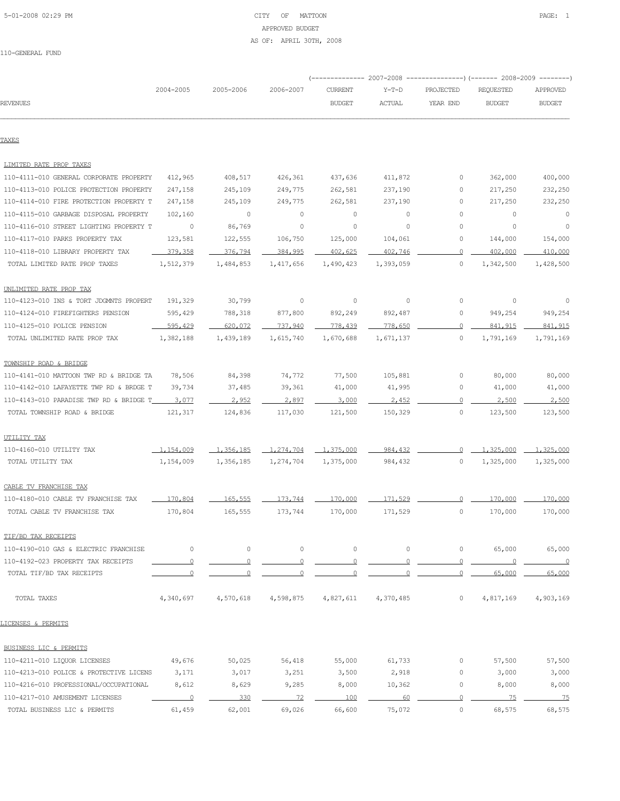# 5-01-2008 02:29 PM CITY OF MATTOON PAGE: 1 APPROVED BUDGET AS OF: APRIL 30TH, 2008

|                                         |                |                |                |                          |               |           | (-------------- 2007-2008 ----------------) (------- 2008-2009 --------) |                          |
|-----------------------------------------|----------------|----------------|----------------|--------------------------|---------------|-----------|--------------------------------------------------------------------------|--------------------------|
|                                         | 2004-2005      | 2005-2006      | 2006-2007      | <b>CURRENT</b>           | $Y-T-D$       | PROJECTED | REQUESTED                                                                | APPROVED                 |
| <b>REVENUES</b>                         |                |                |                | <b>BUDGET</b>            | <b>ACTUAL</b> | YEAR END  | <b>BUDGET</b>                                                            | <b>BUDGET</b>            |
| TAXES                                   |                |                |                |                          |               |           |                                                                          |                          |
| LIMITED RATE PROP TAXES                 |                |                |                |                          |               |           |                                                                          |                          |
| 110-4111-010 GENERAL CORPORATE PROPERTY | 412,965        | 408,517        | 426,361        | 437,636                  | 411,872       | 0         | 362,000                                                                  | 400,000                  |
| 110-4113-010 POLICE PROTECTION PROPERTY | 247,158        | 245,109        | 249,775        | 262,581                  | 237,190       | 0         | 217,250                                                                  | 232,250                  |
| 110-4114-010 FIRE PROTECTION PROPERTY T | 247,158        | 245,109        | 249,775        | 262,581                  | 237,190       | 0         | 217,250                                                                  | 232,250                  |
| 110-4115-010 GARBAGE DISPOSAL PROPERTY  | 102,160        | $\circ$        | $\circ$        | $\circ$                  | 0             | 0         | $\circ$                                                                  | 0                        |
| 110-4116-010 STREET LIGHTING PROPERTY T | 0              | 86,769         | $\circ$        | $\circ$                  | 0             | 0         | $\circ$                                                                  | $\circ$                  |
| 110-4117-010 PARKS PROPERTY TAX         | 123,581        | 122,555        | 106,750        | 125,000                  | 104,061       | 0         | 144,000                                                                  | 154,000                  |
| 110-4118-010 LIBRARY PROPERTY TAX       | 379,358        | 376,794        | 384,995        | 402,625                  | 402,746       |           | 402,000                                                                  | 410,000                  |
| TOTAL LIMITED RATE PROP TAXES           | 1,512,379      | 1,484,853      | 1,417,656      | 1,490,423                | 1,393,059     | $\circ$   | 1,342,500                                                                | 1,428,500                |
| UNLIMITED RATE PROP TAX                 |                |                |                |                          |               |           |                                                                          |                          |
| 110-4123-010 INS & TORT JDGMNTS PROPERT | 191,329        | 30,799         | 0              | 0                        | 0             | 0         | 0                                                                        | 0                        |
| 110-4124-010 FIREFIGHTERS PENSION       | 595,429        | 788,318        | 877,800        | 892,249                  | 892,487       | 0         | 949,254                                                                  | 949,254                  |
| 110-4125-010 POLICE PENSION             | 595,429        | 620,072        | 737.940        | 778,439                  | 778,650       | $\Omega$  | 841, 915                                                                 | 841,915                  |
| TOTAL UNLIMITED RATE PROP TAX           | 1,382,188      | 1,439,189      | 1,615,740      | 1,670,688                | 1,671,137     | 0         | 1,791,169                                                                | 1,791,169                |
| TOWNSHIP ROAD & BRIDGE                  |                |                |                |                          |               |           |                                                                          |                          |
| 110-4141-010 MATTOON TWP RD & BRIDGE TA | 78,506         | 84,398         | 74,772         | 77,500                   | 105,881       | 0         | 80,000                                                                   | 80,000                   |
| 110-4142-010 LAFAYETTE TWP RD & BRDGE T | 39,734         | 37,485         | 39,361         | 41,000                   | 41,995        | 0         | 41,000                                                                   | 41,000                   |
| 110-4143-010 PARADISE TWP RD & BRIDGE T | 3,077          | 2.952          | 2.897          | 3,000                    | 2.452         |           | 2,500                                                                    | 2,500                    |
| TOTAL TOWNSHIP ROAD & BRIDGE            | 121,317        | 124,836        | 117,030        | 121,500                  | 150,329       | $\circ$   | 123,500                                                                  | 123,500                  |
| UTILITY TAX                             |                |                |                |                          |               |           |                                                                          |                          |
| 110-4160-010 UTILITY TAX                | 1,154,009      | 1,356,185      | 1,274,704      | $-1, 375, 000$           | 984,432       | $\cap$    | 1,325,000                                                                | 1,325,000                |
| TOTAL UTILITY TAX                       | 1,154,009      | 1,356,185      | 1,274,704      | 1,375,000                | 984,432       | 0         | 1,325,000                                                                | 1,325,000                |
| CABLE TV FRANCHISE TAX                  |                |                |                |                          |               |           |                                                                          |                          |
| 110-4180-010 CABLE TV FRANCHISE TAX     | 170,804        | 165,555        | 173.744        | 170,000                  | 171,529       | 0         | 170,000                                                                  | 170,000                  |
| TOTAL CABLE TV FRANCHISE TAX            | 170,804        | 165,555        | 173,744        | 170,000                  | 171,529       | 0         | 170,000                                                                  | 170,000                  |
| TIF/BD TAX RECEIPTS                     |                |                |                |                          |               |           |                                                                          |                          |
| 110-4190-010 GAS & ELECTRIC FRANCHISE   | $\circ$        | $\circ$        | $\circ$        | $\circ$                  | 0             | 0         | 65,000                                                                   | 65,000                   |
| 110-4192-023 PROPERTY TAX RECEIPTS      | $\circ$        | $\overline{0}$ | $\overline{0}$ | $\overline{\phantom{0}}$ | $\circ$       | $\circ$   | $\overline{0}$                                                           | $\overline{\phantom{0}}$ |
| TOTAL TIF/BD TAX RECEIPTS               | $\Omega$       | $\Omega$       | $\Omega$       | $\Omega$                 |               | $\Omega$  | 65,000                                                                   | 65,000                   |
| TOTAL TAXES                             | 4,340,697      | 4,570,618      | 4,598,875      | 4,827,611                | 4,370,485     | 0         | 4,817,169                                                                | 4,903,169                |
| LICENSES & PERMITS                      |                |                |                |                          |               |           |                                                                          |                          |
| BUSINESS LIC & PERMITS                  |                |                |                |                          |               |           |                                                                          |                          |
| 110-4211-010 LIQUOR LICENSES            | 49,676         | 50,025         | 56,418         | 55,000                   | 61,733        | 0         | 57,500                                                                   | 57,500                   |
| 110-4213-010 POLICE & PROTECTIVE LICENS | 3,171          | 3,017          | 3,251          | 3,500                    | 2,918         | 0         | 3,000                                                                    | 3,000                    |
| 110-4216-010 PROFESSIONAL/OCCUPATIONAL  | 8,612          | 8,629          | 9,285          | 8,000                    | 10,362        | 0         | 8,000                                                                    | 8,000                    |
| 110-4217-010 AMUSEMENT LICENSES         | $\overline{0}$ | 330            | 72             | 100                      | 60            | $\Omega$  | 75                                                                       | 75                       |
| TOTAL BUSINESS LIC & PERMITS            | 61,459         | 62,001         | 69,026         | 66,600                   | 75,072        | 0         | 68,575                                                                   | 68,575                   |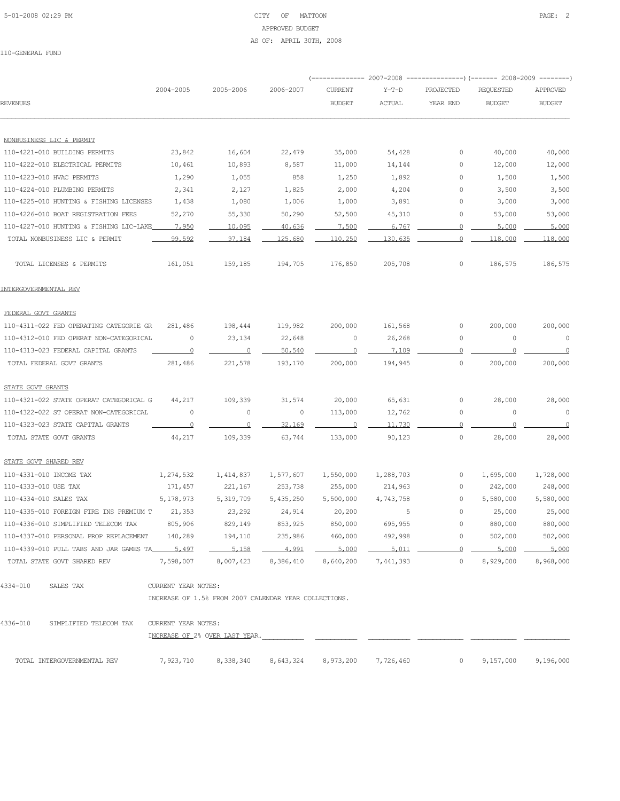# 5-01-2008 02:29 PM CITY OF MATTOON PAGE: 2 APPROVED BUDGET AS OF: APRIL 30TH, 2008

|                                               |                     |                                                       |           | ---------- 2007-2008 |                |             | -----------) (------- 2008-2009 -------- |                |
|-----------------------------------------------|---------------------|-------------------------------------------------------|-----------|----------------------|----------------|-------------|------------------------------------------|----------------|
|                                               | 2004-2005           | 2005-2006                                             | 2006-2007 | <b>CURRENT</b>       | $Y-T-D$        | PROJECTED   | REQUESTED                                | APPROVED       |
| <b>REVENUES</b>                               |                     |                                                       |           | <b>BUDGET</b>        | <b>ACTUAL</b>  | YEAR END    | <b>BUDGET</b>                            | <b>BUDGET</b>  |
| NONBUSINESS LIC & PERMIT                      |                     |                                                       |           |                      |                |             |                                          |                |
| 110-4221-010 BUILDING PERMITS                 | 23,842              | 16,604                                                | 22,479    | 35,000               | 54,428         | $\circ$     | 40,000                                   | 40,000         |
| 110-4222-010 ELECTRICAL PERMITS               | 10,461              | 10,893                                                | 8,587     | 11,000               | 14,144         | 0           | 12,000                                   | 12,000         |
| 110-4223-010 HVAC PERMITS                     | 1,290               | 1,055                                                 | 858       |                      |                | $\circ$     |                                          | 1,500          |
| 110-4224-010 PLUMBING PERMITS                 | 2,341               | 2,127                                                 | 1,825     | 1,250<br>2,000       | 1,892<br>4,204 | $\circ$     | 1,500<br>3,500                           | 3,500          |
| 110-4225-010 HUNTING & FISHING LICENSES       | 1,438               | 1,080                                                 | 1,006     | 1,000                | 3,891          | 0           | 3,000                                    | 3,000          |
| 110-4226-010 BOAT REGISTRATION FEES           | 52,270              | 55,330                                                | 50,290    | 52,500               | 45,310         | 0           | 53,000                                   | 53,000         |
| 110-4227-010 HUNTING & FISHING LIC-LAKE       | 7,950               | 10,095                                                | 40,636    | 7,500                | 6,767          | $\Omega$    | 5,000                                    | 5,000          |
| TOTAL NONBUSINESS LIC & PERMIT                | 99,592              | 97,184                                                | 125,680   | 110,250              | 130,635        | $\circ$     | 118,000                                  | 118,000        |
|                                               |                     |                                                       |           |                      |                |             |                                          |                |
| TOTAL LICENSES & PERMITS                      | 161,051             | 159,185                                               | 194,705   | 176,850              | 205,708        | 0           | 186,575                                  | 186,575        |
| INTERGOVERNMENTAL REV                         |                     |                                                       |           |                      |                |             |                                          |                |
| FEDERAL GOVT GRANTS                           |                     |                                                       |           |                      |                |             |                                          |                |
| 110-4311-022 FED OPERATING CATEGORIE GR       | 281,486             | 198,444                                               | 119,982   | 200,000              | 161,568        | 0           | 200,000                                  | 200,000        |
| 110-4312-010 FED OPERAT NON-CATEGORICAL       | $\circ$             | 23,134                                                | 22,648    | 0                    | 26,268         | 0           | 0                                        | $\overline{0}$ |
| 110-4313-023 FEDERAL CAPITAL GRANTS           | $\overline{0}$      | $\overline{\mathbf{0}}$                               | 50,540    | $\overline{0}$       | 7,109          | 0           | 0                                        | $\circ$        |
| TOTAL FEDERAL GOVT GRANTS                     | 281,486             | 221,578                                               | 193,170   | 200,000              | 194,945        | 0           | 200,000                                  | 200,000        |
| STATE GOVT GRANTS                             |                     |                                                       |           |                      |                |             |                                          |                |
| 110-4321-022 STATE OPERAT CATEGORICAL G       | 44,217              | 109,339                                               | 31,574    | 20,000               | 65,631         | 0           | 28,000                                   | 28,000         |
| 110-4322-022 ST OPERAT NON-CATEGORICAL        | 0                   | $\mathbb O$                                           | $\circ$   | 113,000              | 12,762         | $\mathbb O$ | $\mathbb O$                              | $\circ$        |
| 110-4323-023 STATE CAPITAL GRANTS             | $\overline{0}$      | $\Omega$                                              | 32,169    | $\overline{0}$       | 11,730         | 0           | 0                                        | 0              |
| TOTAL STATE GOVT GRANTS                       | 44,217              | 109,339                                               | 63,744    | 133,000              | 90,123         | $\circ$     | 28,000                                   | 28,000         |
| STATE GOVT SHARED REV                         |                     |                                                       |           |                      |                |             |                                          |                |
| 110-4331-010 INCOME TAX                       | 1,274,532           | 1,414,837                                             | 1,577,607 | 1,550,000            | 1,288,703      | 0           | 1,695,000                                | 1,728,000      |
| 110-4333-010 USE TAX                          | 171,457             | 221,167                                               | 253,738   | 255,000              | 214,963        | 0           | 242,000                                  | 248,000        |
| 110-4334-010 SALES TAX                        | 5,178,973           | 5,319,709                                             | 5,435,250 | 5,500,000            | 4,743,758      | $\circ$     | 5,580,000                                | 5,580,000      |
| 110-4335-010 FOREIGN FIRE INS PREMIUM T       | 21,353              | 23,292                                                | 24,914    | 20,200               | -5             | $\circ$     | 25,000                                   | 25,000         |
| 110-4336-010 SIMPLIFIED TELECOM TAX           | 805,906             | 829,149                                               | 853,925   | 850,000              | 695,955        | $\circ$     | 880,000                                  | 880,000        |
| 110-4337-010 PERSONAL PROP REPLACEMENT        | 140,289             | 194,110                                               | 235,986   | 460,000              | 492,998        | 0           | 502,000                                  | 502,000        |
| 110-4339-010 PULL TABS AND JAR GAMES TA 5,497 |                     | 5,158                                                 | 4,991     | 5,000                | 5,011          | $\Omega$    | 5,000                                    | 5,000          |
| TOTAL STATE GOVT SHARED REV                   | 7,598,007           | 8,007,423                                             | 8,386,410 | 8,640,200            | 7,441,393      | 0           | 8,929,000                                | 8,968,000      |
| 4334-010<br>SALES TAX                         | CURRENT YEAR NOTES: |                                                       |           |                      |                |             |                                          |                |
|                                               |                     | INCREASE OF 1.5% FROM 2007 CALENDAR YEAR COLLECTIONS. |           |                      |                |             |                                          |                |
| 4336-010<br>SIMPLIFIED TELECOM TAX            | CURRENT YEAR NOTES: |                                                       |           |                      |                |             |                                          |                |
|                                               |                     | INCREASE OF 2% OVER LAST YEAR.                        |           |                      |                |             |                                          |                |
| TOTAL INTERGOVERNMENTAL REV                   | 7,923,710           | 8,338,340                                             | 8,643,324 | 8,973,200            | 7,726,460      | 0           | 9,157,000                                | 9,196,000      |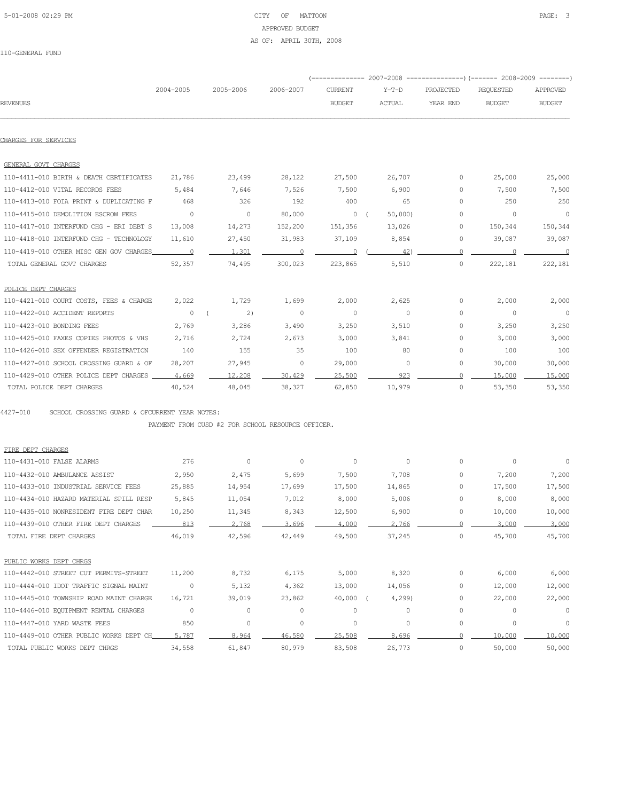# 5-01-2008 02:29 PM CITY OF MATTOON PAGE: 3 APPROVED BUDGET AS OF: APRIL 30TH, 2008

110-GENERAL FUND

|                                         |                                                 |                              |                |                                                 | (-------------- 2007-2008 -----------------) (------- 2008-2009 --------- |               |                  |                |
|-----------------------------------------|-------------------------------------------------|------------------------------|----------------|-------------------------------------------------|---------------------------------------------------------------------------|---------------|------------------|----------------|
|                                         | 2004-2005                                       | 2005-2006                    | 2006-2007      | <b>CURRENT</b>                                  | $Y-T-D$                                                                   | PROJECTED     | <b>REQUESTED</b> | APPROVED       |
| <b>REVENUES</b>                         |                                                 |                              |                | <b>BUDGET</b>                                   | <b>ACTUAL</b>                                                             | YEAR END      | <b>BUDGET</b>    | <b>BUDGET</b>  |
|                                         |                                                 |                              |                |                                                 |                                                                           |               |                  |                |
| CHARGES FOR SERVICES                    |                                                 |                              |                |                                                 |                                                                           |               |                  |                |
| GENERAL GOVT CHARGES                    |                                                 |                              |                |                                                 |                                                                           |               |                  |                |
| 110-4411-010 BIRTH & DEATH CERTIFICATES | 21,786                                          | 23,499                       | 28,122         | 27,500                                          | 26,707                                                                    | $\circ$       | 25,000           | 25,000         |
| 110-4412-010 VITAL RECORDS FEES         | 5,484                                           | 7,646                        | 7,526          | 7,500                                           | 6,900                                                                     | $\Omega$      | 7,500            | 7,500          |
| 110-4413-010 FOIA PRINT & DUPLICATING F | 468                                             | 326                          | 192            | 400                                             | 65                                                                        | $\Omega$      | 250              | 250            |
| 110-4415-010 DEMOLITION ESCROW FEES     | $\sim$ 0                                        | $\overline{0}$               | 80,000         | $\begin{array}{ccc} & & 0 & \\ & & \end{array}$ | 50,000                                                                    | $\Omega$      | $\overline{0}$   | $\overline{0}$ |
| 110-4417-010 INTERFUND CHG - ERI DEBT S | 13,008                                          | 14,273                       | 152,200        | 151,356                                         | 13,026                                                                    | $\mathcal{O}$ | 150,344          | 150,344        |
| 110-4418-010 INTERFUND CHG - TECHNOLOGY | 11,610                                          | 27,450                       | 31,983         | 37,109                                          | 8,854                                                                     | $\circ$       | 39,087           | 39,087         |
| 110-4419-010 OTHER MISC GEN GOV CHARGES | $\sim$ 0                                        | 1,301                        | $\overline{0}$ | $\sim$ 0                                        | 42)                                                                       | $\Omega$      | $\overline{0}$   | $\sim$ 0       |
| TOTAL GENERAL GOVT CHARGES              | 52,357                                          | 74,495                       | 300,023        | 223,865                                         | 5,510                                                                     | $\circ$       | 222,181          | 222,181        |
| POLICE DEPT CHARGES                     |                                                 |                              |                |                                                 |                                                                           |               |                  |                |
| 110-4421-010 COURT COSTS, FEES & CHARGE | 2,022                                           | 1,729                        | 1,699          | 2,000                                           | 2,625                                                                     | $\circ$       | 2,000            | 2,000          |
| 110-4422-010 ACCIDENT REPORTS           | $\begin{array}{ccc} & & 0 & \\ & & \end{array}$ | $\left( \frac{2}{2} \right)$ | $\sim$ 0       | $\overline{0}$                                  | $\sim$ 0                                                                  | $\Omega$      | $\overline{0}$   | $\overline{0}$ |
| 110-4423-010 BONDING FEES               | 2,769                                           | 3,286                        | 3,490          | 3,250                                           | 3,510                                                                     | $\Omega$      | 3,250            | 3,250          |
| 110-4425-010 FAXES COPIES PHOTOS & VHS  | 2,716                                           | 2,724                        | 2,673          | 3,000                                           | 3,841                                                                     | $\circ$       | 3,000            | 3,000          |
| 110-4426-010 SEX OFFENDER REGISTRATION  | 140                                             | 155                          | 35             | 100                                             | 80                                                                        | $\circ$       | 100              | 100            |
| 110-4427-010 SCHOOL CROSSING GUARD & OF | 28,207                                          | 27,945                       | $\overline{0}$ | 29,000                                          | 0                                                                         | 0             | 30,000           | 30,000         |
| 110-4429-010 OTHER POLICE DEPT CHARGES  | 4,669                                           | 12,208                       | 30,429         | 25,500                                          | 923                                                                       | $\cap$        | 15,000           | 15,000         |
| TOTAL POLICE DEPT CHARGES               | 40,524                                          | 48,045                       | 38,327         | 62,850                                          | 10,979                                                                    | 0             | 53,350           | 53,350         |

PAYMENT FROM CUSD #2 FOR SCHOOL RESOURCE OFFICER.

| FIRE DEPT CHARGES                       |          |         |         |         |         |             |          |          |
|-----------------------------------------|----------|---------|---------|---------|---------|-------------|----------|----------|
| 110-4431-010 FALSE ALARMS               | 276      | $\circ$ | $\circ$ | $\circ$ | $\circ$ | $\circ$     | 0        | 0        |
| 110-4432-010 AMBULANCE ASSIST           | 2,950    | 2,475   | 5,699   | 7,500   | 7,708   | 0           | 7,200    | 7,200    |
| 110-4433-010 INDUSTRIAL SERVICE FEES    | 25,885   | 14,954  | 17,699  | 17,500  | 14,865  | 0           | 17,500   | 17,500   |
| 110-4434-010 HAZARD MATERIAL SPILL RESP | 5,845    | 11,054  | 7,012   | 8,000   | 5,006   | 0           | 8,000    | 8,000    |
| 110-4435-010 NONRESIDENT FIRE DEPT CHAR | 10,250   | 11,345  | 8,343   | 12,500  | 6,900   | $\circ$     | 10,000   | 10,000   |
| 110-4439-010 OTHER FIRE DEPT CHARGES    | 813      | 2.768   | 3.696   | 4,000   | 2,766   |             | 3,000    | 3,000    |
| TOTAL FIRE DEPT CHARGES                 | 46,019   | 42,596  | 42,449  | 49,500  | 37,245  | $\circ$     | 45,700   | 45,700   |
| PUBLIC WORKS DEPT CHRGS                 |          |         |         |         |         |             |          |          |
| 110-4442-010 STREET CUT PERMITS-STREET  | 11,200   | 8,732   | 6,175   | 5,000   | 8,320   | 0           | 6,000    | 6,000    |
| 110-4444-010 IDOT TRAFFIC SIGNAL MAINT  | 0        | 5,132   | 4,362   | 13,000  | 14,056  | $\circ$     | 12,000   | 12,000   |
| 110-4445-010 TOWNSHIP ROAD MAINT CHARGE | 16,721   | 39,019  | 23,862  | 40,000  | 4,299   | 0           | 22,000   | 22,000   |
| 110-4446-010 EQUIPMENT RENTAL CHARGES   | $\Omega$ | $\circ$ | $\circ$ | $\circ$ | 0       | 0           | $\Omega$ | 0        |
| 110-4447-010 YARD WASTE FEES            | 850      | $\circ$ | $\circ$ | $\circ$ | $\circ$ | $\mathbf 0$ | 0        | $\Omega$ |
| 110-4449-010 OTHER PUBLIC WORKS DEPT CH | 5,787    | 8.964   | 46,580  | 25,508  | 8,696   |             | 10,000   | 10,000   |
| TOTAL PUBLIC WORKS DEPT CHRGS           | 34,558   | 61,847  | 80,979  | 83,508  | 26,773  | 0           | 50,000   | 50,000   |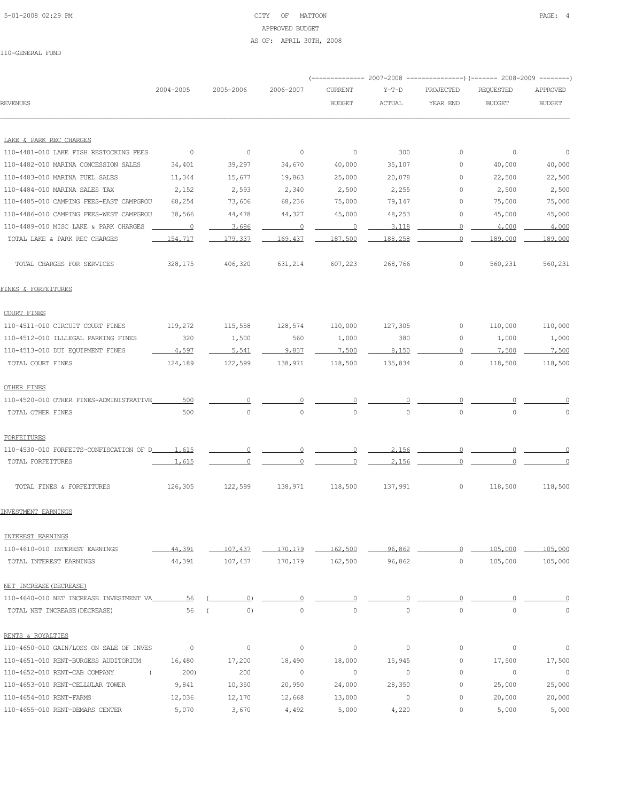# 5-01-2008 02:29 PM CITY OF MATTOON PAGE: 4 APPROVED BUDGET AS OF: APRIL 30TH, 2008

|                                                     |                          |                |                          |                |               |             | (-------------- 2007-2008 -----------------) (------- 2008-2009 --------) |               |
|-----------------------------------------------------|--------------------------|----------------|--------------------------|----------------|---------------|-------------|---------------------------------------------------------------------------|---------------|
|                                                     | 2004-2005                | 2005-2006      | 2006-2007                | <b>CURRENT</b> | Y-T-D         | PROJECTED   | REQUESTED                                                                 | APPROVED      |
| <b>REVENUES</b>                                     |                          |                |                          | <b>BUDGET</b>  | <b>ACTUAL</b> | YEAR END    | <b>BUDGET</b>                                                             | <b>BUDGET</b> |
| LAKE & PARK REC CHARGES                             |                          |                |                          |                |               |             |                                                                           |               |
| 110-4481-010 LAKE FISH RESTOCKING FEES              | $\overline{0}$           | $\overline{0}$ | $\overline{\phantom{0}}$ | $\circ$        | 300           | 0           | $\overline{\phantom{0}}$                                                  | $\circ$       |
| 110-4482-010 MARINA CONCESSION SALES                | 34,401                   | 39,297         | 34,670                   | 40,000         | 35,107        | 0           | 40,000                                                                    | 40,000        |
| 110-4483-010 MARINA FUEL SALES                      | 11,344                   | 15,677         | 19,863                   | 25,000         | 20,078        | $\circ$     | 22,500                                                                    | 22,500        |
| 110-4484-010 MARINA SALES TAX                       | 2,152                    | 2,593          | 2,340                    | 2,500          | 2,255         | $\circ$     | 2,500                                                                     | 2,500         |
| 110-4485-010 CAMPING FEES-EAST CAMPGROU             | 68,254                   | 73,606         | 68,236                   | 75,000         | 79,147        | 0           | 75,000                                                                    | 75,000        |
| 110-4486-010 CAMPING FEES-WEST CAMPGROU             | 38,566                   | 44,478         | 44,327                   | 45,000         | 48,253        | 0           | 45,000                                                                    | 45,000        |
| 110-4489-010 MISC LAKE & PARK CHARGES               | $\overline{\phantom{0}}$ | 3,686          | $\overline{\phantom{0}}$ | $\Omega$       | 3,118         | $\Omega$    | 4,000                                                                     | 4,000         |
| TOTAL LAKE & PARK REC CHARGES                       | 154,717                  | 179,337        | 169,437                  | 187,500        | 188,258       | 0           | 189,000                                                                   | 189,000       |
| TOTAL CHARGES FOR SERVICES                          | 328,175                  | 406,320        | 631,214                  | 607,223        | 268,766       | 0           | 560,231                                                                   | 560,231       |
| FINES & FORFEITURES                                 |                          |                |                          |                |               |             |                                                                           |               |
| COURT FINES                                         |                          |                |                          |                |               |             |                                                                           |               |
| 110-4511-010 CIRCUIT COURT FINES                    | 119,272                  | 115,558        | 128,574                  | 110,000        | 127,305       | 0           | 110,000                                                                   | 110,000       |
| 110-4512-010 ILLLEGAL PARKING FINES                 | 320                      | 1,500          | 560                      | 1,000          | 380           | 0           | 1,000                                                                     | 1,000         |
| 110-4513-010 DUI EQUIPMENT FINES                    | 4,597                    | $-5,541$       | 9,837                    | 7,500          | 8,150         | $\circ$     | 7,500                                                                     | 7,500         |
| TOTAL COURT FINES                                   | 124,189                  | 122,599        | 138,971                  | 118,500        | 135,834       | $\circ$     | 118,500                                                                   | 118,500       |
| <b>OTHER FINES</b>                                  |                          |                |                          |                |               |             |                                                                           |               |
| 110-4520-010 OTHER FINES-ADMINISTRATIVE             | 500                      |                |                          |                |               |             |                                                                           |               |
| TOTAL OTHER FINES                                   | 500                      | $\circ$        | 0                        | $\circ$        | $\circ$       | $\circ$     | $\circ$                                                                   | $\circ$       |
| FORFEITURES                                         |                          |                |                          |                |               |             |                                                                           |               |
| 110-4530-010 FORFEITS-CONFISCATION OF D______ 1,615 |                          | $\overline{0}$ | $\overline{0}$           | $\overline{0}$ | 2,156         | $\circ$     | $\Omega$                                                                  |               |
| TOTAL FORFEITURES                                   | 1,615                    |                |                          |                | 2,156         |             |                                                                           |               |
| TOTAL FINES & FORFEITURES                           | 126,305                  | 122,599        | 138,971                  | 118,500        | 137,991       | 0           | 118,500                                                                   | 118,500       |
| INVESTMENT EARNINGS                                 |                          |                |                          |                |               |             |                                                                           |               |
| INTEREST EARNINGS                                   |                          |                |                          |                |               |             |                                                                           |               |
| 110-4610-010 INTEREST EARNINGS                      | 44,391                   | 107,437        | 170,179                  | 162,500        | 96,862        | $\Omega$    | 105,000                                                                   | 105,000       |
| TOTAL INTEREST EARNINGS                             | 44,391                   | 107,437        | 170,179                  | 162,500        | 96,862        | $\circ$     | 105,000                                                                   | 105,000       |
| NET INCREASE (DECREASE)                             |                          |                |                          |                |               |             |                                                                           |               |
| 110-4640-010 NET INCREASE INVESTMENT VA             | 56                       | $\Omega$       |                          |                |               |             |                                                                           |               |
| TOTAL NET INCREASE (DECREASE)                       | 56                       | 0)             | $\circ$                  | $\circ$        | $\circ$       | $\circ$     | $\mathbf 0$                                                               | $\circ$       |
| RENTS & ROYALTIES                                   |                          |                |                          |                |               |             |                                                                           |               |
| 110-4650-010 GAIN/LOSS ON SALE OF INVES             | 0                        | 0              | $\circ$                  | 0              | $\circ$       | 0           | 0                                                                         | 0             |
| 110-4651-010 RENT-BURGESS AUDITORIUM                | 16,480                   | 17,200         | 18,490                   | 18,000         | 15,945        | $\circ$     | 17,500                                                                    | 17,500        |
| 110-4652-010 RENT-CAB COMPANY<br>$\left($           | 200)                     | 200            | $\circ$                  | $\circ$        | $\circ$       | $\circ$     | 0                                                                         | $\circ$       |
| 110-4653-010 RENT-CELLULAR TOWER                    | 9,841                    | 10,350         | 20,950                   | 24,000         | 28,350        | 0           | 25,000                                                                    | 25,000        |
| 110-4654-010 RENT-FARMS                             | 12,036                   | 12,170         | 12,668                   | 13,000         | 0             | $\mathbb O$ | 20,000                                                                    | 20,000        |
| 110-4655-010 RENT-DEMARS CENTER                     | 5,070                    | 3,670          | 4,492                    | 5,000          | 4,220         | 0           | 5,000                                                                     | 5,000         |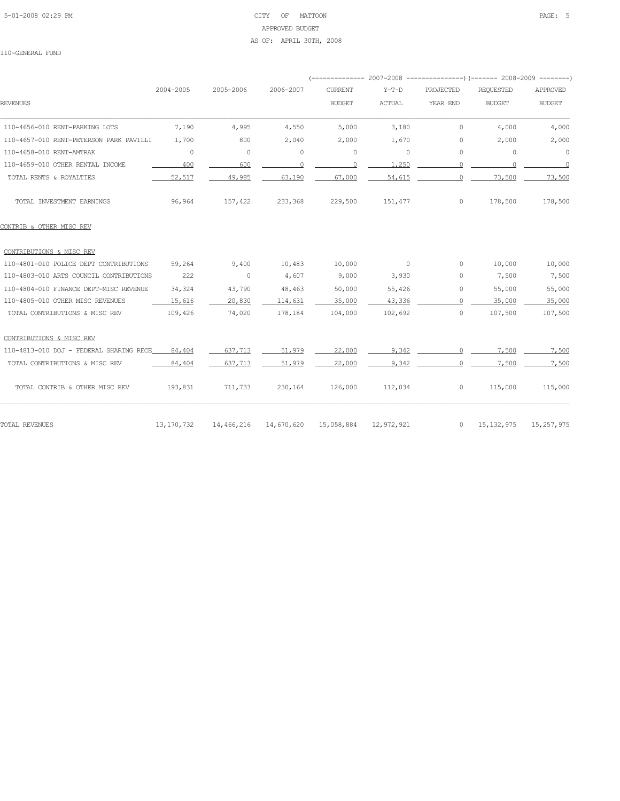# 5-01-2008 02:29 PM CITY OF MATTOON PAGE: 5 APPROVED BUDGET AS OF: APRIL 30TH, 2008

|                                         |              |            |            |                |            |           | (-------------- 2007-2008 -------------------- 2008-2009 ----------- |                          |
|-----------------------------------------|--------------|------------|------------|----------------|------------|-----------|----------------------------------------------------------------------|--------------------------|
|                                         | 2004-2005    | 2005-2006  | 2006-2007  | <b>CURRENT</b> | $Y-T-D$    | PROJECTED | <b>REQUESTED</b>                                                     | APPROVED                 |
| <b>REVENUES</b>                         |              |            |            | <b>BUDGET</b>  | ACTUAL     | YEAR END  | <b>BUDGET</b>                                                        | <b>BUDGET</b>            |
| 110-4656-010 RENT-PARKING LOTS          | 7,190        | 4,995      | 4,550      | 5,000          | 3,180      | 0         | 4,000                                                                | 4,000                    |
| 110-4657-010 RENT-PETERSON PARK PAVILLI | 1,700        | 800        | 2,040      | 2,000          | 1,670      | 0         | 2,000                                                                | 2,000                    |
| 110-4658-010 RENT-AMTRAK                | $\circ$      | $\circ$    | 0          | $\circ$        | $\circ$    | 0         | $\circ$                                                              | $\circ$                  |
| 110-4659-010 OTHER RENTAL INCOME        | 400          | 600        | $\circ$    | $\Omega$       | 1,250      | $\Omega$  | $\overline{0}$                                                       | $\overline{\phantom{0}}$ |
| TOTAL RENTS & ROYALTIES                 | 52,517       | 49,985     | 63,190     | 67,000         | 54,615     |           | 73,500                                                               | 73,500                   |
| TOTAL INVESTMENT EARNINGS               | 96,964       | 157,422    | 233,368    | 229,500        | 151,477    | $\circ$   | 178,500                                                              | 178,500                  |
| CONTRIB & OTHER MISC REV                |              |            |            |                |            |           |                                                                      |                          |
| CONTRIBUTIONS & MISC REV                |              |            |            |                |            |           |                                                                      |                          |
| 110-4801-010 POLICE DEPT CONTRIBUTIONS  | 59,264       | 9,400      | 10,483     | 10,000         | $\circ$    | 0         | 10,000                                                               | 10,000                   |
| 110-4803-010 ARTS COUNCIL CONTRIBUTIONS | 222          | $\circ$    | 4,607      | 9,000          | 3,930      | 0         | 7,500                                                                | 7,500                    |
| 110-4804-010 FINANCE DEPT-MISC REVENUE  | 34,324       | 43,790     | 48,463     | 50,000         | 55,426     | 0         | 55,000                                                               | 55,000                   |
| 110-4805-010 OTHER MISC REVENUES        | 15,616       | 20,830     | 114,631    | 35,000         | 43,336     | $\Omega$  | 35,000                                                               | 35,000                   |
| TOTAL CONTRIBUTIONS & MISC REV          | 109,426      | 74,020     | 178,184    | 104,000        | 102,692    | $\circ$   | 107,500                                                              | 107,500                  |
| CONTRIBUTIONS & MISC REV                |              |            |            |                |            |           |                                                                      |                          |
| 110-4813-010 DOJ - FEDERAL SHARING RECE | 84,404       | 637,713    | 51,979     | 22,000         | 9,342      | $\cap$    | 7.500                                                                | 7,500                    |
| TOTAL CONTRIBUTIONS & MISC REV          | 84,404       | 637.713    | 51,979     | 22,000         | 9,342      | $\cap$    | 7.500                                                                | 7,500                    |
| TOTAL CONTRIB & OTHER MISC REV          | 193,831      | 711,733    | 230,164    | 126,000        | 112,034    | 0         | 115,000                                                              | 115,000                  |
| TOTAL REVENUES                          | 13, 170, 732 | 14,466,216 | 14,670,620 | 15,058,884     | 12,972,921 | $\circ$   | 15, 132, 975                                                         | 15, 257, 975             |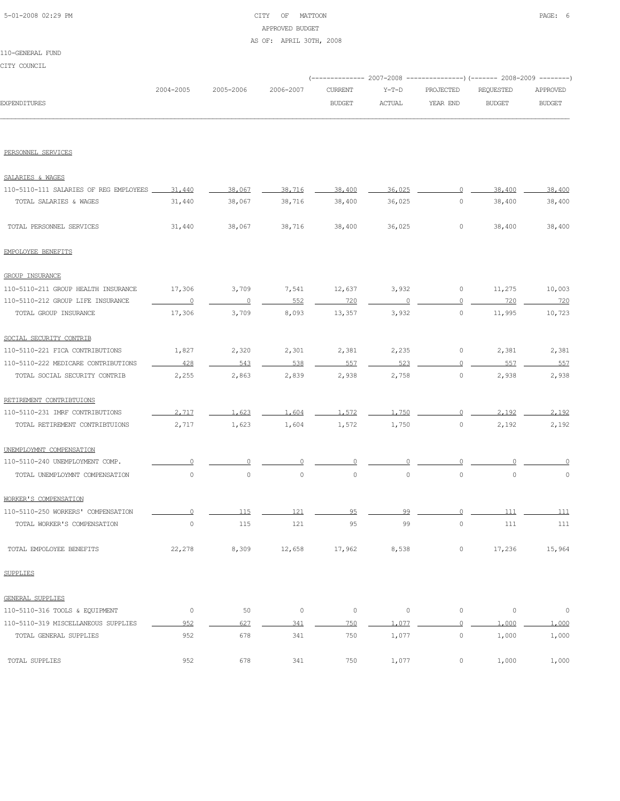# 5-01-2008 02:29 PM CITY OF MATTOON PAGE: 6 APPROVED BUDGET AS OF: APRIL 30TH, 2008

#### 110-GENERAL FUND

CITY COUNCIL

|              |           |                     |               |         | (-------------- 2007-2008 ----------------) (------- 2008-2009 --------) |           |               |
|--------------|-----------|---------------------|---------------|---------|--------------------------------------------------------------------------|-----------|---------------|
|              | 2004-2005 | 2005-2006 2006-2007 | CURRENT       | $Y-T-D$ | PROJECTED                                                                | REOUESTED | APPROVED      |
| EXPENDITURES |           |                     | <b>BUDGET</b> | ACTUAL  | YEAR END                                                                 | BUDGET    | <b>BUDGET</b> |
|              |           |                     |               |         |                                                                          |           |               |

PERSONNEL SERVICES

| SALARIES & WAGES                       |                |                |         |         |                     |                     |             |         |
|----------------------------------------|----------------|----------------|---------|---------|---------------------|---------------------|-------------|---------|
| 110-5110-111 SALARIES OF REG EMPLOYEES | 31,440         | 38.067         | 38,716  | 38,400  | 36.025              |                     | 38,400      | 38,400  |
| TOTAL SALARIES & WAGES                 | 31,440         | 38,067         | 38,716  | 38,400  | 36,025              | $\circ$             | 38,400      | 38,400  |
| TOTAL PERSONNEL SERVICES               | 31,440         | 38,067         | 38,716  | 38,400  | 36,025              | $\circ$             | 38,400      | 38,400  |
| EMPOLOYEE BENEFITS                     |                |                |         |         |                     |                     |             |         |
| <b>GROUP INSURANCE</b>                 |                |                |         |         |                     |                     |             |         |
| 110-5110-211 GROUP HEALTH INSURANCE    | 17,306         | 3,709          | 7,541   | 12,637  | 3,932               | $\circ$             | 11,275      | 10,003  |
| 110-5110-212 GROUP LIFE INSURANCE      | $\overline{0}$ | $\overline{0}$ | 552     | 720     | $\circ$             | $\overline{0}$      | 720         | 720     |
| TOTAL GROUP INSURANCE                  | 17,306         | 3,709          | 8,093   | 13,357  | 3,932               | $\mathsf{O}\xspace$ | 11,995      | 10,723  |
| SOCIAL SECURITY CONTRIB                |                |                |         |         |                     |                     |             |         |
| 110-5110-221 FICA CONTRIBUTIONS        | 1,827          | 2,320          | 2,301   | 2,381   | 2,235               | 0                   | 2,381       | 2,381   |
| 110-5110-222 MEDICARE CONTRIBUTIONS    | 428            | 543            | 538     | 557     | 523                 | $\Omega$            | 557         | 557     |
| TOTAL SOCIAL SECURITY CONTRIB          | 2,255          | 2,863          | 2,839   | 2,938   | 2,758               | $\circ$             | 2,938       | 2,938   |
| RETIREMENT CONTRIBTUIONS               |                |                |         |         |                     |                     |             |         |
| 110-5110-231 IMRF CONTRIBUTIONS        | 2.717          | 1,623          | 1,604   | 1,572   | 1.750               | $\circ$             | 2,192       | 2.192   |
| TOTAL RETIREMENT CONTRIBTUIONS         | 2,717          | 1,623          | 1,604   | 1,572   | 1,750               | $\circ$             | 2,192       | 2,192   |
| UNEMPLOYMNT COMPENSATION               |                |                |         |         |                     |                     |             |         |
| 110-5110-240 UNEMPLOYMENT COMP.        | $\cap$         | $\cap$         |         | $\cap$  | $\cap$              |                     |             |         |
| TOTAL UNEMPLOYMNT COMPENSATION         | $\mathbb O$    | $\circ$        | $\circ$ | $\circ$ | $\circ$             | $\circ$             | $\circ$     | $\circ$ |
| WORKER'S COMPENSATION                  |                |                |         |         |                     |                     |             |         |
| 110-5110-250 WORKERS' COMPENSATION     | $\Omega$       | 115            | 121     | 95      | 99                  | $\overline{0}$      | 111         | 111     |
| TOTAL WORKER'S COMPENSATION            | $\circ$        | 115            | 121     | 95      | 99                  | $\circ$             | 111         | 111     |
| TOTAL EMPOLOYEE BENEFITS               | 22,278         | 8,309          | 12,658  | 17,962  | 8,538               | $\circ$             | 17,236      | 15,964  |
| <b>SUPPLIES</b>                        |                |                |         |         |                     |                     |             |         |
| GENERAL SUPPLIES                       |                |                |         |         |                     |                     |             |         |
| 110-5110-316 TOOLS & EQUIPMENT         | $\circ$        | 50             | $\circ$ | $\circ$ | $\mathsf{O}\xspace$ | $\circ$             | $\mathbb O$ | $\circ$ |
| 110-5110-319 MISCELLANEOUS SUPPLIES    | 952            | 627            | 341     | 750     | 1,077               | $\circ$             | 1,000       | 1,000   |
| TOTAL GENERAL SUPPLIES                 | 952            | 678            | 341     | 750     | 1,077               | $\circ$             | 1,000       | 1,000   |
| TOTAL SUPPLIES                         | 952            | 678            | 341     | 750     | 1,077               | $\circ$             | 1,000       | 1,000   |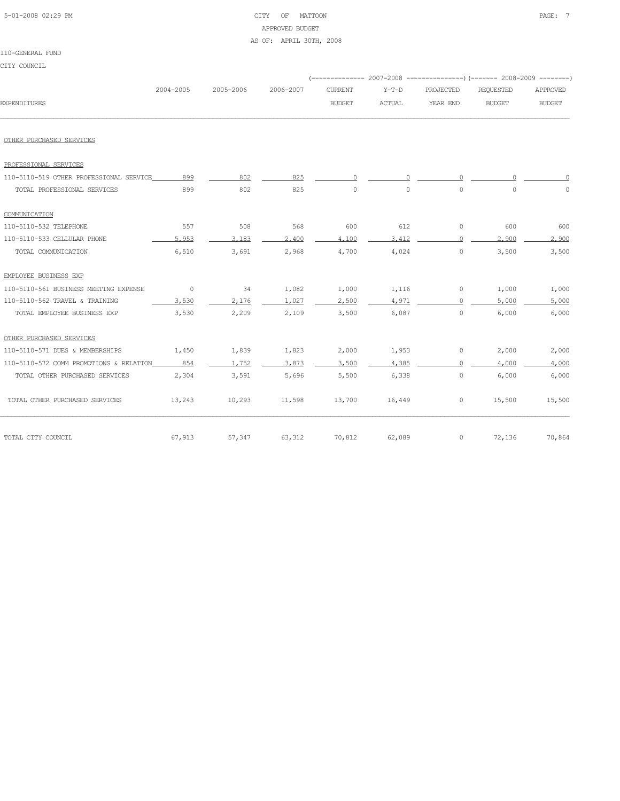| 5-01-2008 02:29 PM |  |
|--------------------|--|
|                    |  |

#### CITY OF MATTOON **PAGE:** 7 APPROVED BUDGET

AS OF: APRIL 30TH, 2008

| CITY COUNCIL                            |           |           |           |                |               |                     |                                                                           |               |
|-----------------------------------------|-----------|-----------|-----------|----------------|---------------|---------------------|---------------------------------------------------------------------------|---------------|
|                                         |           |           |           |                |               |                     | (-------------- 2007-2008 -----------------) (------- 2008-2009 --------) |               |
|                                         | 2004-2005 | 2005-2006 | 2006-2007 | <b>CURRENT</b> | $Y-T-D$       | PROJECTED           | <b>REQUESTED</b>                                                          | APPROVED      |
| <b>EXPENDITURES</b>                     |           |           |           | <b>BUDGET</b>  | <b>ACTUAL</b> | YEAR END            | <b>BUDGET</b>                                                             | <b>BUDGET</b> |
|                                         |           |           |           |                |               |                     |                                                                           |               |
| OTHER PURCHASED SERVICES                |           |           |           |                |               |                     |                                                                           |               |
| PROFESSIONAL SERVICES                   |           |           |           |                |               |                     |                                                                           |               |
| 110-5110-519 OTHER PROFESSIONAL SERVICE | 899       | 802       | 825       | 0              | 0             | $\circ$             |                                                                           |               |
| TOTAL PROFESSIONAL SERVICES             | 899       | 802       | 825       | $\circ$        | $\circ$       | $\circ$             | $\circ$                                                                   | 0             |
| COMMUNICATION                           |           |           |           |                |               |                     |                                                                           |               |
| 110-5110-532 TELEPHONE                  | 557       | 508       | 568       | 600            | 612           | 0                   | 600                                                                       | 600           |
| 110-5110-533 CELLULAR PHONE             | 5,953     | 3,183     | 2,400     | 4,100          | 3,412         | $\Omega$            | 2,900                                                                     | 2,900         |
| TOTAL COMMUNICATION                     | 6,510     | 3,691     | 2,968     | 4,700          | 4,024         | $\circ$             | 3,500                                                                     | 3,500         |
| EMPLOYEE BUSINESS EXP                   |           |           |           |                |               |                     |                                                                           |               |
| 110-5110-561 BUSINESS MEETING EXPENSE   | 0         | 34        | 1,082     | 1,000          | 1,116         | 0                   | 1,000                                                                     | 1,000         |
| 110-5110-562 TRAVEL & TRAINING          | 3.530     | 2.176     | 1.027     | 2,500          | 4.971         | $\Omega$            | 5,000                                                                     | 5,000         |
| TOTAL EMPLOYEE BUSINESS EXP             | 3,530     | 2,209     | 2,109     | 3,500          | 6,087         | $\mathsf{O}\xspace$ | 6,000                                                                     | 6,000         |
| OTHER PURCHASED SERVICES                |           |           |           |                |               |                     |                                                                           |               |
| 110-5110-571 DUES & MEMBERSHIPS         | 1,450     | 1,839     | 1,823     | 2,000          | 1,953         | 0                   | 2,000                                                                     | 2,000         |
| 110-5110-572 COMM PROMOTIONS & RELATION | 854       | 1,752     | 3,873     | 3,500          | 4,385         | $\Omega$            | 4,000                                                                     | 4,000         |
| TOTAL OTHER PURCHASED SERVICES          | 2,304     | 3,591     | 5,696     | 5,500          | 6,338         | $\circ$             | 6,000                                                                     | 6,000         |
| TOTAL OTHER PURCHASED SERVICES          | 13,243    | 10,293    | 11,598    | 13,700         | 16,449        | 0                   | 15,500                                                                    | 15,500        |
| TOTAL CITY COUNCIL                      | 67,913    | 57,347    | 63,312    | 70,812         | 62,089        | 0                   | 72,136                                                                    | 70,864        |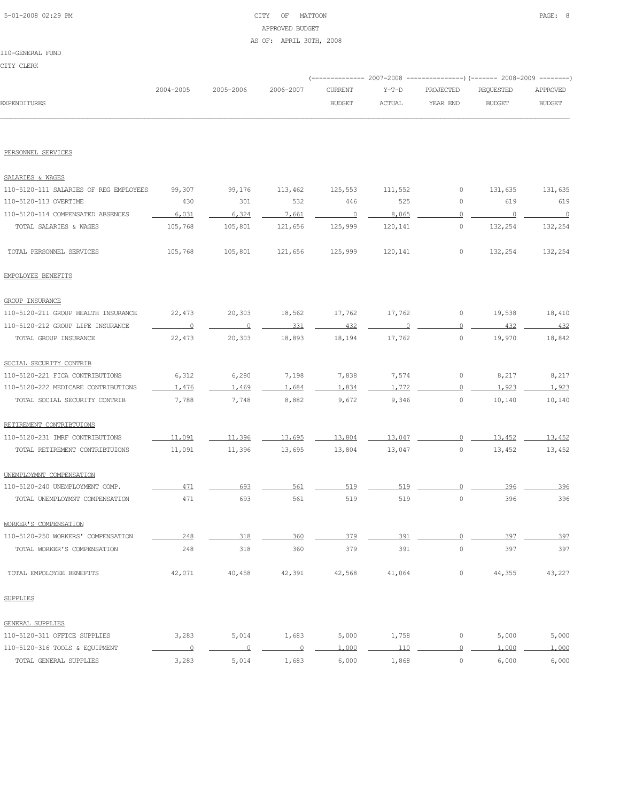# 5-01-2008 02:29 PM CITY OF MATTOON PAGE: 8 APPROVED BUDGET AS OF: APRIL 30TH, 2008

|                                        |                          |                |                |                |               | (-------------- 2007-2008 -------------------) (------- 2008-2009 ---------) |                |                          |
|----------------------------------------|--------------------------|----------------|----------------|----------------|---------------|------------------------------------------------------------------------------|----------------|--------------------------|
|                                        | 2004-2005                | 2005-2006      | 2006-2007      | <b>CURRENT</b> | $Y-T-D$       | PROJECTED                                                                    | REQUESTED      | APPROVED                 |
| <b>EXPENDITURES</b>                    |                          |                |                | <b>BUDGET</b>  | <b>ACTUAL</b> | YEAR END                                                                     | <b>BUDGET</b>  | <b>BUDGET</b>            |
|                                        |                          |                |                |                |               |                                                                              |                |                          |
| PERSONNEL SERVICES                     |                          |                |                |                |               |                                                                              |                |                          |
| SALARIES & WAGES                       |                          |                |                |                |               |                                                                              |                |                          |
| 110-5120-111 SALARIES OF REG EMPLOYEES | 99,307                   | 99,176         | 113,462        | 125,553        | 111,552       | 0                                                                            | 131,635        | 131,635                  |
| 110-5120-113 OVERTIME                  | 430                      | 301            | 532            | 446            | 525           | 0                                                                            | 619            | 619                      |
| 110-5120-114 COMPENSATED ABSENCES      | 6.031                    | 6,324          | 7.661          | $\overline{0}$ | 8,065         | $\circ$                                                                      | $\overline{0}$ | $\overline{\phantom{0}}$ |
| TOTAL SALARIES & WAGES                 | 105,768                  | 105,801        | 121,656        | 125,999        | 120,141       | 0                                                                            | 132,254        | 132,254                  |
| TOTAL PERSONNEL SERVICES               | 105,768                  | 105,801        | 121,656        | 125,999        | 120,141       | 0                                                                            | 132,254        | 132,254                  |
| EMPOLOYEE BENEFITS                     |                          |                |                |                |               |                                                                              |                |                          |
| <b>GROUP INSURANCE</b>                 |                          |                |                |                |               |                                                                              |                |                          |
| 110-5120-211 GROUP HEALTH INSURANCE    | 22,473                   | 20,303         | 18,562         | 17,762         | 17,762        | 0                                                                            | 19,538         | 18,410                   |
| 110-5120-212 GROUP LIFE INSURANCE      | $\overline{0}$           | $\circ$        | 331            | 432            |               | $\circ$                                                                      | 432            | 432                      |
| TOTAL GROUP INSURANCE                  | 22,473                   | 20,303         | 18,893         | 18,194         | 17,762        | $\circ$                                                                      | 19,970         | 18,842                   |
| SOCIAL SECURITY CONTRIB                |                          |                |                |                |               |                                                                              |                |                          |
| 110-5120-221 FICA CONTRIBUTIONS        | 6,312                    | 6,280          | 7,198          | 7,838          | 7,574         | 0                                                                            | 8,217          | 8,217                    |
| 110-5120-222 MEDICARE CONTRIBUTIONS    | 1.476                    | 1.469          | 1,684          | 1.834          | 1.772         | $\Omega$                                                                     | 1,923          | 1,923                    |
| TOTAL SOCIAL SECURITY CONTRIB          | 7,788                    | 7,748          | 8,882          | 9,672          | 9,346         | 0                                                                            | 10,140         | 10,140                   |
| RETIREMENT CONTRIBTUIONS               |                          |                |                |                |               |                                                                              |                |                          |
| 110-5120-231 IMRF CONTRIBUTIONS        | 11,091                   | 11,396         | 13,695         | 13,804         | 13,047        | $\overline{0}$                                                               | 13,452         | 13,452                   |
| TOTAL RETIREMENT CONTRIBTUIONS         | 11,091                   | 11,396         | 13,695         | 13,804         | 13,047        | 0                                                                            | 13,452         | 13,452                   |
| UNEMPLOYMNT COMPENSATION               |                          |                |                |                |               |                                                                              |                |                          |
| 110-5120-240 UNEMPLOYMENT COMP.        | 471                      | 693            | 561            | 519            | 519           | $\Omega$                                                                     | 396            | 396                      |
| TOTAL UNEMPLOYMNT COMPENSATION         | 471                      | 693            | 561            | 519            | 519           | $\circ$                                                                      | 396            | 396                      |
| WORKER'S COMPENSATION                  |                          |                |                |                |               |                                                                              |                |                          |
| 110-5120-250 WORKERS' COMPENSATION     | 248                      | 318            | 360            | 379            | 391           | $\Omega$                                                                     | 397            | 397                      |
| TOTAL WORKER'S COMPENSATION            | 248                      | 318            | 360            | 379            | 391           | $\circ$                                                                      | 397            | 397                      |
| TOTAL EMPOLOYEE BENEFITS               | 42,071                   | 40,458         | 42,391         | 42,568         | 41,064        | 0                                                                            | 44,355         | 43,227                   |
| <b>SUPPLIES</b>                        |                          |                |                |                |               |                                                                              |                |                          |
| GENERAL SUPPLIES                       |                          |                |                |                |               |                                                                              |                |                          |
| 110-5120-311 OFFICE SUPPLIES           | 3,283                    | 5,014          | 1,683          | 5,000          | 1,758         | 0                                                                            | 5,000          | 5,000                    |
| 110-5120-316 TOOLS & EQUIPMENT         | $\overline{\phantom{0}}$ | $\overline{0}$ | $\overline{0}$ | 1,000          | 110           | 0                                                                            | 1,000          | 1,000                    |
| TOTAL GENERAL SUPPLIES                 | 3,283                    | 5,014          | 1,683          | 6,000          | 1,868         | $\circ$                                                                      | 6,000          | 6,000                    |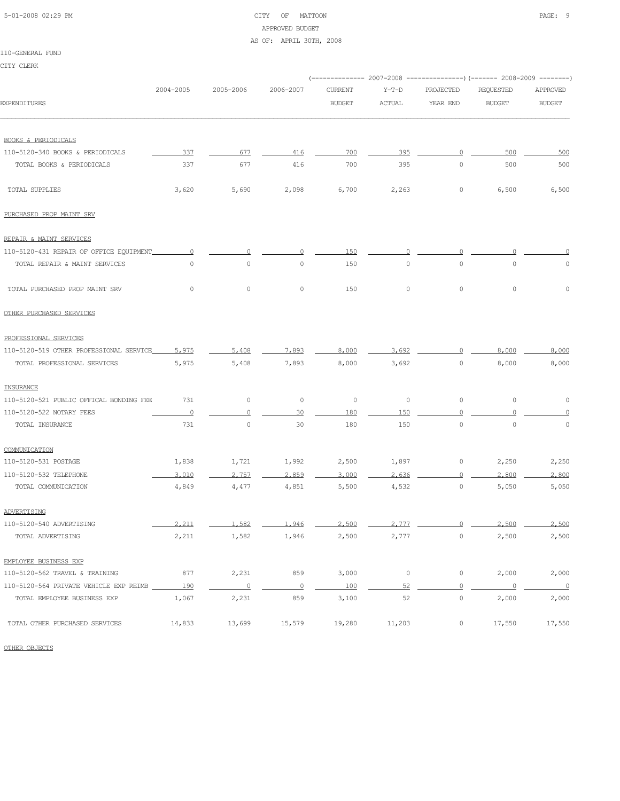#### 5-01-2008 02:29 PM CITY OF MATTOON PAGE: 9 APPROVED BUDGET AS OF: APRIL 30TH, 2008

110-GENERAL FUND

| CITY CLERK                              |           |                          |                |                |               |                |                                                                         |                          |
|-----------------------------------------|-----------|--------------------------|----------------|----------------|---------------|----------------|-------------------------------------------------------------------------|--------------------------|
|                                         |           |                          |                |                |               |                | (-------------- 2007-2008 ---------------) (------- 2008-2009 --------) |                          |
|                                         | 2004-2005 | 2005-2006                | 2006-2007      | <b>CURRENT</b> | $Y-T-D$       | PROJECTED      | REQUESTED                                                               | APPROVED                 |
| <b>EXPENDITURES</b>                     |           |                          |                | <b>BUDGET</b>  | <b>ACTUAL</b> | YEAR END       | <b>BUDGET</b>                                                           | <b>BUDGET</b>            |
| <b>BOOKS &amp; PERIODICALS</b>          |           |                          |                |                |               |                |                                                                         |                          |
| 110-5120-340 BOOKS & PERIODICALS        | 337       | 677                      | 416            | 700            | 395           | $\circ$        | 500                                                                     | 500                      |
| TOTAL BOOKS & PERIODICALS               | 337       | 677                      | 416            | 700            | 395           | $\circ$        | 500                                                                     | 500                      |
| TOTAL SUPPLIES                          | 3,620     | 5,690                    | 2,098          | 6,700          | 2,263         | 0              | 6,500                                                                   | 6,500                    |
| PURCHASED PROP MAINT SRV                |           |                          |                |                |               |                |                                                                         |                          |
| REPAIR & MAINT SERVICES                 |           |                          |                |                |               |                |                                                                         |                          |
| 110-5120-431 REPAIR OF OFFICE EQUIPMENT | $\Omega$  |                          |                | 150            |               |                |                                                                         |                          |
| TOTAL REPAIR & MAINT SERVICES           | $\circ$   | $\circ$                  | $\circ$        | 150            | $\circ$       | $\circ$        | $\circ$                                                                 | $\circ$                  |
| TOTAL PURCHASED PROP MAINT SRV          | $\circ$   | $\circ$                  | $\circ$        | 150            | $\circ$       | $\circ$        | $\circ$                                                                 | $\Omega$                 |
| OTHER PURCHASED SERVICES                |           |                          |                |                |               |                |                                                                         |                          |
| PROFESSIONAL SERVICES                   |           |                          |                |                |               |                |                                                                         |                          |
| 110-5120-519 OTHER PROFESSIONAL SERVICE | 5.975     | 5,408                    | 7.893          | 8,000          | 3.692         | $\Omega$       | 8,000                                                                   | 8,000                    |
| TOTAL PROFESSIONAL SERVICES             | 5,975     | 5,408                    | 7,893          | 8,000          | 3,692         | $\circ$        | 8,000                                                                   | 8,000                    |
| INSURANCE                               |           |                          |                |                |               |                |                                                                         |                          |
| 110-5120-521 PUBLIC OFFICAL BONDING FEE | 731       | 0                        | $\circ$        | 0              | 0             | 0              | 0                                                                       | 0                        |
| 110-5120-522 NOTARY FEES                | $\circ$   | $\circ$                  | 30             | 180            | 150           | $\Omega$       |                                                                         |                          |
| TOTAL INSURANCE                         | 731       | $\circ$                  | 30             | 180            | 150           | $\circ$        | $\circ$                                                                 | 0                        |
| COMMUNICATION                           |           |                          |                |                |               |                |                                                                         |                          |
| 110-5120-531 POSTAGE                    | 1,838     | 1,721                    | 1,992          | 2,500          | 1,897         | 0              | 2,250                                                                   | 2,250                    |
| 110-5120-532 TELEPHONE                  | 3,010     | 2.757                    | 2,859          | 3,000          | 2.636         | $\circ$        | 2,800                                                                   | 2,800                    |
| TOTAL COMMUNICATION                     | 4,849     | 4,477                    | 4,851          | 5,500          | 4,532         | 0              | 5,050                                                                   | 5,050                    |
| ADVERTISING                             |           |                          |                |                |               |                |                                                                         |                          |
| 110-5120-540 ADVERTISING                | 2,211     | 1,582                    | 1,946          | 2,500          | 2.777         | $\Omega$       | 2,500                                                                   | 2,500                    |
| TOTAL ADVERTISING                       | 2,211     | 1,582                    | 1,946          | 2,500          | 2,777         | $\circ$        | 2,500                                                                   | 2,500                    |
| EMPLOYEE BUSINESS EXP                   |           |                          |                |                |               |                |                                                                         |                          |
| 110-5120-562 TRAVEL & TRAINING          | 877       | 2,231                    | 859            | 3,000          | $\circ$       | 0              | 2,000                                                                   | 2,000                    |
| 110-5120-564 PRIVATE VEHICLE EXP REIMB  | 190       | $\overline{\phantom{0}}$ | $\overline{0}$ | 100            | 52            | $\overline{0}$ | $\overline{0}$                                                          | $\overline{\phantom{a}}$ |
| TOTAL EMPLOYEE BUSINESS EXP             | 1,067     | 2,231                    | 859            | 3,100          | 52            | $\circ$        | 2,000                                                                   | 2,000                    |

TOTAL OTHER PURCHASED SERVICES 14,833 13,699 15,579 19,280 11,203 0 17,550 17,550

OTHER OBJECTS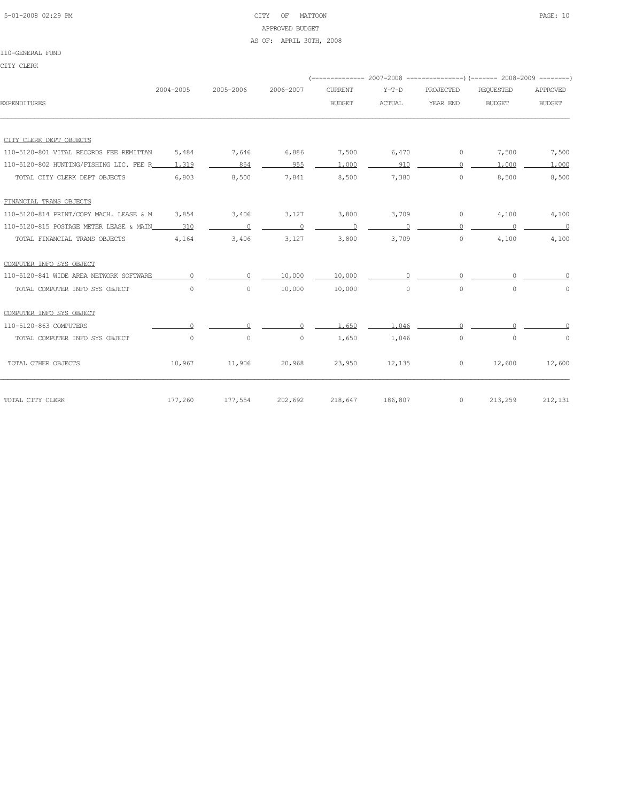# 5-01-2008 02:29 PM CITY OF MATTOON PAGE: 10 APPROVED BUDGET AS OF: APRIL 30TH, 2008

|                                                   |           |           |           |                |               |           | (-------------- 2007-2008 -------------------- 2008-2009 ---------) |               |
|---------------------------------------------------|-----------|-----------|-----------|----------------|---------------|-----------|---------------------------------------------------------------------|---------------|
|                                                   | 2004-2005 | 2005-2006 | 2006-2007 | <b>CURRENT</b> | $Y-T-D$       | PROJECTED | <b>REQUESTED</b>                                                    | APPROVED      |
| <b>EXPENDITURES</b>                               |           |           |           | <b>BUDGET</b>  | <b>ACTUAL</b> | YEAR END  | <b>BUDGET</b>                                                       | <b>BUDGET</b> |
|                                                   |           |           |           |                |               |           |                                                                     |               |
| CITY CLERK DEPT OBJECTS                           |           |           |           |                |               |           |                                                                     |               |
| 110-5120-801 VITAL RECORDS FEE REMITTAN           | 5,484     | 7,646     | 6,886     | 7,500          | 6,470         | $\circ$   | 7,500                                                               | 7,500         |
| 110-5120-802 HUNTING/FISHING LIC. FEE R____ 1,319 |           | 854       | 955       | 1,000          | 910           | $\cap$    | 1,000                                                               | 1,000         |
| TOTAL CITY CLERK DEPT OBJECTS                     | 6,803     | 8,500     | 7,841     | 8,500          | 7,380         | $\circ$   | 8,500                                                               | 8,500         |
| FINANCIAL TRANS OBJECTS                           |           |           |           |                |               |           |                                                                     |               |
| 110-5120-814 PRINT/COPY MACH. LEASE & M           | 3,854     | 3,406     | 3,127     | 3,800          | 3,709         | $\circ$   | 4,100                                                               | 4,100         |
| 110-5120-815 POSTAGE METER LEASE & MAIN           | 310       |           |           | $\Omega$       |               |           |                                                                     | $\sim$ 0      |
| TOTAL FINANCIAL TRANS OBJECTS                     | 4,164     | 3,406     | 3,127     | 3,800          | 3,709         | $\circ$   | 4,100                                                               | 4,100         |
| COMPUTER INFO SYS OBJECT                          |           |           |           |                |               |           |                                                                     |               |
| 110-5120-841 WIDE AREA NETWORK SOFTWARE           |           | $\cap$    | 10,000    | 10,000         |               |           |                                                                     |               |
| TOTAL COMPUTER INFO SYS OBJECT                    | $\Omega$  | $\circ$   | 10,000    | 10,000         | $\circ$       | $\circ$   | $\Omega$                                                            | $\Omega$      |
| COMPUTER INFO SYS OBJECT                          |           |           |           |                |               |           |                                                                     |               |
| 110-5120-863 COMPUTERS                            | $\cap$    | $\Omega$  | $\Omega$  | 1,650          | 1,046         | $\cap$    |                                                                     |               |
| TOTAL COMPUTER INFO SYS OBJECT                    | $\circ$   | 0         | $\circ$   | 1,650          | 1,046         | $\circ$   | $\circ$                                                             | 0             |
| TOTAL OTHER OBJECTS                               | 10,967    | 11,906    | 20,968    | 23,950         | 12,135        | $\circ$   | 12,600                                                              | 12,600        |
| TOTAL CITY CLERK                                  | 177,260   | 177,554   | 202,692   | 218,647        | 186,807       | $\circ$   | 213,259                                                             | 212,131       |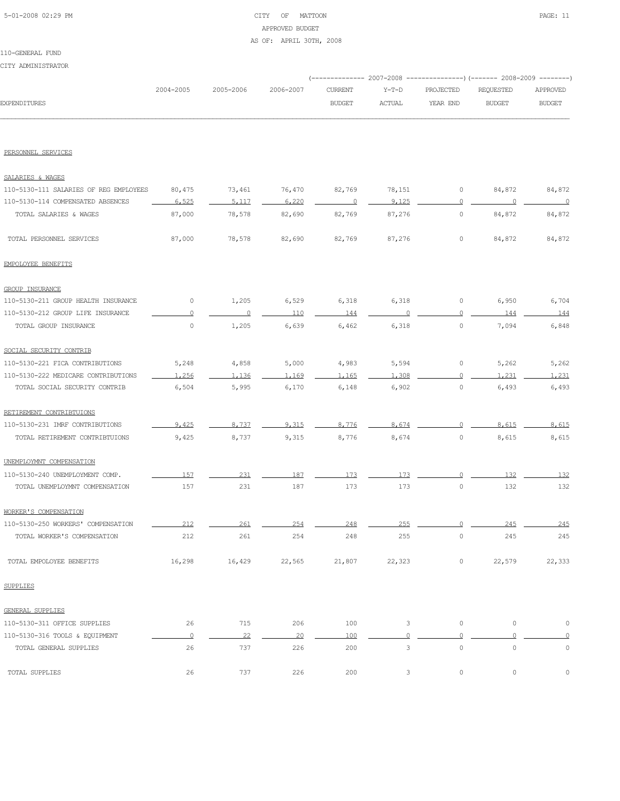# 5-01-2008 02:29 PM CITY OF MATTOON PAGE: 11 APPROVED BUDGET AS OF: APRIL 30TH, 2008

#### 110-GENERAL FUND CITY ADMINISTRATOR

|                                        |           |           |           |                          |               |                | (-------------- 2007-2008 ---------------) (------- 2008-2009 --------) |                          |
|----------------------------------------|-----------|-----------|-----------|--------------------------|---------------|----------------|-------------------------------------------------------------------------|--------------------------|
|                                        | 2004-2005 | 2005-2006 | 2006-2007 | <b>CURRENT</b>           | $Y-T-D$       | PROJECTED      | REQUESTED                                                               | APPROVED                 |
| <b>EXPENDITURES</b>                    |           |           |           | <b>BUDGET</b>            | <b>ACTUAL</b> | YEAR END       | <b>BUDGET</b>                                                           | <b>BUDGET</b>            |
|                                        |           |           |           |                          |               |                |                                                                         |                          |
| PERSONNEL SERVICES                     |           |           |           |                          |               |                |                                                                         |                          |
| SALARIES & WAGES                       |           |           |           |                          |               |                |                                                                         |                          |
| 110-5130-111 SALARIES OF REG EMPLOYEES | 80,475    | 73,461    | 76,470    | 82,769                   | 78,151        | 0              | 84,872                                                                  | 84,872                   |
| 110-5130-114 COMPENSATED ABSENCES      | 6,525     | 5,117     | 6,220     | $\overline{\phantom{0}}$ | 9,125         | $\overline{0}$ | $\overline{0}$                                                          | $\overline{\phantom{0}}$ |
| TOTAL SALARIES & WAGES                 | 87,000    | 78,578    | 82,690    | 82,769                   | 87,276        | $\circ$        | 84,872                                                                  | 84,872                   |
| TOTAL PERSONNEL SERVICES               | 87,000    | 78,578    | 82,690    | 82,769                   | 87,276        | $\circ$        | 84,872                                                                  | 84,872                   |
| EMPOLOYEE BENEFITS                     |           |           |           |                          |               |                |                                                                         |                          |
| GROUP INSURANCE                        |           |           |           |                          |               |                |                                                                         |                          |
| 110-5130-211 GROUP HEALTH INSURANCE    | 0         | 1,205     | 6,529     | 6,318                    | 6,318         | 0              | 6,950                                                                   | 6,704                    |
| 110-5130-212 GROUP LIFE INSURANCE      | $\Omega$  | $\circ$   | 110       | 144                      | $\cap$        | $\circ$        | 144                                                                     | 144                      |
| TOTAL GROUP INSURANCE                  | $\circ$   | 1,205     | 6,639     | 6,462                    | 6,318         | $\circ$        | 7,094                                                                   | 6,848                    |
| SOCIAL SECURITY CONTRIB                |           |           |           |                          |               |                |                                                                         |                          |
| 110-5130-221 FICA CONTRIBUTIONS        | 5,248     | 4,858     | 5,000     | 4,983                    | 5,594         | 0              | 5,262                                                                   | 5,262                    |
| 110-5130-222 MEDICARE CONTRIBUTIONS    | 1,256     | 1,136     | 1,169     | 1.165                    | 1,308         | $\circ$        | 1,231                                                                   | 1,231                    |
| TOTAL SOCIAL SECURITY CONTRIB          | 6,504     | 5,995     | 6,170     | 6,148                    | 6,902         | $\circ$        | 6,493                                                                   | 6,493                    |
| RETIREMENT CONTRIBTUIONS               |           |           |           |                          |               |                |                                                                         |                          |
| 110-5130-231 IMRF CONTRIBUTIONS        | 9,425     | 8,737     | 9,315     | 8,776                    | 8,674         | $\Omega$       | 8,615                                                                   | 8,615                    |
| TOTAL RETIREMENT CONTRIBTUIONS         | 9,425     | 8,737     | 9,315     | 8,776                    | 8,674         | $\circ$        | 8,615                                                                   | 8,615                    |
| UNEMPLOYMNT COMPENSATION               |           |           |           |                          |               |                |                                                                         |                          |
| 110-5130-240 UNEMPLOYMENT COMP.        | 157       | 231       | 187       | 173                      | 173           | $\circ$        | 132                                                                     | 132                      |
| TOTAL UNEMPLOYMNT COMPENSATION         | 157       | 231       | 187       | 173                      | 173           | $\circ$        | 132                                                                     | 132                      |
| WORKER'S COMPENSATION                  |           |           |           |                          |               |                |                                                                         |                          |
| 110-5130-250 WORKERS' COMPENSATION     | 212       | 261       | つらん       | 210                      | つちち           |                | 245                                                                     | 245                      |
| TOTAL WORKER'S COMPENSATION            | 212       | 261       | 254       | 248                      | 255           | $\circ$        | 245                                                                     | 245                      |
| TOTAL EMPOLOYEE BENEFITS               | 16,298    | 16,429    | 22,565    | 21,807                   | 22,323        | $\circ$        | 22,579                                                                  | 22,333                   |
| SUPPLIES                               |           |           |           |                          |               |                |                                                                         |                          |
| GENERAL SUPPLIES                       |           |           |           |                          |               |                |                                                                         |                          |
| 110-5130-311 OFFICE SUPPLIES           | 26        | 715       | 206       | 100                      | 3             | $\circ$        | $\circ$                                                                 | $\mathbb O$              |
| 110-5130-316 TOOLS & EQUIPMENT         | $\circ$   | 22        | 20        | 100                      | $\Omega$      | $\Omega$       | $\Omega$                                                                | $\circ$                  |
| TOTAL GENERAL SUPPLIES                 | 26        | 737       | 226       | 200                      | 3             | $\mathbb O$    | $\mathbb O$                                                             | $\mathbb O$              |
| TOTAL SUPPLIES                         | 26        | 737       | 226       | 200                      | 3             | $\circ$        | 0                                                                       | 0                        |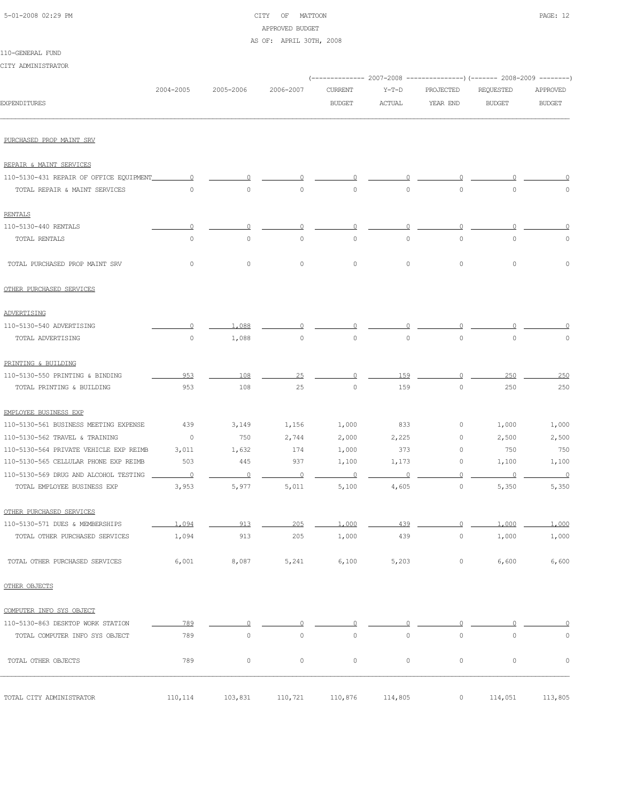# APPROVED BUDGET

AS OF: APRIL 30TH, 2008

|  | 110-GENERAL FUND |  |
|--|------------------|--|
|  |                  |  |

CITY ADMINISTRATOR (-------------- 2007-2008 ---------------)(------- 2008-2009 --------) 2004-2005 2005-2006 2006-2007 CURRENT Y-T-D PROJECTED REQUESTED APPROVED EXPENDITURES BUDGET ACTUAL YEAR END BUDGET BUDGET PURCHASED PROP MAINT SRV REPAIR & MAINT SERVICES 110-5130-431 REPAIR OF OFFICE EQUIPMENT 0 0 0 0 0 0 0 0 TOTAL REPAIR & MAINT SERVICES 0 0 0 0 0 0 0 0 RENTALS 110-5130-440 RENTALS 0 0 0 0 0 0 0 0 TOTAL RENTALS 0 0 0 0 0 0 0 0 TOTAL PURCHASED PROP MAINT SRV 0 0 0 0 0 0 0 0 OTHER PURCHASED SERVICES ADVERTISING 110-5130-540 ADVERTISING 0 1,088 0 0 0 0 0 0 TOTAL ADVERTISING 0 1,088 0 0 0 0 0 0 PRINTING & BUILDING 110-5130-550 PRINTING & BINDING 953 108 25 0 159 0 250 250 TOTAL PRINTING & BUILDING 953 108 25 0 159 0 250 250 EMPLOYEE BUSINESS EXP 110-5130-561 BUSINESS MEETING EXPENSE 439 3,149 1,156 1,000 833 0 1,000 1,000 110-5130-562 TRAVEL & TRAINING 0 750 2,744 2,000 2,225 0 2,500 2,500 110-5130-564 PRIVATE VEHICLE EXP REIMB 3,011 1,632 174 1,000 373 0 750 750 110-5130-565 CELLULAR PHONE EXP REIMB 503 445 937 1,100 1,173 0 1,100 1,100 110-5130-569 DRUG AND ALCOHOL TESTING 0 0 0 0 0 0 0 0 TOTAL EMPLOYEE BUSINESS EXP 3,953 5,977 5,011 5,100 4,605 0 5,350 5,350 OTHER PURCHASED SERVICES 110-5130-571 DUES & MEMBERSHIPS 1,094 913 205 1,000 439 0 1,000 1,000 1,000 TOTAL OTHER PURCHASED SERVICES  $1,094$  913 205 1,000 439 0 1,000 1,000 1,000 TOTAL OTHER PURCHASED SERVICES 6,001 8,087 5,241 6,100 5,203 0 6,600 6,600 OTHER OBJECTS COMPUTER INFO SYS OBJECT 110-5130-863 DESKTOP WORK STATION 789 0 0 0 0 0 0 0 TOTAL COMPUTER INFO SYS OBJECT 789 0 0 0 0 0 0 0 TOTAL OTHER OBJECTS 789 0 0 0 0 0 0 0 TOTAL CITY ADMINISTRATOR 110,114 103,831 110,721 110,876 114,805 0 114,051 113,805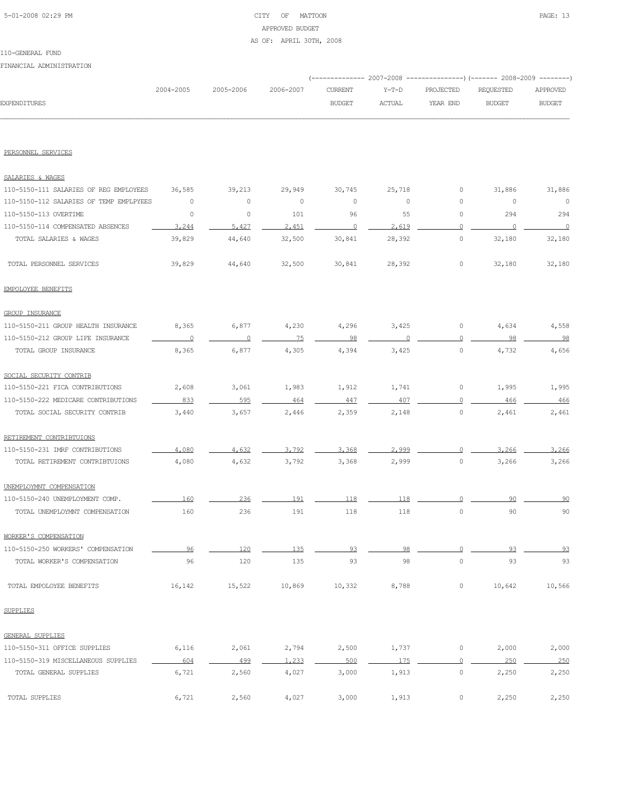# 5-01-2008 02:29 PM CITY OF MATTOON PAGE: 13 APPROVED BUDGET

#### AS OF: APRIL 30TH, 2008

# 110-GENERAL FUND

FINANCIAL ADMINISTRATION

|                     |           |                     |               |               | (-------------- 2007-2008 ----------------) (------- 2008-2009 --------) |               |               |
|---------------------|-----------|---------------------|---------------|---------------|--------------------------------------------------------------------------|---------------|---------------|
|                     | 2004-2005 | 2005-2006 2006-2007 |               | CURRENT Y-T-D | PROJECTED REOUESTED                                                      |               | APPROVED      |
| <b>EXPENDITURES</b> |           |                     | <b>BUDGET</b> | <b>ACTUAL</b> | YEAR END                                                                 | <b>BUDGET</b> | <b>BUDGET</b> |
|                     |           |                     |               |               |                                                                          |               |               |

#### PERSONNEL SERVICES

| SALARIES & WAGES                        |          |         |         |                |          |                |         |         |
|-----------------------------------------|----------|---------|---------|----------------|----------|----------------|---------|---------|
| 110-5150-111 SALARIES OF REG EMPLOYEES  | 36,585   | 39,213  | 29,949  | 30,745         | 25,718   | $\circ$        | 31,886  | 31,886  |
| 110-5150-112 SALARIES OF TEMP EMPLPYEES | $\circ$  | $\circ$ | $\circ$ | $\circ$        | $\circ$  | 0              | $\circ$ | $\circ$ |
| 110-5150-113 OVERTIME                   | $\circ$  | $\circ$ | 101     | 96             | 55       | 0              | 294     | 294     |
| 110-5150-114 COMPENSATED ABSENCES       | 3,244    | 5.427   | 2.451   | $\overline{0}$ | 2.619    | $\circ$        | $\circ$ | $\circ$ |
| TOTAL SALARIES & WAGES                  | 39,829   | 44,640  | 32,500  | 30,841         | 28,392   | $\mathbb O$    | 32,180  | 32,180  |
| TOTAL PERSONNEL SERVICES                | 39,829   | 44,640  | 32,500  | 30,841         | 28,392   | $\circ$        | 32,180  | 32,180  |
| EMPOLOYEE BENEFITS                      |          |         |         |                |          |                |         |         |
| <b>GROUP INSURANCE</b>                  |          |         |         |                |          |                |         |         |
| 110-5150-211 GROUP HEALTH INSURANCE     | 8,365    | 6,877   | 4,230   | 4,296          | 3,425    | $\circ$        | 4,634   | 4,558   |
| 110-5150-212 GROUP LIFE INSURANCE       | $\Omega$ | $\circ$ | 75      | 98             | $\Omega$ | $\circ$        | 98      | 98      |
| TOTAL GROUP INSURANCE                   | 8,365    | 6,877   | 4,305   | 4,394          | 3,425    | $\circ$        | 4,732   | 4,656   |
| SOCIAL SECURITY CONTRIB                 |          |         |         |                |          |                |         |         |
| 110-5150-221 FICA CONTRIBUTIONS         | 2,608    | 3,061   | 1,983   | 1,912          | 1,741    | $\circ$        | 1,995   | 1,995   |
| 110-5150-222 MEDICARE CONTRIBUTIONS     | 833      | 595     | 464     | 447            | 407      | $\circ$        | 466     | 466     |
| TOTAL SOCIAL SECURITY CONTRIB           | 3,440    | 3,657   | 2,446   | 2,359          | 2,148    | $\circ$        | 2,461   | 2,461   |
| RETIREMENT CONTRIBTUIONS                |          |         |         |                |          |                |         |         |
| 110-5150-231 IMRF CONTRIBUTIONS         | 4,080    | 4.632   | 3,792   | 3.368          | 2,999    | $\Omega$       | 3,266   | 3,266   |
| TOTAL RETIREMENT CONTRIBTUIONS          | 4,080    | 4,632   | 3,792   | 3,368          | 2,999    | 0              | 3,266   | 3,266   |
| UNEMPLOYMNT COMPENSATION                |          |         |         |                |          |                |         |         |
| 110-5150-240 UNEMPLOYMENT COMP.         | 160      | 236     | 191     | 118            | 118      | $\Omega$       | 90      | 90      |
| TOTAL UNEMPLOYMNT COMPENSATION          | 160      | 236     | 191     | 118            | 118      | $\mathbb O$    | 90      | 90      |
| WORKER'S COMPENSATION                   |          |         |         |                |          |                |         |         |
| 110-5150-250 WORKERS' COMPENSATION      | 96       | 120     | 135     | 93             | 98       | $\Omega$       | 93      | 93      |
| TOTAL WORKER'S COMPENSATION             | 96       | 120     | 135     | 93             | 98       | $\circ$        | 93      | 93      |
| TOTAL EMPOLOYEE BENEFITS                | 16,142   | 15,522  | 10,869  | 10,332         | 8,788    | $\circ$        | 10,642  | 10,566  |
| <b>SUPPLIES</b>                         |          |         |         |                |          |                |         |         |
| GENERAL SUPPLIES                        |          |         |         |                |          |                |         |         |
| 110-5150-311 OFFICE SUPPLIES            | 6,116    | 2,061   | 2,794   | 2,500          | 1,737    | $\circ$        | 2,000   | 2,000   |
| 110-5150-319 MISCELLANEOUS SUPPLIES     | 604      | 499     | 1,233   | 500            | 175      | $\overline{0}$ | 250     | 250     |
| TOTAL GENERAL SUPPLIES                  | 6,721    | 2,560   | 4,027   | 3,000          | 1,913    | $\mathbb O$    | 2,250   | 2,250   |
| TOTAL SUPPLIES                          | 6,721    | 2,560   | 4,027   | 3,000          | 1,913    | $\mathbb O$    | 2,250   | 2,250   |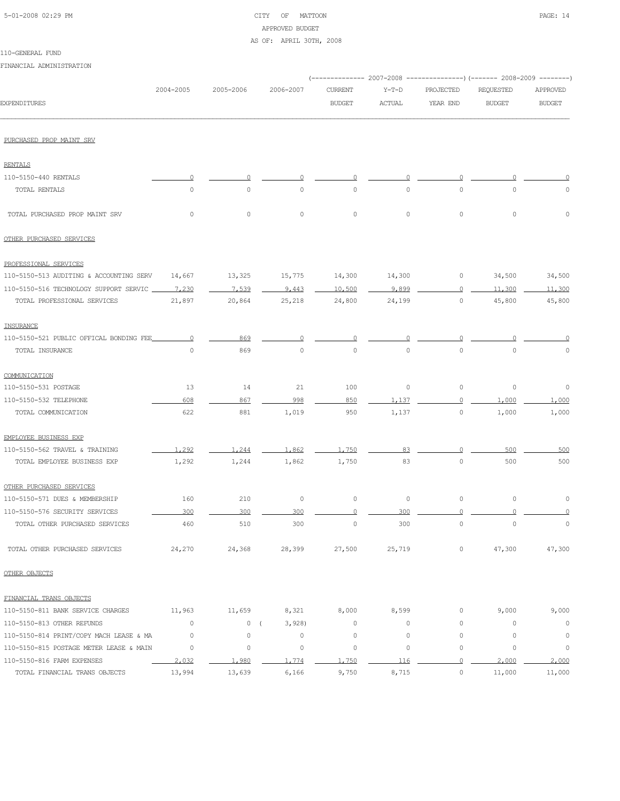# 5-01-2008 02:29 PM CITY OF MATTOON PAGE: 14 APPROVED BUDGET

AS OF: APRIL 30TH, 2008

| 110-GENERAL FUND |  |
|------------------|--|
|------------------|--|

| FINANCIAL ADMINISTRATION                |             |             |                     |                |               |             |                                                                                                |               |
|-----------------------------------------|-------------|-------------|---------------------|----------------|---------------|-------------|------------------------------------------------------------------------------------------------|---------------|
|                                         | 2004-2005   | 2005-2006   | 2006-2007           | <b>CURRENT</b> | $Y-T-D$       | PROJECTED   | ------------        2007-2008 ---------------)        (------- 2008-2009 --------<br>REQUESTED | APPROVED      |
| <b>EXPENDITURES</b>                     |             |             |                     | <b>BUDGET</b>  | <b>ACTUAL</b> | YEAR END    | <b>BUDGET</b>                                                                                  | <b>BUDGET</b> |
| PURCHASED PROP MAINT SRV                |             |             |                     |                |               |             |                                                                                                |               |
| <b>RENTALS</b>                          |             |             |                     |                |               |             |                                                                                                |               |
| 110-5150-440 RENTALS                    |             |             |                     |                |               |             |                                                                                                |               |
| TOTAL RENTALS                           | $\circ$     | $\circ$     | $\circ$             | $\circ$        | $\circ$       | $\circ$     | $\circ$                                                                                        | 0             |
| TOTAL PURCHASED PROP MAINT SRV          | $\circ$     | $\circ$     | 0                   | $\circ$        | $\circ$       | $\circ$     | $\circ$                                                                                        | $\circ$       |
| OTHER PURCHASED SERVICES                |             |             |                     |                |               |             |                                                                                                |               |
| PROFESSIONAL SERVICES                   |             |             |                     |                |               |             |                                                                                                |               |
| 110-5150-513 AUDITING & ACCOUNTING SERV | 14,667      | 13,325      | 15,775              | 14,300         | 14,300        | 0           | 34,500                                                                                         | 34,500        |
| 110-5150-516 TECHNOLOGY SUPPORT SERVIC  | 7,230       | 7,539       | 9,443               | 10,500         | 9.899         | 0           | 11,300                                                                                         | 11,300        |
| TOTAL PROFESSIONAL SERVICES             | 21,897      | 20,864      | 25,218              | 24,800         | 24,199        | $\circ$     | 45,800                                                                                         | 45,800        |
| INSURANCE                               |             |             |                     |                |               |             |                                                                                                |               |
| 110-5150-521 PUBLIC OFFICAL BONDING FEE | 0           | 869         |                     | 0              |               |             |                                                                                                |               |
| TOTAL INSURANCE                         | $\mathbb O$ | 869         | 0                   | $\mathbb O$    | $\circ$       | $\circ$     | $\circ$                                                                                        | 0             |
| COMMUNICATION                           |             |             |                     |                |               |             |                                                                                                |               |
| 110-5150-531 POSTAGE                    | 13          | 14          | 21                  | 100            | $\circ$       | $\circ$     | $\circ$                                                                                        | 0             |
| 110-5150-532 TELEPHONE                  | 608         | 867         | 998                 | 850            | 1.137         | $\Omega$    | 1,000                                                                                          | 1,000         |
| TOTAL COMMUNICATION                     | 622         | 881         | 1,019               | 950            | 1,137         | $\circ$     | 1,000                                                                                          | 1,000         |
| EMPLOYEE BUSINESS EXP                   |             |             |                     |                |               |             |                                                                                                |               |
| 110-5150-562 TRAVEL & TRAINING          | 1,292       | 1,244       | 1,862               | 1,750          | 83            | $\Omega$    | 500                                                                                            | 500           |
| TOTAL EMPLOYEE BUSINESS EXP             | 1,292       | 1,244       | 1,862               | 1,750          | 83            | $\circ$     | 500                                                                                            | 500           |
| OTHER PURCHASED SERVICES                |             |             |                     |                |               |             |                                                                                                |               |
| 110-5150-571 DUES & MEMBERSHIP          | 160         | 210         | 0                   | $\circ$        | $\mathbb O$   | $\mathbb O$ | $\circ$                                                                                        | 0             |
| 110-5150-576 SECURITY SERVICES          | 300         | 300         | 300                 |                | 300           |             |                                                                                                |               |
| TOTAL OTHER PURCHASED SERVICES          | 460         | 510         | 300                 | $\circ$        | 300           | $\circ$     | $\circ$                                                                                        | $\circ$       |
| TOTAL OTHER PURCHASED SERVICES          | 24,270      | 24,368      | 28,399              | 27,500         | 25,719        | $\circ$     | 47,300                                                                                         | 47,300        |
| OTHER OBJECTS                           |             |             |                     |                |               |             |                                                                                                |               |
| FINANCIAL TRANS OBJECTS                 |             |             |                     |                |               |             |                                                                                                |               |
| 110-5150-811 BANK SERVICE CHARGES       | 11,963      | 11,659      | 8,321               | 8,000          | 8,599         | 0           | 9,000                                                                                          | 9,000         |
| 110-5150-813 OTHER REFUNDS              | $\circ$     | 0           | 3,928<br>$\sqrt{ }$ | $\circ$        | $\circ$       | 0           | $\circ$                                                                                        | $\circ$       |
| 110-5150-814 PRINT/COPY MACH LEASE & MA | $\circ$     | $\mathbb O$ | $\mathbb O$         | $\circ$        | $\circ$       | $\mathbb O$ | $\circ$                                                                                        | $\circ$       |
| 110-5150-815 POSTAGE METER LEASE & MAIN | $\circ$     | $\mathbb O$ | $\mathbb O$         | $\circ$        | $\circ$       | $\mathbb O$ | $\circ$                                                                                        | $\circ$       |
| 110-5150-816 FARM EXPENSES              | 2,032       | 1,980       | 1,774               | 1,750          | 116           | $\circ$     | 2,000                                                                                          | 2,000         |
| TOTAL FINANCIAL TRANS OBJECTS           | 13,994      | 13,639      | 6,166               | 9,750          | 8,715         | $\circ$     | 11,000                                                                                         | 11,000        |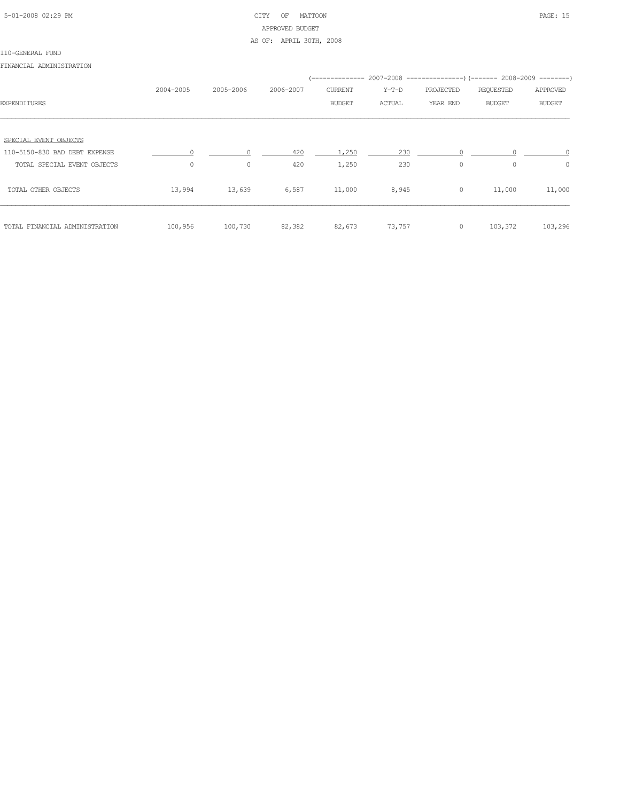# 5-01-2008 02:29 PM CITY OF MATTOON PAGE: 15 APPROVED BUDGET AS OF: APRIL 30TH, 2008

#### 110-GENERAL FUND

FINANCIAL ADMINISTRATION

|                                | 2004-2005 | 2005-2006 | 2006-2007 | CURRENT       | Y-T-D  | PROJECTED | REQUESTED     | APPROVED      |
|--------------------------------|-----------|-----------|-----------|---------------|--------|-----------|---------------|---------------|
| <b>EXPENDITURES</b>            |           |           |           | <b>BUDGET</b> | ACTUAL | YEAR END  | <b>BUDGET</b> | <b>BUDGET</b> |
|                                |           |           |           |               |        |           |               |               |
| SPECIAL EVENT OBJECTS          |           |           |           |               |        |           |               |               |
| 110-5150-830 BAD DEBT EXPENSE  |           |           | 420       | 1.250         | 230    |           |               |               |
| TOTAL SPECIAL EVENT OBJECTS    | $\circ$   | 0         | 420       | 1,250         | 230    | 0         | $\circ$       | $\circ$       |
| TOTAL OTHER OBJECTS            | 13,994    | 13,639    | 6,587     | 11,000        | 8,945  | $\circ$   | 11,000        | 11,000        |
| TOTAL FINANCIAL ADMINISTRATION | 100,956   | 100,730   | 82,382    | 82,673        | 73,757 | $\circ$   | 103,372       | 103,296       |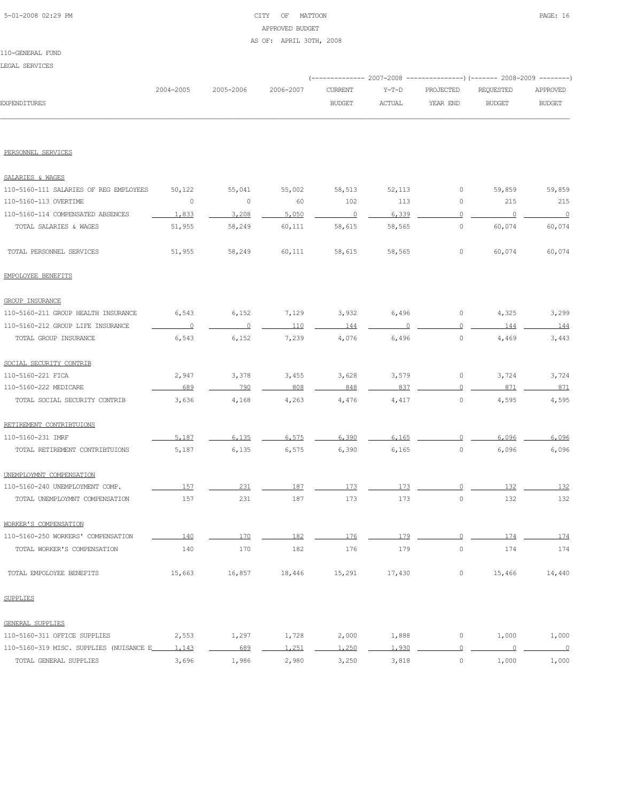# 5-01-2008 02:29 PM CITY OF MATTOON PAGE: 16 APPROVED BUDGET AS OF: APRIL 30TH, 2008

110-GENERAL FUND LEGAL SERVICES

|                                               |                          |                |           |                |               |                | (-------------- 2007-2008 ----------------) (------- 2008-2009 --------) |                          |
|-----------------------------------------------|--------------------------|----------------|-----------|----------------|---------------|----------------|--------------------------------------------------------------------------|--------------------------|
|                                               | 2004-2005                | 2005-2006      | 2006-2007 | <b>CURRENT</b> | Y-T-D         | PROJECTED      | REQUESTED                                                                | <b>APPROVED</b>          |
| <b>EXPENDITURES</b>                           |                          |                |           | <b>BUDGET</b>  | <b>ACTUAL</b> | YEAR END       | <b>BUDGET</b>                                                            | <b>BUDGET</b>            |
|                                               |                          |                |           |                |               |                |                                                                          |                          |
| PERSONNEL SERVICES                            |                          |                |           |                |               |                |                                                                          |                          |
| SALARIES & WAGES                              |                          |                |           |                |               |                |                                                                          |                          |
| 110-5160-111 SALARIES OF REG EMPLOYEES        | 50,122                   | 55,041         | 55,002    | 58,513         | 52,113        | 0              | 59,859                                                                   | 59,859                   |
| 110-5160-113 OVERTIME                         | 0                        | $\circ$        | 60        | 102            | 113           | 0              | 215                                                                      | 215                      |
| 110-5160-114 COMPENSATED ABSENCES             | 1.833                    | 3,208          | 5,050     | $\overline{0}$ | 6,339         | $\circ$        | $\circ$                                                                  | $\overline{0}$           |
| TOTAL SALARIES & WAGES                        | 51,955                   | 58,249         | 60,111    | 58,615         | 58,565        | 0              | 60,074                                                                   | 60,074                   |
| TOTAL PERSONNEL SERVICES                      | 51,955                   | 58,249         | 60,111    | 58,615         | 58,565        | 0              | 60,074                                                                   | 60,074                   |
| EMPOLOYEE BENEFITS                            |                          |                |           |                |               |                |                                                                          |                          |
| <b>GROUP INSURANCE</b>                        |                          |                |           |                |               |                |                                                                          |                          |
| 110-5160-211 GROUP HEALTH INSURANCE           | 6,543                    | 6,152          | 7,129     | 3,932          | 6,496         | 0              | 4,325                                                                    | 3,299                    |
| 110-5160-212 GROUP LIFE INSURANCE             | $\overline{\phantom{0}}$ | $\overline{0}$ | 110       | 144            |               | $\Omega$       | 144                                                                      | 144                      |
| TOTAL GROUP INSURANCE                         | 6,543                    | 6,152          | 7,239     | 4,076          | 6,496         | $\circ$        | 4,469                                                                    | 3,443                    |
| SOCIAL SECURITY CONTRIB                       |                          |                |           |                |               |                |                                                                          |                          |
| 110-5160-221 FICA                             | 2,947                    | 3,378          | 3,455     | 3,628          | 3,579         | 0              | 3,724                                                                    | 3,724                    |
| 110-5160-222 MEDICARE                         | 689                      | 790            | 808       | 848            | 837           | $\Omega$       | 871                                                                      | 871                      |
| TOTAL SOCIAL SECURITY CONTRIB                 | 3,636                    | 4,168          | 4,263     | 4,476          | 4,417         | 0              | 4,595                                                                    | 4,595                    |
| RETIREMENT CONTRIBTUIONS                      |                          |                |           |                |               |                |                                                                          |                          |
| 110-5160-231 IMRF                             | 5,187                    | 6,135          | 6,575     | 6,390          | 6.165         |                | 6,096                                                                    | 6,096                    |
| TOTAL RETIREMENT CONTRIBTUIONS                | 5,187                    | 6,135          | 6,575     | 6,390          | 6,165         | $\circ$        | 6,096                                                                    | 6,096                    |
| UNEMPLOYMNT COMPENSATION                      |                          |                |           |                |               |                |                                                                          |                          |
| 110-5160-240 UNEMPLOYMENT COMP.               | 157                      | 231            | 187       | 173            | 173           |                | 132                                                                      | 132                      |
| TOTAL UNEMPLOYMNT COMPENSATION                | 157                      | 231            | 187       | 173            | 173           | $\circ$        | 132                                                                      | 132                      |
| WORKER'S COMPENSATION                         |                          |                |           |                |               |                |                                                                          |                          |
| 110-5160-250 WORKERS' COMPENSATION            | 140                      | 170            | 182       | 176            | 179           | $\overline{0}$ | 174                                                                      | 174                      |
| TOTAL WORKER'S COMPENSATION                   | 140                      | 170            | 182       | 176            | 179           | $\mathbb O$    | 174                                                                      | 174                      |
| TOTAL EMPOLOYEE BENEFITS                      | 15,663                   | 16,857         | 18,446    | 15,291         | 17,430        | $\circ$        | 15,466                                                                   | 14,440                   |
| SUPPLIES                                      |                          |                |           |                |               |                |                                                                          |                          |
| GENERAL SUPPLIES                              |                          |                |           |                |               |                |                                                                          |                          |
| 110-5160-311 OFFICE SUPPLIES                  | 2,553                    | 1,297          | 1,728     | 2,000          | 1,888         | $\circ$        | 1,000                                                                    | 1,000                    |
| 110-5160-319 MISC. SUPPLIES (NUISANCE E 1,143 |                          | 689            | 1,251     | 1,250          | 1,930         | $\overline{0}$ | $\overline{0}$                                                           | $\overline{\phantom{a}}$ |
| TOTAL GENERAL SUPPLIES                        | 3,696                    | 1,986          | 2,980     | 3,250          | 3,818         | $\circ$        | 1,000                                                                    | 1,000                    |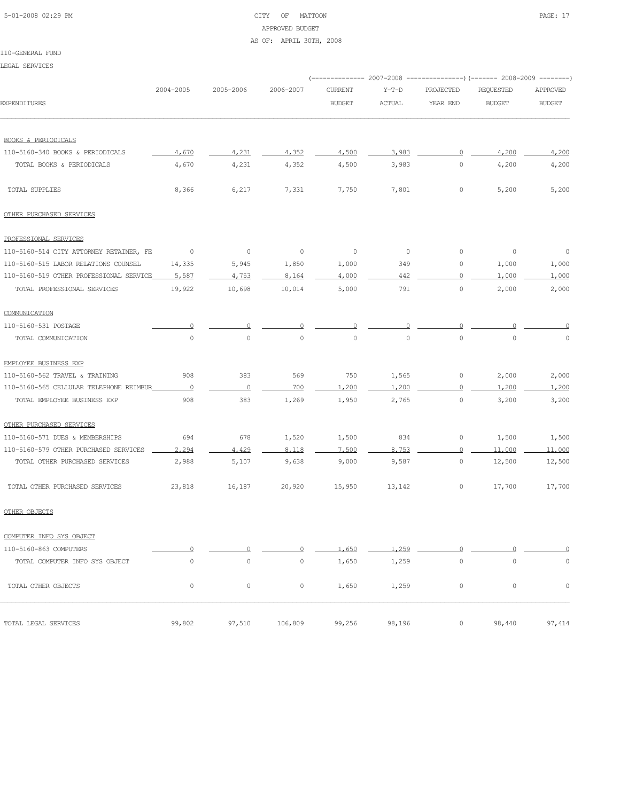# 5-01-2008 02:29 PM CITY OF MATTOON PAGE: 17 APPROVED BUDGET AS OF: APRIL 30TH, 2008

#### 110-GENERAL FUND

LEGAL SERVICES

|                                         |             |           |             |                |               | (------------- 2007-2008 ---------------) (------- 2008-2009 --------) |                     |               |  |
|-----------------------------------------|-------------|-----------|-------------|----------------|---------------|------------------------------------------------------------------------|---------------------|---------------|--|
|                                         | 2004-2005   | 2005-2006 | 2006-2007   | <b>CURRENT</b> | $Y-T-D$       | PROJECTED                                                              | REQUESTED           | APPROVED      |  |
| <b>EXPENDITURES</b>                     |             |           |             | <b>BUDGET</b>  | <b>ACTUAL</b> | YEAR END                                                               | <b>BUDGET</b>       | <b>BUDGET</b> |  |
| <b>BOOKS &amp; PERIODICALS</b>          |             |           |             |                |               |                                                                        |                     |               |  |
| 110-5160-340 BOOKS & PERIODICALS        | 4,670       | 4,231     | 4,352       | 4,500          | 3.983         | 0                                                                      | 4,200               | 4,200         |  |
| TOTAL BOOKS & PERIODICALS               | 4,670       | 4,231     | 4,352       | 4,500          | 3,983         | 0                                                                      | 4,200               | 4,200         |  |
| TOTAL SUPPLIES                          | 8,366       | 6,217     | 7,331       | 7,750          | 7,801         | 0                                                                      | 5,200               | 5,200         |  |
| OTHER PURCHASED SERVICES                |             |           |             |                |               |                                                                        |                     |               |  |
| PROFESSIONAL SERVICES                   |             |           |             |                |               |                                                                        |                     |               |  |
| 110-5160-514 CITY ATTORNEY RETAINER, FE | 0           | $\circ$   | $\circ$     | 0              | 0             | $\circ$                                                                | 0                   | $\circ$       |  |
| 110-5160-515 LABOR RELATIONS COUNSEL    | 14,335      | 5,945     | 1,850       | 1,000          | 349           | 0                                                                      | 1,000               | 1,000         |  |
| 110-5160-519 OTHER PROFESSIONAL SERVICE | 5,587       | 4.753     | 8,164       | 4,000          | 442           | 0                                                                      | 1,000               | 1,000         |  |
| TOTAL PROFESSIONAL SERVICES             | 19,922      | 10,698    | 10,014      | 5,000          | 791           | $\circ$                                                                | 2,000               | 2,000         |  |
| COMMUNICATION                           |             |           |             |                |               |                                                                        |                     |               |  |
| 110-5160-531 POSTAGE                    |             |           |             |                |               |                                                                        |                     |               |  |
| TOTAL COMMUNICATION                     | $\circ$     | $\circ$   | $\mathbb O$ | $\circ$        | $\mathbf 0$   | 0                                                                      | $\circ$             | 0             |  |
| EMPLOYEE BUSINESS EXP                   |             |           |             |                |               |                                                                        |                     |               |  |
| 110-5160-562 TRAVEL & TRAINING          | 908         | 383       | 569         | 750            | 1,565         | 0                                                                      | 2,000               | 2,000         |  |
| 110-5160-565 CELLULAR TELEPHONE REIMBUR | $\Omega$    | $\circ$   | 700         | 1,200          | 1,200         | 0                                                                      | 1,200               | 1,200         |  |
| TOTAL EMPLOYEE BUSINESS EXP             | 908         | 383       | 1,269       | 1,950          | 2,765         | 0                                                                      | 3,200               | 3,200         |  |
| OTHER PURCHASED SERVICES                |             |           |             |                |               |                                                                        |                     |               |  |
| 110-5160-571 DUES & MEMBERSHIPS         | 694         | 678       | 1,520       | 1,500          | 834           | 0                                                                      | 1,500               | 1,500         |  |
| 110-5160-579 OTHER PURCHASED SERVICES   | 2,294       | 4.429     | 8,118       | 7,500          | 8,753         | $\overline{0}$                                                         | 11,000              | 11,000        |  |
| TOTAL OTHER PURCHASED SERVICES          | 2,988       | 5,107     | 9,638       | 9,000          | 9,587         | 0                                                                      | 12,500              | 12,500        |  |
| TOTAL OTHER PURCHASED SERVICES          | 23,818      | 16,187    | 20,920      | 15,950         | 13,142        | 0                                                                      | 17,700              | 17,700        |  |
| OTHER OBJECTS                           |             |           |             |                |               |                                                                        |                     |               |  |
| COMPUTER INFO SYS OBJECT                |             |           |             |                |               |                                                                        |                     |               |  |
| 110-5160-863 COMPUTERS                  |             |           |             | 1,650          | 1,259         | Ω                                                                      |                     | 0             |  |
| TOTAL COMPUTER INFO SYS OBJECT          | $\mathbb O$ | 0         | $\mathbb O$ | 1,650          | 1,259         | 0                                                                      | $\mathsf{O}\xspace$ | 0             |  |
| TOTAL OTHER OBJECTS                     | 0           | 0         | 0           | 1,650          | 1,259         | 0                                                                      | 0                   | $\circ$       |  |
| TOTAL LEGAL SERVICES                    | 99,802      | 97,510    | 106,809     | 99,256         | 98,196        | 0                                                                      | 98,440              | 97,414        |  |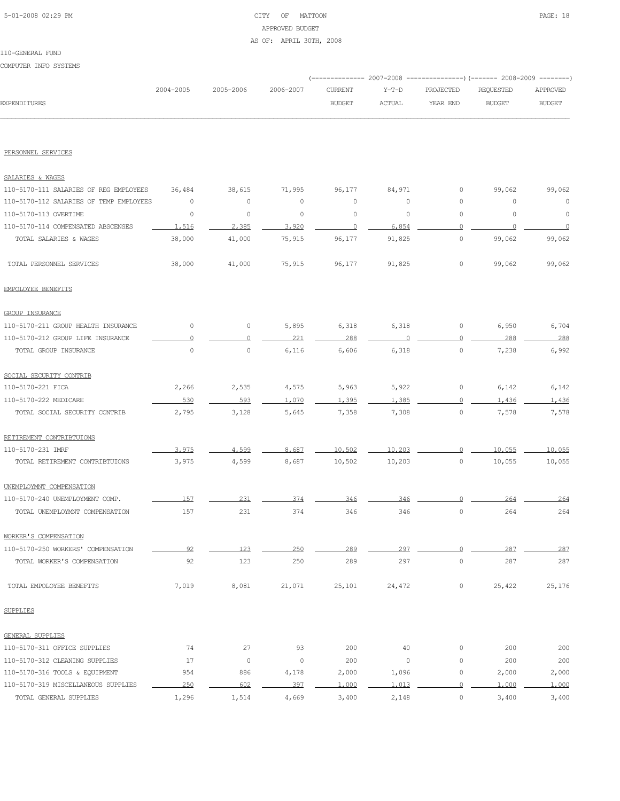# 5-01-2008 02:29 PM CITY OF MATTOON PAGE: 18 APPROVED BUDGET

#### AS OF: APRIL 30TH, 2008

#### 110-GENERAL FUND

COMPUTER INFO SYSTEMS

|                     |           |                     |         |               | (-------------- 2007-2008 ----------------) (------- 2008-2009 ---------) |        |               |
|---------------------|-----------|---------------------|---------|---------------|---------------------------------------------------------------------------|--------|---------------|
|                     | 2004-2005 | 2005-2006 2006-2007 | CURRENT |               | Y-T-D PROJECTED REOUESTED                                                 |        | APPROVED      |
| <b>EXPENDITURES</b> |           |                     | BUDGET  | <b>ACTUAL</b> | YEAR END                                                                  | BUDGET | <b>BUDGET</b> |
|                     |           |                     |         |               |                                                                           |        |               |

#### PERSONNEL SERVICES

| SALARIES & WAGES                        |         |              |                     |          |         |                |          |          |
|-----------------------------------------|---------|--------------|---------------------|----------|---------|----------------|----------|----------|
| 110-5170-111 SALARIES OF REG EMPLOYEES  | 36,484  | 38,615       | 71,995              | 96,177   | 84,971  | 0              | 99,062   | 99,062   |
| 110-5170-112 SALARIES OF TEMP EMPLOYEES | 0       | $\circ$      | 0                   | $\circ$  | 0       | $\circ$        | 0        | 0        |
| 110-5170-113 OVERTIME                   | $\circ$ | $\circ$      | $\circ$             | $\circ$  | $\circ$ | $\circ$        | $\circ$  | 0        |
| 110-5170-114 COMPENSATED ABSCENSES      | 1,516   | 2,385        | 3,920               | $\Omega$ | 6,854   | $\overline{0}$ | $\Omega$ | $\Omega$ |
| TOTAL SALARIES & WAGES                  | 38,000  | 41,000       | 75,915              | 96,177   | 91,825  | $\circ$        | 99,062   | 99,062   |
| TOTAL PERSONNEL SERVICES                | 38,000  | 41,000       | 75,915              | 96,177   | 91,825  | 0              | 99,062   | 99,062   |
| EMPOLOYEE BENEFITS                      |         |              |                     |          |         |                |          |          |
| <b>GROUP INSURANCE</b>                  |         |              |                     |          |         |                |          |          |
| 110-5170-211 GROUP HEALTH INSURANCE     | 0       | $\circ$      | 5,895               | 6,318    | 6,318   | 0              | 6,950    | 6,704    |
| 110-5170-212 GROUP LIFE INSURANCE       | $\circ$ | $\Omega$     | 221                 | 288      | $\circ$ | $\Omega$       | 288      | 288      |
| TOTAL GROUP INSURANCE                   | $\circ$ | $\circ$      | 6,116               | 6,606    | 6,318   | $\circ$        | 7,238    | 6,992    |
| SOCIAL SECURITY CONTRIB                 |         |              |                     |          |         |                |          |          |
| 110-5170-221 FICA                       | 2,266   | 2,535        | 4,575               | 5,963    | 5,922   | $\circ$        | 6,142    | 6,142    |
| 110-5170-222 MEDICARE                   | 530     | 593          | 1,070               | 1.395    | 1,385   | 0              | 1,436    | 1,436    |
| TOTAL SOCIAL SECURITY CONTRIB           | 2,795   | 3,128        | 5,645               | 7,358    | 7,308   | $\circ$        | 7,578    | 7,578    |
| RETIREMENT CONTRIBTUIONS                |         |              |                     |          |         |                |          |          |
| 110-5170-231 IMRF                       | 3,975   | 4.599        | 8,687               | 10,502   | 10,203  | $\Omega$       | 10,055   | 10,055   |
| TOTAL RETIREMENT CONTRIBTUIONS          | 3,975   | 4,599        | 8,687               | 10,502   | 10,203  | $\circ$        | 10,055   | 10,055   |
| UNEMPLOYMNT COMPENSATION                |         |              |                     |          |         |                |          |          |
| 110-5170-240 UNEMPLOYMENT COMP.         | 157     | 231          | 374                 | 346      | 346     | 0              | 264      | 264      |
| TOTAL UNEMPLOYMNT COMPENSATION          | 157     | 231          | 374                 | 346      | 346     | $\circ$        | 264      | 264      |
| WORKER'S COMPENSATION                   |         |              |                     |          |         |                |          |          |
| 110-5170-250 WORKERS' COMPENSATION      | 92      | 123          | 250                 | 289      | 297     | $\cup$         | 287      | 287      |
| TOTAL WORKER'S COMPENSATION             | 92      | 123          | 250                 | 289      | 297     | $\circ$        | 287      | 287      |
| TOTAL EMPOLOYEE BENEFITS                | 7,019   | 8,081        | 21,071              | 25,101   | 24,472  | $\circ$        | 25,422   | 25,176   |
| <b>SUPPLIES</b>                         |         |              |                     |          |         |                |          |          |
| GENERAL SUPPLIES                        |         |              |                     |          |         |                |          |          |
| 110-5170-311 OFFICE SUPPLIES            | 74      | 27           | 93                  | 200      | 40      | $\mathbb O$    | 200      | 200      |
| 110-5170-312 CLEANING SUPPLIES          | 17      | $\mathsf{O}$ | $\mathsf{O}\xspace$ | 200      | $\circ$ | $\mathbb O$    | 200      | 200      |
| 110-5170-316 TOOLS & EQUIPMENT          | 954     | 886          | 4,178               | 2,000    | 1,096   | $\mathbb O$    | 2,000    | 2,000    |
| 110-5170-319 MISCELLANEOUS SUPPLIES     | 250     | 602          | 397                 | 1,000    | 1,013   | $\Omega$       | 1,000    | 1,000    |
| TOTAL GENERAL SUPPLIES                  | 1,296   | 1,514        | 4,669               | 3,400    | 2,148   | $\circ$        | 3,400    | 3,400    |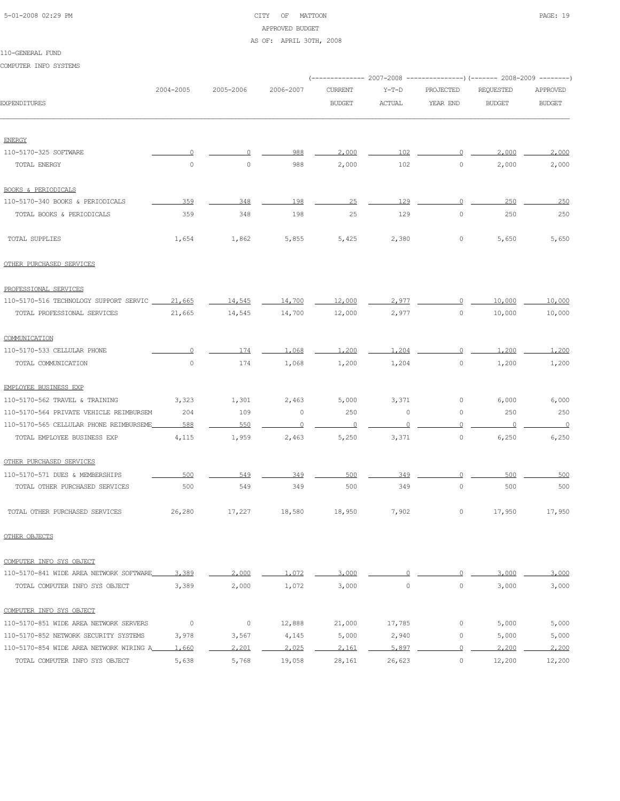# 5-01-2008 02:29 PM CITY OF MATTOON PAGE: 19 APPROVED BUDGET

#### AS OF: APRIL 30TH, 2008

#### 110-GENERAL FUND

COMPUTER INFO SYSTEMS

|                                                    | 2004-2005 | 2005-2006 | 2006-2007 | <b>CURRENT</b> | $Y-T-D$       | PROJECTED   | <b>REOUESTED</b> | APPROVED       |
|----------------------------------------------------|-----------|-----------|-----------|----------------|---------------|-------------|------------------|----------------|
| <b>EXPENDITURES</b>                                |           |           |           | <b>BUDGET</b>  | <b>ACTUAL</b> | YEAR END    | <b>BUDGET</b>    | <b>BUDGET</b>  |
|                                                    |           |           |           |                |               |             |                  |                |
| <b>ENERGY</b>                                      |           |           |           |                |               |             |                  |                |
| 110-5170-325 SOFTWARE                              |           | 0         | 988       | 2,000          | 102           | $\circ$     | 2,000            | 2,000          |
| TOTAL ENERGY                                       | $\circ$   | $\circ$   | 988       | 2,000          | 102           | $\circ$     | 2,000            | 2,000          |
| <b>BOOKS &amp; PERIODICALS</b>                     |           |           |           |                |               |             |                  |                |
| 110-5170-340 BOOKS & PERIODICALS                   | 359       | 348       | 198       | 25             | 129           | $\Omega$    | 250              | 250            |
| TOTAL BOOKS & PERIODICALS                          | 359       | 348       | 198       | 25             | 129           | $\circ$     | 250              | 250            |
| TOTAL SUPPLIES                                     | 1,654     | 1,862     | 5,855     | 5,425          | 2,380         | 0           | 5,650            | 5,650          |
| OTHER PURCHASED SERVICES                           |           |           |           |                |               |             |                  |                |
| PROFESSIONAL SERVICES                              |           |           |           |                |               |             |                  |                |
| 110-5170-516 TECHNOLOGY SUPPORT SERVIC ____ 21,665 |           | 14,545    | 14,700    | 12,000         | 2,977         | $\Omega$    | 10,000           | 10,000         |
| TOTAL PROFESSIONAL SERVICES                        | 21,665    | 14,545    | 14,700    | 12,000         | 2,977         | $\circ$     | 10,000           | 10,000         |
| COMMUNICATION                                      |           |           |           |                |               |             |                  |                |
| 110-5170-533 CELLULAR PHONE                        | $\Omega$  | 174       | 1,068     | 1,200          | 1,204         | $\Omega$    | 1,200            | 1,200          |
| TOTAL COMMUNICATION                                | $\circ$   | 174       | 1,068     | 1,200          | 1,204         | 0           | 1,200            | 1,200          |
| EMPLOYEE BUSINESS EXP                              |           |           |           |                |               |             |                  |                |
| 110-5170-562 TRAVEL & TRAINING                     | 3,323     | 1,301     | 2,463     | 5,000          | 3,371         | 0           | 6,000            | 6,000          |
| 110-5170-564 PRIVATE VEHICLE REIMBURSEM            | 204       | 109       | $\circ$   | 250            | 0             | 0           | 250              | 250            |
| 110-5170-565 CELLULAR PHONE REIMBURSEME            | 588       | 550       | $\circ$   | $\circ$        |               | $\Omega$    |                  | $\overline{0}$ |
| TOTAL EMPLOYEE BUSINESS EXP                        | 4,115     | 1,959     | 2,463     | 5,250          | 3,371         | $\circ$     | 6,250            | 6,250          |
| OTHER PURCHASED SERVICES                           |           |           |           |                |               |             |                  |                |
| 110-5170-571 DUES & MEMBERSHIPS                    | 500       | 549       | 349       | 500            | 349           | $\Omega$    | 500              | 500            |
| TOTAL OTHER PURCHASED SERVICES                     | 500       | 549       | 349       | 500            | 349           | $\circ$     | 500              | 500            |
| TOTAL OTHER PURCHASED SERVICES                     | 26,280    | 17,227    | 18,580    | 18,950         | 7,902         | 0           | 17,950           | 17,950         |
| OTHER OBJECTS                                      |           |           |           |                |               |             |                  |                |
| COMPUTER INFO SYS OBJECT                           |           |           |           |                |               |             |                  |                |
| 110-5170-841 WIDE AREA NETWORK SOFTWARE            | 3,389     | 2,000     | 1,072     | 3,000          | $\Omega$      | $\Omega$    | 3,000            | 3,000          |
| TOTAL COMPUTER INFO SYS OBJECT                     | 3,389     | 2,000     | 1,072     | 3,000          | $\circ$       | $\circ$     | 3,000            | 3,000          |
| COMPUTER INFO SYS OBJECT                           |           |           |           |                |               |             |                  |                |
| 110-5170-851 WIDE AREA NETWORK SERVERS             | $\circ$   | 0         | 12,888    | 21,000         | 17,785        | $\mathbb O$ | 5,000            | 5,000          |
| 110-5170-852 NETWORK SECURITY SYSTEMS              | 3,978     | 3,567     | 4,145     | 5,000          | 2,940         | 0           | 5,000            | 5,000          |
| 110-5170-854 WIDE AREA NETWORK WIRING A            | 1,660     | 2,201     | 2,025     | 2,161          | 5,897         | $\Omega$    | 2,200            | 2,200          |
| TOTAL COMPUTER INFO SYS OBJECT                     | 5,638     | 5,768     | 19,058    | 28,161         | 26,623        | $\circ$     | 12,200           | 12,200         |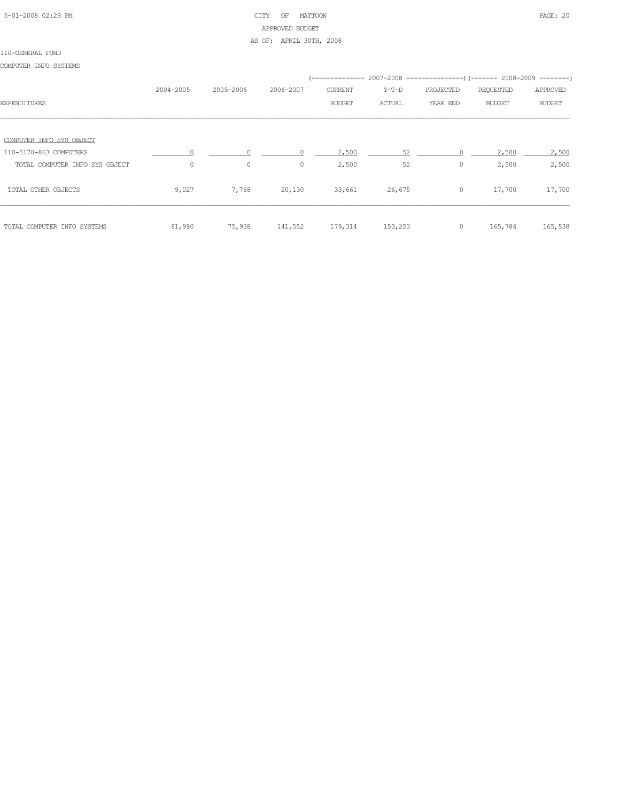# 5-01-2008 02:29 PM CITY OF MATTOON PAGE: 20 APPROVED BUDGET AS OF: APRIL 30TH, 2008

#### 110-GENERAL FUND

COMPUTER INFO SYSTEMS

|                                |           |           |           |         |         | (-------------- 2007-2008 ----------------) (------- 2008-2009 --------) |           |               |
|--------------------------------|-----------|-----------|-----------|---------|---------|--------------------------------------------------------------------------|-----------|---------------|
|                                | 2004-2005 | 2005-2006 | 2006-2007 | CURRENT | Y-T-D   | PROJECTED                                                                | REQUESTED | APPROVED      |
| <b>EXPENDITURES</b>            |           |           |           | BUDGET  | ACTUAL  | YEAR END                                                                 | BUDGET    | <b>BUDGET</b> |
|                                |           |           |           |         |         |                                                                          |           |               |
| COMPUTER INFO SYS OBJECT       |           |           |           |         |         |                                                                          |           |               |
| 110-5170-863 COMPUTERS         |           |           |           | 2,500   | 52      |                                                                          | 2,500     | 2,500         |
| TOTAL COMPUTER INFO SYS OBJECT | $\circ$   | $\circ$   | $\circ$   | 2,500   | 52      | 0                                                                        | 2,500     | 2,500         |
| TOTAL OTHER OBJECTS            | 9,027     | 7,768     | 20,130    | 33,661  | 26,675  | $\circ$                                                                  | 17,700    | 17,700        |
| TOTAL COMPUTER INFO SYSTEMS    | 81,980    | 75,938    | 141,552   | 179,314 | 153,253 | $\circ$                                                                  | 165,784   | 165,538       |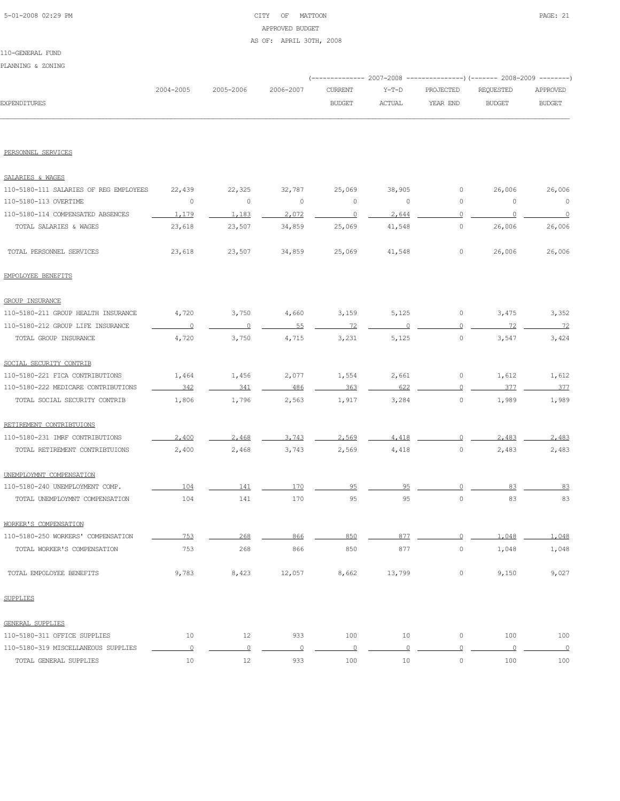# 5-01-2008 02:29 PM CITY OF MATTOON PAGE: 21 APPROVED BUDGET

#### AS OF: APRIL 30TH, 2008

#### 110-GENERAL FUND

PLANNING & ZONING

| RTANNING & SOMING                      |                          |                   |                |                                 |               |                       |                                                                         |                           |
|----------------------------------------|--------------------------|-------------------|----------------|---------------------------------|---------------|-----------------------|-------------------------------------------------------------------------|---------------------------|
|                                        | 2004-2005                | 2005-2006         | 2006-2007      |                                 | $Y-T-D$       |                       | (-------------- 2007-2008 ----------------) (------- 2008-2009 -------- |                           |
| <b>EXPENDITURES</b>                    |                          |                   |                | <b>CURRENT</b><br><b>BUDGET</b> | <b>ACTUAL</b> | PROJECTED<br>YEAR END | REQUESTED<br><b>BUDGET</b>                                              | APPROVED<br><b>BUDGET</b> |
|                                        |                          |                   |                |                                 |               |                       |                                                                         |                           |
| PERSONNEL SERVICES                     |                          |                   |                |                                 |               |                       |                                                                         |                           |
|                                        |                          |                   |                |                                 |               |                       |                                                                         |                           |
| SALARIES & WAGES                       |                          |                   |                |                                 |               |                       |                                                                         |                           |
| 110-5180-111 SALARIES OF REG EMPLOYEES | 22,439                   | 22,325            | 32,787         | 25,069                          | 38,905        | 0                     | 26,006                                                                  | 26,006                    |
| 110-5180-113 OVERTIME                  | 0                        | 0                 | 0              | $\circ$                         | $\circ$       | 0                     | 0                                                                       | $\circ$                   |
| 110-5180-114 COMPENSATED ABSENCES      | 1.179                    | 1.183             | 2.072          | $\circ$                         | 2.644         | $\circ$               | $\cap$                                                                  | $\circ$                   |
| TOTAL SALARIES & WAGES                 | 23,618                   | 23,507            | 34,859         | 25,069                          | 41,548        | 0                     | 26,006                                                                  | 26,006                    |
| TOTAL PERSONNEL SERVICES               | 23,618                   | 23,507            | 34,859         | 25,069                          | 41,548        | $\circ$               | 26,006                                                                  | 26,006                    |
| EMPOLOYEE BENEFITS                     |                          |                   |                |                                 |               |                       |                                                                         |                           |
| GROUP INSURANCE                        |                          |                   |                |                                 |               |                       |                                                                         |                           |
| 110-5180-211 GROUP HEALTH INSURANCE    | 4,720                    | 3,750             | 4,660          | 3,159                           | 5,125         | 0                     | 3,475                                                                   | 3,352                     |
| 110-5180-212 GROUP LIFE INSURANCE      | $\overline{\phantom{0}}$ | $\overline{0}$    | 55             | 72                              |               | $\circ$               | 72                                                                      | 72                        |
| TOTAL GROUP INSURANCE                  | 4,720                    | 3,750             | 4,715          | 3,231                           | 5,125         | $\circ$               | 3,547                                                                   | 3,424                     |
| SOCIAL SECURITY CONTRIB                |                          |                   |                |                                 |               |                       |                                                                         |                           |
| 110-5180-221 FICA CONTRIBUTIONS        | 1,464                    | 1,456             | 2,077          | 1,554                           | 2,661         | 0                     | 1,612                                                                   | 1,612                     |
| 110-5180-222 MEDICARE CONTRIBUTIONS    | 342                      | 341               | 486            | 363                             | 622           | $\circ$               | 377                                                                     | 377                       |
| TOTAL SOCIAL SECURITY CONTRIB          | 1,806                    | 1,796             | 2,563          | 1,917                           | 3,284         | $\circ$               | 1,989                                                                   | 1,989                     |
| RETIREMENT CONTRIBTUIONS               |                          |                   |                |                                 |               |                       |                                                                         |                           |
| 110-5180-231 IMRF CONTRIBUTIONS        | 2,400                    | 2,468             | 3.743          | 2.569                           | 4.418         | $\circ$               | 2,483                                                                   | 2,483                     |
| TOTAL RETIREMENT CONTRIBTUIONS         | 2,400                    | 2,468             | 3,743          | 2,569                           | 4,418         | $\circ$               | 2,483                                                                   | 2,483                     |
| UNEMPLOYMNT COMPENSATION               |                          |                   |                |                                 |               |                       |                                                                         |                           |
| 110-5180-240 UNEMPLOYMENT COMP.        | 104                      | 141               | 170            | 95                              | 95            | 0                     | 83                                                                      | 83                        |
| TOTAL UNEMPLOYMNT COMPENSATION         | 104                      | 141               | 170            | 95                              | 95            | $\circ$               | 83                                                                      | 83                        |
| WORKER'S COMPENSATION                  |                          |                   |                |                                 |               |                       |                                                                         |                           |
| 110-5180-250 WORKERS' COMPENSATION     | 753                      | 268               | 866            | 850                             | 877           | $\Omega$              | 1,048                                                                   | 1,048                     |
| TOTAL WORKER'S COMPENSATION            | 753                      | 268               | 866            | 850                             | 877           | $\circ$               | 1,048                                                                   | 1,048                     |
| TOTAL EMPOLOYEE BENEFITS               | 9,783                    | 8,423             | 12,057         | 8,662                           | 13,799        | $\circ$               | 9,150                                                                   | 9,027                     |
| <b>SUPPLIES</b>                        |                          |                   |                |                                 |               |                       |                                                                         |                           |
| <b>GENERAL SUPPLIES</b>                |                          |                   |                |                                 |               |                       |                                                                         |                           |
| 110-5180-311 OFFICE SUPPLIES           | 10                       | $12 \overline{ }$ | 933            | 100                             | 10            | $\circ$               | 100                                                                     | 100                       |
| 110-5180-319 MISCELLANEOUS SUPPLIES    | $\overline{0}$           | $\overline{0}$    | $\overline{0}$ | $\overline{0}$                  | $\circ$       | $\overline{0}$        | $\overline{0}$                                                          | $\overline{\phantom{0}}$  |
| TOTAL GENERAL SUPPLIES                 | 10                       | $12 \overline{ }$ | 933            | 100                             | 10            | $\circ$               | 100                                                                     | 100                       |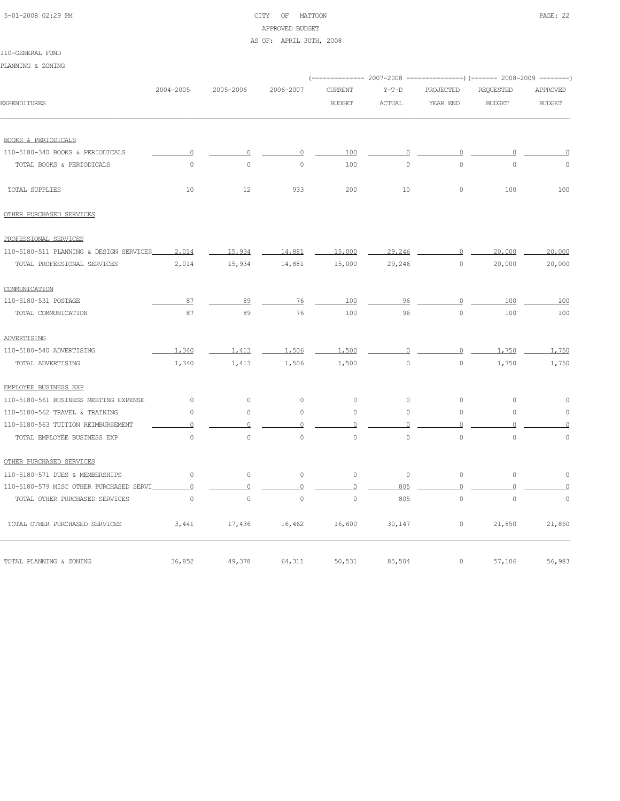#### 5-01-2008 02:29 PM CITY OF MATTOON PAGE: 22 APPROVED BUDGET

#### AS OF: APRIL 30TH, 2008

|                                         |           |                     |                |                     |               |                     | (-------------- 2007-2008 ---------------) (------- 2008-2009 --------) |               |
|-----------------------------------------|-----------|---------------------|----------------|---------------------|---------------|---------------------|-------------------------------------------------------------------------|---------------|
|                                         | 2004-2005 | 2005-2006           | 2006-2007      | <b>CURRENT</b>      | $Y-T-D$       | PROJECTED           | <b>REQUESTED</b>                                                        | APPROVED      |
| <b>EXPENDITURES</b>                     |           |                     |                | <b>BUDGET</b>       | <b>ACTUAL</b> | YEAR END            | <b>BUDGET</b>                                                           | <b>BUDGET</b> |
|                                         |           |                     |                |                     |               |                     |                                                                         |               |
| <b>BOOKS &amp; PERIODICALS</b>          |           |                     |                |                     |               |                     |                                                                         |               |
| 110-5180-340 BOOKS & PERIODICALS        | $\Omega$  | $\Omega$            | $\circ$        | 100                 | $\circ$       | 0                   |                                                                         | $\circ$       |
| TOTAL BOOKS & PERIODICALS               | $\circ$   | $\circ$             | $\circ$        | 100                 | $\circ$       | $\circ$             | $\mathbf{0}$                                                            | $\circ$       |
| TOTAL SUPPLIES                          | 10        | 12                  | 933            | 200                 | 10            | $\circ$             | 100                                                                     | 100           |
| OTHER PURCHASED SERVICES                |           |                     |                |                     |               |                     |                                                                         |               |
| PROFESSIONAL SERVICES                   |           |                     |                |                     |               |                     |                                                                         |               |
| 110-5180-511 PLANNING & DESIGN SERVICES | 2,014     | 15,934              | 14,881         | 15,000              | 29,246        | $\circ$             | 20,000                                                                  | 20,000        |
| TOTAL PROFESSIONAL SERVICES             | 2,014     | 15,934              | 14,881         | 15,000              | 29,246        | $\circ$             | 20,000                                                                  | 20,000        |
| COMMUNICATION                           |           |                     |                |                     |               |                     |                                                                         |               |
| 110-5180-531 POSTAGE                    | 87        | 89                  | 76             | 100                 | 96            | $\circ$             | 100                                                                     | 100           |
| TOTAL COMMUNICATION                     | 87        | 89                  | 76             | 100                 | 96            | $\circ$             | 100                                                                     | 100           |
| ADVERTISING                             |           |                     |                |                     |               |                     |                                                                         |               |
| 110-5180-540 ADVERTISING                | 1,340     | 1,413               | 1,506          | 1,500               | $\cap$        | $\Omega$            | 1,750                                                                   | 1,750         |
| TOTAL ADVERTISING                       | 1,340     | 1,413               | 1,506          | 1,500               | $\circ$       | $\circ$             | 1,750                                                                   | 1,750         |
| EMPLOYEE BUSINESS EXP                   |           |                     |                |                     |               |                     |                                                                         |               |
| 110-5180-561 BUSINESS MEETING EXPENSE   | $\circ$   | $\circ$             | 0              | 0                   | $\circ$       | $\circ$             | 0                                                                       | 0             |
| 110-5180-562 TRAVEL & TRAINING          | $\circ$   | $\mathsf{O}\xspace$ | $\circ$        | $\mathsf{O}\xspace$ | $\circ$       | $\mathsf{O}\xspace$ | $\mathbf 0$                                                             | $\circ$       |
| 110-5180-563 TUITION REIMBURSEMENT      | $\Omega$  | $\Omega$            | $\overline{0}$ | $\Omega$            | $\Omega$      | $\overline{0}$      | $\Omega$                                                                | ∩             |
| TOTAL EMPLOYEE BUSINESS EXP             | $\circ$   | $\mathsf{O}\xspace$ | $\circ$        | $\mathsf{O}\xspace$ | $\circ$       | $\mathsf{O}\xspace$ | $\mathbf 0$                                                             | $\mathbb O$   |
| OTHER PURCHASED SERVICES                |           |                     |                |                     |               |                     |                                                                         |               |
| 110-5180-571 DUES & MEMBERSHIPS         | $\circ$   | $\circ$             | 0              | 0                   | $\circ$       | $\circ$             | $\circ$                                                                 | $\mathbb O$   |
| 110-5180-579 MISC OTHER PURCHASED SERVI | $\Omega$  | $\Omega$            | $\circ$        | $\Omega$            | 805           | $\circ$             | $\circ$                                                                 | $\Omega$      |
| TOTAL OTHER PURCHASED SERVICES          | $\circ$   | $\circ$             | $\circ$        | $\circ$             | 805           | $\circ$             | $\mathbf{0}$                                                            | $\circ$       |
| TOTAL OTHER PURCHASED SERVICES          | 3,441     | 17,436              | 16,462         | 16,600              | 30,147        | $\circ$             | 21,850                                                                  | 21,850        |
| TOTAL PLANNING & ZONING                 | 36,852    | 49,378              | 64,311         | 50,531              | 85,504        | $\circ$             | 57,106                                                                  | 56,983        |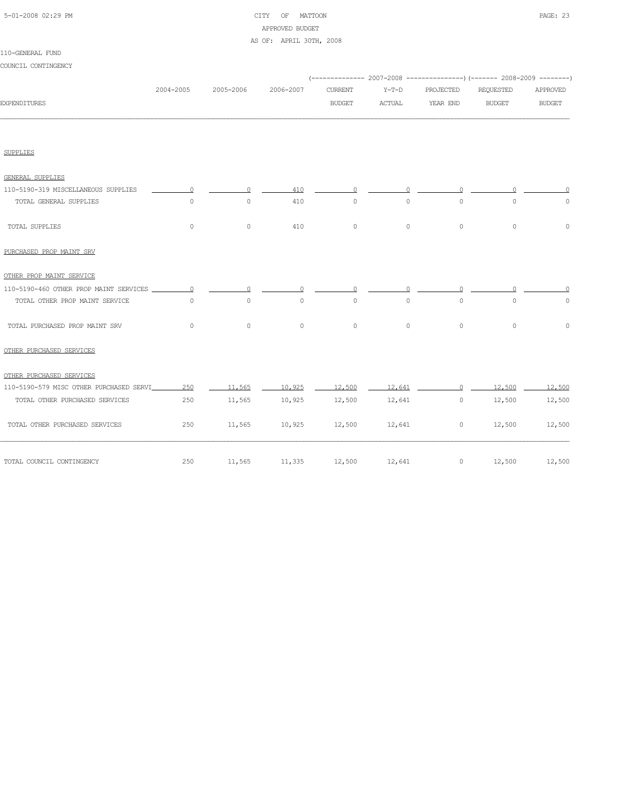| 5-01-2008 02:29 PM |  |
|--------------------|--|
|                    |  |

# CITY OF MATTOON **PAGE: 23** APPROVED BUDGET

#### AS OF: APRIL 30TH, 2008

| COUNCIL CONTINGENCY                     |           |                     |           |                                 |                          |                       | (-------------- 2007-2008 -------------------) (------- 2008-2009 ---------) |                           |
|-----------------------------------------|-----------|---------------------|-----------|---------------------------------|--------------------------|-----------------------|------------------------------------------------------------------------------|---------------------------|
| <b>EXPENDITURES</b>                     | 2004-2005 | 2005-2006           | 2006-2007 | <b>CURRENT</b><br><b>BUDGET</b> | $Y-T-D$<br><b>ACTUAL</b> | PROJECTED<br>YEAR END | <b>REQUESTED</b><br><b>BUDGET</b>                                            | APPROVED<br><b>BUDGET</b> |
|                                         |           |                     |           |                                 |                          |                       |                                                                              |                           |
| <b>SUPPLIES</b>                         |           |                     |           |                                 |                          |                       |                                                                              |                           |
| <b>GENERAL SUPPLIES</b>                 |           |                     |           |                                 |                          |                       |                                                                              |                           |
| 110-5190-319 MISCELLANEOUS SUPPLIES     | $\Omega$  | $\Omega$            | 410       | $\Omega$                        | $\Omega$                 | $\Omega$              |                                                                              |                           |
| TOTAL GENERAL SUPPLIES                  | $\circ$   | $\circ$             | 410       | $\circ$                         | $\circ$                  | $\circ$               | $\mathsf{O}\xspace$                                                          | $\circ$                   |
| TOTAL SUPPLIES                          | $\circ$   | $\mathsf{O}\xspace$ | 410       | $\circ$                         | $\circ$                  | $\circ$               | $\mathbf{0}$                                                                 | $\mathbf 0$               |
| PURCHASED PROP MAINT SRV                |           |                     |           |                                 |                          |                       |                                                                              |                           |
| OTHER PROP MAINT SERVICE                |           |                     |           |                                 |                          |                       |                                                                              |                           |
| 110-5190-460 OTHER PROP MAINT SERVICES  | $\circ$   | $\Omega$            | $\bigcap$ | $\Omega$                        | $\cap$                   | $\Omega$              |                                                                              | $\cap$                    |
| TOTAL OTHER PROP MAINT SERVICE          | $\circ$   | $\circ$             | $\circ$   | $\circ$                         | $\circ$                  | $\circ$               | $\circ$                                                                      | $\circ$                   |
| TOTAL PURCHASED PROP MAINT SRV          | $\circ$   | $\circ$             | $\circ$   | $\circ$                         | $\circ$                  | $\circ$               | $\circ$                                                                      | $\circ$                   |
| OTHER PURCHASED SERVICES                |           |                     |           |                                 |                          |                       |                                                                              |                           |
| OTHER PURCHASED SERVICES                |           |                     |           |                                 |                          |                       |                                                                              |                           |
| 110-5190-579 MISC OTHER PURCHASED SERVI | 250       | 11,565              | 10,925    | 12,500                          | 12,641                   | $\Omega$              | 12,500                                                                       | 12,500                    |
| TOTAL OTHER PURCHASED SERVICES          | 250       | 11,565              | 10,925    | 12,500                          | 12,641                   | $\circ$               | 12,500                                                                       | 12,500                    |
| TOTAL OTHER PURCHASED SERVICES          | 250       | 11,565              | 10,925    | 12,500                          | 12,641                   | $\circ$               | 12,500                                                                       | 12,500                    |
| TOTAL COUNCIL CONTINGENCY               | 250       | 11,565              | 11,335    | 12,500                          | 12,641                   | $\circ$               | 12,500                                                                       | 12,500                    |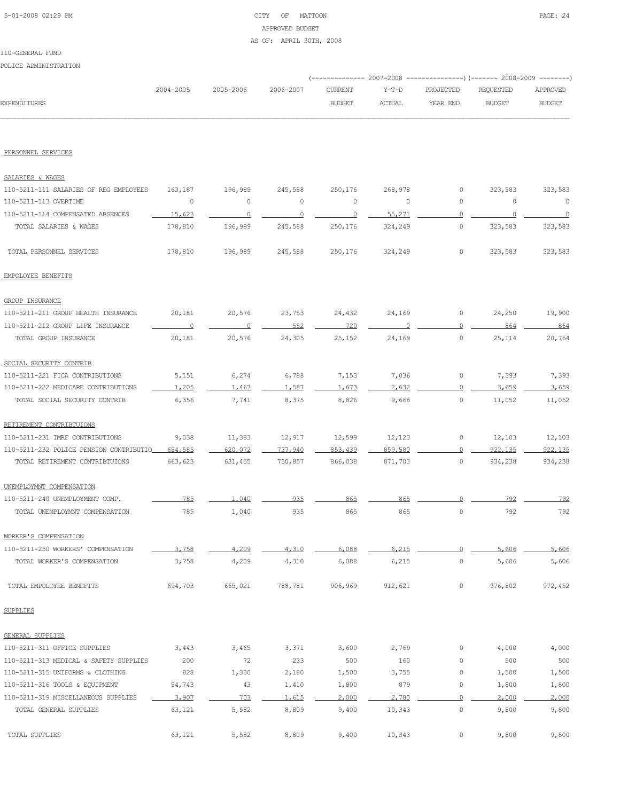# 5-01-2008 02:29 PM CITY OF MATTOON PAGE: 24 APPROVED BUDGET AS OF: APRIL 30TH, 2008

#### 110-GENERAL FUND

POLICE ADMINISTRATION

|                     | 2004-2005 | 2005-2006 | 2006-2007 | CURRENT       | Y-T-D         | PROJECTED | REOUESTED     | APPROVED      |
|---------------------|-----------|-----------|-----------|---------------|---------------|-----------|---------------|---------------|
| <b>EXPENDITURES</b> |           |           |           | <b>BUDGET</b> | <b>ACTUAL</b> | YEAR END  | <b>BUDGET</b> | <b>BUDGET</b> |
|                     |           |           |           |               |               |           |               |               |

PERSONNEL SERVICES

| SALARIES & WAGES                        |                |                |         |                |         |                |          |          |
|-----------------------------------------|----------------|----------------|---------|----------------|---------|----------------|----------|----------|
| 110-5211-111 SALARIES OF REG EMPLOYEES  | 163,187        | 196,989        | 245,588 | 250,176        | 268,978 | 0              | 323,583  | 323,583  |
| 110-5211-113 OVERTIME                   | $\circ$        | $\mathbb O$    | $\circ$ | 0              | $\circ$ | 0              | $\circ$  | $\circ$  |
| 110-5211-114 COMPENSATED ABSENCES       | 15,623         | $\overline{0}$ | $\circ$ | $\overline{0}$ | 55,271  | $\Omega$       | $\Omega$ | $\Omega$ |
| TOTAL SALARIES & WAGES                  | 178,810        | 196,989        | 245,588 | 250,176        | 324,249 | $\circ$        | 323,583  | 323,583  |
| TOTAL PERSONNEL SERVICES                | 178,810        | 196,989        | 245,588 | 250,176        | 324,249 | $\circ$        | 323,583  | 323,583  |
| EMPOLOYEE BENEFITS                      |                |                |         |                |         |                |          |          |
| <b>GROUP INSURANCE</b>                  |                |                |         |                |         |                |          |          |
| 110-5211-211 GROUP HEALTH INSURANCE     | 20,181         | 20,576         | 23,753  | 24,432         | 24,169  | 0              | 24,250   | 19,900   |
| 110-5211-212 GROUP LIFE INSURANCE       | $\overline{0}$ | $\overline{0}$ | 552     | 720            | $\cap$  | $\circ$        | 864      | 864      |
| TOTAL GROUP INSURANCE                   | 20,181         | 20,576         | 24,305  | 25,152         | 24,169  | $\circ$        | 25,114   | 20,764   |
| SOCIAL SECURITY CONTRIB                 |                |                |         |                |         |                |          |          |
| 110-5211-221 FICA CONTRIBUTIONS         | 5,151          | 6,274          | 6,788   | 7,153          | 7,036   | 0              | 7,393    | 7,393    |
| 110-5211-222 MEDICARE CONTRIBUTIONS     | 1,205          | 1,467          | 1,587   | 1,673          | 2.632   | $\circ$        | 3,659    | 3,659    |
| TOTAL SOCIAL SECURITY CONTRIB           | 6,356          | 7,741          | 8,375   | 8,826          | 9,668   | $\circ$        | 11,052   | 11,052   |
| RETIREMENT CONTRIBTUIONS                |                |                |         |                |         |                |          |          |
| 110-5211-231 IMRF CONTRIBUTIONS         | 9,038          | 11,383         | 12,917  | 12,599         | 12,123  | 0              | 12,103   | 12,103   |
| 110-5211-232 POLICE PENSION CONTRIBUTIO | 654,585        | 620,072        | 737,940 | 853,439        | 859,580 | $\circ$        | 922, 135 | 922, 135 |
| TOTAL RETIREMENT CONTRIBTUIONS          | 663,623        | 631,455        | 750,857 | 866,038        | 871,703 | $\circ$        | 934,238  | 934,238  |
| UNEMPLOYMNT COMPENSATION                |                |                |         |                |         |                |          |          |
| 110-5211-240 UNEMPLOYMENT COMP.         | 785            | 1.040          | 935     | 865            | 865     | $\Omega$       | 792      | 792      |
| TOTAL UNEMPLOYMNT COMPENSATION          | 785            | 1,040          | 935     | 865            | 865     | $\circ$        | 792      | 792      |
| WORKER'S COMPENSATION                   |                |                |         |                |         |                |          |          |
| 110-5211-250 WORKERS' COMPENSATION      | 3,758          | 4,209          | 4.310   | 6,088          | 6.215   | $\circ$        | 5,606    | 5,606    |
| TOTAL WORKER'S COMPENSATION             | 3,758          | 4,209          | 4,310   | 6,088          | 6,215   | $\circ$        | 5,606    | 5,606    |
| TOTAL EMPOLOYEE BENEFITS                | 694,703        | 665,021        | 788,781 | 906,969        | 912,621 | 0              | 976,802  | 972,452  |
| <b>SUPPLIES</b>                         |                |                |         |                |         |                |          |          |
| <b>GENERAL SUPPLIES</b>                 |                |                |         |                |         |                |          |          |
| 110-5211-311 OFFICE SUPPLIES            | 3,443          | 3,465          | 3,371   | 3,600          | 2,769   | 0              | 4,000    | 4,000    |
| 110-5211-313 MEDICAL & SAFETY SUPPLIES  | 200            | 72             | 233     | 500            | 160     | 0              | 500      | 500      |
| 110-5211-315 UNIFORMS & CLOTHING        | 828            | 1,300          | 2,180   | 1,500          | 3,755   | 0              | 1,500    | 1,500    |
| 110-5211-316 TOOLS & EQUIPMENT          | 54,743         | 43             | 1,410   | 1,800          | 879     | $\circ$        | 1,800    | 1,800    |
| 110-5211-319 MISCELLANEOUS SUPPLIES     | 3,907          | 703            | 1,615   | 2,000          | 2,780   | $\overline{0}$ | 2,000    | 2,000    |
| TOTAL GENERAL SUPPLIES                  | 63,121         | 5,582          | 8,809   | 9,400          | 10,343  | $\circ$        | 9,800    | 9,800    |
| TOTAL SUPPLIES                          | 63,121         | 5,582          | 8,809   | 9,400          | 10,343  | $\circ$        | 9,800    | 9,800    |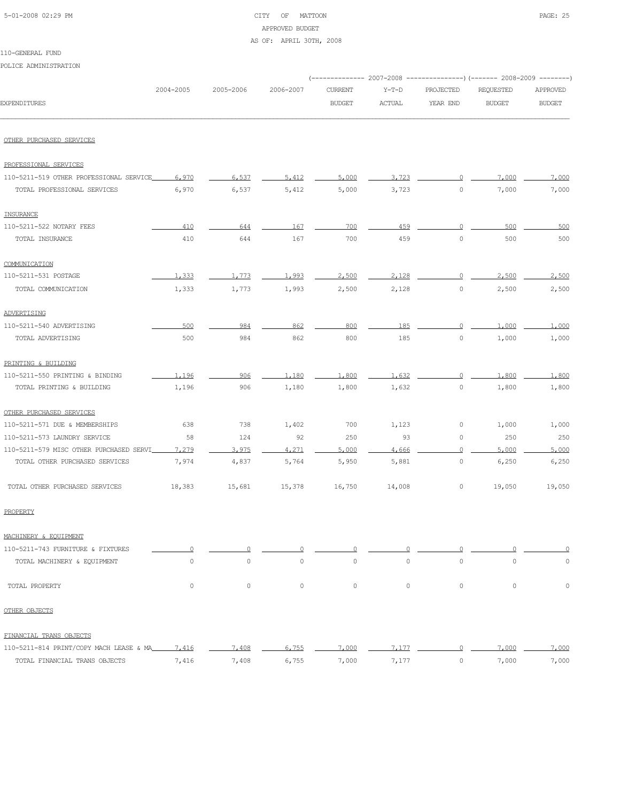| 5-01-2008 02:29 PM |  |
|--------------------|--|
|                    |  |

# CITY OF MATTOON PAGE: 25 APPROVED BUDGET

AS OF: APRIL 30TH, 2008

#### 110-GENERAL FUND

POLICE ADMINISTRATION

|                                         |                     |           |                     |                |               |           | (------------- 2007-2008 ---------------) (------- 2008-2009 --------) |               |
|-----------------------------------------|---------------------|-----------|---------------------|----------------|---------------|-----------|------------------------------------------------------------------------|---------------|
|                                         | 2004-2005           | 2005-2006 | 2006-2007           | <b>CURRENT</b> | $Y-T-D$       | PROJECTED | REQUESTED                                                              | APPROVED      |
| <b>EXPENDITURES</b>                     |                     |           |                     | <b>BUDGET</b>  | <b>ACTUAL</b> | YEAR END  | <b>BUDGET</b>                                                          | <b>BUDGET</b> |
| OTHER PURCHASED SERVICES                |                     |           |                     |                |               |           |                                                                        |               |
|                                         |                     |           |                     |                |               |           |                                                                        |               |
| PROFESSIONAL SERVICES                   |                     |           |                     |                |               |           |                                                                        |               |
| 110-5211-519 OTHER PROFESSIONAL SERVICE | 6,970               | 6.537     | 5,412               | 5,000          | 3,723         | $\circ$   | 7.000                                                                  | 7.000         |
| TOTAL PROFESSIONAL SERVICES             | 6,970               | 6,537     | 5,412               | 5,000          | 3,723         | $\circ$   | 7,000                                                                  | 7,000         |
| INSURANCE                               |                     |           |                     |                |               |           |                                                                        |               |
| 110-5211-522 NOTARY FEES                | 410                 | 644       | 167                 | 700            | 459           | $\circ$   | 500                                                                    | 500           |
| TOTAL INSURANCE                         | 410                 | 644       | 167                 | 700            | 459           | $\circ$   | 500                                                                    | 500           |
| COMMUNICATION                           |                     |           |                     |                |               |           |                                                                        |               |
| 110-5211-531 POSTAGE                    | 1,333               | 1.773     | 1,993               | 2,500          | 2,128         | $\cup$    | 2,500                                                                  | 2,500         |
| TOTAL COMMUNICATION                     | 1,333               | 1,773     | 1,993               | 2,500          | 2,128         | 0         | 2,500                                                                  | 2,500         |
| ADVERTISING                             |                     |           |                     |                |               |           |                                                                        |               |
| 110-5211-540 ADVERTISING                | 500                 | 984       | 862                 | 800            | 185           | $\circ$   | 1,000                                                                  | 1,000         |
| TOTAL ADVERTISING                       | 500                 | 984       | 862                 | 800            | 185           | 0         | 1,000                                                                  | 1,000         |
| PRINTING & BUILDING                     |                     |           |                     |                |               |           |                                                                        |               |
| 110-5211-550 PRINTING & BINDING         | 1,196               | 906       | 1,180               | 1,800          | 1.632         | 0         | 1,800                                                                  | 1,800         |
| TOTAL PRINTING & BUILDING               | 1,196               | 906       | 1,180               | 1,800          | 1,632         | 0         | 1,800                                                                  | 1,800         |
| OTHER PURCHASED SERVICES                |                     |           |                     |                |               |           |                                                                        |               |
| 110-5211-571 DUE & MEMBERSHIPS          | 638                 | 738       | 1,402               | 700            | 1,123         | 0         | 1,000                                                                  | 1,000         |
| 110-5211-573 LAUNDRY SERVICE            | 58                  | 124       | 92                  | 250            | 93            | 0         | 250                                                                    | 250           |
| 110-5211-579 MISC OTHER PURCHASED SERVI | 7.279               | 3.975     | 4,271               | 5,000          | 4,666         | $\Omega$  | 5,000                                                                  | 5.000         |
| TOTAL OTHER PURCHASED SERVICES          | 7,974               | 4,837     | 5,764               | 5,950          | 5,881         | 0         | 6,250                                                                  | 6,250         |
| TOTAL OTHER PURCHASED SERVICES          | 18,383              | 15,681    | 15,378              | 16,750         | 14,008        | 0         | 19,050                                                                 | 19,050        |
| PROPERTY                                |                     |           |                     |                |               |           |                                                                        |               |
| MACHINERY & EQUIPMENT                   |                     |           |                     |                |               |           |                                                                        |               |
| 110-5211-743 FURNITURE & FIXTURES       | $\circ$             | $\circ$   | 0                   | $\Omega$       | $\cup$        | $\Omega$  | $\Omega$                                                               | 0             |
| TOTAL MACHINERY & EQUIPMENT             | $\mathsf{O}\xspace$ | $\circ$   | $\mathsf{O}\xspace$ | $\circ$        | $\circ$       | $\circ$   | $\circ$                                                                | $\mathbb O$   |
| TOTAL PROPERTY                          | $\circ$             | $\circ$   | $\circ$             | $\circ$        | $\circ$       | $\circ$   | $\circ$                                                                | $\mathbb O$   |
| OTHER OBJECTS                           |                     |           |                     |                |               |           |                                                                        |               |
| FINANCIAL TRANS OBJECTS                 |                     |           |                     |                |               |           |                                                                        |               |
| 110-5211-814 PRINT/COPY MACH LEASE & MA | 7.416               | 7.408     | 6.755               | 7.000          | 7.177         | $\circ$   | 7,000                                                                  | 7,000         |
| TOTAL FINANCIAL TRANS OBJECTS           | 7,416               | 7,408     | 6,755               | 7,000          | 7,177         | $\circ$   | 7,000                                                                  | 7,000         |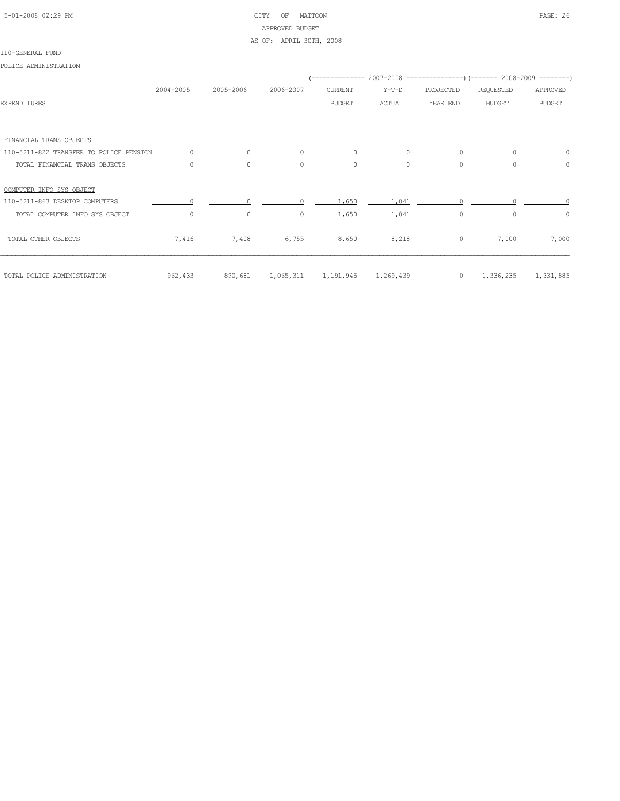# 5-01-2008 02:29 PM CITY OF MATTOON PAGE: 26 APPROVED BUDGET

#### AS OF: APRIL 30TH, 2008

#### 110-GENERAL FUND

POLICE ADMINISTRATION

|                                         |                |           |                                       |               |               |           | -------------- 2007-2008 ----------------) (------- 2008-2009 --------) |               |
|-----------------------------------------|----------------|-----------|---------------------------------------|---------------|---------------|-----------|-------------------------------------------------------------------------|---------------|
|                                         | 2004-2005      | 2005-2006 | 2006-2007                             | CURRENT       | Y-T-D         | PROJECTED | REQUESTED                                                               | APPROVED      |
| <b>EXPENDITURES</b>                     |                |           |                                       | <b>BUDGET</b> | <b>ACTUAL</b> | YEAR END  | <b>BUDGET</b>                                                           | <b>BUDGET</b> |
|                                         |                |           |                                       |               |               |           |                                                                         |               |
| FINANCIAL TRANS OBJECTS                 |                |           |                                       |               |               |           |                                                                         |               |
| 110-5211-822 TRANSFER TO POLICE PENSION | $\overline{0}$ |           |                                       |               |               |           |                                                                         |               |
| TOTAL FINANCIAL TRANS OBJECTS           | $\Omega$       | $\circ$   | $\circ$                               | $\circ$       | $\Omega$      | $\circ$   | $\Omega$                                                                | $\circ$       |
| COMPUTER INFO SYS OBJECT                |                |           |                                       |               |               |           |                                                                         |               |
| 110-5211-863 DESKTOP COMPUTERS          |                |           |                                       | 1,650         | 1,041         |           |                                                                         |               |
| TOTAL COMPUTER INFO SYS OBJECT          | $\circ$        | $\circ$   | $\circ$                               | 1,650         | 1,041         | $\circ$   | $\circ$                                                                 | $\circ$       |
| TOTAL OTHER OBJECTS                     | 7,416          | 7,408     | 6,755                                 | 8,650         | 8,218         | $\circ$   | 7,000                                                                   | 7,000         |
| TOTAL POLICE ADMINISTRATION             | 962,433        |           | 890,681 1,065,311 1,191,945 1,269,439 |               |               |           | $0 \qquad 1,336,235$                                                    | 1,331,885     |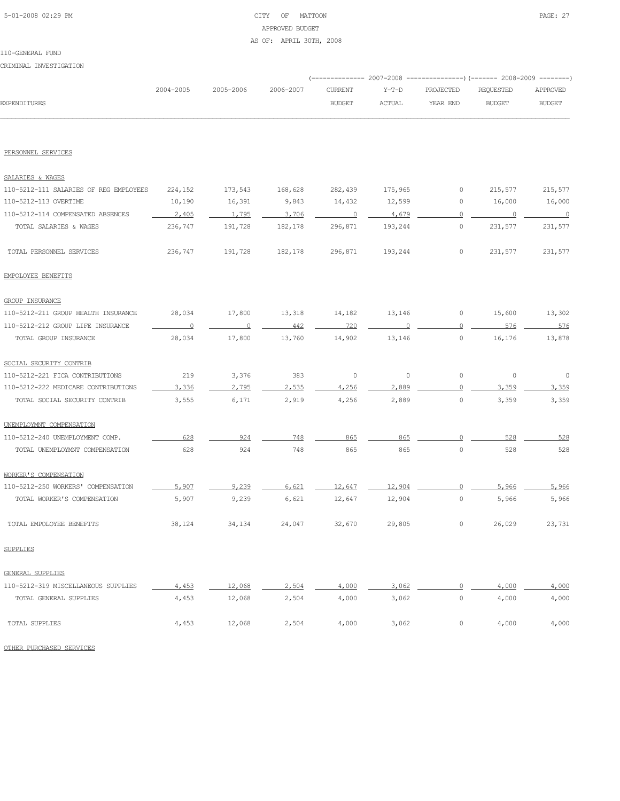# 5-01-2008 02:29 PM CITY OF MATTOON PAGE: 27 APPROVED BUDGET AS OF: APRIL 30TH, 2008

CRIMINAL INVESTIGATION

|                                        |           |                |           |                | (-------------- 2007–2008 ----------------) (------- 2008–2009 --------) |              |                          |                          |  |
|----------------------------------------|-----------|----------------|-----------|----------------|--------------------------------------------------------------------------|--------------|--------------------------|--------------------------|--|
|                                        | 2004-2005 | 2005-2006      | 2006-2007 | <b>CURRENT</b> | $Y-T-D$                                                                  | PROJECTED    | REQUESTED                | APPROVED                 |  |
| <b>EXPENDITURES</b>                    |           |                |           | <b>BUDGET</b>  | <b>ACTUAL</b>                                                            | YEAR END     | <b>BUDGET</b>            | <b>BUDGET</b>            |  |
|                                        |           |                |           |                |                                                                          |              |                          |                          |  |
| PERSONNEL SERVICES                     |           |                |           |                |                                                                          |              |                          |                          |  |
| SALARIES & WAGES                       |           |                |           |                |                                                                          |              |                          |                          |  |
| 110-5212-111 SALARIES OF REG EMPLOYEES | 224,152   | 173,543        | 168,628   | 282,439        | 175,965                                                                  | 0            | 215,577                  | 215,577                  |  |
| 110-5212-113 OVERTIME                  | 10,190    | 16,391         | 9,843     | 14,432         | 12,599                                                                   | 0            | 16,000                   | 16,000                   |  |
| 110-5212-114 COMPENSATED ABSENCES      | 2,405     | 1,795          | 3,706     | $\overline{0}$ | 4,679                                                                    | 0            | $\overline{\phantom{0}}$ | $\overline{\phantom{0}}$ |  |
| TOTAL SALARIES & WAGES                 | 236,747   | 191,728        | 182,178   | 296,871        | 193,244                                                                  | $\circ$      | 231,577                  | 231,577                  |  |
| TOTAL PERSONNEL SERVICES               | 236,747   | 191,728        | 182,178   | 296,871        | 193,244                                                                  | 0            | 231,577                  | 231,577                  |  |
| EMPOLOYEE BENEFITS                     |           |                |           |                |                                                                          |              |                          |                          |  |
| <b>GROUP INSURANCE</b>                 |           |                |           |                |                                                                          |              |                          |                          |  |
| 110-5212-211 GROUP HEALTH INSURANCE    | 28,034    | 17,800         | 13,318    | 14,182         | 13,146                                                                   | 0            | 15,600                   | 13,302                   |  |
| 110-5212-212 GROUP LIFE INSURANCE      | $\sim$ 0  | $\overline{0}$ | 442       | 720            | $\cap$                                                                   | $\mathbf{0}$ | 576                      | 576                      |  |
| TOTAL GROUP INSURANCE                  | 28,034    | 17,800         | 13,760    | 14,902         | 13,146                                                                   | $\circ$      | 16,176                   | 13,878                   |  |
| SOCIAL SECURITY CONTRIB                |           |                |           |                |                                                                          |              |                          |                          |  |
| 110-5212-221 FICA CONTRIBUTIONS        | 219       | 3,376          | 383       | $\circ$        | $\circ$                                                                  | $\circ$      | $\circ$                  | $\circ$                  |  |
| 110-5212-222 MEDICARE CONTRIBUTIONS    | 3.336     | 2,795          | 2,535     | 4,256          | 2,889                                                                    | $\Omega$     | 3.359                    | 3.359                    |  |
| TOTAL SOCIAL SECURITY CONTRIB          | 3,555     | 6,171          | 2,919     | 4,256          | 2,889                                                                    | 0            | 3,359                    | 3,359                    |  |
| UNEMPLOYMNT COMPENSATION               |           |                |           |                |                                                                          |              |                          |                          |  |
| 110-5212-240 UNEMPLOYMENT COMP.        | 628       | 924            | 748       | 865            | 865                                                                      |              | 528                      | 528                      |  |
| TOTAL UNEMPLOYMNT COMPENSATION         | 628       | 924            | 748       | 865            | 865                                                                      | 0            | 528                      | 528                      |  |
| WORKER'S COMPENSATION                  |           |                |           |                |                                                                          |              |                          |                          |  |
| 110-5212-250 WORKERS' COMPENSATION     | 5,907     | 9,239          | 6,621     | 12,647         | 12,904                                                                   |              | 5,966                    | 5,966                    |  |
| TOTAL WORKER'S COMPENSATION            | 5,907     | 9,239          | 6,621     | 12,647         | 12,904                                                                   | 0            | 5,966                    | 5,966                    |  |
| TOTAL EMPOLOYEE BENEFITS               | 38,124    | 34,134         | 24,047    | 32,670         | 29,805                                                                   | 0            | 26,029                   | 23,731                   |  |
| <b>SUPPLIES</b>                        |           |                |           |                |                                                                          |              |                          |                          |  |
| GENERAL SUPPLIES                       |           |                |           |                |                                                                          |              |                          |                          |  |
| 110-5212-319 MISCELLANEOUS SUPPLIES    | 4,453     | 12,068         | 2,504     | 4,000          | 3,062                                                                    | $\mathbf{0}$ | 4,000                    | 4,000                    |  |
| TOTAL GENERAL SUPPLIES                 | 4,453     | 12,068         | 2,504     | 4,000          | 3,062                                                                    | $\circ$      | 4,000                    | 4,000                    |  |
| TOTAL SUPPLIES                         | 4,453     | 12,068         | 2,504     | 4,000          | 3,062                                                                    | $\circ$      | 4,000                    | 4,000                    |  |
| OTHER PURCHASED SERVICES               |           |                |           |                |                                                                          |              |                          |                          |  |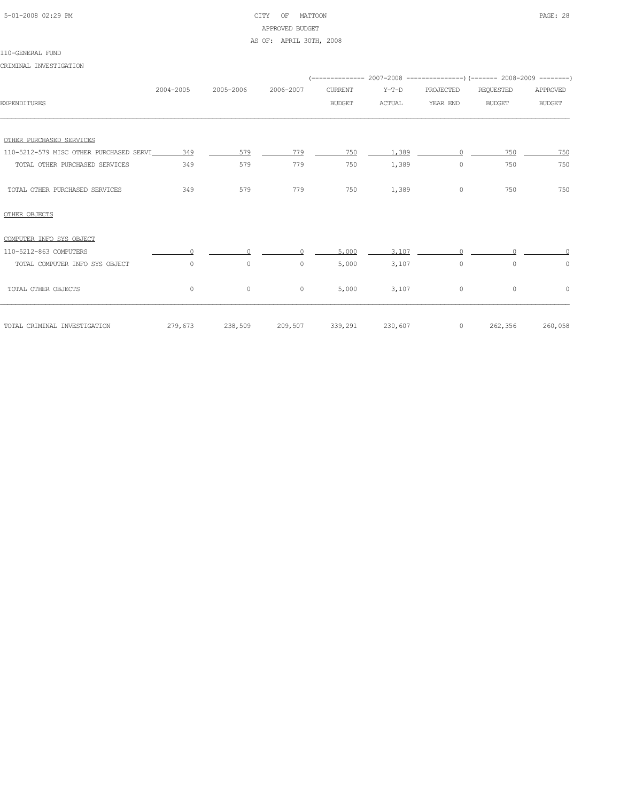# 5-01-2008 02:29 PM CITY OF MATTOON PAGE: 28 APPROVED BUDGET AS OF: APRIL 30TH, 2008

#### 110-GENERAL FUND

CRIMINAL INVESTIGATION

|                                         |              |                 |              |                |               |           | (-------------- 2007-2008 ----------------) (------- 2008-2009 --------) |               |
|-----------------------------------------|--------------|-----------------|--------------|----------------|---------------|-----------|--------------------------------------------------------------------------|---------------|
|                                         | 2004-2005    | 2005-2006       | 2006-2007    | <b>CURRENT</b> | $Y-T-D$       | PROJECTED | <b>REQUESTED</b>                                                         | APPROVED      |
| <b>EXPENDITURES</b>                     |              |                 |              | <b>BUDGET</b>  | <b>ACTUAL</b> | YEAR END  | <b>BUDGET</b>                                                            | <b>BUDGET</b> |
|                                         |              |                 |              |                |               |           |                                                                          |               |
| OTHER PURCHASED SERVICES                |              |                 |              |                |               |           |                                                                          |               |
| 110-5212-579 MISC OTHER PURCHASED SERVI | 349          | 579             | 779          | 750            | 1,389         |           | 750                                                                      | 750           |
| TOTAL OTHER PURCHASED SERVICES          | 349          | 579             | 779          | 750            | 1,389         | 0         | 750                                                                      | 750           |
| TOTAL OTHER PURCHASED SERVICES          | 349          | 579             | 779          | 750            | 1,389         | $\circ$   | 750                                                                      | 750           |
| OTHER OBJECTS                           |              |                 |              |                |               |           |                                                                          |               |
| COMPUTER INFO SYS OBJECT                |              |                 |              |                |               |           |                                                                          |               |
| 110-5212-863 COMPUTERS                  |              |                 |              | 5,000          | 3,107         |           |                                                                          |               |
| TOTAL COMPUTER INFO SYS OBJECT          | $\Omega$     | $\circ$         | $\mathbf{0}$ | 5,000          | 3,107         | $\circ$   | $\Omega$                                                                 | 0             |
| TOTAL OTHER OBJECTS                     | $\mathbf{0}$ | $\circ$         | $\circ$      | 5,000          | 3,107         | $\circ$   | $\circ$                                                                  | $\circ$       |
| TOTAL CRIMINAL INVESTIGATION            |              | 279,673 238,509 | 209,507      | 339,291        | 230,607       | $\circ$   | 262,356                                                                  | 260,058       |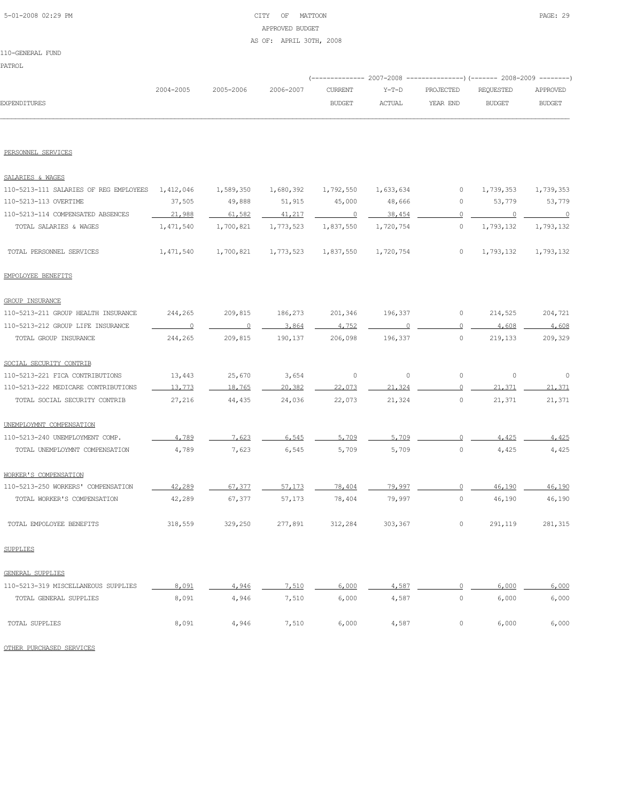# 5-01-2008 02:29 PM CITY OF MATTOON PAGE: 29 APPROVED BUDGET

#### AS OF: APRIL 30TH, 2008

#### 110-GENERAL FUND

# PATROL

| PATROL                                 |           |                |           |                          |           |           |                                                                         |               |
|----------------------------------------|-----------|----------------|-----------|--------------------------|-----------|-----------|-------------------------------------------------------------------------|---------------|
|                                        |           |                |           |                          | $Y-T-D$   |           | (-------------- 2007-2008 ----------------) (------- 2008-2009 -------- |               |
|                                        | 2004-2005 | 2005-2006      | 2006-2007 | <b>CURRENT</b>           |           | PROJECTED | REQUESTED                                                               | APPROVED      |
| <b>EXPENDITURES</b>                    |           |                |           | <b>BUDGET</b>            | ACTUAL    | YEAR END  | <b>BUDGET</b>                                                           | <b>BUDGET</b> |
| PERSONNEL SERVICES                     |           |                |           |                          |           |           |                                                                         |               |
| SALARIES & WAGES                       |           |                |           |                          |           |           |                                                                         |               |
| 110-5213-111 SALARIES OF REG EMPLOYEES | 1,412,046 | 1,589,350      | 1,680,392 | 1,792,550                | 1,633,634 | $\circ$   | 1,739,353                                                               | 1,739,353     |
| 110-5213-113 OVERTIME                  | 37,505    | 49,888         | 51,915    | 45,000                   | 48,666    | 0         | 53,779                                                                  | 53,779        |
| 110-5213-114 COMPENSATED ABSENCES      | 21,988    | 61,582         | 41,217    | $\overline{\phantom{0}}$ | 38,454    | $\circ$   | $\overline{\phantom{0}}$                                                | $\sim$ 0      |
| TOTAL SALARIES & WAGES                 | 1,471,540 | 1,700,821      | 1,773,523 | 1,837,550                | 1,720,754 | $\circ$   | 1,793,132                                                               | 1,793,132     |
| TOTAL PERSONNEL SERVICES               | 1,471,540 | 1,700,821      | 1,773,523 | 1,837,550                | 1,720,754 | $\circ$   | 1,793,132                                                               | 1,793,132     |
| EMPOLOYEE BENEFITS                     |           |                |           |                          |           |           |                                                                         |               |
| <b>GROUP INSURANCE</b>                 |           |                |           |                          |           |           |                                                                         |               |
| 110-5213-211 GROUP HEALTH INSURANCE    | 244,265   | 209,815        | 186,273   | 201,346                  | 196,337   | $\circ$   | 214,525                                                                 | 204,721       |
| 110-5213-212 GROUP LIFE INSURANCE      | $\sim$ 0  | $\overline{0}$ | 3,864     | 4,752                    | $\Omega$  | $\circ$   | 4,608                                                                   | 4,608         |
| TOTAL GROUP INSURANCE                  | 244,265   | 209,815        | 190,137   | 206,098                  | 196,337   | $\circ$   | 219,133                                                                 | 209,329       |
| SOCIAL SECURITY CONTRIB                |           |                |           |                          |           |           |                                                                         |               |
| 110-5213-221 FICA CONTRIBUTIONS        | 13,443    | 25,670         | 3,654     | $\circ$                  | $\circ$   | $\circ$   | $\circ$                                                                 | $\circ$       |
| 110-5213-222 MEDICARE CONTRIBUTIONS    | 13,773    | 18,765         | 20,382    | 22,073                   | 21,324    | $\Omega$  | 21,371                                                                  | 21,371        |
| TOTAL SOCIAL SECURITY CONTRIB          | 27,216    | 44,435         | 24,036    | 22,073                   | 21,324    | $\circ$   | 21,371                                                                  | 21,371        |
| UNEMPLOYMNT COMPENSATION               |           |                |           |                          |           |           |                                                                         |               |
| 110-5213-240 UNEMPLOYMENT COMP.        | 4,789     | 7.623          | 6.545     | 5.709                    | 5,709     | $\cap$    | 4.425                                                                   | 4.425         |
| TOTAL UNEMPLOYMNT COMPENSATION         | 4,789     | 7,623          | 6,545     | 5,709                    | 5,709     | $\circ$   | 4,425                                                                   | 4,425         |
| WORKER'S COMPENSATION                  |           |                |           |                          |           |           |                                                                         |               |
| 110-5213-250 WORKERS' COMPENSATION     | 42,289    | 67,377         | 57,173    | 78,404                   | 79,997    | $\Omega$  | 46,190                                                                  | 46,190        |
| TOTAL WORKER'S COMPENSATION            | 42,289    | 67,377         | 57,173    | 78,404                   | 79,997    | $\Omega$  | 46,190                                                                  | 46,190        |

TOTAL EMPOLOYEE BENEFITS 318,559 329,250 277,891 312,284 303,367 0 291,119 281,315

110-5213-319 MISCELLANEOUS SUPPLIES <u>8,091</u> 4,946 7,510 6,000 4,587 9 6,000 6,000 6,000 TOTAL GENERAL SUPPLIES 8,091 4,946 7,510 6,000 4,587 0 6,000 6,000

TOTAL SUPPLIES 8,091 4,946 7,510 6,000 4,587 0 6,000 6,000

OTHER PURCHASED SERVICES

SUPPLIES

GENERAL SUPPLIES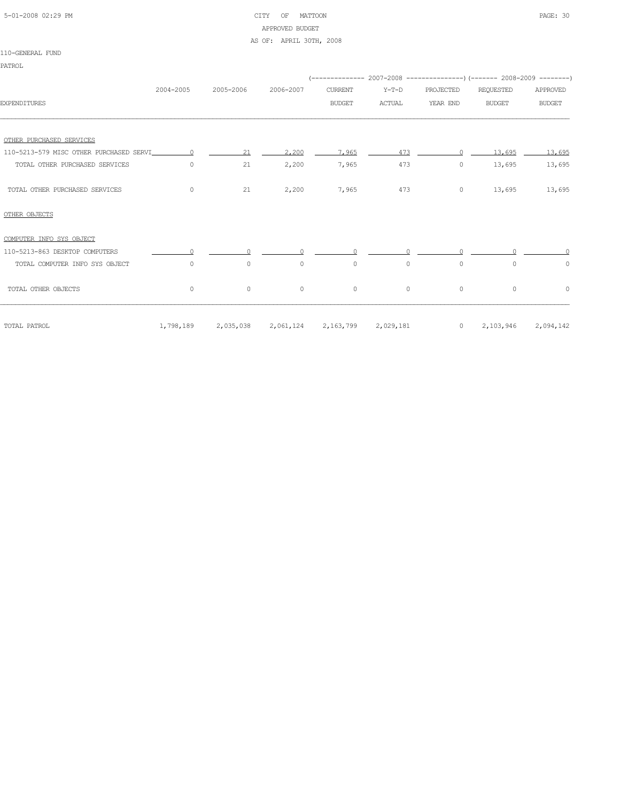| 5-01-2008 02:29 PM |  |
|--------------------|--|

# CITY OF MATTOON PAGE: 30 APPROVED BUDGET AS OF: APRIL 30TH, 2008

|  |  | ----- |
|--|--|-------|
|  |  |       |
|  |  |       |
|  |  |       |
|  |  |       |
|  |  |       |
|  |  |       |
|  |  |       |
|  |  |       |
|  |  |       |
|  |  |       |
|  |  |       |
|  |  |       |
|  |  |       |
|  |  |       |
|  |  |       |

| -----------------              |           |            |                               |                |          |                      |               |               |
|--------------------------------|-----------|------------|-------------------------------|----------------|----------|----------------------|---------------|---------------|
| <b>PATROL</b>                  |           |            |                               |                |          |                      |               |               |
|                                |           |            |                               |                |          |                      |               |               |
|                                | 2004-2005 | 2005-2006  | 2006-2007                     | <b>CURRENT</b> | Y-T-D    | PROJECTED            | REQUESTED     | APPROVED      |
| <b>EXPENDITURES</b>            |           |            |                               | <b>BUDGET</b>  | ACTUAL   | YEAR END             | <b>BUDGET</b> | <b>BUDGET</b> |
| OTHER PURCHASED SERVICES       |           |            |                               |                |          |                      |               |               |
|                                |           | 21         | 2,200                         | 7,965          | 473      | $\Omega$             | 13,695        | 13,695        |
| TOTAL OTHER PURCHASED SERVICES | $\circ$   | 21         | 2,200                         | 7,965          | 473      | $\circ$              | 13,695        | 13,695        |
| TOTAL OTHER PURCHASED SERVICES | $\circ$   | 21         | 2,200                         | 7,965          | 473      | $\circ$              | 13,695        | 13,695        |
| OTHER OBJECTS                  |           |            |                               |                |          |                      |               |               |
| COMPUTER INFO SYS OBJECT       |           |            |                               |                |          |                      |               |               |
| 110-5213-863 DESKTOP COMPUTERS | $\cap$    | $\bigcirc$ | $\Omega$                      | $\Omega$       | $\cap$   | $\cap$               | $\cap$        |               |
| TOTAL COMPUTER INFO SYS OBJECT | $\Omega$  | $\Omega$   | $\circ$                       | $\circ$        | $\Omega$ | $\Omega$             | $\Omega$      | $\circ$       |
| TOTAL OTHER OBJECTS            | $\circ$   | $\circ$    | $\circ$                       | $\circ$        | $\circ$  | $\circ$              | $\circ$       | $\circ$       |
| TOTAL PATROL                   | 1,798,189 | 2,035,038  | 2,061,124 2,163,799 2,029,181 |                |          | $0 \qquad 2,103,946$ |               | 2,094,142     |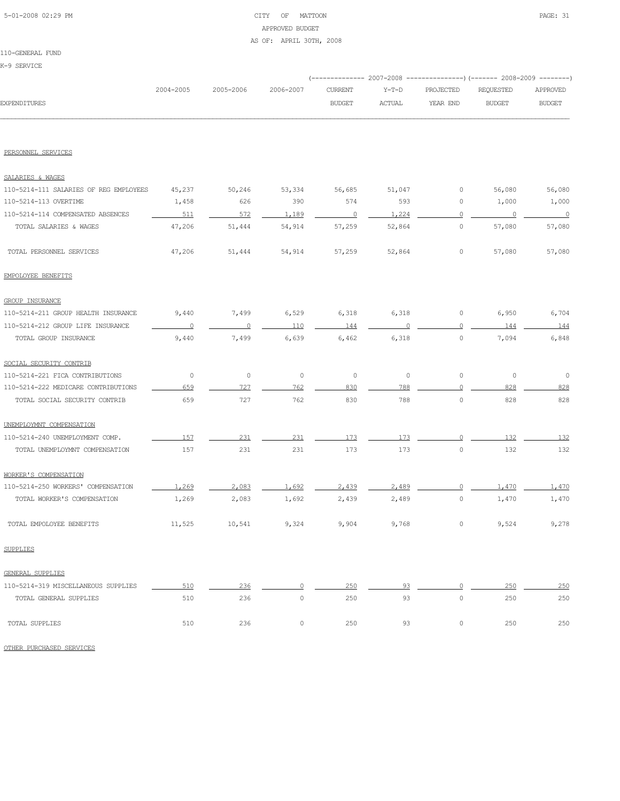# 5-01-2008 02:29 PM CITY OF MATTOON PAGE: 31 APPROVED BUDGET AS OF: APRIL 30TH, 2008

|                                        |                |           |           | (-------------- 2007-2008 |         |                     | ----------------) (------- 2008-2009 ---------) |                |
|----------------------------------------|----------------|-----------|-----------|---------------------------|---------|---------------------|-------------------------------------------------|----------------|
|                                        | 2004-2005      | 2005-2006 | 2006-2007 | CURRENT                   | $Y-T-D$ | PROJECTED           | REQUESTED                                       | APPROVED       |
| <b>EXPENDITURES</b>                    |                |           |           | <b>BUDGET</b>             | ACTUAL  | YEAR END            | <b>BUDGET</b>                                   | <b>BUDGET</b>  |
|                                        |                |           |           |                           |         |                     |                                                 |                |
| PERSONNEL SERVICES                     |                |           |           |                           |         |                     |                                                 |                |
| SALARIES & WAGES                       |                |           |           |                           |         |                     |                                                 |                |
| 110-5214-111 SALARIES OF REG EMPLOYEES | 45,237         | 50,246    | 53,334    | 56,685                    | 51,047  | 0                   | 56,080                                          | 56,080         |
| 110-5214-113 OVERTIME                  | 1,458          | 626       | 390       | 574                       | 593     | 0                   | 1,000                                           | 1,000          |
| 110-5214-114 COMPENSATED ABSENCES      | 511            | 572       | 1,189     | $\overline{0}$            | 1,224   | $\Omega$            | $\overline{\phantom{0}}$                        | $\overline{0}$ |
| TOTAL SALARIES & WAGES                 | 47,206         | 51,444    | 54,914    | 57,259                    | 52,864  | 0                   | 57,080                                          | 57,080         |
| TOTAL PERSONNEL SERVICES               | 47,206         | 51,444    | 54,914    | 57,259                    | 52,864  | $\circ$             | 57,080                                          | 57,080         |
| EMPOLOYEE BENEFITS                     |                |           |           |                           |         |                     |                                                 |                |
| <b>GROUP INSURANCE</b>                 |                |           |           |                           |         |                     |                                                 |                |
| 110-5214-211 GROUP HEALTH INSURANCE    | 9,440          | 7,499     | 6,529     | 6,318                     | 6,318   | 0                   | 6,950                                           | 6,704          |
| 110-5214-212 GROUP LIFE INSURANCE      | $\overline{0}$ | $\Omega$  | 110       | 144                       |         | $\circ$             | 144                                             | 144            |
| TOTAL GROUP INSURANCE                  | 9,440          | 7,499     | 6,639     | 6,462                     | 6,318   | $\circ$             | 7,094                                           | 6,848          |
| SOCIAL SECURITY CONTRIB                |                |           |           |                           |         |                     |                                                 |                |
| 110-5214-221 FICA CONTRIBUTIONS        | $\circ$        | $\circ$   | $\circ$   | $\circ$                   | $\circ$ | $\circ$             | $\circ$                                         | $\circ$        |
| 110-5214-222 MEDICARE CONTRIBUTIONS    | 659            | 727       | 762       | 830                       | 788     | $\Omega$            | 828                                             | 828            |
| TOTAL SOCIAL SECURITY CONTRIB          | 659            | 727       | 762       | 830                       | 788     | $\circ$             | 828                                             | 828            |
| UNEMPLOYMNT COMPENSATION               |                |           |           |                           |         |                     |                                                 |                |
| 110-5214-240 UNEMPLOYMENT COMP.        | 157            | 231       | 231       | 173                       | 173     |                     | 132                                             | 132            |
| TOTAL UNEMPLOYMNT COMPENSATION         | 157            | 231       | 231       | 173                       | 173     | $\mathsf{O}\xspace$ | 132                                             | 132            |
| WORKER'S COMPENSATION                  |                |           |           |                           |         |                     |                                                 |                |
| 110-5214-250 WORKERS' COMPENSATION     | 1,269          | 2,083     | 1.692     | 2.439                     | 2.489   |                     | 1,470                                           | 1,470          |
| TOTAL WORKER'S COMPENSATION            | 1,269          | 2,083     | 1,692     | 2,439                     | 2,489   | $\mathsf{O}\xspace$ | 1,470                                           | 1,470          |
| TOTAL EMPOLOYEE BENEFITS               | 11,525         | 10,541    | 9,324     | 9,904                     | 9,768   | 0                   | 9,524                                           | 9,278          |
| <b>SUPPLIES</b>                        |                |           |           |                           |         |                     |                                                 |                |
| GENERAL SUPPLIES                       |                |           |           |                           |         |                     |                                                 |                |
| 110-5214-319 MISCELLANEOUS SUPPLIES    | 510            | 236       | $\Omega$  | 250                       | 93      | $\Omega$            | 250                                             | 250            |
| TOTAL GENERAL SUPPLIES                 | 510            | 236       | $\circ$   | 250                       | 93      | $\circ$             | 250                                             | 250            |
| TOTAL SUPPLIES                         | 510            | 236       | $\circ$   | 250                       | 93      | 0                   | 250                                             | 250            |

OTHER PURCHASED SERVICES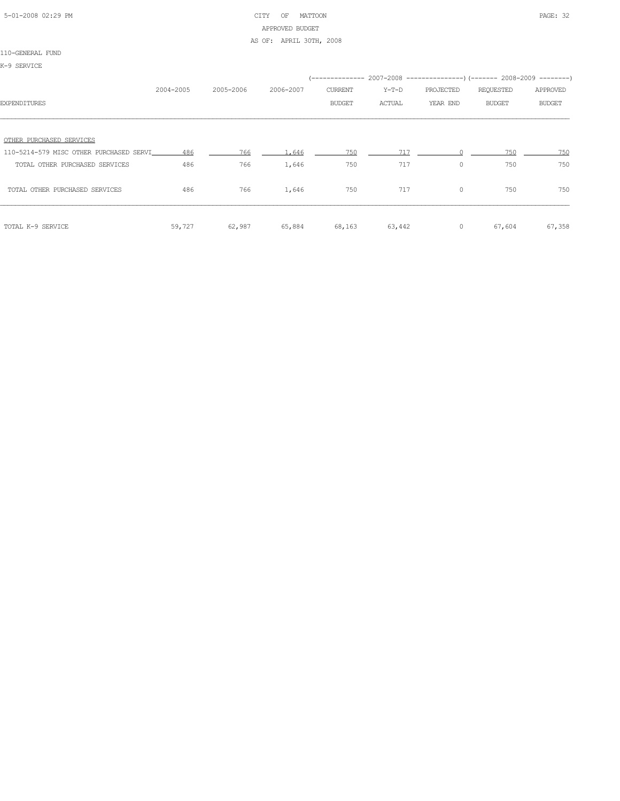# 5-01-2008 02:29 PM CITY OF MATTOON PAGE: 32 APPROVED BUDGET AS OF: APRIL 30TH, 2008

#### 110-GENERAL FUND

K-9 SERVICE

|                                         |           |           |           |               | (-------------- 2007-2008 -------------------- 2008-2009 ----------- |           |               |               |
|-----------------------------------------|-----------|-----------|-----------|---------------|----------------------------------------------------------------------|-----------|---------------|---------------|
|                                         | 2004-2005 | 2005-2006 | 2006-2007 | CURRENT       | $Y-T-D$                                                              | PROJECTED | REQUESTED     | APPROVED      |
| <b>EXPENDITURES</b>                     |           |           |           | <b>BUDGET</b> | ACTUAL                                                               | YEAR END  | <b>BUDGET</b> | <b>BUDGET</b> |
|                                         |           |           |           |               |                                                                      |           |               |               |
| OTHER PURCHASED SERVICES                |           |           |           |               |                                                                      |           |               |               |
| 110-5214-579 MISC OTHER PURCHASED SERVI | 486       | 766       | 1,646     | 750           | 717                                                                  |           | 750           | 750           |
| TOTAL OTHER PURCHASED SERVICES          | 486       | 766       | 1,646     | 750           | 717                                                                  | $\circ$   | 750           | 750           |
| TOTAL OTHER PURCHASED SERVICES          | 486       | 766       | 1,646     | 750           | 717                                                                  | 0         | 750           | 750           |
| TOTAL K-9 SERVICE                       | 59,727    | 62,987    | 65,884    | 68,163        | 63,442                                                               | $\circ$   | 67,604        | 67,358        |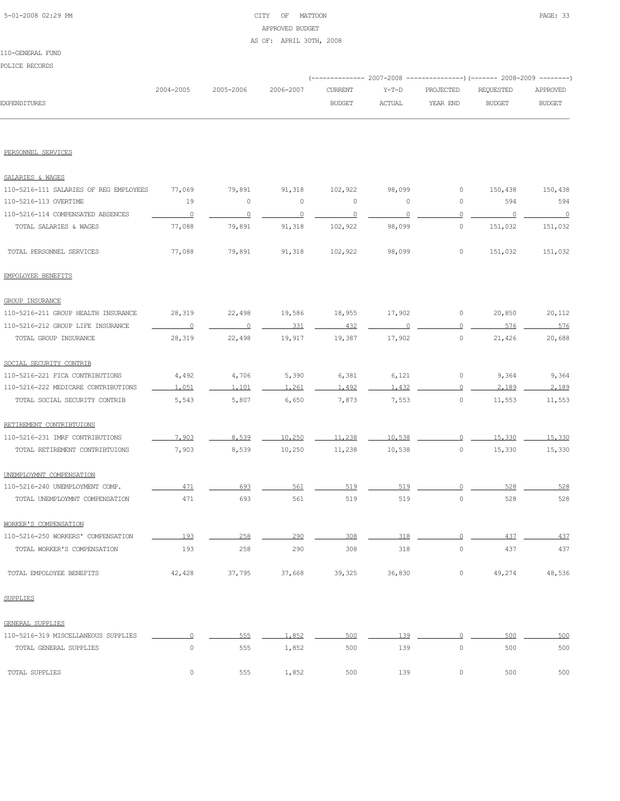# 5-01-2008 02:29 PM CITY OF MATTOON PAGE: 33 APPROVED BUDGET AS OF: APRIL 30TH, 2008

#### 110-GENERAL FUND

POLICE RECORDS

|                    |           |           |           |               |        | (-------------- 2007-2008 ----------------) (------- 2008-2009 --------) |           |          |
|--------------------|-----------|-----------|-----------|---------------|--------|--------------------------------------------------------------------------|-----------|----------|
|                    | 2004-2005 | 2005-2006 | 2006-2007 | CURRENT       | Y-T-D  | PROJECTED                                                                | REQUESTED | APPROVED |
| EXPENDITURES       |           |           |           | <b>BUDGET</b> | ACTUAL | YEAR END                                                                 | BUDGET    | BUDGET   |
|                    |           |           |           |               |        |                                                                          |           |          |
|                    |           |           |           |               |        |                                                                          |           |          |
|                    |           |           |           |               |        |                                                                          |           |          |
| PERSONNEL SERVICES |           |           |           |               |        |                                                                          |           |          |

| SALARIES & WAGES                       |                          |                |                |                |         |                     |         |         |
|----------------------------------------|--------------------------|----------------|----------------|----------------|---------|---------------------|---------|---------|
| 110-5216-111 SALARIES OF REG EMPLOYEES | 77,069                   | 79,891         | 91,318         | 102,922        | 98,099  | $\circ$             | 150,438 | 150,438 |
| 110-5216-113 OVERTIME                  | 19                       | $\circ$        | $\circ$        | $\circ$        | $\circ$ | $\circ$             | 594     | 594     |
| 110-5216-114 COMPENSATED ABSENCES      | $\overline{0}$           | $\overline{0}$ | $\overline{0}$ | $\overline{0}$ | $\circ$ | 0                   | 0       | $\cap$  |
| TOTAL SALARIES & WAGES                 | 77,088                   | 79,891         | 91,318         | 102,922        | 98,099  | $\mathbb O$         | 151,032 | 151,032 |
| TOTAL PERSONNEL SERVICES               | 77,088                   | 79,891         | 91,318         | 102,922        | 98,099  | $\circ$             | 151,032 | 151,032 |
| EMPOLOYEE BENEFITS                     |                          |                |                |                |         |                     |         |         |
| <b>GROUP INSURANCE</b>                 |                          |                |                |                |         |                     |         |         |
| 110-5216-211 GROUP HEALTH INSURANCE    | 28,319                   | 22,498         | 19,586         | 18,955         | 17,902  | $\circ$             | 20,850  | 20,112  |
| 110-5216-212 GROUP LIFE INSURANCE      | $\overline{\phantom{0}}$ | $\Omega$       | 331            | 432            | $\circ$ | $\Omega$            | 576     | 576     |
| TOTAL GROUP INSURANCE                  | 28,319                   | 22,498         | 19,917         | 19,387         | 17,902  | $\circ$             | 21,426  | 20,688  |
| SOCIAL SECURITY CONTRIB                |                          |                |                |                |         |                     |         |         |
| 110-5216-221 FICA CONTRIBUTIONS        | 4,492                    | 4,706          | 5,390          | 6,381          | 6,121   | 0                   | 9,364   | 9,364   |
| 110-5216-222 MEDICARE CONTRIBUTIONS    | 1.051                    | 1,101          | 1,261          | 1,492          | 1,432   | 0                   | 2.189   | 2,189   |
| TOTAL SOCIAL SECURITY CONTRIB          | 5,543                    | 5,807          | 6,650          | 7,873          | 7,553   | $\circ$             | 11,553  | 11,553  |
| RETIREMENT CONTRIBTUIONS               |                          |                |                |                |         |                     |         |         |
| 110-5216-231 IMRF CONTRIBUTIONS        | 7,903                    | 8,539          | 10,250         | 11,238         | 10,538  | $\overline{0}$      | 15,330  | 15,330  |
| TOTAL RETIREMENT CONTRIBTUIONS         | 7,903                    | 8,539          | 10,250         | 11,238         | 10,538  | $\mathsf{O}\xspace$ | 15,330  | 15,330  |
| UNEMPLOYMNT COMPENSATION               |                          |                |                |                |         |                     |         |         |
| 110-5216-240 UNEMPLOYMENT COMP.        | 471                      | 693            | 561            | 519            | 519     | $\Omega$            | 528     | 528     |
| TOTAL UNEMPLOYMNT COMPENSATION         | 471                      | 693            | 561            | 519            | 519     | $\circ$             | 528     | 528     |
| WORKER'S COMPENSATION                  |                          |                |                |                |         |                     |         |         |
| 110-5216-250 WORKERS' COMPENSATION     | 193                      | 258            | 290            | 308            | 318     | $\circ$             | 437     | 437     |
| TOTAL WORKER'S COMPENSATION            | 193                      | 258            | 290            | 308            | 318     | $\circ$             | 437     | 437     |
| TOTAL EMPOLOYEE BENEFITS               | 42,428                   | 37,795         | 37,668         | 39,325         | 36,830  | 0                   | 49,274  | 48,536  |
| <b>SUPPLIES</b>                        |                          |                |                |                |         |                     |         |         |
| GENERAL SUPPLIES                       |                          |                |                |                |         |                     |         |         |
| 110-5216-319 MISCELLANEOUS SUPPLIES    | $\circ$                  | 555            | 1,852          | 500            | 139     | $\circ$             | 500     | 500     |
| TOTAL GENERAL SUPPLIES                 | $\mathbb O$              | 555            | 1,852          | 500            | 139     | $\mathbb O$         | 500     | 500     |
| TOTAL SUPPLIES                         | $\mathbb O$              | 555            | 1,852          | 500            | 139     | $\mathbb O$         | 500     | 500     |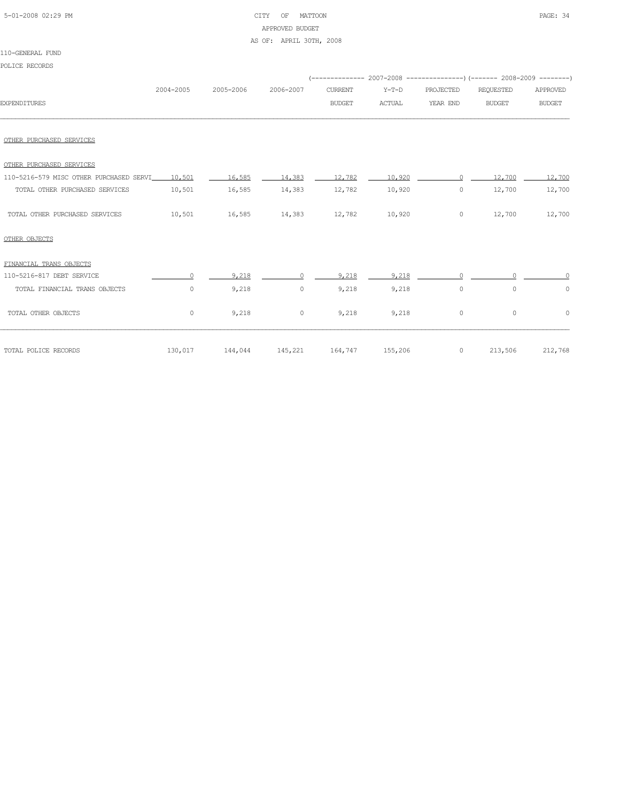# 5-01-2008 02:29 PM CITY OF MATTOON PAGE: 34 APPROVED BUDGET AS OF: APRIL 30TH, 2008

| POLICE RECORDS                          |           |                                                   |                                              |                |         |           | (-------------- 2007-2008 ----------------) (------- 2008-2009 -------- |                   |
|-----------------------------------------|-----------|---------------------------------------------------|----------------------------------------------|----------------|---------|-----------|-------------------------------------------------------------------------|-------------------|
|                                         | 2004-2005 | 2005-2006                                         | 2006-2007                                    | <b>CURRENT</b> | $Y-T-D$ | PROJECTED | REQUESTED                                                               | APPROVED          |
| <b>EXPENDITURES</b>                     |           |                                                   |                                              | <b>BUDGET</b>  | ACTUAL  | YEAR END  | <b>BUDGET</b>                                                           | <b>BUDGET</b>     |
| OTHER PURCHASED SERVICES                |           |                                                   |                                              |                |         |           |                                                                         |                   |
| OTHER PURCHASED SERVICES                |           |                                                   |                                              |                |         |           |                                                                         |                   |
| 110-5216-579 MISC OTHER PURCHASED SERVI | 10,501    |                                                   | $16.585$ $14.383$ $12.782$ $10.920$ $10.920$ |                |         | $\Omega$  |                                                                         | $12,700$ $12,700$ |
| TOTAL OTHER PURCHASED SERVICES          | 10,501    | 16,585                                            | 14,383                                       | 12,782         | 10,920  | $\circ$   | 12,700                                                                  | 12,700            |
| TOTAL OTHER PURCHASED SERVICES          | 10,501    | 16,585 14,383 12,782                              |                                              |                | 10,920  | $\circ$   | 12,700                                                                  | 12,700            |
| OTHER OBJECTS                           |           |                                                   |                                              |                |         |           |                                                                         |                   |
| FINANCIAL TRANS OBJECTS                 |           |                                                   |                                              |                |         |           |                                                                         |                   |
| 110-5216-817 DEBT SERVICE               | $\Omega$  | 9.218                                             | $\Omega$                                     | 9.218          | 9.218   |           |                                                                         |                   |
| TOTAL FINANCIAL TRANS OBJECTS           | $\circ$   | 9,218                                             | $\circ$                                      | 9,218          | 9,218   | $\circ$   | $\circ$                                                                 | $\circ$           |
| TOTAL OTHER OBJECTS                     | $\circ$   | 9,218                                             | $\circ$                                      | 9,218          | 9,218   | $\circ$   | $\circ$                                                                 | $\circ$           |
| TOTAL POLICE RECORDS                    |           | $130,017$ $144,044$ $145,221$ $164,747$ $155,206$ |                                              |                |         |           | 0 213,506 212,768                                                       |                   |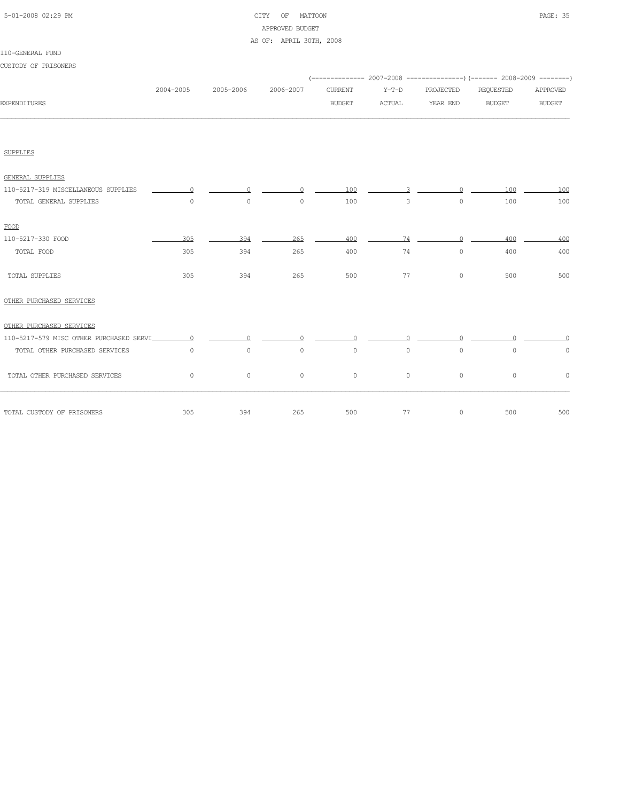|  | 5-01-2008 02:29 PM |  |
|--|--------------------|--|

# CITY OF MATTOON **PAGE: 35** APPROVED BUDGET

#### AS OF: APRIL 30TH, 2008

| CUSTODY OF PRISONERS                    |                |           |           |                                 |                          |                       | (-------------- 2007-2008 ----------------) (------- 2008-2009 --------) |                           |
|-----------------------------------------|----------------|-----------|-----------|---------------------------------|--------------------------|-----------------------|--------------------------------------------------------------------------|---------------------------|
| <b>EXPENDITURES</b>                     | 2004-2005      | 2005-2006 | 2006-2007 | <b>CURRENT</b><br><b>BUDGET</b> | $Y-T-D$<br><b>ACTUAL</b> | PROJECTED<br>YEAR END | REQUESTED<br><b>BUDGET</b>                                               | APPROVED<br><b>BUDGET</b> |
|                                         |                |           |           |                                 |                          |                       |                                                                          |                           |
| <b>SUPPLIES</b>                         |                |           |           |                                 |                          |                       |                                                                          |                           |
| GENERAL SUPPLIES                        |                |           |           |                                 |                          |                       |                                                                          |                           |
| 110-5217-319 MISCELLANEOUS SUPPLIES     | $\cap$         | $\cap$    | $\cap$    | 100                             | 3                        | $\cap$                | 100                                                                      | 100                       |
| TOTAL GENERAL SUPPLIES                  | $\circ$        | $\circ$   | $\circ$   | 100                             | 3                        | $\circ$               | 100                                                                      | 100                       |
| FOOD                                    |                |           |           |                                 |                          |                       |                                                                          |                           |
| 110-5217-330 FOOD                       | 305            | 394       | 265       | 400                             |                          | 74<br>$\circ$         | 400                                                                      | 400                       |
| TOTAL FOOD                              | 305            | 394       | 265       | 400                             | 74                       | $\circ$               | 400                                                                      | 400                       |
| TOTAL SUPPLIES                          | 305            | 394       | 265       | 500                             | 77                       | $\circ$               | 500                                                                      | 500                       |
| OTHER PURCHASED SERVICES                |                |           |           |                                 |                          |                       |                                                                          |                           |
| OTHER PURCHASED SERVICES                |                |           |           |                                 |                          |                       |                                                                          |                           |
| 110-5217-579 MISC OTHER PURCHASED SERVI | $\overline{0}$ | $\circ$   | $\Omega$  | $\Omega$                        | $\Omega$                 | $\Omega$              | O.                                                                       |                           |
| TOTAL OTHER PURCHASED SERVICES          | $\circ$        | $\circ$   | 0         | $\circ$                         | $\circ$                  | $\circ$               | $\circ$                                                                  | 0                         |
| TOTAL OTHER PURCHASED SERVICES          | $\circ$        | $\circ$   | 0         | $\circ$                         | $\circ$                  | $\circ$               | $\circ$                                                                  | $\Omega$                  |
| TOTAL CUSTODY OF PRISONERS              | 305            | 394       | 265       | 500                             | 77                       | $\circ$               | 500                                                                      | 500                       |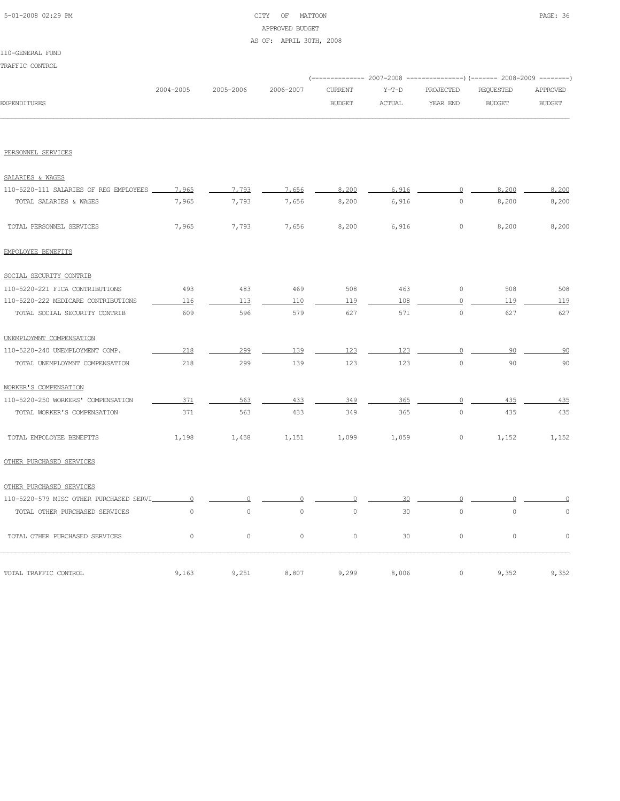# 5-01-2008 02:29 PM CITY OF MATTOON PAGE: 36 APPROVED BUDGET AS OF: APRIL 30TH, 2008

#### 110-GENERAL FUND

TRAFFIC CONTROL

| <b>EXPENDITURES</b>                     | 2004-2005      | 2005-2006      | 2006-2007           |                                 |                   | (-------------- 2007-2008 ---------------) (------- 2008-2009 --------) |                            |                           |
|-----------------------------------------|----------------|----------------|---------------------|---------------------------------|-------------------|-------------------------------------------------------------------------|----------------------------|---------------------------|
|                                         |                |                |                     | <b>CURRENT</b><br><b>BUDGET</b> | $Y-T-D$<br>ACTUAL | PROJECTED<br>YEAR END                                                   | REQUESTED<br><b>BUDGET</b> | APPROVED<br><b>BUDGET</b> |
|                                         |                |                |                     |                                 |                   |                                                                         |                            |                           |
| PERSONNEL SERVICES                      |                |                |                     |                                 |                   |                                                                         |                            |                           |
| SALARIES & WAGES                        |                |                |                     |                                 |                   |                                                                         |                            |                           |
| 110-5220-111 SALARIES OF REG EMPLOYEES  | 7,965          | 7,793          | 7,656               | 8,200                           | 6,916             | $\overline{0}$                                                          | 8,200                      | 8,200                     |
| TOTAL SALARIES & WAGES                  | 7,965          | 7,793          | 7,656               | 8,200                           | 6,916             | $\circ$                                                                 | 8,200                      | 8,200                     |
| TOTAL PERSONNEL SERVICES                | 7,965          | 7,793          | 7,656               | 8,200                           | 6,916             | $\circ$                                                                 | 8,200                      | 8,200                     |
| EMPOLOYEE BENEFITS                      |                |                |                     |                                 |                   |                                                                         |                            |                           |
| SOCIAL SECURITY CONTRIB                 |                |                |                     |                                 |                   |                                                                         |                            |                           |
| 110-5220-221 FICA CONTRIBUTIONS         | 493            | 483            | 469                 | 508                             | 463               | $\circ$                                                                 | 508                        | 508                       |
| 110-5220-222 MEDICARE CONTRIBUTIONS     | 116            | 113            | 110                 | 119                             | 108               | 0                                                                       | 119                        | 119                       |
| TOTAL SOCIAL SECURITY CONTRIB           | 609            | 596            | 579                 | 627                             | 571               | $\circ$                                                                 | 627                        | 627                       |
| UNEMPLOYMNT COMPENSATION                |                |                |                     |                                 |                   |                                                                         |                            |                           |
| 110-5220-240 UNEMPLOYMENT COMP.         | 218            | 299            | 139                 | 123                             | 123               | $\circ$                                                                 | 90                         | 90                        |
| TOTAL UNEMPLOYMNT COMPENSATION          | 218            | 299            | 139                 | 123                             | 123               | $\Omega$                                                                | 90                         | 90                        |
| WORKER'S COMPENSATION                   |                |                |                     |                                 |                   |                                                                         |                            |                           |
| 110-5220-250 WORKERS' COMPENSATION      | 371            | 563            | 433                 | 349                             | 365               | $\Omega$                                                                | 435                        | 435                       |
| TOTAL WORKER'S COMPENSATION             | 371            | 563            | 433                 | 349                             | 365               | $\circ$                                                                 | 435                        | 435                       |
| TOTAL EMPOLOYEE BENEFITS                | 1,198          | 1,458          | 1,151               | 1,099                           | 1,059             | 0                                                                       | 1,152                      | 1,152                     |
| OTHER PURCHASED SERVICES                |                |                |                     |                                 |                   |                                                                         |                            |                           |
| OTHER PURCHASED SERVICES                |                |                |                     |                                 |                   |                                                                         |                            |                           |
| 110-5220-579 MISC OTHER PURCHASED SERVI | $\overline{0}$ | $\overline{0}$ | 0                   | $\Omega$                        | 30                | $\overline{0}$                                                          |                            |                           |
| TOTAL OTHER PURCHASED SERVICES          | $\circ$        | $\circ$        | $\mathsf{O}\xspace$ | $\mathsf{O}\xspace$             | 30                | $\mathsf{O}\xspace$                                                     | $\circ$                    | 0                         |
| TOTAL OTHER PURCHASED SERVICES          | $\circ$        | $\circ$        | $\circ$             | $\circ$                         | 30                | $\circ$                                                                 | $\circ$                    | $\circ$                   |
| TOTAL TRAFFIC CONTROL                   | 9,163          | 9,251          | 8,807               | 9,299                           | 8,006             | 0                                                                       | 9,352                      | 9,352                     |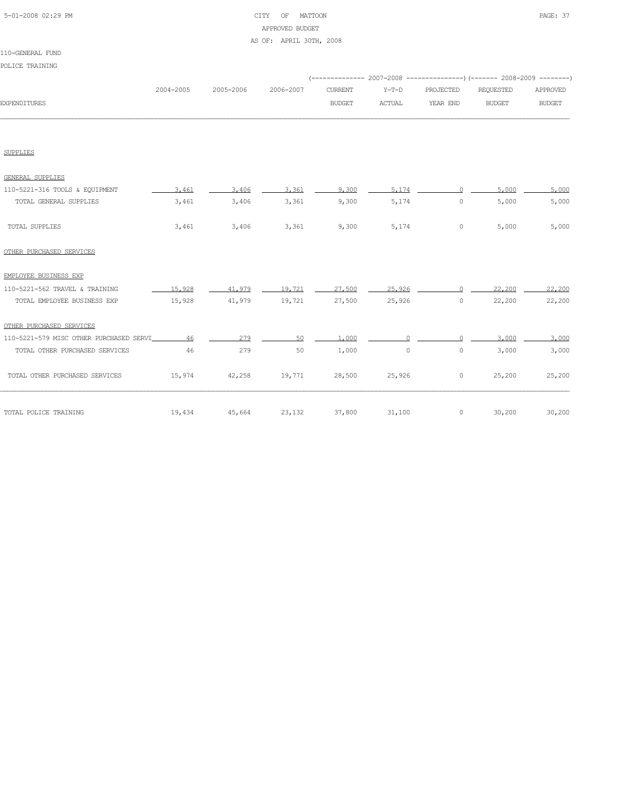### 5-01-2008 02:29 PM CITY OF MATTOON PAGE: 37 APPROVED BUDGET AS OF: APRIL 30TH, 2008

### 110-GENERAL FUND

| POLICE TRAINING                            |           |                      |           |                                 |                   |                       | (-------------- 2007-2008 ----------------) (------- 2008-2009 --------) |                           |
|--------------------------------------------|-----------|----------------------|-----------|---------------------------------|-------------------|-----------------------|--------------------------------------------------------------------------|---------------------------|
| <b>EXPENDITURES</b>                        | 2004-2005 | 2005-2006            | 2006-2007 | <b>CURRENT</b><br><b>BUDGET</b> | $Y-T-D$<br>ACTUAL | PROJECTED<br>YEAR END | <b>REQUESTED</b><br><b>BUDGET</b>                                        | APPROVED<br><b>BUDGET</b> |
|                                            |           |                      |           |                                 |                   |                       |                                                                          |                           |
| <b>SUPPLIES</b>                            |           |                      |           |                                 |                   |                       |                                                                          |                           |
| GENERAL SUPPLIES                           |           |                      |           |                                 |                   |                       |                                                                          |                           |
| 110-5221-316 TOOLS & EQUIPMENT             | 3.461     | 3,406                | 3.361     | 9,300                           | 5.174             | $\Omega$              | 5,000                                                                    | 5,000                     |
| TOTAL GENERAL SUPPLIES                     | 3,461     | 3,406                | 3,361     | 9,300                           | 5,174             | $\circ$               | 5,000                                                                    | 5,000                     |
| TOTAL SUPPLIES                             | 3,461     | 3,406                | 3,361     | 9,300                           | 5,174             | $\circ$               | 5,000                                                                    | 5,000                     |
| OTHER PURCHASED SERVICES                   |           |                      |           |                                 |                   |                       |                                                                          |                           |
| EMPLOYEE BUSINESS EXP                      |           |                      |           |                                 |                   |                       |                                                                          |                           |
| 110-5221-562 TRAVEL & TRAINING             | 15,928    | 41,979               | 19,721    | 27,500                          | 25,926            | $\Omega$              | 22,200                                                                   | 22,200                    |
| TOTAL EMPLOYEE BUSINESS EXP                | 15,928    | 41,979               | 19,721    | 27,500                          | 25,926            | $\circ$               | 22,200                                                                   | 22,200                    |
| OTHER PURCHASED SERVICES                   |           |                      |           |                                 |                   |                       |                                                                          |                           |
| 110-5221-579 MISC OTHER PURCHASED SERVI 46 |           | 279                  | 50        | 1,000                           |                   |                       | 3,000                                                                    | 3,000                     |
| TOTAL OTHER PURCHASED SERVICES             | 46        | 279                  | 50        | 1,000                           | $\circ$           | $\circ$               | 3,000                                                                    | 3,000                     |
| TOTAL OTHER PURCHASED SERVICES             |           | 15,974 42,258 19,771 |           |                                 | 28,500 25,926     | $\circ$               | 25,200                                                                   | 25,200                    |
| TOTAL POLICE TRAINING                      | 19,434    | 45,664               | 23,132    | 37,800                          | 31,100            | $\circ$               | 30,200                                                                   | 30,200                    |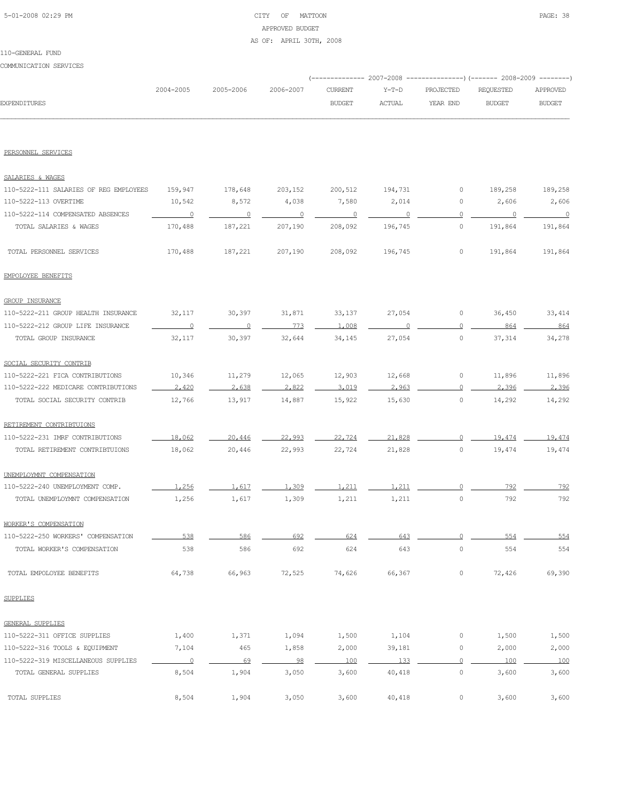### 5-01-2008 02:29 PM CITY OF MATTOON PAGE: 38 APPROVED BUDGET AS OF: APRIL 30TH, 2008

COMMUNICATION SERVICES

|                                        |                          |                |                          |                          |               |                     | (-------------- 2007-2008 ---------------) (------- 2008-2009 --------) |               |
|----------------------------------------|--------------------------|----------------|--------------------------|--------------------------|---------------|---------------------|-------------------------------------------------------------------------|---------------|
|                                        | 2004-2005                | 2005-2006      | 2006-2007                | <b>CURRENT</b>           | $Y-T-D$       | PROJECTED           | REQUESTED                                                               | APPROVED      |
| <b>EXPENDITURES</b>                    |                          |                |                          | <b>BUDGET</b>            | <b>ACTUAL</b> | YEAR END            | <b>BUDGET</b>                                                           | <b>BUDGET</b> |
|                                        |                          |                |                          |                          |               |                     |                                                                         |               |
| PERSONNEL SERVICES                     |                          |                |                          |                          |               |                     |                                                                         |               |
| SALARIES & WAGES                       |                          |                |                          |                          |               |                     |                                                                         |               |
| 110-5222-111 SALARIES OF REG EMPLOYEES | 159,947                  | 178,648        | 203,152                  | 200,512                  | 194,731       | 0                   | 189,258                                                                 | 189,258       |
| 110-5222-113 OVERTIME                  | 10,542                   | 8,572          | 4,038                    | 7,580                    | 2,014         | 0                   | 2,606                                                                   | 2,606         |
| 110-5222-114 COMPENSATED ABSENCES      | $\overline{\phantom{0}}$ |                | $\overline{\phantom{0}}$ | $\overline{\phantom{0}}$ | $\sim$ 0      | $\mathbf{0}$        |                                                                         |               |
| TOTAL SALARIES & WAGES                 | 170,488                  | 187,221        | 207,190                  | 208,092                  | 196,745       | $\circ$             | 191,864                                                                 | 191,864       |
| TOTAL PERSONNEL SERVICES               | 170,488                  | 187,221        | 207,190                  | 208,092                  | 196,745       | $\circ$             | 191,864                                                                 | 191,864       |
| EMPOLOYEE BENEFITS                     |                          |                |                          |                          |               |                     |                                                                         |               |
| <b>GROUP INSURANCE</b>                 |                          |                |                          |                          |               |                     |                                                                         |               |
| 110-5222-211 GROUP HEALTH INSURANCE    | 32,117                   | 30,397         | 31,871                   | 33,137                   | 27,054        | 0                   | 36,450                                                                  | 33,414        |
| 110-5222-212 GROUP LIFE INSURANCE      | $\circ$                  | $\overline{0}$ | 773                      | 1,008                    |               | $\mathbf{0}$        | 864                                                                     | 864           |
| TOTAL GROUP INSURANCE                  | 32,117                   | 30,397         | 32,644                   | 34,145                   | 27,054        | $\circ$             | 37,314                                                                  | 34,278        |
| SOCIAL SECURITY CONTRIB                |                          |                |                          |                          |               |                     |                                                                         |               |
| 110-5222-221 FICA CONTRIBUTIONS        | 10,346                   | 11,279         | 12,065                   | 12,903                   | 12,668        | $\circ$             | 11,896                                                                  | 11,896        |
| 110-5222-222 MEDICARE CONTRIBUTIONS    | 2,420                    | 2,638          | 2.822                    | 3,019                    | 2.963         | $\circ$             | 2,396                                                                   | 2,396         |
| TOTAL SOCIAL SECURITY CONTRIB          | 12,766                   | 13,917         | 14,887                   | 15,922                   | 15,630        | 0                   | 14,292                                                                  | 14,292        |
| RETIREMENT CONTRIBTUIONS               |                          |                |                          |                          |               |                     |                                                                         |               |
| 110-5222-231 IMRF CONTRIBUTIONS        | 18,062                   | 20,446         | 22,993                   | 22,724                   | 21,828        | $\circ$             | 19,474                                                                  | 19,474        |
| TOTAL RETIREMENT CONTRIBTUIONS         | 18,062                   | 20,446         | 22,993                   | 22,724                   | 21,828        | $\circ$             | 19,474                                                                  | 19,474        |
| UNEMPLOYMNT COMPENSATION               |                          |                |                          |                          |               |                     |                                                                         |               |
| 110-5222-240 UNEMPLOYMENT COMP.        | 1,256                    | 1,617          | 1,309                    | 1,211                    | 1,211         | $\mathbf{0}$        | 792                                                                     | 792           |
| TOTAL UNEMPLOYMNT COMPENSATION         | 1,256                    | 1,617          | 1,309                    | 1,211                    | 1,211         | $\circ$             | 792                                                                     | 792           |
| WORKER'S COMPENSATION                  |                          |                |                          |                          |               |                     |                                                                         |               |
| 110-5222-250 WORKERS' COMPENSATION     | 538                      | 586            | 692                      | 624                      | 643           | $\circ$             | 554                                                                     | 554           |
| TOTAL WORKER'S COMPENSATION            | 538                      | 586            | 692                      | 624                      | 643           | $\mathsf{O}\xspace$ | 554                                                                     | 554           |
| TOTAL EMPOLOYEE BENEFITS               | 64,738                   | 66,963         | 72,525                   | 74,626                   | 66,367        | $\circ$             | 72,426                                                                  | 69,390        |
| SUPPLIES                               |                          |                |                          |                          |               |                     |                                                                         |               |
| GENERAL SUPPLIES                       |                          |                |                          |                          |               |                     |                                                                         |               |
| 110-5222-311 OFFICE SUPPLIES           | 1,400                    | 1,371          | 1,094                    | 1,500                    | 1,104         | 0                   | 1,500                                                                   | 1,500         |
| 110-5222-316 TOOLS & EQUIPMENT         | 7,104                    | 465            | 1,858                    | 2,000                    | 39,181        | 0                   | 2,000                                                                   | 2,000         |
| 110-5222-319 MISCELLANEOUS SUPPLIES    | $\overline{0}$           | 69             | 98                       | 100                      | 133           | $\mathbf{0}$        | 100                                                                     | 100           |
| TOTAL GENERAL SUPPLIES                 | 8,504                    | 1,904          | 3,050                    | 3,600                    | 40,418        | $\circ$             | 3,600                                                                   | 3,600         |
| TOTAL SUPPLIES                         | 8,504                    | 1,904          | 3,050                    | 3,600                    | 40,418        | $\circ$             | 3,600                                                                   | 3,600         |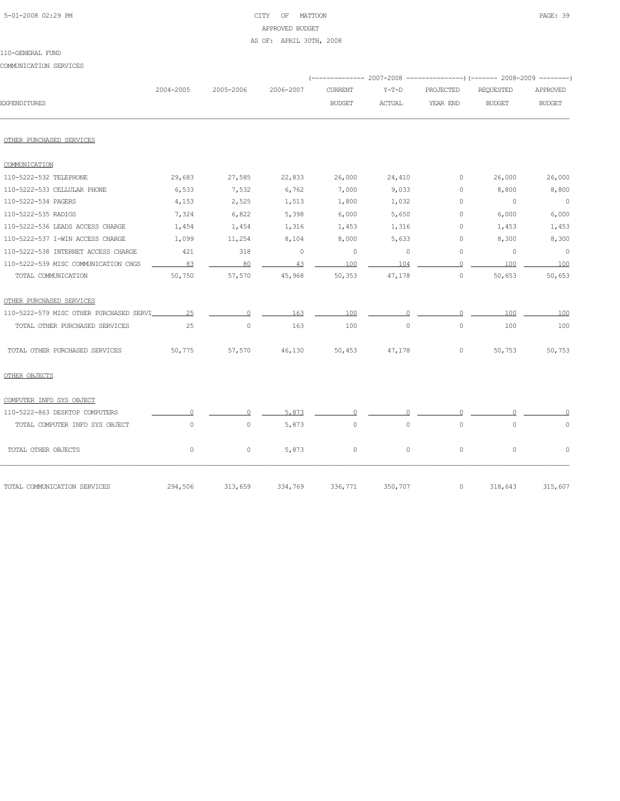### 5-01-2008 02:29 PM CITY OF MATTOON PAGE: 39 APPROVED BUDGET AS OF: APRIL 30TH, 2008

#### 110-GENERAL FUND

COMMUNICATION SERVICES

| 2004-2005                                     | 2005-2006 | 2006-2007 | <b>CURRENT</b> | $Y-T-D$       | PROJECTED             | <b>REQUESTED</b> | APPROVED                                       |
|-----------------------------------------------|-----------|-----------|----------------|---------------|-----------------------|------------------|------------------------------------------------|
|                                               |           |           | <b>BUDGET</b>  | <b>ACTUAL</b> | YEAR END              | <b>BUDGET</b>    | <b>BUDGET</b>                                  |
|                                               |           |           |                |               |                       |                  |                                                |
|                                               |           |           |                |               |                       |                  |                                                |
|                                               |           |           |                |               |                       |                  |                                                |
| 29,683                                        | 27,585    | 22,833    | 26,000         | 24,410        | $\circ$               | 26,000           | 26,000                                         |
| 6,533                                         | 7,532     | 6,762     | 7,000          | 9,033         | $\circ$               | 8,800            | 8,800                                          |
| 4,153                                         | 2,525     | 1,513     | 1,800          | 1,032         | $\Omega$              | $\overline{0}$   | $\overline{0}$                                 |
| 7,324                                         | 6,822     | 5,398     | 6,000          | 5,650         | $\circ$               | 6,000            | 6,000                                          |
| 1,454                                         | 1,454     | 1,316     | 1,453          | 1,316         | $\circ$               | 1,453            | 1,453                                          |
| 1,099                                         | 11,254    | 8,104     | 8,000          | 5,633         | 0                     | 8,300            | 8,300                                          |
| 421                                           | 318       | $\circ$   | $\circ$        | $\circ$       | $\circ$               | $\circ$          | $\overline{0}$                                 |
| 83                                            | 80        | 43        | 100            | 104           | $\Omega$              | 100              | 100                                            |
| 50,750                                        | 57,570    | 45,968    | 50,353         | 47,178        | 0                     | 50,653           | 50,653                                         |
|                                               |           |           |                |               |                       |                  |                                                |
| 25<br>110-5222-579 MISC OTHER PURCHASED SERVI | $\Omega$  | 163       | 100            |               | $\Omega$              | 100              | 100                                            |
| 25                                            | $\circ$   | 163       | 100            | 0             | $\circ$               | 100              | 100                                            |
| 50,775                                        | 57,570    | 46,130    | 50,453         | 47,178        | $\circ$               | 50,753           | 50,753                                         |
|                                               |           |           |                |               |                       |                  |                                                |
|                                               |           |           |                |               |                       |                  |                                                |
| $\cap$                                        | $\Omega$  | 5.873     | $\Omega$       | $\Omega$      | $\Omega$              |                  |                                                |
| $\circ$                                       | $\circ$   | 5,873     | $\circ$        | $\circ$       | $\circ$               | $\circ$          | $\circ$                                        |
| $\circ$                                       | $\circ$   | 5,873     | 0              | $\mathbf{0}$  | $\circ$               | $\circ$          | $\circ$                                        |
| 294,506                                       | 313,659   | 334,769   | 336,771        | 350,707       | $\circ$               | 318,643          | 315,607                                        |
|                                               |           |           |                |               | ----------- 2007-2008 |                  | ----------------) (------- 2008-2009 --------) |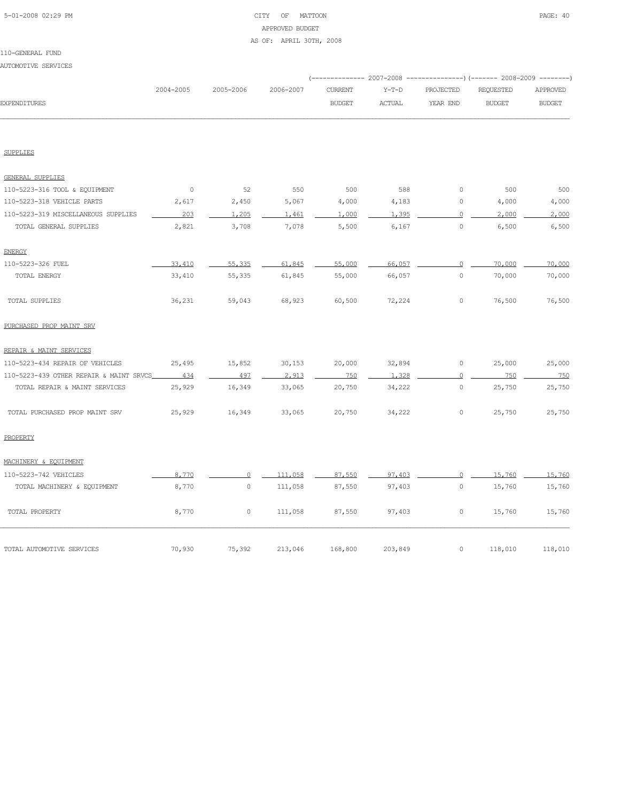### 5-01-2008 02:29 PM CITY OF MATTOON PAGE: 40 APPROVED BUDGET AS OF: APRIL 30TH, 2008

110-GENERAL FUND AUTOMOTIVE SERVICES

|                                         |           |           |           |                |               |                     | (-------------- 2007-2008 ---------------) (------- 2008-2009 --------) |               |
|-----------------------------------------|-----------|-----------|-----------|----------------|---------------|---------------------|-------------------------------------------------------------------------|---------------|
|                                         | 2004-2005 | 2005-2006 | 2006-2007 | <b>CURRENT</b> | $Y-T-D$       | PROJECTED           | REQUESTED                                                               | APPROVED      |
| <b>EXPENDITURES</b>                     |           |           |           | <b>BUDGET</b>  | <b>ACTUAL</b> | YEAR END            | <b>BUDGET</b>                                                           | <b>BUDGET</b> |
|                                         |           |           |           |                |               |                     |                                                                         |               |
| <b>SUPPLIES</b>                         |           |           |           |                |               |                     |                                                                         |               |
| GENERAL SUPPLIES                        |           |           |           |                |               |                     |                                                                         |               |
| 110-5223-316 TOOL & EQUIPMENT           | $\circ$   | 52        | 550       | 500            | 588           | $\circ$             | 500                                                                     | 500           |
| 110-5223-318 VEHICLE PARTS              | 2,617     | 2,450     | 5,067     | 4,000          | 4,183         | $\mathbb O$         | 4,000                                                                   | 4,000         |
| 110-5223-319 MISCELLANEOUS SUPPLIES     | 203       | 1,205     | 1,461     | 1,000          | 1.395         | $\circ$             | 2,000                                                                   | 2,000         |
| TOTAL GENERAL SUPPLIES                  | 2,821     | 3,708     | 7,078     | 5,500          | 6,167         | $\mathsf{O}\xspace$ | 6,500                                                                   | 6,500         |
| <b>ENERGY</b>                           |           |           |           |                |               |                     |                                                                         |               |
| 110-5223-326 FUEL                       | 33,410    | 55,335    | 61,845    | 55,000         | 66,057        | $\Omega$            | 70,000                                                                  | 70,000        |
| TOTAL ENERGY                            | 33,410    | 55,335    | 61,845    | 55,000         | 66,057        | $\circ$             | 70,000                                                                  | 70,000        |
| TOTAL SUPPLIES                          | 36,231    | 59,043    | 68,923    | 60,500         | 72,224        | $\circ$             | 76,500                                                                  | 76,500        |
| PURCHASED PROP MAINT SRV                |           |           |           |                |               |                     |                                                                         |               |
| REPAIR & MAINT SERVICES                 |           |           |           |                |               |                     |                                                                         |               |
| 110-5223-434 REPAIR OF VEHICLES         | 25,495    | 15,852    | 30,153    | 20,000         | 32,894        | $\circ$             | 25,000                                                                  | 25,000        |
| 110-5223-439 OTHER REPAIR & MAINT SRVCS | 434       | 497       | 2,913     | 750            | 1,328         | $\overline{0}$      | 750                                                                     | 750           |
| TOTAL REPAIR & MAINT SERVICES           | 25,929    | 16,349    | 33,065    | 20,750         | 34,222        | $\circ$             | 25,750                                                                  | 25,750        |
| TOTAL PURCHASED PROP MAINT SRV          | 25,929    | 16,349    | 33,065    | 20,750         | 34,222        | $\circ$             | 25,750                                                                  | 25,750        |
| PROPERTY                                |           |           |           |                |               |                     |                                                                         |               |
| MACHINERY & EOUIPMENT                   |           |           |           |                |               |                     |                                                                         |               |
| 110-5223-742 VEHICLES                   | 8,770     | $\Omega$  | 111,058   | 87,550         | 97,403        | $\circ$             | 15,760                                                                  | 15,760        |
| TOTAL MACHINERY & EQUIPMENT             | 8,770     | $\circ$   | 111,058   | 87,550         | 97,403        | $\circ$             | 15,760                                                                  | 15,760        |
| TOTAL PROPERTY                          | 8,770     | $\circ$   | 111,058   | 87,550         | 97,403        | 0                   | 15,760                                                                  | 15,760        |
| TOTAL AUTOMOTIVE SERVICES               | 70,930    | 75,392    | 213,046   | 168,800        | 203,849       | 0                   | 118,010                                                                 | 118,010       |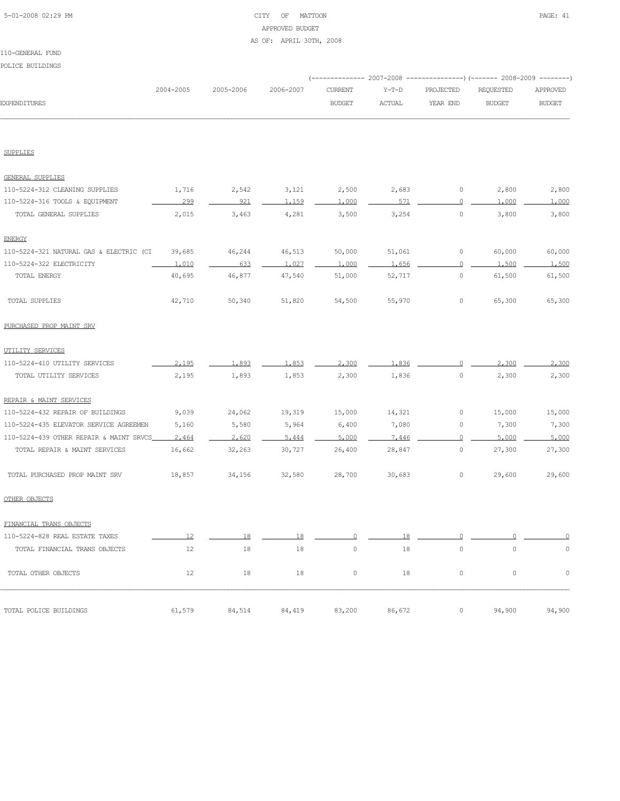### 5-01-2008 02:29 PM CITY OF MATTOON PAGE: 41 APPROVED BUDGET AS OF: APRIL 30TH, 2008

#### 110-GENERAL FUND

POLICE BUILDINGS

| POPTCE RATTDIMA2                        |           |           |           |                |               |                     | (------------- 2007-2008 ---------------) (------- 2008-2009 -------- |               |
|-----------------------------------------|-----------|-----------|-----------|----------------|---------------|---------------------|-----------------------------------------------------------------------|---------------|
|                                         | 2004-2005 | 2005-2006 | 2006-2007 | <b>CURRENT</b> | $Y-T-D$       | PROJECTED           | REQUESTED                                                             | APPROVED      |
| <b>EXPENDITURES</b>                     |           |           |           | <b>BUDGET</b>  | <b>ACTUAL</b> | YEAR END            | <b>BUDGET</b>                                                         | <b>BUDGET</b> |
|                                         |           |           |           |                |               |                     |                                                                       |               |
| <b>SUPPLIES</b>                         |           |           |           |                |               |                     |                                                                       |               |
| <b>GENERAL SUPPLIES</b>                 |           |           |           |                |               |                     |                                                                       |               |
| 110-5224-312 CLEANING SUPPLIES          | 1,716     | 2,542     | 3,121     | 2,500          | 2,683         | 0                   | 2,800                                                                 | 2,800         |
| 110-5224-316 TOOLS & EQUIPMENT          | 299       | 921       | 1.159     | 1,000          | 571           | $\circ$             | 1,000                                                                 | 1,000         |
| TOTAL GENERAL SUPPLIES                  | 2,015     | 3,463     | 4,281     | 3,500          | 3,254         | $\circ$             | 3,800                                                                 | 3,800         |
| <b>ENERGY</b>                           |           |           |           |                |               |                     |                                                                       |               |
| 110-5224-321 NATURAL GAS & ELECTRIC (CI | 39,685    | 46,244    | 46,513    | 50,000         | 51,061        | 0                   | 60,000                                                                | 60,000        |
| 110-5224-322 ELECTRICITY                | 1.010     | 633       | 1.027     | 1,000          | 1.656         | $\Omega$            | 1,500                                                                 | 1,500         |
| TOTAL ENERGY                            | 40,695    | 46,877    | 47,540    | 51,000         | 52,717        | $\circ$             | 61,500                                                                | 61,500        |
| TOTAL SUPPLIES                          | 42,710    | 50,340    | 51,820    | 54,500         | 55,970        | $\circ$             | 65,300                                                                | 65,300        |
| PURCHASED PROP MAINT SRV                |           |           |           |                |               |                     |                                                                       |               |
| UTILITY SERVICES                        |           |           |           |                |               |                     |                                                                       |               |
| 110-5224-410 UTILITY SERVICES           | 2,195     | 1,893     | 1.853     | 2,300          | 1,836         | 0                   | 2,300                                                                 | 2,300         |
| TOTAL UTILITY SERVICES                  | 2,195     | 1,893     | 1,853     | 2,300          | 1,836         | $\mathsf{O}\xspace$ | 2,300                                                                 | 2,300         |
| REPAIR & MAINT SERVICES                 |           |           |           |                |               |                     |                                                                       |               |
| 110-5224-432 REPAIR OF BUILDINGS        | 9,039     | 24,062    | 19,319    | 15,000         | 14,321        | 0                   | 15,000                                                                | 15,000        |
| 110-5224-435 ELEVATOR SERVICE AGREEMEN  | 5,160     | 5,580     | 5,964     | 6,400          | 7,080         | 0                   | 7,300                                                                 | 7,300         |
| 110-5224-439 OTHER REPAIR & MAINT SRVCS | 2,464     | 2.620     | 5,444     | 5,000          | 7,446         | $\Omega$            | 5,000                                                                 | 5,000         |
| TOTAL REPAIR & MAINT SERVICES           | 16,662    | 32,263    | 30,727    | 26,400         | 28,847        | 0                   | 27,300                                                                | 27,300        |
| TOTAL PURCHASED PROP MAINT SRV          | 18,857    | 34,156    | 32,580    | 28,700         | 30,683        | 0                   | 29,600                                                                | 29,600        |
| OTHER OBJECTS                           |           |           |           |                |               |                     |                                                                       |               |
| FINANCIAL TRANS OBJECTS                 |           |           |           |                |               |                     |                                                                       |               |
| 110-5224-828 REAL ESTATE TAXES          | 12        | 18        | 18        | Λ              | 18            | $\cap$              |                                                                       | $\Omega$      |
| TOTAL FINANCIAL TRANS OBJECTS           | 12        | 18        | 18        | $\circ$        | 18            | $\mathbb O$         | $\mathbb O$                                                           | $\mathbb O$   |
| TOTAL OTHER OBJECTS                     | 12        | 18        | 18        | 0              | 18            | $\mathsf{O}\xspace$ | $\mathbb O$                                                           | $\mathbb O$   |
| TOTAL POLICE BUILDINGS                  | 61,579    | 84,514    | 84,419    | 83,200         | 86,672        | 0                   | 94,900                                                                | 94,900        |
|                                         |           |           |           |                |               |                     |                                                                       |               |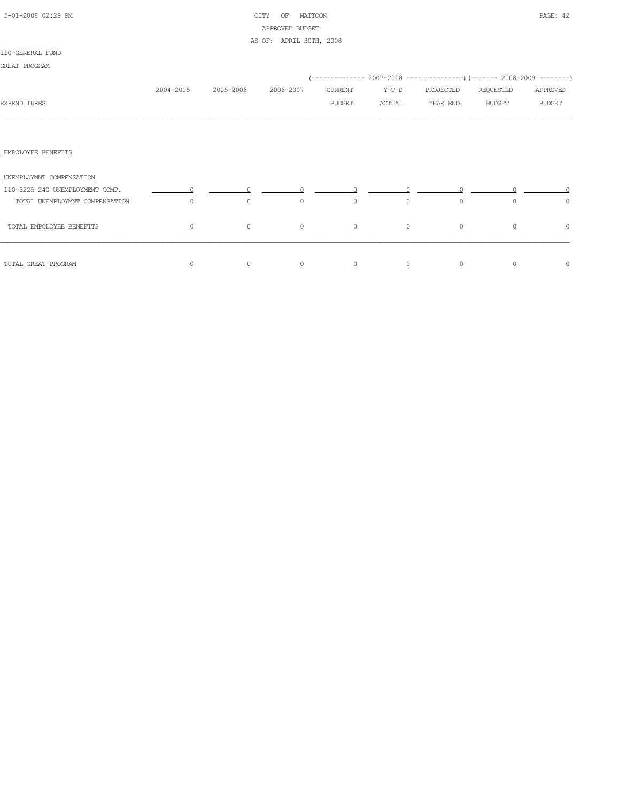### 5-01-2008 02:29 PM CITY OF MATTOON PAGE: 42 APPROVED BUDGET AS OF: APRIL 30TH, 2008

## 110-GENERAL FUND

| GREAT PROGRAM                   |           |           |           |         |         |                                                                          |               |               |
|---------------------------------|-----------|-----------|-----------|---------|---------|--------------------------------------------------------------------------|---------------|---------------|
|                                 |           |           |           |         |         | (-------------- 2007-2008 ----------------) (------- 2008-2009 --------) |               |               |
|                                 | 2004-2005 | 2005-2006 | 2006-2007 | CURRENT | Y-T-D   | PROJECTED                                                                | REQUESTED     | APPROVED      |
| <b>EXPENDITURES</b>             |           |           |           | BUDGET  | ACTUAL  | YEAR END                                                                 | <b>BUDGET</b> | <b>BUDGET</b> |
|                                 |           |           |           |         |         |                                                                          |               |               |
|                                 |           |           |           |         |         |                                                                          |               |               |
| EMPOLOYEE BENEFITS              |           |           |           |         |         |                                                                          |               |               |
| UNEMPLOYMNT COMPENSATION        |           |           |           |         |         |                                                                          |               |               |
| 110-5225-240 UNEMPLOYMENT COMP. |           |           |           |         |         |                                                                          |               |               |
| TOTAL UNEMPLOYMNT COMPENSATION  | $\circ$   | $\circ$   | $\circ$   | $\circ$ | $\circ$ | $\circ$                                                                  | $\circ$       | $\circ$       |
| TOTAL EMPOLOYEE BENEFITS        | $\circ$   | $\circ$   | $\circ$   | $\circ$ | $\circ$ | $\circ$                                                                  | $\circ$       | $\circ$       |
|                                 |           |           |           |         |         |                                                                          |               |               |
| TOTAL GREAT PROGRAM             | 0         | $\circ$   | $\circ$   | $\circ$ | $\circ$ | $\circ$                                                                  | $\circ$       | 0             |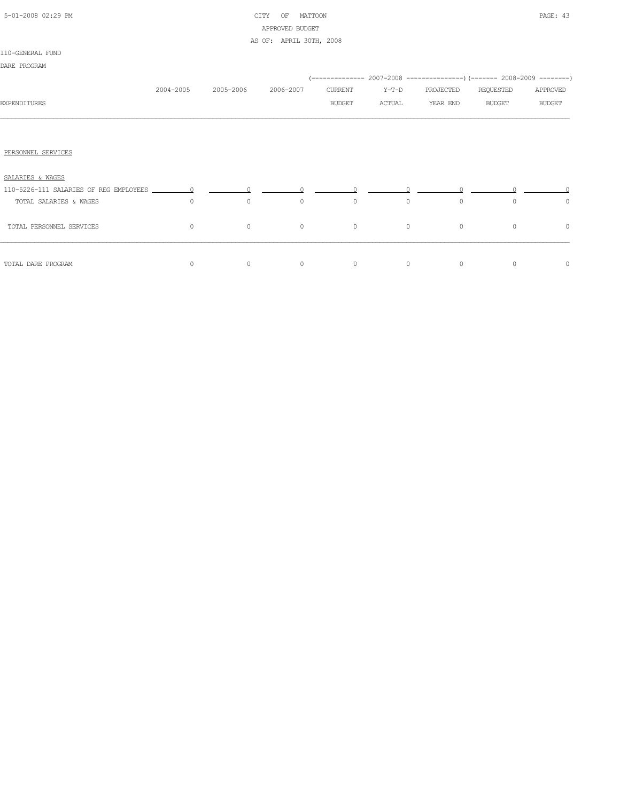### 5-01-2008 02:29 PM CITY OF MATTOON PAGE: 43 APPROVED BUDGET AS OF: APRIL 30TH, 2008

| 2004-2005 |         |                      | CURRENT              | $Y-T-D$ | PROJECTED | REQUESTED               | APPROVED                                                                      |
|-----------|---------|----------------------|----------------------|---------|-----------|-------------------------|-------------------------------------------------------------------------------|
|           |         |                      | <b>BUDGET</b>        | ACTUAL  | YEAR END  | <b>BUDGET</b>           | <b>BUDGET</b>                                                                 |
|           |         |                      |                      |         |           |                         |                                                                               |
|           |         |                      |                      |         |           |                         |                                                                               |
|           |         |                      |                      |         |           |                         |                                                                               |
|           |         |                      |                      |         |           |                         |                                                                               |
|           |         |                      |                      |         |           |                         |                                                                               |
| $\circ$   | $\circ$ | $\circ$              | $\circ$              |         | $\circ$   | 0                       | 0                                                                             |
| 0         | $\circ$ | $\circ$              | $\circ$              |         | $\circ$   | $\Omega$                | 0                                                                             |
|           |         |                      |                      |         |           |                         | $\circ$                                                                       |
|           | $\circ$ | 2005-2006<br>$\circ$ | 2006-2007<br>$\circ$ | $\circ$ | $\circ$   | $\circ$<br>$\circ$<br>0 | (-------------- 2007-2008 ----------------) (------- 2008-2009 --------)<br>0 |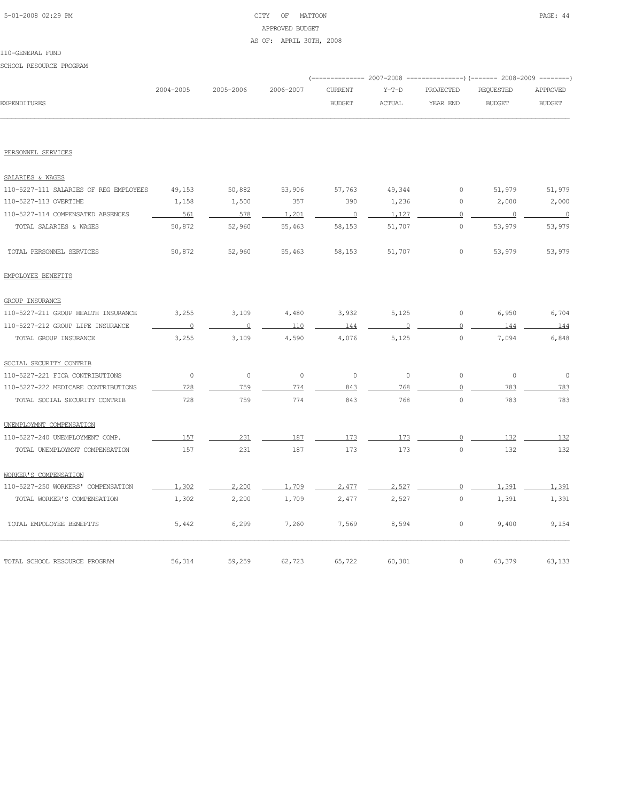### 5-01-2008 02:29 PM CITY OF MATTOON PAGE: 44 APPROVED BUDGET AS OF: APRIL 30TH, 2008

SCHOOL RESOURCE PROGRAM

|                                        |           |           |           | ---------- 2007-2008 |               |                | ----------------) (------- 2008-2009 -------- |                |
|----------------------------------------|-----------|-----------|-----------|----------------------|---------------|----------------|-----------------------------------------------|----------------|
|                                        | 2004-2005 | 2005-2006 | 2006-2007 | <b>CURRENT</b>       | $Y-T-D$       | PROJECTED      | REQUESTED                                     | APPROVED       |
| <b>EXPENDITURES</b>                    |           |           |           | <b>BUDGET</b>        | <b>ACTUAL</b> | YEAR END       | <b>BUDGET</b>                                 | <b>BUDGET</b>  |
|                                        |           |           |           |                      |               |                |                                               |                |
| PERSONNEL SERVICES                     |           |           |           |                      |               |                |                                               |                |
| SALARIES & WAGES                       |           |           |           |                      |               |                |                                               |                |
| 110-5227-111 SALARIES OF REG EMPLOYEES | 49,153    | 50,882    | 53,906    | 57,763               | 49,344        | 0              | 51,979                                        | 51,979         |
| 110-5227-113 OVERTIME                  | 1,158     | 1,500     | 357       | 390                  | 1,236         | $\circ$        | 2,000                                         | 2,000          |
| 110-5227-114 COMPENSATED ABSENCES      | 561       | 578       | 1,201     | $\overline{0}$       | 1,127         | $\overline{0}$ | $\overline{0}$                                | $\overline{0}$ |
| TOTAL SALARIES & WAGES                 | 50,872    | 52,960    | 55,463    | 58,153               | 51,707        | $\circ$        | 53,979                                        | 53,979         |
| TOTAL PERSONNEL SERVICES               | 50,872    | 52,960    | 55,463    | 58,153               | 51,707        | $\circ$        | 53,979                                        | 53,979         |
| EMPOLOYEE BENEFITS                     |           |           |           |                      |               |                |                                               |                |
| GROUP INSURANCE                        |           |           |           |                      |               |                |                                               |                |
| 110-5227-211 GROUP HEALTH INSURANCE    | 3,255     | 3,109     | 4,480     | 3,932                | 5,125         | $\circ$        | 6,950                                         | 6,704          |
| 110-5227-212 GROUP LIFE INSURANCE      | $\Omega$  | $\Omega$  | 110       | 144                  |               | $\Omega$       | 144                                           | 144            |
| TOTAL GROUP INSURANCE                  | 3,255     | 3,109     | 4,590     | 4,076                | 5,125         | $\circ$        | 7,094                                         | 6,848          |
| SOCIAL SECURITY CONTRIB                |           |           |           |                      |               |                |                                               |                |
| 110-5227-221 FICA CONTRIBUTIONS        | $\circ$   | $\circ$   | $\circ$   | $\circ$              | $\circ$       | $\circ$        | $\circ$                                       | $\circ$        |
| 110-5227-222 MEDICARE CONTRIBUTIONS    | 728       | 759       | 774       | 843                  | 768           | $\Omega$       | 783                                           | 783            |
| TOTAL SOCIAL SECURITY CONTRIB          | 728       | 759       | 774       | 843                  | 768           | $\circ$        | 783                                           | 783            |
| UNEMPLOYMNT COMPENSATION               |           |           |           |                      |               |                |                                               |                |
| 110-5227-240 UNEMPLOYMENT COMP.        | 157       | 231       | 187       | 173                  | 173           | $\Omega$       | 132                                           | 132            |
| TOTAL UNEMPLOYMNT COMPENSATION         | 157       | 231       | 187       | 173                  | 173           | $\circ$        | 132                                           | 132            |
| WORKER'S COMPENSATION                  |           |           |           |                      |               |                |                                               |                |
| 110-5227-250 WORKERS' COMPENSATION     | 1,302     | 2,200     | 1,709     | 2,477                | 2,527         | $\circ$        | 1,391                                         | 1,391          |
| TOTAL WORKER'S COMPENSATION            | 1,302     | 2,200     | 1,709     | 2,477                | 2,527         | $\circ$        | 1,391                                         | 1,391          |
| TOTAL EMPOLOYEE BENEFITS               | 5,442     | 6,299     | 7,260     | 7,569                | 8,594         | 0              | 9,400                                         | 9,154          |
| TOTAL SCHOOL RESOURCE PROGRAM          | 56,314    | 59,259    | 62,723    | 65,722               | 60,301        | $\circ$        | 63,379                                        | 63,133         |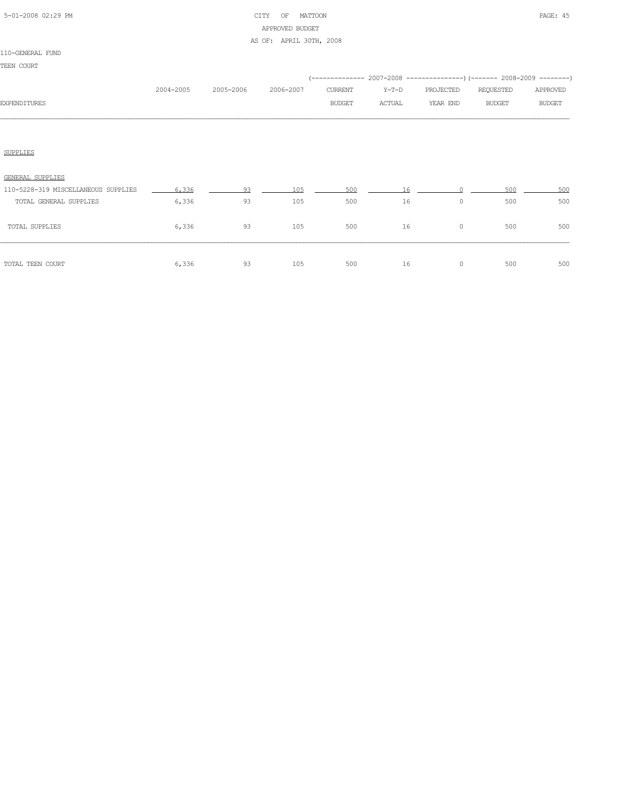### 5-01-2008 02:29 PM CITY OF MATTOON PAGE: 45 APPROVED BUDGET AS OF: APRIL 30TH, 2008

|                                     | 2004-2005 | 2005-2006 | 2006-2007 | <b>CURRENT</b> | $Y-T-D$ | PROJECTED | (-------------- 2007-2008 ----------------) (------- 2008-2009 --------)<br>REQUESTED | APPROVED      |
|-------------------------------------|-----------|-----------|-----------|----------------|---------|-----------|---------------------------------------------------------------------------------------|---------------|
| <b>EXPENDITURES</b>                 |           |           |           | <b>BUDGET</b>  | ACTUAL  | YEAR END  | <b>BUDGET</b>                                                                         | <b>BUDGET</b> |
|                                     |           |           |           |                |         |           |                                                                                       |               |
| <b>SUPPLIES</b>                     |           |           |           |                |         |           |                                                                                       |               |
| GENERAL SUPPLIES                    |           |           |           |                |         |           |                                                                                       |               |
| 110-5228-319 MISCELLANEOUS SUPPLIES | 6,336     | 93        | 105       | 500            | 16      |           | 500                                                                                   | 500           |
| TOTAL GENERAL SUPPLIES              | 6,336     | 93        | 105       | 500            | 16      | 0         | 500                                                                                   | 500           |
| TOTAL SUPPLIES                      | 6,336     | 93        | 105       | 500            | 16      | 0         | 500                                                                                   | 500           |
|                                     |           |           |           |                |         |           |                                                                                       |               |

TOTAL TEEN COURT 6,336 93 105 500 16 0 500 500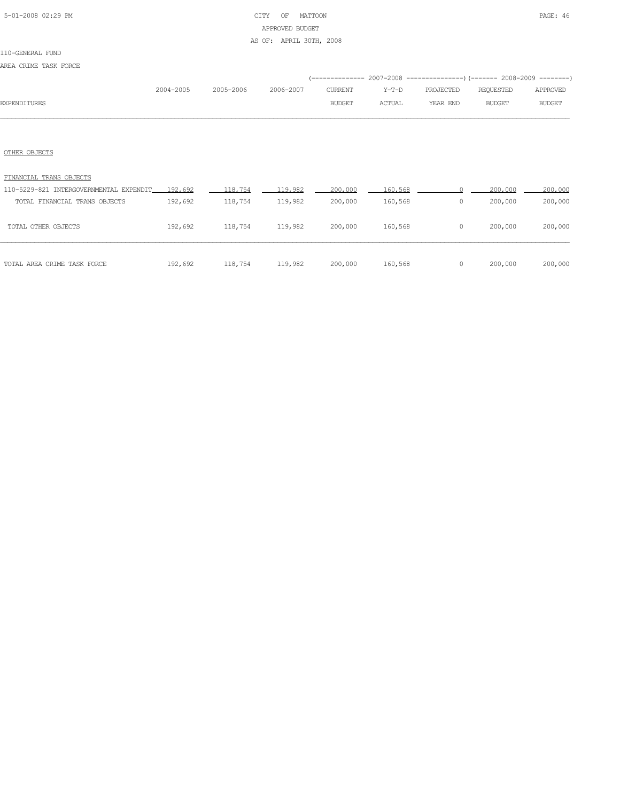### 5-01-2008 02:29 PM CITY OF MATTOON PAGE: 46 APPROVED BUDGET AS OF: APRIL 30TH, 2008

# 110-GENERAL FUND

AREA CRIME TASK FORCE

|                     |           |           |           |               |               | (-------------- 2007-2008 ----------------) (------- 2008-2009 --------) |           |               |
|---------------------|-----------|-----------|-----------|---------------|---------------|--------------------------------------------------------------------------|-----------|---------------|
|                     | 2004-2005 | 2005-2006 | 2006-2007 | CURRENT       | Y-T-D         | PROJECTED                                                                | REOUESTED | APPROVED      |
| <b>EXPENDITURES</b> |           |           |           | <b>BUDGET</b> | <b>ACTUAL</b> | YEAR END                                                                 | BUDGET    | <b>BUDGET</b> |
|                     |           |           |           |               |               |                                                                          |           |               |

### OTHER OBJECTS

| TOTAL AREA CRIME TASK FORCE             | 192,692 | 118,754 | 119,982 | 200,000 | 160,568 | 0 | 200,000 | 200,000 |
|-----------------------------------------|---------|---------|---------|---------|---------|---|---------|---------|
| TOTAL OTHER OBJECTS                     | 192,692 | 118,754 | 119,982 | 200,000 | 160,568 | 0 | 200,000 | 200,000 |
| TOTAL FINANCIAL TRANS OBJECTS           | 192,692 | 118,754 | 119,982 | 200,000 | 160,568 | 0 | 200,000 | 200,000 |
| 110-5229-821 INTERGOVERNMENTAL EXPENDIT | 192,692 | 118,754 | 119,982 | 200,000 | 160,568 |   | 200,000 | 200,000 |
| FINANCIAL TRANS OBJECTS                 |         |         |         |         |         |   |         |         |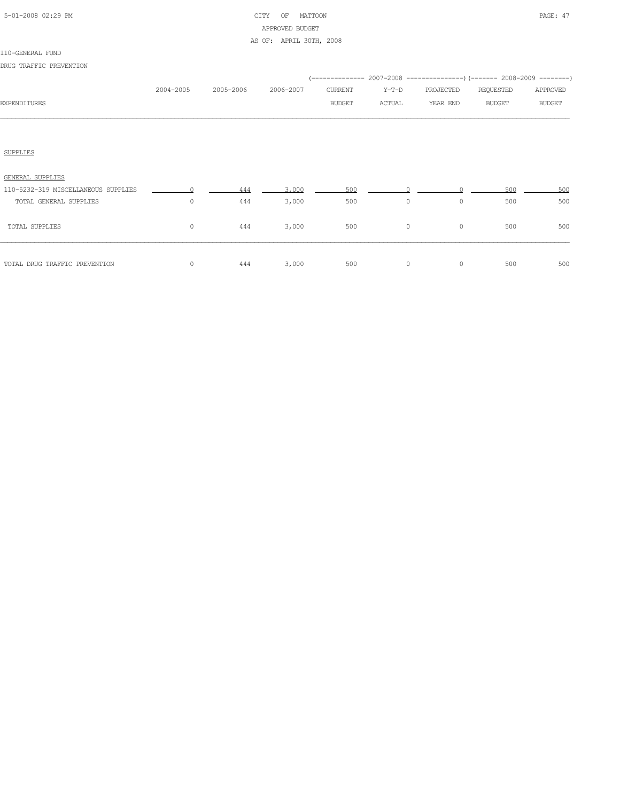| 5-01-2008 02:29 PM |  |
|--------------------|--|

### CITY OF MATTOON PAGE: 47 APPROVED BUDGET AS OF: APRIL 30TH, 2008

|                                     |                |           |           |               |         | (-------------- 2007-2008 --------------------) (------- 2008-2009 ---------) |               |               |
|-------------------------------------|----------------|-----------|-----------|---------------|---------|-------------------------------------------------------------------------------|---------------|---------------|
|                                     | 2004-2005      | 2005-2006 | 2006-2007 | CURRENT       | Y-T-D   | PROJECTED                                                                     | REQUESTED     | APPROVED      |
| <b>EXPENDITURES</b>                 |                |           |           | <b>BUDGET</b> | ACTUAL  | YEAR END                                                                      | <b>BUDGET</b> | <b>BUDGET</b> |
|                                     |                |           |           |               |         |                                                                               |               |               |
|                                     |                |           |           |               |         |                                                                               |               |               |
| SUPPLIES                            |                |           |           |               |         |                                                                               |               |               |
|                                     |                |           |           |               |         |                                                                               |               |               |
| GENERAL SUPPLIES                    |                |           |           |               |         |                                                                               |               |               |
| 110-5232-319 MISCELLANEOUS SUPPLIES | $\overline{0}$ | 444       | 3,000     | 500           |         |                                                                               | 500           | 500           |
| TOTAL GENERAL SUPPLIES              | 0              | 444       | 3,000     | 500           | $\circ$ | $\circ$                                                                       | 500           | 500           |

| TOTAL SUPPLIES                | 444 | 3,000 | 500 | 0 | 500 | 500 |
|-------------------------------|-----|-------|-----|---|-----|-----|
| TOTAL DRUG TRAFFIC PREVENTION | 444 | 3,000 | 500 | 0 | 500 | 500 |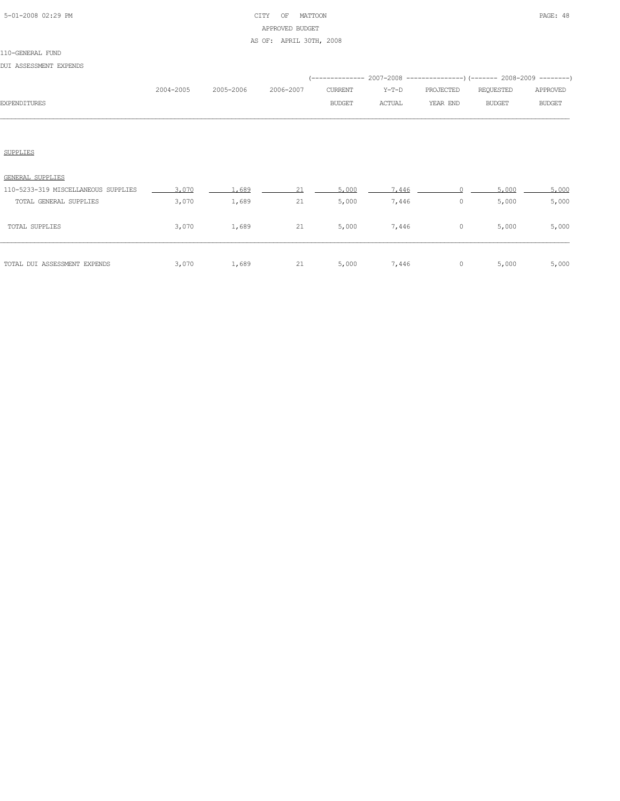### 5-01-2008 02:29 PM CITY OF MATTOON PAGE: 48 APPROVED BUDGET AS OF: APRIL 30TH, 2008

#### 110-GENERAL FUND

DUI ASSESSMENT EXPENDS

| 2004-2005 | 2005-2006 2006-2007 | CURRENT Y-T-D |        | PROJECTED | REOUESTED     | APPROVED      |
|-----------|---------------------|---------------|--------|-----------|---------------|---------------|
|           |                     | <b>BUDGET</b> | ACTUAL | YEAR END  | <b>BUDGET</b> | <b>BUDGET</b> |
|           |                     |               |        |           |               |               |

### SUPPLIES

| TOTAL DUI ASSESSMENT EXPENDS        | 3,070 | 1,689 | 21 | 5,000 | 7,446 | 0       | 5,000 | 5,000 |
|-------------------------------------|-------|-------|----|-------|-------|---------|-------|-------|
| TOTAL SUPPLIES                      | 3,070 | 1,689 | 21 | 5,000 | 7,446 | $\circ$ | 5,000 | 5,000 |
| TOTAL GENERAL SUPPLIES              | 3,070 | 1,689 | 21 | 5,000 | 7,446 | 0       | 5,000 | 5,000 |
| 110-5233-319 MISCELLANEOUS SUPPLIES | 3.070 | .689  | 21 | 5,000 | 7.446 |         | 5,000 | 5,000 |
| GENERAL SUPPLIES                    |       |       |    |       |       |         |       |       |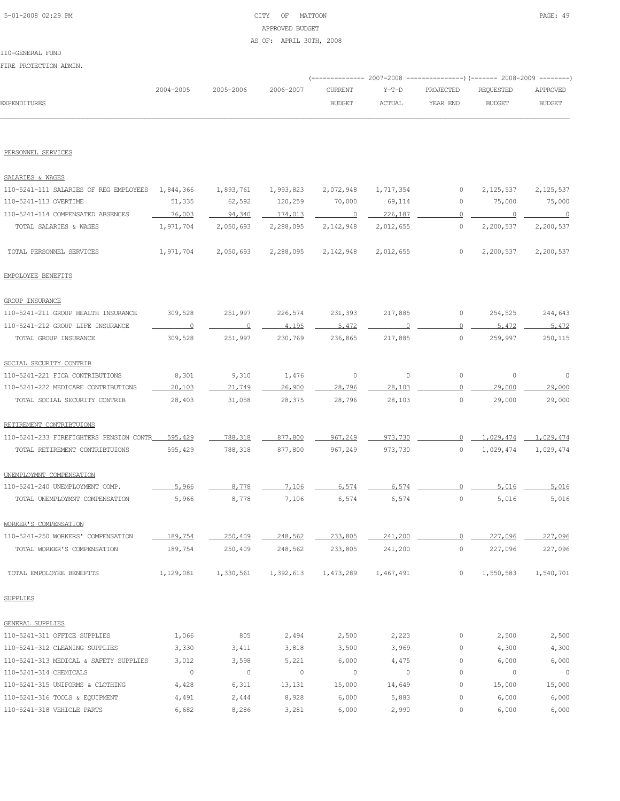# 5-01-2008 02:29 PM CITY OF MATTOON PAGE: 49 APPROVED BUDGET

AS OF: APRIL 30TH, 2008

### 110-GENERAL FUND

| FIRE FRUIECIIUN ADMIN.                                      |                          |                     |                      |                             |                      |              |                                                                                            |                             |
|-------------------------------------------------------------|--------------------------|---------------------|----------------------|-----------------------------|----------------------|--------------|--------------------------------------------------------------------------------------------|-----------------------------|
|                                                             | 2004-2005                | 2005-2006           | 2006-2007            | <b>CURRENT</b>              | $Y-T-D$              | PROJECTED    | (------------- 2007-2008 ----------------) (------- 2008-2009 --------<br><b>REQUESTED</b> | APPROVED                    |
| EXPENDITURES                                                |                          |                     |                      | <b>BUDGET</b>               | ACTUAL               | YEAR END     | <b>BUDGET</b>                                                                              | <b>BUDGET</b>               |
| PERSONNEL SERVICES                                          |                          |                     |                      |                             |                      |              |                                                                                            |                             |
|                                                             |                          |                     |                      |                             |                      |              |                                                                                            |                             |
| SALARIES & WAGES                                            |                          |                     |                      |                             |                      |              |                                                                                            |                             |
| 110-5241-111 SALARIES OF REG EMPLOYEES                      | 1,844,366                | 1,893,761           | 1,993,823            | 2,072,948                   | 1,717,354            | 0            | 2,125,537                                                                                  | 2,125,537                   |
| 110-5241-113 OVERTIME                                       | 51,335                   | 62,592              | 120,259              | 70,000                      | 69,114               | 0            | 75,000                                                                                     | 75,000                      |
| 110-5241-114 COMPENSATED ABSENCES<br>TOTAL SALARIES & WAGES | 76,003<br>1,971,704      | 94,340<br>2,050,693 | 174,013<br>2,288,095 | $\overline{0}$<br>2,142,948 | 226,187<br>2,012,655 | 0<br>$\circ$ | 2,200,537                                                                                  | $\overline{0}$<br>2,200,537 |
| TOTAL PERSONNEL SERVICES                                    | 1,971,704                | 2,050,693           | 2,288,095            | 2,142,948                   | 2,012,655            | $\circ$      | 2,200,537                                                                                  | 2,200,537                   |
| EMPOLOYEE BENEFITS                                          |                          |                     |                      |                             |                      |              |                                                                                            |                             |
| <b>GROUP INSURANCE</b>                                      |                          |                     |                      |                             |                      |              |                                                                                            |                             |
| 110-5241-211 GROUP HEALTH INSURANCE                         | 309,528                  | 251,997             | 226,574              | 231,393                     | 217,885              | 0            | 254,525                                                                                    | 244,643                     |
| 110-5241-212 GROUP LIFE INSURANCE                           | $\overline{\phantom{0}}$ | $\overline{0}$      | 4.195                | 5,472                       | $\Omega$             | $\circ$      | 5,472                                                                                      | 5,472                       |
| TOTAL GROUP INSURANCE                                       | 309,528                  | 251,997             | 230,769              | 236,865                     | 217,885              | $\circ$      | 259,997                                                                                    | 250,115                     |
| SOCIAL SECURITY CONTRIB                                     |                          |                     |                      |                             |                      |              |                                                                                            |                             |
| 110-5241-221 FICA CONTRIBUTIONS                             | 8,301                    | 9,310               | 1,476                | $\circ$                     | $\circ$              | $\circ$      | $\circ$                                                                                    | 0                           |
| 110-5241-222 MEDICARE CONTRIBUTIONS                         | 20,103                   | 21,749              | 26,900               | 28,796                      | 28,103               | $\Omega$     | 29,000                                                                                     | 29,000                      |
| TOTAL SOCIAL SECURITY CONTRIB                               | 28,403                   | 31,058              | 28,375               | 28,796                      | 28,103               | 0            | 29,000                                                                                     | 29,000                      |
| RETIREMENT CONTRIBTUIONS                                    |                          |                     |                      |                             |                      |              |                                                                                            |                             |
| 110-5241-233 FIREFIGHTERS PENSION CONTR                     | 595,429                  | 788,318             | 877,800              | 967,249                     | 973,730              | 0            | 1,029,474                                                                                  | 1,029,474                   |
| TOTAL RETIREMENT CONTRIBTUIONS                              | 595,429                  | 788,318             | 877,800              | 967,249                     | 973,730              | 0            | 1,029,474                                                                                  | 1,029,474                   |
| UNEMPLOYMNT COMPENSATION                                    |                          |                     |                      |                             |                      |              |                                                                                            |                             |
| 110-5241-240 UNEMPLOYMENT COMP.                             | 5.966                    | 8.778               | 7.106                | 6.574                       | 6.574                | n            | 5.016                                                                                      | 5,016                       |
| TOTAL UNEMPLOYMNT COMPENSATION                              | 5,966                    | 8,778               | 7,106                | 6,574                       | 6,574                | $\circ$      | 5,016                                                                                      | 5,016                       |
| WORKER'S COMPENSATION                                       |                          |                     |                      |                             |                      |              |                                                                                            |                             |
| 110-5241-250 WORKERS' COMPENSATION                          | 189,754                  | 250,409             | 248,562              | 233,805                     | 241.200              |              | 227,096                                                                                    | 227,096                     |
| TOTAL WORKER'S COMPENSATION                                 | 189,754                  | 250,409             | 248,562              | 233,805                     | 241,200              | $\circ$      | 227,096                                                                                    | 227,096                     |
| TOTAL EMPOLOYEE BENEFITS                                    | 1,129,081                | 1,330,561           | 1,392,613            | 1,473,289                   | 1,467,491            | $\circ$      | 1,550,583                                                                                  | 1,540,701                   |
| <b>SUPPLIES</b>                                             |                          |                     |                      |                             |                      |              |                                                                                            |                             |
| <b>GENERAL SUPPLIES</b>                                     |                          |                     |                      |                             |                      |              |                                                                                            |                             |
| 110-5241-311 OFFICE SUPPLIES                                | 1,066                    | 805                 | 2,494                | 2,500                       | 2,223                | 0            | 2,500                                                                                      | 2,500                       |
| 110-5241-312 CLEANING SUPPLIES                              | 3,330                    | 3,411               | 3,818                | 3,500                       | 3,969                | 0            | 4,300                                                                                      | 4,300                       |
| 110-5241-313 MEDICAL & SAFETY SUPPLIES                      | 3,012                    | 3,598               | 5,221                | 6,000                       | 4,475                | 0            | 6,000                                                                                      | 6,000                       |
| 110-5241-314 CHEMICALS                                      | $\circ$                  | $\circ$             | $\circ$              | $\circ$                     | $\circ$              | $\circ$      | $\circ$                                                                                    | $\overline{0}$              |
| 110-5241-315 UNIFORMS & CLOTHING                            | 4,428                    | 6,311               | 13,131               | 15,000                      | 14,649               | 0            | 15,000                                                                                     | 15,000                      |
| 110-5241-316 TOOLS & EQUIPMENT                              | 4,491                    | 2,444               | 8,928                | 6,000                       | 5,883                | 0            | 6,000                                                                                      | 6,000                       |
| 110-5241-318 VEHICLE PARTS                                  | 6,682                    | 8,286               | 3,281                | 6,000                       | 2,990                | 0            | 6,000                                                                                      | 6,000                       |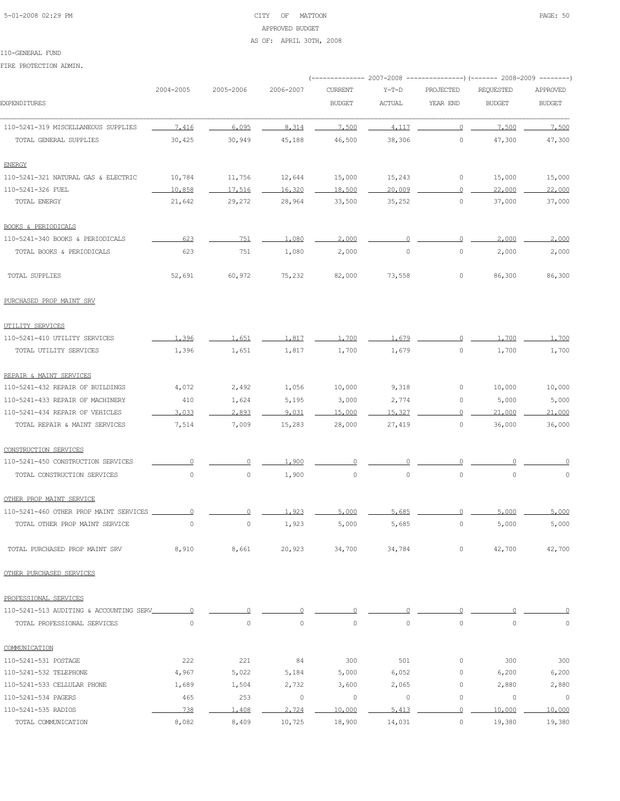### 5-01-2008 02:29 PM CITY OF MATTOON PAGE: 50 APPROVED BUDGET AS OF: APRIL 30TH, 2008

#### 110-GENERAL FUND

|                                         |           |                     |                     | ----------- 2007-2008 |                     |                | ---------------) (------- 2008-2009 --------) |               |
|-----------------------------------------|-----------|---------------------|---------------------|-----------------------|---------------------|----------------|-----------------------------------------------|---------------|
|                                         | 2004-2005 | 2005-2006           | 2006-2007           | <b>CURRENT</b>        | $Y-T-D$             | PROJECTED      | REQUESTED                                     | APPROVED      |
| <b>EXPENDITURES</b>                     |           |                     |                     | <b>BUDGET</b>         | ACTUAL              | YEAR END       | <b>BUDGET</b>                                 | <b>BUDGET</b> |
| 110-5241-319 MISCELLANEOUS SUPPLIES     | 7.416     | 6,095               | 8.314               | 7.500                 | 4.117               | $\circ$        | 7,500                                         | 7,500         |
| TOTAL GENERAL SUPPLIES                  | 30,425    | 30,949              | 45,188              | 46,500                | 38,306              | $\circ$        | 47,300                                        | 47,300        |
| <b>ENERGY</b>                           |           |                     |                     |                       |                     |                |                                               |               |
| 110-5241-321 NATURAL GAS & ELECTRIC     | 10,784    | 11,756              | 12,644              | 15,000                | 15,243              | 0              | 15,000                                        | 15,000        |
| 110-5241-326 FUEL                       | 10,858    | 17,516              | 16,320              | 18,500                | 20,009              | $\overline{0}$ | 22,000                                        | 22,000        |
| TOTAL ENERGY                            | 21,642    | 29,272              | 28,964              | 33,500                | 35,252              | $\circ$        | 37,000                                        | 37,000        |
| <b>BOOKS &amp; PERIODICALS</b>          |           |                     |                     |                       |                     |                |                                               |               |
| 110-5241-340 BOOKS & PERIODICALS        | 623       | 751                 | 1,080               | 2,000                 |                     | 0              | 2,000                                         | 2,000         |
| TOTAL BOOKS & PERIODICALS               | 623       | 751                 | 1,080               | 2,000                 | $\mathbb O$         | $\circ$        | 2,000                                         | 2,000         |
| TOTAL SUPPLIES                          | 52,691    | 60,972              | 75,232              | 82,000                | 73,558              | 0              | 86,300                                        | 86,300        |
| PURCHASED PROP MAINT SRV                |           |                     |                     |                       |                     |                |                                               |               |
| UTILITY SERVICES                        |           |                     |                     |                       |                     |                |                                               |               |
| 110-5241-410 UTILITY SERVICES           | 1,396     | 1.651               | 1,817               | 1,700                 | 1,679               | 0              | 1,700                                         | 1,700         |
| TOTAL UTILITY SERVICES                  | 1,396     | 1,651               | 1,817               | 1,700                 | 1,679               | $\circ$        | 1,700                                         | 1,700         |
| REPAIR & MAINT SERVICES                 |           |                     |                     |                       |                     |                |                                               |               |
| 110-5241-432 REPAIR OF BUILDINGS        | 4,072     | 2,492               | 1,056               | 10,000                | 9,318               | 0              | 10,000                                        | 10,000        |
| 110-5241-433 REPAIR OF MACHINERY        | 410       | 1,624               | 5,195               | 3,000                 | 2,774               | $\circ$        | 5,000                                         | 5,000         |
| 110-5241-434 REPAIR OF VEHICLES         | 3.033     | 2,893               | 9.031               | 15,000                | 15,327              | $\circ$        | 21,000                                        | 21,000        |
| TOTAL REPAIR & MAINT SERVICES           | 7,514     | 7,009               | 15,283              | 28,000                | 27,419              | $\circ$        | 36,000                                        | 36,000        |
| CONSTRUCTION SERVICES                   |           |                     |                     |                       |                     |                |                                               |               |
| 110-5241-450 CONSTRUCTION SERVICES      | 0         | 0                   | 1,900               | $\Omega$              |                     | $\Omega$       |                                               |               |
| TOTAL CONSTRUCTION SERVICES             | 0         | $\circ$             | 1,900               | $\mathbb O$           | $\mathsf{O}\xspace$ | $\circ$        | $\mathbb O$                                   | $\mathbb O$   |
| OTHER PROP MAINT SERVICE                |           |                     |                     |                       |                     |                |                                               |               |
| 110-5241-460 OTHER PROP MAINT SERVICES  | $\Omega$  |                     | 1.923               | 5,000                 | 5,685               |                | 5,000                                         | 5,000         |
| TOTAL OTHER PROP MAINT SERVICE          | 0         | $\mathsf{O}\xspace$ | 1,923               | 5,000                 | 5,685               | $\circ$        | 5,000                                         | 5,000         |
| TOTAL PURCHASED PROP MAINT SRV          | 8,910     | 8,661               | 20,923              | 34,700                | 34,784              | $\circ$        | 42,700                                        | 42,700        |
| OTHER PURCHASED SERVICES                |           |                     |                     |                       |                     |                |                                               |               |
| PROFESSIONAL SERVICES                   |           |                     |                     |                       |                     |                |                                               |               |
| 110-5241-513 AUDITING & ACCOUNTING SERV | $\Omega$  | $\Omega$            | 0                   | 0                     | 0                   | 0              | 0                                             |               |
| TOTAL PROFESSIONAL SERVICES             | $\circ$   | $\mathsf{O}\xspace$ | $\mathsf{O}\xspace$ | $\mathbb O$           | 0                   | $\circ$        | $\mathbb O$                                   | 0             |
| COMMUNICATION                           |           |                     |                     |                       |                     |                |                                               |               |
| 110-5241-531 POSTAGE                    | 222       | 221                 | 84                  | 300                   | 501                 | 0              | 300                                           | 300           |
| 110-5241-532 TELEPHONE                  | 4,967     | 5,022               | 5,184               | 5,000                 | 6,052               | 0              | 6,200                                         | 6,200         |
| 110-5241-533 CELLULAR PHONE             | 1,689     | 1,504               | 2,732               | 3,600                 | 2,065               | 0              | 2,880                                         | 2,880         |
| 110-5241-534 PAGERS                     | 465       | 253                 | $\circ$             | 0                     | $\circ$             | $\circ$        | 0                                             | $\circ$       |
| 110-5241-535 RADIOS                     | 738       | 1,408               | 2,724               | 10,000                | 5.413               | $\overline{0}$ | 10,000                                        | 10,000        |
| TOTAL COMMUNICATION                     | 8,082     | 8,409               | 10,725              | 18,900                | 14,031              | $\circ$        | 19,380                                        | 19,380        |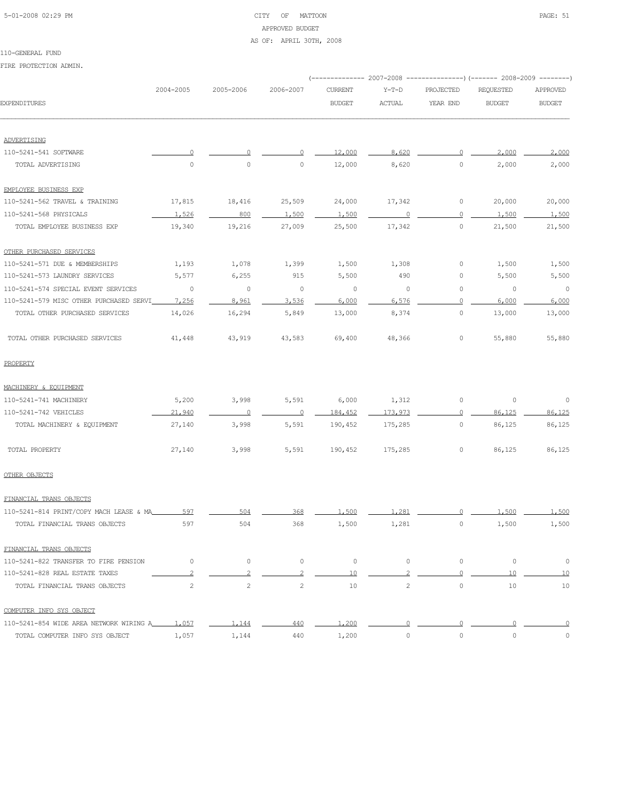# 5-01-2008 02:29 PM CITY OF MATTOON PAGE: 51 APPROVED BUDGET

#### AS OF: APRIL 30TH, 2008

### 110-GENERAL FUND

|                                               |                |                                                                                                                                                               |                       |                  |         |             | (-------------- 2007-2008 ---------------) (------- 2008-2009 --------) |                |
|-----------------------------------------------|----------------|---------------------------------------------------------------------------------------------------------------------------------------------------------------|-----------------------|------------------|---------|-------------|-------------------------------------------------------------------------|----------------|
|                                               | 2004-2005      | 2005-2006                                                                                                                                                     | 2006-2007             | <b>CURRENT</b>   | $Y-T-D$ | PROJECTED   | <b>REQUESTED</b>                                                        | APPROVED       |
| EXPENDITURES                                  |                |                                                                                                                                                               |                       | <b>BUDGET</b>    | ACTUAL  | YEAR END    | <b>BUDGET</b>                                                           | <b>BUDGET</b>  |
|                                               |                |                                                                                                                                                               |                       |                  |         |             |                                                                         |                |
| ADVERTISING                                   |                |                                                                                                                                                               |                       |                  | 8.620   | $\cup$      | 2,000                                                                   |                |
| 110-5241-541 SOFTWARE<br>TOTAL ADVERTISING    | $\circ$        | $\circ$                                                                                                                                                       | 0                     | 12,000<br>12,000 | 8,620   | $\circ$     | 2,000                                                                   | 2,000<br>2,000 |
| EMPLOYEE BUSINESS EXP                         |                |                                                                                                                                                               |                       |                  |         |             |                                                                         |                |
| 110-5241-562 TRAVEL & TRAINING                | 17,815         | 18,416                                                                                                                                                        | 25,509                | 24,000           | 17,342  | 0           | 20,000                                                                  | 20,000         |
| 110-5241-568 PHYSICALS                        | 1,526          | 800                                                                                                                                                           | 1,500                 | 1,500            | 0       | $\Omega$    | 1,500                                                                   | 1,500          |
| TOTAL EMPLOYEE BUSINESS EXP                   | 19,340         | 19,216                                                                                                                                                        | 27,009                | 25,500           | 17,342  | 0           | 21,500                                                                  | 21,500         |
| OTHER PURCHASED SERVICES                      |                |                                                                                                                                                               |                       |                  |         |             |                                                                         |                |
| 110-5241-571 DUE & MEMBERSHIPS                | 1,193          | 1,078                                                                                                                                                         | 1,399                 | 1,500            | 1,308   | 0           | 1,500                                                                   | 1,500          |
| 110-5241-573 LAUNDRY SERVICES                 | 5,577          | 6,255                                                                                                                                                         | 915                   | 5,500            | 490     | 0           | 5,500                                                                   | 5,500          |
| 110-5241-574 SPECIAL EVENT SERVICES           | $\circ$        | $\circ$                                                                                                                                                       | $\circ$               | $\circ$          | $\circ$ | 0           | $\circ$                                                                 | $\overline{0}$ |
| 110-5241-579 MISC OTHER PURCHASED SERVI       | 7,256          | 8,961                                                                                                                                                         | 3,536                 | 6,000            | 6,576   | $\Omega$    | 6,000                                                                   | 6,000          |
| TOTAL OTHER PURCHASED SERVICES                | 14,026         | 16,294                                                                                                                                                        | 5,849                 | 13,000           | 8,374   | 0           | 13,000                                                                  | 13,000         |
| TOTAL OTHER PURCHASED SERVICES                | 41,448         | 43,919                                                                                                                                                        | 43,583                | 69,400           | 48,366  | 0           | 55,880                                                                  | 55,880         |
| PROPERTY                                      |                |                                                                                                                                                               |                       |                  |         |             |                                                                         |                |
| MACHINERY & EQUIPMENT                         |                |                                                                                                                                                               |                       |                  |         |             |                                                                         |                |
| 110-5241-741 MACHINERY                        | 5,200          | 3,998                                                                                                                                                         | 5,591                 | 6,000            | 1,312   | $\mathbb O$ | $\mathbb O$                                                             | 0              |
| 110-5241-742 VEHICLES                         | 21,940         | $\overline{0}$                                                                                                                                                | $\circ$               | 184,452          | 173,973 | 0           | 86,125                                                                  | 86,125         |
| TOTAL MACHINERY & EQUIPMENT                   | 27,140         | 3,998                                                                                                                                                         | 5,591                 | 190,452          | 175,285 | 0           | 86,125                                                                  | 86,125         |
| TOTAL PROPERTY                                | 27,140         | 3,998                                                                                                                                                         | 5,591                 | 190,452          | 175,285 | 0           | 86,125                                                                  | 86,125         |
| OTHER OBJECTS                                 |                |                                                                                                                                                               |                       |                  |         |             |                                                                         |                |
| FINANCIAL TRANS OBJECTS                       |                |                                                                                                                                                               |                       |                  |         |             |                                                                         |                |
| 110-5241-814 PRINT/COPY MACH LEASE & MA       | 597            | 504                                                                                                                                                           | 368                   | 1,500            | 1,281   |             | 1,500                                                                   | 1,500          |
| TOTAL FINANCIAL TRANS OBJECTS                 | 597            | 504                                                                                                                                                           | 368                   | 1,500            | 1,281   | $\circ$     | 1,500                                                                   | 1,500          |
| FINANCIAL TRANS OBJECTS                       |                |                                                                                                                                                               |                       |                  |         |             |                                                                         |                |
| 110-5241-822 TRANSFER TO FIRE PENSION         | $\mathbf{0}$   | 0                                                                                                                                                             | $\circ$               | $\circ$          | $\circ$ | $\circ$     | $\circ$                                                                 | $\circ$        |
| 110-5241-828 REAL ESTATE TAXES                | $\mathfrak{D}$ | $\mathfrak{D}_{1}^{2}(\mathfrak{D}_{1})=\mathfrak{D}_{2}^{2}(\mathfrak{D}_{2})=\mathfrak{D}_{2}^{2}(\mathfrak{D}_{1})=\mathfrak{D}_{2}^{2}(\mathfrak{D}_{2})$ | $\overline{c}$        | 10               |         | $\Omega$    | 10                                                                      | 10             |
| TOTAL FINANCIAL TRANS OBJECTS                 | $\mathbf{2}$   | $\overline{2}$                                                                                                                                                | $\mathbf{2}^{\prime}$ | 10               | 2       | $\circ$     | 10                                                                      | 10             |
| COMPUTER INFO SYS OBJECT                      |                |                                                                                                                                                               |                       |                  |         |             |                                                                         |                |
| 110-5241-854 WIDE AREA NETWORK WIRING A 1,057 |                | 1,144                                                                                                                                                         | 440                   | 1,200            | $\circ$ | $\circ$     | $\circ$                                                                 | 0              |
| TOTAL COMPUTER INFO SYS OBJECT                | 1,057          | 1,144                                                                                                                                                         | 440                   | 1,200            | $\circ$ | $\circ$     | $\circ$                                                                 | $\circ$        |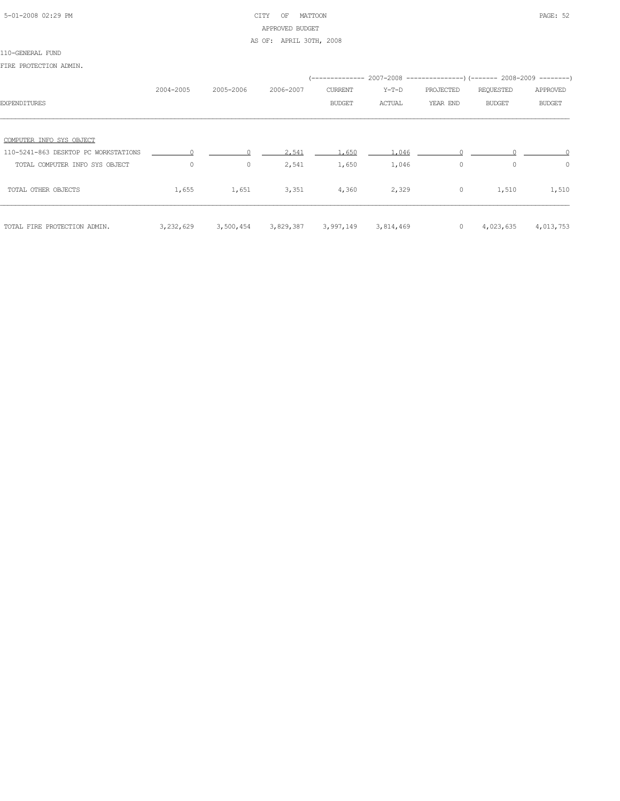### 5-01-2008 02:29 PM CITY OF MATTOON PAGE: 52 APPROVED BUDGET AS OF: APRIL 30TH, 2008

#### 110-GENERAL FUND

|                                      | 2004-2005 | 2005-2006 | 2006-2007 | CURRENT       | Y-T-D     | PROJECTED | REQUESTED     | APPROVED      |
|--------------------------------------|-----------|-----------|-----------|---------------|-----------|-----------|---------------|---------------|
| <b>EXPENDITURES</b>                  |           |           |           | <b>BUDGET</b> | ACTUAL    | YEAR END  | <b>BUDGET</b> | <b>BUDGET</b> |
|                                      |           |           |           |               |           |           |               |               |
| COMPUTER INFO SYS OBJECT             |           |           |           |               |           |           |               |               |
| 110-5241-863 DESKTOP PC WORKSTATIONS |           |           | 2.541     | 1.650         | 1,046     |           |               |               |
| TOTAL COMPUTER INFO SYS OBJECT       | $\circ$   | $\circ$   | 2,541     | 1,650         | 1,046     | $\circ$   | $\circ$       | $\circ$       |
| TOTAL OTHER OBJECTS                  | 1,655     | 1,651     | 3,351     | 4,360         | 2,329     | $\circ$   | 1,510         | 1,510         |
| TOTAL FIRE PROTECTION ADMIN.         | 3,232,629 | 3,500,454 | 3,829,387 | 3,997,149     | 3,814,469 | $\circ$   | 4,023,635     | 4,013,753     |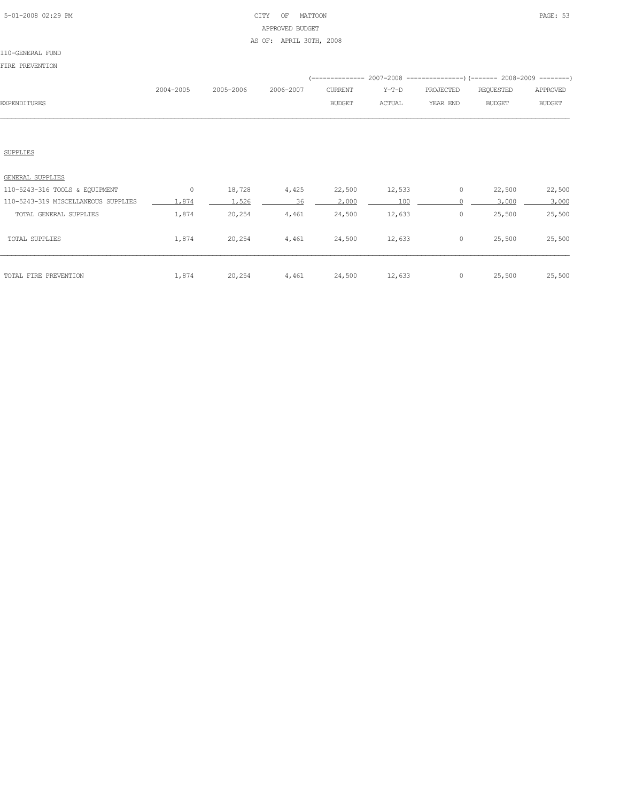### 5-01-2008 02:29 PM CITY OF MATTOON PAGE: 53 APPROVED BUDGET AS OF: APRIL 30TH, 2008

#### 110-GENERAL FUND

FIRE PREVENTION

|                     |           |           |           |               |               | (-------------- 2007-2008 ----------------) (------- 2008-2009 --------) |           |               |
|---------------------|-----------|-----------|-----------|---------------|---------------|--------------------------------------------------------------------------|-----------|---------------|
|                     | 2004-2005 | 2005-2006 | 2006-2007 | CURRENT       | Y-T-D         | PROJECTED                                                                | REOUESTED | APPROVED      |
| <b>EXPENDITURES</b> |           |           |           | <b>BUDGET</b> | <b>ACTUAL</b> | YEAR END                                                                 | BUDGET    | <b>BUDGET</b> |
|                     |           |           |           |               |               |                                                                          |           |               |

### SUPPLIES

| GENERAL SUPPLIES                    |       |        |       |        |        |   |        |        |
|-------------------------------------|-------|--------|-------|--------|--------|---|--------|--------|
| 110-5243-316 TOOLS & EQUIPMENT      | 0     | 18,728 | 4,425 | 22,500 | 12,533 | 0 | 22,500 | 22,500 |
| 110-5243-319 MISCELLANEOUS SUPPLIES | .874  | .526   | 36    | 2,000  | 100    |   | 3,000  | 3,000  |
| TOTAL GENERAL SUPPLIES              | 1,874 | 20,254 | 4,461 | 24,500 | 12,633 | 0 | 25,500 | 25,500 |
| TOTAL SUPPLIES                      | 1,874 | 20,254 | 4,461 | 24,500 | 12,633 | 0 | 25,500 | 25,500 |
| TOTAL FIRE PREVENTION               | 1,874 | 20,254 | 4,461 | 24,500 | 12,633 | 0 | 25,500 | 25,500 |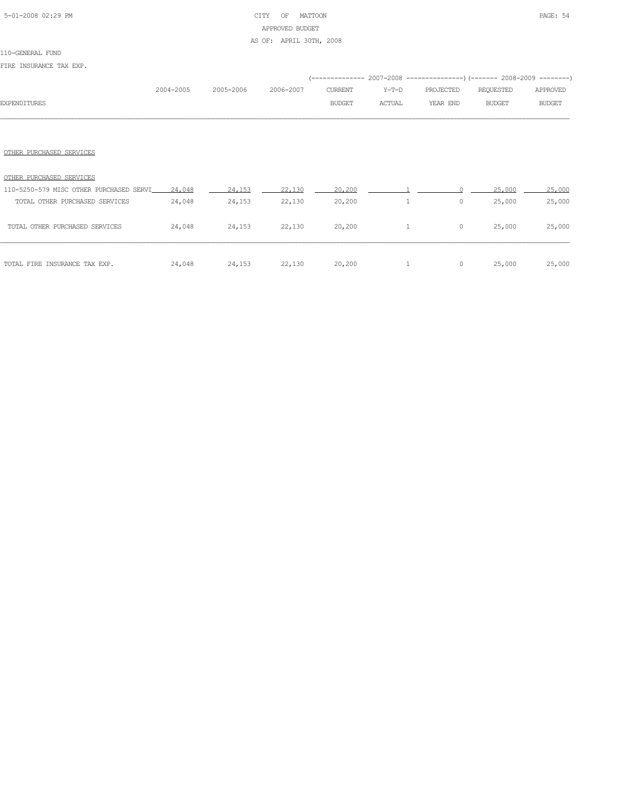### 5-01-2008 02:29 PM CITY OF MATTOON PAGE: 54 APPROVED BUDGET AS OF: APRIL 30TH, 2008

#### 110-GENERAL FUND

FIRE INSURANCE TAX EXP.

|                                         | 2004-2005 | 2005-2006 | 2006-2007 | <b>CURRENT</b> | $Y-T-D$      | PROJECTED | REQUESTED     | APPROVED      |
|-----------------------------------------|-----------|-----------|-----------|----------------|--------------|-----------|---------------|---------------|
| <b>EXPENDITURES</b>                     |           |           |           | <b>BUDGET</b>  | ACTUAL       | YEAR END  | <b>BUDGET</b> | <b>BUDGET</b> |
|                                         |           |           |           |                |              |           |               |               |
|                                         |           |           |           |                |              |           |               |               |
| OTHER PURCHASED SERVICES                |           |           |           |                |              |           |               |               |
| OTHER PURCHASED SERVICES                |           |           |           |                |              |           |               |               |
| 110-5250-579 MISC OTHER PURCHASED SERVI | 24,048    | 24,153    | 22,130    | 20,200         |              |           | 25,000        | 25,000        |
| TOTAL OTHER PURCHASED SERVICES          | 24,048    | 24,153    | 22,130    | 20,200         | $\mathbf{1}$ | $\circ$   | 25,000        | 25,000        |
| TOTAL OTHER PURCHASED SERVICES          | 24,048    | 24,153    | 22,130    | 20,200         | $\mathbf{1}$ | $\circ$   | 25,000        | 25,000        |

 $24,048$   $24,153$   $22,130$   $20,200$  1 0  $25,000$   $25,000$ 

| TOTAL FIRE INSURANCE TAX EXP. |  |  |  |  |  |
|-------------------------------|--|--|--|--|--|
|-------------------------------|--|--|--|--|--|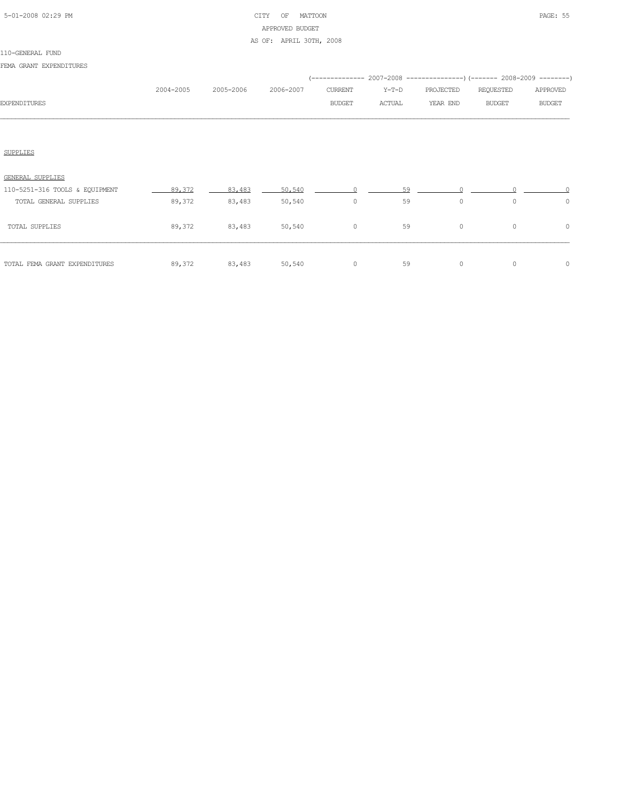### 5-01-2008 02:29 PM CITY OF MATTOON PAGE: 55 APPROVED BUDGET AS OF: APRIL 30TH, 2008

#### 110-GENERAL FUND

FEMA GRANT EXPENDITURES

|                                |           |           |           |               |         |           | (-------------- 2007-2008 ----------------) (------- 2008-2009 --------) |               |
|--------------------------------|-----------|-----------|-----------|---------------|---------|-----------|--------------------------------------------------------------------------|---------------|
|                                | 2004-2005 | 2005-2006 | 2006-2007 | CURRENT       | $Y-T-D$ | PROJECTED | REQUESTED                                                                | APPROVED      |
| <b>EXPENDITURES</b>            |           |           |           | <b>BUDGET</b> | ACTUAL  | YEAR END  | <b>BUDGET</b>                                                            | <b>BUDGET</b> |
|                                |           |           |           |               |         |           |                                                                          |               |
| SUPPLIES                       |           |           |           |               |         |           |                                                                          |               |
| <b>GENERAL SUPPLIES</b>        |           |           |           |               |         |           |                                                                          |               |
| 110-5251-316 TOOLS & EQUIPMENT | 89,372    | 83,483    | 50,540    |               | 59      |           |                                                                          |               |
| TOTAL GENERAL SUPPLIES         | 89,372    | 83,483    | 50,540    | $\circ$       | 59      | $\circ$   | $\circ$                                                                  | $\circ$       |
| TOTAL SUPPLIES                 | 89,372    | 83,483    | 50,540    | $\circ$       | 59      | $\circ$   | $\circ$                                                                  | $\mathbf{0}$  |
|                                |           |           |           |               |         |           |                                                                          |               |

TOTAL FEMA GRANT EXPENDITURES 89,372 83,483 50,540 0 59 0 0 0 0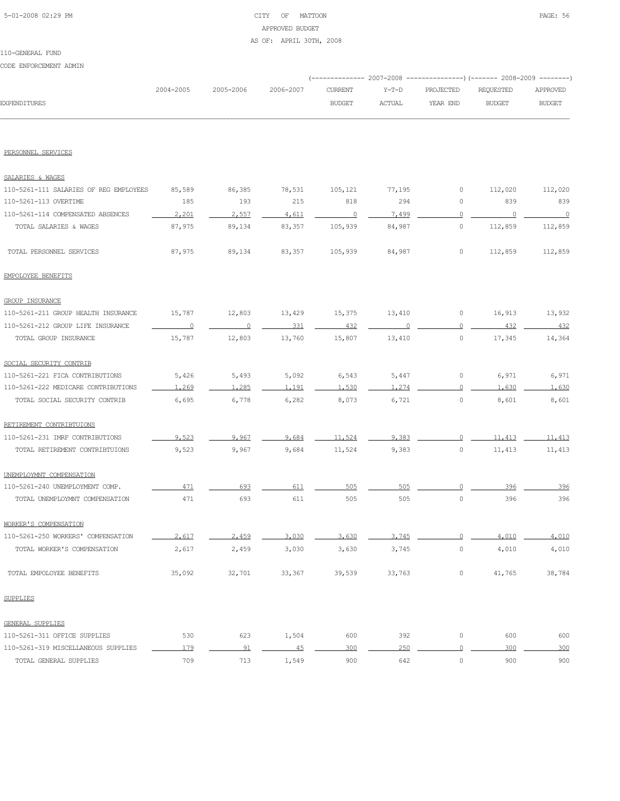### 5-01-2008 02:29 PM CITY OF MATTOON PAGE: 56 APPROVED BUDGET AS OF: APRIL 30TH, 2008

CODE ENFORCEMENT ADMIN

|                                        |                |                          |           |                |            |                | (-------------- 2007-2008 ----------------) (------- 2008-2009 --------) |               |
|----------------------------------------|----------------|--------------------------|-----------|----------------|------------|----------------|--------------------------------------------------------------------------|---------------|
|                                        | 2004-2005      | 2005-2006                | 2006-2007 | <b>CURRENT</b> | $Y-T-D$    | PROJECTED      | <b>REQUESTED</b>                                                         | APPROVED      |
| <b>EXPENDITURES</b>                    |                |                          |           | <b>BUDGET</b>  | ACTUAL     | YEAR END       | <b>BUDGET</b>                                                            | <b>BUDGET</b> |
|                                        |                |                          |           |                |            |                |                                                                          |               |
| PERSONNEL SERVICES                     |                |                          |           |                |            |                |                                                                          |               |
| SALARIES & WAGES                       |                |                          |           |                |            |                |                                                                          |               |
| 110-5261-111 SALARIES OF REG EMPLOYEES | 85,589         | 86,385                   | 78,531    | 105,121        | 77,195     | 0              | 112,020                                                                  | 112,020       |
| 110-5261-113 OVERTIME                  | 185            | 193                      | 215       | 818            | 294        | 0              | 839                                                                      | 839           |
| 110-5261-114 COMPENSATED ABSENCES      | 2,201          | 2.557                    | 4.611     | $\overline{0}$ | 7.499      | $\overline{0}$ | $\overline{\phantom{0}}$                                                 | $\sim$ 0      |
| TOTAL SALARIES & WAGES                 | 87,975         | 89,134                   | 83,357    | 105,939        | 84,987     | $\circ$        | 112,859                                                                  | 112,859       |
| TOTAL PERSONNEL SERVICES               | 87,975         | 89,134                   | 83,357    | 105,939        | 84,987     | 0              | 112,859                                                                  | 112,859       |
| EMPOLOYEE BENEFITS                     |                |                          |           |                |            |                |                                                                          |               |
| <b>GROUP INSURANCE</b>                 |                |                          |           |                |            |                |                                                                          |               |
| 110-5261-211 GROUP HEALTH INSURANCE    | 15,787         | 12,803                   | 13,429    | 15,375         | 13,410     | $\circ$        | 16,913                                                                   | 13,932        |
| 110-5261-212 GROUP LIFE INSURANCE      | $\overline{0}$ | $\overline{\phantom{0}}$ | 331       | 432            | $\bigcirc$ | $\circ$        | 432                                                                      | 432           |
| TOTAL GROUP INSURANCE                  | 15,787         | 12,803                   | 13,760    | 15,807         | 13,410     | $\circ$        | 17,345                                                                   | 14,364        |
| SOCIAL SECURITY CONTRIB                |                |                          |           |                |            |                |                                                                          |               |
| 110-5261-221 FICA CONTRIBUTIONS        | 5,426          | 5,493                    | 5,092     | 6,543          | 5,447      | $\circ$        | 6,971                                                                    | 6,971         |
| 110-5261-222 MEDICARE CONTRIBUTIONS    | 1,269          | 1,285                    | 1,191     | 1,530          | 1,274      | $\circ$        | 1,630                                                                    | 1,630         |
| TOTAL SOCIAL SECURITY CONTRIB          | 6,695          | 6,778                    | 6,282     | 8,073          | 6,721      | $\circ$        | 8,601                                                                    | 8,601         |
| RETIREMENT CONTRIBTUIONS               |                |                          |           |                |            |                |                                                                          |               |
| 110-5261-231 IMRF CONTRIBUTIONS        | 9.523          | 9.967                    | 9.684     | 11,524         | 9.383      | $\circ$        | 11,413                                                                   | 11,413        |
| TOTAL RETIREMENT CONTRIBTUIONS         | 9,523          | 9,967                    | 9,684     | 11,524         | 9,383      | 0              | 11,413                                                                   | 11,413        |
| UNEMPLOYMNT COMPENSATION               |                |                          |           |                |            |                |                                                                          |               |
| 110-5261-240 UNEMPLOYMENT COMP.        | 471            | 693                      | 611       | 505            | 505        | $\Omega$       | 396                                                                      | 396           |
| TOTAL UNEMPLOYMNT COMPENSATION         | 471            | 693                      | 611       | 505            | 505        | 0              | 396                                                                      | 396           |
| WORKER'S COMPENSATION                  |                |                          |           |                |            |                |                                                                          |               |
| 110-5261-250 WORKERS' COMPENSATION     | 2,617          | 2,459                    | 3,030     | 3,630          | 3,745      | $\overline{0}$ | 4,010                                                                    | 4,010         |
| TOTAL WORKER'S COMPENSATION            | 2,617          | 2,459                    | 3,030     | 3,630          | 3,745      | $\mathbb O$    | 4,010                                                                    | 4,010         |
| TOTAL EMPOLOYEE BENEFITS               | 35,092         | 32,701                   | 33,367    | 39,539         | 33,763     | $\circ$        | 41,765                                                                   | 38,784        |
| SUPPLIES                               |                |                          |           |                |            |                |                                                                          |               |
| GENERAL SUPPLIES                       |                |                          |           |                |            |                |                                                                          |               |
| 110-5261-311 OFFICE SUPPLIES           | 530            | 623                      | 1,504     | 600            | 392        | $\circ$        | 600                                                                      | 600           |
| 110-5261-319 MISCELLANEOUS SUPPLIES    | 179            | 91                       | 45        | 300            | 250        | $\overline{0}$ | 300                                                                      | 300           |
| TOTAL GENERAL SUPPLIES                 | 709            | 713                      | 1,549     | 900            | 642        | $\mathbb O$    | 900                                                                      | 900           |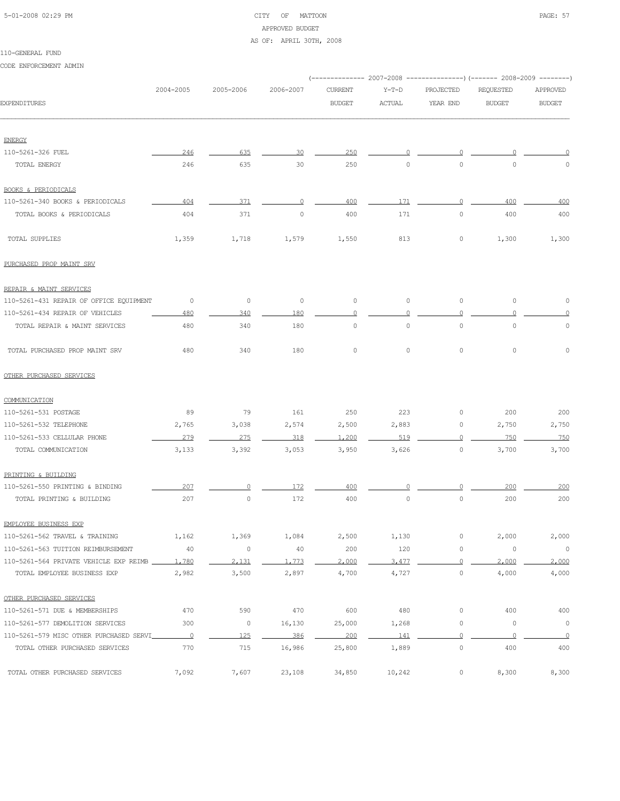# 5-01-2008 02:29 PM CITY OF MATTOON PAGE: 57 APPROVED BUDGET

### AS OF: APRIL 30TH, 2008

### 110-GENERAL FUND

CODE ENFORCEMENT ADMIN

|                                                                      |                          |                      |             | (------------- 2007-2008 ---------------) (------- 2008-2009 --------) |               |                |                      |                  |
|----------------------------------------------------------------------|--------------------------|----------------------|-------------|------------------------------------------------------------------------|---------------|----------------|----------------------|------------------|
|                                                                      | 2004-2005                | 2005-2006            | 2006-2007   | <b>CURRENT</b>                                                         | $Y-T-D$       | PROJECTED      | <b>REQUESTED</b>     | APPROVED         |
| <b>EXPENDITURES</b>                                                  |                          |                      |             | <b>BUDGET</b>                                                          | <b>ACTUAL</b> | YEAR END       | <b>BUDGET</b>        | <b>BUDGET</b>    |
|                                                                      |                          |                      |             |                                                                        |               |                |                      |                  |
| <b>ENERGY</b><br>110-5261-326 FUEL                                   | 246                      | 635                  | 30          | 250                                                                    | $\Omega$      | $\Omega$       |                      |                  |
| TOTAL ENERGY                                                         | 246                      | 635                  | 30          | 250                                                                    | $\circ$       | $\circ$        | $\circ$              | 0                |
|                                                                      |                          |                      |             |                                                                        |               |                |                      |                  |
| <b>BOOKS &amp; PERIODICALS</b>                                       |                          |                      |             |                                                                        |               |                |                      |                  |
| 110-5261-340 BOOKS & PERIODICALS                                     | 404                      | 371                  | 0           | 400                                                                    | 171           | $\circ$        | 400                  | 400              |
| TOTAL BOOKS & PERIODICALS                                            | 404                      | 371                  | $\circ$     | 400                                                                    | 171           | $\circ$        | 400                  | 400              |
| TOTAL SUPPLIES                                                       | 1,359                    | 1,718                | 1,579       | 1,550                                                                  | 813           | 0              | 1,300                | 1,300            |
| PURCHASED PROP MAINT SRV                                             |                          |                      |             |                                                                        |               |                |                      |                  |
| REPAIR & MAINT SERVICES                                              |                          |                      |             |                                                                        |               |                |                      |                  |
| 110-5261-431 REPAIR OF OFFICE EQUIPMENT                              | 0                        | $\circ$              | $\circ$     | $\circ$                                                                | $\circ$       | $\circ$        | $\circ$              | $\circ$          |
| 110-5261-434 REPAIR OF VEHICLES                                      | 480                      | 340                  | 180         | $\circ$                                                                | $\Omega$      | 0              | $\Omega$             | 0                |
| TOTAL REPAIR & MAINT SERVICES                                        | 480                      | 340                  | 180         | $\mathsf{O}\xspace$                                                    | $\circ$       | $\circ$        | $\mathbb O$          | $\mathbb O$      |
| TOTAL PURCHASED PROP MAINT SRV                                       | 480                      | 340                  | 180         | $\mathsf{O}\xspace$                                                    | $\circ$       | 0              | $\circ$              | $\circ$          |
| OTHER PURCHASED SERVICES                                             |                          |                      |             |                                                                        |               |                |                      |                  |
| COMMUNICATION                                                        |                          |                      |             |                                                                        |               |                |                      |                  |
| 110-5261-531 POSTAGE                                                 | 89                       | 79                   | 161         | 250                                                                    | 223           | 0              | 200                  | 200              |
| 110-5261-532 TELEPHONE                                               | 2,765                    | 3,038                | 2,574       | 2,500                                                                  | 2,883         | 0              | 2,750                | 2,750            |
| 110-5261-533 CELLULAR PHONE                                          | 279                      | 275                  | 318         | 1,200                                                                  | 519           | $\circ$        | 750                  | 750              |
| TOTAL COMMUNICATION                                                  | 3,133                    | 3,392                | 3,053       | 3,950                                                                  | 3,626         | $\circ$        | 3,700                | 3,700            |
| PRINTING & BUILDING                                                  |                          |                      |             |                                                                        |               |                |                      |                  |
| 110-5261-550 PRINTING & BINDING                                      | 207                      |                      | 172         | 400                                                                    |               |                | 200                  | 200              |
| TOTAL PRINTING & BUILDING                                            | 207                      | 0                    | 172         | 400                                                                    | $\circ$       | $\circ$        | 200                  | 200              |
|                                                                      |                          |                      |             |                                                                        |               |                |                      |                  |
| EMPLOYEE BUSINESS EXP                                                |                          |                      |             |                                                                        |               | $\mathbb O$    |                      |                  |
| 110-5261-562 TRAVEL & TRAINING<br>110-5261-563 TUITION REIMBURSEMENT | 1,162<br>40              | 1,369<br>$\mathbb O$ | 1,084<br>40 | 2,500<br>200                                                           | 1,130<br>120  | $\mathbb O$    | 2,000<br>$\mathbb O$ | 2,000<br>$\circ$ |
| 110-5261-564 PRIVATE VEHICLE EXP REIMB                               | 1,780                    | 2,131                | 1,773       | 2,000                                                                  | 3,477         | $\overline{0}$ | 2,000                | 2,000            |
| TOTAL EMPLOYEE BUSINESS EXP                                          | 2,982                    | 3,500                | 2,897       | 4,700                                                                  | 4,727         | $\circ$        | 4,000                | 4,000            |
|                                                                      |                          |                      |             |                                                                        |               |                |                      |                  |
| OTHER PURCHASED SERVICES                                             |                          |                      |             |                                                                        |               |                |                      |                  |
| 110-5261-571 DUE & MEMBERSHIPS                                       | 470                      | 590                  | 470         | 600                                                                    | 480           | $\mathbb O$    | 400                  | 400              |
| 110-5261-577 DEMOLITION SERVICES                                     | 300                      | $\circ$              | 16,130      | 25,000                                                                 | 1,268         | $\mathbb O$    | $\mathbb O$          | $\circ$          |
| 110-5261-579 MISC OTHER PURCHASED SERVI                              | $\overline{\phantom{0}}$ | 125                  | 386         | 200                                                                    | 141           | $\overline{0}$ | $\circ$              | $\overline{0}$   |
| TOTAL OTHER PURCHASED SERVICES                                       | 770                      | 715                  | 16,986      | 25,800                                                                 | 1,889         | $\mathbb O$    | 400                  | 400              |
| TOTAL OTHER PURCHASED SERVICES                                       | 7,092                    | 7,607                | 23,108      | 34,850                                                                 | 10,242        | 0              | 8,300                | 8,300            |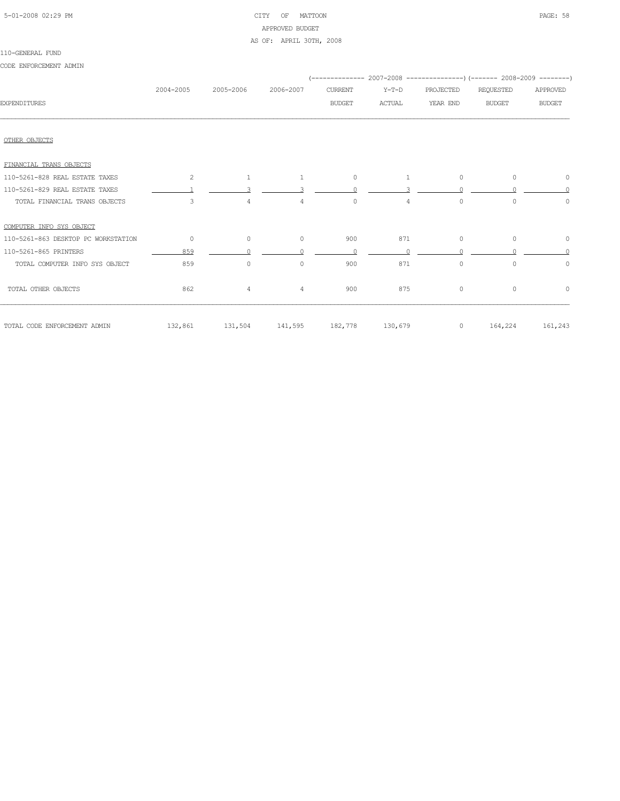| 5-01-2008 02:29 PM |  |
|--------------------|--|
|                    |  |

### CITY OF MATTOON **PAGE: 58** APPROVED BUDGET AS OF: APRIL 30TH, 2008

#### 110-GENERAL FUND

CODE ENFORCEMENT ADMIN

|                                     | 2004-2005 | 2005-2006                       | 2006-2007      | <b>CURRENT</b> | $Y-T-D$       | PROJECTED | <b>REQUESTED</b> | APPROVED      |
|-------------------------------------|-----------|---------------------------------|----------------|----------------|---------------|-----------|------------------|---------------|
| <b>EXPENDITURES</b>                 |           |                                 |                | <b>BUDGET</b>  | <b>ACTUAL</b> | YEAR END  | <b>BUDGET</b>    | <b>BUDGET</b> |
|                                     |           |                                 |                |                |               |           |                  |               |
| OTHER OBJECTS                       |           |                                 |                |                |               |           |                  |               |
| FINANCIAL TRANS OBJECTS             |           |                                 |                |                |               |           |                  |               |
| 110-5261-828 REAL ESTATE TAXES      | 2         | 1                               | $\mathbf{1}$   | $\circ$        | 1             | $\circ$   | $\circ$          | $\circ$       |
| 110-5261-829 REAL ESTATE TAXES      |           |                                 |                | $\cap$         |               |           |                  | $\cap$        |
| TOTAL FINANCIAL TRANS OBJECTS       | 3         | 4                               | $\overline{4}$ | $\circ$        | 4             | $\circ$   | 0                | $\circ$       |
| COMPUTER INFO SYS OBJECT            |           |                                 |                |                |               |           |                  |               |
| 110-5261-863 DESKTOP PC WORKSTATION | $\circ$   | $\circ$                         | $\circ$        | 900            | 871           | $\circ$   | $\circ$          | $\circ$       |
| 110-5261-865 PRINTERS               | 859       |                                 |                | $\Omega$       |               |           |                  | $\cap$        |
| TOTAL COMPUTER INFO SYS OBJECT      | 859       | $\circ$                         | $\circ$        | 900            | 871           | $\circ$   | 0                | $\circ$       |
| TOTAL OTHER OBJECTS                 | 862       | $\overline{4}$                  | $\overline{4}$ | 900            | 875           | $\circ$   | $\circ$          | $\circ$       |
| TOTAL CODE ENFORCEMENT ADMIN        |           | 132,861 131,504 141,595 182,778 |                |                | 130,679       | $\circ$   | 164,224          | 161,243       |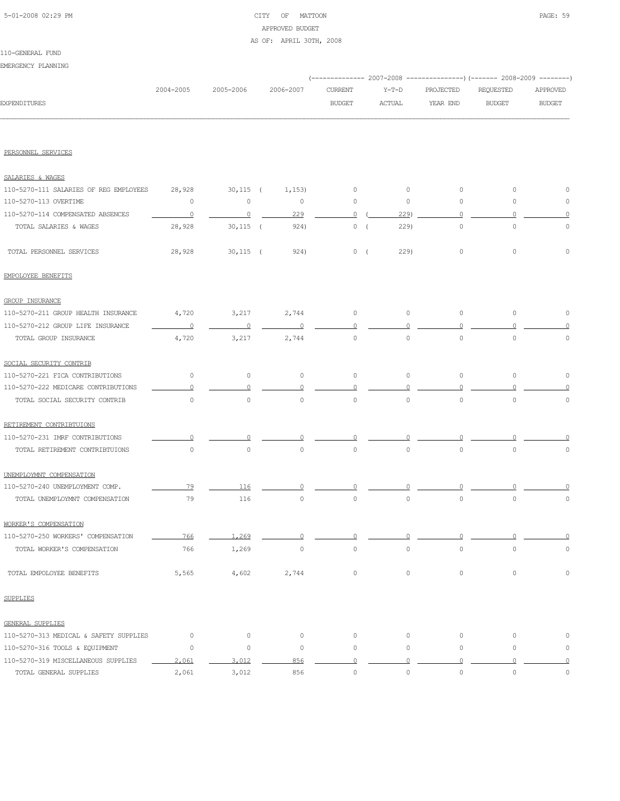### 5-01-2008 02:29 PM CITY OF MATTOON PAGE: 59 APPROVED BUDGET AS OF: APRIL 30TH, 2008

# 110-GENERAL FUND

EMERGENCY PLANNING

|                                                                 |                |                       |                   |               | (-------------- 2007-2008 ----------------) (------- 2008-2009 --------) |                     |               |                |
|-----------------------------------------------------------------|----------------|-----------------------|-------------------|---------------|--------------------------------------------------------------------------|---------------------|---------------|----------------|
|                                                                 | 2004-2005      | 2005-2006             | 2006-2007         | CURRENT       | $Y-T-D$                                                                  | PROJECTED           | REQUESTED     | APPROVED       |
| <b>EXPENDITURES</b>                                             |                |                       |                   | <b>BUDGET</b> | <b>ACTUAL</b>                                                            | YEAR END            | <b>BUDGET</b> | <b>BUDGET</b>  |
|                                                                 |                |                       |                   |               |                                                                          |                     |               |                |
| PERSONNEL SERVICES                                              |                |                       |                   |               |                                                                          |                     |               |                |
| SALARIES & WAGES                                                |                |                       |                   |               |                                                                          |                     |               |                |
|                                                                 |                |                       |                   |               |                                                                          |                     |               |                |
| 110-5270-111 SALARIES OF REG EMPLOYEES<br>110-5270-113 OVERTIME | 28,928<br>0    | $30,115$ (<br>$\circ$ | 1,153)<br>$\circ$ | 0<br>$\circ$  | $\circ$<br>$\circ$                                                       | $\circ$<br>$\circ$  | 0<br>0        | 0<br>0         |
| 110-5270-114 COMPENSATED ABSENCES                               |                |                       |                   |               |                                                                          | $\circ$             | $\Omega$      |                |
|                                                                 | $\overline{0}$ | $\overline{0}$        | 229               | $\Omega$      | 229                                                                      |                     |               | 0              |
| TOTAL SALARIES & WAGES                                          | 28,928         | $30,115$ (            | 924)              | 0(            | 229)                                                                     | $\circ$             | $\circ$       | $\mathbb O$    |
| TOTAL PERSONNEL SERVICES                                        | 28,928         | $30,115$ (            | 924)              | 0(            | 229)                                                                     | $\circ$             | 0             | $\Omega$       |
| EMPOLOYEE BENEFITS                                              |                |                       |                   |               |                                                                          |                     |               |                |
| <b>GROUP INSURANCE</b>                                          |                |                       |                   |               |                                                                          |                     |               |                |
| 110-5270-211 GROUP HEALTH INSURANCE                             | 4,720          | 3,217                 | 2,744             | $\circ$       | $\circ$                                                                  | $\circ$             | $\circ$       | 0              |
| 110-5270-212 GROUP LIFE INSURANCE                               | 0              | $\Omega$              | $\Omega$          | 0             |                                                                          | 0                   |               |                |
| TOTAL GROUP INSURANCE                                           | 4,720          | 3,217                 | 2,744             | $\circ$       | $\circ$                                                                  | $\circ$             | $\circ$       | $\circ$        |
| SOCIAL SECURITY CONTRIB                                         |                |                       |                   |               |                                                                          |                     |               |                |
| 110-5270-221 FICA CONTRIBUTIONS                                 | 0              | $\circ$               | 0                 | $\mathbb O$   | $\circ$                                                                  | $\circ$             | $\circ$       | 0              |
| 110-5270-222 MEDICARE CONTRIBUTIONS                             |                |                       |                   |               |                                                                          |                     |               |                |
| TOTAL SOCIAL SECURITY CONTRIB                                   | $\circ$        | $\circ$               | $\circ$           | $\circ$       | $\circ$                                                                  | $\circ$             | $\mathbf 0$   | 0              |
| RETIREMENT CONTRIBTUIONS                                        |                |                       |                   |               |                                                                          |                     |               |                |
| 110-5270-231 IMRF CONTRIBUTIONS                                 |                |                       |                   |               |                                                                          |                     |               |                |
| TOTAL RETIREMENT CONTRIBTUIONS                                  | $\circ$        | $\circ$               | $\circ$           | $\circ$       | $\circ$                                                                  | $\circ$             | $\Omega$      | 0              |
| UNEMPLOYMNT COMPENSATION                                        |                |                       |                   |               |                                                                          |                     |               |                |
| 110-5270-240 UNEMPLOYMENT COMP.                                 | 79             | 116                   |                   |               |                                                                          |                     |               |                |
| TOTAL UNEMPLOYMNT COMPENSATION                                  | 79             | 116                   | $\circ$           | $\circ$       | $\circ$                                                                  | $\circ$             | $\mathbf 0$   | $\circ$        |
| WORKER'S COMPENSATION                                           |                |                       |                   |               |                                                                          |                     |               |                |
| 110-5270-250 WORKERS' COMPENSATION                              | 766            | 1,269                 | n                 | 0             | $\Omega$                                                                 | $\Omega$            | $\Omega$      | $\overline{0}$ |
| TOTAL WORKER'S COMPENSATION                                     | 766            | 1,269                 | $\mathbb O$       | $\mathbb O$   | $\mathbb O$                                                              | $\mathsf{O}\xspace$ | $\mathbb O$   | $\mathbb O$    |
| TOTAL EMPOLOYEE BENEFITS                                        | 5,565          | 4,602                 | 2,744             | $\circ$       | $\circ$                                                                  | $\circ$             | $\circ$       | $\mathbb O$    |
| <b>SUPPLIES</b>                                                 |                |                       |                   |               |                                                                          |                     |               |                |
| GENERAL SUPPLIES                                                |                |                       |                   |               |                                                                          |                     |               |                |
| 110-5270-313 MEDICAL & SAFETY SUPPLIES                          | $\circ$        | $\circ$               | $\circ$           | $\circ$       | $\circ$                                                                  | $\circ$             | $\circ$       | 0              |
| 110-5270-316 TOOLS & EQUIPMENT                                  | $\circ$        | $\circ$               | $\circ$           | 0             | $\circ$                                                                  | $\circ$             | $\circ$       | 0              |
| 110-5270-319 MISCELLANEOUS SUPPLIES                             | 2,061          | 3,012                 | 856               | $\circ$       | $\cap$                                                                   | $\circ$             | $\cap$        | $\Omega$       |
| TOTAL GENERAL SUPPLIES                                          | 2,061          | 3,012                 | 856               | $\mathbb O$   | $\mathsf{O}\xspace$                                                      | $\mathsf{O}\xspace$ | $\mathbb O$   | $\mathbb O$    |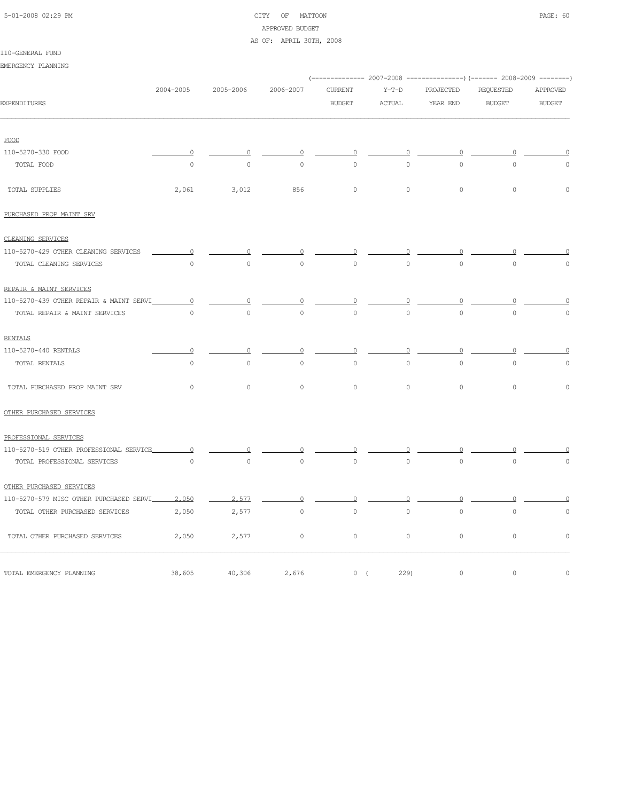# 5-01-2008 02:29 PM CITY OF MATTOON PAGE: 60 APPROVED BUDGET

AS OF: APRIL 30TH, 2008

|  | 110-GENERAL FUND |  |
|--|------------------|--|
|  |                  |  |

| EMERGENCY PLANNING                      |                     |                     |             |                     |               |              |                                                                         |               |
|-----------------------------------------|---------------------|---------------------|-------------|---------------------|---------------|--------------|-------------------------------------------------------------------------|---------------|
|                                         |                     |                     |             |                     |               |              | (-------------- 2007-2008 ---------------) (------- 2008-2009 --------) |               |
|                                         | 2004-2005           | 2005-2006           | 2006-2007   | CURRENT             | $Y-T-D$       | PROJECTED    | REQUESTED                                                               | APPROVED      |
| <b>EXPENDITURES</b>                     |                     |                     |             | <b>BUDGET</b>       | <b>ACTUAL</b> | YEAR END     | <b>BUDGET</b>                                                           | <b>BUDGET</b> |
| FOOD                                    |                     |                     |             |                     |               |              |                                                                         |               |
| 110-5270-330 FOOD                       | $\circ$             | 0                   | O           | O                   |               | 0            | n                                                                       |               |
| TOTAL FOOD                              | $\circ$             | $\mathsf{O}\xspace$ | $\mathbb O$ | $\Omega$            | $\circ$       | $\mathbb O$  | $\mathbb O$                                                             | $\cap$        |
| TOTAL SUPPLIES                          | 2,061               | 3,012               | 856         | $\mathsf{O}\xspace$ | $\circ$       | $\circ$      | $\mathbb O$                                                             | $\mathbf 0$   |
| PURCHASED PROP MAINT SRV                |                     |                     |             |                     |               |              |                                                                         |               |
| CLEANING SERVICES                       |                     |                     |             |                     |               |              |                                                                         |               |
| 110-5270-429 OTHER CLEANING SERVICES    | $\Omega$            | n                   |             | 0                   |               | $\circ$      |                                                                         |               |
| TOTAL CLEANING SERVICES                 | $\circ$             | $\mathbf 0$         | $\circ$     | $\circ$             | $\circ$       | $\mathbf{0}$ | $\mathbf 0$                                                             | $\cap$        |
| REPAIR & MAINT SERVICES                 |                     |                     |             |                     |               |              |                                                                         |               |
| 110-5270-439 OTHER REPAIR & MAINT SERVI | $\circ$             |                     |             |                     |               | 0            |                                                                         |               |
| TOTAL REPAIR & MAINT SERVICES           | $\circ$             | $\circ$             | $\circ$     | $\circ$             | $\circ$       | $\circ$      | $\circ$                                                                 | $\Omega$      |
| <b>RENTALS</b>                          |                     |                     |             |                     |               |              |                                                                         |               |
| 110-5270-440 RENTALS                    | $\Omega$            | $\circ$             | $\circ$     | $\circ$             | $\circ$       | $\circ$      | $\circ$                                                                 | $\Omega$      |
| TOTAL RENTALS                           | $\circ$             | $\circ$             | $\circ$     | $\circ$             | $\circ$       | $\circ$      | $\mathbf{0}$                                                            | $\circ$       |
| TOTAL PURCHASED PROP MAINT SRV          | $\circ$             | $\circ$             | $\circ$     | $\circ$             | $\circ$       | $\circ$      | $\mathbf{0}$                                                            | $\Omega$      |
| OTHER PURCHASED SERVICES                |                     |                     |             |                     |               |              |                                                                         |               |
| PROFESSIONAL SERVICES                   |                     |                     |             |                     |               |              |                                                                         |               |
| 110-5270-519 OTHER PROFESSIONAL SERVICE | 0                   |                     |             |                     |               |              |                                                                         |               |
| TOTAL PROFESSIONAL SERVICES             | $\mathsf{O}\xspace$ | $\circ$             | $\circ$     | $\circ$             | $\circ$       | $\circ$      | $\mathbf{0}$                                                            | $\circ$       |
| OTHER PURCHASED SERVICES                |                     |                     |             |                     |               |              |                                                                         |               |
| 110-5270-579 MISC OTHER PURCHASED SERVI | 2,050               | 2,577               | ∩           | ∩                   | Λ             | $\circ$      |                                                                         |               |
| TOTAL OTHER PURCHASED SERVICES          | 2,050               | 2,577               | $\circ$     | $\circ$             | $\circ$       | $\mathbb O$  | $\circ$                                                                 | $\mathbf 0$   |
| TOTAL OTHER PURCHASED SERVICES          | 2,050               | 2,577               | $\circ$     | $\circ$             | $\circ$       | $\circ$      | $\circ$                                                                 | $\mathbf 0$   |
| TOTAL EMERGENCY PLANNING                | 38,605              | 40,306              | 2,676       | 0(                  | 229)          | $\mathbb O$  | $\mathbb O$                                                             | $\mathbb O$   |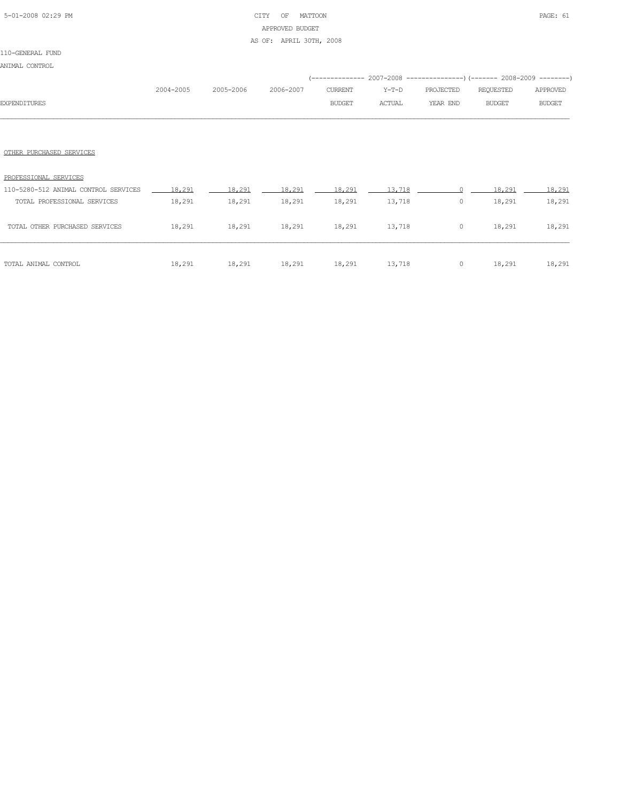### 5-01-2008 02:29 PM CITY OF MATTOON PAGE: 61 APPROVED BUDGET AS OF: APRIL 30TH, 2008

### 110-GENERAL FUND

ANIMAL CONTROL

| <b>EXPENDITURES</b>                                                        | 2004-2005 | 2005-2006        | 2006-2007                                 | CURRENT<br><b>BUDGET</b> | Y-T-D<br>ACTUAL  | (-------------- 2007-2008 ----------------) (------- 2008-2009 --------)<br>PROJECTED<br>YEAR END | REQUESTED<br><b>BUDGET</b> | APPROVED<br><b>BUDGET</b> |
|----------------------------------------------------------------------------|-----------|------------------|-------------------------------------------|--------------------------|------------------|---------------------------------------------------------------------------------------------------|----------------------------|---------------------------|
|                                                                            |           |                  |                                           |                          |                  |                                                                                                   |                            |                           |
| OTHER PURCHASED SERVICES<br>PROFESSIONAL SERVICES                          |           |                  |                                           |                          |                  |                                                                                                   |                            |                           |
| 110-5280-512 ANIMAL CONTROL SERVICES 18,291<br>TOTAL PROFESSIONAL SERVICES | 18,291    | 18,291<br>18,291 | 18,291<br>18,291                          | 18,291<br>18,291         | 13,718<br>13,718 | $\Omega$<br>$\circ$                                                                               | 18,291<br>18,291           | 18,291<br>18,291          |
| TOTAL OTHER PURCHASED SERVICES                                             |           |                  | 18,291 18,291 18,291 18,291 13,718        |                          |                  |                                                                                                   | $0 \t 18,291$              | 18,291                    |
| TOTAL ANIMAL CONTROL                                                       |           |                  | 18,291 18,291 18,291 18,291 18,291 13,718 |                          |                  |                                                                                                   | $0 \t 18,291 \t 18,291$    |                           |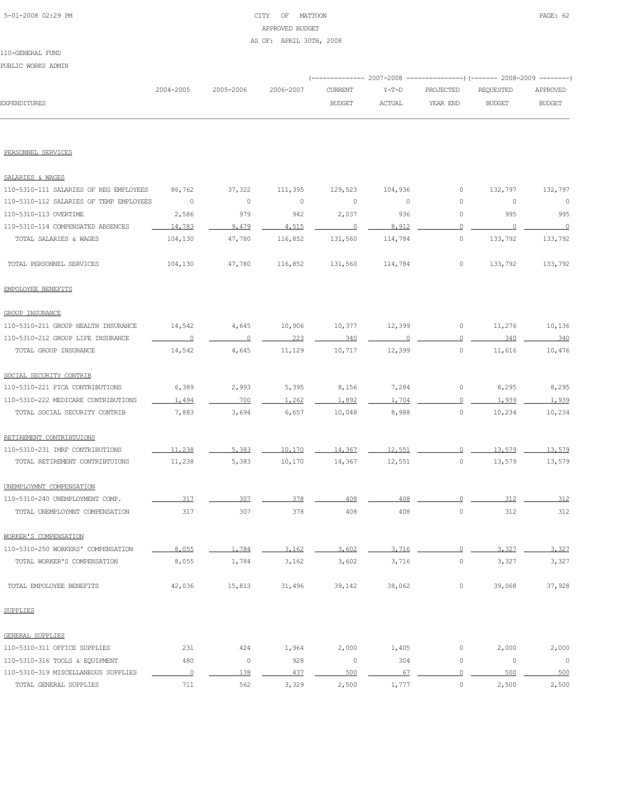### 5-01-2008 02:29 PM CITY OF MATTOON PAGE: 62 APPROVED BUDGET AS OF: APRIL 30TH, 2008

### 110-GENERAL FUND PUBLIC WORKS ADMIN

|                     |           |                     |         |        | (-------------- 2007-2008 ----------------) (------- 2008-2009 --------) |           |               |
|---------------------|-----------|---------------------|---------|--------|--------------------------------------------------------------------------|-----------|---------------|
|                     | 2004-2005 | 2005-2006 2006-2007 | CURRENT |        | Y-T-D PROJECTED                                                          | REOUESTED | APPROVED      |
| <b>EXPENDITURES</b> |           |                     | BUDGET  | ACTUAL | YEAR END                                                                 | BUDGET    | <b>BUDGET</b> |
|                     |           |                     |         |        |                                                                          |           |               |

#### PERSONNEL SERVICES

| SALARIES & WAGES                        |                |                |             |         |         |                     |         |          |
|-----------------------------------------|----------------|----------------|-------------|---------|---------|---------------------|---------|----------|
| 110-5310-111 SALARIES OF REG EMPLOYEES  | 86,762         | 37,322         | 111,395     | 129,523 | 104,936 | 0                   | 132,797 | 132,797  |
| 110-5310-112 SALARIES OF TEMP EMPLOYEES | $\circ$        | $\circ$        | $\mathbb O$ | $\circ$ | $\circ$ | 0                   | 0       | $\circ$  |
| 110-5310-113 OVERTIME                   | 2,586          | 979            | 942         | 2,037   | 936     | $\mathbb O$         | 995     | 995      |
| 110-5310-114 COMPENSATED ABSENCES       | 14,783         | 9,479          | 4,515       | 0       | 8,912   | 0                   | 0       | $\Omega$ |
| TOTAL SALARIES & WAGES                  | 104,130        | 47,780         | 116,852     | 131,560 | 114,784 | $\mathbb O$         | 133,792 | 133,792  |
| TOTAL PERSONNEL SERVICES                | 104,130        | 47,780         | 116,852     | 131,560 | 114,784 | $\mathbb O$         | 133,792 | 133,792  |
| EMPOLOYEE BENEFITS                      |                |                |             |         |         |                     |         |          |
| <b>GROUP INSURANCE</b>                  |                |                |             |         |         |                     |         |          |
| 110-5310-211 GROUP HEALTH INSURANCE     | 14,542         | 4,645          | 10,906      | 10,377  | 12,399  | $\mathsf{O}\xspace$ | 11,276  | 10,136   |
| 110-5310-212 GROUP LIFE INSURANCE       | 0              | $\overline{0}$ | 223         | 340     | ∩       | $\mathbf 0$         | 340     | 340      |
| TOTAL GROUP INSURANCE                   | 14,542         | 4,645          | 11,129      | 10,717  | 12,399  | $\mathsf{O}\xspace$ | 11,616  | 10,476   |
| SOCIAL SECURITY CONTRIB                 |                |                |             |         |         |                     |         |          |
| 110-5310-221 FICA CONTRIBUTIONS         | 6,389          | 2,993          | 5,395       | 8,156   | 7,284   | $\mathbb O$         | 8,295   | 8,295    |
| 110-5310-222 MEDICARE CONTRIBUTIONS     | 1,494          | 700            | 1,262       | 1,892   | 1,704   | $\overline{0}$      | 1,939   | 1,939    |
| TOTAL SOCIAL SECURITY CONTRIB           | 7,883          | 3,694          | 6,657       | 10,048  | 8,988   | $\mathbb O$         | 10,234  | 10,234   |
| RETIREMENT CONTRIBTUIONS                |                |                |             |         |         |                     |         |          |
| 110-5310-231 IMRF CONTRIBUTIONS         | 11,238         | 5,383          | 10,170      | 14,367  | 12,551  | $\Omega$            | 13,579  | 13,579   |
| TOTAL RETIREMENT CONTRIBTUIONS          | 11,238         | 5,383          | 10,170      | 14,367  | 12,551  | $\mathbb O$         | 13,579  | 13,579   |
| UNEMPLOYMNT COMPENSATION                |                |                |             |         |         |                     |         |          |
| 110-5310-240 UNEMPLOYMENT COMP.         | 317            | 307            | 378         | 408     | 408     | $\mathbf 0$         | 312     | 312      |
| TOTAL UNEMPLOYMNT COMPENSATION          | 317            | 307            | 378         | 408     | 408     | $\mathbb O$         | 312     | 312      |
| WORKER'S COMPENSATION                   |                |                |             |         |         |                     |         |          |
| 110-5310-250 WORKERS' COMPENSATION      | 8,055          | 1,784          | 3,162       | 3,602   | 3,716   | $\Omega$            | 3,327   | 3.327    |
| TOTAL WORKER'S COMPENSATION             | 8,055          | 1,784          | 3,162       | 3,602   | 3,716   | 0                   | 3,327   | 3,327    |
| TOTAL EMPOLOYEE BENEFITS                | 42,036         | 15,813         | 31,496      | 39,142  | 38,062  | $\mathsf{O}\xspace$ | 39,068  | 37,928   |
| <b>SUPPLIES</b>                         |                |                |             |         |         |                     |         |          |
| <b>GENERAL SUPPLIES</b>                 |                |                |             |         |         |                     |         |          |
| 110-5310-311 OFFICE SUPPLIES            | 231            | 424            | 1,964       | 2,000   | 1,405   | 0                   | 2,000   | 2,000    |
| 110-5310-316 TOOLS & EQUIPMENT          | 480            | $\circ$        | 928         | $\circ$ | 304     | $\mathbb O$         | 0       | $\circ$  |
| 110-5310-319 MISCELLANEOUS SUPPLIES     | $\overline{0}$ | 138            | 437         | 500     | 67      | $\mathbf{0}$        | 500     | 500      |
| TOTAL GENERAL SUPPLIES                  | 711            | 562            | 3,329       | 2,500   | 1,777   | $\circ$             | 2,500   | 2,500    |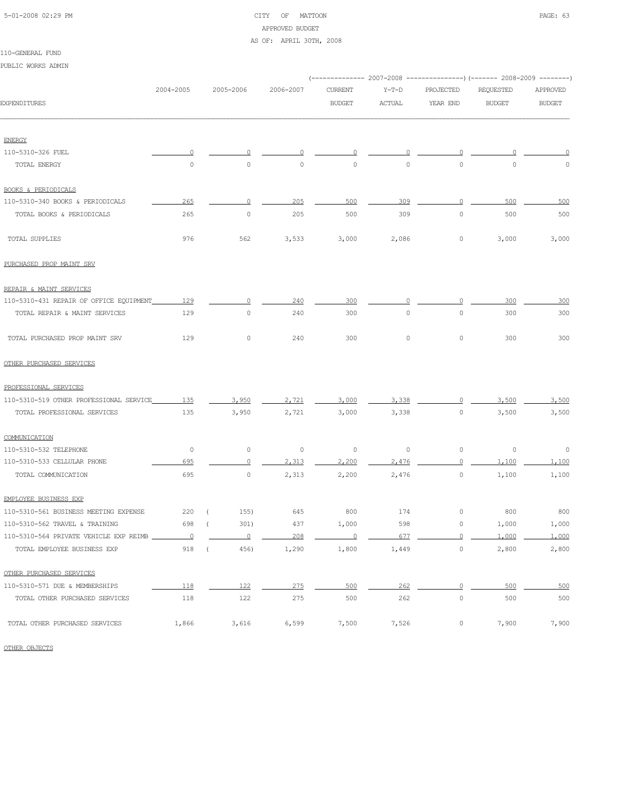# 5-01-2008 02:29 PM CITY OF MATTOON PAGE: 63 APPROVED BUDGET

AS OF: APRIL 30TH, 2008

| PUBLIC WORKS ADMIN                      |                          |                     |           |                                                                        |               |                     |               |               |
|-----------------------------------------|--------------------------|---------------------|-----------|------------------------------------------------------------------------|---------------|---------------------|---------------|---------------|
|                                         |                          |                     |           | (------------- 2007-2008 ---------------) (------- 2008-2009 --------) |               |                     |               |               |
|                                         | 2004-2005                | 2005-2006           | 2006-2007 | <b>CURRENT</b>                                                         | $Y-T-D$       | PROJECTED           | REQUESTED     | APPROVED      |
| EXPENDITURES                            |                          |                     |           | <b>BUDGET</b>                                                          | <b>ACTUAL</b> | YEAR END            | <b>BUDGET</b> | <b>BUDGET</b> |
| <b>ENERGY</b>                           |                          |                     |           |                                                                        |               |                     |               |               |
| 110-5310-326 FUEL                       | 0                        | 0                   | 0         | 0                                                                      | 0             | 0                   |               |               |
| TOTAL ENERGY                            | $\circ$                  | $\circ$             | $\circ$   | $\circ$                                                                | $\circ$       | $\circ$             | 0             | 0             |
| <b>BOOKS &amp; PERIODICALS</b>          |                          |                     |           |                                                                        |               |                     |               |               |
| 110-5310-340 BOOKS & PERIODICALS        | 265                      | $\Omega$            | 205       | 500                                                                    | 309           | $\Omega$            | 500           | 500           |
| TOTAL BOOKS & PERIODICALS               | 265                      | $\mathbb O$         | 205       | 500                                                                    | 309           | $\circ$             | 500           | 500           |
| TOTAL SUPPLIES                          | 976                      | 562                 | 3,533     | 3,000                                                                  | 2,086         | 0                   | 3,000         | 3,000         |
| PURCHASED PROP MAINT SRV                |                          |                     |           |                                                                        |               |                     |               |               |
| REPAIR & MAINT SERVICES                 |                          |                     |           |                                                                        |               |                     |               |               |
| 110-5310-431 REPAIR OF OFFICE EQUIPMENT | 129                      | 0                   | 240       | 300                                                                    |               | 0                   | 300           | 300           |
| TOTAL REPAIR & MAINT SERVICES           | 129                      | $\mathsf{O}\xspace$ | 240       | 300                                                                    | $\circ$       | $\mathsf{O}\xspace$ | 300           | 300           |
| TOTAL PURCHASED PROP MAINT SRV          | 129                      | $\circ$             | 240       | 300                                                                    | $\circ$       | $\circ$             | 300           | 300           |
| OTHER PURCHASED SERVICES                |                          |                     |           |                                                                        |               |                     |               |               |
| PROFESSIONAL SERVICES                   |                          |                     |           |                                                                        |               |                     |               |               |
| 110-5310-519 OTHER PROFESSIONAL SERVICE | 135                      | 3.950               | 2,721     | 3,000                                                                  | 3,338         | $\cap$              | 3,500         | 3,500         |
| TOTAL PROFESSIONAL SERVICES             | 135                      | 3,950               | 2,721     | 3,000                                                                  | 3,338         | 0                   | 3,500         | 3,500         |
| COMMUNICATION                           |                          |                     |           |                                                                        |               |                     |               |               |
| 110-5310-532 TELEPHONE                  | 0                        | 0                   | $\circ$   | 0                                                                      | 0             | $\circ$             | 0             | 0             |
| 110-5310-533 CELLULAR PHONE             | 695                      | $\overline{0}$      | 2,313     | 2,200                                                                  | 2.476         | $\circ$             | 1,100         | 1,100         |
| TOTAL COMMUNICATION                     | 695                      | $\mathbb O$         | 2,313     | 2,200                                                                  | 2,476         | $\mathbb O$         | 1,100         | 1,100         |
| EMPLOYEE BUSINESS EXP                   |                          |                     |           |                                                                        |               |                     |               |               |
| 110-5310-561 BUSINESS MEETING EXPENSE   | 220 (                    | 155)                | 645       | 800                                                                    | 174           | 0                   | 800           | 800           |
| 110-5310-562 TRAVEL & TRAINING          | 698                      | 301)<br>$\left($    | 437       | 1,000                                                                  | 598           | 0                   | 1,000         | 1,000         |
| 110-5310-564 PRIVATE VEHICLE EXP REIMB  | $\overline{\phantom{0}}$ | $\circ$             | 208       | $\Omega$                                                               | 677           | $\circ$             | 1,000         | 1,000         |
| TOTAL EMPLOYEE BUSINESS EXP             | 918                      | 456)<br>$\left($    | 1,290     | 1,800                                                                  | 1,449         | $\mathsf{O}\xspace$ | 2,800         | 2,800         |
| OTHER PURCHASED SERVICES                |                          |                     |           |                                                                        |               |                     |               |               |
| 110-5310-571 DUE & MEMBERSHIPS          | 118                      | 122                 | 275       | 500                                                                    | 262           | $\overline{0}$      | 500           | 500           |
| TOTAL OTHER PURCHASED SERVICES          | 118                      | 122                 | 275       | 500                                                                    | 262           | $\circ$             | 500           | 500           |
| TOTAL OTHER PURCHASED SERVICES          | 1,866                    | 3,616               | 6,599     | 7,500                                                                  | 7,526         | $\circ$             | 7,900         | 7,900         |

OTHER OBJECTS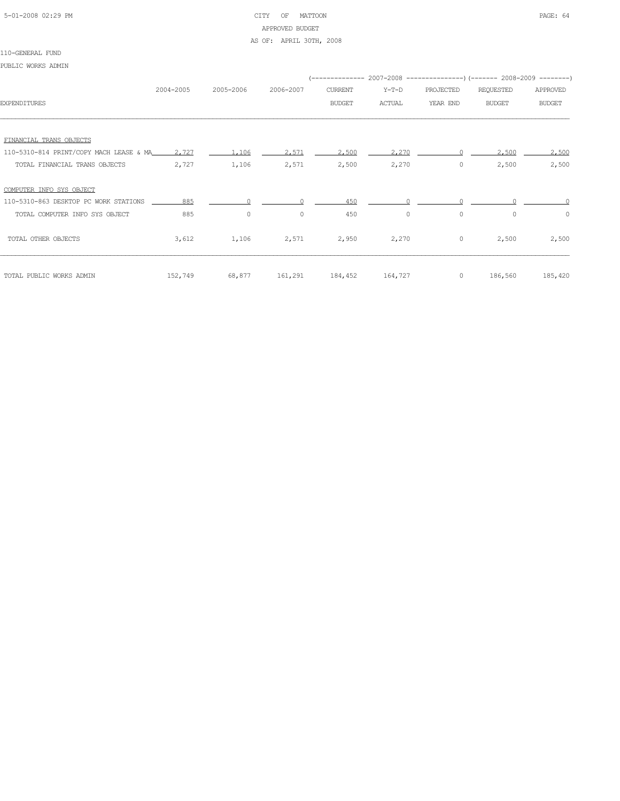### 5-01-2008 02:29 PM CITY OF MATTOON PAGE: 64 APPROVED BUDGET AS OF: APRIL 30TH, 2008

#### 110-GENERAL FUND

PUBLIC WORKS ADMIN

|                                               |           |           |           |                 |               |           | (-------------- 2007-2008 ----------------) (------- 2008-2009 --------) |               |
|-----------------------------------------------|-----------|-----------|-----------|-----------------|---------------|-----------|--------------------------------------------------------------------------|---------------|
|                                               | 2004-2005 | 2005-2006 | 2006-2007 | CURRENT         | Y-T-D         | PROJECTED | REQUESTED                                                                | APPROVED      |
| <b>EXPENDITURES</b>                           |           |           |           | <b>BUDGET</b>   | <b>ACTUAL</b> | YEAR END  | <b>BUDGET</b>                                                            | <b>BUDGET</b> |
|                                               |           |           |           |                 |               |           |                                                                          |               |
|                                               |           |           |           |                 |               |           |                                                                          |               |
| FINANCIAL TRANS OBJECTS                       |           |           |           |                 |               |           |                                                                          |               |
| 110-5310-814 PRINT/COPY MACH LEASE & MA 2,727 |           | 1,106     | 2.571     | 2,500           | 2,270         |           | 2,500                                                                    | 2,500         |
| TOTAL FINANCIAL TRANS OBJECTS                 | 2,727     | 1,106     | 2,571     | 2,500           | 2,270         | 0         | 2,500                                                                    | 2,500         |
|                                               |           |           |           |                 |               |           |                                                                          |               |
| COMPUTER INFO SYS OBJECT                      |           |           |           |                 |               |           |                                                                          |               |
| 110-5310-863 DESKTOP PC WORK STATIONS         | 885       |           |           | 450             |               |           |                                                                          |               |
| TOTAL COMPUTER INFO SYS OBJECT                | 885       | $\circ$   | $\circ$   | 450             | $\circ$       | $\circ$   | $\Omega$                                                                 | $\circ$       |
|                                               |           |           |           |                 |               |           |                                                                          |               |
| TOTAL OTHER OBJECTS                           | 3,612     | 1,106     | 2,571     | 2,950           | 2,270         | $\circ$   | 2,500                                                                    | 2,500         |
|                                               |           |           |           |                 |               |           |                                                                          |               |
|                                               |           |           |           |                 |               |           |                                                                          |               |
| TOTAL PUBLIC WORKS ADMIN                      | 152,749   | 68,877    |           | 161,291 184,452 | 164,727       | $\circ$   | 186,560                                                                  | 185,420       |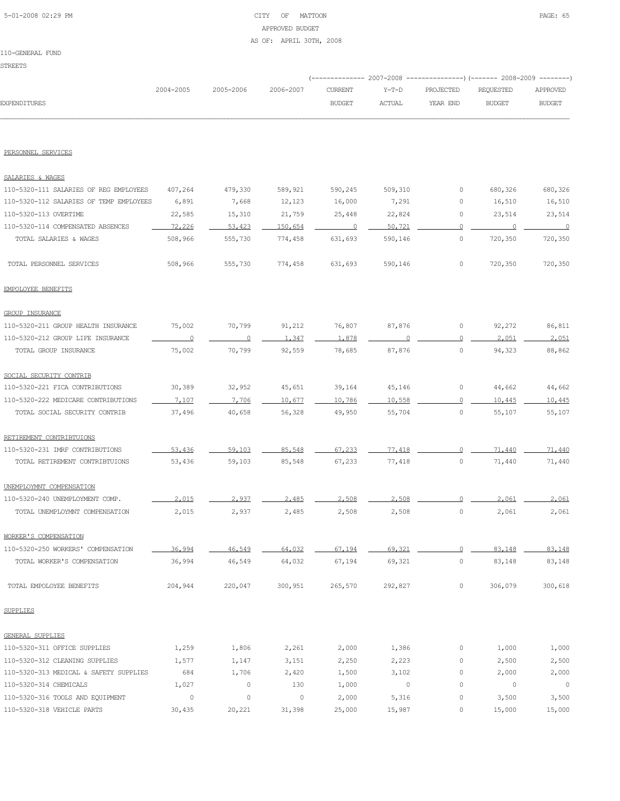### 5-01-2008 02:29 PM CITY OF MATTOON PAGE: 65 APPROVED BUDGET AS OF: APRIL 30TH, 2008

|                                         |                |           |           | ---------- 2007-2008 |         |             | ----------------) (------- 2008-2009 ---------) |                |
|-----------------------------------------|----------------|-----------|-----------|----------------------|---------|-------------|-------------------------------------------------|----------------|
|                                         | 2004-2005      | 2005-2006 | 2006-2007 | <b>CURRENT</b>       | $Y-T-D$ | PROJECTED   | REQUESTED                                       | APPROVED       |
| <b>EXPENDITURES</b>                     |                |           |           | <b>BUDGET</b>        | ACTUAL  | YEAR END    | <b>BUDGET</b>                                   | <b>BUDGET</b>  |
|                                         |                |           |           |                      |         |             |                                                 |                |
| PERSONNEL SERVICES                      |                |           |           |                      |         |             |                                                 |                |
| SALARIES & WAGES                        |                |           |           |                      |         |             |                                                 |                |
| 110-5320-111 SALARIES OF REG EMPLOYEES  | 407,264        | 479,330   | 589,921   | 590,245              | 509,310 | 0           | 680,326                                         | 680,326        |
| 110-5320-112 SALARIES OF TEMP EMPLOYEES | 6,891          | 7,668     | 12,123    | 16,000               | 7,291   | 0           | 16,510                                          | 16,510         |
| 110-5320-113 OVERTIME                   | 22,585         | 15,310    | 21,759    | 25,448               | 22,824  | 0           | 23,514                                          | 23,514         |
| 110-5320-114 COMPENSATED ABSENCES       | 72,226         | 53,423    | 150,654   | $\circ$              | 50,721  | $\Omega$    | 0                                               | $\overline{0}$ |
| TOTAL SALARIES & WAGES                  | 508,966        | 555,730   | 774,458   | 631,693              | 590,146 | $\circ$     | 720,350                                         | 720,350        |
| TOTAL PERSONNEL SERVICES                | 508,966        | 555,730   | 774,458   | 631,693              | 590,146 | 0           | 720,350                                         | 720,350        |
| EMPOLOYEE BENEFITS                      |                |           |           |                      |         |             |                                                 |                |
| <b>GROUP INSURANCE</b>                  |                |           |           |                      |         |             |                                                 |                |
| 110-5320-211 GROUP HEALTH INSURANCE     | 75,002         | 70,799    | 91,212    | 76,807               | 87,876  | 0           | 92,272                                          | 86,811         |
| 110-5320-212 GROUP LIFE INSURANCE       | $\overline{0}$ | 0         | 1,347     | 1,878                | $\cap$  | $\circ$     | 2.051                                           | 2,051          |
| TOTAL GROUP INSURANCE                   | 75,002         | 70,799    | 92,559    | 78,685               | 87,876  | $\circ$     | 94,323                                          | 88,862         |
| SOCIAL SECURITY CONTRIB                 |                |           |           |                      |         |             |                                                 |                |
| 110-5320-221 FICA CONTRIBUTIONS         | 30,389         | 32,952    | 45,651    | 39,164               | 45,146  | 0           | 44,662                                          | 44,662         |
| 110-5320-222 MEDICARE CONTRIBUTIONS     | 7.107          | 7,706     | 10.677    | 10,786               | 10,558  | $\circ$     | 10,445                                          | 10,445         |
| TOTAL SOCIAL SECURITY CONTRIB           | 37,496         | 40,658    | 56,328    | 49,950               | 55,704  | $\circ$     | 55,107                                          | 55,107         |
| RETIREMENT CONTRIBTUIONS                |                |           |           |                      |         |             |                                                 |                |
| 110-5320-231 IMRF CONTRIBUTIONS         | 53,436         | 59,103    | 85,548    | 67,233               | 77,418  | $\Omega$    | 71,440                                          | 71,440         |
| TOTAL RETIREMENT CONTRIBTUIONS          | 53,436         | 59,103    | 85,548    | 67,233               | 77,418  | $\circ$     | 71,440                                          | 71,440         |
| UNEMPLOYMNT COMPENSATION                |                |           |           |                      |         |             |                                                 |                |
| 110-5320-240 UNEMPLOYMENT COMP.         | 2.015          | 2.937     | 2.485     | 2.508                | 2,508   |             | 2,061                                           | 2.061          |
| TOTAL UNEMPLOYMNT COMPENSATION          | 2,015          | 2,937     | 2,485     | 2,508                | 2,508   | 0           | 2,061                                           | 2,061          |
| WORKER'S COMPENSATION                   |                |           |           |                      |         |             |                                                 |                |
| 110-5320-250 WORKERS' COMPENSATION      | 36,994         | 46,549    | 64,032    | 67,194               | 69,321  | $\circ$     | 83,148                                          | 83,148         |
| TOTAL WORKER'S COMPENSATION             | 36,994         | 46,549    | 64,032    | 67,194               | 69,321  | $\circ$     | 83,148                                          | 83,148         |
| TOTAL EMPOLOYEE BENEFITS                | 204,944        | 220,047   | 300,951   | 265,570              | 292,827 | 0           | 306,079                                         | 300,618        |
| <b>SUPPLIES</b>                         |                |           |           |                      |         |             |                                                 |                |
| <b>GENERAL SUPPLIES</b>                 |                |           |           |                      |         |             |                                                 |                |
| 110-5320-311 OFFICE SUPPLIES            | 1,259          | 1,806     | 2,261     | 2,000                | 1,386   | 0           | 1,000                                           | 1,000          |
| 110-5320-312 CLEANING SUPPLIES          | 1,577          | 1,147     | 3,151     | 2,250                | 2,223   | 0           | 2,500                                           | 2,500          |
| 110-5320-313 MEDICAL & SAFETY SUPPLIES  | 684            | 1,706     | 2,420     | 1,500                | 3,102   | 0           | 2,000                                           | 2,000          |
| 110-5320-314 CHEMICALS                  | 1,027          | 0         | 130       | 1,000                | 0       | $\mathbb O$ | 0                                               | $\circ$        |
| 110-5320-316 TOOLS AND EQUIPMENT        | $\circ$        | $\circ$   | $\circ$   | 2,000                | 5,316   | 0           | 3,500                                           | 3,500          |

110-5320-318 VEHICLE PARTS 30,435 20,221 31,398 25,000 15,987 0 15,000 15,000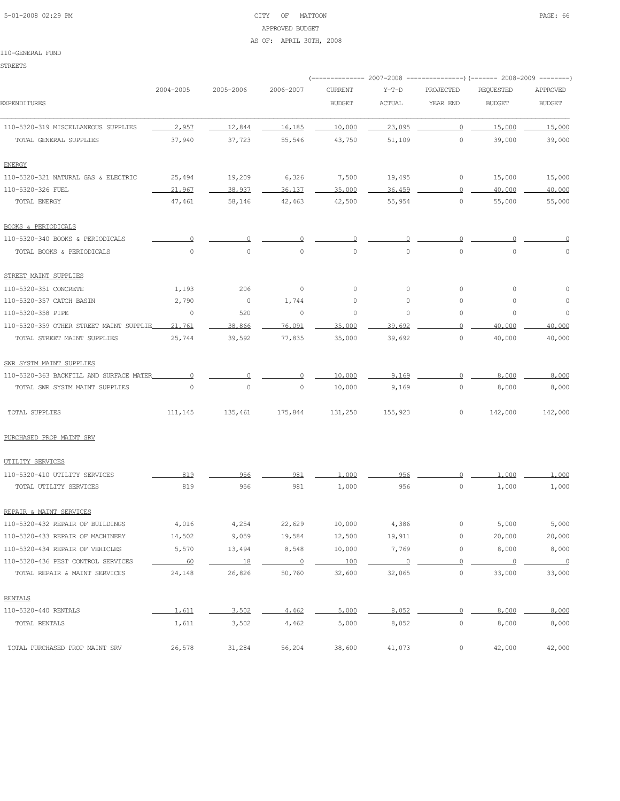### 5-01-2008 02:29 PM CITY OF MATTOON PAGE: 66 APPROVED BUDGET AS OF: APRIL 30TH, 2008

#### 110-GENERAL FUND

STREETS

|                                         |           |                     |                | ------------ 2007-2008 |                |                     | ----------------) (------- 2008-2009 ---------) |                          |
|-----------------------------------------|-----------|---------------------|----------------|------------------------|----------------|---------------------|-------------------------------------------------|--------------------------|
|                                         | 2004-2005 | 2005-2006           | 2006-2007      | <b>CURRENT</b>         | $Y-T-D$        | PROJECTED           | <b>REQUESTED</b>                                | APPROVED                 |
| <b>EXPENDITURES</b>                     |           |                     |                | <b>BUDGET</b>          | ACTUAL         | YEAR END            | <b>BUDGET</b>                                   | <b>BUDGET</b>            |
| 110-5320-319 MISCELLANEOUS SUPPLIES     | 2.957     | 12,844              | 16,185         | 10,000                 | 23,095         | $\circ$             | 15,000                                          | 15,000                   |
| TOTAL GENERAL SUPPLIES                  | 37,940    | 37,723              | 55,546         | 43,750                 | 51,109         | $\circ$             | 39,000                                          | 39,000                   |
| <b>ENERGY</b>                           |           |                     |                |                        |                |                     |                                                 |                          |
| 110-5320-321 NATURAL GAS & ELECTRIC     | 25,494    | 19,209              | 6,326          | 7,500                  | 19,495         | 0                   | 15,000                                          | 15,000                   |
| 110-5320-326 FUEL                       | 21,967    | 38,937              | 36,137         | 35,000                 | 36,459         | $\overline{0}$      | 40,000                                          | 40,000                   |
| TOTAL ENERGY                            | 47,461    | 58,146              | 42,463         | 42,500                 | 55,954         | $\circ$             | 55,000                                          | 55,000                   |
| <b>BOOKS &amp; PERIODICALS</b>          |           |                     |                |                        |                |                     |                                                 |                          |
| 110-5320-340 BOOKS & PERIODICALS        | 0         | 0                   |                | O                      |                | 0                   |                                                 |                          |
| TOTAL BOOKS & PERIODICALS               | $\circ$   | $\mathsf{O}\xspace$ | $\circ$        | $\mathsf{O}\xspace$    | $\circ$        | $\mathsf{O}\xspace$ | $\mathbb O$                                     | $\circ$                  |
| STREET MAINT SUPPLIES                   |           |                     |                |                        |                |                     |                                                 |                          |
| 110-5320-351 CONCRETE                   | 1,193     | 206                 | $\circ$        | $\circ$                | $\circ$        | $\circ$             | 0                                               | $\circ$                  |
| 110-5320-357 CATCH BASIN                | 2,790     | $\circ$             | 1,744          | 0                      | 0              | $\circ$             | 0                                               | 0                        |
| 110-5320-358 PIPE                       | 0         | 520                 | $\circ$        | 0                      | 0              | 0                   | 0                                               | 0                        |
| 110-5320-359 OTHER STREET MAINT SUPPLIE | 21,761    | 38,866              | 76,091         | 35,000                 | 39,692         | $\circ$             | 40,000                                          | 40,000                   |
| TOTAL STREET MAINT SUPPLIES             | 25,744    | 39,592              | 77,835         | 35,000                 | 39,692         | $\mathsf{O}\xspace$ | 40,000                                          | 40,000                   |
| SWR SYSTM MAINT SUPPLIES                |           |                     |                |                        |                |                     |                                                 |                          |
| 110-5320-363 BACKFILL AND SURFACE MATER | 0         | 0                   | $\Omega$       | 10,000                 | 9.169          | $\Omega$            | 8,000                                           | 8,000                    |
| TOTAL SWR SYSTM MAINT SUPPLIES          | $\circ$   | $\mathbb O$         | 0              | 10,000                 | 9,169          | $\circ$             | 8,000                                           | 8,000                    |
| TOTAL SUPPLIES                          | 111,145   | 135,461             | 175,844        | 131,250                | 155,923        | 0                   | 142,000                                         | 142,000                  |
| PURCHASED PROP MAINT SRV                |           |                     |                |                        |                |                     |                                                 |                          |
| UTILITY SERVICES                        |           |                     |                |                        |                |                     |                                                 |                          |
| 110-5320-410 UTILITY SERVICES           | 819       | 956                 | 981            | 1,000                  | 956            |                     | 1,000                                           | 1,000                    |
| TOTAL UTILITY SERVICES                  | 819       | 956                 | 981            | 1,000                  | 956            | $\circ$             | 1,000                                           | 1,000                    |
| REPAIR & MAINT SERVICES                 |           |                     |                |                        |                |                     |                                                 |                          |
| 110-5320-432 REPAIR OF BUILDINGS        | 4,016     | 4,254               | 22,629         | 10,000                 | 4,386          | 0                   | 5,000                                           | 5,000                    |
| 110-5320-433 REPAIR OF MACHINERY        | 14,502    | 9,059               | 19,584         | 12,500                 | 19,911         | 0                   | 20,000                                          | 20,000                   |
| 110-5320-434 REPAIR OF VEHICLES         | 5,570     | 13,494              | 8,548          | 10,000                 | 7,769          | $\mathsf{O}\xspace$ | 8,000                                           | 8,000                    |
| 110-5320-436 PEST CONTROL SERVICES      | 60        | 18                  | $\overline{0}$ | 100                    | $\overline{0}$ | $\Omega$            | $\circ$                                         | $\overline{\phantom{0}}$ |
| TOTAL REPAIR & MAINT SERVICES           | 24,148    | 26,826              | 50,760         | 32,600                 | 32,065         | $\circ$             | 33,000                                          | 33,000                   |
| <b>RENTALS</b>                          |           |                     |                |                        |                |                     |                                                 |                          |
| 110-5320-440 RENTALS                    | 1,611     | 3,502               | 4,462          | 5,000                  | 8,052          | $\overline{0}$      | 8,000                                           | 8,000                    |
| TOTAL RENTALS                           | 1,611     | 3,502               | 4,462          | 5,000                  | 8,052          | $\mathsf{O}\xspace$ | 8,000                                           | 8,000                    |
| TOTAL PURCHASED PROP MAINT SRV          | 26,578    | 31,284              | 56,204         | 38,600                 | 41,073         | $\mathbb O$         | 42,000                                          | 42,000                   |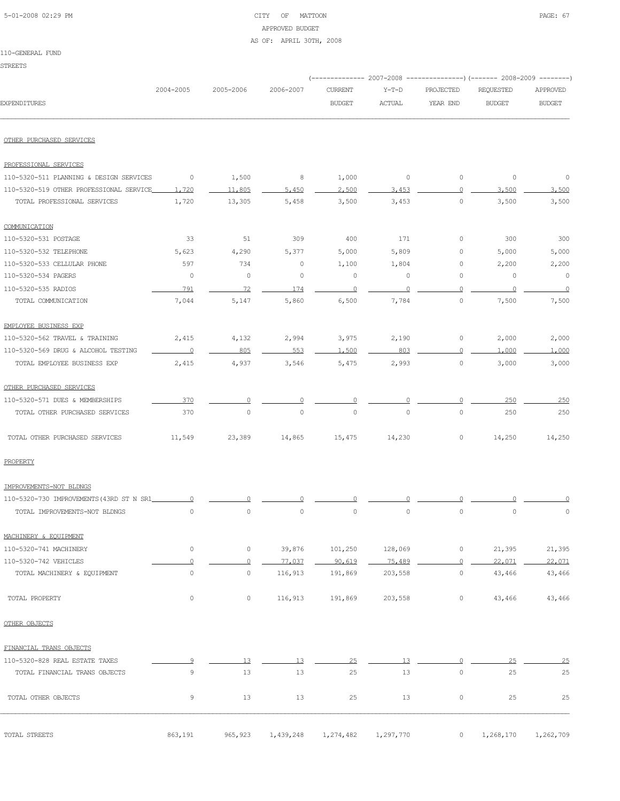| 5-01-2008 02:29 PM |  |
|--------------------|--|
|                    |  |

### CITY OF MATTOON **PAGE: 67** APPROVED BUDGET AS OF: APRIL 30TH, 2008

|                                          | 2004-2005           | 2005-2006           | 2006-2007   | <b>CURRENT</b> | $Y-T-D$       | PROJECTED           | <b>REQUESTED</b> | APPROVED      |
|------------------------------------------|---------------------|---------------------|-------------|----------------|---------------|---------------------|------------------|---------------|
| <b>EXPENDITURES</b>                      |                     |                     |             | <b>BUDGET</b>  | <b>ACTUAL</b> | YEAR END            | <b>BUDGET</b>    | <b>BUDGET</b> |
| OTHER PURCHASED SERVICES                 |                     |                     |             |                |               |                     |                  |               |
| PROFESSIONAL SERVICES                    |                     |                     |             |                |               |                     |                  |               |
| 110-5320-511 PLANNING & DESIGN SERVICES  | $\circ$             | 1,500               | 8           | 1,000          | $\circ$       | $\circ$             | $\circ$          | $\circ$       |
| 110-5320-519 OTHER PROFESSIONAL SERVICE  | 1,720               | 11,805              | 5.450       | 2,500          | 3,453         | $\Omega$            | 3,500            | 3.500         |
| TOTAL PROFESSIONAL SERVICES              | 1,720               | 13,305              | 5,458       | 3,500          | 3,453         | $\circ$             | 3,500            | 3,500         |
| COMMUNICATION                            |                     |                     |             |                |               |                     |                  |               |
| 110-5320-531 POSTAGE                     | 33                  | 51                  | 309         | 400            | 171           | 0                   | 300              | 300           |
| 110-5320-532 TELEPHONE                   | 5,623               | 4,290               | 5,377       | 5,000          | 5,809         | 0                   | 5,000            | 5,000         |
| 110-5320-533 CELLULAR PHONE              | 597                 | 734                 | 0           | 1,100          | 1,804         | 0                   | 2,200            | 2,200         |
| 110-5320-534 PAGERS                      | 0                   | 0                   | 0           | $\circ$        | 0             | 0                   | 0                | $\circ$       |
| 110-5320-535 RADIOS                      | 791                 | 72                  | 174         | $\overline{0}$ | $\circ$       | 0                   | $\cup$           | $\circ$       |
| TOTAL COMMUNICATION                      | 7,044               | 5,147               | 5,860       | 6,500          | 7,784         | $\mathbb O$         | 7,500            | 7,500         |
| EMPLOYEE BUSINESS EXP                    |                     |                     |             |                |               |                     |                  |               |
| 110-5320-562 TRAVEL & TRAINING           | 2,415               | 4,132               | 2,994       | 3,975          | 2,190         | 0                   | 2,000            | 2,000         |
| 110-5320-569 DRUG & ALCOHOL TESTING      | $\circ$             | 805                 | 553         | 1,500          | 803           | 0                   | 1,000            | 1,000         |
| TOTAL EMPLOYEE BUSINESS EXP              | 2,415               | 4,937               | 3,546       | 5,475          | 2,993         | 0                   | 3,000            | 3,000         |
| OTHER PURCHASED SERVICES                 |                     |                     |             |                |               |                     |                  |               |
| 110-5320-571 DUES & MEMBERSHIPS          | 370                 | 0                   |             |                |               |                     | 250              | 250           |
| TOTAL OTHER PURCHASED SERVICES           | 370                 | $\mathsf{O}\xspace$ | $\mathbb O$ | $\circ$        | $\circ$       | $\mathsf{O}\xspace$ | 250              | 250           |
| TOTAL OTHER PURCHASED SERVICES           | 11,549              | 23,389              | 14,865      | 15,475         | 14,230        | $\circ$             | 14,250           | 14,250        |
| PROPERTY                                 |                     |                     |             |                |               |                     |                  |               |
| IMPROVEMENTS-NOT BLDNGS                  |                     |                     |             |                |               |                     |                  |               |
| 110-5320-730 IMPROVEMENTS (43RD ST N SR1 |                     |                     |             |                |               |                     |                  |               |
| TOTAL IMPROVEMENTS-NOT BLDNGS            | $\circ$             | $\circ$             | $\mathbb O$ | 0              | $\circ$       | $\mathsf{O}\xspace$ | $\circ$          | $\circ$       |
| MACHINERY & EQUIPMENT                    |                     |                     |             |                |               |                     |                  |               |
| 110-5320-741 MACHINERY                   | 0                   | 0                   | 39,876      | 101,250        | 128,069       | 0                   | 21,395           | 21,395        |
| 110-5320-742 VEHICLES                    | $\Omega$            | $\overline{0}$      | 77,037      | 90,619         | 75,489        | $\overline{0}$      | 22,071           | 22,071        |
| TOTAL MACHINERY & EQUIPMENT              | $\mathsf{O}\xspace$ | $\mathsf{O}\xspace$ | 116,913     | 191,869        | 203,558       | $\circ$             | 43,466           | 43,466        |
| TOTAL PROPERTY                           | $\mathsf{O}\xspace$ | $\circ$             | 116,913     | 191,869        | 203,558       | 0                   | 43,466           | 43,466        |
| OTHER OBJECTS                            |                     |                     |             |                |               |                     |                  |               |
| FINANCIAL TRANS OBJECTS                  |                     |                     |             |                |               |                     |                  |               |
| 110-5320-828 REAL ESTATE TAXES           | 9                   | 13                  | 13          | 25             | 13            | $\Omega$            | 25               | 25            |
| TOTAL FINANCIAL TRANS OBJECTS            | 9                   | 13                  | 13          | 25             | 13            | $\circ$             | 25               | 25            |
| TOTAL OTHER OBJECTS                      | 9                   | 13                  | 13          | 25             | 13            | 0                   | 25               | 25            |
| TOTAL STREETS                            | 863,191             | 965, 923            | 1,439,248   | 1,274,482      | 1,297,770     | $\circ$             | 1,268,170        | 1,262,709     |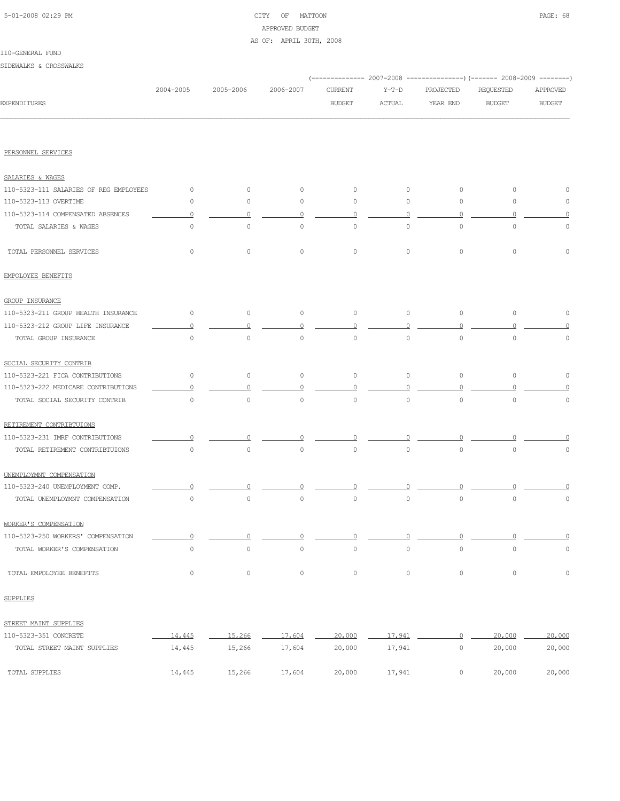### 5-01-2008 02:29 PM CITY OF MATTOON PAGE: 68 APPROVED BUDGET AS OF: APRIL 30TH, 2008

|                                        |           |                     |                     |                     |               |                     | (------------- 2007-2008 ---------------) (------- 2008-2009 --------) |                     |
|----------------------------------------|-----------|---------------------|---------------------|---------------------|---------------|---------------------|------------------------------------------------------------------------|---------------------|
|                                        | 2004-2005 | 2005-2006           | 2006-2007           | CURRENT             | $Y-T-D$       | PROJECTED           | REQUESTED                                                              | APPROVED            |
| <b>EXPENDITURES</b>                    |           |                     |                     | <b>BUDGET</b>       | <b>ACTUAL</b> | YEAR END            | <b>BUDGET</b>                                                          | <b>BUDGET</b>       |
|                                        |           |                     |                     |                     |               |                     |                                                                        |                     |
| PERSONNEL SERVICES                     |           |                     |                     |                     |               |                     |                                                                        |                     |
| SALARIES & WAGES                       |           |                     |                     |                     |               |                     |                                                                        |                     |
| 110-5323-111 SALARIES OF REG EMPLOYEES | 0         | $\circ$             | $\circ$             | $\circ$             | $\circ$       | $\circ$             | $\circ$                                                                | 0                   |
| 110-5323-113 OVERTIME                  | 0         | 0                   | 0                   | $\circ$             | $\mathbf{0}$  | $\circ$             | $\circ$                                                                | 0                   |
| 110-5323-114 COMPENSATED ABSENCES      | O         |                     | $\Omega$            |                     | $\Omega$      | $\Omega$            |                                                                        |                     |
| TOTAL SALARIES & WAGES                 | $\circ$   | $\circ$             | $\circ$             | 0                   | $\circ$       | $\circ$             | $\circ$                                                                | $\circ$             |
| TOTAL PERSONNEL SERVICES               | 0         | $\circ$             | $\circ$             | $\circ$             | $\circ$       | $\circ$             | $\circ$                                                                | $\circ$             |
| EMPOLOYEE BENEFITS                     |           |                     |                     |                     |               |                     |                                                                        |                     |
| <b>GROUP INSURANCE</b>                 |           |                     |                     |                     |               |                     |                                                                        |                     |
| 110-5323-211 GROUP HEALTH INSURANCE    | $\circ$   | $\circ$             | $\circ$             | $\circ$             | $\circ$       | $\circ$             | $\circ$                                                                | $\circ$             |
| 110-5323-212 GROUP LIFE INSURANCE      | 0         |                     | 0                   | $\Omega$            | ∩             | $\Omega$            |                                                                        |                     |
| TOTAL GROUP INSURANCE                  | $\circ$   | $\circ$             | 0                   | 0                   | $\circ$       | $\mathsf{O}\xspace$ | 0                                                                      | 0                   |
| SOCIAL SECURITY CONTRIB                |           |                     |                     |                     |               |                     |                                                                        |                     |
| 110-5323-221 FICA CONTRIBUTIONS        | $\circ$   | $\circ$             | 0                   | 0                   | $\circ$       | $\circ$             | $\circ$                                                                | 0                   |
| 110-5323-222 MEDICARE CONTRIBUTIONS    | n         |                     | ∩                   |                     | $\Omega$      |                     |                                                                        |                     |
| TOTAL SOCIAL SECURITY CONTRIB          | $\circ$   | $\circ$             | $\mathbb O$         | $\circ$             | $\circ$       | $\circ$             | $\mathbb O$                                                            | 0                   |
| RETIREMENT CONTRIBTUIONS               |           |                     |                     |                     |               |                     |                                                                        |                     |
| 110-5323-231 IMRF CONTRIBUTIONS        |           |                     |                     |                     |               |                     |                                                                        |                     |
| TOTAL RETIREMENT CONTRIBTUIONS         | $\circ$   | $\circ$             | $\circ$             | 0                   | $\circ$       | $\circ$             | $\circ$                                                                | 0                   |
| UNEMPLOYMNT COMPENSATION               |           |                     |                     |                     |               |                     |                                                                        |                     |
| 110-5323-240 UNEMPLOYMENT COMP.        |           |                     |                     |                     |               |                     |                                                                        |                     |
| TOTAL UNEMPLOYMNT COMPENSATION         | $\circ$   | $\circ$             | $\mathbb O$         | $\circ$             | $\circ$       | $\circ$             | $\circ$                                                                | $\circ$             |
| WORKER'S COMPENSATION                  |           |                     |                     |                     |               |                     |                                                                        |                     |
| 110-5323-250 WORKERS' COMPENSATION     | $\circ$   | $\Omega$            | $\Omega$            | $\Omega$            | $\circ$       | $\circ$             | $\circ$                                                                | $\overline{0}$      |
| TOTAL WORKER'S COMPENSATION            | $\circ$   | $\mathsf{O}\xspace$ | $\mathsf{O}\xspace$ | $\mathsf{O}\xspace$ | $\circ$       | $\circ$             | $\mathbb O$                                                            | $\mathsf{O}\xspace$ |
| TOTAL EMPOLOYEE BENEFITS               | $\circ$   | $\circ$             | $\circ$             | $\mathbb O$         | $\circ$       | $\circ$             | $\mathsf{O}\xspace$                                                    | 0                   |
| <b>SUPPLIES</b>                        |           |                     |                     |                     |               |                     |                                                                        |                     |
| STREET MAINT SUPPLIES                  |           |                     |                     |                     |               |                     |                                                                        |                     |
| 110-5323-351 CONCRETE                  | 14,445    | 15,266              | 17,604              | 20,000              | 17,941        | $\overline{0}$      | 20,000                                                                 | 20,000              |
| TOTAL STREET MAINT SUPPLIES            | 14,445    | 15,266              | 17,604              | 20,000              | 17,941        | $\circ$             | 20,000                                                                 | 20,000              |
| TOTAL SUPPLIES                         | 14,445    | 15,266              | 17,604              | 20,000              | 17,941        | $\circ$             | 20,000                                                                 | 20,000              |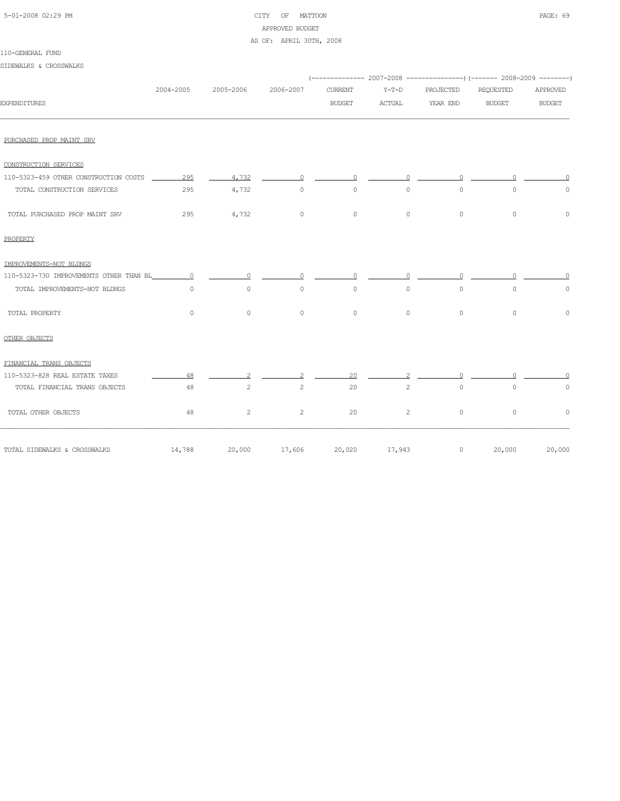| 5-01-2008 02:29 PM |  |
|--------------------|--|

### CITY OF MATTOON **PAGE: 69** APPROVED BUDGET AS OF: APRIL 30TH, 2008

110-GENERAL FUND

### SIDEWALKS & CROSSWALKS

|                                           |           |              |                |                      |           |           | (-------------- 2007-2008 ----------------) (------- 2008-2009 --------) |               |
|-------------------------------------------|-----------|--------------|----------------|----------------------|-----------|-----------|--------------------------------------------------------------------------|---------------|
|                                           | 2004-2005 | 2005-2006    | 2006-2007      | CURRENT              | Y-T-D     | PROJECTED | REQUESTED                                                                | APPROVED      |
| <b>EXPENDITURES</b>                       |           |              |                | <b>BUDGET</b>        | ACTUAL    | YEAR END  | <b>BUDGET</b>                                                            | <b>BUDGET</b> |
|                                           |           |              |                |                      |           |           |                                                                          |               |
|                                           |           |              |                |                      |           |           |                                                                          |               |
| PURCHASED PROP MAINT SRV                  |           |              |                |                      |           |           |                                                                          |               |
| CONSTRUCTION SERVICES                     |           |              |                |                      |           |           |                                                                          |               |
| 110-5323-459 OTHER CONSTRUCTION COSTS 295 |           | 4.732        | $\circ$        | $\Omega$             | $\Omega$  | $\cap$    | $\cap$                                                                   |               |
| TOTAL CONSTRUCTION SERVICES               | 295       | 4,732        | $\circ$        | $\circ$              | $\circ$   | $\circ$   | $\circ$                                                                  | 0             |
| TOTAL PURCHASED PROP MAINT SRV            | 295       | 4,732        | $\circ$        | $\circ$              | $\circ$   | $\circ$   | $\circ$                                                                  | $\circ$       |
| PROPERTY                                  |           |              |                |                      |           |           |                                                                          |               |
| IMPROVEMENTS-NOT BLDNGS                   |           |              |                |                      |           |           |                                                                          |               |
| 110-5323-730 IMPROVEMENTS OTHER THAN BL   |           | $\Omega$     | $\Omega$       | $\cap$               | $\bigcap$ | $\cap$    |                                                                          |               |
| TOTAL IMPROVEMENTS-NOT BLDNGS             | $\circ$   | $\circ$      | $\circ$        | $\circ$              | $\circ$   | $\circ$   | $\circ$                                                                  | 0             |
| TOTAL PROPERTY                            | $\circ$   | $\circ$      | $\circ$        | $\circ$              | $\circ$   | $\circ$   | $\circ$                                                                  | $\Omega$      |
| OTHER OBJECTS                             |           |              |                |                      |           |           |                                                                          |               |
| FINANCIAL TRANS OBJECTS                   |           |              |                |                      |           |           |                                                                          |               |
| 110-5323-828 REAL ESTATE TAXES            | 48        |              |                | 20                   |           |           |                                                                          |               |
| TOTAL FINANCIAL TRANS OBJECTS             | 48        | $\mathbf{2}$ | $\overline{c}$ | 20                   | 2         | $\circ$   | $\circ$                                                                  | $\circ$       |
| TOTAL OTHER OBJECTS                       | 48        | $\mathbf{2}$ | $\overline{2}$ | 20                   | 2         | $\circ$   | $\circ$                                                                  | $\mathbb O$   |
| TOTAL SIDEWALKS & CROSSWALKS              | 14,788    | 20,000       |                | 17,606 20,020 17,943 |           | $\circ$   | 20,000                                                                   | 20,000        |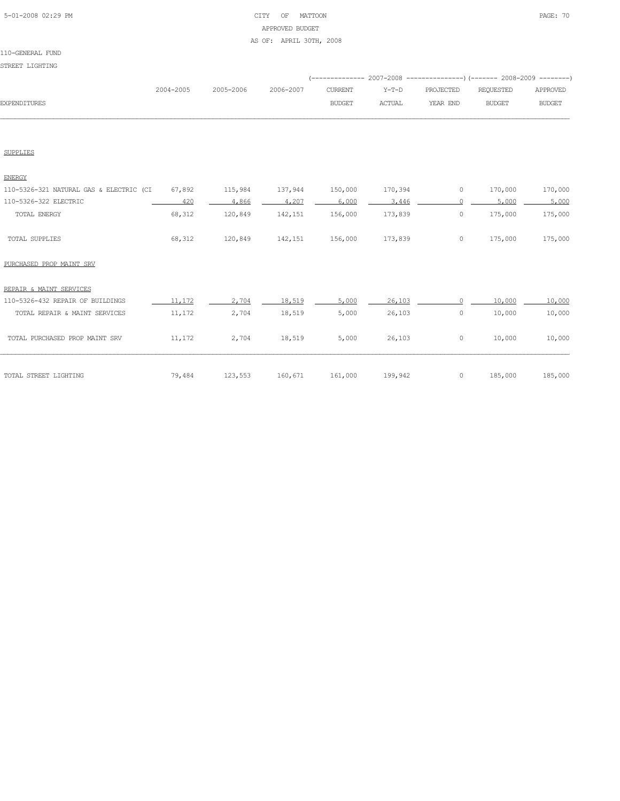### 5-01-2008 02:29 PM CITY OF MATTOON PAGE: 70 APPROVED BUDGET AS OF: APRIL 30TH, 2008

|                     |           |                     |               |        | (-------------- 2007-2008 -----------------) (------- 2008-2009 ---------) |           |               |
|---------------------|-----------|---------------------|---------------|--------|----------------------------------------------------------------------------|-----------|---------------|
|                     | 2004-2005 | 2005-2006 2006-2007 |               |        | CURRENT Y-T-D PROJECTED                                                    | REOUESTED | APPROVED      |
| <b>EXPENDITURES</b> |           |                     | <b>BUDGET</b> | ACTUAL | YEAR END                                                                   | BUDGET    | <b>BUDGET</b> |
|                     |           |                     |               |        |                                                                            |           |               |

SUPPLIES

| <b>ENERGY</b>                           |        |         |         |         |         |         |         |         |
|-----------------------------------------|--------|---------|---------|---------|---------|---------|---------|---------|
| 110-5326-321 NATURAL GAS & ELECTRIC (CI | 67,892 | 115,984 | 137,944 | 150,000 | 170,394 | $\circ$ | 170,000 | 170,000 |
| 110-5326-322 ELECTRIC                   | 420    | 4,866   | 4,207   | 6,000   | 3,446   |         | 5,000   | 5,000   |
| TOTAL ENERGY                            | 68,312 | 120,849 | 142,151 | 156,000 | 173,839 | $\circ$ | 175,000 | 175,000 |
| TOTAL SUPPLIES                          | 68,312 | 120,849 | 142,151 | 156,000 | 173,839 | $\circ$ | 175,000 | 175,000 |
| PURCHASED PROP MAINT SRV                |        |         |         |         |         |         |         |         |
| REPAIR & MAINT SERVICES                 |        |         |         |         |         |         |         |         |
| 110-5326-432 REPAIR OF BUILDINGS        | 11,172 | 2.704   | 18,519  | 5,000   | 26,103  |         | 10,000  | 10,000  |
| TOTAL REPAIR & MAINT SERVICES           | 11,172 | 2,704   | 18,519  | 5,000   | 26,103  | $\circ$ | 10,000  | 10,000  |
| TOTAL PURCHASED PROP MAINT SRV          | 11,172 | 2,704   | 18,519  | 5,000   | 26,103  | $\circ$ | 10,000  | 10,000  |
| TOTAL STREET LIGHTING                   | 79,484 | 123,553 | 160,671 | 161,000 | 199,942 | $\circ$ | 185,000 | 185,000 |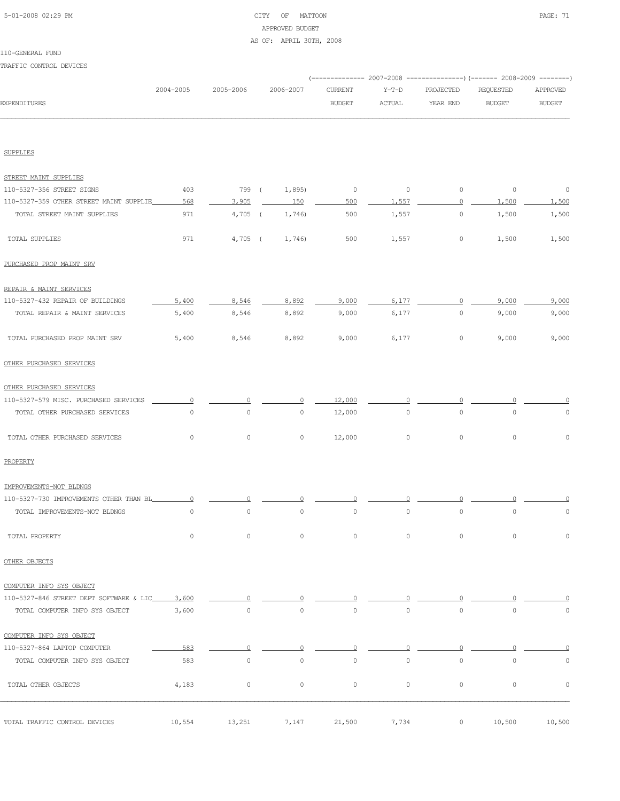### 5-01-2008 02:29 PM CITY OF MATTOON PAGE: 71 APPROVED BUDGET AS OF: APRIL 30TH, 2008

# 110-GENERAL FUND

TRAFFIC CONTROL DEVICES

| 2004-2005   | 2005-2006                                                                                                                      | 2006-2007           | CURRENT<br><b>BUDGET</b>        | $Y-T-D$<br><b>ACTUAL</b> | PROJECTED<br>YEAR END | REQUESTED<br><b>BUDGET</b> | APPROVED<br><b>BUDGET</b>                                              |
|-------------|--------------------------------------------------------------------------------------------------------------------------------|---------------------|---------------------------------|--------------------------|-----------------------|----------------------------|------------------------------------------------------------------------|
|             |                                                                                                                                |                     |                                 |                          |                       |                            |                                                                        |
|             |                                                                                                                                |                     |                                 |                          |                       |                            |                                                                        |
|             |                                                                                                                                |                     |                                 |                          |                       |                            |                                                                        |
| 403         |                                                                                                                                | 1,895)              | $\circ$                         | $\circ$                  | $\circ$               | $\circ$                    | $\circ$                                                                |
| 568         | 3,905                                                                                                                          | 150                 | 500                             | 1.557                    | 0                     | 1,500                      | 1,500                                                                  |
| 971         |                                                                                                                                | 1,746)              | 500                             | 1,557                    | $\circ$               | 1,500                      | 1,500                                                                  |
| 971         |                                                                                                                                | 1,746)              | 500                             | 1,557                    | 0                     | 1,500                      | 1,500                                                                  |
|             |                                                                                                                                |                     |                                 |                          |                       |                            |                                                                        |
|             |                                                                                                                                |                     |                                 |                          |                       |                            |                                                                        |
| 5,400       | 8,546                                                                                                                          | 8,892               | 9,000                           | 6.177                    | $\circ$               | 9,000                      | 9,000                                                                  |
| 5,400       | 8,546                                                                                                                          | 8,892               | 9,000                           | 6,177                    | $\circ$               | 9,000                      | 9,000                                                                  |
| 5,400       | 8,546                                                                                                                          | 8,892               | 9,000                           | 6,177                    | $\circ$               | 9,000                      | 9,000                                                                  |
|             |                                                                                                                                |                     |                                 |                          |                       |                            |                                                                        |
|             |                                                                                                                                |                     |                                 |                          |                       |                            |                                                                        |
| $\Omega$    | 0                                                                                                                              | 0                   | 12,000                          | $\Omega$                 | $\Omega$              |                            |                                                                        |
| $\circ$     | $\mathbb O$                                                                                                                    | 0                   | 12,000                          | $\mathbb O$              | 0                     | $\circ$                    | 0                                                                      |
| $\circ$     | $\mathbb O$                                                                                                                    | $\mathsf{O}\xspace$ | 12,000                          | $\circ$                  | $\circ$               | $\circ$                    | $\circ$                                                                |
|             |                                                                                                                                |                     |                                 |                          |                       |                            |                                                                        |
|             |                                                                                                                                |                     |                                 |                          |                       |                            |                                                                        |
| $\Omega$    | $\Omega$                                                                                                                       |                     |                                 |                          |                       |                            |                                                                        |
| $\mathbb O$ | $\mathbb O$                                                                                                                    | $\mathsf{O}\xspace$ | $\mathbb O$                     | $\mathsf{O}\xspace$      | $\mathbb O$           | $\mathbb O$                | $\mathbb O$                                                            |
| $\circ$     | $\circ$                                                                                                                        | $\circ$             | $\circ$                         | $\circ$                  | $\circ$               | $\circ$                    | $\mathbb O$                                                            |
|             |                                                                                                                                |                     |                                 |                          |                       |                            |                                                                        |
|             |                                                                                                                                |                     |                                 |                          |                       |                            |                                                                        |
| 3,600       |                                                                                                                                |                     |                                 |                          |                       |                            |                                                                        |
| 3,600       | $\circ$                                                                                                                        | $\circ$             | $\circ$                         | $\circ$                  | $\circ$               | $\circ$                    | $\circ$                                                                |
|             |                                                                                                                                |                     |                                 |                          |                       |                            |                                                                        |
| 583         | 0                                                                                                                              | Ω                   | $\circ$                         | O                        | 0                     | $\Omega$                   |                                                                        |
| 583         | $\circ$                                                                                                                        | $\mathsf{O}\xspace$ | $\circ$                         | $\circ$                  | $\circ$               | $\circ$                    | $\circ$                                                                |
|             |                                                                                                                                |                     |                                 |                          |                       |                            |                                                                        |
|             | 110-5327-359 OTHER STREET MAINT SUPPLIE<br>110-5327-730 IMPROVEMENTS OTHER THAN BL<br>110-5327-846 STREET DEPT SOFTWARE & LIC_ |                     | 799 (<br>$4,705$ (<br>$4,705$ ( |                          |                       |                            | (-------------- 2007-2008 ---------------) (------- 2008-2009 -------- |

TOTAL TRAFFIC CONTROL DEVICES 10,554 13,251 7,147 21,500 7,734 0 10,500 10,500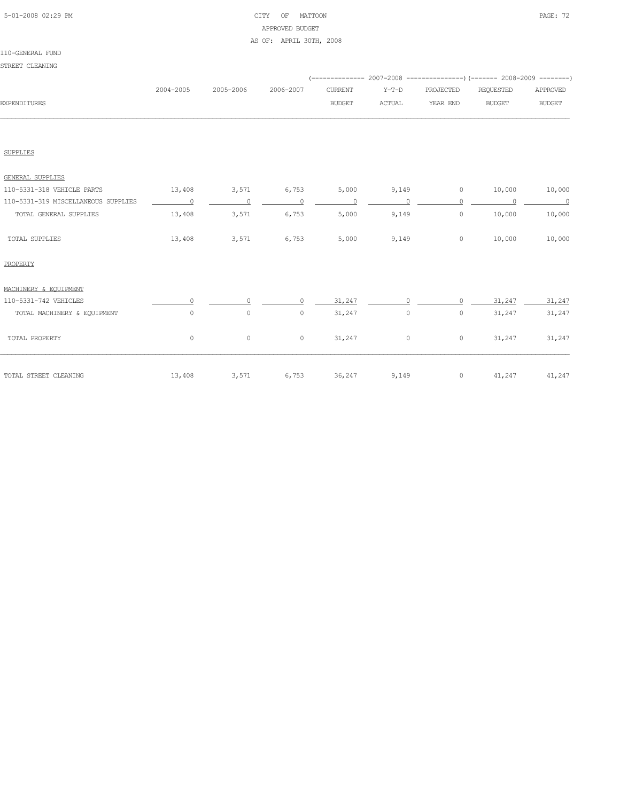### 5-01-2008 02:29 PM CITY OF MATTOON PAGE: 72 APPROVED BUDGET AS OF: APRIL 30TH, 2008

#### 110-GENERAL FUND STREET CLEANING

| ب المعتقلين لم تشتالها              |                |           |                          |                |                |                  |               |                |
|-------------------------------------|----------------|-----------|--------------------------|----------------|----------------|------------------|---------------|----------------|
|                                     | 2004-2005      | 2005-2006 | 2006-2007                | <b>CURRENT</b> | $Y-T-D$        | PROJECTED        | REQUESTED     | APPROVED       |
| <b>EXPENDITURES</b>                 |                |           |                          | <b>BUDGET</b>  | <b>ACTUAL</b>  | YEAR END         | <b>BUDGET</b> | <b>BUDGET</b>  |
|                                     |                |           |                          |                |                |                  |               |                |
| <b>SUPPLIES</b>                     |                |           |                          |                |                |                  |               |                |
| <b>GENERAL SUPPLIES</b>             |                |           |                          |                |                |                  |               |                |
| 110-5331-318 VEHICLE PARTS          | 13,408         | 3,571     | 6,753                    | 5,000          |                | $\circ$<br>9,149 | 10,000        | 10,000         |
| 110-5331-319 MISCELLANEOUS SUPPLIES | $\overline{0}$ | $\sim$ 0  | $\sim$ 0                 | $\sim$ 0       | $\overline{0}$ | $\Omega$         | $\sim$ 0      | $\overline{a}$ |
| TOTAL GENERAL SUPPLIES              | 13,408         | 3,571     | 6,753                    | 5,000          | 9,149          | $\circ$          | 10,000        | 10,000         |
| TOTAL SUPPLIES                      | 13,408         | 3,571     | 6,753                    | 5,000          | 9,149          | $\circ$          | 10,000        | 10,000         |
| PROPERTY                            |                |           |                          |                |                |                  |               |                |
| MACHINERY & EOUIPMENT               |                |           |                          |                |                |                  |               |                |
| 110-5331-742 VEHICLES               |                |           | $\cap$                   | 31,247         |                |                  | 31,247        | 31,247         |
| TOTAL MACHINERY & EQUIPMENT         | $\circ$        | $\circ$   | $\circ$                  | 31,247         | $\circ$        | $\circ$          | 31,247        | 31,247         |
| TOTAL PROPERTY                      | $\circ$        | $\circ$   | $\circ$                  | 31,247         | $\circ$        | $\circ$          | 31,247        | 31,247         |
| TOTAL STREET CLEANING               | 13,408         | 3,571     | $6,753$ $36,247$ $9,149$ |                |                | $\circ$          | 41,247 41,247 |                |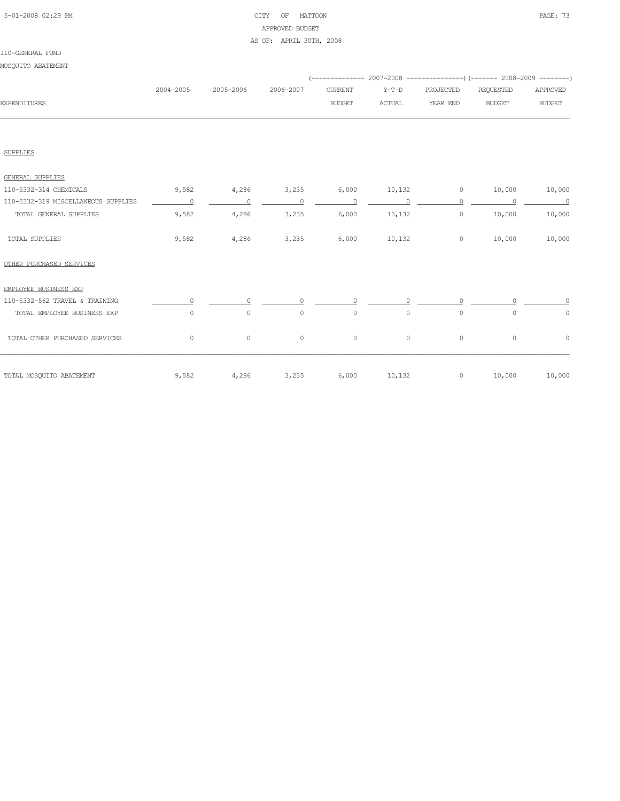# 5-01-2008 02:29 PM CITY OF MATTOON PAGE: 73 APPROVED BUDGET AS OF: APRIL 30TH, 2008

#### 110-GENERAL FUND

# MOSQUITO ABATEMENT

|              |           |           |           |               |        | (-------------- 2007-2008 ----------------) (------- 2008-2009 ---------) |               |               |
|--------------|-----------|-----------|-----------|---------------|--------|---------------------------------------------------------------------------|---------------|---------------|
|              | 2004-2005 | 2005-2006 | 2006-2007 | CURRENT       | Y-T-D  | PROJECTED                                                                 | REOUESTED     | APPROVED      |
| EXPENDITURES |           |           |           | <b>BUDGET</b> | ACTUAL | YEAR END                                                                  | <b>BUDGET</b> | <b>BUDGET</b> |
|              |           |           |           |               |        |                                                                           |               |               |

SUPPLIES

| <b>GENERAL SUPPLIES</b>             |         |         |         |         |         |         |         |          |
|-------------------------------------|---------|---------|---------|---------|---------|---------|---------|----------|
| 110-5332-314 CHEMICALS              | 9,582   | 4,286   | 3,235   | 6,000   | 10,132  | $\circ$ | 10,000  | 10,000   |
| 110-5332-319 MISCELLANEOUS SUPPLIES | $\cap$  | $\cap$  | $\cap$  | $\cap$  |         | $\cap$  |         | $\Omega$ |
| TOTAL GENERAL SUPPLIES              | 9,582   | 4,286   | 3,235   | 6,000   | 10,132  | 0       | 10,000  | 10,000   |
| TOTAL SUPPLIES                      | 9,582   | 4,286   | 3,235   | 6,000   | 10,132  | $\circ$ | 10,000  | 10,000   |
| OTHER PURCHASED SERVICES            |         |         |         |         |         |         |         |          |
| EMPLOYEE BUSINESS EXP               |         |         |         |         |         |         |         |          |
| 110-5332-562 TRAVEL & TRAINING      |         |         |         |         |         |         |         |          |
| TOTAL EMPLOYEE BUSINESS EXP         | $\circ$ | $\circ$ | $\circ$ | $\circ$ | $\circ$ | $\circ$ | 0       | $\circ$  |
| TOTAL OTHER PURCHASED SERVICES      | $\circ$ | $\circ$ | $\circ$ | $\circ$ | $\circ$ | $\circ$ | $\circ$ | $\circ$  |
| TOTAL MOSQUITO ABATEMENT            | 9,582   | 4,286   | 3,235   | 6,000   | 10,132  | 0       | 10,000  | 10,000   |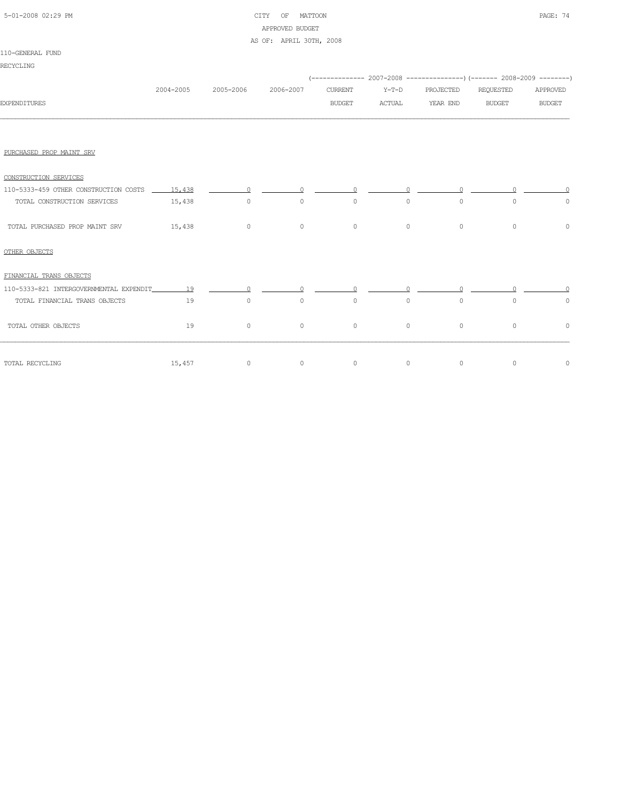# 5-01-2008 02:29 PM CITY OF MATTOON PAGE: 74 APPROVED BUDGET AS OF: APRIL 30TH, 2008

#### 110-GENERAL FUND

|                                                    |           |                   |                                                                                                                                                                                                                                                                                                                                                |               |          |           | (-------------- 2007-2008 ----------------) (------- 2008-2009 --------) |               |
|----------------------------------------------------|-----------|-------------------|------------------------------------------------------------------------------------------------------------------------------------------------------------------------------------------------------------------------------------------------------------------------------------------------------------------------------------------------|---------------|----------|-----------|--------------------------------------------------------------------------|---------------|
|                                                    | 2004-2005 | 2005-2006         | 2006-2007                                                                                                                                                                                                                                                                                                                                      | CURRENT       | $Y-T-D$  | PROJECTED | REQUESTED                                                                | APPROVED      |
| <b>EXPENDITURES</b>                                |           |                   |                                                                                                                                                                                                                                                                                                                                                | <b>BUDGET</b> | ACTUAL   | YEAR END  | <b>BUDGET</b>                                                            | <b>BUDGET</b> |
|                                                    |           |                   |                                                                                                                                                                                                                                                                                                                                                |               |          |           |                                                                          |               |
| PURCHASED PROP MAINT SRV                           |           |                   |                                                                                                                                                                                                                                                                                                                                                |               |          |           |                                                                          |               |
| CONSTRUCTION SERVICES                              |           |                   |                                                                                                                                                                                                                                                                                                                                                |               |          |           |                                                                          |               |
| 110-5333-459 OTHER CONSTRUCTION COSTS 15.438       |           | $\Omega$          | $\Omega$                                                                                                                                                                                                                                                                                                                                       | $\Omega$      | $\Omega$ | $\cap$    | $\cap$                                                                   |               |
| TOTAL CONSTRUCTION SERVICES                        | 15,438    | $\circ$           | $\circ$                                                                                                                                                                                                                                                                                                                                        | $\circ$       | $\circ$  | $\circ$   | $\circ$                                                                  | $\circ$       |
| TOTAL PURCHASED PROP MAINT SRV                     | 15,438    | $\overline{0}$    | $\circ$                                                                                                                                                                                                                                                                                                                                        | $\circ$       | $\circ$  | $\circ$   | $\circ$                                                                  | $\Omega$      |
| OTHER OBJECTS                                      |           |                   |                                                                                                                                                                                                                                                                                                                                                |               |          |           |                                                                          |               |
| FINANCIAL TRANS OBJECTS                            |           |                   |                                                                                                                                                                                                                                                                                                                                                |               |          |           |                                                                          |               |
| 110-5333-821 INTERGOVERNMENTAL EXPENDIT_________19 |           |                   | $\overline{0}$ and $\overline{0}$ and $\overline{0}$ and $\overline{0}$ and $\overline{0}$ and $\overline{0}$ and $\overline{0}$ and $\overline{0}$ and $\overline{0}$ and $\overline{0}$ and $\overline{0}$ and $\overline{0}$ and $\overline{0}$ and $\overline{0}$ and $\overline{0}$ and $\overline{0}$ and $\overline{0}$ and<br>$\Omega$ | $\Omega$      |          |           |                                                                          |               |
| TOTAL FINANCIAL TRANS OBJECTS                      | 19        | $\circ$           | $\circ$                                                                                                                                                                                                                                                                                                                                        | $\circ$       | $\circ$  | $\circ$   | $\circ$                                                                  | $\circ$       |
| TOTAL OTHER OBJECTS                                | 19        | $\circ$           | $\circ$                                                                                                                                                                                                                                                                                                                                        | $\circ$       | $\circ$  | $\circ$   | $\circ$                                                                  | $\circ$       |
| TOTAL RECYCLING                                    |           | $\circ$<br>15,457 | $\circ$                                                                                                                                                                                                                                                                                                                                        | $\circ$       | $\circ$  | $\circ$   | $\circ$                                                                  | $\circ$       |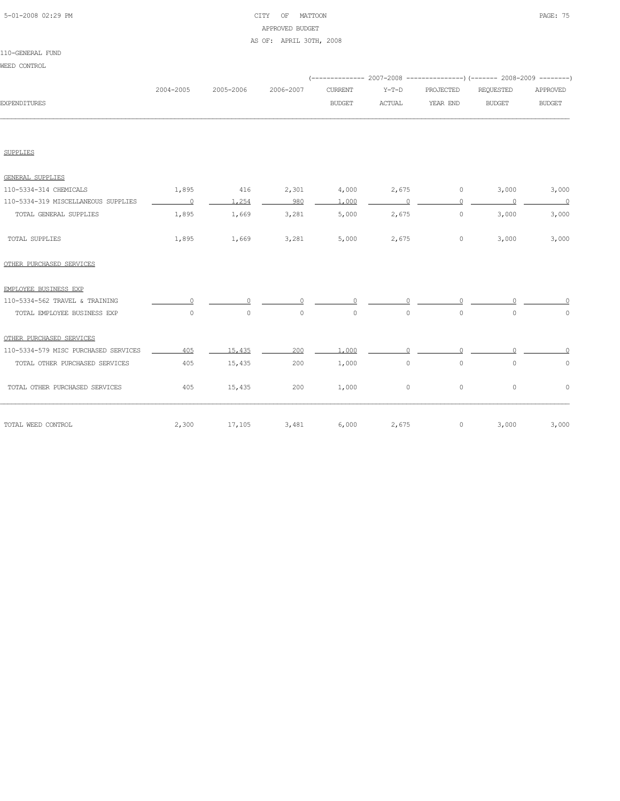# 5-01-2008 02:29 PM CITY OF MATTOON PAGE: 75 APPROVED BUDGET AS OF: APRIL 30TH, 2008

|                                      |                          |           |           |                |                |           | (-------------- 2007-2008 ----------------) (------- 2008-2009 --------) |               |
|--------------------------------------|--------------------------|-----------|-----------|----------------|----------------|-----------|--------------------------------------------------------------------------|---------------|
|                                      | 2004-2005                | 2005-2006 | 2006-2007 | <b>CURRENT</b> | $Y-T-D$        | PROJECTED | REQUESTED                                                                | APPROVED      |
| <b>EXPENDITURES</b>                  |                          |           |           | <b>BUDGET</b>  | <b>ACTUAL</b>  | YEAR END  | <b>BUDGET</b>                                                            | <b>BUDGET</b> |
|                                      |                          |           |           |                |                |           |                                                                          |               |
|                                      |                          |           |           |                |                |           |                                                                          |               |
| <b>SUPPLIES</b>                      |                          |           |           |                |                |           |                                                                          |               |
| <b>GENERAL SUPPLIES</b>              |                          |           |           |                |                |           |                                                                          |               |
| 110-5334-314 CHEMICALS               | 1,895                    | 416       | 2,301     | 4,000          | 2,675          | $\circ$   | 3,000                                                                    | 3,000         |
| 110-5334-319 MISCELLANEOUS SUPPLIES  | $\overline{\phantom{0}}$ | 1,254     | 980       | 1,000          | $\overline{0}$ | $\circ$   | $\sim$ 0                                                                 | $\sim$ 0      |
| TOTAL GENERAL SUPPLIES               | 1,895                    | 1,669     | 3,281     | 5,000          | 2,675          | $\circ$   | 3,000                                                                    | 3,000         |
| TOTAL SUPPLIES                       | 1,895                    | 1,669     | 3,281     | 5,000          | 2,675          | $\circ$   | 3,000                                                                    | 3,000         |
| OTHER PURCHASED SERVICES             |                          |           |           |                |                |           |                                                                          |               |
| EMPLOYEE BUSINESS EXP                |                          |           |           |                |                |           |                                                                          |               |
| 110-5334-562 TRAVEL & TRAINING       |                          |           |           | $\cap$         |                |           |                                                                          |               |
| TOTAL EMPLOYEE BUSINESS EXP          | $\circ$                  | $\circ$   | $\circ$   | $\circ$        | $\circ$        | $\circ$   | $\circ$                                                                  | $\circ$       |
| OTHER PURCHASED SERVICES             |                          |           |           |                |                |           |                                                                          |               |
| 110-5334-579 MISC PURCHASED SERVICES | 405                      | 15,435    | 200       | 1,000          |                |           |                                                                          |               |
| TOTAL OTHER PURCHASED SERVICES       | 405                      | 15,435    | 200       | 1,000          | $\circ$        | $\circ$   | $\circ$                                                                  | $\circ$       |
| TOTAL OTHER PURCHASED SERVICES       | 405                      | 15,435    | 200       | 1,000          | $\circ$        | $\circ$   | 0                                                                        | $\circ$       |
| TOTAL WEED CONTROL                   | 2,300                    | 17,105    | 3,481     | 6,000          | 2,675          | $\circ$   | 3,000                                                                    | 3,000         |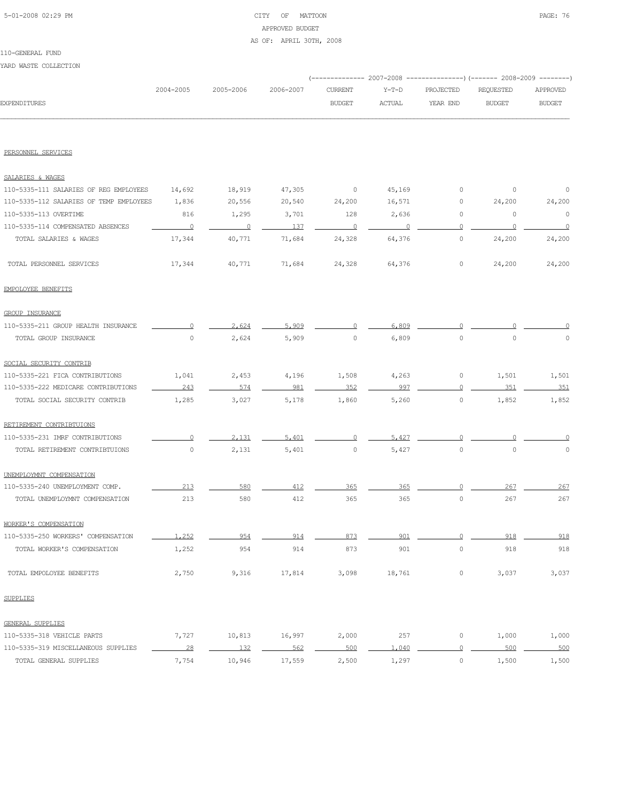# 5-01-2008 02:29 PM CITY OF MATTOON PAGE: 76 APPROVED BUDGET AS OF: APRIL 30TH, 2008

YARD WASTE COLLECTION

|                                         | 2004-2005                | 2005-2006 | 2006-2007 | <b>CURRENT</b>          | $Y-T-D$        | PROJECTED           | REQUESTED     | APPROVED       |  |
|-----------------------------------------|--------------------------|-----------|-----------|-------------------------|----------------|---------------------|---------------|----------------|--|
| <b>EXPENDITURES</b>                     |                          |           |           | <b>BUDGET</b>           | <b>ACTUAL</b>  | YEAR END            | <b>BUDGET</b> | <b>BUDGET</b>  |  |
|                                         |                          |           |           |                         |                |                     |               |                |  |
| PERSONNEL SERVICES                      |                          |           |           |                         |                |                     |               |                |  |
| SALARIES & WAGES                        |                          |           |           |                         |                |                     |               |                |  |
| 110-5335-111 SALARIES OF REG EMPLOYEES  | 14,692                   | 18,919    | 47,305    | $\circ$                 | 45,169         | 0                   | 0             | 0              |  |
| 110-5335-112 SALARIES OF TEMP EMPLOYEES | 1,836                    | 20,556    | 20,540    | 24,200                  | 16,571         | 0                   | 24,200        | 24,200         |  |
| 110-5335-113 OVERTIME                   | 816                      | 1,295     | 3,701     | 128                     | 2,636          | $\circ$             | $\circ$       | $\circ$        |  |
| 110-5335-114 COMPENSATED ABSENCES       | $\overline{\phantom{0}}$ | $\sim$ 0  | 137       | $\overline{\mathbf{0}}$ | $\overline{0}$ | $\circ$             | $\circ$       | $\overline{0}$ |  |
| TOTAL SALARIES & WAGES                  | 17,344                   | 40,771    | 71,684    | 24,328                  | 64,376         | $\circ$             | 24,200        | 24,200         |  |
| TOTAL PERSONNEL SERVICES                | 17,344                   | 40,771    | 71,684    | 24,328                  | 64,376         | $\circ$             | 24,200        | 24,200         |  |
| EMPOLOYEE BENEFITS                      |                          |           |           |                         |                |                     |               |                |  |
| GROUP INSURANCE                         |                          |           |           |                         |                |                     |               |                |  |
| 110-5335-211 GROUP HEALTH INSURANCE     | $\Omega$                 | 2,624     | 5.909     | 0                       | 6,809          |                     |               |                |  |
| TOTAL GROUP INSURANCE                   | $\circ$                  | 2,624     | 5,909     | $\circ$                 | 6,809          | $\circ$             | $\circ$       | 0              |  |
| SOCIAL SECURITY CONTRIB                 |                          |           |           |                         |                |                     |               |                |  |
| 110-5335-221 FICA CONTRIBUTIONS         | 1,041                    | 2,453     | 4,196     | 1,508                   | 4,263          | 0                   | 1,501         | 1,501          |  |
| 110-5335-222 MEDICARE CONTRIBUTIONS     | 243                      | 574       | 981       | 352                     | 997            | $\circ$             | 351           | 351            |  |
| TOTAL SOCIAL SECURITY CONTRIB           | 1,285                    | 3,027     | 5,178     | 1,860                   | 5,260          | 0                   | 1,852         | 1,852          |  |
| RETIREMENT CONTRIBTUIONS                |                          |           |           |                         |                |                     |               |                |  |
| 110-5335-231 IMRF CONTRIBUTIONS         | 0                        | 2.131     | 5,401     | $\circ$                 | 5.427          | $\Omega$            |               |                |  |
| TOTAL RETIREMENT CONTRIBTUIONS          | $\mathbb O$              | 2,131     | 5,401     | $\circ$                 | 5,427          | $\circ$             | $\circ$       | $\circ$        |  |
| UNEMPLOYMNT COMPENSATION                |                          |           |           |                         |                |                     |               |                |  |
| 110-5335-240 UNEMPLOYMENT COMP.         | 213                      | 580       | 412       | 365                     | 365            | 0                   | 267           | 267            |  |
| TOTAL UNEMPLOYMNT COMPENSATION          | 213                      | 580       | 412       | 365                     | 365            | $\circ$             | 267           | 267            |  |
| WORKER'S COMPENSATION                   |                          |           |           |                         |                |                     |               |                |  |
| 110-5335-250 WORKERS' COMPENSATION      | 1,252                    | 954       | 914       | 873                     | 901            | $\circ$             | 918           | 918            |  |
| TOTAL WORKER'S COMPENSATION             | 1,252                    | 954       | 914       | 873                     | 901            | $\mathsf{O}\xspace$ | 918           | 918            |  |
| TOTAL EMPOLOYEE BENEFITS                | 2,750                    | 9,316     | 17,814    | 3,098                   | 18,761         | $\circ$             | 3,037         | 3,037          |  |
| SUPPLIES                                |                          |           |           |                         |                |                     |               |                |  |
| <b>GENERAL SUPPLIES</b>                 |                          |           |           |                         |                |                     |               |                |  |
| 110-5335-318 VEHICLE PARTS              | 7,727                    | 10,813    | 16,997    | 2,000                   | 257            | $\circ$             | 1,000         | 1,000          |  |
| 110-5335-319 MISCELLANEOUS SUPPLIES     | 28                       | 132       | 562       | 500                     | 1,040          | $\overline{0}$      | 500           | 500            |  |
| TOTAL GENERAL SUPPLIES                  | 7,754                    | 10,946    | 17,559    | 2,500                   | 1,297          | $\circ$             | 1,500         | 1,500          |  |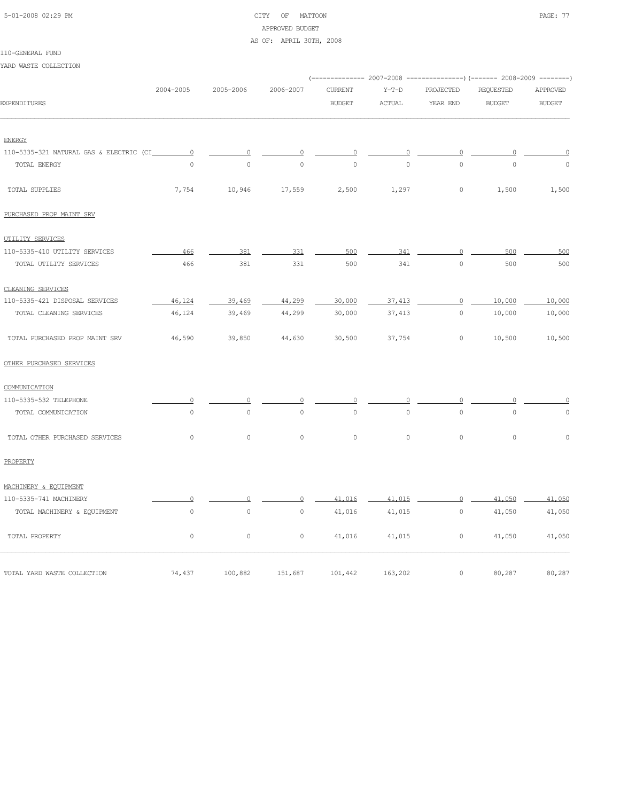| 5-01-2008 02:29 PM |  |
|--------------------|--|

#### CITY OF MATTOON PAGE: 77 APPROVED BUDGET

#### AS OF: APRIL 30TH, 2008

YARD WASTE COLLECTION

|                                          |                     |                     |                     |                | (------------- 2007-2008 ---------------) (------- 2008-2009 --------) |                |               |               |  |
|------------------------------------------|---------------------|---------------------|---------------------|----------------|------------------------------------------------------------------------|----------------|---------------|---------------|--|
|                                          | 2004-2005           | 2005-2006           | 2006-2007           | <b>CURRENT</b> | $Y-T-D$                                                                | PROJECTED      | REQUESTED     | APPROVED      |  |
| <b>EXPENDITURES</b>                      |                     |                     |                     | <b>BUDGET</b>  | <b>ACTUAL</b>                                                          | YEAR END       | <b>BUDGET</b> | <b>BUDGET</b> |  |
|                                          |                     |                     |                     |                |                                                                        |                |               |               |  |
| <b>ENERGY</b>                            |                     |                     |                     |                |                                                                        |                |               |               |  |
| 110-5335-321 NATURAL GAS & ELECTRIC (CI_ | $\overline{0}$      | $\Omega$            | $\overline{0}$      | $\overline{0}$ | $\Omega$                                                               | $\overline{0}$ | $\Omega$      | $\Omega$      |  |
| TOTAL ENERGY                             | $\circ$             | $\circ$             | $\circ$             | $\circ$        | $\circ$                                                                | $\circ$        | $\circ$       | $\mathbf 0$   |  |
| TOTAL SUPPLIES                           | 7,754               | 10,946              | 17,559              | 2,500          | 1,297                                                                  | $\circ$        | 1,500         | 1,500         |  |
| PURCHASED PROP MAINT SRV                 |                     |                     |                     |                |                                                                        |                |               |               |  |
| UTILITY SERVICES                         |                     |                     |                     |                |                                                                        |                |               |               |  |
| 110-5335-410 UTILITY SERVICES            | 466                 | 381                 | 331                 | 500            | 341                                                                    | $\Omega$       | 500           | 500           |  |
| TOTAL UTILITY SERVICES                   | 466                 | 381                 | 331                 | 500            | 341                                                                    | $\mathbf{0}$   | 500           | 500           |  |
| CLEANING SERVICES                        |                     |                     |                     |                |                                                                        |                |               |               |  |
| 110-5335-421 DISPOSAL SERVICES           | 46.124              | 39,469              | 44,299              | 30,000         | 37, 413                                                                | $\overline{0}$ | 10,000        | 10,000        |  |
| TOTAL CLEANING SERVICES                  | 46,124              | 39,469              | 44,299              | 30,000         | 37,413                                                                 | $\circ$        | 10,000        | 10,000        |  |
| TOTAL PURCHASED PROP MAINT SRV           | 46,590              | 39,850              | 44,630              | 30,500         | 37,754                                                                 | $\circ$        | 10,500        | 10,500        |  |
| OTHER PURCHASED SERVICES                 |                     |                     |                     |                |                                                                        |                |               |               |  |
| COMMUNICATION                            |                     |                     |                     |                |                                                                        |                |               |               |  |
| 110-5335-532 TELEPHONE                   | $\Omega$            | $\Omega$            | $\Omega$            | $\Omega$       | $\Omega$                                                               | $\Omega$       | $\Omega$      |               |  |
| TOTAL COMMUNICATION                      | $\mathbf{0}$        | $\circ$             | $\circ$             | $\circ$        | $\circ$                                                                | $\circ$        | $\mathbf{0}$  | $\Omega$      |  |
| TOTAL OTHER PURCHASED SERVICES           | $\circ$             | $\circ$             | $\circ$             | $\circ$        | $\circ$                                                                | $\circ$        | $\circ$       | $\mathbf 0$   |  |
| PROPERTY                                 |                     |                     |                     |                |                                                                        |                |               |               |  |
| MACHINERY & EQUIPMENT                    |                     |                     |                     |                |                                                                        |                |               |               |  |
| 110-5335-741 MACHINERY                   | $\circ$             | 0                   | 0                   | 41,016         | 41,015                                                                 | $\circ$        | 41,050        | 41,050        |  |
| TOTAL MACHINERY & EQUIPMENT              | $\mathsf{O}\xspace$ | $\mathsf{O}\xspace$ | $\mathsf{O}\xspace$ | 41,016         | 41,015                                                                 | $\circ$        | 41,050        | 41,050        |  |
| TOTAL PROPERTY                           | $\circ$             | $\mathsf{O}\xspace$ | $\mathsf{O}\xspace$ | 41,016         | 41,015                                                                 | $\circ$        | 41,050        | 41,050        |  |
| TOTAL YARD WASTE COLLECTION              | 74,437              | 100,882             | 151,687             | 101,442        | 163,202                                                                | $\circ$        | 80,287        | 80,287        |  |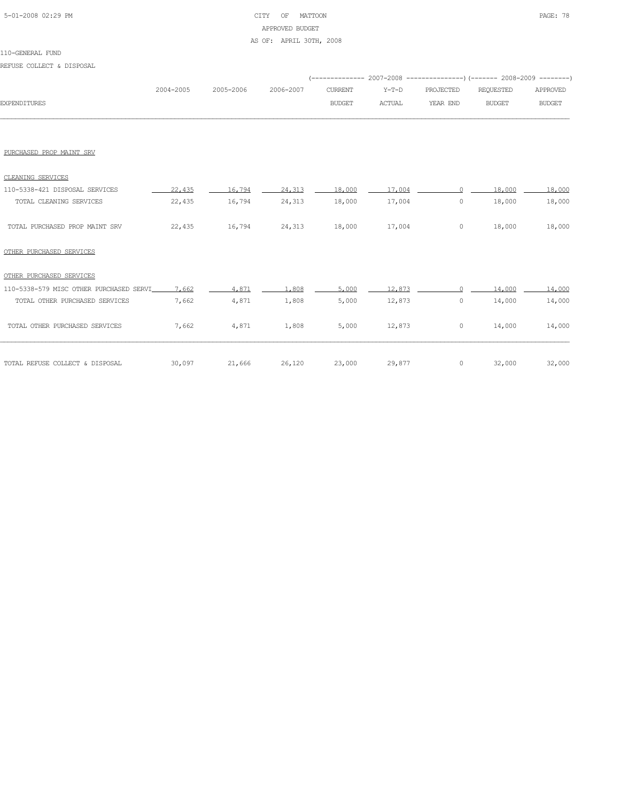# 5-01-2008 02:29 PM CITY OF MATTOON PAGE: 78 APPROVED BUDGET AS OF: APRIL 30TH, 2008

#### 110-GENERAL FUND

REFUSE COLLECT & DISPOSAL

|                     | 2004-2005 | 2005-2006 | 2006-2007 | CURRENT | Y-T-D  | PROJECTED | REOUESTED     | APPROVED      |
|---------------------|-----------|-----------|-----------|---------|--------|-----------|---------------|---------------|
| <b>EXPENDITURES</b> |           |           |           | BUDGET  | ACTUAL | YEAR END  | <b>BUDGET</b> | <b>BUDGET</b> |
|                     |           |           |           |         |        |           |               |               |

#### PURCHASED PROP MAINT SRV

| CLEANING SERVICES              |        |        |        |        |        |        |        |
|--------------------------------|--------|--------|--------|--------|--------|--------|--------|
| 110-5338-421 DISPOSAL SERVICES | 22,435 | 16.794 | 24,313 | 18,000 | 17,004 | 18,000 | 18,000 |
| TOTAL CLEANING SERVICES        | 22,435 | 16,794 | 24,313 | 18,000 | 17,004 | 18,000 | 18,000 |
| TOTAL PURCHASED PROP MAINT SRV | 22,435 | 16,794 | 24,313 | 18,000 | 17,004 | 18,000 | 18,000 |

# OTHER PURCHASED SERVICES

# OTHER PURCHASED SERVICES

| 110-5338-579 MISC OTHER PURCHASED SERVI 7,662 |        | 4.871  | 1.808  | 5.000  | 12,873 |   | 14,000 | 14,000 |
|-----------------------------------------------|--------|--------|--------|--------|--------|---|--------|--------|
| TOTAL OTHER PURCHASED SERVICES                | 7.662  | 4,871  | 1,808  | 5,000  | 12,873 | 0 | 14,000 | 14,000 |
| TOTAL OTHER PURCHASED SERVICES                | 7,662  | 4,871  | 1,808  | 5,000  | 12,873 | 0 | 14,000 | 14,000 |
|                                               |        |        |        |        |        |   |        |        |
| TOTAL REFUSE COLLECT & DISPOSAL               | 30,097 | 21,666 | 26,120 | 23,000 | 29,877 | 0 | 32,000 | 32,000 |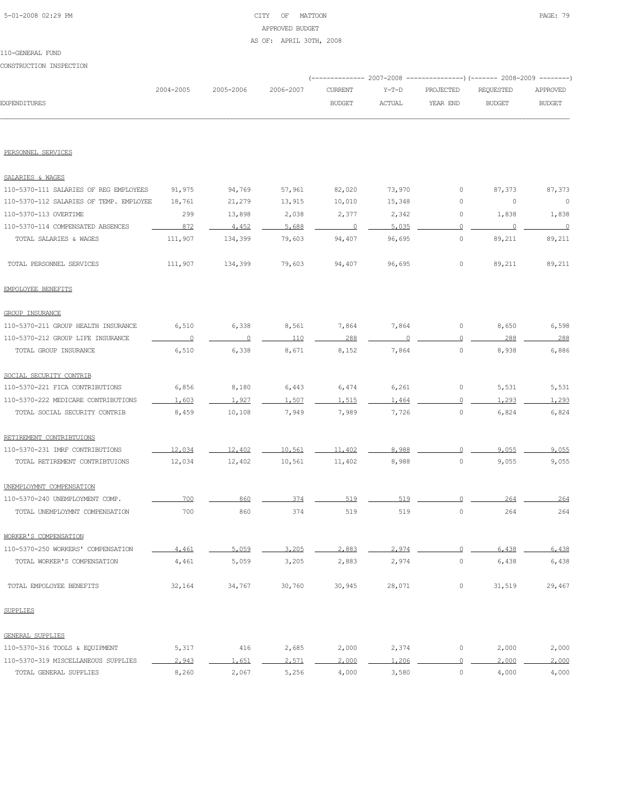# 5-01-2008 02:29 PM CITY OF MATTOON PAGE: 79 APPROVED BUDGET

AS OF: APRIL 30TH, 2008

#### 110-GENERAL FUND

CONSTRUCTION INSPECTION

|                                         |           |           |           |                |               |                     | (-------------- 2007-2008 ----------------) (------- 2008-2009 -------- |               |
|-----------------------------------------|-----------|-----------|-----------|----------------|---------------|---------------------|-------------------------------------------------------------------------|---------------|
|                                         | 2004-2005 | 2005-2006 | 2006-2007 | <b>CURRENT</b> | $Y-T-D$       | PROJECTED           | <b>REQUESTED</b>                                                        | APPROVED      |
| <b>EXPENDITURES</b>                     |           |           |           | <b>BUDGET</b>  | <b>ACTUAL</b> | YEAR END            | <b>BUDGET</b>                                                           | <b>BUDGET</b> |
|                                         |           |           |           |                |               |                     |                                                                         |               |
| PERSONNEL SERVICES                      |           |           |           |                |               |                     |                                                                         |               |
| SALARIES & WAGES                        |           |           |           |                |               |                     |                                                                         |               |
| 110-5370-111 SALARIES OF REG EMPLOYEES  | 91,975    | 94,769    | 57,961    | 82,020         | 73,970        | 0                   | 87,373                                                                  | 87,373        |
| 110-5370-112 SALARIES OF TEMP. EMPLOYEE | 18,761    | 21,279    | 13,915    | 10,010         | 15,348        | 0                   | 0                                                                       | $\circ$       |
| 110-5370-113 OVERTIME                   | 299       | 13,898    | 2,038     | 2,377          | 2,342         | 0                   | 1,838                                                                   | 1,838         |
| 110-5370-114 COMPENSATED ABSENCES       | 872       | 4,452     | 5,688     | 0              | 5,035         | $\Omega$            | 0                                                                       | $\Omega$      |
| TOTAL SALARIES & WAGES                  | 111,907   | 134,399   | 79,603    | 94,407         | 96,695        | 0                   | 89,211                                                                  | 89,211        |
| TOTAL PERSONNEL SERVICES                | 111,907   | 134,399   | 79,603    | 94,407         | 96,695        | 0                   | 89,211                                                                  | 89,211        |
| EMPOLOYEE BENEFITS                      |           |           |           |                |               |                     |                                                                         |               |
| <b>GROUP INSURANCE</b>                  |           |           |           |                |               |                     |                                                                         |               |
| 110-5370-211 GROUP HEALTH INSURANCE     | 6,510     | 6,338     | 8,561     | 7,864          | 7,864         | 0                   | 8,650                                                                   | 6,598         |
| 110-5370-212 GROUP LIFE INSURANCE       | $\Omega$  | $\circ$   | 110       | 288            |               | $\circ$             | 288                                                                     | 288           |
| TOTAL GROUP INSURANCE                   | 6,510     | 6,338     | 8,671     | 8,152          | 7,864         | 0                   | 8,938                                                                   | 6,886         |
| SOCIAL SECURITY CONTRIB                 |           |           |           |                |               |                     |                                                                         |               |
| 110-5370-221 FICA CONTRIBUTIONS         | 6,856     | 8,180     | 6,443     | 6,474          | 6,261         | 0                   | 5,531                                                                   | 5,531         |
| 110-5370-222 MEDICARE CONTRIBUTIONS     | 1,603     | 1,927     | 1,507     | 1,515          | 1.464         | $\circ$             | 1,293                                                                   | 1,293         |
| TOTAL SOCIAL SECURITY CONTRIB           | 8,459     | 10,108    | 7,949     | 7,989          | 7,726         | $\circ$             | 6,824                                                                   | 6,824         |
| RETIREMENT CONTRIBTUIONS                |           |           |           |                |               |                     |                                                                         |               |
| 110-5370-231 IMRF CONTRIBUTIONS         | 12,034    | 12,402    | 10,561    | 11,402         | 8,988         |                     | 9.055                                                                   | 9.055         |
| TOTAL RETIREMENT CONTRIBTUIONS          | 12,034    | 12,402    | 10,561    | 11,402         | 8,988         | $\circ$             | 9,055                                                                   | 9,055         |
| UNEMPLOYMNT COMPENSATION                |           |           |           |                |               |                     |                                                                         |               |
| 110-5370-240 UNEMPLOYMENT COMP.         | 700       | 860       | 374       | 519            | 519           | $\Omega$            | 264                                                                     | 264           |
| TOTAL UNEMPLOYMNT COMPENSATION          | 700       | 860       | 374       | 519            | 519           | $\mathbb O$         | 264                                                                     | 264           |
| WORKER'S COMPENSATION                   |           |           |           |                |               |                     |                                                                         |               |
| 110-5370-250 WORKERS' COMPENSATION      | 4.461     | 5,059     | 3,205     | 2,883          | 2.974         | $\Omega$            | 6.438                                                                   | 6,438         |
| TOTAL WORKER'S COMPENSATION             | 4,461     | 5,059     | 3,205     | 2,883          | 2,974         | $\circ$             | 6,438                                                                   | 6,438         |
| TOTAL EMPOLOYEE BENEFITS                | 32,164    | 34,767    | 30,760    | 30,945         | 28,071        | 0                   | 31,519                                                                  | 29,467        |
| <b>SUPPLIES</b>                         |           |           |           |                |               |                     |                                                                         |               |
| GENERAL SUPPLIES                        |           |           |           |                |               |                     |                                                                         |               |
| 110-5370-316 TOOLS & EQUIPMENT          | 5,317     | 416       | 2,685     | 2,000          | 2,374         | 0                   | 2,000                                                                   | 2,000         |
| 110-5370-319 MISCELLANEOUS SUPPLIES     | 2,943     | 1,651     | 2,571     | 2,000          | 1,206         | $\overline{0}$      | 2,000                                                                   | 2,000         |
| TOTAL GENERAL SUPPLIES                  | 8,260     | 2,067     | 5,256     | 4,000          | 3,580         | $\mathsf{O}\xspace$ | 4,000                                                                   | 4,000         |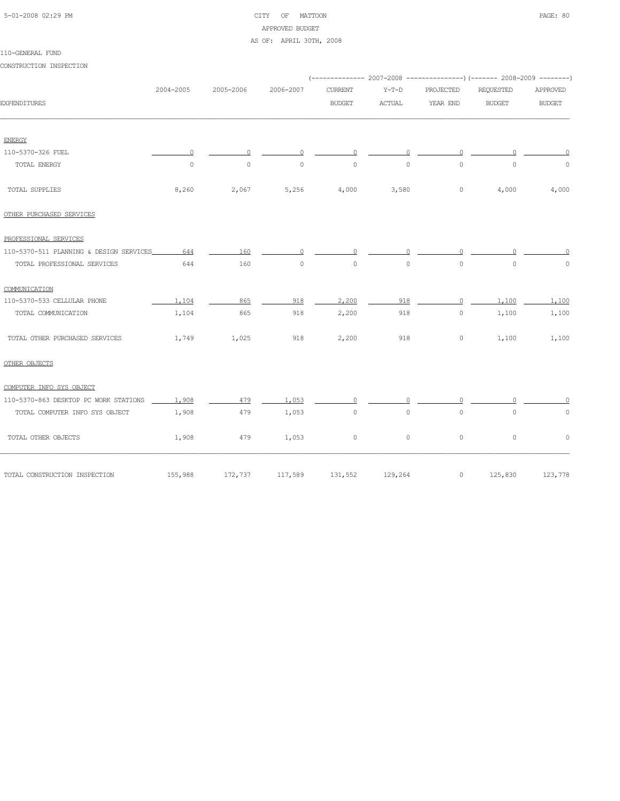# 5-01-2008 02:29 PM CITY OF MATTOON PAGE: 80 APPROVED BUDGET

#### AS OF: APRIL 30TH, 2008

#### 110-GENERAL FUND

CONSTRUCTION INSPECTION

|                                         |           |           |           |               |               |           | (------------- 2007-2008 ----------------) (------- 2008-2009 --------) |                     |
|-----------------------------------------|-----------|-----------|-----------|---------------|---------------|-----------|-------------------------------------------------------------------------|---------------------|
|                                         | 2004-2005 | 2005-2006 | 2006-2007 | CURRENT       | $Y-T-D$       | PROJECTED | REQUESTED                                                               | APPROVED            |
| <b>EXPENDITURES</b>                     |           |           |           | <b>BUDGET</b> | <b>ACTUAL</b> | YEAR END  | <b>BUDGET</b>                                                           | <b>BUDGET</b>       |
|                                         |           |           |           |               |               |           |                                                                         |                     |
| <b>ENERGY</b>                           |           |           |           |               |               |           |                                                                         |                     |
| 110-5370-326 FUEL                       |           |           |           | $\bigcap$     |               |           |                                                                         |                     |
| TOTAL ENERGY                            | $\circ$   | $\circ$   | $\circ$   | $\circ$       | $\circ$       | $\Omega$  | $\circ$                                                                 | $\circ$             |
| TOTAL SUPPLIES                          | 8,260     | 2,067     | 5,256     | 4,000         | 3,580         | $\circ$   | 4,000                                                                   | 4,000               |
| OTHER PURCHASED SERVICES                |           |           |           |               |               |           |                                                                         |                     |
| PROFESSIONAL SERVICES                   |           |           |           |               |               |           |                                                                         |                     |
| 110-5370-511 PLANNING & DESIGN SERVICES | 644       | 160       |           | $\Omega$      |               |           |                                                                         |                     |
| TOTAL PROFESSIONAL SERVICES             | 644       | 160       | $\circ$   | $\circ$       | $\circ$       | $\circ$   | $\circ$                                                                 | $\circ$             |
| COMMUNICATION                           |           |           |           |               |               |           |                                                                         |                     |
| 110-5370-533 CELLULAR PHONE             | 1.104     | 865       | 918       | 2,200         | 918           | $\Omega$  | 1,100                                                                   | 1,100               |
| TOTAL COMMUNICATION                     | 1,104     | 865       | 918       | 2,200         | 918           | $\circ$   | 1,100                                                                   | 1,100               |
| TOTAL OTHER PURCHASED SERVICES          | 1,749     | 1,025     | 918       | 2,200         | 918           | $\circ$   | 1,100                                                                   | 1,100               |
| OTHER OBJECTS                           |           |           |           |               |               |           |                                                                         |                     |
| COMPUTER INFO SYS OBJECT                |           |           |           |               |               |           |                                                                         |                     |
| 110-5370-863 DESKTOP PC WORK STATIONS _ | 1.908     | 479       | 1.053     | $\Omega$      |               |           |                                                                         |                     |
| TOTAL COMPUTER INFO SYS OBJECT          | 1,908     | 479       | 1,053     | $\circ$       | $\circ$       | $\circ$   | $\mathbb O$                                                             | $\mathsf{O}\xspace$ |
| TOTAL OTHER OBJECTS                     | 1,908     | 479       | 1,053     | 0             | $\circ$       | $\circ$   | $\circ$                                                                 | $\circ$             |
| TOTAL CONSTRUCTION INSPECTION           | 155,988   | 172,737   | 117,589   | 131,552       | 129,264       | $\circ$   | 125,830                                                                 | 123,778             |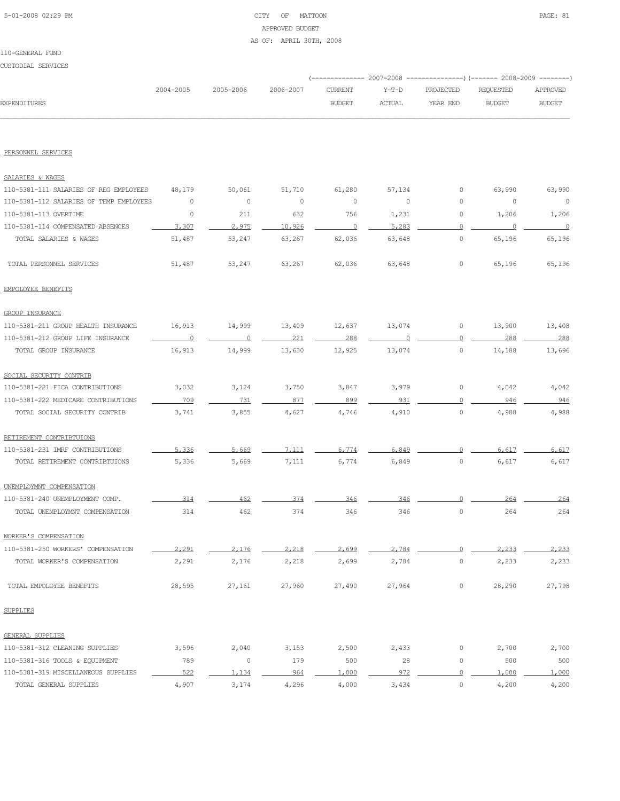# 5-01-2008 02:29 PM CITY OF MATTOON PAGE: 81 APPROVED BUDGET AS OF: APRIL 30TH, 2008

#### 110-GENERAL FUND

CUSTODIAL SERVICES

|              |           |                     |               |        | (-------------- 2007-2008 ----------------) (------- 2008-2009 --------) |           |               |
|--------------|-----------|---------------------|---------------|--------|--------------------------------------------------------------------------|-----------|---------------|
|              | 2004-2005 | 2005-2006 2006-2007 | CURRENT       | Y-T-D  | PROJECTED                                                                | REOUESTED | APPROVED      |
| EXPENDITURES |           |                     | <b>BUDGET</b> | ACTUAL | YEAR END                                                                 | BUDGET    | <b>BUDGET</b> |
|              |           |                     |               |        |                                                                          |           |               |

#### PERSONNEL SERVICES

| SALARIES & WAGES                        |                |          |         |          |         |                     |         |          |
|-----------------------------------------|----------------|----------|---------|----------|---------|---------------------|---------|----------|
| 110-5381-111 SALARIES OF REG EMPLOYEES  | 48,179         | 50,061   | 51,710  | 61,280   | 57,134  | $\circ$             | 63,990  | 63,990   |
| 110-5381-112 SALARIES OF TEMP EMPLOYEES | $\circ$        | $\circ$  | $\circ$ | $\circ$  | $\circ$ | $\mathsf{O}\xspace$ | $\circ$ | $\circ$  |
| 110-5381-113 OVERTIME                   | $\circ$        | 211      | 632     | 756      | 1,231   | $\circ$             | 1,206   | 1,206    |
| 110-5381-114 COMPENSATED ABSENCES       | 3,307          | 2,975    | 10,926  | $\Omega$ | 5,283   | $\Omega$            | 0       | $\Omega$ |
| TOTAL SALARIES & WAGES                  | 51,487         | 53,247   | 63,267  | 62,036   | 63,648  | $\circ$             | 65,196  | 65,196   |
| TOTAL PERSONNEL SERVICES                | 51,487         | 53,247   | 63,267  | 62,036   | 63,648  | $\circ$             | 65,196  | 65,196   |
| EMPOLOYEE BENEFITS                      |                |          |         |          |         |                     |         |          |
| <b>GROUP INSURANCE</b>                  |                |          |         |          |         |                     |         |          |
| 110-5381-211 GROUP HEALTH INSURANCE     | 16,913         | 14,999   | 13,409  | 12,637   | 13,074  | 0                   | 13,900  | 13,408   |
| 110-5381-212 GROUP LIFE INSURANCE       | $\overline{0}$ | $\Omega$ | 221     | 288      |         | $\Omega$            | 288     | 288      |
| TOTAL GROUP INSURANCE                   | 16,913         | 14,999   | 13,630  | 12,925   | 13,074  | $\circ$             | 14,188  | 13,696   |
| SOCIAL SECURITY CONTRIB                 |                |          |         |          |         |                     |         |          |
| 110-5381-221 FICA CONTRIBUTIONS         | 3,032          | 3,124    | 3,750   | 3,847    | 3,979   | $\circ$             | 4,042   | 4,042    |
| 110-5381-222 MEDICARE CONTRIBUTIONS     | 709            | 731      | 877     | 899      | 931     | $\Omega$            | 946     | 946      |
| TOTAL SOCIAL SECURITY CONTRIB           | 3,741          | 3,855    | 4,627   | 4,746    | 4,910   | $\circ$             | 4,988   | 4,988    |
| RETIREMENT CONTRIBTUIONS                |                |          |         |          |         |                     |         |          |
| 110-5381-231 IMRF CONTRIBUTIONS         | 5,336          | 5.669    | 7.111   | 6.774    | 6,849   | $\bigcap$           | 6.617   | 6.617    |
| TOTAL RETIREMENT CONTRIBTUIONS          | 5,336          | 5,669    | 7,111   | 6,774    | 6,849   | $\circ$             | 6,617   | 6,617    |
| UNEMPLOYMNT COMPENSATION                |                |          |         |          |         |                     |         |          |
| 110-5381-240 UNEMPLOYMENT COMP.         | 314            | 462      | 374     | 346      | 346     | $\Omega$            | 264     | 264      |
| TOTAL UNEMPLOYMNT COMPENSATION          | 314            | 462      | 374     | 346      | 346     | $\circ$             | 264     | 264      |
| WORKER'S COMPENSATION                   |                |          |         |          |         |                     |         |          |
| 110-5381-250 WORKERS' COMPENSATION      | 2,291          | 2,176    | 2,218   | 2,699    | 2,784   | $\Omega$            | 2,233   | 2,233    |
| TOTAL WORKER'S COMPENSATION             | 2,291          | 2,176    | 2,218   | 2,699    | 2,784   | $\circ$             | 2,233   | 2,233    |
| TOTAL EMPOLOYEE BENEFITS                | 28,595         | 27,161   | 27,960  | 27,490   | 27,964  | $\circ$             | 28,290  | 27,798   |
| <b>SUPPLIES</b>                         |                |          |         |          |         |                     |         |          |
| <b>GENERAL SUPPLIES</b>                 |                |          |         |          |         |                     |         |          |
| 110-5381-312 CLEANING SUPPLIES          | 3,596          | 2,040    | 3,153   | 2,500    | 2,433   | $\circ$             | 2,700   | 2,700    |
| 110-5381-316 TOOLS & EQUIPMENT          | 789            | $\circ$  | 179     | 500      | 28      | $\circ$             | 500     | 500      |
| 110-5381-319 MISCELLANEOUS SUPPLIES     | 522            | 1.134    | 964     | 1,000    | 972     | 0                   | 1,000   | 1,000    |
| TOTAL GENERAL SUPPLIES                  | 4,907          | 3,174    | 4,296   | 4,000    | 3,434   | $\circ$             | 4,200   | 4,200    |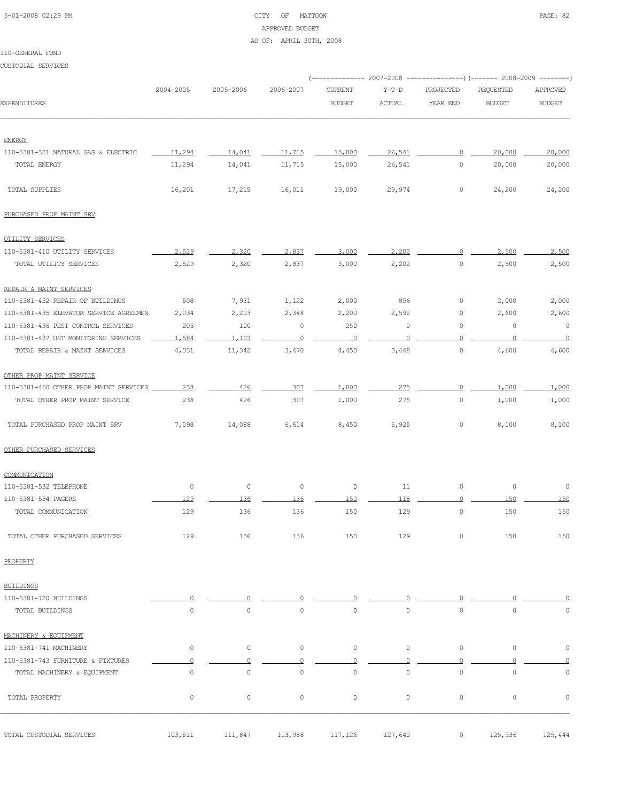# 5-01-2008 02:29 PM CITY OF MATTOON PAGE: 82 APPROVED BUDGET

#### AS OF: APRIL 30TH, 2008

#### 110-GENERAL FUND

CUSTODIAL SERVICES

|                                        |                     |           |                     |                     |             |                | (-------------- 2007-2008 ----------------) (------- 2008-2009 --------) |                     |  |
|----------------------------------------|---------------------|-----------|---------------------|---------------------|-------------|----------------|--------------------------------------------------------------------------|---------------------|--|
|                                        | 2004-2005           | 2005-2006 | 2006-2007           | <b>CURRENT</b>      | $Y-T-D$     | PROJECTED      | REQUESTED                                                                | APPROVED            |  |
| <b>EXPENDITURES</b>                    |                     |           |                     | <b>BUDGET</b>       | ACTUAL      | YEAR END       | <b>BUDGET</b>                                                            | <b>BUDGET</b>       |  |
| <b>ENERGY</b>                          |                     |           |                     |                     |             |                |                                                                          |                     |  |
| 110-5381-321 NATURAL GAS & ELECTRIC    | 11,294              | 14,041    | 11,715              | 15,000              | 26,541      | $\overline{0}$ | 20,000                                                                   | 20,000              |  |
| TOTAL ENERGY                           | 11,294              | 14,041    | 11,715              | 15,000              | 26,541      | $\circ$        | 20,000                                                                   | 20,000              |  |
|                                        |                     |           |                     |                     |             |                |                                                                          |                     |  |
| TOTAL SUPPLIES                         | 16,201              | 17,215    | 16,011              | 19,000              | 29,974      | $\circ$        | 24,200                                                                   | 24,200              |  |
| PURCHASED PROP MAINT SRV               |                     |           |                     |                     |             |                |                                                                          |                     |  |
| UTILITY SERVICES                       |                     |           |                     |                     |             |                |                                                                          |                     |  |
| 110-5381-410 UTILITY SERVICES          | 2.529               | 2,320     | 2.837               | 3,000               | 2,202       | $\circ$        | 2,500                                                                    | 2,500               |  |
| TOTAL UTILITY SERVICES                 | 2,529               | 2,320     | 2,837               | 3,000               | 2,202       | $\circ$        | 2,500                                                                    | 2,500               |  |
| REPAIR & MAINT SERVICES                |                     |           |                     |                     |             |                |                                                                          |                     |  |
| 110-5381-432 REPAIR OF BUILDINGS       | 508                 | 7,931     | 1,122               | 2,000               | 856         | $\circ$        | 2,000                                                                    | 2,000               |  |
| 110-5381-435 ELEVATOR SERVICE AGREEMEN | 2,034               | 2,203     | 2,348               | 2,200               | 2,592       | 0              | 2,600                                                                    | 2,600               |  |
| 110-5381-436 PEST CONTROL SERVICES     | 205                 | 100       | $\circ$             | 250                 | $\circ$     | $\circ$        | $\circ$                                                                  | $\circ$             |  |
| 110-5381-437 UST MONITORING SERVICES   | 1,584               | 1,107     | $\overline{0}$      | $\overline{0}$      | $\circ$     | $\circ$        | 0                                                                        | $\overline{0}$      |  |
| TOTAL REPAIR & MAINT SERVICES          | 4,331               | 11,342    | 3,470               | 4,450               | 3,448       | $\circ$        | 4,600                                                                    | 4,600               |  |
| OTHER PROP MAINT SERVICE               |                     |           |                     |                     |             |                |                                                                          |                     |  |
| 110-5381-460 OTHER PROP MAINT SERVICES | 238                 | 426       | 307                 | 1,000               | 275         | $\Omega$       | 1,000                                                                    | 1,000               |  |
| TOTAL OTHER PROP MAINT SERVICE         | 238                 | 426       | 307                 | 1,000               | 275         | 0              | 1,000                                                                    | 1,000               |  |
| TOTAL PURCHASED PROP MAINT SRV         | 7,098               | 14,088    | 6,614               | 8,450               | 5,925       | 0              | 8,100                                                                    | 8,100               |  |
| OTHER PURCHASED SERVICES               |                     |           |                     |                     |             |                |                                                                          |                     |  |
| COMMUNICATION                          |                     |           |                     |                     |             |                |                                                                          |                     |  |
| 110-5381-532 TELEPHONE                 | $\circ$             | $\circ$   | $\circ$             | $\circ$             | 11          | 0              | 0                                                                        | $\circ$             |  |
| 110-5381-534 PAGERS                    | 129                 | 136       | 136                 | 150                 | 118         | $\circ$        | 150                                                                      | 150                 |  |
| TOTAL COMMUNICATION                    | 129                 | 136       | 136                 | 150                 | 129         | $\circ$        | 150                                                                      | 150                 |  |
| TOTAL OTHER PURCHASED SERVICES         | 129                 | 136       | 136                 | 150                 | 129         | 0              | 150                                                                      | 150                 |  |
| PROPERTY                               |                     |           |                     |                     |             |                |                                                                          |                     |  |
| <b>BUILDINGS</b>                       |                     |           |                     |                     |             |                |                                                                          |                     |  |
| 110-5381-720 BUILDINGS                 | $\Omega$            | $\circ$   | 0                   | $\Omega$            |             |                |                                                                          | 0                   |  |
| TOTAL BUILDINGS                        | $\mathsf{O}\xspace$ | $\circ$   | $\circ$             | $\mathsf{O}\xspace$ | $\mathbb O$ | $\mathbb O$    | $\circ$                                                                  | $\mathbb O$         |  |
| MACHINERY & EQUIPMENT                  |                     |           |                     |                     |             |                |                                                                          |                     |  |
| 110-5381-741 MACHINERY                 | 0                   | $\circ$   | $\mathsf{O}\xspace$ | $\circ$             | $\circ$     | $\circ$        | $\circ$                                                                  | $\mathsf{O}\xspace$ |  |
| 110-5381-743 FURNITURE & FIXTURES      | $\Omega$            | $\Omega$  | $\Omega$            | $\circ$             | O           | $\circ$        | O                                                                        | $\Omega$            |  |
| TOTAL MACHINERY & EQUIPMENT            | 0                   | $\circ$   | $\mathbb O$         | $\circ$             | $\mathbb O$ | $\mathbb O$    | $\mathbb O$                                                              | $\mathbb O$         |  |
| TOTAL PROPERTY                         | $\circ$             | $\circ$   | $\circ$             | $\circ$             | $\circ$     | $\circ$        | $\mathbb O$                                                              | $\mathbb O$         |  |
| TOTAL CUSTODIAL SERVICES               | 103,511             | 111,847   | 113,988             | 117,126             | 127,640     | $\circ$        | 125,936                                                                  | 125,444             |  |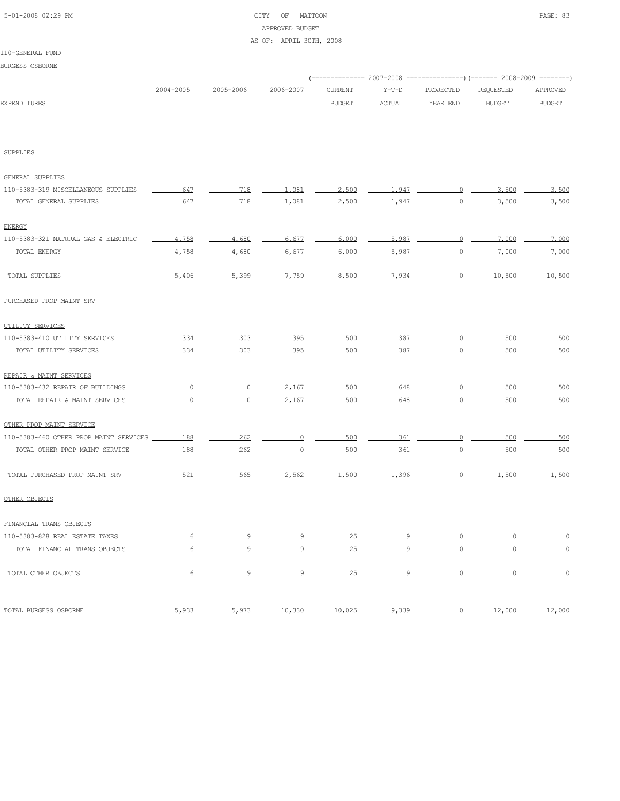# 5-01-2008 02:29 PM CITY OF MATTOON PAGE: 83 APPROVED BUDGET AS OF: APRIL 30TH, 2008

#### 110-GENERAL FUND

|                     |           |                     |        |        | (-------------- 2007-2008 ----------------) (------- 2008-2009 --------) |        |               |
|---------------------|-----------|---------------------|--------|--------|--------------------------------------------------------------------------|--------|---------------|
|                     | 2004-2005 | 2005-2006 2006-2007 |        |        | CURRENT Y-T-D PROJECTED REQUESTED APPROVED                               |        |               |
| <b>EXPENDITURES</b> |           |                     | BUDGET | ACTUAL | YEAR END                                                                 | BUDGET | <b>BUDGET</b> |
|                     |           |                     |        |        |                                                                          |        |               |

SUPPLIES

| GENERAL SUPPLIES                       |                     |                |         |        |                |                |          |             |
|----------------------------------------|---------------------|----------------|---------|--------|----------------|----------------|----------|-------------|
| 110-5383-319 MISCELLANEOUS SUPPLIES    | 647                 | 718            | 1,081   | 2,500  | 1.947          | $\circ$        | 3,500    | 3,500       |
| TOTAL GENERAL SUPPLIES                 | 647                 | 718            | 1,081   | 2,500  | 1,947          | $\circ$        | 3,500    | 3,500       |
| <b>ENERGY</b>                          |                     |                |         |        |                |                |          |             |
| 110-5383-321 NATURAL GAS & ELECTRIC    | 4,758               | 4,680          | 6.677   | 6.000  | 5.987          | $\overline{0}$ | 7,000    | 7,000       |
| TOTAL ENERGY                           | 4,758               | 4,680          | 6,677   | 6,000  | 5,987          | $\circ$        | 7,000    | 7,000       |
| TOTAL SUPPLIES                         | 5,406               | 5,399          | 7,759   | 8,500  | 7,934          | $\circ$        | 10,500   | 10,500      |
| PURCHASED PROP MAINT SRV               |                     |                |         |        |                |                |          |             |
| UTILITY SERVICES                       |                     |                |         |        |                |                |          |             |
| 110-5383-410 UTILITY SERVICES          | 334                 | 303            | 395     | 500    | 387            | $\Omega$       | 500      | 500         |
| TOTAL UTILITY SERVICES                 | 334                 | 303            | 395     | 500    | 387            | $\circ$        | 500      | 500         |
| REPAIR & MAINT SERVICES                |                     |                |         |        |                |                |          |             |
| 110-5383-432 REPAIR OF BUILDINGS       | $\circ$             | $\overline{0}$ | 2,167   | 500    | 648            | $\overline{0}$ | 500      | 500         |
| TOTAL REPAIR & MAINT SERVICES          | $\mathsf{O}\xspace$ | $\circ$        | 2,167   | 500    | 648            | $\circ$        | 500      | 500         |
| OTHER PROP MAINT SERVICE               |                     |                |         |        |                |                |          |             |
| 110-5383-460 OTHER PROP MAINT SERVICES | 188                 | 262            | $\circ$ | 500    | 361            | $\circ$        | 500      | 500         |
| TOTAL OTHER PROP MAINT SERVICE         | 188                 | 262            | $\circ$ | 500    | 361            | $\circ$        | 500      | 500         |
| TOTAL PURCHASED PROP MAINT SRV         | 521                 | 565            | 2,562   | 1,500  | 1,396          | $\circ$        | 1,500    | 1,500       |
| OTHER OBJECTS                          |                     |                |         |        |                |                |          |             |
| FINANCIAL TRANS OBJECTS                |                     |                |         |        |                |                |          |             |
| 110-5383-828 REAL ESTATE TAXES         | 6                   | 9              | 9       | 25     | 9              | $\circ$        | $\Omega$ |             |
| TOTAL FINANCIAL TRANS OBJECTS          | 6                   | $\mathcal{G}$  | 9       | 25     | $\overline{9}$ | $\circ$        | $\circ$  | $\mathbb O$ |
| TOTAL OTHER OBJECTS                    | 6                   | 9              | 9       | 25     | $\mathcal{G}$  | $\circ$        | $\circ$  | $\circ$     |
| TOTAL BURGESS OSBORNE                  | 5,933               | 5,973          | 10,330  | 10,025 | 9,339          | $\circ$        | 12,000   | 12,000      |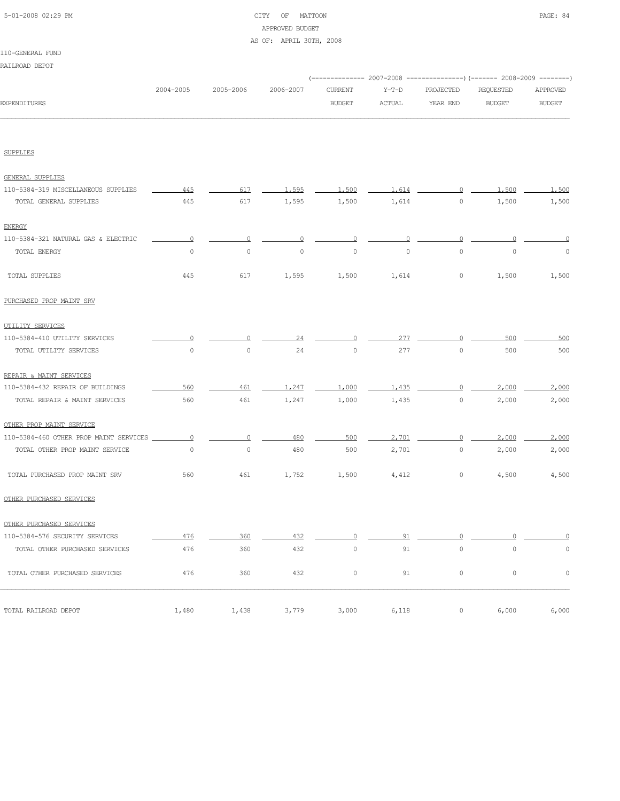# 5-01-2008 02:29 PM CITY OF MATTOON PAGE: 84 APPROVED BUDGET AS OF: APRIL 30TH, 2008

# 110-GENERAL FUND

| RAILROAD DEPOT |  |
|----------------|--|
|----------------|--|

|              |           |                     |               |         | (-------------- 2007-2008 ----------------) (------- 2008-2009 --------) |           |               |
|--------------|-----------|---------------------|---------------|---------|--------------------------------------------------------------------------|-----------|---------------|
|              | 2004-2005 | 2005-2006 2006-2007 | CURRENT       | $Y-T-D$ | PROJECTED                                                                | REOUESTED | APPROVED      |
| EXPENDITURES |           |                     | <b>BUDGET</b> | ACTUAL  | YEAR END                                                                 | BUDGET    | <b>BUDGET</b> |
|              |           |                     |               |         |                                                                          |           |               |

SUPPLIES

| GENERAL SUPPLIES                       |                |                |              |          |                |                |                |             |
|----------------------------------------|----------------|----------------|--------------|----------|----------------|----------------|----------------|-------------|
| 110-5384-319 MISCELLANEOUS SUPPLIES    | 445            | 617            | 1,595        | 1,500    | 1,614          | $\Omega$       | 1,500          | 1.500       |
| TOTAL GENERAL SUPPLIES                 | 445            | 617            | 1,595        | 1,500    | 1,614          | $\circ$        | 1,500          | 1,500       |
| <b>ENERGY</b>                          |                |                |              |          |                |                |                |             |
| 110-5384-321 NATURAL GAS & ELECTRIC    | $\overline{0}$ | $\overline{0}$ | $\mathbf{0}$ | $\Omega$ | $\overline{0}$ | $\overline{0}$ | $\overline{0}$ | $\circ$     |
| TOTAL ENERGY                           | $\circ$        | $\circ$        | $\circ$      | $\circ$  | $\circ$        | $\circ$        | $\circ$        | $\circ$     |
| TOTAL SUPPLIES                         | 445            | 617            | 1,595        | 1,500    | 1,614          | $\circ$        | 1,500          | 1,500       |
| PURCHASED PROP MAINT SRV               |                |                |              |          |                |                |                |             |
| UTILITY SERVICES                       |                |                |              |          |                |                |                |             |
| 110-5384-410 UTILITY SERVICES          |                |                | 24           | $\cap$   | 277            | $\Omega$       | 500            | 500         |
| TOTAL UTILITY SERVICES                 | $\Omega$       | $\circ$        | 24           | $\Omega$ | 277            | $\Omega$       | 500            | 500         |
| REPAIR & MAINT SERVICES                |                |                |              |          |                |                |                |             |
| 110-5384-432 REPAIR OF BUILDINGS       | 560            | 461            | 1,247        | 1,000    | 1,435          | $\circ$        | 2,000          | 2,000       |
| TOTAL REPAIR & MAINT SERVICES          | 560            | 461            | 1,247        | 1,000    | 1,435          | $\circ$        | 2,000          | 2,000       |
| OTHER PROP MAINT SERVICE               |                |                |              |          |                |                |                |             |
| 110-5384-460 OTHER PROP MAINT SERVICES | $\Omega$       | $\overline{0}$ | 480          | 500      | 2,701          | $\overline{0}$ | 2,000          | 2,000       |
| TOTAL OTHER PROP MAINT SERVICE         | $\circ$        | $\circ$        | 480          | 500      | 2,701          | $\circ$        | 2,000          | 2,000       |
| TOTAL PURCHASED PROP MAINT SRV         | 560            | 461            | 1,752        | 1,500    | 4,412          | $\circ$        | 4,500          | 4,500       |
| OTHER PURCHASED SERVICES               |                |                |              |          |                |                |                |             |
| OTHER PURCHASED SERVICES               |                |                |              |          |                |                |                |             |
| 110-5384-576 SECURITY SERVICES         | 476            | 360            | 432          | $\Omega$ | 91             | $\Omega$       | $\Omega$       |             |
| TOTAL OTHER PURCHASED SERVICES         | 476            | 360            | 432          | $\circ$  | 91             | $\circ$        | $\circ$        | $\mathbb O$ |
| TOTAL OTHER PURCHASED SERVICES         | 476            | 360            | 432          | $\circ$  | 91             | $\circ$        | $\circ$        | $\circ$     |
| TOTAL RAILROAD DEPOT                   | 1,480          | 1,438          | 3,779        | 3,000    | 6,118          | $\circ$        | 6,000          | 6,000       |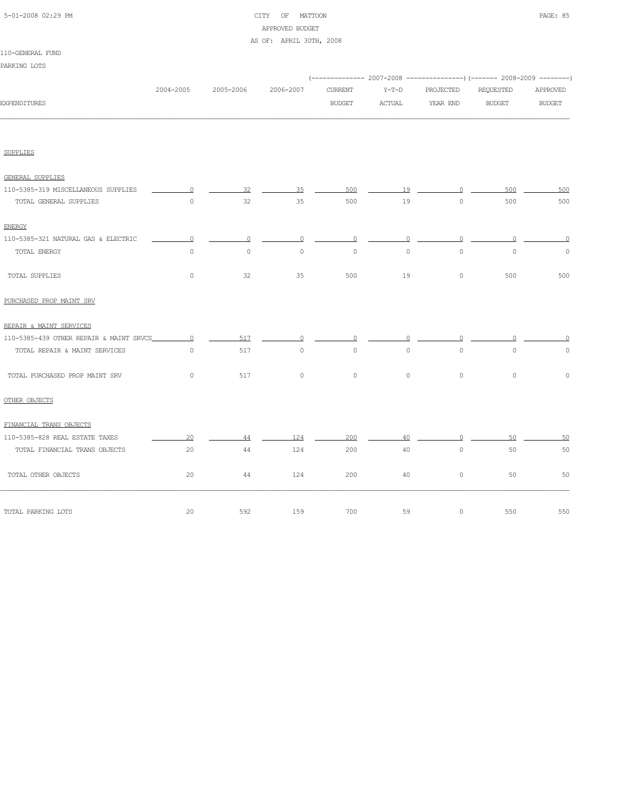| 5-01-2008 02:29 PM |  |
|--------------------|--|

# CITY OF MATTOON PAGE: 85 APPROVED BUDGET AS OF: APRIL 30TH, 2008

# 110-GENERAL FUND

| PARKING LOTS |  |
|--------------|--|
|--------------|--|

|                                     |                |           |           |                |          |           | (-------------- 2007-2008 ----------------) (------- 2008-2009 --------) |               |
|-------------------------------------|----------------|-----------|-----------|----------------|----------|-----------|--------------------------------------------------------------------------|---------------|
|                                     | 2004-2005      | 2005-2006 | 2006-2007 | <b>CURRENT</b> | $Y-T-D$  | PROJECTED | REQUESTED                                                                | APPROVED      |
| <b>EXPENDITURES</b>                 |                |           |           | <b>BUDGET</b>  | ACTUAL   | YEAR END  | <b>BUDGET</b>                                                            | <b>BUDGET</b> |
|                                     |                |           |           |                |          |           |                                                                          |               |
| <b>SUPPLIES</b>                     |                |           |           |                |          |           |                                                                          |               |
|                                     |                |           |           |                |          |           |                                                                          |               |
| <b>GENERAL SUPPLIES</b>             |                |           |           |                |          |           |                                                                          |               |
| 110-5385-319 MISCELLANEOUS SUPPLIES | $\overline{0}$ | 32        | 35        | 500            | 19       | $\Omega$  | 500                                                                      | 500           |
| TOTAL GENERAL SUPPLIES              | $\circ$        | 32        | 35        | 500            | 19       | $\circ$   | 500                                                                      | 500           |
| <b>ENERGY</b>                       |                |           |           |                |          |           |                                                                          |               |
| 110-5385-321 NATURAL GAS & ELECTRIC | $\circ$        | $\circ$   | $\circ$   | $\circ$        | $\circ$  | $\circ$   | $\Omega$                                                                 | $\Omega$      |
| TOTAL ENERGY                        | $\circ$        | $\circ$   | $\circ$   | $\circ$        | $\circ$  | $\circ$   | $\circ$                                                                  | $\circ$       |
| TOTAL SUPPLIES                      | $\circ$        | 32        | 35        | 500            | 19       | $\circ$   | 500                                                                      | 500           |
| PURCHASED PROP MAINT SRV            |                |           |           |                |          |           |                                                                          |               |
| REPAIR & MAINT SERVICES             |                |           |           |                |          |           |                                                                          |               |
|                                     |                | 517       | $\Omega$  | $\Omega$       | $\Omega$ | $\Omega$  |                                                                          |               |
| TOTAL REPAIR & MAINT SERVICES       | $\circ$        | 517       | $\circ$   | $\circ$        | $\circ$  | $\circ$   | $\circ$                                                                  | $\circ$       |
| TOTAL PURCHASED PROP MAINT SRV      | $\Omega$       | 517       | $\circ$   | $\Omega$       | $\circ$  | $\circ$   | $\circ$                                                                  | $\circ$       |
| OTHER OBJECTS                       |                |           |           |                |          |           |                                                                          |               |
| FINANCIAL TRANS OBJECTS             |                |           |           |                |          |           |                                                                          |               |
| 110-5385-828 REAL ESTATE TAXES      | 20             | 44        | 124       | 200            | 40       | $\Omega$  | 50                                                                       | 50            |
| TOTAL FINANCIAL TRANS OBJECTS       | 20             | 44        | 124       | 200            | 40       | $\circ$   | 50                                                                       | 50            |
| TOTAL OTHER OBJECTS                 | 20             | 44        | 124       | 200            | 40       | $\circ$   | 50                                                                       | 50            |
| TOTAL PARKING LOTS                  | 20             | 592       | 159       | 700            | 59       | $\circ$   | 550                                                                      | 550           |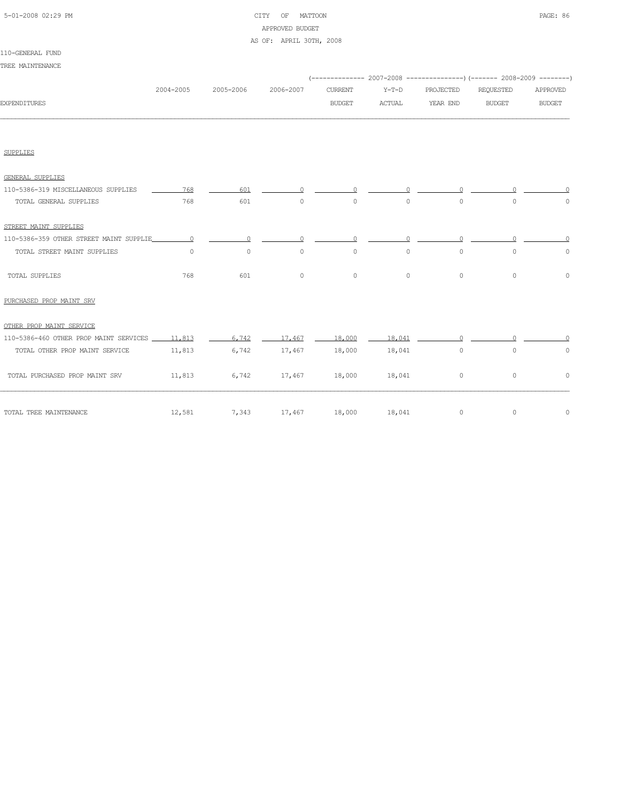| 5-01-2008 02:29 PM |  |
|--------------------|--|
|                    |  |

# CITY OF MATTOON **PAGE: 86** APPROVED BUDGET AS OF: APRIL 30TH, 2008

110-GENERAL FUND TREE MAINTENANCE

|                                               |           |                                |               |                |          |           | (-------------- 2007-2008 ----------------) (------- 2008-2009 --------) |               |
|-----------------------------------------------|-----------|--------------------------------|---------------|----------------|----------|-----------|--------------------------------------------------------------------------|---------------|
|                                               | 2004-2005 | 2005-2006                      | 2006-2007     | <b>CURRENT</b> | $Y-T-D$  | PROJECTED | REQUESTED                                                                | APPROVED      |
| <b>EXPENDITURES</b>                           |           |                                |               | <b>BUDGET</b>  | ACTUAL   | YEAR END  | <b>BUDGET</b>                                                            | <b>BUDGET</b> |
|                                               |           |                                |               |                |          |           |                                                                          |               |
| <b>SUPPLIES</b>                               |           |                                |               |                |          |           |                                                                          |               |
| <b>GENERAL SUPPLIES</b>                       |           |                                |               |                |          |           |                                                                          |               |
| 110-5386-319 MISCELLANEOUS SUPPLIES           | 768       | 601                            |               |                |          |           |                                                                          |               |
| TOTAL GENERAL SUPPLIES                        | 768       | 601                            | $\circ$       | $\circ$        | $\circ$  | $\circ$   | $\circ$                                                                  | $\circ$       |
| STREET MAINT SUPPLIES                         |           |                                |               |                |          |           |                                                                          |               |
| 110-5386-359 OTHER STREET MAINT SUPPLIE       | $\Omega$  | $\Omega$                       | $\Omega$      | $\Omega$       | $\Omega$ | $\cap$    |                                                                          |               |
| TOTAL STREET MAINT SUPPLIES                   | $\circ$   | $\circ$                        | $\Omega$      | $\Omega$       | $\Omega$ | $\Omega$  | $\Omega$                                                                 | $\circ$       |
| TOTAL SUPPLIES                                | 768       | 601                            | $\circ$       | $\circ$        | $\circ$  | $\circ$   | $\circ$                                                                  | $\mathbb O$   |
| PURCHASED PROP MAINT SRV                      |           |                                |               |                |          |           |                                                                          |               |
| OTHER PROP MAINT SERVICE                      |           |                                |               |                |          |           |                                                                          |               |
| 110-5386-460 OTHER PROP MAINT SERVICES 11,813 |           | 6,742                          | 17,467        | 18,000         | 18,041   | $\cap$    |                                                                          |               |
| TOTAL OTHER PROP MAINT SERVICE                | 11,813    | 6,742                          | 17,467        | 18,000         | 18,041   | $\circ$   | $\circ$                                                                  | $\circ$       |
| TOTAL PURCHASED PROP MAINT SRV                |           | $11,813$ 6,742 $17,467$ 18,000 |               |                | 18,041   | $\circ$   | $\circ$                                                                  | $\circ$       |
| TOTAL TREE MAINTENANCE                        | 12,581    | 7,343                          | 17,467 18,000 |                | 18,041   | $\circ$   | $\circ$                                                                  | $\circ$       |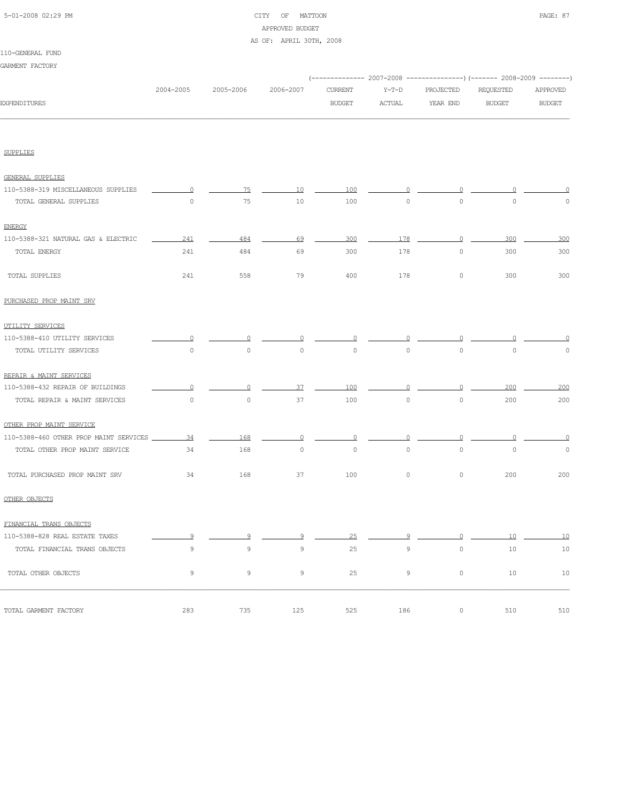| 5-01-2008 02:29 PM |  |
|--------------------|--|
|                    |  |

# CITY OF MATTOON **PAGE: 87** APPROVED BUDGET AS OF: APRIL 30TH, 2008

#### 110-GENERAL FUND

| GARMENT FACTORY                        |                     |                     |             |               |             |                     |                                                                        |               |
|----------------------------------------|---------------------|---------------------|-------------|---------------|-------------|---------------------|------------------------------------------------------------------------|---------------|
|                                        |                     |                     |             |               |             |                     | (------------- 2007-2008 ---------------) (------- 2008-2009 --------) |               |
|                                        | 2004-2005           | 2005-2006           | 2006-2007   | CURRENT       | $Y-T-D$     | PROJECTED           | REQUESTED                                                              | APPROVED      |
| <b>EXPENDITURES</b>                    |                     |                     |             | <b>BUDGET</b> | ACTUAL      | YEAR END            | <b>BUDGET</b>                                                          | <b>BUDGET</b> |
|                                        |                     |                     |             |               |             |                     |                                                                        |               |
| <b>SUPPLIES</b>                        |                     |                     |             |               |             |                     |                                                                        |               |
| <b>GENERAL SUPPLIES</b>                |                     |                     |             |               |             |                     |                                                                        |               |
| 110-5388-319 MISCELLANEOUS SUPPLIES    | $\Omega$            | 75                  | 10          | 100           | 0           | $\Omega$            |                                                                        |               |
| TOTAL GENERAL SUPPLIES                 | 0                   | 75                  | 10          | 100           | $\circ$     | $\circ$             | $\mathbb O$                                                            | $\circ$       |
| <b>ENERGY</b>                          |                     |                     |             |               |             |                     |                                                                        |               |
| 110-5388-321 NATURAL GAS & ELECTRIC    | 241                 | 484                 | 69          | 300           | 178         | $\overline{0}$      | 300                                                                    | 300           |
| TOTAL ENERGY                           | 241                 | 484                 | 69          | 300           | 178         | $\circ$             | 300                                                                    | 300           |
| TOTAL SUPPLIES                         | 241                 | 558                 | 79          | 400           | 178         | $\circ$             | 300                                                                    | 300           |
| PURCHASED PROP MAINT SRV               |                     |                     |             |               |             |                     |                                                                        |               |
| UTILITY SERVICES                       |                     |                     |             |               |             |                     |                                                                        |               |
| 110-5388-410 UTILITY SERVICES          | 0                   | $\Omega$            |             |               |             |                     |                                                                        | 0             |
| TOTAL UTILITY SERVICES                 | $\mathsf{O}\xspace$ | $\mathsf{O}\xspace$ | $\circ$     | $\circ$       | $\circ$     | $\circ$             | $\circ$                                                                | $\mathbb O$   |
| REPAIR & MAINT SERVICES                |                     |                     |             |               |             |                     |                                                                        |               |
| 110-5388-432 REPAIR OF BUILDINGS       | ∩                   | 0                   | 37          | 100           |             | $\Omega$            | 200                                                                    | 200           |
| TOTAL REPAIR & MAINT SERVICES          | $\mathbb O$         | $\circ$             | 37          | 100           | $\circ$     | $\circ$             | 200                                                                    | 200           |
| OTHER PROP MAINT SERVICE               |                     |                     |             |               |             |                     |                                                                        |               |
| 110-5388-460 OTHER PROP MAINT SERVICES | 34                  | 168                 | $\Omega$    | $\circ$       |             | $\Omega$            | ∩                                                                      | $\Omega$      |
| TOTAL OTHER PROP MAINT SERVICE         | 34                  | 168                 | $\circ$     | $\circ$       | $\circ$     | $\circ$             | $\mathbb O$                                                            | $\circ$       |
| TOTAL PURCHASED PROP MAINT SRV         | 34                  | 168                 | 37          | 100           | $\circ$     | $\circ$             | 200                                                                    | 200           |
| OTHER OBJECTS                          |                     |                     |             |               |             |                     |                                                                        |               |
| FINANCIAL TRANS OBJECTS                |                     |                     |             |               |             |                     |                                                                        |               |
| 110-5388-828 REAL ESTATE TAXES         | 9                   | 9                   | 9           | 25            | 9           | 0                   | 10                                                                     | 10            |
| TOTAL FINANCIAL TRANS OBJECTS          | 9                   | $\mathcal{G}$       | $\mathsf 9$ | 25            | $\mathsf 9$ | $\mathsf{O}\xspace$ | 10                                                                     | 10            |
| TOTAL OTHER OBJECTS                    | 9                   | 9                   | 9           | 25            | 9           | $\circ$             | 10                                                                     | 10            |
| TOTAL GARMENT FACTORY                  | 283                 | 735                 | 125         | 525           | 186         | $\circ$             | 510                                                                    | 510           |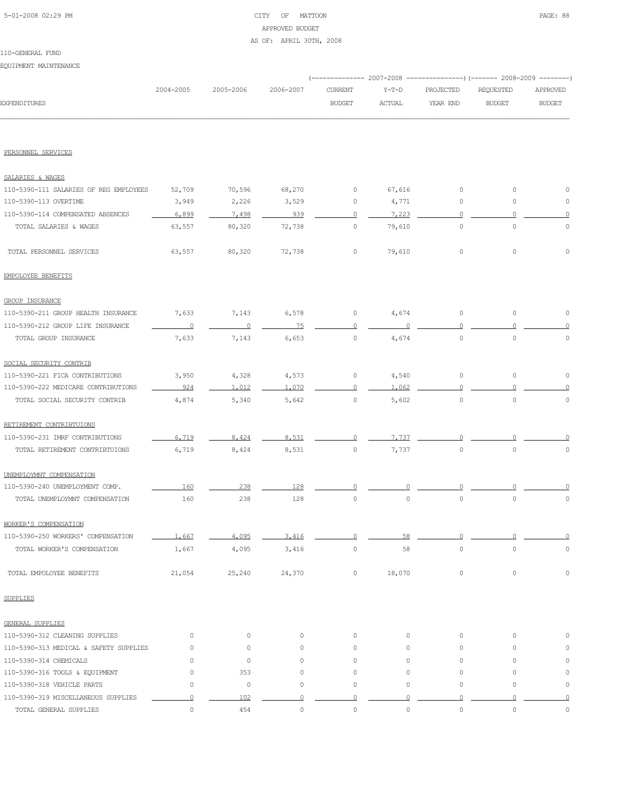# 5-01-2008 02:29 PM CITY OF MATTOON PAGE: 88 APPROVED BUDGET AS OF: APRIL 30TH, 2008

EQUIPMENT MAINTENANCE

|                                        |             |                     |                     |                |               | (------------- 2007-2008 ---------------) (------- 2008-2009 --------) |                     |                     |
|----------------------------------------|-------------|---------------------|---------------------|----------------|---------------|------------------------------------------------------------------------|---------------------|---------------------|
|                                        | 2004-2005   | 2005-2006           | 2006-2007           | <b>CURRENT</b> | Y-T-D         | PROJECTED                                                              | REQUESTED           | APPROVED            |
| EXPENDITURES                           |             |                     |                     | <b>BUDGET</b>  | <b>ACTUAL</b> | YEAR END                                                               | <b>BUDGET</b>       | <b>BUDGET</b>       |
|                                        |             |                     |                     |                |               |                                                                        |                     |                     |
| PERSONNEL SERVICES                     |             |                     |                     |                |               |                                                                        |                     |                     |
| SALARIES & WAGES                       |             |                     |                     |                |               |                                                                        |                     |                     |
| 110-5390-111 SALARIES OF REG EMPLOYEES | 52,709      | 70,596              | 68,270              | 0              | 67,616        | 0                                                                      | 0                   | 0                   |
| 110-5390-113 OVERTIME                  | 3,949       | 2,226               | 3,529               | 0              | 4,771         | 0                                                                      | $\mathbf 0$         | 0                   |
| 110-5390-114 COMPENSATED ABSENCES      | 6,899       | 7,498               | 939                 | $\Omega$       | 7,223         | $\mathbf{0}$                                                           | $\Omega$            | $\circ$             |
| TOTAL SALARIES & WAGES                 | 63,557      | 80,320              | 72,738              | 0              | 79,610        | $\circ$                                                                | $\mathbb O$         | $\mathbb O$         |
| TOTAL PERSONNEL SERVICES               | 63,557      | 80,320              | 72,738              | 0              | 79,610        | $\circ$                                                                | 0                   | 0                   |
| EMPOLOYEE BENEFITS                     |             |                     |                     |                |               |                                                                        |                     |                     |
| <b>GROUP INSURANCE</b>                 |             |                     |                     |                |               |                                                                        |                     |                     |
| 110-5390-211 GROUP HEALTH INSURANCE    | 7,633       | 7,143               | 6,578               | 0              | 4,674         | $\circ$                                                                | 0                   | 0                   |
| 110-5390-212 GROUP LIFE INSURANCE      | $\circ$     | $\overline{0}$      | 75                  | 0              |               | $\Omega$                                                               |                     |                     |
| TOTAL GROUP INSURANCE                  | 7,633       | 7,143               | 6,653               | $\circ$        | 4,674         | $\circ$                                                                | $\mathbb O$         | $\mathbb O$         |
| SOCIAL SECURITY CONTRIB                |             |                     |                     |                |               |                                                                        |                     |                     |
| 110-5390-221 FICA CONTRIBUTIONS        | 3,950       | 4,328               | 4,573               | 0              | 4,540         | $\circ$                                                                | 0                   | 0                   |
| 110-5390-222 MEDICARE CONTRIBUTIONS    | 924         | 1,012               | 1,070               | $\circ$        | 1,062         | $\cap$                                                                 |                     |                     |
| TOTAL SOCIAL SECURITY CONTRIB          | 4,874       | 5,340               | 5,642               | 0              | 5,602         | $\circ$                                                                | $\mathbb O$         | $\circ$             |
| RETIREMENT CONTRIBTUIONS               |             |                     |                     |                |               |                                                                        |                     |                     |
| 110-5390-231 IMRF CONTRIBUTIONS        | 6,719       | 8,424               | 8,531               |                | 7,737         |                                                                        |                     |                     |
| TOTAL RETIREMENT CONTRIBTUIONS         | 6,719       | 8,424               | 8,531               | $\circ$        | 7,737         | $\circ$                                                                | $\circ$             | 0                   |
| UNEMPLOYMNT COMPENSATION               |             |                     |                     |                |               |                                                                        |                     |                     |
| 110-5390-240 UNEMPLOYMENT COMP.        | 160         | 238                 | 128                 |                |               |                                                                        |                     |                     |
| TOTAL UNEMPLOYMNT COMPENSATION         | 160         | 238                 | 128                 | 0              | $\mathbb O$   | $\circ$                                                                | $\mathbf 0$         | 0                   |
| WORKER'S COMPENSATION                  |             |                     |                     |                |               |                                                                        |                     |                     |
| 110-5390-250 WORKERS' COMPENSATION     | 1,667       | 4,095               | 3,416               | 0              | 58            | $\circ$                                                                | O                   | $\circ$             |
| TOTAL WORKER'S COMPENSATION            | 1,667       | 4,095               | 3,416               | $\mathbb O$    | 58            | $\circ$                                                                | $\circ$             | $\mathbb O$         |
| TOTAL EMPOLOYEE BENEFITS               | 21,054      | 25,240              | 24,370              | 0              | 18,070        | $\circ$                                                                | $\mathsf{O}\xspace$ | $\mathbb O$         |
| <b>SUPPLIES</b>                        |             |                     |                     |                |               |                                                                        |                     |                     |
| GENERAL SUPPLIES                       |             |                     |                     |                |               |                                                                        |                     |                     |
| 110-5390-312 CLEANING SUPPLIES         | $\circ$     | 0                   | $\circ$             | $\circ$        | $\circ$       | $\circ$                                                                | 0                   | 0                   |
| 110-5390-313 MEDICAL & SAFETY SUPPLIES | 0           | 0                   | $\circ$             | 0              | $\circ$       | $\circ$                                                                | $\circ$             | 0                   |
| 110-5390-314 CHEMICALS                 | 0           | $\mathsf{O}\xspace$ | $\circ$             | 0              | $\circ$       | $\circ$                                                                | $\circ$             | 0                   |
| 110-5390-316 TOOLS & EQUIPMENT         | $\circ$     | 353                 | $\circ$             | 0              | 0             | $\circ$                                                                | 0                   | $\mathbb O$         |
| 110-5390-318 VEHICLE PARTS             | $\mathbb O$ | 0                   | $\mathsf{O}\xspace$ | $\circ$        | 0             | 0                                                                      | 0                   | $\mathbb O$         |
| 110-5390-319 MISCELLANEOUS SUPPLIES    | $\circ$     | 102                 | $\circ$             | $\Omega$       | O             | $\Omega$                                                               | $\Omega$            | $\circ$             |
| TOTAL GENERAL SUPPLIES                 | $\circ$     | 454                 | $\mathsf{O}\xspace$ | $\mathbb O$    | $\mathbb O$   | $\circ$                                                                | $\mathbb O$         | $\mathsf{O}\xspace$ |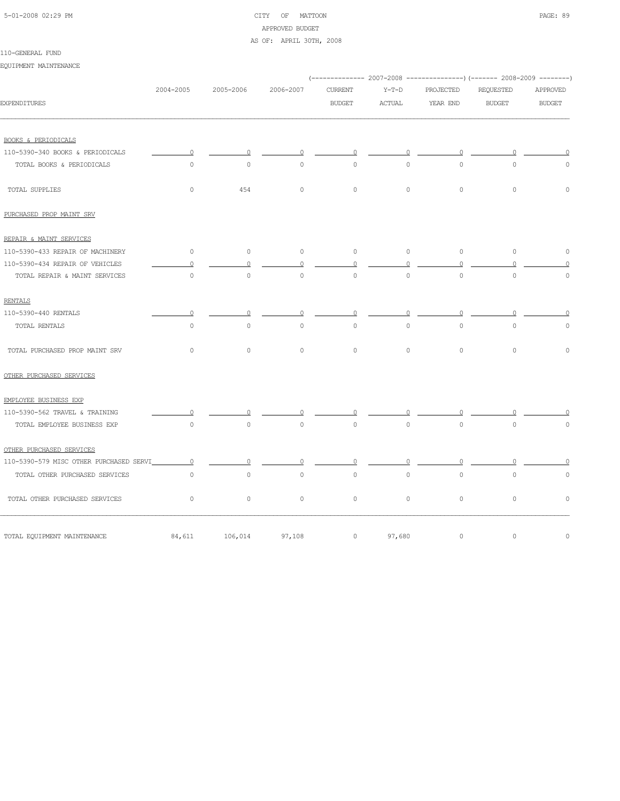# 5-01-2008 02:29 PM CITY OF MATTOON PAGE: 89 APPROVED BUDGET

#### AS OF: APRIL 30TH, 2008

# 110-GENERAL FUND

EQUIPMENT MAINTENANCE

|                                         |                     |             |                     |                     |          |           | (-------------- 2007-2008 ----------------) (------- 2008-2009 --------) |                     |
|-----------------------------------------|---------------------|-------------|---------------------|---------------------|----------|-----------|--------------------------------------------------------------------------|---------------------|
|                                         | 2004-2005           | 2005-2006   | 2006-2007           | <b>CURRENT</b>      | $Y-T-D$  | PROJECTED | REQUESTED                                                                | APPROVED            |
| <b>EXPENDITURES</b>                     |                     |             |                     | <b>BUDGET</b>       | ACTUAL   | YEAR END  | <b>BUDGET</b>                                                            | <b>BUDGET</b>       |
|                                         |                     |             |                     |                     |          |           |                                                                          |                     |
| <b>BOOKS &amp; PERIODICALS</b>          |                     |             |                     |                     |          |           |                                                                          |                     |
| 110-5390-340 BOOKS & PERIODICALS        |                     | $\Omega$    |                     |                     |          |           |                                                                          |                     |
| TOTAL BOOKS & PERIODICALS               | $\mathsf{O}\xspace$ | $\mathbb O$ | $\mathsf{O}\xspace$ | $\circ$             | $\circ$  | $\circ$   | $\overline{0}$                                                           | 0                   |
| TOTAL SUPPLIES                          | $\circ$             | 454         | $\mathsf{O}\xspace$ | $\circ$             | $\circ$  | $\circ$   | $\mathbb O$                                                              | $\mathsf{O}\xspace$ |
| PURCHASED PROP MAINT SRV                |                     |             |                     |                     |          |           |                                                                          |                     |
| REPAIR & MAINT SERVICES                 |                     |             |                     |                     |          |           |                                                                          |                     |
| 110-5390-433 REPAIR OF MACHINERY        | $\circ$             | $\circ$     | $\circ$             | $\circ$             | $\circ$  | $\circ$   | $\mathbb O$                                                              | $\mathbb O$         |
| 110-5390-434 REPAIR OF VEHICLES         | $\circ$             | $\Omega$    | $\circ$             | $\circ$             | $\Omega$ | $\circ$   |                                                                          |                     |
| TOTAL REPAIR & MAINT SERVICES           | $\circ$             | $\circ$     | $\circ$             | $\circ$             | $\circ$  | $\circ$   | $\circ$                                                                  | $\circ$             |
| <b>RENTALS</b>                          |                     |             |                     |                     |          |           |                                                                          |                     |
| 110-5390-440 RENTALS                    | $\Omega$            | 0           |                     | 0                   |          | $\Omega$  |                                                                          |                     |
| TOTAL RENTALS                           | $\circ$             | $\circ$     | $\mathbb O$         | $\mathsf{O}\xspace$ | $\circ$  | $\circ$   | $\mathbb O$                                                              | $\circ$             |
| TOTAL PURCHASED PROP MAINT SRV          | $\circ$             | $\circ$     | $\mathbb O$         | $\circ$             | $\circ$  | $\circ$   | $\mathsf{O}\xspace$                                                      | $\mathbb O$         |
| OTHER PURCHASED SERVICES                |                     |             |                     |                     |          |           |                                                                          |                     |
| EMPLOYEE BUSINESS EXP                   |                     |             |                     |                     |          |           |                                                                          |                     |
| 110-5390-562 TRAVEL & TRAINING          |                     |             |                     |                     |          |           |                                                                          |                     |
| TOTAL EMPLOYEE BUSINESS EXP             | $\circ$             | $\circ$     | $\circ$             | $\circ$             | $\circ$  | $\circ$   | $\mathsf{O}\xspace$                                                      | 0                   |
| OTHER PURCHASED SERVICES                |                     |             |                     |                     |          |           |                                                                          |                     |
| 110-5390-579 MISC OTHER PURCHASED SERVI | $\circ$             | $\circ$     | $\Omega$            | $\Omega$            | $\Omega$ | $\Omega$  | $\Omega$                                                                 |                     |
| TOTAL OTHER PURCHASED SERVICES          | $\circ$             | $\circ$     | $\circ$             | $\circ$             | $\circ$  | $\circ$   | $\circ$                                                                  | $\circ$             |
| TOTAL OTHER PURCHASED SERVICES          | $\circ$             | $\circ$     | $\circ$             | $\circ$             | $\circ$  | $\circ$   | $\mathsf{O}\xspace$                                                      | $\mathbb O$         |
| TOTAL EQUIPMENT MAINTENANCE             | 84,611              | 106,014     | 97,108              | $\circ$             | 97,680   | $\circ$   | $\mathsf{O}\xspace$                                                      | $\mathbb O$         |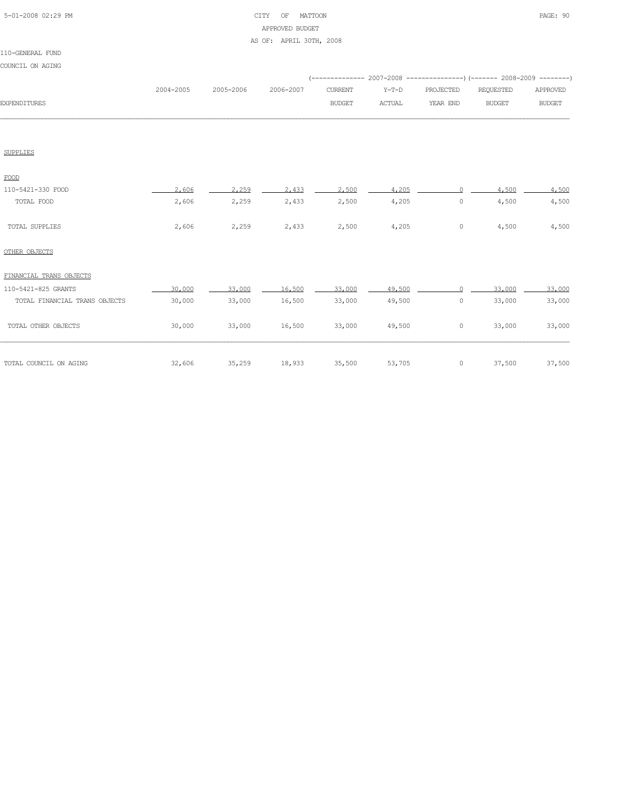# 5-01-2008 02:29 PM CITY OF MATTOON PAGE: 90 APPROVED BUDGET AS OF: APRIL 30TH, 2008

#### 110-GENERAL FUND

COUNCIL ON AGING

| COUNCIL ON AGING              |           |           |           |                |               |           | (-------------- 2007-2008 ----------------) (------- 2008-2009 --------) |               |
|-------------------------------|-----------|-----------|-----------|----------------|---------------|-----------|--------------------------------------------------------------------------|---------------|
|                               | 2004-2005 | 2005-2006 | 2006-2007 | <b>CURRENT</b> | $Y-T-D$       | PROJECTED | <b>REQUESTED</b>                                                         | APPROVED      |
| <b>EXPENDITURES</b>           |           |           |           | <b>BUDGET</b>  | <b>ACTUAL</b> | YEAR END  | <b>BUDGET</b>                                                            | <b>BUDGET</b> |
|                               |           |           |           |                |               |           |                                                                          |               |
| <b>SUPPLIES</b>               |           |           |           |                |               |           |                                                                          |               |
| FOOD                          |           |           |           |                |               |           |                                                                          |               |
| 110-5421-330 FOOD             | 2,606     | 2.259     | 2.433     | 2,500          | 4,205         | $\Omega$  | 4.500                                                                    | 4,500         |
| TOTAL FOOD                    | 2,606     | 2,259     | 2,433     | 2,500          | 4,205         | $\circ$   | 4,500                                                                    | 4,500         |
| TOTAL SUPPLIES                | 2,606     | 2,259     | 2,433     | 2,500          | 4,205         | $\circ$   | 4,500                                                                    | 4,500         |
| OTHER OBJECTS                 |           |           |           |                |               |           |                                                                          |               |
| FINANCIAL TRANS OBJECTS       |           |           |           |                |               |           |                                                                          |               |
| 110-5421-825 GRANTS           | 30,000    | 33,000    | 16,500    | 33,000         | 49,500        | $\cap$    | 33,000                                                                   | 33,000        |
| TOTAL FINANCIAL TRANS OBJECTS | 30,000    | 33,000    | 16,500    | 33,000         | 49,500        | $\circ$   | 33,000                                                                   | 33,000        |
| TOTAL OTHER OBJECTS           | 30,000    | 33,000    | 16,500    | 33,000         | 49,500        | $\circ$   | 33,000                                                                   | 33,000        |
| TOTAL COUNCIL ON AGING        | 32,606    | 35,259    | 18,933    | 35,500         | 53,705        | $\circ$   | 37,500                                                                   | 37,500        |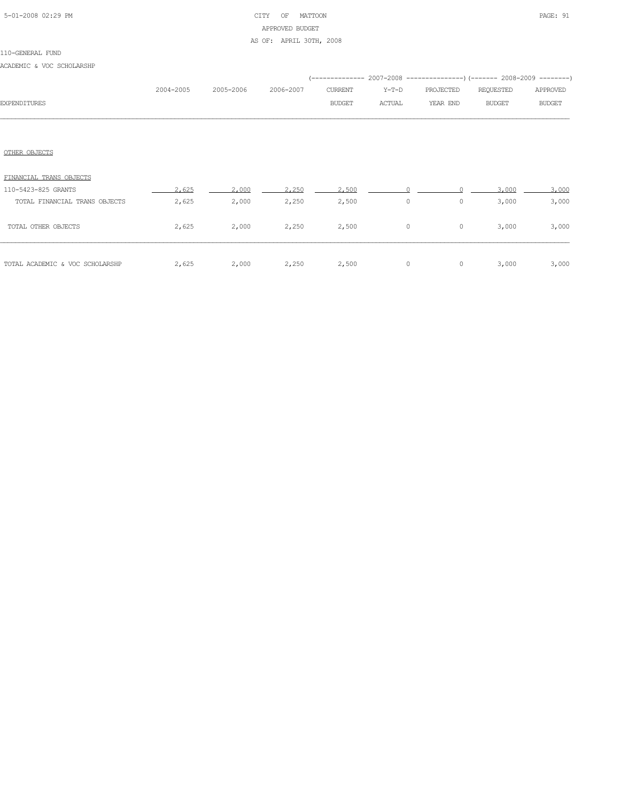# 5-01-2008 02:29 PM CITY OF MATTOON PAGE: 91 APPROVED BUDGET AS OF: APRIL 30TH, 2008

ACADEMIC & VOC SCHOLARSHP

|                               |           |           |           |               |         | (-------------- 2007-2008 ----------------) (------- 2008-2009 --------) |               |               |
|-------------------------------|-----------|-----------|-----------|---------------|---------|--------------------------------------------------------------------------|---------------|---------------|
|                               | 2004-2005 | 2005-2006 | 2006-2007 | CURRENT       | $Y-T-D$ | PROJECTED                                                                | REQUESTED     | APPROVED      |
| <b>EXPENDITURES</b>           |           |           |           | <b>BUDGET</b> | ACTUAL  | YEAR END                                                                 | <b>BUDGET</b> | <b>BUDGET</b> |
|                               |           |           |           |               |         |                                                                          |               |               |
|                               |           |           |           |               |         |                                                                          |               |               |
| OTHER OBJECTS                 |           |           |           |               |         |                                                                          |               |               |
| FINANCIAL TRANS OBJECTS       |           |           |           |               |         |                                                                          |               |               |
| 110-5423-825 GRANTS           | 2,625     | 2,000     | 2,250     | 2,500         |         |                                                                          | 3,000         | 3,000         |
| TOTAL FINANCIAL TRANS OBJECTS | 2,625     | 2,000     | 2,250     | 2,500         | $\circ$ | $\circ$                                                                  | 3,000         | 3,000         |
|                               |           |           |           |               |         |                                                                          |               |               |
| TOTAL OTHER OBJECTS           | 2,625     | 2,000     | 2,250     | 2,500         | $\circ$ | $\circ$                                                                  | 3,000         | 3,000         |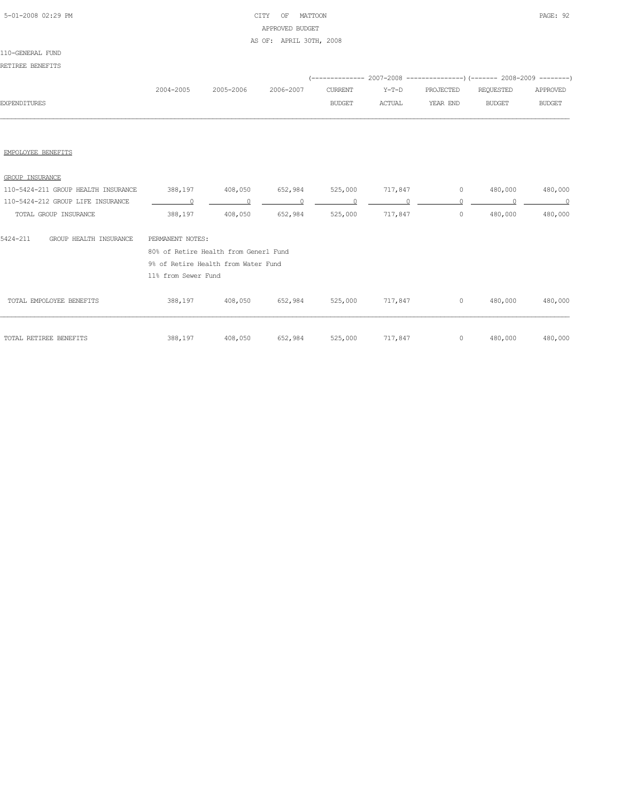# 5-01-2008 02:29 PM CITY OF MATTOON PAGE: 92 APPROVED BUDGET AS OF: APRIL 30TH, 2008

#### 110-GENERAL FUND

# RETIREE BENEFITS

|                     |           |                     |               |        | (-------------- 2007-2008 ----------------) (------- 2008-2009 --------) |           |               |
|---------------------|-----------|---------------------|---------------|--------|--------------------------------------------------------------------------|-----------|---------------|
|                     | 2004-2005 | 2005-2006 2006-2007 | CURRENT       | Y-T-D  | PROJECTED                                                                | REOUESTED | APPROVED      |
| <b>EXPENDITURES</b> |           |                     | <b>BUDGET</b> | ACTUAL | YEAR END                                                                 | BUDGET    | <b>BUDGET</b> |
|                     |           |                     |               |        |                                                                          |           |               |

#### EMPOLOYEE BENEFITS

| GROUP INSURANCE                     |                                       |         |         |         |         |         |         |         |
|-------------------------------------|---------------------------------------|---------|---------|---------|---------|---------|---------|---------|
| 110-5424-211 GROUP HEALTH INSURANCE | 388,197                               | 408,050 | 652,984 | 525,000 | 717,847 | $\circ$ | 480,000 | 480,000 |
| 110-5424-212 GROUP LIFE INSURANCE   |                                       |         |         |         |         |         |         |         |
| TOTAL GROUP INSURANCE               | 388,197                               | 408,050 | 652,984 | 525,000 | 717,847 | 0       | 480,000 | 480,000 |
| 5424-211<br>GROUP HEALTH INSURANCE  | PERMANENT NOTES:                      |         |         |         |         |         |         |         |
|                                     | 80% of Retire Health from Generl Fund |         |         |         |         |         |         |         |
|                                     | 9% of Retire Health from Water Fund   |         |         |         |         |         |         |         |
|                                     | 11% from Sewer Fund                   |         |         |         |         |         |         |         |
| TOTAL EMPOLOYEE BENEFITS            | 388,197                               | 408,050 | 652,984 | 525,000 | 717,847 | $\circ$ | 480,000 | 480,000 |
|                                     |                                       |         |         |         |         |         |         |         |
| TOTAL RETIREE BENEFITS              | 388,197                               | 408,050 | 652,984 | 525,000 | 717,847 | $\circ$ | 480,000 | 480,000 |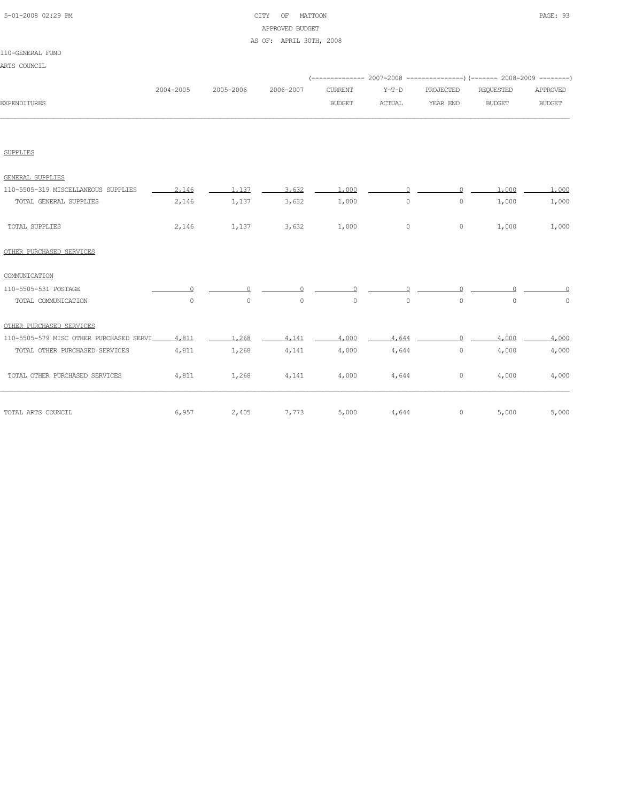| 5-01-2008 02:29 PM |  |
|--------------------|--|
|                    |  |

# CITY OF MATTOON PAGE: 93 APPROVED BUDGET AS OF: APRIL 30TH, 2008

| 110-GENERAL FUND |  |
|------------------|--|
| ARTS COUNCIL     |  |

|                                         |           |           |           |                     |         |                     | (-------------- 2007-2008 -----------------) (------- 2008-2009 ---------) |               |
|-----------------------------------------|-----------|-----------|-----------|---------------------|---------|---------------------|----------------------------------------------------------------------------|---------------|
|                                         | 2004-2005 | 2005-2006 | 2006-2007 | <b>CURRENT</b>      | $Y-T-D$ | PROJECTED           | REQUESTED                                                                  | APPROVED      |
| <b>EXPENDITURES</b>                     |           |           |           | <b>BUDGET</b>       | ACTUAL  | YEAR END            | <b>BUDGET</b>                                                              | <b>BUDGET</b> |
|                                         |           |           |           |                     |         |                     |                                                                            |               |
|                                         |           |           |           |                     |         |                     |                                                                            |               |
| <b>SUPPLIES</b>                         |           |           |           |                     |         |                     |                                                                            |               |
| GENERAL SUPPLIES                        |           |           |           |                     |         |                     |                                                                            |               |
| 110-5505-319 MISCELLANEOUS SUPPLIES     | 2.146     | 1.137     | 3,632     | 1,000               |         |                     | 1,000                                                                      | 1,000         |
| TOTAL GENERAL SUPPLIES                  | 2,146     | 1,137     | 3,632     | 1,000               | $\circ$ | $\circ$             | 1,000                                                                      | 1,000         |
| TOTAL SUPPLIES                          | 2,146     | 1,137     | 3,632     | 1,000               | $\circ$ | $\circ$             | 1,000                                                                      | 1,000         |
| OTHER PURCHASED SERVICES                |           |           |           |                     |         |                     |                                                                            |               |
| COMMUNICATION                           |           |           |           |                     |         |                     |                                                                            |               |
| 110-5505-531 POSTAGE                    |           |           |           |                     |         |                     |                                                                            |               |
| TOTAL COMMUNICATION                     | $\circ$   | $\circ$   | 0         | $\mathsf{O}\xspace$ | $\circ$ | $\mathsf{O}\xspace$ | $\circ$                                                                    | 0             |
| OTHER PURCHASED SERVICES                |           |           |           |                     |         |                     |                                                                            |               |
| 110-5505-579 MISC OTHER PURCHASED SERVI | 4,811     | 1,268     | 4,141     | 4,000               | 4,644   |                     | 4,000                                                                      | 4,000         |
| TOTAL OTHER PURCHASED SERVICES          | 4,811     | 1,268     | 4,141     | 4,000               | 4,644   | $\circ$             | 4,000                                                                      | 4,000         |
| TOTAL OTHER PURCHASED SERVICES          | 4,811     | 1,268     | 4,141     | 4,000               | 4,644   | 0                   | 4,000                                                                      | 4,000         |
| TOTAL ARTS COUNCIL                      | 6,957     | 2,405     | 7,773     | 5,000               | 4,644   | 0                   | 5,000                                                                      | 5,000         |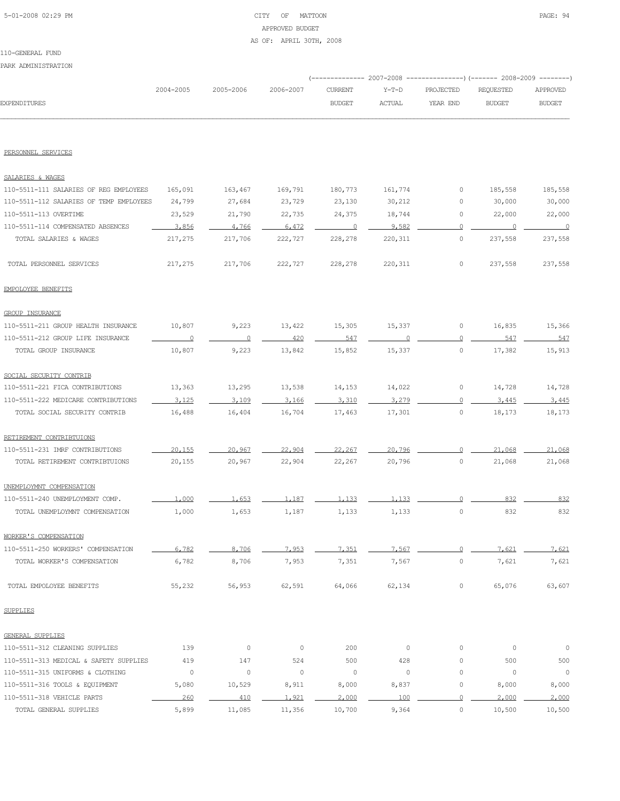# 5-01-2008 02:29 PM CITY OF MATTOON PAGE: 94 APPROVED BUDGET AS OF: APRIL 30TH, 2008

#### 110-GENERAL FUND

PARK ADMINISTRATION

|                                         |                |           |           |                |               |                | (-------------- 2007-2008 ----------------) (------- 2008-2009 --------) |               |
|-----------------------------------------|----------------|-----------|-----------|----------------|---------------|----------------|--------------------------------------------------------------------------|---------------|
|                                         | 2004-2005      | 2005-2006 | 2006-2007 | <b>CURRENT</b> | $Y-T-D$       | PROJECTED      | REQUESTED                                                                | APPROVED      |
| EXPENDITURES                            |                |           |           | <b>BUDGET</b>  | <b>ACTUAL</b> | YEAR END       | <b>BUDGET</b>                                                            | <b>BUDGET</b> |
|                                         |                |           |           |                |               |                |                                                                          |               |
| PERSONNEL SERVICES                      |                |           |           |                |               |                |                                                                          |               |
| SALARIES & WAGES                        |                |           |           |                |               |                |                                                                          |               |
| 110-5511-111 SALARIES OF REG EMPLOYEES  | 165,091        | 163,467   | 169,791   | 180,773        | 161,774       | 0              | 185,558                                                                  | 185,558       |
| 110-5511-112 SALARIES OF TEMP EMPLOYEES | 24,799         | 27,684    | 23,729    | 23,130         | 30,212        | 0              | 30,000                                                                   | 30,000        |
| 110-5511-113 OVERTIME                   | 23,529         | 21,790    | 22,735    | 24,375         | 18,744        | 0              | 22,000                                                                   | 22,000        |
| 110-5511-114 COMPENSATED ABSENCES       | 3,856          | 4,766     | 6,472     | $\overline{0}$ | 9.582         | $\circ$        | $\Omega$                                                                 | $\circ$       |
| TOTAL SALARIES & WAGES                  | 217,275        | 217,706   | 222,727   | 228,278        | 220,311       | 0              | 237,558                                                                  | 237,558       |
| TOTAL PERSONNEL SERVICES                | 217,275        | 217,706   | 222,727   | 228,278        | 220,311       | 0              | 237,558                                                                  | 237,558       |
| EMPOLOYEE BENEFITS                      |                |           |           |                |               |                |                                                                          |               |
| <b>GROUP INSURANCE</b>                  |                |           |           |                |               |                |                                                                          |               |
| 110-5511-211 GROUP HEALTH INSURANCE     | 10,807         | 9,223     | 13,422    | 15,305         | 15,337        | 0              | 16,835                                                                   | 15,366        |
| 110-5511-212 GROUP LIFE INSURANCE       | $\overline{0}$ | 0         | 420       | 547            |               | 0              | 547                                                                      | 547           |
| TOTAL GROUP INSURANCE                   | 10,807         | 9,223     | 13,842    | 15,852         | 15,337        | 0              | 17,382                                                                   | 15,913        |
| SOCIAL SECURITY CONTRIB                 |                |           |           |                |               |                |                                                                          |               |
| 110-5511-221 FICA CONTRIBUTIONS         | 13,363         | 13,295    | 13,538    | 14,153         | 14,022        | 0              | 14,728                                                                   | 14,728        |
| 110-5511-222 MEDICARE CONTRIBUTIONS     | 3,125          | 3.109     | 3,166     | 3,310          | 3,279         | $\circ$        | 3,445                                                                    | 3,445         |
| TOTAL SOCIAL SECURITY CONTRIB           | 16,488         | 16,404    | 16,704    | 17,463         | 17,301        | $\circ$        | 18,173                                                                   | 18,173        |
| RETIREMENT CONTRIBTUIONS                |                |           |           |                |               |                |                                                                          |               |
| 110-5511-231 IMRF CONTRIBUTIONS         | 20,155         | 20,967    | 22,904    | 22,267         | 20,796        | $\circ$        | 21,068                                                                   | 21,068        |
| TOTAL RETIREMENT CONTRIBTUIONS          | 20,155         | 20,967    | 22,904    | 22,267         | 20,796        | $\circ$        | 21,068                                                                   | 21,068        |
| UNEMPLOYMNT COMPENSATION                |                |           |           |                |               |                |                                                                          |               |
| 110-5511-240 UNEMPLOYMENT COMP.         | 1,000          | 1.653     | 1,187     | 1,133          | 1.133         | $\Omega$       | 832                                                                      | 832           |
| TOTAL UNEMPLOYMNT COMPENSATION          | 1,000          | 1,653     | 1,187     | 1,133          | 1,133         | $\circ$        | 832                                                                      | 832           |
| WORKER'S COMPENSATION                   |                |           |           |                |               |                |                                                                          |               |
| 110-5511-250 WORKERS' COMPENSATION      | 6,782          | 8,706     | 7.953     | 7.351          | 7.567         | $\circ$        | 7.621                                                                    | 7.621         |
| TOTAL WORKER'S COMPENSATION             | 6,782          | 8,706     | 7,953     | 7,351          | 7,567         | $\circ$        | 7,621                                                                    | 7,621         |
| TOTAL EMPOLOYEE BENEFITS                | 55,232         | 56,953    | 62,591    | 64,066         | 62,134        | $\circ$        | 65,076                                                                   | 63,607        |
| <b>SUPPLIES</b>                         |                |           |           |                |               |                |                                                                          |               |
| GENERAL SUPPLIES                        |                |           |           |                |               |                |                                                                          |               |
| 110-5511-312 CLEANING SUPPLIES          | 139            | 0         | $\circ$   | 200            | $\mathbb O$   | $\circ$        | $\circ$                                                                  | $\circ$       |
| 110-5511-313 MEDICAL & SAFETY SUPPLIES  | 419            | 147       | 524       | 500            | 428           | 0              | 500                                                                      | 500           |
| 110-5511-315 UNIFORMS & CLOTHING        | $\circ$        | $\circ$   | $\circ$   | $\circ$        | $\circ$       | $\circ$        | $\circ$                                                                  | $\mathbb O$   |
| 110-5511-316 TOOLS & EQUIPMENT          | 5,080          | 10,529    | 8,911     | 8,000          | 8,837         | $\circ$        | 8,000                                                                    | 8,000         |
| 110-5511-318 VEHICLE PARTS              | 260            | 410       | 1,921     | 2,000          | 100           | $\overline{0}$ | 2,000                                                                    | 2,000         |
| TOTAL GENERAL SUPPLIES                  | 5,899          | 11,085    | 11,356    | 10,700         | 9,364         | $\circ$        | 10,500                                                                   | 10,500        |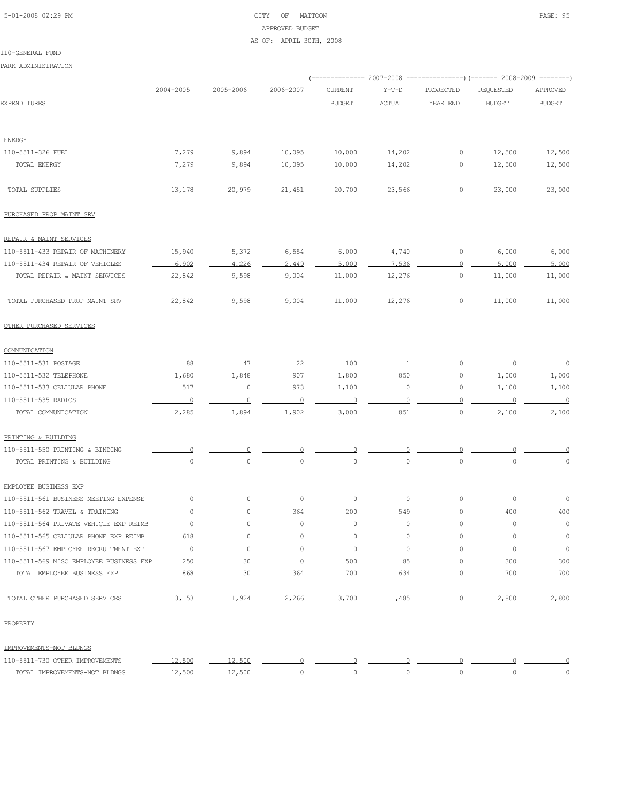# 5-01-2008 02:29 PM CITY OF MATTOON PAGE: 95 APPROVED BUDGET AS OF: APRIL 30TH, 2008

PARK ADMINISTRATION

|                                         |                |             |             |                     |              |             | (-------------- 2007-2008 ---------------) (------- 2008-2009 --------) |                     |
|-----------------------------------------|----------------|-------------|-------------|---------------------|--------------|-------------|-------------------------------------------------------------------------|---------------------|
|                                         | 2004-2005      | 2005-2006   | 2006-2007   | <b>CURRENT</b>      | $Y-T-D$      | PROJECTED   | <b>REQUESTED</b>                                                        | APPROVED            |
| <b>EXPENDITURES</b>                     |                |             |             | <b>BUDGET</b>       | ACTUAL       | YEAR END    | <b>BUDGET</b>                                                           | <b>BUDGET</b>       |
| <b>ENERGY</b>                           |                |             |             |                     |              |             |                                                                         |                     |
| 110-5511-326 FUEL                       | 7.279          | 9,894       | 10,095      | 10,000              | 14,202       | 0           | 12,500                                                                  | 12,500              |
| TOTAL ENERGY                            | 7,279          | 9,894       | 10,095      | 10,000              | 14,202       | $\circ$     | 12,500                                                                  | 12,500              |
|                                         |                |             |             |                     |              |             |                                                                         |                     |
| TOTAL SUPPLIES                          | 13,178         | 20,979      | 21,451      | 20,700              | 23,566       | 0           | 23,000                                                                  | 23,000              |
| PURCHASED PROP MAINT SRV                |                |             |             |                     |              |             |                                                                         |                     |
| REPAIR & MAINT SERVICES                 |                |             |             |                     |              |             |                                                                         |                     |
| 110-5511-433 REPAIR OF MACHINERY        | 15,940         | 5,372       | 6,554       | 6,000               | 4,740        | 0           | 6,000                                                                   | 6,000               |
| 110-5511-434 REPAIR OF VEHICLES         | 6,902          | 4,226       | 2,449       | 5,000               | 7,536        | $\Omega$    | 5,000                                                                   | 5,000               |
| TOTAL REPAIR & MAINT SERVICES           | 22,842         | 9,598       | 9,004       | 11,000              | 12,276       | 0           | 11,000                                                                  | 11,000              |
| TOTAL PURCHASED PROP MAINT SRV          | 22,842         | 9,598       | 9,004       | 11,000              | 12,276       | 0           | 11,000                                                                  | 11,000              |
| OTHER PURCHASED SERVICES                |                |             |             |                     |              |             |                                                                         |                     |
| COMMUNICATION                           |                |             |             |                     |              |             |                                                                         |                     |
| 110-5511-531 POSTAGE                    | 88             | 47          | 22          | 100                 | $\mathbf{1}$ | 0           | 0                                                                       | $\circ$             |
| 110-5511-532 TELEPHONE                  | 1,680          | 1,848       | 907         | 1,800               | 850          | 0           | 1,000                                                                   | 1,000               |
| 110-5511-533 CELLULAR PHONE             | 517            | 0           | 973         | 1,100               | 0            | 0           | 1,100                                                                   | 1,100               |
| 110-5511-535 RADIOS                     | $\overline{0}$ | $\Omega$    | $\circ$     | $\overline{0}$      | ∩            | 0           | 0                                                                       | $\overline{0}$      |
| TOTAL COMMUNICATION                     | 2,285          | 1,894       | 1,902       | 3,000               | 851          | $\circ$     | 2,100                                                                   | 2,100               |
| PRINTING & BUILDING                     |                |             |             |                     |              |             |                                                                         |                     |
| 110-5511-550 PRINTING & BINDING         |                |             |             |                     |              |             |                                                                         |                     |
| TOTAL PRINTING & BUILDING               | $\circ$        | $\mathbb O$ | $\mathbb O$ | $\mathsf{O}\xspace$ | $\circ$      | $\mathbb O$ | $\mathbb O$                                                             | $\mathbb O$         |
| EMPLOYEE BUSINESS EXP                   |                |             |             |                     |              |             |                                                                         |                     |
| 110-5511-561 BUSINESS MEETING EXPENSE   | 0              | $\circ$     | $\circ$     | $\circ$             | $\circ$      | $\circ$     | 0                                                                       | 0                   |
| 110-5511-562 TRAVEL & TRAINING          | 0              | 0           | 364         | 200                 | 549          | 0           | 400                                                                     | 400                 |
| 110-5511-564 PRIVATE VEHICLE EXP REIMB  | $\circ$        | 0           | $\circ$     | $\circ$             | $\circ$      | 0           | $\circ$                                                                 | $\circ$             |
| 110-5511-565 CELLULAR PHONE EXP REIMB   | 618            | 0           | 0           | 0                   | $\mathbb O$  | $\mathbb O$ | 0                                                                       | $\mathbb O$         |
| 110-5511-567 EMPLOYEE RECRUITMENT EXP   | $\circ$        | $\mathbb O$ | 0           | 0                   | $\circ$      | $\mathbb O$ | $\circ$                                                                 | $\mathsf{O}\xspace$ |
| 110-5511-569 MISC EMPLOYEE BUSINESS EXP | 250            | 30          | $\Omega$    | 500                 | 85           | $\Omega$    | 300                                                                     | 300                 |
| TOTAL EMPLOYEE BUSINESS EXP             | 868            | 30          | 364         | 700                 | 634          | $\mathbb O$ | 700                                                                     | 700                 |
| TOTAL OTHER PURCHASED SERVICES          | 3,153          | 1,924       | 2,266       | 3,700               | 1,485        | $\mathbb O$ | 2,800                                                                   | 2,800               |
| PROPERTY                                |                |             |             |                     |              |             |                                                                         |                     |
| IMPROVEMENTS-NOT BLDNGS                 |                |             |             |                     |              |             |                                                                         |                     |

| 110-5511-730 OTHER IMPROVEMENTS               | . 500 |       |  |  |  |
|-----------------------------------------------|-------|-------|--|--|--|
| <b>DNCS</b><br>TMPPOVEMENTS-NOT RLL<br>ጣገጠልገ. | ,500  | 2,500 |  |  |  |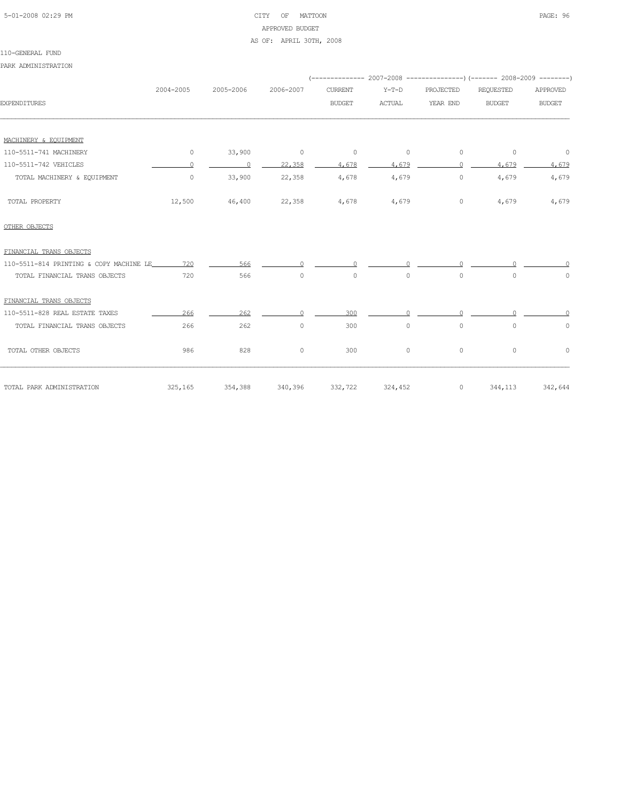# 5-01-2008 02:29 PM CITY OF MATTOON PAGE: 96 APPROVED BUDGET AS OF: APRIL 30TH, 2008

PARK ADMINISTRATION

|                                             | 2004-2005 | 2005-2006      | 2006-2007 | <b>CURRENT</b> | $Y-T-D$  | PROJECTED | REQUESTED     | APPROVED            |
|---------------------------------------------|-----------|----------------|-----------|----------------|----------|-----------|---------------|---------------------|
| <b>EXPENDITURES</b>                         |           |                |           | <b>BUDGET</b>  | ACTUAL   | YEAR END  | <b>BUDGET</b> | <b>BUDGET</b>       |
|                                             |           |                |           |                |          |           |               |                     |
| MACHINERY & EOUIPMENT                       |           |                |           |                |          |           |               |                     |
| 110-5511-741 MACHINERY                      | $\circ$   | 33,900         | $\sim$ 0  | $\circ$        | 0        | 0         | 0             | $\overline{0}$      |
| 110-5511-742 VEHICLES                       | $\bigcap$ | $\overline{0}$ | 22,358    | 4,678          | 4.679    | $\cap$    | 4,679         | 4,679               |
| TOTAL MACHINERY & EQUIPMENT                 | $\circ$   | 33,900         | 22,358    | 4,678          | 4,679    | $\circ$   | 4,679         | 4,679               |
| TOTAL PROPERTY                              | 12,500    | 46,400         | 22,358    | 4,678          | 4,679    | $\circ$   | 4,679         | 4,679               |
| OTHER OBJECTS                               |           |                |           |                |          |           |               |                     |
| FINANCIAL TRANS OBJECTS                     |           |                |           |                |          |           |               |                     |
| 110-5511-814 PRINTING & COPY MACHINE LE 720 |           | 566            | $\Omega$  | $\Omega$       | $\Omega$ | $\cap$    |               |                     |
| TOTAL FINANCIAL TRANS OBJECTS               | 720       | 566            | $\circ$   | $\circ$        | $\circ$  | $\circ$   | $\circ$       | $\mathsf{O}\xspace$ |
| FINANCIAL TRANS OBJECTS                     |           |                |           |                |          |           |               |                     |
| 110-5511-828 REAL ESTATE TAXES              | 266       | 262            | $\Omega$  | 300            |          |           |               |                     |
| TOTAL FINANCIAL TRANS OBJECTS               | 266       | 262            | $\circ$   | 300            | $\circ$  | 0         | $\circ$       | 0                   |
| TOTAL OTHER OBJECTS                         | 986       | 828            | $\circ$   | 300            | 0        | $\circ$   | $\circ$       | $\circ$             |
| TOTAL PARK ADMINISTRATION                   | 325, 165  | 354,388        | 340,396   | 332,722        | 324,452  | $\circ$   | 344,113       | 342,644             |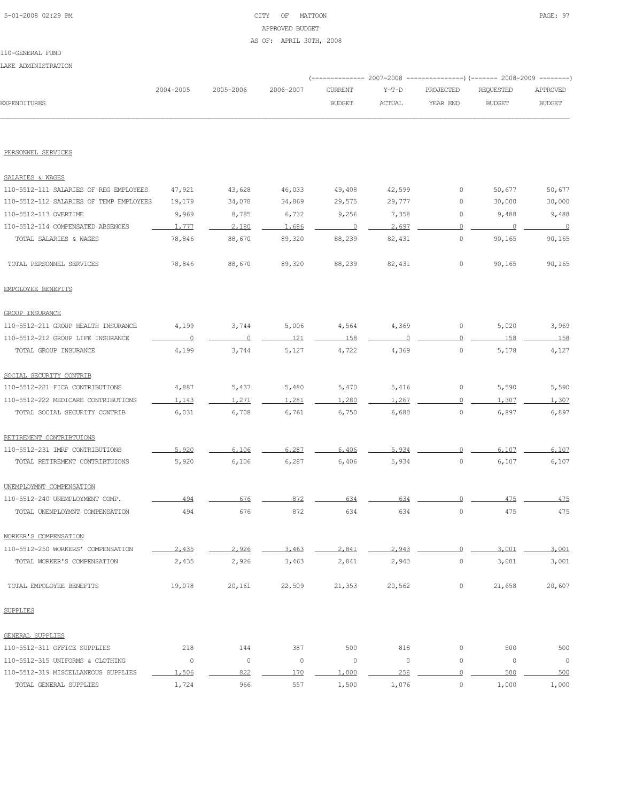# 5-01-2008 02:29 PM CITY OF MATTOON PAGE: 97 APPROVED BUDGET AS OF: APRIL 30TH, 2008

|                                         |           |           |           | ----------- 2007-2008 |               |                | --)(------- 2008-2009 --------) |               |
|-----------------------------------------|-----------|-----------|-----------|-----------------------|---------------|----------------|---------------------------------|---------------|
|                                         | 2004-2005 | 2005-2006 | 2006-2007 | <b>CURRENT</b>        | $Y-T-D$       | PROJECTED      | REQUESTED                       | APPROVED      |
| <b>EXPENDITURES</b>                     |           |           |           | <b>BUDGET</b>         | <b>ACTUAL</b> | YEAR END       | <b>BUDGET</b>                   | <b>BUDGET</b> |
|                                         |           |           |           |                       |               |                |                                 |               |
| PERSONNEL SERVICES                      |           |           |           |                       |               |                |                                 |               |
| SALARIES & WAGES                        |           |           |           |                       |               |                |                                 |               |
| 110-5512-111 SALARIES OF REG EMPLOYEES  | 47,921    | 43,628    | 46,033    | 49,408                | 42,599        | 0              | 50,677                          | 50,677        |
| 110-5512-112 SALARIES OF TEMP EMPLOYEES | 19,179    | 34,078    | 34,869    | 29,575                | 29,777        | 0              | 30,000                          | 30,000        |
| 110-5512-113 OVERTIME                   | 9,969     | 8,785     | 6,732     | 9,256                 | 7,358         | 0              | 9,488                           | 9,488         |
| 110-5512-114 COMPENSATED ABSENCES       | 1,777     | 2,180     | 1,686     | $\overline{0}$        | 2,697         | 0              | $\cap$                          | $\Omega$      |
| TOTAL SALARIES & WAGES                  | 78,846    | 88,670    | 89,320    | 88,239                | 82,431        | $\circ$        | 90, 165                         | 90, 165       |
| TOTAL PERSONNEL SERVICES                | 78,846    | 88,670    | 89,320    | 88,239                | 82,431        | 0              | 90,165                          | 90,165        |
| EMPOLOYEE BENEFITS                      |           |           |           |                       |               |                |                                 |               |
| GROUP INSURANCE                         |           |           |           |                       |               |                |                                 |               |
| 110-5512-211 GROUP HEALTH INSURANCE     | 4,199     | 3,744     | 5,006     | 4,564                 | 4,369         | 0              | 5,020                           | 3,969         |
| 110-5512-212 GROUP LIFE INSURANCE       | $\Omega$  | 0         | 121       | 158                   |               | 0              | 158                             | 158           |
| TOTAL GROUP INSURANCE                   | 4,199     | 3,744     | 5,127     | 4,722                 | 4,369         | $\circ$        | 5,178                           | 4,127         |
| SOCIAL SECURITY CONTRIB                 |           |           |           |                       |               |                |                                 |               |
| 110-5512-221 FICA CONTRIBUTIONS         | 4,887     | 5,437     | 5,480     | 5,470                 | 5,416         | $\circ$        | 5,590                           | 5,590         |
| 110-5512-222 MEDICARE CONTRIBUTIONS     | 1,143     | 1,271     | 1,281     | 1,280                 | 1.267         | 0              | 1,307                           | 1,307         |
| TOTAL SOCIAL SECURITY CONTRIB           | 6,031     | 6,708     | 6,761     | 6,750                 | 6,683         | $\circ$        | 6,897                           | 6,897         |
| RETIREMENT CONTRIBTUIONS                |           |           |           |                       |               |                |                                 |               |
| 110-5512-231 IMRF CONTRIBUTIONS         | 5.920     | 6,106     | 6,287     | 6,406                 | 5.934         | ∩              | 6,107                           | 6,107         |
| TOTAL RETIREMENT CONTRIBTUIONS          | 5,920     | 6,106     | 6,287     | 6,406                 | 5,934         | $\circ$        | 6,107                           | 6,107         |
| UNEMPLOYMNT COMPENSATION                |           |           |           |                       |               |                |                                 |               |
| 110-5512-240 UNEMPLOYMENT COMP.         | 494       | 676       | 872       | 634                   | 634           |                | 475                             | 475           |
| TOTAL UNEMPLOYMNT COMPENSATION          | 494       | 676       | 872       | 634                   | 634           | $\circ$        | 475                             | 475           |
| WORKER'S COMPENSATION                   |           |           |           |                       |               |                |                                 |               |
| 110-5512-250 WORKERS' COMPENSATION      | 2.435     | 2.926     | 3,463     | 2.841                 | 2.943         | $\circ$        | 3,001                           | 3,001         |
| TOTAL WORKER'S COMPENSATION             | 2,435     | 2,926     | 3,463     | 2,841                 | 2,943         | $\circ$        | 3,001                           | 3,001         |
| TOTAL EMPOLOYEE BENEFITS                | 19,078    | 20,161    | 22,509    | 21,353                | 20,562        | $\circ$        | 21,658                          | 20,607        |
| <b>SUPPLIES</b>                         |           |           |           |                       |               |                |                                 |               |
| GENERAL SUPPLIES                        |           |           |           |                       |               |                |                                 |               |
| 110-5512-311 OFFICE SUPPLIES            | 218       | 144       | 387       | 500                   | 818           | $\circ$        | 500                             | 500           |
| 110-5512-315 UNIFORMS & CLOTHING        | $\circ$   | $\circ$   | $\circ$   | 0                     | $\circ$       | $\circ$        | $\circ$                         | $\circ$       |
| 110-5512-319 MISCELLANEOUS SUPPLIES     | 1,506     | 822       | 170       | 1,000                 | 258           | $\overline{0}$ | 500                             | 500           |
| TOTAL GENERAL SUPPLIES                  | 1,724     | 966       | 557       | 1,500                 | 1,076         | $\circ$        | 1,000                           | 1,000         |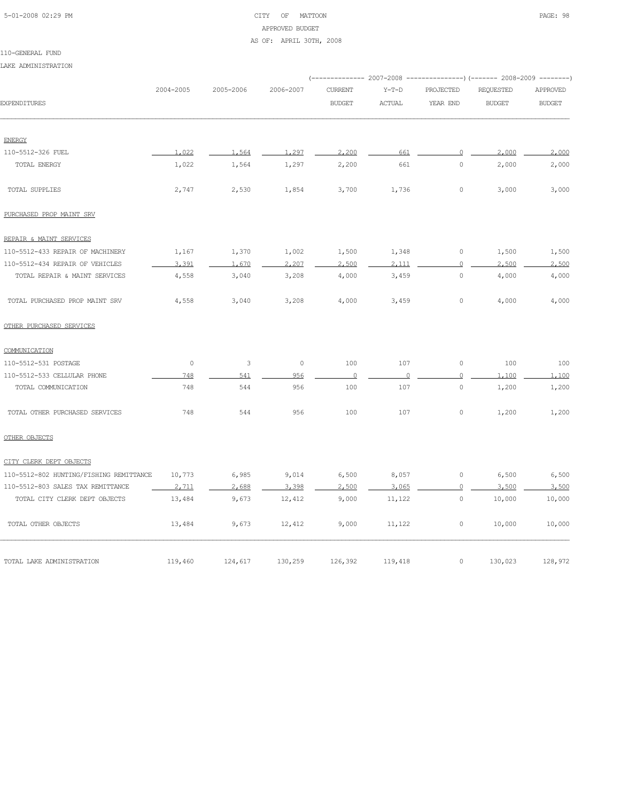# 5-01-2008 02:29 PM CITY OF MATTOON PAGE: 98 APPROVED BUDGET AS OF: APRIL 30TH, 2008

#### 110-GENERAL FUND

LAKE ADMINISTRATION

|                                         |           |           |           |                          |                |                | (-------------- 2007-2008 ----------------) (------- 2008-2009 --------) |               |
|-----------------------------------------|-----------|-----------|-----------|--------------------------|----------------|----------------|--------------------------------------------------------------------------|---------------|
|                                         | 2004-2005 | 2005-2006 | 2006-2007 | <b>CURRENT</b>           | $Y-T-D$        | PROJECTED      | <b>REQUESTED</b>                                                         | APPROVED      |
| <b>EXPENDITURES</b>                     |           |           |           | <b>BUDGET</b>            | ACTUAL         | YEAR END       | <b>BUDGET</b>                                                            | <b>BUDGET</b> |
| <b>ENERGY</b>                           |           |           |           |                          |                |                |                                                                          |               |
| 110-5512-326 FUEL                       | 1,022     | 1,564     | 1,297     | 2,200                    | 661            | $\circ$        | 2,000                                                                    | 2,000         |
| TOTAL ENERGY                            | 1,022     | 1,564     | 1,297     | 2,200                    | 661            | $\circ$        | 2,000                                                                    | 2,000         |
| TOTAL SUPPLIES                          | 2,747     | 2,530     | 1,854     | 3,700                    | 1,736          | 0              | 3,000                                                                    | 3,000         |
| PURCHASED PROP MAINT SRV                |           |           |           |                          |                |                |                                                                          |               |
| REPAIR & MAINT SERVICES                 |           |           |           |                          |                |                |                                                                          |               |
| 110-5512-433 REPAIR OF MACHINERY        | 1,167     | 1,370     | 1,002     | 1,500                    | 1,348          | $\circ$        | 1,500                                                                    | 1,500         |
| 110-5512-434 REPAIR OF VEHICLES         | 3,391     | 1.670     | 2,207     | 2,500                    | 2.111          | $\circ$        | 2,500                                                                    | 2,500         |
| TOTAL REPAIR & MAINT SERVICES           | 4,558     | 3,040     | 3,208     | 4,000                    | 3,459          | $\circ$        | 4,000                                                                    | 4,000         |
| TOTAL PURCHASED PROP MAINT SRV          | 4,558     | 3,040     | 3,208     | 4,000                    | 3,459          | 0              | 4,000                                                                    | 4,000         |
| OTHER PURCHASED SERVICES                |           |           |           |                          |                |                |                                                                          |               |
| COMMUNICATION                           |           |           |           |                          |                |                |                                                                          |               |
| 110-5512-531 POSTAGE                    | $\circ$   | 3         | $\circ$   | 100                      | 107            | $\circ$        | 100                                                                      | 100           |
| 110-5512-533 CELLULAR PHONE             | 748       | 541       | 956       | $\overline{\phantom{0}}$ | $\overline{0}$ | $\overline{0}$ | 1,100                                                                    | 1,100         |
| TOTAL COMMUNICATION                     | 748       | 544       | 956       | 100                      | 107            | $\circ$        | 1,200                                                                    | 1,200         |
| TOTAL OTHER PURCHASED SERVICES          | 748       | 544       | 956       | 100                      | 107            | $\circ$        | 1,200                                                                    | 1,200         |
| OTHER OBJECTS                           |           |           |           |                          |                |                |                                                                          |               |
| CITY CLERK DEPT OBJECTS                 |           |           |           |                          |                |                |                                                                          |               |
| 110-5512-802 HUNTING/FISHING REMITTANCE | 10,773    | 6,985     | 9,014     | 6,500                    | 8,057          | $\circ$        | 6,500                                                                    | 6,500         |
| 110-5512-803 SALES TAX REMITTANCE       | 2,711     | 2,688     | 3,398     | 2,500                    | 3,065          | $\circ$        | 3.500                                                                    | 3,500         |
| TOTAL CITY CLERK DEPT OBJECTS           | 13,484    | 9,673     | 12,412    | 9,000                    | 11,122         | 0              | 10,000                                                                   | 10,000        |
| TOTAL OTHER OBJECTS                     | 13,484    | 9,673     | 12,412    | 9,000                    | 11,122         | 0              | 10,000                                                                   | 10,000        |
| TOTAL LAKE ADMINISTRATION               | 119,460   | 124,617   | 130,259   | 126,392                  | 119,418        | 0              | 130,023                                                                  | 128,972       |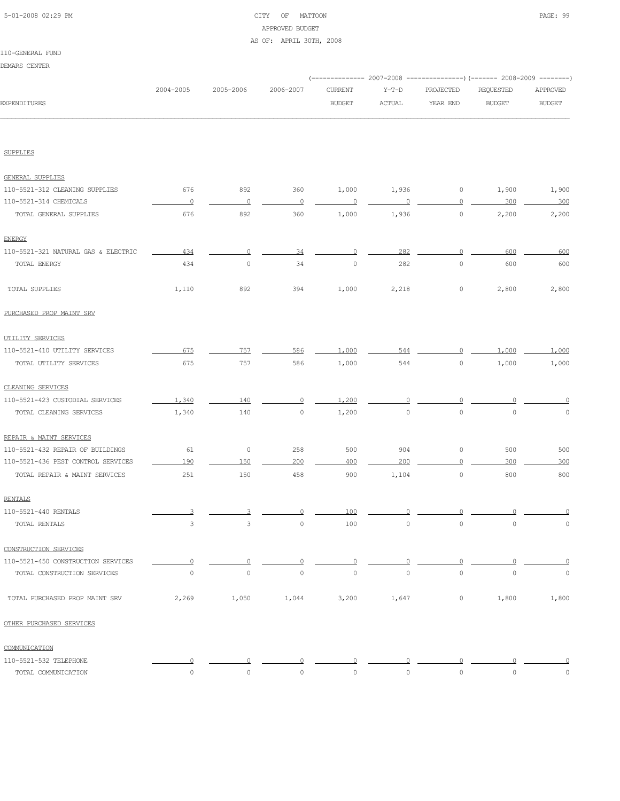# 5-01-2008 02:29 PM CITY OF MATTOON PAGE: 99 APPROVED BUDGET AS OF: APRIL 30TH, 2008

110-GENERAL FUND DEMARS CENTER

|                                     |                     |                     |                |                |                     |                | (-------------- 2007-2008 ----------------) (------- 2008-2009 --------) |                |
|-------------------------------------|---------------------|---------------------|----------------|----------------|---------------------|----------------|--------------------------------------------------------------------------|----------------|
|                                     | 2004-2005           | 2005-2006           | 2006-2007      | CURRENT        | $Y-T-D$             | PROJECTED      | REQUESTED                                                                | APPROVED       |
| <b>EXPENDITURES</b>                 |                     |                     |                | <b>BUDGET</b>  | <b>ACTUAL</b>       | YEAR END       | <b>BUDGET</b>                                                            | <b>BUDGET</b>  |
|                                     |                     |                     |                |                |                     |                |                                                                          |                |
| <b>SUPPLIES</b>                     |                     |                     |                |                |                     |                |                                                                          |                |
| <b>GENERAL SUPPLIES</b>             |                     |                     |                |                |                     |                |                                                                          |                |
| 110-5521-312 CLEANING SUPPLIES      | 676                 | 892                 | 360            | 1,000          | 1,936               | 0              | 1,900                                                                    | 1,900          |
| 110-5521-314 CHEMICALS              | $\overline{0}$      | $\overline{0}$      | 0              | $\overline{0}$ | $\circ$             | $\overline{0}$ | 300                                                                      | 300            |
| TOTAL GENERAL SUPPLIES              | 676                 | 892                 | 360            | 1,000          | 1,936               | $\circ$        | 2,200                                                                    | 2,200          |
| <b>ENERGY</b>                       |                     |                     |                |                |                     |                |                                                                          |                |
| 110-5521-321 NATURAL GAS & ELECTRIC | 434                 | $\circ$             | 34             | 0              | 282                 | $\circ$        | 600                                                                      | 600            |
| TOTAL ENERGY                        | 434                 | $\circ$             | 34             | $\circ$        | 282                 | $\circ$        | 600                                                                      | 600            |
| TOTAL SUPPLIES                      | 1,110               | 892                 | 394            | 1,000          | 2,218               | $\circ$        | 2,800                                                                    | 2,800          |
| PURCHASED PROP MAINT SRV            |                     |                     |                |                |                     |                |                                                                          |                |
| UTILITY SERVICES                    |                     |                     |                |                |                     |                |                                                                          |                |
| 110-5521-410 UTILITY SERVICES       | 675                 | 757                 | 586            | 1,000          | 544                 |                | 1,000                                                                    | 1,000          |
| TOTAL UTILITY SERVICES              | 675                 | 757                 | 586            | 1,000          | 544                 | $\circ$        | 1,000                                                                    | 1,000          |
| CLEANING SERVICES                   |                     |                     |                |                |                     |                |                                                                          |                |
| 110-5521-423 CUSTODIAL SERVICES     | 1,340               | 140                 | $\circ$        | 1,200          |                     |                |                                                                          |                |
| TOTAL CLEANING SERVICES             | 1,340               | 140                 | $\circ$        | 1,200          | 0                   | $\circ$        | $\circ$                                                                  | 0              |
| REPAIR & MAINT SERVICES             |                     |                     |                |                |                     |                |                                                                          |                |
| 110-5521-432 REPAIR OF BUILDINGS    | 61                  | $\circ$             | 258            | 500            | 904                 | 0              | 500                                                                      | 500            |
| 110-5521-436 PEST CONTROL SERVICES  | 190                 | 150                 | 200            | 400            | 200                 | 0              | 300                                                                      | 300            |
| TOTAL REPAIR & MAINT SERVICES       | 251                 | 150                 | 458            | 900            | 1,104               | $\circ$        | 800                                                                      | 800            |
| <b>RENTALS</b>                      |                     |                     |                |                |                     |                |                                                                          |                |
| 110-5521-440 RENTALS                |                     |                     | 0              | 100            |                     |                |                                                                          | $\overline{0}$ |
| TOTAL RENTALS                       | 3                   | 3                   | 0              | 100            | 0                   | $\circ$        | 0                                                                        | 0              |
| CONSTRUCTION SERVICES               |                     |                     |                |                |                     |                |                                                                          |                |
| 110-5521-450 CONSTRUCTION SERVICES  | $\Omega$            | $\Omega$            | $\overline{0}$ | 0              | 0                   | 0              | 0                                                                        | 0              |
| TOTAL CONSTRUCTION SERVICES         | $\mathbb O$         | $\circ$             | $\circ$        | $\circ$        | $\circ$             | $\circ$        | $\circ$                                                                  | $\mathbb O$    |
| TOTAL PURCHASED PROP MAINT SRV      | 2,269               | 1,050               | 1,044          | 3,200          | 1,647               | $\circ$        | 1,800                                                                    | 1,800          |
| OTHER PURCHASED SERVICES            |                     |                     |                |                |                     |                |                                                                          |                |
| COMMUNICATION                       |                     |                     |                |                |                     |                |                                                                          |                |
| 110-5521-532 TELEPHONE              |                     |                     | Λ              |                |                     | $\cap$         |                                                                          |                |
| TOTAL COMMUNICATION                 | $\mathsf{O}\xspace$ | $\mathsf{O}\xspace$ | $\circ$        | 0              | $\mathsf{O}\xspace$ | $\circ$        | $\mathsf{O}\xspace$                                                      | $\circ$        |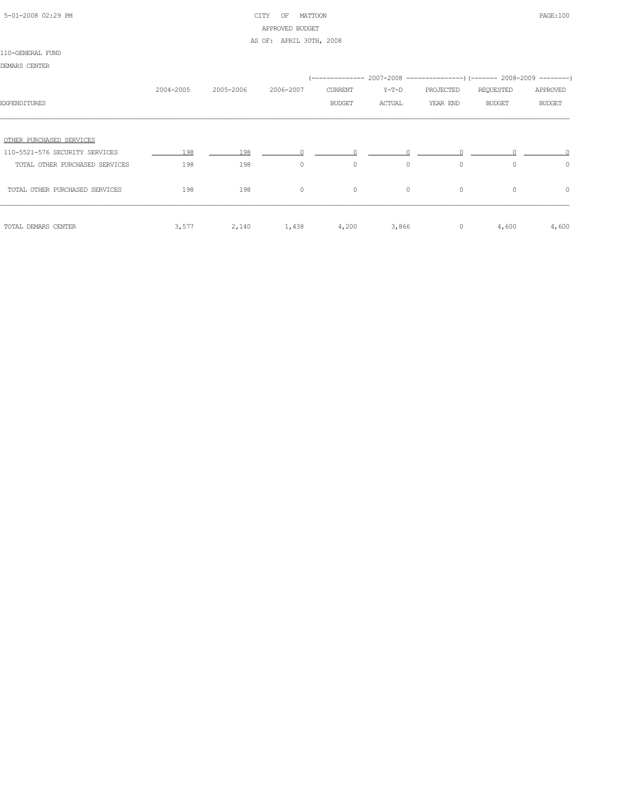# 5-01-2008 02:29 PM CITY OF MATTOON PAGE:100 APPROVED BUDGET

AS OF: APRIL 30TH, 2008

#### 110-GENERAL FUND

| DEMARS CENTER                  |           |           |           |                          |                                                                                              |                       |                     |                           |
|--------------------------------|-----------|-----------|-----------|--------------------------|----------------------------------------------------------------------------------------------|-----------------------|---------------------|---------------------------|
| <b>EXPENDITURES</b>            | 2004-2005 | 2005-2006 | 2006-2007 | CURRENT<br><b>BUDGET</b> | (-------------- 2007–2008 -----------------) (------- 2008–2009 --------)<br>Y-T-D<br>ACTUAL | PROJECTED<br>YEAR END | REQUESTED<br>BUDGET | APPROVED<br><b>BUDGET</b> |
|                                |           |           |           |                          |                                                                                              |                       |                     |                           |
| OTHER PURCHASED SERVICES       |           |           |           |                          |                                                                                              |                       |                     |                           |
| 110-5521-576 SECURITY SERVICES | 198       | 198       |           | $\cap$ and $\cap$        |                                                                                              |                       |                     |                           |
| TOTAL OTHER PURCHASED SERVICES | 198       | 198       | $\circ$   | $\circ$                  | $\circ$                                                                                      | $\circ$               | $\Omega$            | $\circ$                   |
| TOTAL OTHER PURCHASED SERVICES | 198       | 198       | $\circ$   | $\circ$                  | $\circ$                                                                                      | $\circ$               | $\Omega$            | $\circ$                   |
| TOTAL DEMARS CENTER            | 3,577     | 2,140     | 1,438     | 4,200                    | 3,866                                                                                        | $\circ$               | 4,600               | 4,600                     |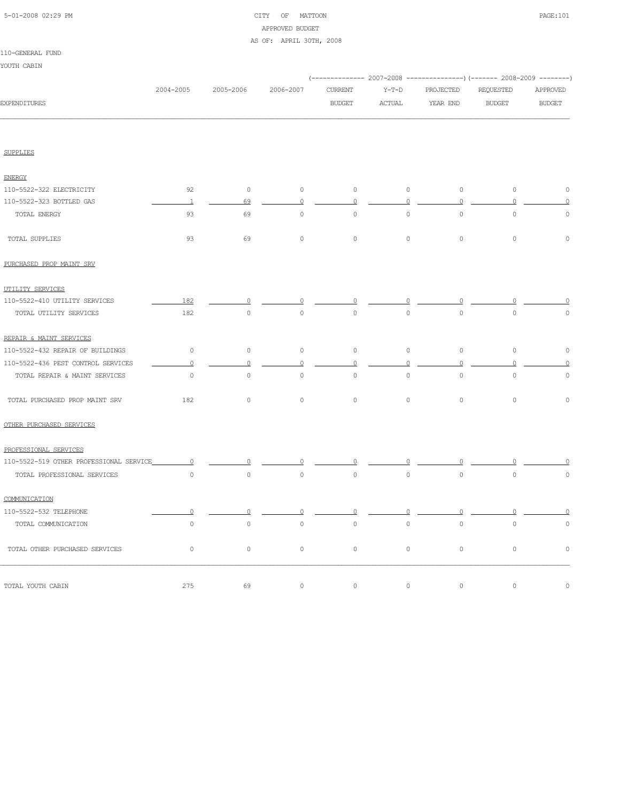# 5-01-2008 02:29 PM CITY OF MATTOON PAGE:101 APPROVED BUDGET

#### AS OF: APRIL 30TH, 2008

#### 110-GENERAL FUND

YOUTH CABIN

|                                         |                |                     |                |                     |               |           | (-------------- 2007-2008 ---------------) (------- 2008-2009 --------) |               |
|-----------------------------------------|----------------|---------------------|----------------|---------------------|---------------|-----------|-------------------------------------------------------------------------|---------------|
|                                         | 2004-2005      | 2005-2006           | 2006-2007      | <b>CURRENT</b>      | $Y-T-D$       | PROJECTED | REQUESTED                                                               | APPROVED      |
| <b>EXPENDITURES</b>                     |                |                     |                | <b>BUDGET</b>       | <b>ACTUAL</b> | YEAR END  | <b>BUDGET</b>                                                           | <b>BUDGET</b> |
|                                         |                |                     |                |                     |               |           |                                                                         |               |
| <b>SUPPLIES</b>                         |                |                     |                |                     |               |           |                                                                         |               |
| <b>ENERGY</b>                           |                |                     |                |                     |               |           |                                                                         |               |
| 110-5522-322 ELECTRICITY                | 92             | $\circ$             | $\circ$        | $\circ$             | $\circ$       | $\circ$   | $\circ$                                                                 | $\mathbb O$   |
| 110-5522-323 BOTTLED GAS                | $\overline{1}$ | 69                  | $\mathbf 0$    | $\circ$             | $\circ$       | $\circ$   | 0                                                                       | $\mathbf 0$   |
| TOTAL ENERGY                            | 93             | 69                  | $\circ$        | $\circ$             | $\circ$       | $\circ$   | $\circ$                                                                 | $\mathbb O$   |
| TOTAL SUPPLIES                          | 93             | 69                  | $\mathbb O$    | $\circ$             | $\circ$       | $\circ$   | $\circ$                                                                 | $\mathbb O$   |
| PURCHASED PROP MAINT SRV                |                |                     |                |                     |               |           |                                                                         |               |
| UTILITY SERVICES                        |                |                     |                |                     |               |           |                                                                         |               |
| 110-5522-410 UTILITY SERVICES           | 182            |                     |                |                     |               |           |                                                                         |               |
| TOTAL UTILITY SERVICES                  | 182            | $\mathbb O$         | $\mathbf 0$    | $\circ$             | $\circ$       | $\circ$   | $\circ$                                                                 | $\mathbb O$   |
| REPAIR & MAINT SERVICES                 |                |                     |                |                     |               |           |                                                                         |               |
| 110-5522-432 REPAIR OF BUILDINGS        | $\circ$        | $\mathbb O$         | $\mathbb O$    | $\mathbb O$         | $\circ$       | $\circ$   | $\circ$                                                                 | $\mathbb O$   |
| 110-5522-436 PEST CONTROL SERVICES      | $\overline{0}$ | $\circ$             | $\circ$        | $\circ$             | $\circ$       | $\circ$   | $\circ$                                                                 | $\circ$       |
| TOTAL REPAIR & MAINT SERVICES           | $\circ$        | $\mathsf{O}\xspace$ | $\mathbb O$    | $\mathsf{O}\xspace$ | $\circ$       | $\circ$   | $\circ$                                                                 | $\mathbb O$   |
| TOTAL PURCHASED PROP MAINT SRV          | 182            | $\circ$             | $\circ$        | 0                   | $\mathbf{0}$  | $\circ$   | $\circ$                                                                 | $\circ$       |
| OTHER PURCHASED SERVICES                |                |                     |                |                     |               |           |                                                                         |               |
| PROFESSIONAL SERVICES                   |                |                     |                |                     |               |           |                                                                         |               |
| 110-5522-519 OTHER PROFESSIONAL SERVICE | $\Omega$       |                     |                |                     |               |           |                                                                         |               |
| TOTAL PROFESSIONAL SERVICES             | $\circ$        | $\circ$             | $\mathbb O$    | $\mathbb O$         | $\circ$       | $\circ$   | $\mathbb O$                                                             | $\mathbf 0$   |
| COMMUNICATION                           |                |                     |                |                     |               |           |                                                                         |               |
| 110-5522-532 TELEPHONE                  | $\overline{0}$ | $\circ$             | $\overline{0}$ | $\circ$             | $\Omega$      | $\circ$   | $\Omega$                                                                |               |
| TOTAL COMMUNICATION                     | $\circ$        | $\circ$             | $\circ$        | $\circ$             | $\circ$       | $\circ$   | $\mathbf 0$                                                             | $\mathbf 0$   |
| TOTAL OTHER PURCHASED SERVICES          | $\circ$        | $\mathsf{O}\xspace$ | 0              | 0                   | $\circ$       | $\circ$   | $\circ$                                                                 | $\mathbb O$   |
| TOTAL YOUTH CABIN                       | 275            | 69                  | $\mathbb O$    | $\circ$             | $\circ$       | $\circ$   | $\mathbb O$                                                             | $\mathbb O$   |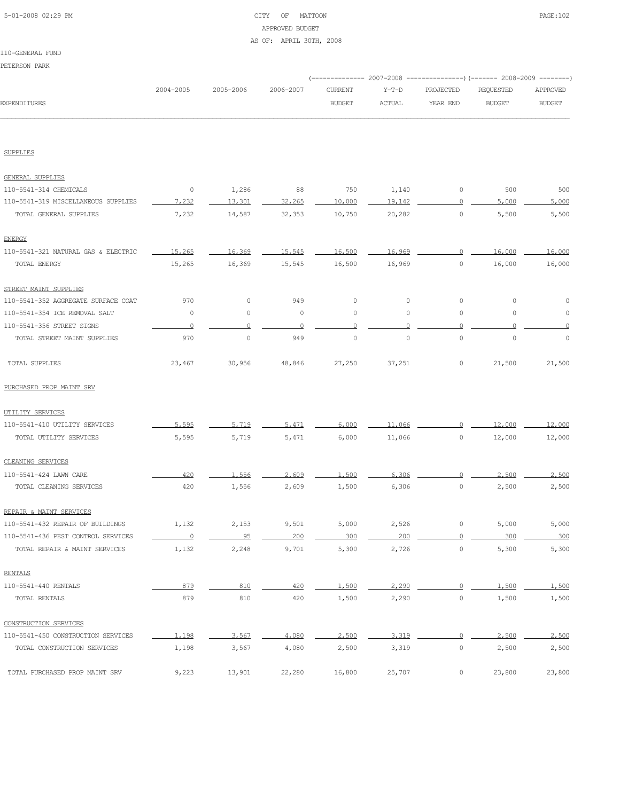# 5-01-2008 02:29 PM CITY OF MATTOON PAGE:102 APPROVED BUDGET

#### AS OF: APRIL 30TH, 2008

#### 110-GENERAL FUND

PETERSON PARK

|              |           |           |           |         |               |           | (-------------- 2007-2008 ----------------) (------- 2008-2009 --------) |          |
|--------------|-----------|-----------|-----------|---------|---------------|-----------|--------------------------------------------------------------------------|----------|
|              | 2004-2005 | 2005-2006 | 2006-2007 | CURRENT | Y-T-D         | PROJECTED | REOUESTED                                                                | APPROVED |
| EXPENDITURES |           |           |           | BUDGET  | <b>ACTUAL</b> | YEAR END  | <b>BUDGET</b>                                                            | BUDGET   |
|              |           |           |           |         |               |           |                                                                          |          |

SUPPLIES

| GENERAL SUPPLIES                    |          |                |             |             |                     |                     |             |        |
|-------------------------------------|----------|----------------|-------------|-------------|---------------------|---------------------|-------------|--------|
| 110-5541-314 CHEMICALS              | $\circ$  | 1,286          | 88          | 750         | 1,140               | $\mathbb O$         | 500         | 500    |
| 110-5541-319 MISCELLANEOUS SUPPLIES | 7.232    | 13,301         | 32,265      | 10,000      | 19,142              | 0                   | 5,000       | 5,000  |
| TOTAL GENERAL SUPPLIES              | 7,232    | 14,587         | 32,353      | 10,750      | 20,282              | $\mathsf{O}\xspace$ | 5,500       | 5,500  |
| <b>ENERGY</b>                       |          |                |             |             |                     |                     |             |        |
| 110-5541-321 NATURAL GAS & ELECTRIC | 15,265   | 16,369         | 15,545      | 16,500      | 16,969              | $\Omega$            | 16,000      | 16,000 |
| TOTAL ENERGY                        | 15,265   | 16,369         | 15,545      | 16,500      | 16,969              | $\circ$             | 16,000      | 16,000 |
| STREET MAINT SUPPLIES               |          |                |             |             |                     |                     |             |        |
| 110-5541-352 AGGREGATE SURFACE COAT | 970      | $\circ$        | 949         | $\circ$     | $\mathsf{O}\xspace$ | $\mathbb O$         | $\mathbb O$ | O      |
| 110-5541-354 ICE REMOVAL SALT       | $\circ$  | $\circ$        | $\mathbb O$ | 0           | 0                   | $\circ$             | 0           | $\cap$ |
| 110-5541-356 STREET SIGNS           | $\Omega$ | $\overline{0}$ | $\circ$     | $\mathbf 0$ | $\Omega$            | $\circ$             | $\Omega$    |        |
| TOTAL STREET MAINT SUPPLIES         | 970      | $\circ$        | 949         | $\circ$     | $\mathbf{0}$        | $\mathbf{0}$        | $\circ$     | $\cap$ |
| TOTAL SUPPLIES                      | 23,467   | 30,956         | 48,846      | 27,250      | 37,251              | $\circ$             | 21,500      | 21,500 |
| PURCHASED PROP MAINT SRV            |          |                |             |             |                     |                     |             |        |
| UTILITY SERVICES                    |          |                |             |             |                     |                     |             |        |
| 110-5541-410 UTILITY SERVICES       | 5,595    | 5.719          | 5.471       | 6.000       | 11,066              | $\Omega$            | 12,000      | 12,000 |
| TOTAL UTILITY SERVICES              | 5,595    | 5,719          | 5,471       | 6,000       | 11,066              | $\circ$             | 12,000      | 12,000 |
| CLEANING SERVICES                   |          |                |             |             |                     |                     |             |        |
| 110-5541-424 LAWN CARE              | 420      | 1,556          | 2,609       | 1,500       | 6,306               | $\circ$             | 2,500       | 2,500  |
| TOTAL CLEANING SERVICES             | 420      | 1,556          | 2,609       | 1,500       | 6,306               | $\circ$             | 2,500       | 2,500  |
| REPAIR & MAINT SERVICES             |          |                |             |             |                     |                     |             |        |
| 110-5541-432 REPAIR OF BUILDINGS    | 1,132    | 2,153          | 9,501       | 5,000       | 2,526               | $\circ$             | 5,000       | 5,000  |
| 110-5541-436 PEST CONTROL SERVICES  | $\Omega$ | 95             | 200         | 300         | 200                 | $\overline{0}$      | 300         | 300    |
| TOTAL REPAIR & MAINT SERVICES       | 1,132    | 2,248          | 9,701       | 5,300       | 2,726               | $\circ$             | 5,300       | 5,300  |
| <b>RENTALS</b>                      |          |                |             |             |                     |                     |             |        |
| 110-5541-440 RENTALS                | 879      | 810            | 420         | 1,500       | 2,290               | $\circ$             | 1.500       | 1,500  |
| TOTAL RENTALS                       | 879      | 810            | 420         | 1,500       | 2,290               | $\mathbb O$         | 1,500       | 1,500  |
| CONSTRUCTION SERVICES               |          |                |             |             |                     |                     |             |        |
| 110-5541-450 CONSTRUCTION SERVICES  | 1,198    | 3,567          | 4,080       | 2,500       | 3,319               | $\overline{0}$      | 2,500       | 2,500  |
| TOTAL CONSTRUCTION SERVICES         | 1,198    | 3,567          | 4,080       | 2,500       | 3,319               | $\circ$             | 2,500       | 2,500  |
| TOTAL PURCHASED PROP MAINT SRV      | 9,223    | 13,901         | 22,280      | 16,800      | 25,707              | $\circ$             | 23,800      | 23,800 |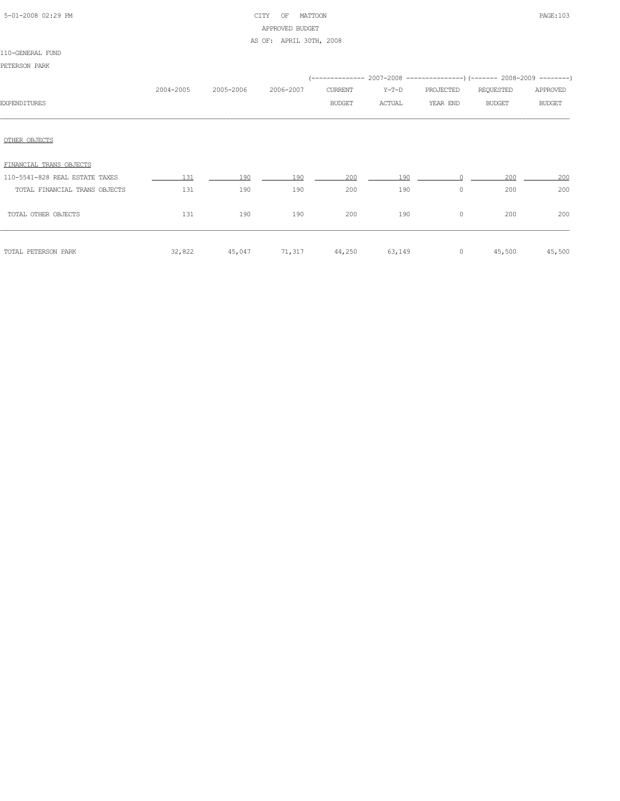| 5-01-2008 02:29 PM |  |
|--------------------|--|
|                    |  |

# CITY OF MATTOON **PAGE:103** APPROVED BUDGET

AS OF: APRIL 30TH, 2008

#### 110-GENERAL FUND

| 2004-2005 | 2005-2006 | 2006-2007 | CURRENT<br><b>BUDGET</b> | Y-T-D<br>ACTUAL | PROJECTED<br>YEAR END | REQUESTED<br><b>BUDGET</b> | APPROVED<br><b>BUDGET</b>                                                          |
|-----------|-----------|-----------|--------------------------|-----------------|-----------------------|----------------------------|------------------------------------------------------------------------------------|
|           |           |           |                          |                 |                       |                            |                                                                                    |
|           |           |           |                          |                 |                       |                            |                                                                                    |
| 131       | 190       | 190       | 200                      | 190             |                       | 200                        | 200                                                                                |
| 131       | 190       | 190       | 200                      | 190             | $\circ$               | 200                        | 200                                                                                |
| 131       | 190       | 190       | 200                      | 190             | $\circ$               | 200                        | 200                                                                                |
|           |           |           |                          |                 | $\circ$               |                            | 45,500                                                                             |
|           | 32,822    | 45,047    |                          | 71,317 44,250   | 63,149                |                            | (-------------- 2007-2008 ----------------) (------- 2008-2009 --------)<br>45,500 |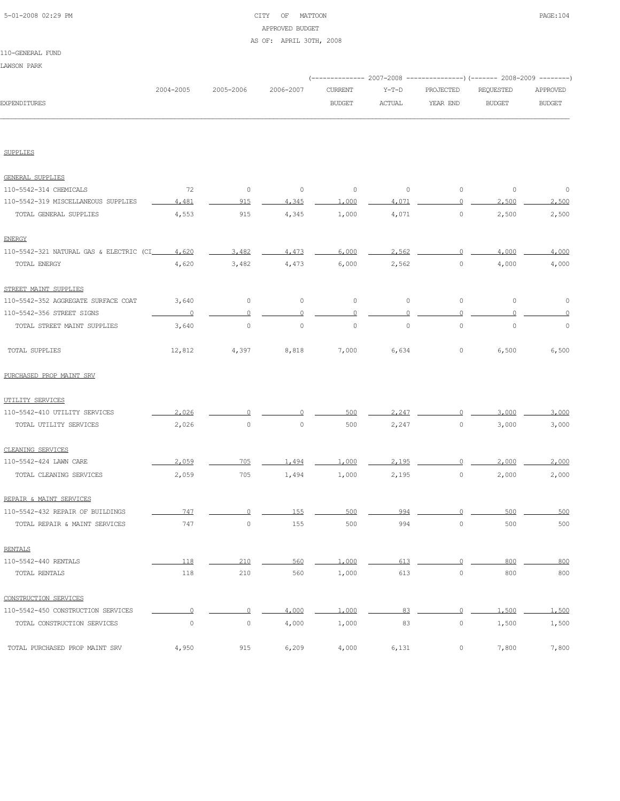| 5-01-2008 02:29 PM |  |
|--------------------|--|
|                    |  |

# CITY OF MATTOON PAGE:104 APPROVED BUDGET

#### AS OF: APRIL 30TH, 2008

#### 110-GENERAL FUND

LAWSON PARK

|                                         |             |                     |             |                |               | (-------------- 2007-2008 ---------------) (------- 2008-2009 --------) |               |               |
|-----------------------------------------|-------------|---------------------|-------------|----------------|---------------|-------------------------------------------------------------------------|---------------|---------------|
|                                         | 2004-2005   | 2005-2006           | 2006-2007   | <b>CURRENT</b> | $Y-T-D$       | PROJECTED                                                               | REQUESTED     | APPROVED      |
| <b>EXPENDITURES</b>                     |             |                     |             | <b>BUDGET</b>  | <b>ACTUAL</b> | YEAR END                                                                | <b>BUDGET</b> | <b>BUDGET</b> |
|                                         |             |                     |             |                |               |                                                                         |               |               |
| SUPPLIES                                |             |                     |             |                |               |                                                                         |               |               |
| <b>GENERAL SUPPLIES</b>                 |             |                     |             |                |               |                                                                         |               |               |
| 110-5542-314 CHEMICALS                  | 72          | $\mathbb O$         | $\circ$     | $\circ$        | $\circ$       | $\circ$                                                                 | $\mathbb O$   | $\circ$       |
| 110-5542-319 MISCELLANEOUS SUPPLIES     | 4,481       | 915                 | 4,345       | 1,000          | 4,071         | $\circ$                                                                 | 2,500         | 2,500         |
| TOTAL GENERAL SUPPLIES                  | 4,553       | 915                 | 4,345       | 1,000          | 4,071         | $\mathbb O$                                                             | 2,500         | 2,500         |
| <b>ENERGY</b>                           |             |                     |             |                |               |                                                                         |               |               |
| 110-5542-321 NATURAL GAS & ELECTRIC (CI | 4,620       | 3,482               | 4,473       | 6,000          | 2,562         |                                                                         | 4,000         | 4,000         |
| TOTAL ENERGY                            | 4,620       | 3,482               | 4,473       | 6,000          | 2,562         | $\mathbb O$                                                             | 4,000         | 4,000         |
| STREET MAINT SUPPLIES                   |             |                     |             |                |               |                                                                         |               |               |
| 110-5542-352 AGGREGATE SURFACE COAT     | 3,640       | $\mathbb O$         | 0           | $\circ$        | $\circ$       | $\mathbb O$                                                             | $\mathbb O$   | 0             |
| 110-5542-356 STREET SIGNS               | 0           | 0                   |             | 0              |               | 0                                                                       |               |               |
| TOTAL STREET MAINT SUPPLIES             | 3,640       | $\mathsf{O}\xspace$ | $\mathbb O$ | $\circ$        | $\circ$       | $\mathsf{O}\xspace$                                                     | $\mathbb O$   | 0             |
| TOTAL SUPPLIES                          | 12,812      | 4,397               | 8,818       | 7,000          | 6,634         | 0                                                                       | 6,500         | 6,500         |
| PURCHASED PROP MAINT SRV                |             |                     |             |                |               |                                                                         |               |               |
| UTILITY SERVICES                        |             |                     |             |                |               |                                                                         |               |               |
| 110-5542-410 UTILITY SERVICES           | 2,026       |                     |             | 500            | 2,247         | ∩                                                                       | 3,000         | 3,000         |
| TOTAL UTILITY SERVICES                  | 2,026       | $\mathsf{O}\xspace$ | $\mathbb O$ | 500            | 2,247         | $\circ$                                                                 | 3,000         | 3,000         |
| CLEANING SERVICES                       |             |                     |             |                |               |                                                                         |               |               |
| 110-5542-424 LAWN CARE                  | 2,059       | 705                 | 1,494       | 1,000          | 2.195         | C                                                                       | 2,000         | 2,000         |
| TOTAL CLEANING SERVICES                 | 2,059       | 705                 | 1,494       | 1,000          | 2,195         | $\mathbb O$                                                             | 2,000         | 2,000         |
| REPAIR & MAINT SERVICES                 |             |                     |             |                |               |                                                                         |               |               |
| 110-5542-432 REPAIR OF BUILDINGS        | 747         |                     | 155         | 500            | 994           |                                                                         | 500           | 500           |
| TOTAL REPAIR & MAINT SERVICES           | 747         | 0                   | 155         | 500            | 994           | 0                                                                       | 500           | 500           |
| <b>RENTALS</b>                          |             |                     |             |                |               |                                                                         |               |               |
| 110-5542-440 RENTALS                    | 118         | 210                 | 560         | 1,000          | 613           | $\Omega$                                                                | 800           | 800           |
| TOTAL RENTALS                           | 118         | 210                 | 560         | 1,000          | 613           | $\mathbb O$                                                             | 800           | 800           |
| CONSTRUCTION SERVICES                   |             |                     |             |                |               |                                                                         |               |               |
| 110-5542-450 CONSTRUCTION SERVICES      | $\Omega$    | $\circ$             | 4,000       | 1,000          | 83            | $\Omega$                                                                | 1,500         | 1,500         |
| TOTAL CONSTRUCTION SERVICES             | $\mathbb O$ | $\circ$             | 4,000       | 1,000          | 83            | $\circ$                                                                 | 1,500         | 1,500         |
| TOTAL PURCHASED PROP MAINT SRV          | 4,950       | 915                 | 6,209       | 4,000          | 6,131         | $\circ$                                                                 | 7,800         | 7,800         |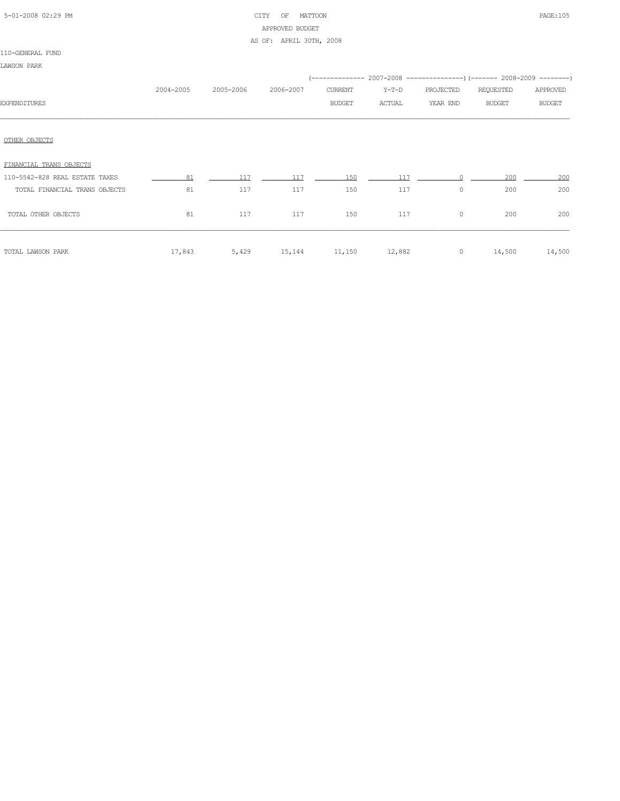| 5-01-2008 02:29 PM |  |
|--------------------|--|

# CITY OF MATTOON **PAGE:105** APPROVED BUDGET AS OF: APRIL 30TH, 2008

|                                |           |           |           |               | (-------------- 2007-2008 -------------------- 2008-2009 ---------) |           |               |               |
|--------------------------------|-----------|-----------|-----------|---------------|---------------------------------------------------------------------|-----------|---------------|---------------|
|                                | 2004-2005 | 2005-2006 | 2006-2007 | CURRENT       | $Y-T-D$                                                             | PROJECTED | REQUESTED     | APPROVED      |
| <b>EXPENDITURES</b>            |           |           |           | <b>BUDGET</b> | ACTUAL                                                              | YEAR END  | <b>BUDGET</b> | <b>BUDGET</b> |
|                                |           |           |           |               |                                                                     |           |               |               |
| OTHER OBJECTS                  |           |           |           |               |                                                                     |           |               |               |
| FINANCIAL TRANS OBJECTS        |           |           |           |               |                                                                     |           |               |               |
| 110-5542-828 REAL ESTATE TAXES | 81        | 117       | 117       | 150           | 117                                                                 |           | 200           | 200           |
| TOTAL FINANCIAL TRANS OBJECTS  | 81        | 117       | 117       | 150           | 117                                                                 | $\circ$   | 200           | 200           |
| TOTAL OTHER OBJECTS            | 81        | 117       | 117       | 150           | 117                                                                 | $\circ$   | 200           | 200           |
| TOTAL LAWSON PARK              | 17,843    | 5,429     | 15,144    | 11,150        | 12,882                                                              | $\circ$   | 14,500        | 14,500        |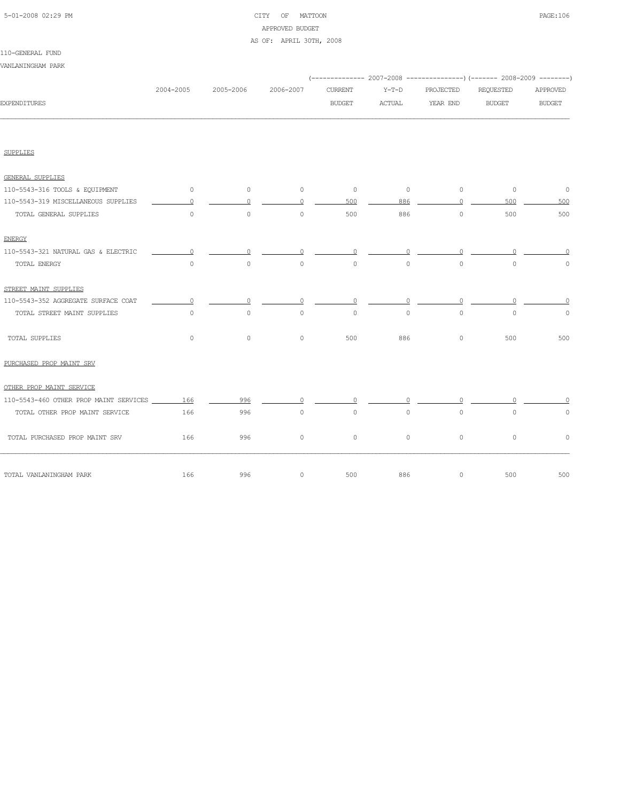# 5-01-2008 02:29 PM CITY OF MATTOON PAGE:106 APPROVED BUDGET

#### AS OF: APRIL 30TH, 2008

# 110-GENERAL FUND

| TIALGEMERAT LAMD                                  |           |           |           |                |          |           |                                                                          |               |
|---------------------------------------------------|-----------|-----------|-----------|----------------|----------|-----------|--------------------------------------------------------------------------|---------------|
| VANLANINGHAM PARK                                 |           |           |           |                |          |           |                                                                          |               |
|                                                   |           |           |           |                |          |           | (-------------- 2007-2008 ----------------) (------- 2008-2009 --------) |               |
|                                                   | 2004-2005 | 2005-2006 | 2006-2007 | <b>CURRENT</b> | $Y-T-D$  | PROJECTED | REQUESTED                                                                | APPROVED      |
| <b>EXPENDITURES</b>                               |           |           |           | <b>BUDGET</b>  | ACTUAL   | YEAR END  | <b>BUDGET</b>                                                            | <b>BUDGET</b> |
|                                                   |           |           |           |                |          |           |                                                                          |               |
| <b>SUPPLIES</b>                                   |           |           |           |                |          |           |                                                                          |               |
| <b>GENERAL SUPPLIES</b>                           |           |           |           |                |          |           |                                                                          |               |
| 110-5543-316 TOOLS & EQUIPMENT                    | $\circ$   | $\circ$   | $\circ$   | $\circ$        | $\circ$  | $\circ$   | $\circ$                                                                  | $\circ$       |
| 110-5543-319 MISCELLANEOUS SUPPLIES               | $\Omega$  | $\Omega$  | $\Omega$  | 500            | 886      | $\Omega$  | 500                                                                      | 500           |
| TOTAL GENERAL SUPPLIES                            | $\circ$   | $\circ$   | $\circ$   | 500            | 886      | $\circ$   | 500                                                                      | 500           |
| <b>ENERGY</b>                                     |           |           |           |                |          |           |                                                                          |               |
| 110-5543-321 NATURAL GAS & ELECTRIC               | $\Omega$  | $\Omega$  | $\Omega$  | $\circ$        | $\circ$  | $\Omega$  | $\Omega$                                                                 | $\cap$        |
| TOTAL ENERGY                                      | $\circ$   | $\Omega$  | $\circ$   | $\circ$        | $\circ$  | $\circ$   | $\circ$                                                                  | $\circ$       |
| STREET MAINT SUPPLIES                             |           |           |           |                |          |           |                                                                          |               |
| 110-5543-352 AGGREGATE SURFACE COAT               | $\Omega$  | $\Omega$  | $\Omega$  | $\Omega$       | $\Omega$ | $\Omega$  | $\Omega$                                                                 | $\Omega$      |
| TOTAL STREET MAINT SUPPLIES                       | $\circ$   | $\Omega$  | $\Omega$  | $\Omega$       | $\Omega$ | $\Omega$  | $\Omega$                                                                 | $\circ$       |
| TOTAL SUPPLIES                                    | $\circ$   | $\circ$   | $\circ$   | 500            | 886      | $\circ$   | 500                                                                      | 500           |
| PURCHASED PROP MAINT SRV                          |           |           |           |                |          |           |                                                                          |               |
| OTHER PROP MAINT SERVICE                          |           |           |           |                |          |           |                                                                          |               |
| 110-5543-460 OTHER PROP MAINT SERVICES ______ 166 |           | 996       | $\circ$   | $\Omega$       | 0        | $\Omega$  |                                                                          |               |
| TOTAL OTHER PROP MAINT SERVICE                    | 166       | 996       | $\circ$   | $\circ$        | $\circ$  | $\circ$   | $\circ$                                                                  | $\circ$       |
| TOTAL PURCHASED PROP MAINT SRV                    | 166       | 996       | $\circ$   | $\circ$        | $\Omega$ | $\circ$   | $\circ$                                                                  | $\circ$       |
| TOTAL VANLANINGHAM PARK                           | 166       | 996       | $\circ$   | 500            | 886      | $\circ$   | 500                                                                      | 500           |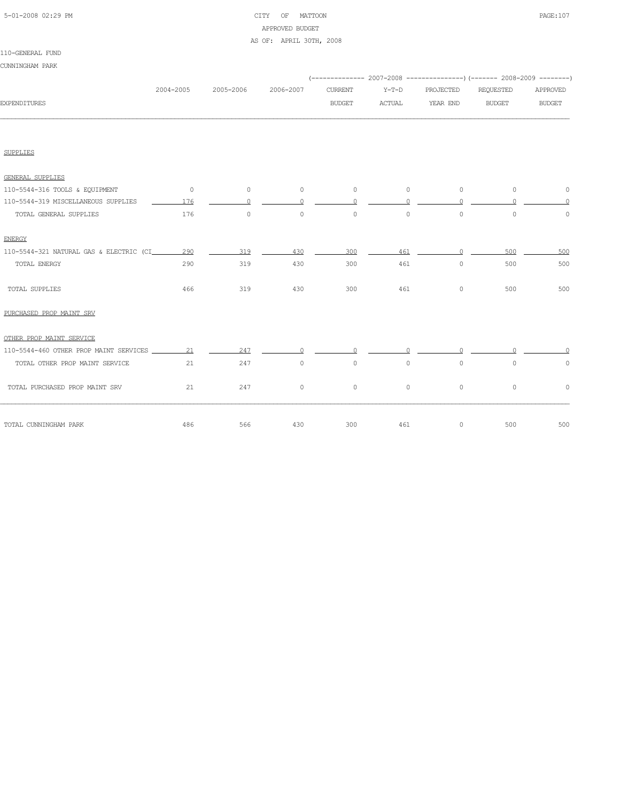# 5-01-2008 02:29 PM CITY OF MATTOON PAGE:107 APPROVED BUDGET

#### AS OF: APRIL 30TH, 2008

#### 110-GENERAL FUND

| CUNNINGHAM PARK                                      |           |           |           |                |          |           | (-------------- 2007-2008 ----------------) (------- 2008-2009 --------) |                     |
|------------------------------------------------------|-----------|-----------|-----------|----------------|----------|-----------|--------------------------------------------------------------------------|---------------------|
|                                                      | 2004-2005 | 2005-2006 | 2006-2007 | <b>CURRENT</b> | $Y-T-D$  | PROJECTED | REQUESTED                                                                | APPROVED            |
| <b>EXPENDITURES</b>                                  |           |           |           | <b>BUDGET</b>  | ACTUAL   | YEAR END  | <b>BUDGET</b>                                                            | <b>BUDGET</b>       |
|                                                      |           |           |           |                |          |           |                                                                          |                     |
| <b>SUPPLIES</b>                                      |           |           |           |                |          |           |                                                                          |                     |
| GENERAL SUPPLIES                                     |           |           |           |                |          |           |                                                                          |                     |
| 110-5544-316 TOOLS & EQUIPMENT                       | $\sim$ 0  | $\sim$ 0  | $\circ$   | $\circ$        | $\circ$  | $\circ$   | $\circ$                                                                  | $\circ$             |
| 110-5544-319 MISCELLANEOUS SUPPLIES                  | 176       | $\circ$   | $\circ$   | $\circ$        | $\circ$  | $\circ$   | $\circ$                                                                  | $\Omega$            |
| TOTAL GENERAL SUPPLIES                               | 176       | $\circ$   | $\circ$   | $\circ$        | $\circ$  | $\circ$   | $\circ$                                                                  | $\circ$             |
| <b>ENERGY</b>                                        |           |           |           |                |          |           |                                                                          |                     |
| 110-5544-321 NATURAL GAS & ELECTRIC (CI_________ 290 |           | 319       | 430       | 300            | 461      | $\Omega$  | 500                                                                      | 500                 |
| TOTAL ENERGY                                         | 290       | 319       | 430       | 300            | 461      | $\circ$   | 500                                                                      | 500                 |
| TOTAL SUPPLIES                                       | 466       | 319       | 430       | 300            | 461      | $\circ$   | 500                                                                      | 500                 |
| PURCHASED PROP MAINT SRV                             |           |           |           |                |          |           |                                                                          |                     |
| OTHER PROP MAINT SERVICE                             |           |           |           |                |          |           |                                                                          |                     |
|                                                      |           | 247       | $\Omega$  | $\cap$         | $\Omega$ | $\cap$    | $\Omega$                                                                 |                     |
| TOTAL OTHER PROP MAINT SERVICE                       | 21        | 247       | $\circ$   | $\circ$        | $\circ$  | $\circ$   | $\circ$                                                                  | $\mathsf{O}\xspace$ |
| TOTAL PURCHASED PROP MAINT SRV                       | 21        | 247       | $\circ$   | $\circ$        | $\circ$  | $\circ$   | $\circ$                                                                  | $\circ$             |
| TOTAL CUNNINGHAM PARK                                | 486       | 566       | 430       | 300            | 461      | $\circ$   | 500                                                                      | 500                 |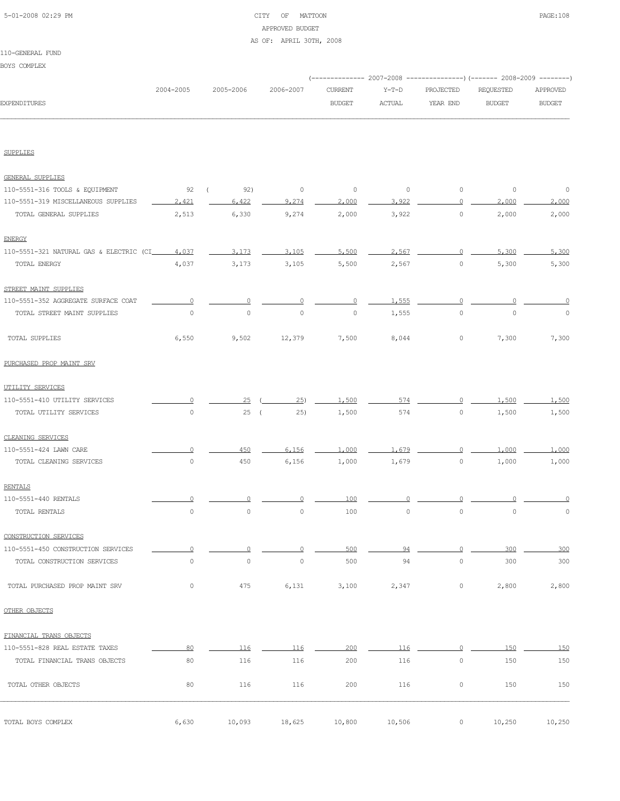# 5-01-2008 02:29 PM CITY OF MATTOON PAGE:108 APPROVED BUDGET AS OF: APRIL 30TH, 2008

#### 110-GENERAL FUND

BOYS COMPLEX

| BOXS COMPLEX                             |             |                       |           |                                 |                          |                       |                            |                           |
|------------------------------------------|-------------|-----------------------|-----------|---------------------------------|--------------------------|-----------------------|----------------------------|---------------------------|
| <b>EXPENDITURES</b>                      | 2004-2005   | 2005-2006             | 2006-2007 | <b>CURRENT</b><br><b>BUDGET</b> | $Y-T-D$<br><b>ACTUAL</b> | PROJECTED<br>YEAR END | REQUESTED<br><b>BUDGET</b> | APPROVED<br><b>BUDGET</b> |
| SUPPLIES                                 |             |                       |           |                                 |                          |                       |                            |                           |
|                                          |             |                       |           |                                 |                          |                       |                            |                           |
| <b>GENERAL SUPPLIES</b>                  |             |                       |           |                                 |                          |                       |                            |                           |
| 110-5551-316 TOOLS & EQUIPMENT           | 92          | 92)<br>$\overline{ }$ | $\circ$   | $\circ$                         | $\circ$                  | $\circ$               | $\circ$                    | $\circ$                   |
| 110-5551-319 MISCELLANEOUS SUPPLIES      | 2.421       | 6.422                 | 9,274     | 2,000                           | 3.922                    | $\Omega$              | 2,000                      | 2,000                     |
| TOTAL GENERAL SUPPLIES                   | 2,513       | 6,330                 | 9,274     | 2,000                           | 3,922                    | $\circ$               | 2,000                      | 2,000                     |
| <b>ENERGY</b>                            |             |                       |           |                                 |                          |                       |                            |                           |
| 110-5551-321 NATURAL GAS & ELECTRIC (CI_ | 4,037       | 3,173                 | 3,105     | 5,500                           | 2.567                    | 0                     | 5,300                      | 5,300                     |
| TOTAL ENERGY                             | 4,037       | 3,173                 | 3,105     | 5,500                           | 2,567                    | $\circ$               | 5,300                      | 5,300                     |
| STREET MAINT SUPPLIES                    |             |                       |           |                                 |                          |                       |                            |                           |
| 110-5551-352 AGGREGATE SURFACE COAT      | $\Omega$    | 0                     |           | 0                               | 1,555                    | $\circ$               |                            |                           |
| TOTAL STREET MAINT SUPPLIES              | $\circ$     | $\circ$               | $\circ$   | $\circ$                         | 1,555                    | $\circ$               | $\circ$                    | $\circ$                   |
| TOTAL SUPPLIES                           | 6,550       | 9,502                 | 12,379    | 7,500                           | 8,044                    | $\circ$               | 7,300                      | 7,300                     |
| PURCHASED PROP MAINT SRV                 |             |                       |           |                                 |                          |                       |                            |                           |
| UTILITY SERVICES                         |             |                       |           |                                 |                          |                       |                            |                           |
| 110-5551-410 UTILITY SERVICES            | 0           | 25                    | 25)       | 1,500                           | 574                      | 0                     | 1,500                      | 1,500                     |
| TOTAL UTILITY SERVICES                   | $\mathbb O$ | 25(                   | 25)       | 1,500                           | 574                      | $\circ$               | 1,500                      | 1,500                     |
| CLEANING SERVICES                        |             |                       |           |                                 |                          |                       |                            |                           |
| 110-5551-424 LAWN CARE                   | $\Omega$    | 450                   | 6.156     | 1,000                           | 1.679                    | $\circ$               | 1,000                      | 1,000                     |
| TOTAL CLEANING SERVICES                  | $\mathbb O$ | 450                   | 6,156     | 1,000                           | 1,679                    | $\circ$               | 1,000                      | 1,000                     |
| <b>RENTALS</b>                           |             |                       |           |                                 |                          |                       |                            |                           |
| 110-5551-440 RENTALS                     | $\Omega$    | $\circ$               | $\Omega$  | 100                             | $\Omega$                 | $\Omega$              | $\Omega$                   | $\Omega$                  |
| TOTAL RENTALS                            | $\mathbb O$ | $\circ$               | $\circ$   | 100                             | $\mathbb O$              | $\circ$               | $\mathbb O$                | $\mathbb O$               |
| CONSTRUCTION SERVICES                    |             |                       |           |                                 |                          |                       |                            |                           |
| 110-5551-450 CONSTRUCTION SERVICES       |             | $\Omega$              |           | 500                             | 94                       | $\Omega$              | 300                        | 300                       |
| TOTAL CONSTRUCTION SERVICES              | $\mathbb O$ | $\circ$               | $\circ$   | 500                             | 94                       | $\circ$               | 300                        | 300                       |
| TOTAL PURCHASED PROP MAINT SRV           | $\circ$     | 475                   | 6,131     | 3,100                           | 2,347                    | $\circ$               | 2,800                      | 2,800                     |
| OTHER OBJECTS                            |             |                       |           |                                 |                          |                       |                            |                           |
| FINANCIAL TRANS OBJECTS                  |             |                       |           |                                 |                          |                       |                            |                           |
| 110-5551-828 REAL ESTATE TAXES           | 80          | 116                   | 116       | 200                             | 116                      | $\circ$               | 150                        | 150                       |
| TOTAL FINANCIAL TRANS OBJECTS            | 80          | 116                   | 116       | 200                             | 116                      | $\circ$               | 150                        | 150                       |
| TOTAL OTHER OBJECTS                      | 80          | 116                   | 116       | 200                             | 116                      | $\circ$               | 150                        | 150                       |
|                                          |             |                       |           |                                 |                          |                       |                            |                           |

TOTAL BOYS COMPLEX 6,630 10,093 18,625 10,800 10,506 0 10,250 10,250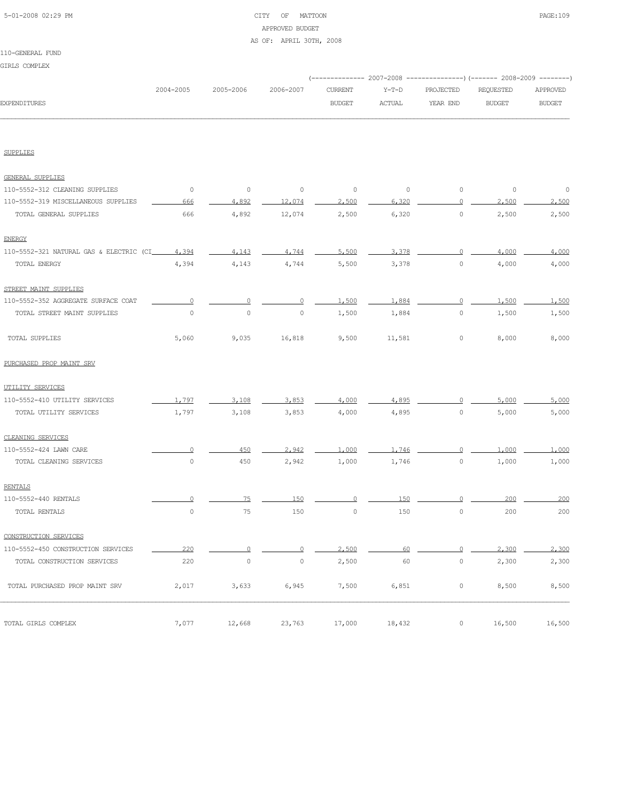| 5-01-2008 02:29 PM |  |
|--------------------|--|
|                    |  |

## CITY OF MATTOON **PAGE:109** APPROVED BUDGET

### AS OF: APRIL 30TH, 2008

|                                          |             |             |             |                |               | (-------------- 2007-2008 ---------------) (------- 2008-2009 --------) |               |               |  |
|------------------------------------------|-------------|-------------|-------------|----------------|---------------|-------------------------------------------------------------------------|---------------|---------------|--|
|                                          | 2004-2005   | 2005-2006   | 2006-2007   | <b>CURRENT</b> | $Y-T-D$       | PROJECTED                                                               | REQUESTED     | APPROVED      |  |
| <b>EXPENDITURES</b>                      |             |             |             | <b>BUDGET</b>  | <b>ACTUAL</b> | YEAR END                                                                | <b>BUDGET</b> | <b>BUDGET</b> |  |
| <b>SUPPLIES</b>                          |             |             |             |                |               |                                                                         |               |               |  |
| <b>GENERAL SUPPLIES</b>                  |             |             |             |                |               |                                                                         |               |               |  |
| 110-5552-312 CLEANING SUPPLIES           | $\circ$     | $\mathbb O$ | $\circ$     | $\circ$        | $\circ$       | $\circ$                                                                 | $\circ$       | 0             |  |
| 110-5552-319 MISCELLANEOUS SUPPLIES      | 666         | 4,892       | 12,074      | 2,500          | 6.320         | $\circ$                                                                 | 2,500         | 2,500         |  |
| TOTAL GENERAL SUPPLIES                   | 666         | 4,892       | 12,074      | 2,500          | 6,320         | $\mathbb O$                                                             | 2,500         | 2,500         |  |
| <b>ENERGY</b>                            |             |             |             |                |               |                                                                         |               |               |  |
| 110-5552-321 NATURAL GAS & ELECTRIC (CI_ | 4.394       | 4.143       | 4,744       | 5,500          | 3,378         | $\cap$                                                                  | 4,000         | 4,000         |  |
| TOTAL ENERGY                             | 4,394       | 4,143       | 4,744       | 5,500          | 3,378         | $\mathbb O$                                                             | 4,000         | 4,000         |  |
| STREET MAINT SUPPLIES                    |             |             |             |                |               |                                                                         |               |               |  |
| 110-5552-352 AGGREGATE SURFACE COAT      | 0           | $\Omega$    | n           | 1,500          | 1,884         | $\circ$                                                                 | 1,500         | 1,500         |  |
| TOTAL STREET MAINT SUPPLIES              | $\mathbb O$ | $\circ$     | 0           | 1,500          | 1,884         | $\circ$                                                                 | 1,500         | 1,500         |  |
| TOTAL SUPPLIES                           | 5,060       | 9,035       | 16,818      | 9,500          | 11,581        | 0                                                                       | 8,000         | 8,000         |  |
| PURCHASED PROP MAINT SRV                 |             |             |             |                |               |                                                                         |               |               |  |
| UTILITY SERVICES                         |             |             |             |                |               |                                                                         |               |               |  |
| 110-5552-410 UTILITY SERVICES            | 1,797       | 3,108       | 3,853       | 4,000          | 4,895         | 0                                                                       | 5,000         | 5,000         |  |
| TOTAL UTILITY SERVICES                   | 1,797       | 3,108       | 3,853       | 4,000          | 4,895         | $\circ$                                                                 | 5,000         | 5,000         |  |
| CLEANING SERVICES                        |             |             |             |                |               |                                                                         |               |               |  |
| 110-5552-424 LAWN CARE                   | 0           | 450         | 2.942       | 1,000          | 1,746         | 0                                                                       | 1,000         | 1,000         |  |
| TOTAL CLEANING SERVICES                  | $\mathbb O$ | 450         | 2,942       | 1,000          | 1,746         | $\mathbb O$                                                             | 1,000         | 1,000         |  |
| <b>RENTALS</b>                           |             |             |             |                |               |                                                                         |               |               |  |
| 110-5552-440 RENTALS                     | 0           | 75          | 150         | $\Omega$       | 150           | 0                                                                       | 200           | 200           |  |
| TOTAL RENTALS                            | $\mathbb O$ | 75          | 150         | 0              | 150           | $\mathbb O$                                                             | 200           | 200           |  |
| CONSTRUCTION SERVICES                    |             |             |             |                |               |                                                                         |               |               |  |
| 110-5552-450 CONSTRUCTION SERVICES       | 220         | $\Omega$    | ∩           | 2,500          | 60            | $\Omega$                                                                | 2,300         | 2,300         |  |
| TOTAL CONSTRUCTION SERVICES              | 220         | $\mathbb O$ | $\mathbb O$ | 2,500          | 60            | $\mathsf{O}\xspace$                                                     | 2,300         | 2,300         |  |
| TOTAL PURCHASED PROP MAINT SRV           | 2,017       | 3,633       | 6,945       | 7,500          | 6,851         | 0                                                                       | 8,500         | 8,500         |  |
| TOTAL GIRLS COMPLEX                      | 7,077       | 12,668      | 23,763      | 17,000         | 18,432        | 0                                                                       | 16,500        | 16,500        |  |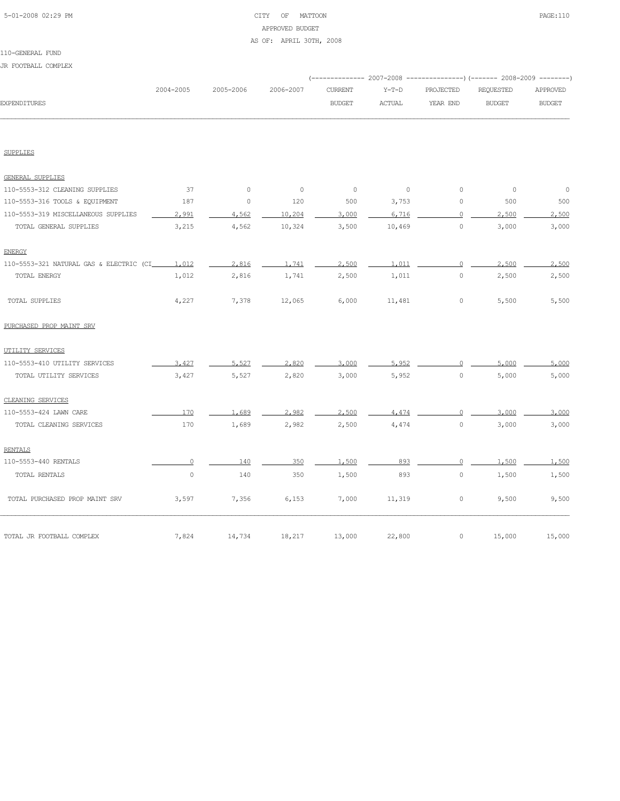## 5-01-2008 02:29 PM CITY OF MATTOON PAGE:110 APPROVED BUDGET AS OF: APRIL 30TH, 2008

|  |  | JR FOOTBALL COMPLEX |  |  |
|--|--|---------------------|--|--|
|--|--|---------------------|--|--|

|                                           |           |           |           |                |               |           | ------------ 2007-2008 ----------------) (------- 2008-2009 --------) |               |
|-------------------------------------------|-----------|-----------|-----------|----------------|---------------|-----------|-----------------------------------------------------------------------|---------------|
|                                           | 2004-2005 | 2005-2006 | 2006-2007 | <b>CURRENT</b> | $Y-T-D$       | PROJECTED | REQUESTED                                                             | APPROVED      |
| <b>EXPENDITURES</b>                       |           |           |           | <b>BUDGET</b>  | <b>ACTUAL</b> | YEAR END  | <b>BUDGET</b>                                                         | <b>BUDGET</b> |
|                                           |           |           |           |                |               |           |                                                                       |               |
| <b>SUPPLIES</b>                           |           |           |           |                |               |           |                                                                       |               |
| <b>GENERAL SUPPLIES</b>                   |           |           |           |                |               |           |                                                                       |               |
| 110-5553-312 CLEANING SUPPLIES            | 37        | $\circ$   | $\circ$   | $\circ$        | $\circ$       | $\circ$   | $\circ$                                                               | $\circ$       |
| 110-5553-316 TOOLS & EQUIPMENT            | 187       | 0         | 120       | 500            | 3,753         | 0         | 500                                                                   | 500           |
| 110-5553-319 MISCELLANEOUS SUPPLIES       | 2,991     | 4.562     | 10,204    | 3,000          | 6.716         | $\circ$   | 2,500                                                                 | 2,500         |
| TOTAL GENERAL SUPPLIES                    | 3,215     | 4,562     | 10,324    | 3,500          | 10,469        | $\circ$   | 3,000                                                                 | 3,000         |
| <b>ENERGY</b>                             |           |           |           |                |               |           |                                                                       |               |
| 110-5553-321 NATURAL GAS & ELECTRIC (CI__ | 1,012     | 2.816     | 1.741     | 2,500          | 1,011         | $\Omega$  | 2,500                                                                 | 2,500         |
| TOTAL ENERGY                              | 1,012     | 2,816     | 1,741     | 2,500          | 1,011         | $\circ$   | 2,500                                                                 | 2,500         |
| TOTAL SUPPLIES                            | 4,227     | 7,378     | 12,065    | 6,000          | 11,481        | 0         | 5,500                                                                 | 5,500         |
| PURCHASED PROP MAINT SRV                  |           |           |           |                |               |           |                                                                       |               |
| UTILITY SERVICES                          |           |           |           |                |               |           |                                                                       |               |
| 110-5553-410 UTILITY SERVICES             | 3.427     | 5.527     | 2,820     | 3,000          | 5,952         | $\Omega$  | 5,000                                                                 | 5,000         |
| TOTAL UTILITY SERVICES                    | 3,427     | 5,527     | 2,820     | 3,000          | 5,952         | $\circ$   | 5,000                                                                 | 5,000         |
| CLEANING SERVICES                         |           |           |           |                |               |           |                                                                       |               |
| 110-5553-424 LAWN CARE                    | 170       | 1.689     | 2.982     | 2,500          | 4.474         | $\Omega$  | 3,000                                                                 | 3,000         |
| TOTAL CLEANING SERVICES                   | 170       | 1,689     | 2,982     | 2,500          | 4,474         | $\circ$   | 3,000                                                                 | 3,000         |
| <b>RENTALS</b>                            |           |           |           |                |               |           |                                                                       |               |
| 110-5553-440 RENTALS                      | $\Omega$  | 140       | 350       | 1,500          | 893           | $\circ$   | 1,500                                                                 | 1,500         |
| TOTAL RENTALS                             | $\circ$   | 140       | 350       | 1,500          | 893           | $\circ$   | 1,500                                                                 | 1,500         |
| TOTAL PURCHASED PROP MAINT SRV            | 3,597     | 7,356     | 6,153     | 7,000          | 11,319        | $\circ$   | 9,500                                                                 | 9,500         |
| TOTAL JR FOOTBALL COMPLEX                 | 7,824     | 14,734    | 18,217    | 13,000         | 22,800        | 0         | 15,000                                                                | 15,000        |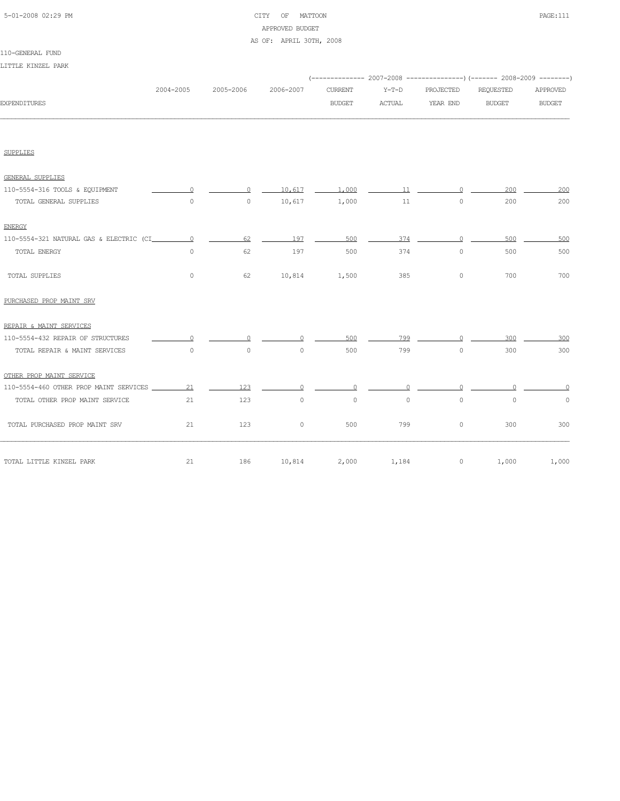## 5-01-2008 02:29 PM CITY OF MATTOON PAGE:111 APPROVED BUDGET

### AS OF: APRIL 30TH, 2008

|  |  | IJTTIE KINZEL PARK |  |  |
|--|--|--------------------|--|--|
|--|--|--------------------|--|--|

|                     |           |           |           |         |        | (-------------- 2007-2008 ----------------) (------- 2008-2009 ---------) |           |          |
|---------------------|-----------|-----------|-----------|---------|--------|---------------------------------------------------------------------------|-----------|----------|
|                     | 2004-2005 | 2005-2006 | 2006-2007 | CURRENT | Y-T-D  | PROJECTED                                                                 | REQUESTED | APPROVED |
| <b>EXPENDITURES</b> |           |           |           | BUDGET  | ACTUAL | YEAR END                                                                  | BUDGET    | BUDGET   |
|                     |           |           |           |         |        |                                                                           |           |          |
|                     |           |           |           |         |        |                                                                           |           |          |
|                     |           |           |           |         |        |                                                                           |           |          |
|                     |           |           |           |         |        |                                                                           |           |          |

| GENERAL SUPPLIES                        |          |         |         |         |         |          |         |       |
|-----------------------------------------|----------|---------|---------|---------|---------|----------|---------|-------|
| 110-5554-316 TOOLS & EQUIPMENT          | $\circ$  | $\circ$ | 10,617  | 1,000   | 11      | $\Omega$ | 200     | 200   |
| TOTAL GENERAL SUPPLIES                  | $\circ$  | $\circ$ | 10,617  | 1,000   | 11      | $\circ$  | 200     | 200   |
| <b>ENERGY</b>                           |          |         |         |         |         |          |         |       |
| 110-5554-321 NATURAL GAS & ELECTRIC (CI | $\Omega$ | 62      | 197     | 500     | 374     | $\Omega$ | 500     | 500   |
| TOTAL ENERGY                            | $\circ$  | 62      | 197     | 500     | 374     | $\circ$  | 500     | 500   |
| <b>TOTAL SUPPLIES</b>                   | $\circ$  | 62      | 10,814  | 1,500   | 385     | 0        | 700     | 700   |
| PURCHASED PROP MAINT SRV                |          |         |         |         |         |          |         |       |
| REPAIR & MAINT SERVICES                 |          |         |         |         |         |          |         |       |
| 110-5554-432 REPAIR OF STRUCTURES       |          |         |         | 500     | 799     |          | 300     | 300   |
| TOTAL REPAIR & MAINT SERVICES           | $\circ$  | $\circ$ | 0       | 500     | 799     | 0        | 300     | 300   |
| OTHER PROP MAINT SERVICE                |          |         |         |         |         |          |         |       |
| 110-5554-460 OTHER PROP MAINT SERVICES  | 21       | 123     |         | $\cap$  |         |          |         |       |
| TOTAL OTHER PROP MAINT SERVICE          | 21       | 123     | $\circ$ | $\circ$ | $\circ$ | $\circ$  | $\circ$ | 0     |
| TOTAL PURCHASED PROP MAINT SRV          | 21       | 123     | $\circ$ | 500     | 799     | $\circ$  | 300     | 300   |
| TOTAL LITTLE KINZEL PARK                | 21       | 186     | 10,814  | 2,000   | 1,184   | $\circ$  | 1,000   | 1,000 |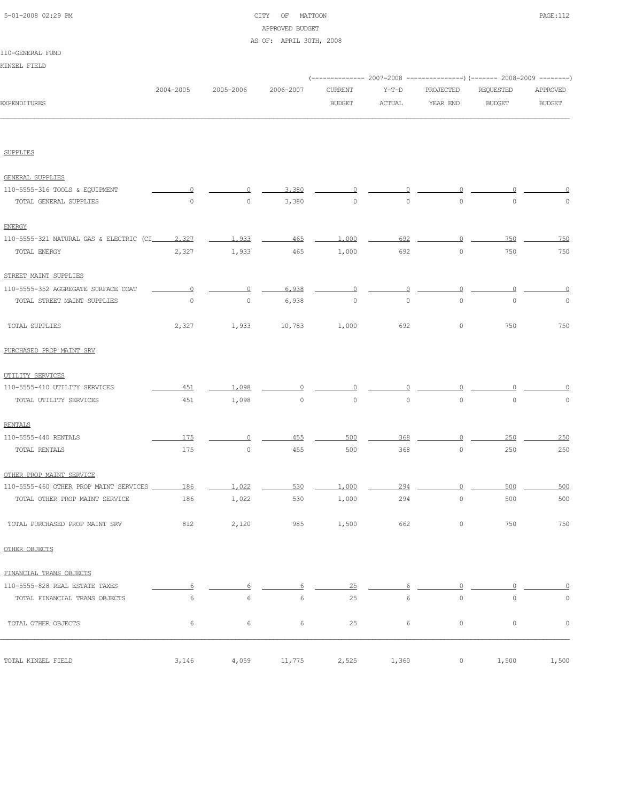| 5-01-2008 02:29 PM |  |
|--------------------|--|
|                    |  |

## CITY OF MATTOON PAGE:112 APPROVED BUDGET

### AS OF: APRIL 30TH, 2008

|                                                      |                     |                     |           |                |               |             | (-------------- 2007-2008 ---------------) (------- 2008-2009 --------) |               |
|------------------------------------------------------|---------------------|---------------------|-----------|----------------|---------------|-------------|-------------------------------------------------------------------------|---------------|
|                                                      | 2004-2005           | 2005-2006           | 2006-2007 | <b>CURRENT</b> | $Y-T-D$       | PROJECTED   | REQUESTED                                                               | APPROVED      |
| EXPENDITURES                                         |                     |                     |           | <b>BUDGET</b>  | <b>ACTUAL</b> | YEAR END    | <b>BUDGET</b>                                                           | <b>BUDGET</b> |
|                                                      |                     |                     |           |                |               |             |                                                                         |               |
| <b>SUPPLIES</b>                                      |                     |                     |           |                |               |             |                                                                         |               |
| <b>GENERAL SUPPLIES</b>                              |                     |                     |           |                |               |             |                                                                         |               |
| 110-5555-316 TOOLS & EQUIPMENT                       |                     | 0                   | 3,380     | O              |               |             |                                                                         |               |
| TOTAL GENERAL SUPPLIES                               | $\circ$             | $\circ$             | 3,380     | 0              | $\circ$       | $\circ$     | $\circ$                                                                 | 0             |
| <b>ENERGY</b>                                        |                     |                     |           |                |               |             |                                                                         |               |
| 110-5555-321 NATURAL GAS & ELECTRIC (CI_______ 2,327 |                     | 1.933               | 465       | 1,000          | 692           | $\Omega$    | 750                                                                     | 750           |
| TOTAL ENERGY                                         | 2,327               | 1,933               | 465       | 1,000          | 692           | $\mathbb O$ | 750                                                                     | 750           |
| STREET MAINT SUPPLIES                                |                     |                     |           |                |               |             |                                                                         |               |
| 110-5555-352 AGGREGATE SURFACE COAT                  | $\Omega$            | 0                   | 6,938     | $\Omega$       | ∩             | $\Omega$    | n                                                                       | 0             |
| TOTAL STREET MAINT SUPPLIES                          | $\mathsf{O}\xspace$ | $\mathsf{O}\xspace$ | 6,938     | $\circ$        | $\circ$       | $\mathbb O$ | $\mathbb O$                                                             | $\mathbb O$   |
| TOTAL SUPPLIES                                       | 2,327               | 1,933               | 10,783    | 1,000          | 692           | $\circ$     | 750                                                                     | 750           |
| PURCHASED PROP MAINT SRV                             |                     |                     |           |                |               |             |                                                                         |               |
| UTILITY SERVICES                                     |                     |                     |           |                |               |             |                                                                         |               |
| 110-5555-410 UTILITY SERVICES                        | 451                 | 1,098               |           |                |               |             |                                                                         |               |
| TOTAL UTILITY SERVICES                               | 451                 | 1,098               | 0         | 0              | $\circ$       | $\mathbb O$ | $\circ$                                                                 | 0             |
| <b>RENTALS</b>                                       |                     |                     |           |                |               |             |                                                                         |               |
| 110-5555-440 RENTALS                                 | 175                 | 0                   | 455       | 500            | 368           | ∩           | 250                                                                     | 250           |
| TOTAL RENTALS                                        | 175                 | 0                   | 455       | 500            | 368           | $\circ$     | 250                                                                     | 250           |
| OTHER PROP MAINT SERVICE                             |                     |                     |           |                |               |             |                                                                         |               |
| 110-5555-460 OTHER PROP MAINT SERVICES               | 186                 | 1,022               | 530       | 1,000          | 294           |             | 500                                                                     | 500           |
| TOTAL OTHER PROP MAINT SERVICE                       | 186                 | 1,022               | 530       | 1,000          | 294           | $\mathbb O$ | 500                                                                     | 500           |
| TOTAL PURCHASED PROP MAINT SRV                       | 812                 | 2,120               | 985       | 1,500          | 662           | $\circ$     | 750                                                                     | 750           |
| OTHER OBJECTS                                        |                     |                     |           |                |               |             |                                                                         |               |
| FINANCIAL TRANS OBJECTS                              |                     |                     |           |                |               |             |                                                                         |               |
| 110-5555-828 REAL ESTATE TAXES                       | 6                   | 6                   | 6         | 25             | 6             | $\Omega$    | $\Omega$                                                                | $\Omega$      |
| TOTAL FINANCIAL TRANS OBJECTS                        | 6                   | 6                   | 6         | 25             | 6             | $\circ$     | $\mathbb O$                                                             | $\mathbb O$   |
| TOTAL OTHER OBJECTS                                  | 6                   | 6                   | 6         | 25             | 6             | $\circ$     | $\circ$                                                                 | $\mathbb O$   |
|                                                      |                     |                     |           |                |               |             |                                                                         |               |
| TOTAL KINZEL FIELD                                   | 3,146               | 4,059               | 11,775    | 2,525          | 1,360         | $\circ$     | 1,500                                                                   | 1,500         |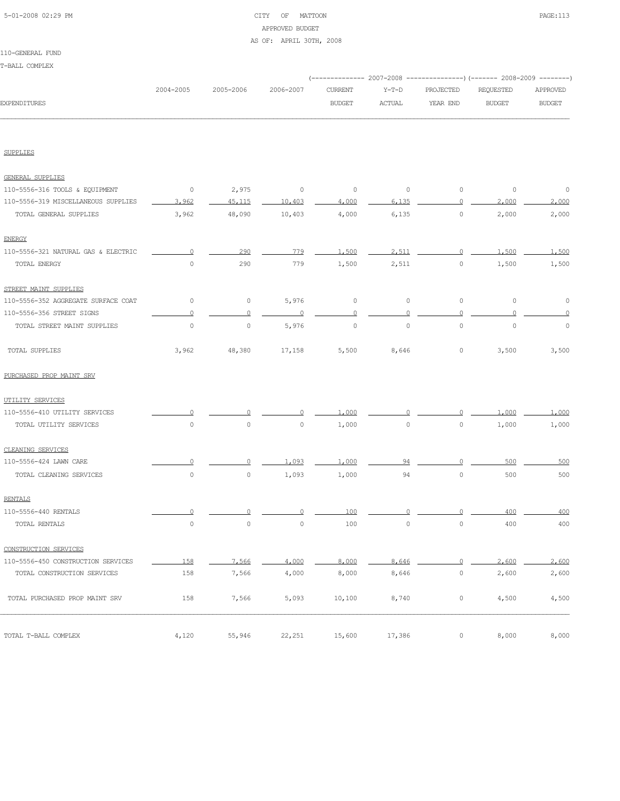## 5-01-2008 02:29 PM CITY OF MATTOON PAGE:113 APPROVED BUDGET

### AS OF: APRIL 30TH, 2008

### 110-GENERAL FUND

T-BALL COMPLEX

|                                     |           |           |           |                |               |             | (------------- 2007-2008 ---------------) (------- 2008-2009 --------) |               |
|-------------------------------------|-----------|-----------|-----------|----------------|---------------|-------------|------------------------------------------------------------------------|---------------|
|                                     | 2004-2005 | 2005-2006 | 2006-2007 | <b>CURRENT</b> | $Y-T-D$       | PROJECTED   | REQUESTED                                                              | APPROVED      |
| <b>EXPENDITURES</b>                 |           |           |           | <b>BUDGET</b>  | <b>ACTUAL</b> | YEAR END    | <b>BUDGET</b>                                                          | <b>BUDGET</b> |
|                                     |           |           |           |                |               |             |                                                                        |               |
| <b>SUPPLIES</b>                     |           |           |           |                |               |             |                                                                        |               |
| <b>GENERAL SUPPLIES</b>             |           |           |           |                |               |             |                                                                        |               |
| 110-5556-316 TOOLS & EQUIPMENT      | $\circ$   | 2,975     | 0         | $\circ$        | $\circ$       | $\circ$     | $\circ$                                                                | $\circ$       |
| 110-5556-319 MISCELLANEOUS SUPPLIES | 3,962     | 45,115    | 10,403    | 4,000          | 6.135         | $\Omega$    | 2,000                                                                  | 2,000         |
| TOTAL GENERAL SUPPLIES              | 3,962     | 48,090    | 10,403    | 4,000          | 6,135         | $\mathbb O$ | 2,000                                                                  | 2,000         |
| ENERGY                              |           |           |           |                |               |             |                                                                        |               |
| 110-5556-321 NATURAL GAS & ELECTRIC |           | 290       | 779       | 1,500          | 2.511         | $\Omega$    | 1,500                                                                  | 1,500         |
| TOTAL ENERGY                        | $\circ$   | 290       | 779       | 1,500          | 2,511         | $\mathbb O$ | 1,500                                                                  | 1,500         |
| STREET MAINT SUPPLIES               |           |           |           |                |               |             |                                                                        |               |
| 110-5556-352 AGGREGATE SURFACE COAT | 0         | 0         | 5,976     | 0              | 0             | 0           | 0                                                                      | 0             |
| 110-5556-356 STREET SIGNS           | Ω         | 0         |           | $\circ$        |               | 0           |                                                                        |               |
| TOTAL STREET MAINT SUPPLIES         | $\circ$   | $\circ$   | 5,976     | $\circ$        | $\circ$       | $\circ$     | $\mathbb O$                                                            | 0             |
| TOTAL SUPPLIES                      | 3,962     | 48,380    | 17,158    | 5,500          | 8,646         | 0           | 3,500                                                                  | 3,500         |
| PURCHASED PROP MAINT SRV            |           |           |           |                |               |             |                                                                        |               |
| UTILITY SERVICES                    |           |           |           |                |               |             |                                                                        |               |
| 110-5556-410 UTILITY SERVICES       |           |           |           | 1,000          |               |             | 1,000                                                                  | 1,000         |
| TOTAL UTILITY SERVICES              | $\circ$   | $\circ$   | $\circ$   | 1,000          | $\circ$       | $\circ$     | 1,000                                                                  | 1,000         |
| CLEANING SERVICES                   |           |           |           |                |               |             |                                                                        |               |
| 110-5556-424 LAWN CARE              |           |           | 1,093     | 1,000          | 94            | n           | 500                                                                    | 500           |
| TOTAL CLEANING SERVICES             | $\circ$   | $\circ$   | 1,093     | 1,000          | 94            | $\mathbb O$ | 500                                                                    | 500           |
| <b>RENTALS</b>                      |           |           |           |                |               |             |                                                                        |               |
| 110-5556-440 RENTALS                |           |           |           | 100            |               |             | 400                                                                    | 400           |
| TOTAL RENTALS                       | $\circ$   | $\circ$   | $\circ$   | 100            | $\circ$       | $\circ$     | 400                                                                    | 400           |
| CONSTRUCTION SERVICES               |           |           |           |                |               |             |                                                                        |               |
| 110-5556-450 CONSTRUCTION SERVICES  | 158       | 7,566     | 4,000     | 8,000          | 8,646         | $\Omega$    | 2,600                                                                  | 2,600         |
| TOTAL CONSTRUCTION SERVICES         | 158       | 7,566     | 4,000     | 8,000          | 8,646         | $\mathbb O$ | 2,600                                                                  | 2,600         |
| TOTAL PURCHASED PROP MAINT SRV      | 158       | 7,566     | 5,093     | 10,100         | 8,740         | 0           | 4,500                                                                  | 4,500         |
| TOTAL T-BALL COMPLEX                | 4,120     | 55,946    | 22,251    |                |               | 0           | 8,000                                                                  | 8,000         |
|                                     |           |           |           | 15,600         | 17,386        |             |                                                                        |               |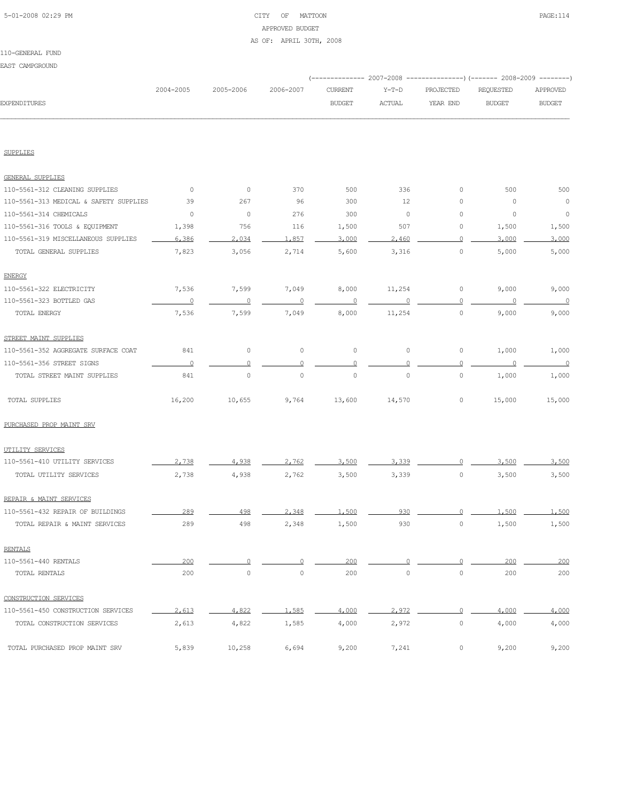## 5-01-2008 02:29 PM CITY OF MATTOON PAGE:114 APPROVED BUDGET AS OF: APRIL 30TH, 2008

### 110-GENERAL FUND

EAST CAMPGROUND

|                                        |                |                |             |                |               |              | (-------------- 2007-2008 ---------------) (------- 2008-2009 --------) |                          |
|----------------------------------------|----------------|----------------|-------------|----------------|---------------|--------------|-------------------------------------------------------------------------|--------------------------|
|                                        | 2004-2005      | 2005-2006      | 2006-2007   | CURRENT        | $Y-T-D$       | PROJECTED    | REQUESTED                                                               | APPROVED                 |
| <b>EXPENDITURES</b>                    |                |                |             | <b>BUDGET</b>  | <b>ACTUAL</b> | YEAR END     | <b>BUDGET</b>                                                           | <b>BUDGET</b>            |
|                                        |                |                |             |                |               |              |                                                                         |                          |
| SUPPLIES                               |                |                |             |                |               |              |                                                                         |                          |
| GENERAL SUPPLIES                       |                |                |             |                |               |              |                                                                         |                          |
| 110-5561-312 CLEANING SUPPLIES         | $\circ$        | $\circ$        | 370         | 500            | 336           | 0            | 500                                                                     | 500                      |
| 110-5561-313 MEDICAL & SAFETY SUPPLIES | 39             | 267            | 96          | 300            | 12            | 0            | 0                                                                       | $\overline{0}$           |
| 110-5561-314 CHEMICALS                 | $\circ$        | $\circ$        | 276         | 300            | $\circ$       | 0            | 0                                                                       | $\circ$                  |
| 110-5561-316 TOOLS & EQUIPMENT         | 1,398          | 756            | 116         | 1,500          | 507           | 0            | 1,500                                                                   | 1,500                    |
| 110-5561-319 MISCELLANEOUS SUPPLIES    | 6,386          | 2.034          | 1,857       | 3,000          | 2,460         | 0            | 3,000                                                                   | 3,000                    |
| TOTAL GENERAL SUPPLIES                 | 7,823          | 3,056          | 2,714       | 5,600          | 3,316         | $\circ$      | 5,000                                                                   | 5,000                    |
| <b>ENERGY</b>                          |                |                |             |                |               |              |                                                                         |                          |
| 110-5561-322 ELECTRICITY               | 7,536          | 7,599          | 7,049       | 8,000          | 11,254        | $\circ$      | 9,000                                                                   | 9,000                    |
| 110-5561-323 BOTTLED GAS               | $\overline{0}$ | $\overline{0}$ | $\circ$     | $\overline{0}$ |               | 0            | 0                                                                       | $\overline{0}$           |
| TOTAL ENERGY                           | 7,536          | 7,599          | 7,049       | 8,000          | 11,254        | $\circ$      | 9,000                                                                   | 9,000                    |
| STREET MAINT SUPPLIES                  |                |                |             |                |               |              |                                                                         |                          |
| 110-5561-352 AGGREGATE SURFACE COAT    | 841            | $\circ$        | $\circ$     | 0              | $\circ$       | $\circ$      | 1,000                                                                   | 1,000                    |
| 110-5561-356 STREET SIGNS              | $\circ$        | $\circ$        | $\Omega$    | $\Omega$       |               | $\circ$      |                                                                         | $\overline{\phantom{0}}$ |
| TOTAL STREET MAINT SUPPLIES            | 841            | $\circ$        | $\mathbb O$ | $\mathbb O$    | $\mathbb O$   | $\circ$      | 1,000                                                                   | 1,000                    |
| TOTAL SUPPLIES                         | 16,200         | 10,655         | 9,764       | 13,600         | 14,570        | $\circ$      | 15,000                                                                  | 15,000                   |
| PURCHASED PROP MAINT SRV               |                |                |             |                |               |              |                                                                         |                          |
| UTILITY SERVICES                       |                |                |             |                |               |              |                                                                         |                          |
| 110-5561-410 UTILITY SERVICES          | 2.738          | 4,938          | 2,762       | 3,500          | 3,339         |              | 3,500                                                                   | 3,500                    |
| TOTAL UTILITY SERVICES                 | 2,738          | 4,938          | 2,762       | 3,500          | 3,339         | $\circ$      | 3,500                                                                   | 3,500                    |
| REPAIR & MAINT SERVICES                |                |                |             |                |               |              |                                                                         |                          |
| 110-5561-432 REPAIR OF BUILDINGS       | 289            | 498            | 2,348       | 1.500          | 930           |              | 1,500                                                                   | 1,500                    |
| TOTAL REPAIR & MAINT SERVICES          | 289            | 498            | 2,348       | 1,500          | 930           | 0            | 1,500                                                                   | 1,500                    |
| <b>RENTALS</b>                         |                |                |             |                |               |              |                                                                         |                          |
| 110-5561-440 RENTALS                   | 200            | $\circ$        | $\Omega$    | 200            | $\Omega$      | $\Omega$     | 200                                                                     | 200                      |
| TOTAL RENTALS                          | 200            | $\circ$        | $\circ$     | 200            | $\circ$       | $\circ$      | 200                                                                     | 200                      |
| CONSTRUCTION SERVICES                  |                |                |             |                |               |              |                                                                         |                          |
| 110-5561-450 CONSTRUCTION SERVICES     | 2,613          | 4.822          | 1,585       | 4,000          | 2,972         | $\mathbf{0}$ | 4,000                                                                   | 4,000                    |
| TOTAL CONSTRUCTION SERVICES            | 2,613          | 4,822          | 1,585       | 4,000          | 2,972         | $\circ$      | 4,000                                                                   | 4,000                    |
| TOTAL PURCHASED PROP MAINT SRV         | 5,839          | 10,258         | 6,694       | 9,200          | 7,241         | $\circ$      | 9,200                                                                   | 9,200                    |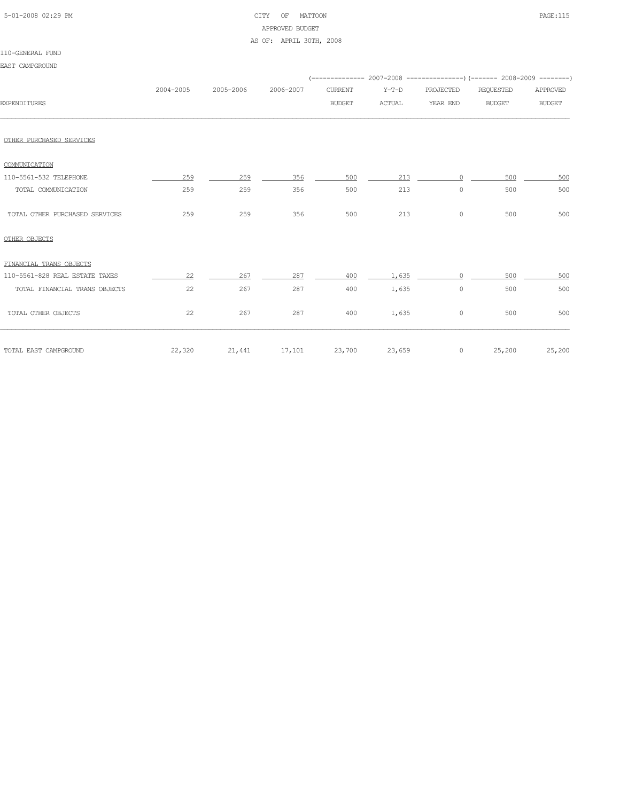|  | 5-01-2008 02:29 PM |  |
|--|--------------------|--|

## CITY OF MATTOON **PAGE:115** APPROVED BUDGET

### AS OF: APRIL 30TH, 2008

| EAST CAMPGROUND                |           |                                    |           |               |        |           | (-------------- 2007-2008 ----------------) (------- 2008-2009 --------) |               |
|--------------------------------|-----------|------------------------------------|-----------|---------------|--------|-----------|--------------------------------------------------------------------------|---------------|
|                                | 2004-2005 | 2005-2006                          | 2006-2007 | CURRENT       | Y-T-D  | PROJECTED | REQUESTED                                                                | APPROVED      |
| <b>EXPENDITURES</b>            |           |                                    |           | <b>BUDGET</b> | ACTUAL | YEAR END  | <b>BUDGET</b>                                                            | <b>BUDGET</b> |
| OTHER PURCHASED SERVICES       |           |                                    |           |               |        |           |                                                                          |               |
| COMMUNICATION                  |           |                                    |           |               |        |           |                                                                          |               |
| 110-5561-532 TELEPHONE         | 259       | 259                                | 356       | 500           | 213    | $\Omega$  | 500                                                                      | 500           |
| TOTAL COMMUNICATION            | 259       | 259                                | 356       | 500           | 213    | $\circ$   | 500                                                                      | 500           |
| TOTAL OTHER PURCHASED SERVICES | 259       | 259                                | 356       | 500           | 213    | $\circ$   | 500                                                                      | 500           |
| OTHER OBJECTS                  |           |                                    |           |               |        |           |                                                                          |               |
| FINANCIAL TRANS OBJECTS        |           |                                    |           |               |        |           |                                                                          |               |
| 110-5561-828 REAL ESTATE TAXES | 22        | 267                                | 287       | 400           | 1,635  | $\Omega$  | 500                                                                      | 500           |
| TOTAL FINANCIAL TRANS OBJECTS  | 22        | 267                                | 287       | 400           | 1,635  | $\circ$   | 500                                                                      | 500           |
| TOTAL OTHER OBJECTS            | 22        | 267                                | 287       | 400           | 1,635  | $\circ$   | 500                                                                      | 500           |
| TOTAL EAST CAMPGROUND          |           | 22,320 21,441 17,101 23,700 23,659 |           |               |        |           | $0 \t 25,200 \t 25,200$                                                  |               |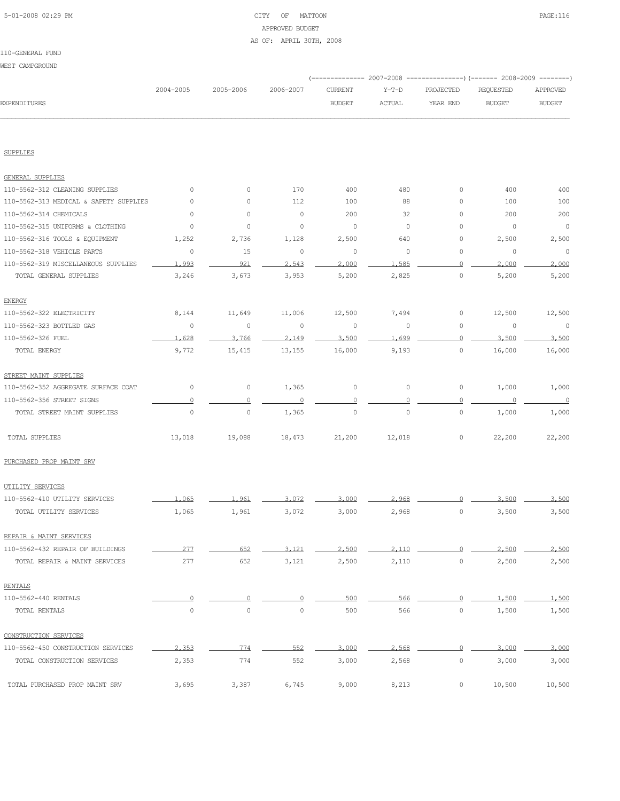## 5-01-2008 02:29 PM CITY OF MATTOON PAGE:116 APPROVED BUDGET

### AS OF: APRIL 30TH, 2008

| WEST CAMPGROUND                        |              |                                 |              |                |               |                     |                                                                        |                          |
|----------------------------------------|--------------|---------------------------------|--------------|----------------|---------------|---------------------|------------------------------------------------------------------------|--------------------------|
|                                        |              |                                 |              |                |               |                     | (------------- 2007-2008 ---------------) (------- 2008-2009 --------) |                          |
|                                        | 2004-2005    | 2005-2006                       | 2006-2007    | <b>CURRENT</b> | $Y-T-D$       | PROJECTED           | REQUESTED                                                              | APPROVED                 |
| <b>EXPENDITURES</b>                    |              |                                 |              | <b>BUDGET</b>  | <b>ACTUAL</b> | YEAR END            | <b>BUDGET</b>                                                          | <b>BUDGET</b>            |
| <b>SUPPLIES</b>                        |              |                                 |              |                |               |                     |                                                                        |                          |
|                                        |              |                                 |              |                |               |                     |                                                                        |                          |
| <b>GENERAL SUPPLIES</b>                |              |                                 |              |                |               |                     |                                                                        |                          |
| 110-5562-312 CLEANING SUPPLIES         | $\circ$      | $\circ$                         | 170          | 400            | 480           | $\circ$             | 400                                                                    | 400                      |
| 110-5562-313 MEDICAL & SAFETY SUPPLIES | 0            | $\circ$                         | 112          | 100            | 88            | 0                   | 100                                                                    | 100                      |
| 110-5562-314 CHEMICALS                 | 0            | $\circ$                         | 0            | 200            | 32            | 0                   | 200                                                                    | 200                      |
| 110-5562-315 UNIFORMS & CLOTHING       | $\circ$      | $\circ$                         | 0            | $\circ$        | $\circ$       | 0                   | 0                                                                      | $\circ$                  |
| 110-5562-316 TOOLS & EQUIPMENT         | 1,252        | 2,736                           | 1,128        | 2,500          | 640           | 0                   | 2,500                                                                  | 2,500                    |
| 110-5562-318 VEHICLE PARTS             | $\circ$      | 15                              | $\circ$      | $\circ$        | $\circ$       | $\circ$             | $\circ$                                                                | $\circ$                  |
| 110-5562-319 MISCELLANEOUS SUPPLIES    | 1,993        | 921                             | 2,543        | 2,000          | 1,585         | $\circ$             | 2,000                                                                  | 2,000                    |
| TOTAL GENERAL SUPPLIES                 | 3,246        | 3,673                           | 3,953        | 5,200          | 2,825         | $\circ$             | 5,200                                                                  | 5,200                    |
| <b>ENERGY</b>                          |              |                                 |              |                |               |                     |                                                                        |                          |
| 110-5562-322 ELECTRICITY               | 8,144        | 11,649                          | 11,006       | 12,500         | 7,494         | 0                   | 12,500                                                                 | 12,500                   |
| 110-5562-323 BOTTLED GAS               | $\circ$      | $\circ$                         | $\circ$      | $\circ$        | $\circ$       | $\circ$             | $\circ$                                                                | $\overline{\phantom{0}}$ |
| 110-5562-326 FUEL                      | 1,628        | 3,766                           | 2,149        | 3,500          | 1.699         | $\circ$             | 3,500                                                                  | 3,500                    |
| TOTAL ENERGY                           | 9,772        | 15,415                          | 13,155       | 16,000         | 9,193         | $\circ$             | 16,000                                                                 | 16,000                   |
| STREET MAINT SUPPLIES                  |              |                                 |              |                |               |                     |                                                                        |                          |
| 110-5562-352 AGGREGATE SURFACE COAT    | 0            | $\circ$                         | 1,365        | $\mathbb O$    | $\circ$       | 0                   | 1,000                                                                  | 1,000                    |
|                                        | O            | $\Omega$                        |              | $\circ$        | O             | $\circ$             |                                                                        | $\overline{0}$           |
| 110-5562-356 STREET SIGNS              | 0            | 0                               |              | $\mathbb O$    | $\mathbb O$   | 0                   |                                                                        | 1,000                    |
| TOTAL STREET MAINT SUPPLIES            |              |                                 | 1,365        |                |               |                     | 1,000                                                                  |                          |
| TOTAL SUPPLIES                         | 13,018       | 19,088                          | 18,473       | 21,200         | 12,018        | 0                   | 22,200                                                                 | 22,200                   |
| PURCHASED PROP MAINT SRV               |              |                                 |              |                |               |                     |                                                                        |                          |
| UTILITY SERVICES                       |              |                                 |              |                |               |                     |                                                                        |                          |
| 110-5562-410 UTILITY SERVICES          | 1,065        | 1,961                           | 3.072        | 3,000          | 2.968         |                     | 3,500                                                                  | 3,500                    |
| TOTAL UTILITY SERVICES                 | 1,065        | 1,961                           | 3,072        | 3,000          | 2,968         | 0                   | 3,500                                                                  | 3,500                    |
| REPAIR & MAINT SERVICES                |              |                                 |              |                |               |                     |                                                                        |                          |
| 110-5562-432 REPAIR OF BUILDINGS       | 277          | 652                             | 3,121        | 2,500          | 2.110         | $\Omega$            | 2,500                                                                  | 2,500                    |
| TOTAL REPAIR & MAINT SERVICES          | 277          | 652                             | 3,121        | 2,500          | 2,110         | $\circ$             | 2,500                                                                  | 2,500                    |
|                                        |              |                                 |              |                |               |                     |                                                                        |                          |
| <b>RENTALS</b><br>110-5562-440 RENTALS |              |                                 |              |                |               |                     |                                                                        |                          |
| TOTAL RENTALS                          | 0<br>$\circ$ | $\Omega$<br>$\mathsf{O}\xspace$ | 0<br>$\circ$ | 500<br>500     | 566<br>566    | 0<br>$\circ$        | 1,500<br>1,500                                                         | 1,500<br>1,500           |
|                                        |              |                                 |              |                |               |                     |                                                                        |                          |
| CONSTRUCTION SERVICES                  |              |                                 |              |                |               |                     |                                                                        |                          |
| 110-5562-450 CONSTRUCTION SERVICES     | 2,353        | 774                             | 552          | 3,000          | 2.568         | 0                   | 3,000                                                                  | 3,000                    |
| TOTAL CONSTRUCTION SERVICES            | 2,353        | 774                             | 552          | 3,000          | 2,568         | $\mathsf{O}\xspace$ | 3,000                                                                  | 3,000                    |
| TOTAL PURCHASED PROP MAINT SRV         | 3,695        | 3,387                           | 6,745        | 9,000          | 8,213         | $\circ$             | 10,500                                                                 | 10,500                   |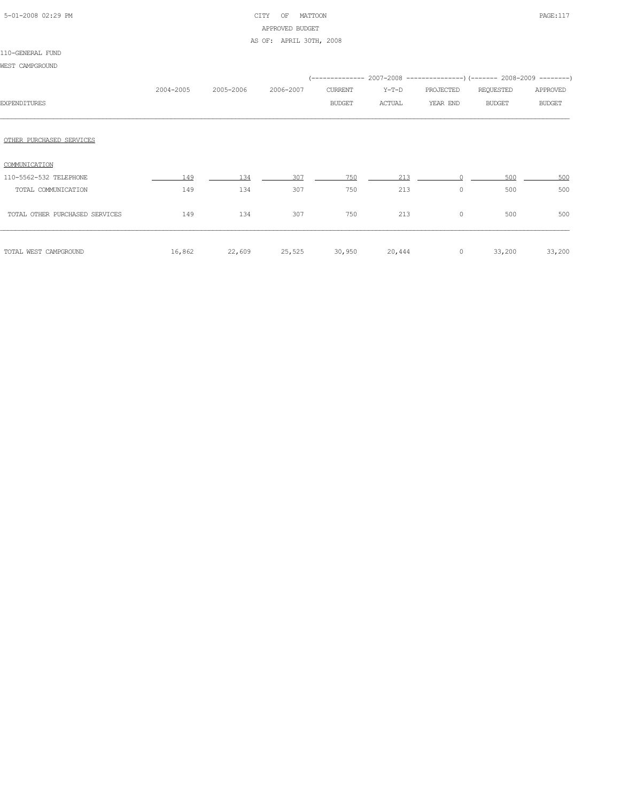# 5-01-2008 02:29 PM CITY OF MATTOON PAGE:117 APPROVED BUDGET

AS OF: APRIL 30TH, 2008

| WEST CAMPGROUND                |           |           |           |               |         |           |                                                                          |               |
|--------------------------------|-----------|-----------|-----------|---------------|---------|-----------|--------------------------------------------------------------------------|---------------|
|                                |           |           |           |               |         |           | (-------------- 2007-2008 ----------------) (------- 2008-2009 --------) |               |
|                                | 2004-2005 | 2005-2006 | 2006-2007 | CURRENT       | $Y-T-D$ | PROJECTED | REQUESTED                                                                | APPROVED      |
| <b>EXPENDITURES</b>            |           |           |           | <b>BUDGET</b> | ACTUAL  | YEAR END  | <b>BUDGET</b>                                                            | <b>BUDGET</b> |
|                                |           |           |           |               |         |           |                                                                          |               |
| OTHER PURCHASED SERVICES       |           |           |           |               |         |           |                                                                          |               |
| COMMUNICATION                  |           |           |           |               |         |           |                                                                          |               |
| 110-5562-532 TELEPHONE         | 149       | 134       | 307       | 750           | 213     |           | 500                                                                      | 500           |
| TOTAL COMMUNICATION            | 149       | 134       | 307       | 750           | 213     | 0         | 500                                                                      | 500           |
| TOTAL OTHER PURCHASED SERVICES | 149       | 134       | 307       | 750           | 213     | $\circ$   | 500                                                                      | 500           |
| TOTAL WEST CAMPGROUND          | 16,862    | 22,609    | 25,525    | 30,950        | 20,444  | $\circ$   | 33,200                                                                   | 33,200        |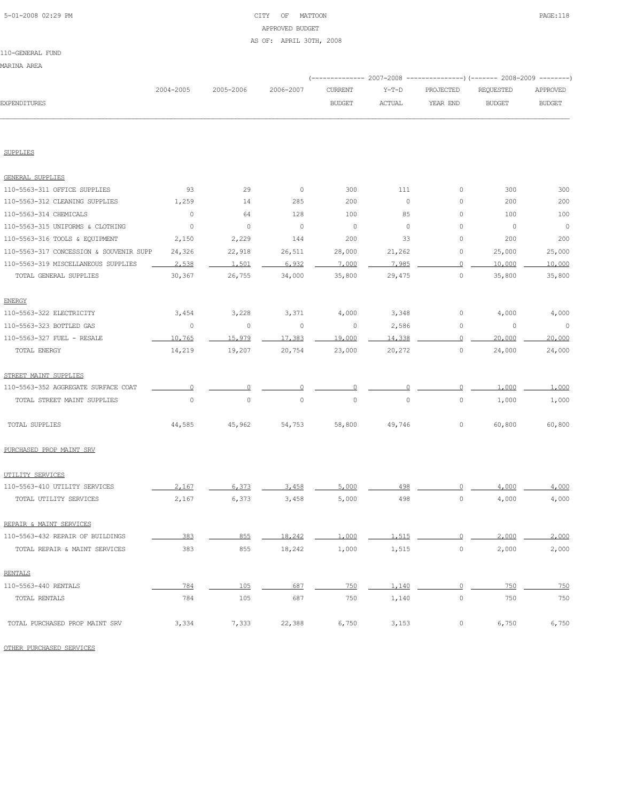### 5-01-2008 02:29 PM CITY OF MATTOON PAGE:118 APPROVED BUDGET AS OF: APRIL 30TH, 2008

| EXPENDITURES                            | 2004-2005 | 2005-2006      | 2006-2007   | <b>CURRENT</b><br><b>BUDGET</b> | $Y-T-D$<br><b>ACTUAL</b> | PROJECTED<br>YEAR END | REQUESTED<br><b>BUDGET</b> | APPROVED<br><b>BUDGET</b> |
|-----------------------------------------|-----------|----------------|-------------|---------------------------------|--------------------------|-----------------------|----------------------------|---------------------------|
|                                         |           |                |             |                                 |                          |                       |                            |                           |
| SUPPLIES                                |           |                |             |                                 |                          |                       |                            |                           |
| <b>GENERAL SUPPLIES</b>                 |           |                |             |                                 |                          |                       |                            |                           |
| 110-5563-311 OFFICE SUPPLIES            | 93        | 29             | $\circ$     | 300                             | 111                      | $\circ$               | 300                        | 300                       |
| 110-5563-312 CLEANING SUPPLIES          | 1,259     | 14             | 285         | 200                             | $\mathbb O$              | 0                     | 200                        | 200                       |
| 110-5563-314 CHEMICALS                  | 0         | 64             | 128         | 100                             | 85                       | 0                     | 100                        | 100                       |
| 110-5563-315 UNIFORMS & CLOTHING        | 0         | $\circ$        | $\circ$     | $\circ$                         | $\circ$                  | 0                     | $\circ$                    | $\circ$                   |
| 110-5563-316 TOOLS & EQUIPMENT          | 2,150     | 2,229          | 144         | 200                             | 33                       | 0                     | 200                        | 200                       |
| 110-5563-317 CONCESSION & SOUVENIR SUPP | 24,326    | 22,918         | 26,511      | 28,000                          | 21,262                   | 0                     | 25,000                     | 25,000                    |
| 110-5563-319 MISCELLANEOUS SUPPLIES     | 2,538     | 1,501          | 6,932       | 7,000                           | 7,985                    | 0                     | 10,000                     | 10,000                    |
| TOTAL GENERAL SUPPLIES                  | 30,367    | 26,755         | 34,000      | 35,800                          | 29,475                   | $\circ$               | 35,800                     | 35,800                    |
| <b>ENERGY</b>                           |           |                |             |                                 |                          |                       |                            |                           |
| 110-5563-322 ELECTRICITY                | 3,454     | 3,228          | 3,371       | 4,000                           | 3,348                    | $\mathbb O$           | 4,000                      | 4,000                     |
| 110-5563-323 BOTTLED GAS                | 0         | $\circ$        | $\circ$     | 0                               | 2,586                    | 0                     | $\mathbb O$                | $\circ$                   |
| 110-5563-327 FUEL - RESALE              | 10,765    | 15,979         | 17,383      | 19,000                          | 14,338                   | $\Omega$              | 20,000                     | 20,000                    |
| TOTAL ENERGY                            | 14,219    | 19,207         | 20,754      | 23,000                          | 20,272                   | $\mathbb O$           | 24,000                     | 24,000                    |
| STREET MAINT SUPPLIES                   |           |                |             |                                 |                          |                       |                            |                           |
| 110-5563-352 AGGREGATE SURFACE COAT     | 0         | $\overline{0}$ | 0           | $\overline{0}$                  | 0                        | $\overline{0}$        | 1,000                      | 1,000                     |
| TOTAL STREET MAINT SUPPLIES             | 0         | $\circ$        | $\mathbb O$ | $\circ$                         | 0                        | 0                     | 1,000                      | 1,000                     |
| TOTAL SUPPLIES                          | 44,585    | 45,962         | 54,753      | 58,800                          | 49,746                   | 0                     | 60,800                     | 60,800                    |
| PURCHASED PROP MAINT SRV                |           |                |             |                                 |                          |                       |                            |                           |
| UTILITY SERVICES                        |           |                |             |                                 |                          |                       |                            |                           |
| 110-5563-410 UTILITY SERVICES           | 2,167     | 6,373          | 3,458       | 5,000                           | 498                      | 0                     | 4,000                      | 4,000                     |
| TOTAL UTILITY SERVICES                  | 2,167     | 6,373          | 3,458       | 5,000                           | 498                      | $\mathbb O$           | 4,000                      | 4,000                     |
| REPAIR & MAINT SERVICES                 |           |                |             |                                 |                          |                       |                            |                           |
| 110-5563-432 REPAIR OF BUILDINGS        | 383       | 855            | 18.242      | 1 000                           | 1.515                    | $\cap$                | 2.000                      | 2.000                     |
| TOTAL REPAIR & MAINT SERVICES           | 383       | 855            | 18,242      | 1,000                           | 1,515                    | $\mathbb O$           | 2,000                      | 2,000                     |
| <b>RENTALS</b>                          |           |                |             |                                 |                          |                       |                            |                           |
| 110-5563-440 RENTALS                    | 784       | 105            | 687         | 750                             | 1,140                    | $\Omega$              | 750                        | 750                       |
| TOTAL RENTALS                           | 784       | 105            | 687         | 750                             | 1,140                    | $\mathbb O$           | 750                        | 750                       |
| TOTAL PURCHASED PROP MAINT SRV          | 3,334     | 7,333          | 22,388      | 6,750                           | 3,153                    | 0                     | 6,750                      | 6,750                     |

OTHER PURCHASED SERVICES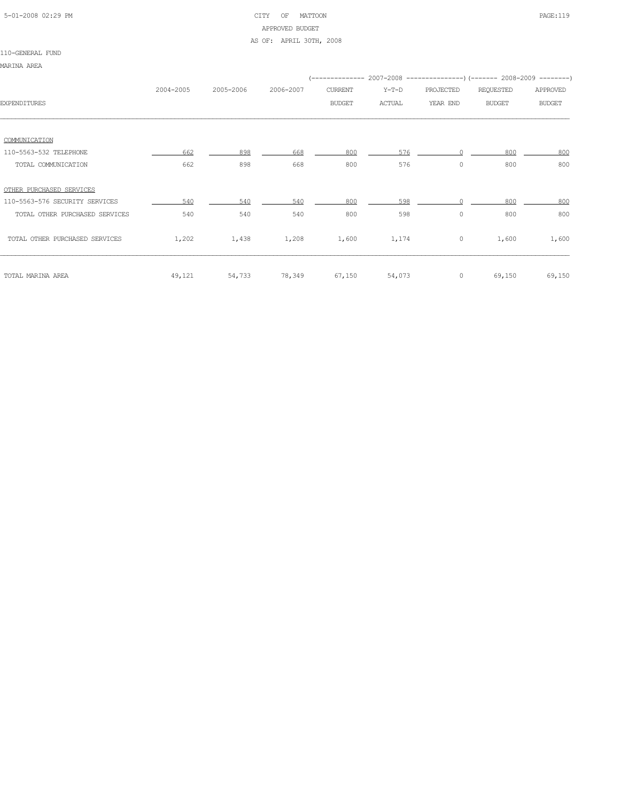## 5-01-2008 02:29 PM CITY OF MATTOON PAGE:119 APPROVED BUDGET

### AS OF: APRIL 30TH, 2008

| 1 |  |
|---|--|
|   |  |

|                                | 2004-2005 | 2005-2006 | 2006-2007 | CURRENT       | $Y-T-D$ | PROJECTED | REQUESTED     | APPROVED      |
|--------------------------------|-----------|-----------|-----------|---------------|---------|-----------|---------------|---------------|
| <b>EXPENDITURES</b>            |           |           |           | <b>BUDGET</b> | ACTUAL  | YEAR END  | <b>BUDGET</b> | <b>BUDGET</b> |
|                                |           |           |           |               |         |           |               |               |
|                                |           |           |           |               |         |           |               |               |
| COMMUNICATION                  |           |           |           |               |         |           |               |               |
| 110-5563-532 TELEPHONE         | 662       | 898       | 668       | 800           | 576     |           | 800           | 800           |
| TOTAL COMMUNICATION            | 662       | 898       | 668       | 800           | 576     | $\circ$   | 800           | 800           |
|                                |           |           |           |               |         |           |               |               |
| OTHER PURCHASED SERVICES       |           |           |           |               |         |           |               |               |
| 110-5563-576 SECURITY SERVICES | 540       | 540       | 540       | 800           | 598     |           | 800           | 800           |
| TOTAL OTHER PURCHASED SERVICES | 540       | 540       | 540       | 800           | 598     | $\circ$   | 800           | 800           |
|                                |           |           |           |               |         |           |               |               |
| TOTAL OTHER PURCHASED SERVICES | 1,202     | 1,438     | 1,208     | 1,600         | 1,174   | $\circ$   | 1,600         | 1,600         |
|                                |           |           |           |               |         |           |               |               |
|                                |           |           |           |               |         |           |               |               |
| TOTAL MARINA AREA              | 49,121    | 54,733    | 78,349    | 67,150        | 54,073  | $\circ$   | 69,150        | 69,150        |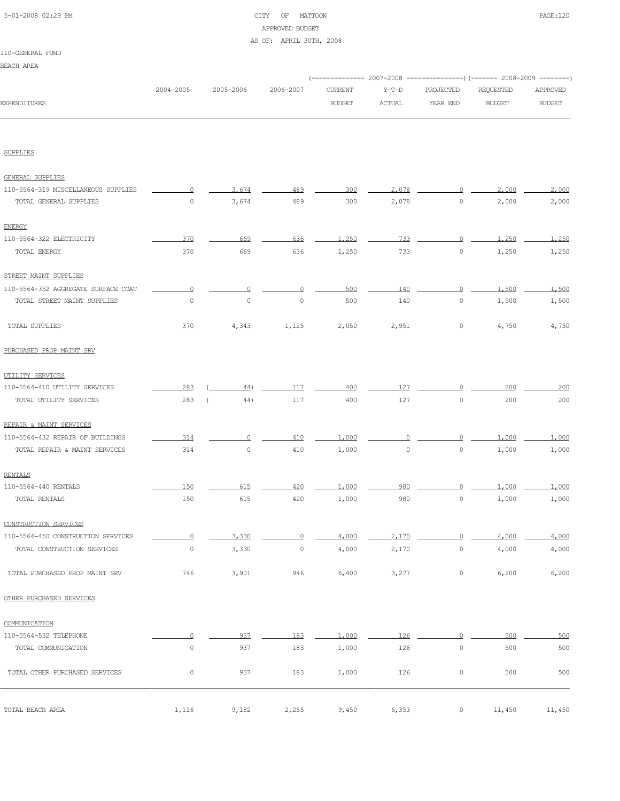## 5-01-2008 02:29 PM CITY OF MATTOON PAGE:120 APPROVED BUDGET

### AS OF: APRIL 30TH, 2008

#### 110-GENERAL FUND

| <b>BEACH AREA</b>   |           |           |           |               |               |                                                                          |               |               |
|---------------------|-----------|-----------|-----------|---------------|---------------|--------------------------------------------------------------------------|---------------|---------------|
|                     |           |           |           |               |               | (-------------- 2007-2008 ----------------) (------- 2008-2009 --------) |               |               |
|                     | 2004-2005 | 2005-2006 | 2006-2007 | CURRENT       | $Y-T-D$       | PROJECTED                                                                | REQUESTED     | APPROVED      |
| <b>EXPENDITURES</b> |           |           |           | <b>BUDGET</b> | <b>ACTUAL</b> | YEAR END                                                                 | <b>BUDGET</b> | <b>BUDGET</b> |

SUPPLIES

| GENERAL SUPPLIES                    |                     |                       |         |       |             |                |        |        |
|-------------------------------------|---------------------|-----------------------|---------|-------|-------------|----------------|--------|--------|
| 110-5564-319 MISCELLANEOUS SUPPLIES | 0                   | 3.674                 | 489     | 300   | 2,078       | 0              | 2,000  | 2,000  |
| TOTAL GENERAL SUPPLIES              | $\circ$             | 3,674                 | 489     | 300   | 2,078       | $\circ$        | 2,000  | 2,000  |
| <b>ENERGY</b>                       |                     |                       |         |       |             |                |        |        |
| 110-5564-322 ELECTRICITY            | 370                 | 669                   | 636     | 1,250 | 733         | $\overline{0}$ | 1,250  | 1,250  |
| TOTAL ENERGY                        | 370                 | 669                   | 636     | 1,250 | 733         | $\circ$        | 1,250  | 1,250  |
| STREET MAINT SUPPLIES               |                     |                       |         |       |             |                |        |        |
| 110-5564-352 AGGREGATE SURFACE COAT | $\Omega$            | $\Omega$              | $\circ$ | 500   | 140         | $\circ$        | 1,500  | 1,500  |
| TOTAL STREET MAINT SUPPLIES         | $\circ$             | $\circ$               | $\circ$ | 500   | 140         | $\circ$        | 1,500  | 1,500  |
| TOTAL SUPPLIES                      | 370                 | 4,343                 | 1,125   | 2,050 | 2,951       | 0              | 4,750  | 4,750  |
| PURCHASED PROP MAINT SRV            |                     |                       |         |       |             |                |        |        |
| UTILITY SERVICES                    |                     |                       |         |       |             |                |        |        |
| 110-5564-410 UTILITY SERVICES       | 283                 | 44)                   | 117     | 400   | 127         | ∩              | 200    | 200    |
| TOTAL UTILITY SERVICES              | 283                 | 44)<br>$\overline{ }$ | 117     | 400   | 127         | $\mathbb O$    | 200    | 200    |
| REPAIR & MAINT SERVICES             |                     |                       |         |       |             |                |        |        |
| 110-5564-432 REPAIR OF BUILDINGS    | 314                 | $\Omega$              | 410     | 1,000 | ∩           | $\Omega$       | 1,000  | 1,000  |
| TOTAL REPAIR & MAINT SERVICES       | 314                 | $\circ$               | 410     | 1,000 | $\mathbb O$ | 0              | 1,000  | 1,000  |
| <b>RENTALS</b>                      |                     |                       |         |       |             |                |        |        |
| 110-5564-440 RENTALS                | 150                 | 615                   | 420     | 1,000 | 980         | 0              | 1,000  | 1,000  |
| TOTAL RENTALS                       | 150                 | 615                   | 420     | 1,000 | 980         | $\mathbb O$    | 1,000  | 1,000  |
| CONSTRUCTION SERVICES               |                     |                       |         |       |             |                |        |        |
| 110-5564-450 CONSTRUCTION SERVICES  | $\Omega$            | 3,330                 | $\circ$ | 4,000 | 2,170       | 0              | 4,000  | 4,000  |
| TOTAL CONSTRUCTION SERVICES         | 0                   | 3,330                 | $\circ$ | 4,000 | 2,170       | 0              | 4,000  | 4,000  |
| TOTAL PURCHASED PROP MAINT SRV      | 746                 | 3,901                 | 946     | 6,400 | 3,277       | 0              | 6,200  | 6,200  |
| OTHER PURCHASED SERVICES            |                     |                       |         |       |             |                |        |        |
| COMMUNICATION                       |                     |                       |         |       |             |                |        |        |
| 110-5564-532 TELEPHONE              | $\Omega$            | 937                   | 183     | 1,000 | 126         | $\Omega$       | 500    | 500    |
| TOTAL COMMUNICATION                 | $\mathbb O$         | 937                   | 183     | 1,000 | 126         | $\mathbb O$    | 500    | 500    |
| TOTAL OTHER PURCHASED SERVICES      | $\mathsf{O}\xspace$ | 937                   | 183     | 1,000 | 126         | $\mathbb O$    | 500    | 500    |
| TOTAL BEACH AREA                    | 1,116               | 9,182                 | 2,255   | 9,450 | 6,353       | $\circ$        | 11,450 | 11,450 |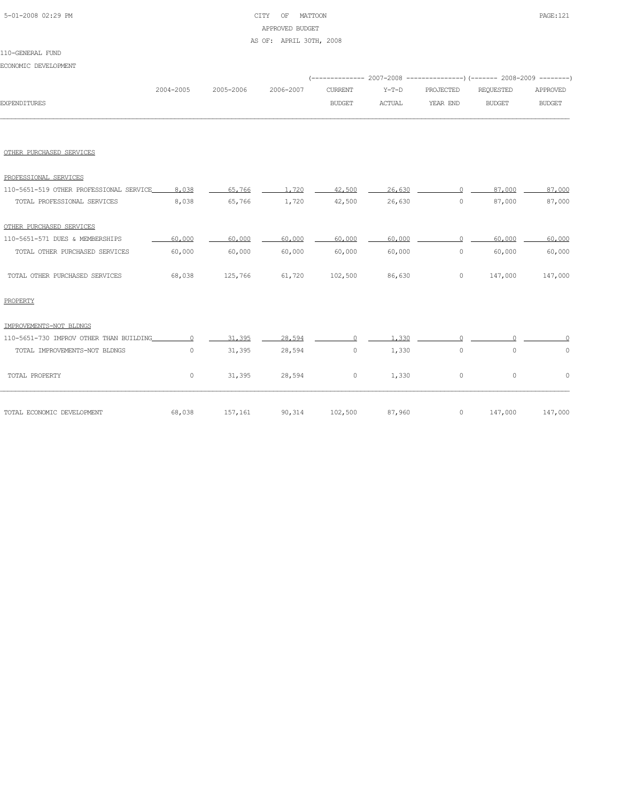## 5-01-2008 02:29 PM CITY OF MATTOON PAGE:121 APPROVED BUDGET

### AS OF: APRIL 30TH, 2008

### 110-GENERAL FUND

ECONOMIC DEVELOPMENT

|                     |  |               |        | (------------- 2007-2008 ----------------) (------- 2008-2009 --------)  |        |               |
|---------------------|--|---------------|--------|--------------------------------------------------------------------------|--------|---------------|
|                     |  |               |        | 2004-2005 2005-2006 2006-2007 CURRENT Y-T-D PROJECTED REOUESTED APPROVED |        |               |
| <b>EXPENDITURES</b> |  | <b>BUDGET</b> | ACTUAL | YEAR END                                                                 | BUDGET | <b>BUDGET</b> |
|                     |  |               |        |                                                                          |        |               |

#### OTHER PURCHASED SERVICES

| PROFESSIONAL SERVICES                   |         |         |        |         |        |              |         |         |
|-----------------------------------------|---------|---------|--------|---------|--------|--------------|---------|---------|
| 110-5651-519 OTHER PROFESSIONAL SERVICE | 8.038   | 65,766  | 1,720  | 42,500  | 26,630 | $\cap$       | 87,000  | 87,000  |
| TOTAL PROFESSIONAL SERVICES             | 8,038   | 65,766  | 1,720  | 42,500  | 26,630 | $\circ$      | 87,000  | 87,000  |
| OTHER PURCHASED SERVICES                |         |         |        |         |        |              |         |         |
| 110-5651-571 DUES & MEMBERSHIPS         | 60,000  | 60,000  | 60,000 | 60,000  | 60,000 | <sup>n</sup> | 60,000  | 60,000  |
| TOTAL OTHER PURCHASED SERVICES          | 60,000  | 60,000  | 60,000 | 60,000  | 60,000 | $\circ$      | 60,000  | 60,000  |
| TOTAL OTHER PURCHASED SERVICES          | 68,038  | 125,766 | 61,720 | 102,500 | 86,630 | $\circ$      | 147,000 | 147,000 |
| PROPERTY                                |         |         |        |         |        |              |         |         |
| IMPROVEMENTS-NOT BLDNGS                 |         |         |        |         |        |              |         |         |
| 110-5651-730 IMPROV OTHER THAN BUILDING |         | 31,395  | 28,594 | $\cap$  | 1,330  |              |         |         |
| TOTAL IMPROVEMENTS-NOT BLDNGS           | $\circ$ | 31,395  | 28,594 | $\circ$ | 1,330  | $\mathbb O$  | $\circ$ | 0       |
| TOTAL PROPERTY                          | 0       | 31,395  | 28,594 | 0       | 1,330  | $\circ$      | $\circ$ | $\circ$ |
| TOTAL ECONOMIC DEVELOPMENT              | 68,038  | 157,161 | 90,314 | 102,500 | 87,960 | $\circ$      | 147,000 | 147,000 |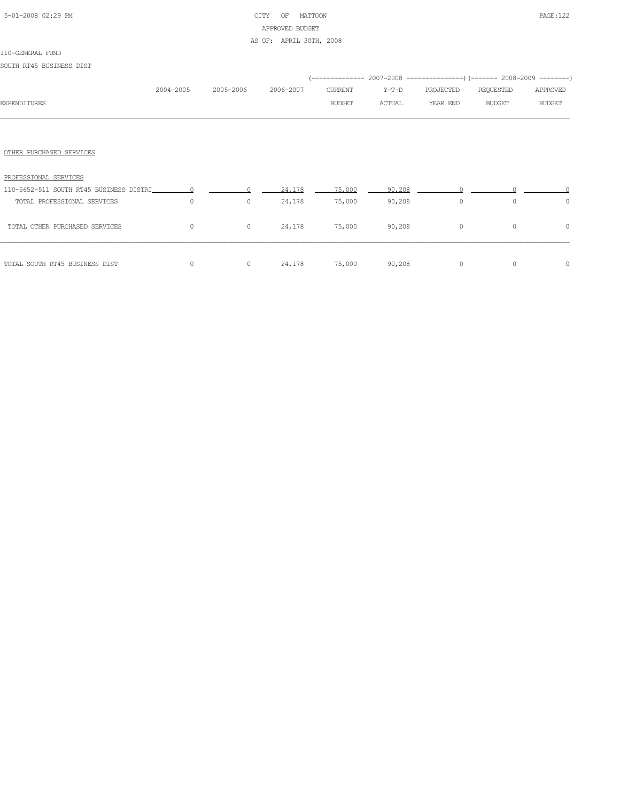# 5-01-2008 02:29 PM CITY OF MATTOON PAGE:122 APPROVED BUDGET

### AS OF: APRIL 30TH, 2008

### 110-GENERAL FUND

SOUTH RT45 BUSINESS DIST

|                                           |           |              |           |                |        | (-------------- 2007-2008 ----------------) (------- 2008-2009 --------) |               |               |
|-------------------------------------------|-----------|--------------|-----------|----------------|--------|--------------------------------------------------------------------------|---------------|---------------|
|                                           | 2004-2005 | 2005-2006    | 2006-2007 | <b>CURRENT</b> | Y-T-D  | PROJECTED                                                                | REQUESTED     | APPROVED      |
| <b>EXPENDITURES</b>                       |           |              |           | <b>BUDGET</b>  | ACTUAL | YEAR END                                                                 | <b>BUDGET</b> | <b>BUDGET</b> |
|                                           |           |              |           |                |        |                                                                          |               |               |
| OTHER PURCHASED SERVICES                  |           |              |           |                |        |                                                                          |               |               |
| PROFESSIONAL SERVICES                     |           |              |           |                |        |                                                                          |               |               |
| 110-5652-511 SOUTH RT45 BUSINESS DISTRI 0 |           |              | 24,178    | 75,000         | 90,208 |                                                                          |               |               |
| TOTAL PROFESSIONAL SERVICES               | $\circ$   | $\mathbf{0}$ | 24,178    | 75,000         | 90,208 | $\circ$                                                                  | $\circ$       | $\circ$       |
| TOTAL OTHER PURCHASED SERVICES            | 0         | 0            | 24,178    | 75,000         | 90,208 | $\circ$                                                                  | $\circ$       | 0             |

TOTAL SOUTH RT45 BUSINESS DIST  $\begin{array}{ccccccc}\n0 & 0 & 24,178 & 75,000 & 90,208 & 0\n\end{array}$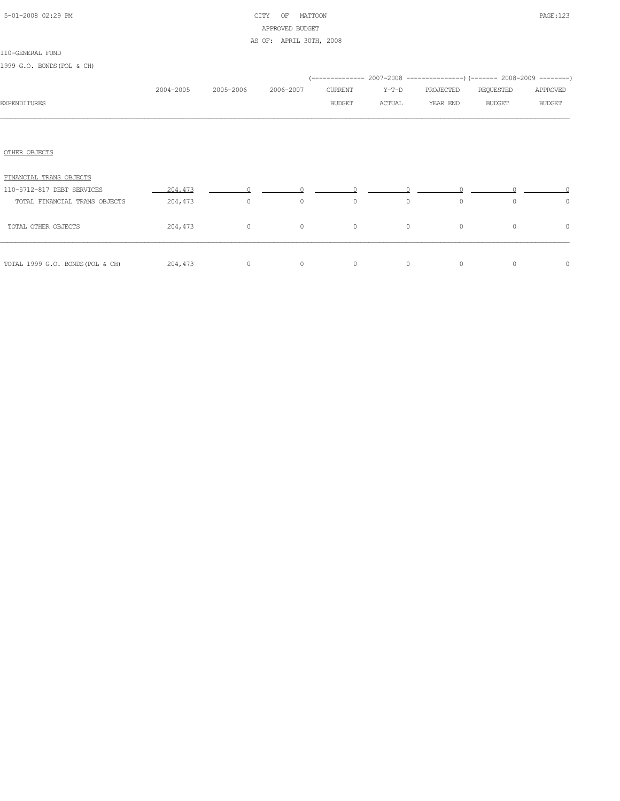| 5-01-2008 02:29 PM |  |
|--------------------|--|

# CITY OF MATTOON **PAGE:123** APPROVED BUDGET

### AS OF: APRIL 30TH, 2008

|  |  | 1999 G.O. BONDS (POL & CH) |  |  |  |  |
|--|--|----------------------------|--|--|--|--|
|--|--|----------------------------|--|--|--|--|

|                                  |           |           |           |         |         |           | (-------------- 2007-2008 ----------------) (------- 2008-2009 --------) |               |
|----------------------------------|-----------|-----------|-----------|---------|---------|-----------|--------------------------------------------------------------------------|---------------|
|                                  | 2004-2005 | 2005-2006 | 2006-2007 | CURRENT | Y-T-D   | PROJECTED | REQUESTED                                                                | APPROVED      |
| <b>EXPENDITURES</b>              |           |           |           | BUDGET  | ACTUAL  | YEAR END  | <b>BUDGET</b>                                                            | <b>BUDGET</b> |
|                                  |           |           |           |         |         |           |                                                                          |               |
| OTHER OBJECTS                    |           |           |           |         |         |           |                                                                          |               |
| FINANCIAL TRANS OBJECTS          |           |           |           |         |         |           |                                                                          |               |
| 110-5712-817 DEBT SERVICES       | 204,473   |           |           |         |         |           |                                                                          |               |
| TOTAL FINANCIAL TRANS OBJECTS    | 204,473   | $\circ$   | $\circ$   | $\circ$ | $\circ$ | $\circ$   | $\circ$                                                                  | $\circ$       |
| TOTAL OTHER OBJECTS              | 204,473   | $\circ$   | $\circ$   | $\circ$ | $\circ$ | $\circ$   | $\circ$                                                                  | $\circ$       |
| TOTAL 1999 G.O. BONDS (POL & CH) | 204,473   | $\circ$   | $\circ$   | $\circ$ | $\circ$ | $\circ$   | $\circ$                                                                  | $\circ$       |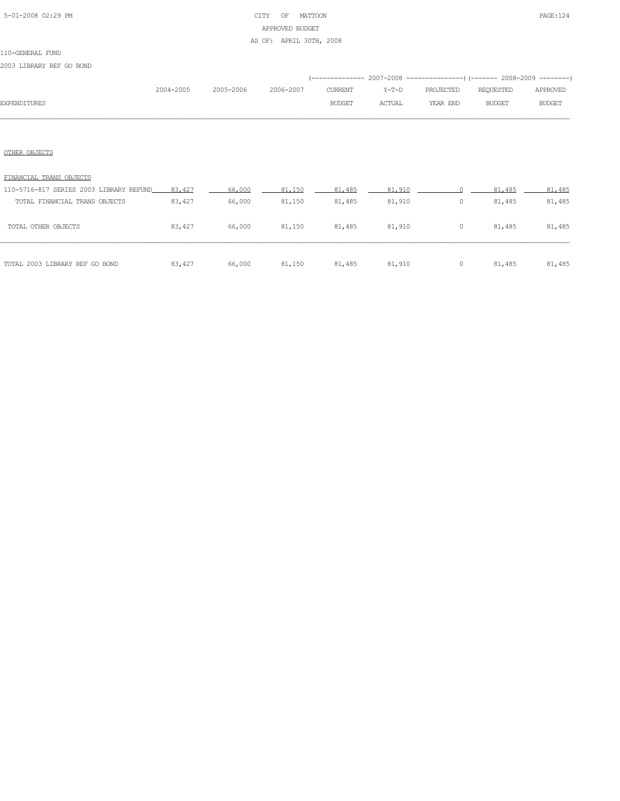## 5-01-2008 02:29 PM CITY OF MATTOON PAGE:124 APPROVED BUDGET AS OF: APRIL 30TH, 2008

#### 110-GENERAL FUND

2003 LIBRARY REF GO BOND

|                     |               |  |               |        | (-------------- 2007-2008 ----------------) (------- 2008-2009 --------) |        |               |
|---------------------|---------------|--|---------------|--------|--------------------------------------------------------------------------|--------|---------------|
|                     | $2004 - 2005$ |  |               |        | 2005-2006  2006-2007  CURRENT  Y-T-D  PROJECTED  REQUESTED  APPROVED     |        |               |
| <b>EXPENDITURES</b> |               |  | <b>BUDGET</b> | ACTUAL | YEAR END                                                                 | BUDGET | <b>BUDGET</b> |
|                     |               |  |               |        |                                                                          |        |               |

### OTHER OBJECTS

| TOTAL 2003 LIBRARY REF GO BOND          | 83,427 | 66,000 | 81,150 | 81,485 | 81,910 | 0 | 81,485 | 81,485 |
|-----------------------------------------|--------|--------|--------|--------|--------|---|--------|--------|
| TOTAL OTHER OBJECTS                     | 83,427 | 66,000 | 81,150 | 81,485 | 81,910 | 0 | 81,485 | 81,485 |
| TOTAL FINANCIAL TRANS OBJECTS           | 83,427 | 66,000 | 81,150 | 81,485 | 81,910 | 0 | 81,485 | 81,485 |
| 110-5716-817 SERIES 2003 LIBRARY REFUND | 83,427 | 66,000 | 81,150 | 81,485 | 81,910 |   | 81,485 | 81,485 |
| FINANCIAL TRANS OBJECTS                 |        |        |        |        |        |   |        |        |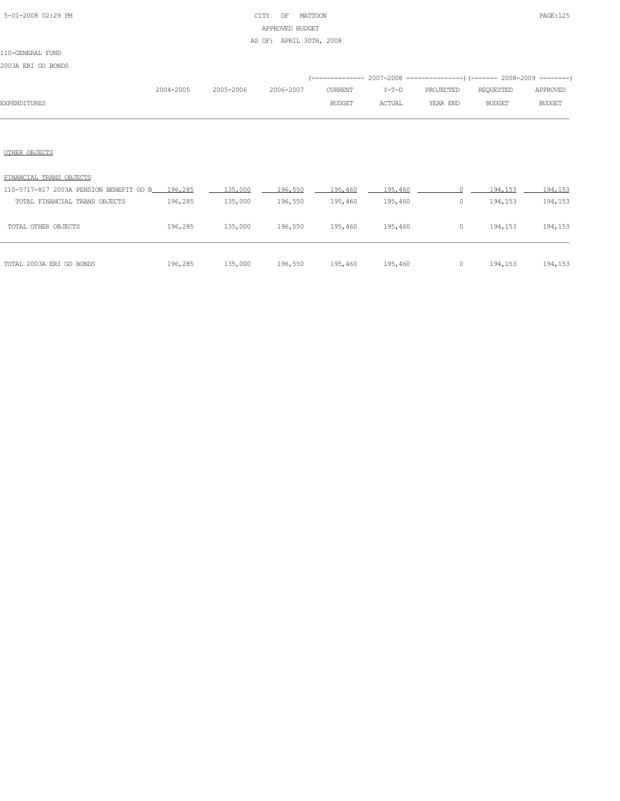## 5-01-2008 02:29 PM CITY OF MATTOON PAGE:125 APPROVED BUDGET

### AS OF: APRIL 30TH, 2008

### 110-GENERAL FUND

2003A ERI GO BONDS

|                     |           |           |           |               |               | (-------------- 2007-2008 ----------------) (------- 2008-2009 --------) |               |               |
|---------------------|-----------|-----------|-----------|---------------|---------------|--------------------------------------------------------------------------|---------------|---------------|
|                     | 2004-2005 | 2005-2006 | 2006-2007 | CURRENT       | Y-T-D         | PROJECTED                                                                | REOUESTED     | APPROVED      |
| <b>EXPENDITURES</b> |           |           |           | <b>BUDGET</b> | <b>ACTUAL</b> | YEAR END                                                                 | <b>BUDGET</b> | <b>BUDGET</b> |
|                     |           |           |           |               |               |                                                                          |               |               |

### OTHER OBJECTS

## FINANCIAL TRANS OBJECTS

| TOTAL 2003A ERI GO BONDS                        | 196,285 | 135,000 | 196,550 | 195,460 | 195,460 |   | 194,153 | 194,153 |
|-------------------------------------------------|---------|---------|---------|---------|---------|---|---------|---------|
| TOTAL OTHER OBJECTS                             | 196,285 | 135,000 | 196,550 | 195,460 | 195,460 | 0 | 194,153 | 194,153 |
| TOTAL FINANCIAL TRANS OBJECTS                   | 196,285 | 135,000 | 196,550 | 195,460 | 195,460 | 0 | 194,153 | 194,153 |
| 110-5717-817 2003A PENSION BENEFIT GO B 196.285 |         | 135,000 | 196,550 | 195,460 | 195,460 |   | 194,153 | 194,153 |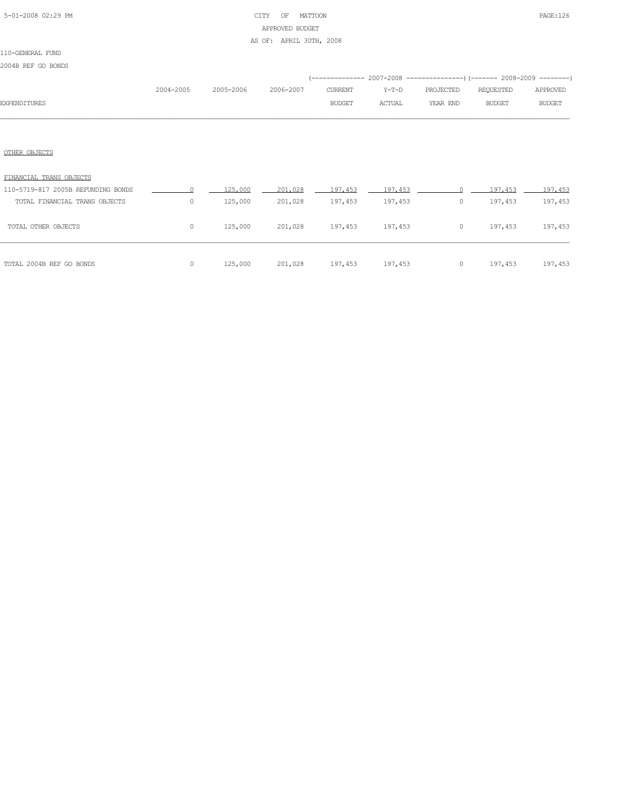## 5-01-2008 02:29 PM CITY OF MATTOON PAGE:126 APPROVED BUDGET

AS OF: APRIL 30TH, 2008

### 110-GENERAL FUND

|  |  |  | 2004B REF GO BONDS |  |
|--|--|--|--------------------|--|
|--|--|--|--------------------|--|

|              |           |                     |               |         | (------------- 2007-2008 ----------------) (------- 2008-2009 --------) |           |               |
|--------------|-----------|---------------------|---------------|---------|-------------------------------------------------------------------------|-----------|---------------|
|              | 2004-2005 | 2005-2006 2006-2007 | CURRENT       | $Y-T-D$ | PROJECTED                                                               | REOUESTED | APPROVED      |
| EXPENDITURES |           |                     | <b>BUDGET</b> | ACTUAL  | YEAR END                                                                | BUDGET    | <b>BUDGET</b> |
|              |           |                     |               |         |                                                                         |           |               |

### OTHER OBJECTS

| FINANCIAL TRANS OBJECTS            |         |         |         |         |         |         |         |         |
|------------------------------------|---------|---------|---------|---------|---------|---------|---------|---------|
| 110-5719-817 2005B REFUNDING BONDS |         | 125,000 | 201,028 | 197.453 | 197.453 |         | 197.453 | 197.453 |
| TOTAL FINANCIAL TRANS OBJECTS      | 0       | 125,000 | 201,028 | 197,453 | 197,453 | $\circ$ | 197,453 | 197,453 |
| TOTAL OTHER OBJECTS                | 0       | 125,000 | 201,028 | 197,453 | 197,453 | 0       | 197,453 | 197,453 |
| TOTAL 2004B REF GO BONDS           | $\circ$ | 125,000 | 201,028 | 197,453 | 197,453 | $\circ$ | 197,453 | 197,453 |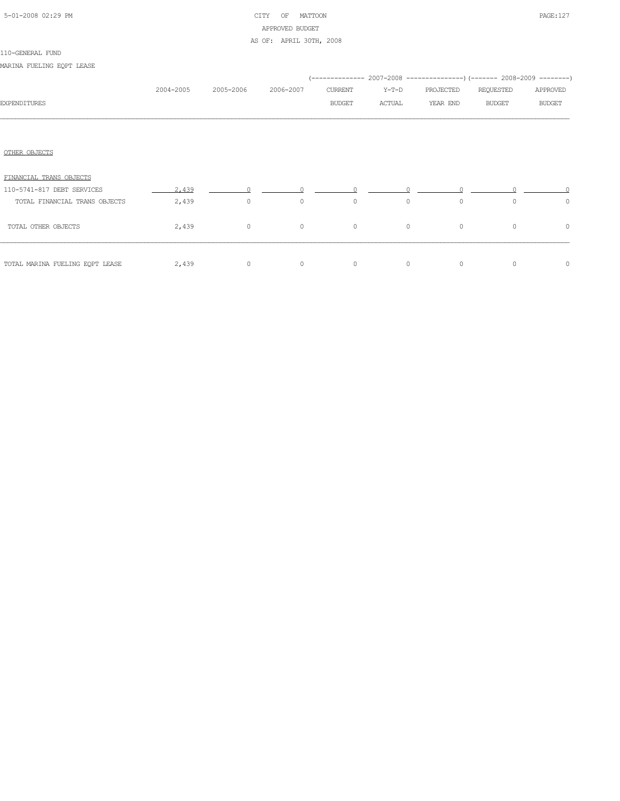# 5-01-2008 02:29 PM CITY OF MATTOON PAGE:127 APPROVED BUDGET

AS OF: APRIL 30TH, 2008

### 110-GENERAL FUND

MARINA FUELING EQPT LEASE

|                                 |           |                |           |               |         |           | (-------------- 2007-2008 ----------------) (------- 2008-2009 --------) |               |
|---------------------------------|-----------|----------------|-----------|---------------|---------|-----------|--------------------------------------------------------------------------|---------------|
|                                 | 2004-2005 | 2005-2006      | 2006-2007 | CURRENT       | Y-T-D   | PROJECTED | REQUESTED                                                                | APPROVED      |
| <b>EXPENDITURES</b>             |           |                |           | <b>BUDGET</b> | ACTUAL  | YEAR END  | <b>BUDGET</b>                                                            | <b>BUDGET</b> |
|                                 |           |                |           |               |         |           |                                                                          |               |
| OTHER OBJECTS                   |           |                |           |               |         |           |                                                                          |               |
| FINANCIAL TRANS OBJECTS         |           |                |           |               |         |           |                                                                          |               |
| 110-5741-817 DEBT SERVICES      | 2,439     | $\cap$         |           | $\cap$        |         |           |                                                                          |               |
| TOTAL FINANCIAL TRANS OBJECTS   | 2,439     | $\overline{0}$ | $\circ$   | $\circ$       | $\circ$ | $\circ$   | $\circ$                                                                  | $\circ$       |
| TOTAL OTHER OBJECTS             | 2,439     | $\circ$        | $\circ$   | $\circ$       | $\circ$ | $\circ$   | $\circ$                                                                  | $\circ$       |
| TOTAL MARINA FUELING EQPT LEASE | 2,439     | $\circ$        | $\circ$   | $\circ$       | $\circ$ | $\circ$   | $\circ$                                                                  | $\circ$       |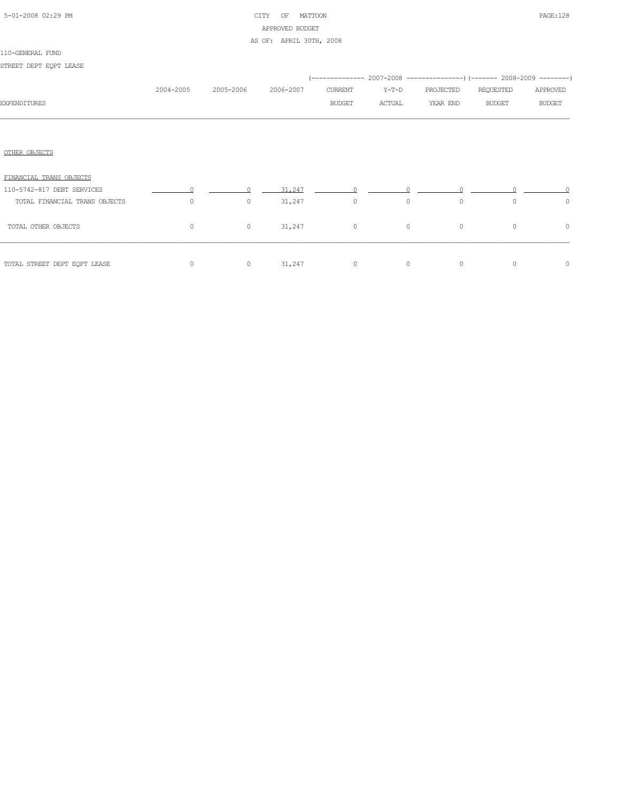| 5-01-2008 02:29 PM |  |
|--------------------|--|
|                    |  |

# CITY OF MATTOON PAGE:128 APPROVED BUDGET

### AS OF: APRIL 30TH, 2008

| STREET DEPT EOPT LEASE        |           |           |           |          |          |           |                                                                          |          |
|-------------------------------|-----------|-----------|-----------|----------|----------|-----------|--------------------------------------------------------------------------|----------|
|                               |           |           |           |          |          |           | (-------------- 2007-2008 ----------------) (------- 2008-2009 --------) |          |
|                               | 2004-2005 | 2005-2006 | 2006-2007 | CURRENT  | Y-T-D    | PROJECTED | REQUESTED                                                                | APPROVED |
| <b>EXPENDITURES</b>           |           |           |           | BUDGET   | ACTUAL   | YEAR END  | BUDGET                                                                   | BUDGET   |
|                               |           |           |           |          |          |           |                                                                          |          |
|                               |           |           |           |          |          |           |                                                                          |          |
| OTHER OBJECTS                 |           |           |           |          |          |           |                                                                          |          |
|                               |           |           |           |          |          |           |                                                                          |          |
| FINANCIAL TRANS OBJECTS       |           |           |           |          |          |           |                                                                          |          |
| 110-5742-817 DEBT SERVICES    |           |           | 31,247    |          |          |           |                                                                          |          |
| TOTAL FINANCIAL TRANS OBJECTS | $\Omega$  | $\circ$   | 31,247    | $\sim$ 0 | $\Omega$ | $\Omega$  | $\Omega$                                                                 | $\circ$  |
| TOTAL OTHER OBJECTS           | $\Omega$  | $\circ$   | 31,247    | $\circ$  | $\circ$  | $\circ$   | $\circ$                                                                  | $\circ$  |

| TOTAL STREET DEPT EQPT LEASE |  | $\bigcap$ $\bigcap$<br>$\overline{\phantom{a}}$ |  |  |  |
|------------------------------|--|-------------------------------------------------|--|--|--|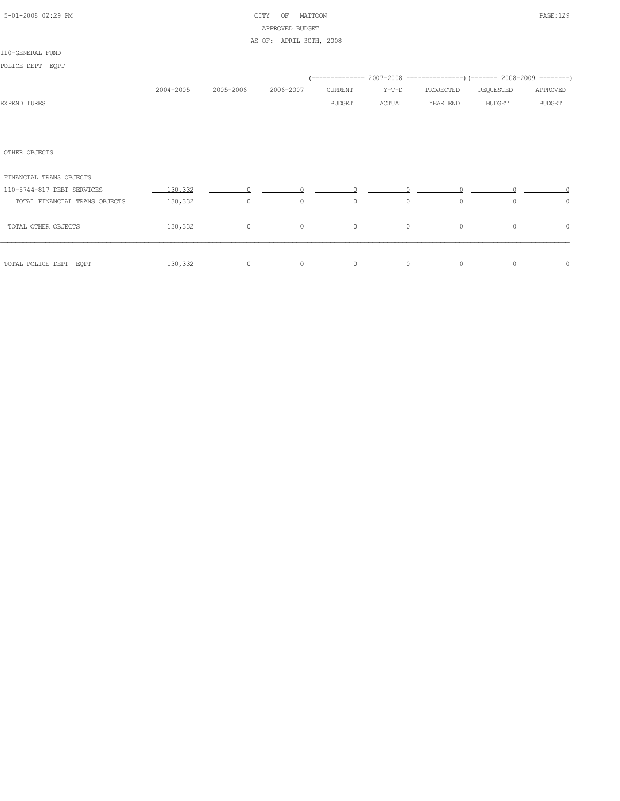| 5-01-2008 02:29 PM |  |
|--------------------|--|
|                    |  |

## CITY OF MATTOON **PAGE:129** APPROVED BUDGET

### AS OF: APRIL 30TH, 2008

| POLICE DEPT EQPT              |           |                |           |                          |                 | (-------------- 2007-2008 -------------------) (------- 2008-2009 ---------) |                            |                           |
|-------------------------------|-----------|----------------|-----------|--------------------------|-----------------|------------------------------------------------------------------------------|----------------------------|---------------------------|
| <b>EXPENDITURES</b>           | 2004-2005 | 2005-2006      | 2006-2007 | CURRENT<br><b>BUDGET</b> | Y-T-D<br>ACTUAL | PROJECTED<br>YEAR END                                                        | REQUESTED<br><b>BUDGET</b> | APPROVED<br><b>BUDGET</b> |
|                               |           |                |           |                          |                 |                                                                              |                            |                           |
| OTHER OBJECTS                 |           |                |           |                          |                 |                                                                              |                            |                           |
| FINANCIAL TRANS OBJECTS       |           |                |           |                          |                 |                                                                              |                            |                           |
| 110-5744-817 DEBT SERVICES    | 130,332   | $\overline{0}$ |           |                          |                 |                                                                              |                            |                           |
| TOTAL FINANCIAL TRANS OBJECTS | 130,332   | $\circ$        | $\circ$   | $\circ$                  | $\circ$         | $\circ$                                                                      | $\circ$                    | $\circ$                   |
| TOTAL OTHER OBJECTS           | 130,332   | $\circ$        | $\circ$   | $\circ$                  | $\circ$         | $\circ$                                                                      | $\circ$                    | $\circ$                   |
| TOTAL POLICE DEPT EQPT        | 130,332   | $\circ$        | $\circ$   | $\circ$                  | $\circ$         | $\circ$                                                                      | $\circ$                    | $\circ$                   |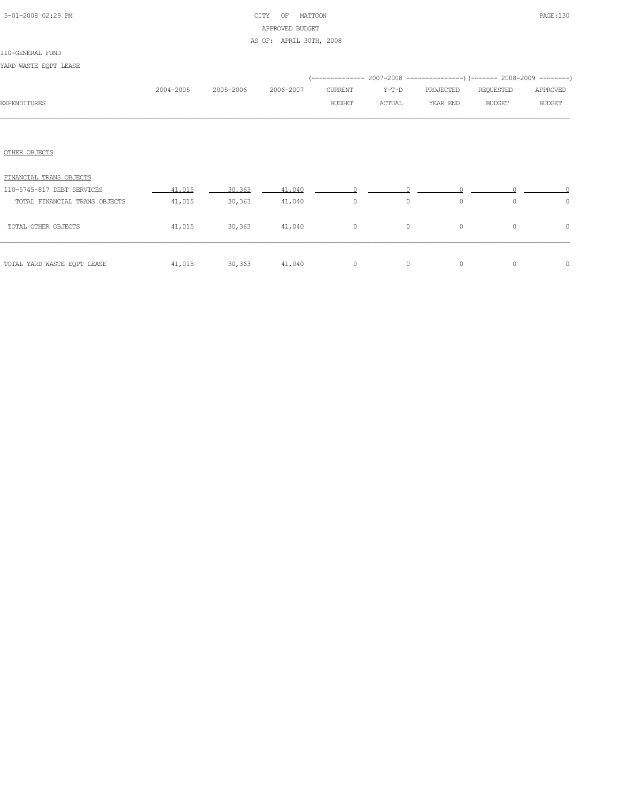## 5-01-2008 02:29 PM CITY OF MATTOON PAGE:130 APPROVED BUDGET AS OF: APRIL 30TH, 2008

#### 110-GENERAL FUND

YARD WASTE EQPT LEASE

|                               |           |           |           |               |               | (-------------- 2007-2008 -------------------- 2008-2009 ---------) |               |               |
|-------------------------------|-----------|-----------|-----------|---------------|---------------|---------------------------------------------------------------------|---------------|---------------|
|                               | 2004-2005 | 2005-2006 | 2006-2007 | CURRENT       | Y-T-D         | PROJECTED                                                           | REQUESTED     | APPROVED      |
| <b>EXPENDITURES</b>           |           |           |           | <b>BUDGET</b> | <b>ACTUAL</b> | YEAR END                                                            | <b>BUDGET</b> | <b>BUDGET</b> |
|                               |           |           |           |               |               |                                                                     |               |               |
| OTHER OBJECTS                 |           |           |           |               |               |                                                                     |               |               |
| FINANCIAL TRANS OBJECTS       |           |           |           |               |               |                                                                     |               |               |
| 110-5745-817 DEBT SERVICES    | 41,015    | 30,363    | 41,040    |               |               |                                                                     |               |               |
| TOTAL FINANCIAL TRANS OBJECTS | 41,015    | 30,363    | 41,040    | $\circ$       | $\circ$       | $\circ$                                                             | $\circ$       | $\circ$       |
| TOTAL OTHER OBJECTS           | 41,015    | 30, 363   | 41,040    | $\circ$       | $\circ$       | $\circ$                                                             | $\circ$       | $\circ$       |
| TOTAL YARD WASTE EQPT LEASE   | 41,015    | 30, 363   | 41,040    | $\circ$       | $\circ$       | $\circ$                                                             | $\circ$       | $\circ$       |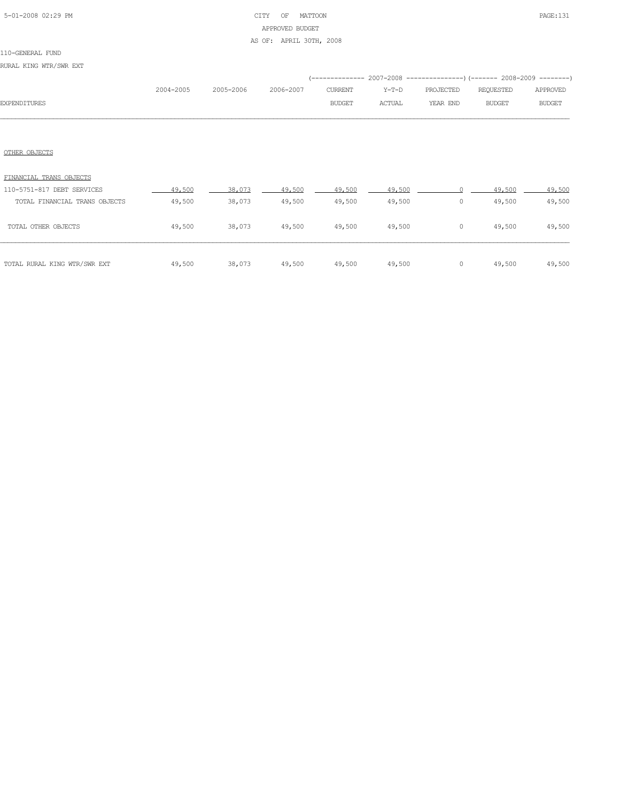# 5-01-2008 02:29 PM CITY OF MATTOON PAGE:131 APPROVED BUDGET

### AS OF: APRIL 30TH, 2008

## 110-GENERAL FUND

RURAL KING WTR/SWR EXT

|                     |           |           |           |               |         | (-------------- 2007-2008 ----------------) (------- 2008-2009 --------) |           |               |
|---------------------|-----------|-----------|-----------|---------------|---------|--------------------------------------------------------------------------|-----------|---------------|
|                     | 2004-2005 | 2005-2006 | 2006-2007 | CURRENT       | Y-T-D   | PROJECTED                                                                | REQUESTED | APPROVED      |
| <b>EXPENDITURES</b> |           |           |           | <b>BUDGET</b> | ACTUAL. | YEAR END                                                                 | BUDGET    | <b>BUDGET</b> |
|                     |           |           |           |               |         |                                                                          |           |               |

### OTHER OBJECTS

| FINANCIAL TRANS OBJECTS       |        |        |        |        |        |   |        |        |
|-------------------------------|--------|--------|--------|--------|--------|---|--------|--------|
| 110-5751-817 DEBT SERVICES    | 49,500 | 38,073 | 49,500 | 49,500 | 49,500 |   | 49,500 | 49,500 |
| TOTAL FINANCIAL TRANS OBJECTS | 49,500 | 38,073 | 49,500 | 49,500 | 49,500 | 0 | 49,500 | 49,500 |
| TOTAL OTHER OBJECTS           | 49,500 | 38,073 | 49,500 | 49,500 | 49,500 | 0 | 49,500 | 49,500 |
| TOTAL RURAL KING WTR/SWR EXT  | 49,500 | 38,073 | 49,500 | 49,500 | 49,500 | 0 | 49,500 | 49,500 |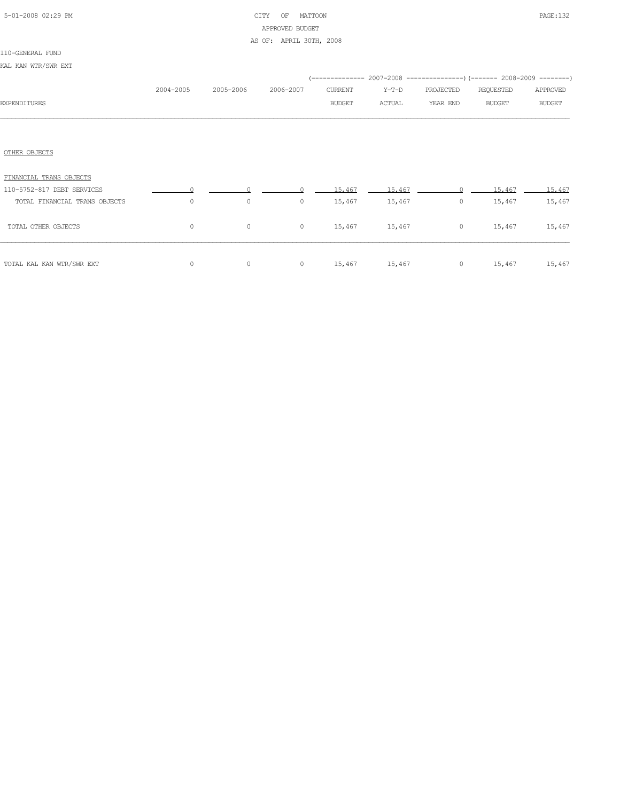| 5-01-2008 02:29 PM |  |
|--------------------|--|
|                    |  |

# CITY OF MATTOON PAGE:132 APPROVED BUDGET

### AS OF: APRIL 30TH, 2008

| KAL KAN WTR/SWR EXT           |           |           |           |               |        |                        |                                                                                       |               |
|-------------------------------|-----------|-----------|-----------|---------------|--------|------------------------|---------------------------------------------------------------------------------------|---------------|
|                               | 2004-2005 | 2005-2006 | 2006-2007 | CURRENT       | Y-T-D  | PROJECTED              | (-------------- 2007-2008 ----------------) (------- 2008-2009 --------)<br>REQUESTED | APPROVED      |
| <b>EXPENDITURES</b>           |           |           |           | <b>BUDGET</b> | ACTUAL | YEAR END               | BUDGET                                                                                | <b>BUDGET</b> |
|                               |           |           |           |               |        |                        |                                                                                       |               |
| OTHER OBJECTS                 |           |           |           |               |        |                        |                                                                                       |               |
| FINANCIAL TRANS OBJECTS       |           |           |           |               |        |                        |                                                                                       |               |
| 110-5752-817 DEBT SERVICES    | $\Omega$  |           |           | 15,467        | 15,467 | $\cap$                 | 15,467                                                                                | 15,467        |
| TOTAL FINANCIAL TRANS OBJECTS | $\circ$   | $\circ$   | $\circ$   | 15,467        | 15,467 | $\circ$                | 15,467                                                                                | 15,467        |
| TOTAL OTHER OBJECTS           | $\circ$   | $\circ$   | $\circ$   |               |        | 15,467 15,467 0 15,467 |                                                                                       | 15,467        |
| TOTAL KAL KAN WTR/SWR EXT     | $\circ$   | $\circ$   | $\circ$   |               |        |                        | 15,467 15,467 0 15,467 15,467                                                         |               |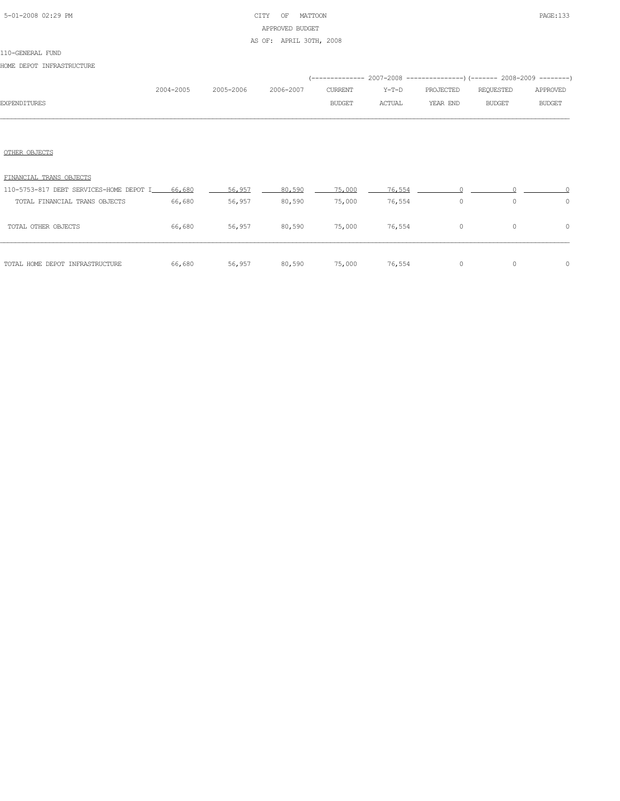# 5-01-2008 02:29 PM CITY OF MATTOON PAGE:133 APPROVED BUDGET

### AS OF: APRIL 30TH, 2008

#### 110-GENERAL FUND

HOME DEPOT INFRASTRUCTURE

|                     |           |           |           |               |         | (-------------- 2007-2008 -----------------) (------- 2008-2009 ---------) |           |               |
|---------------------|-----------|-----------|-----------|---------------|---------|----------------------------------------------------------------------------|-----------|---------------|
|                     | 2004-2005 | 2005-2006 | 2006-2007 | CURRENT       | $Y-T-D$ | PROJECTED                                                                  | REQUESTED | APPROVED      |
| <b>EXPENDITURES</b> |           |           |           | <b>BUDGET</b> | ACTUAL  | YEAR END                                                                   | BUDGET    | <b>BUDGET</b> |
|                     |           |           |           |               |         |                                                                            |           |               |

### OTHER OBJECTS

| TOTAL HOME DEPOT INFRASTRUCTURE         | 66,680 | 56,957 | 80,590 | 75,000 | 76,554 | 0        | $\bigcap$ | $\bigcap$ |
|-----------------------------------------|--------|--------|--------|--------|--------|----------|-----------|-----------|
| TOTAL OTHER OBJECTS                     | 66,680 | 56,957 | 80,590 | 75,000 | 76,554 | $\Omega$ | $\Omega$  | $\bigcap$ |
| TOTAL FINANCIAL TRANS OBJECTS           | 66,680 | 56,957 | 80,590 | 75,000 | 76,554 |          | $\Omega$  | ∩         |
| 110-5753-817 DEBT SERVICES-HOME DEPOT I | 66,680 | 56,957 | 80,590 | 75,000 | 76.554 |          |           |           |
| FINANCIAL TRANS OBJECTS                 |        |        |        |        |        |          |           |           |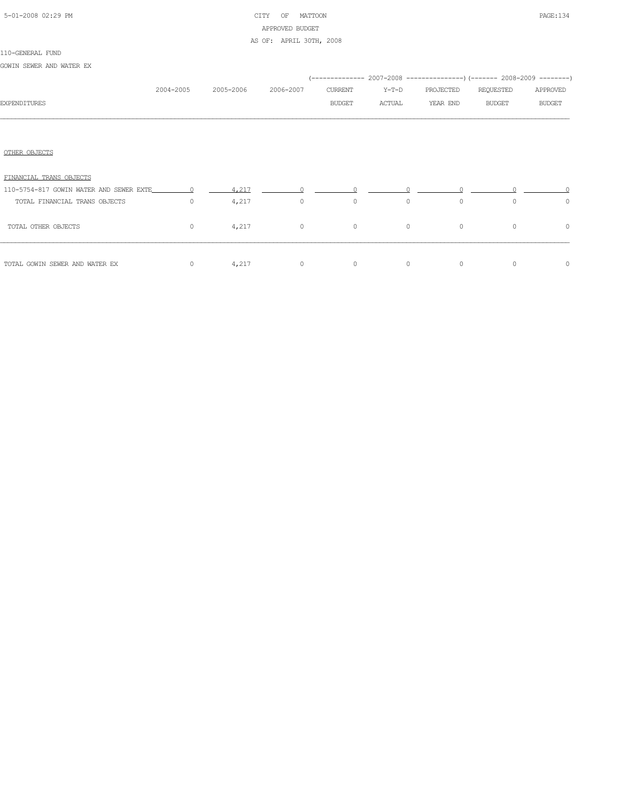# 5-01-2008 02:29 PM CITY OF MATTOON PAGE:134 APPROVED BUDGET

### AS OF: APRIL 30TH, 2008

| GOWIN SEWER AND WATER EX |  |
|--------------------------|--|
|--------------------------|--|

|                                                             | 2004-2005 | 2005-2006 | 2006-2007      | CURRENT       | $Y-T-D$ | PROJECTED | REQUESTED     | APPROVED      |
|-------------------------------------------------------------|-----------|-----------|----------------|---------------|---------|-----------|---------------|---------------|
| <b>EXPENDITURES</b>                                         |           |           |                | <b>BUDGET</b> | ACTUAL  | YEAR END  | <b>BUDGET</b> | <b>BUDGET</b> |
|                                                             |           |           |                |               |         |           |               |               |
| OTHER OBJECTS                                               |           |           |                |               |         |           |               |               |
| FINANCIAL TRANS OBJECTS                                     |           |           |                |               |         |           |               |               |
| 110-5754-817 GOWIN WATER AND SEWER EXTE $0 = 4.217$ $0 = 0$ |           |           |                |               |         |           |               |               |
| TOTAL FINANCIAL TRANS OBJECTS                               | $\circ$   | 4,217     | $\overline{0}$ | $\circ$       | $\circ$ | $\circ$   | $\Omega$      | $\circ$       |
| TOTAL OTHER OBJECTS                                         | $\circ$   | 4,217     | $\overline{0}$ | $\circ$       | $\circ$ | $\circ$   | $\circ$       | $\circ$       |
| TOTAL GOWIN SEWER AND WATER EX                              | $\circ$   | 4,217     | $\overline{0}$ | $\circ$       | $\circ$ | $\circ$   | $\mathbf{0}$  | $\circ$       |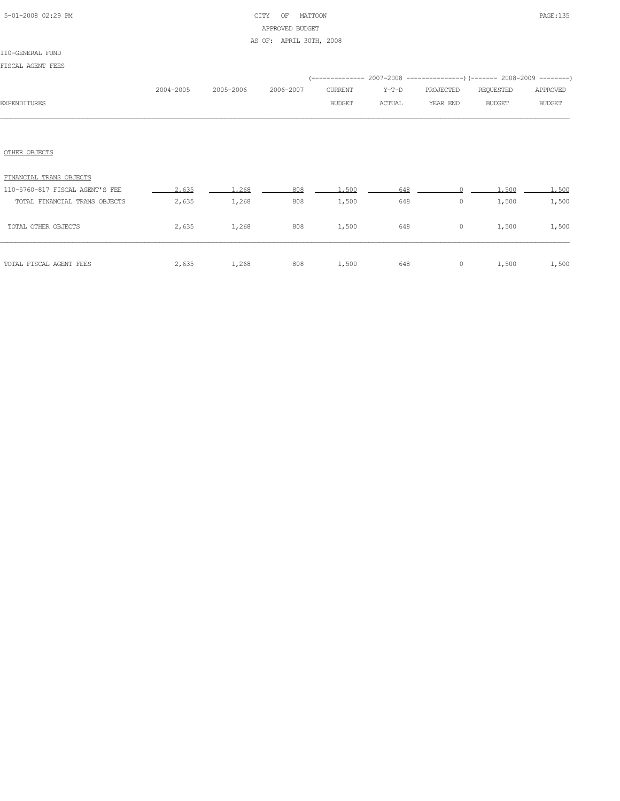## 5-01-2008 02:29 PM CITY OF MATTOON PAGE:135 APPROVED BUDGET AS OF: APRIL 30TH, 2008

### 110-GENERAL FUND

| FISCAL AGENT FEES |  |
|-------------------|--|
|-------------------|--|

| .ioum numerinu                  |           |           |           |               |        |           |               |               |
|---------------------------------|-----------|-----------|-----------|---------------|--------|-----------|---------------|---------------|
|                                 |           |           |           |               |        |           |               |               |
|                                 | 2004-2005 | 2005-2006 | 2006-2007 | CURRENT       | Y-T-D  | PROJECTED | REQUESTED     | APPROVED      |
| <b>EXPENDITURES</b>             |           |           |           | <b>BUDGET</b> | ACTUAL | YEAR END  | <b>BUDGET</b> | <b>BUDGET</b> |
|                                 |           |           |           |               |        |           |               |               |
| OTHER OBJECTS                   |           |           |           |               |        |           |               |               |
| FINANCIAL TRANS OBJECTS         |           |           |           |               |        |           |               |               |
| 110-5760-817 FISCAL AGENT'S FEE | 2.635     | 1,268     | 808       | 1,500         | 648    |           | 1,500         | 1,500         |
| TOTAL FINANCIAL TRANS OBJECTS   | 2,635     | 1,268     | 808       | 1,500         | 648    | $\circ$   | 1,500         | 1,500         |
| TOTAL OTHER OBJECTS             | 2,635     | 1,268     | 808       | 1,500         | 648    | $\circ$   | 1,500         | 1,500         |
|                                 |           |           |           |               |        |           |               |               |

TOTAL FISCAL AGENT FEES  $2,635$  1,268 808 1,500 648 0 1,500 1,500 1,500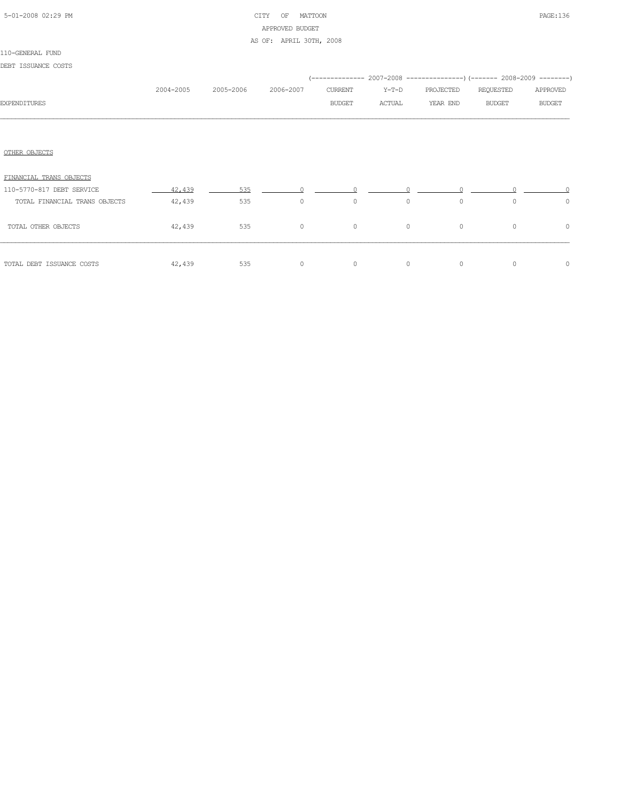## 5-01-2008 02:29 PM CITY OF MATTOON PAGE:136 APPROVED BUDGET AS OF: APRIL 30TH, 2008

#### 110-GENERAL FUND

DEBT ISSUANCE COSTS

|                               |           |           |           |         |         |           | (-------------- 2007-2008 ----------------) (------- 2008-2009 --------) |               |
|-------------------------------|-----------|-----------|-----------|---------|---------|-----------|--------------------------------------------------------------------------|---------------|
|                               | 2004-2005 | 2005-2006 | 2006-2007 | CURRENT | Y-T-D   | PROJECTED | REQUESTED                                                                | APPROVED      |
| <b>EXPENDITURES</b>           |           |           |           | BUDGET  | ACTUAL  | YEAR END  | <b>BUDGET</b>                                                            | <b>BUDGET</b> |
|                               |           |           |           |         |         |           |                                                                          |               |
|                               |           |           |           |         |         |           |                                                                          |               |
| OTHER OBJECTS                 |           |           |           |         |         |           |                                                                          |               |
| FINANCIAL TRANS OBJECTS       |           |           |           |         |         |           |                                                                          |               |
| 110-5770-817 DEBT SERVICE     | 42,439    | 535       | $\cap$    |         |         |           |                                                                          |               |
| TOTAL FINANCIAL TRANS OBJECTS | 42,439    | 535       | $\circ$   | $\circ$ | $\circ$ | $\circ$   | $\circ$                                                                  | $\circ$       |
| TOTAL OTHER OBJECTS           | 42,439    | 535       | $\circ$   | $\circ$ | $\circ$ | $\circ$   | $\circ$                                                                  | $\circ$       |
| TOTAL DEBT ISSUANCE COSTS     | 42,439    | 535       | $\circ$   | $\circ$ | $\circ$ | $\circ$   | $\circ$                                                                  | $\circ$       |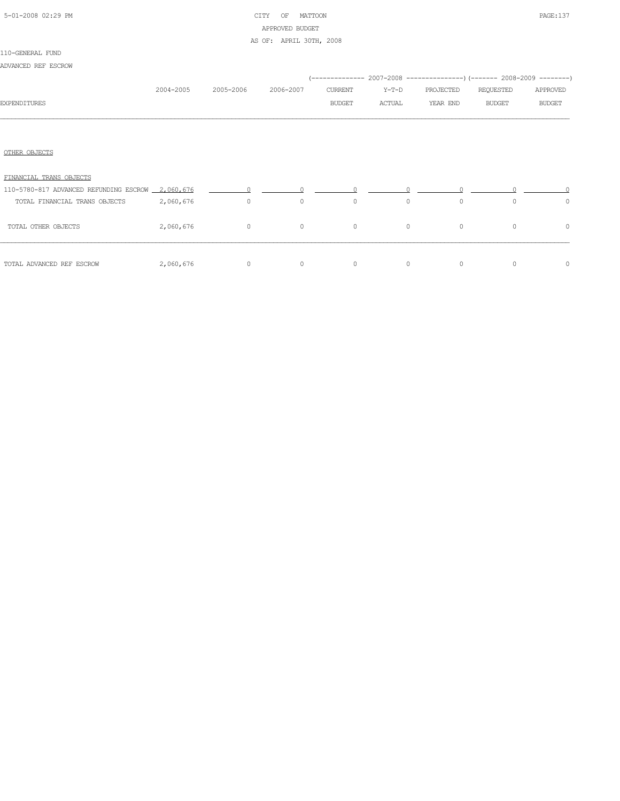## 5-01-2008 02:29 PM CITY OF MATTOON PAGE:137 APPROVED BUDGET

AS OF: APRIL 30TH, 2008

| ADVANCED REF ESCROW |  |  |  |  |
|---------------------|--|--|--|--|
|---------------------|--|--|--|--|

|                                                  |           |           |           |               |         | (-------------- 2007-2008 -----------------) (------- 2008-2009 --------) |               |               |
|--------------------------------------------------|-----------|-----------|-----------|---------------|---------|---------------------------------------------------------------------------|---------------|---------------|
|                                                  | 2004-2005 | 2005-2006 | 2006-2007 | CURRENT       | Y-T-D   | PROJECTED                                                                 | REQUESTED     | APPROVED      |
| <b>EXPENDITURES</b>                              |           |           |           | <b>BUDGET</b> | ACTUAL  | YEAR END                                                                  | <b>BUDGET</b> | <b>BUDGET</b> |
|                                                  |           |           |           |               |         |                                                                           |               |               |
|                                                  |           |           |           |               |         |                                                                           |               |               |
| OTHER OBJECTS                                    |           |           |           |               |         |                                                                           |               |               |
| FINANCIAL TRANS OBJECTS                          |           |           |           |               |         |                                                                           |               |               |
| 110-5780-817 ADVANCED REFUNDING ESCROW 2,060,676 |           | $\Omega$  |           |               |         |                                                                           |               |               |
| TOTAL FINANCIAL TRANS OBJECTS                    | 2,060,676 | $\circ$   | $\circ$   | $\circ$       | $\circ$ | $\circ$                                                                   | $\Omega$      | $\circ$       |
| TOTAL OTHER OBJECTS                              | 2,060,676 | $\circ$   | $\circ$   | $\circ$       | $\circ$ | $\circ$                                                                   | $\circ$       | $\circ$       |
| TOTAL ADVANCED REF ESCROW                        | 2,060,676 | $\circ$   | $\circ$   | $\circ$       | $\circ$ | $\circ$                                                                   | $\circ$       | $\circ$       |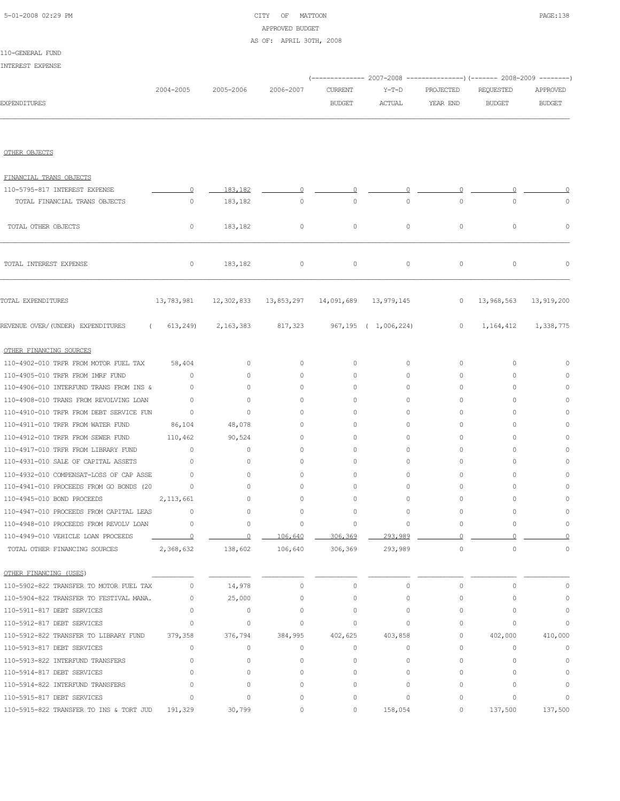## 5-01-2008 02:29 PM CITY OF MATTOON PAGE:138 APPROVED BUDGET

### AS OF: APRIL 30TH, 2008

110-GENERAL FUND INTEREST EXPENSE

|                                                                     |                      |                     |                                                        |                    | (-------------- 2007-2008 ----------------) (------- 2008-2009 --------) |           |               |               |
|---------------------------------------------------------------------|----------------------|---------------------|--------------------------------------------------------|--------------------|--------------------------------------------------------------------------|-----------|---------------|---------------|
|                                                                     | 2004-2005            | 2005-2006           | 2006-2007                                              | <b>CURRENT</b>     | $Y-T-D$                                                                  | PROJECTED | REQUESTED     | APPROVED      |
| <b>EXPENDITURES</b>                                                 |                      |                     |                                                        | <b>BUDGET</b>      | ACTUAL                                                                   | YEAR END  | <b>BUDGET</b> | <b>BUDGET</b> |
| OTHER OBJECTS                                                       |                      |                     |                                                        |                    |                                                                          |           |               |               |
| FINANCIAL TRANS OBJECTS                                             |                      |                     |                                                        |                    |                                                                          |           |               |               |
| 110-5795-817 INTEREST EXPENSE                                       | $\overline{0}$       | 183,182             | $\Omega$                                               | 0                  |                                                                          |           |               |               |
| TOTAL FINANCIAL TRANS OBJECTS                                       | 0                    | 183,182             | $\circ$                                                | $\circ$            | 0                                                                        | $\circ$   | $\circ$       | $\Omega$      |
|                                                                     |                      |                     |                                                        |                    |                                                                          |           |               |               |
| TOTAL OTHER OBJECTS                                                 | $\circ$              | 183,182             | $\circ$                                                | $\circ$            | 0                                                                        | $\circ$   | 0             | $\mathbb O$   |
| TOTAL INTEREST EXPENSE                                              | $\circ$              | 183,182             | $\circ$                                                | $\circ$            | $\circ$                                                                  | $\circ$   | 0             | 0             |
| TOTAL EXPENDITURES                                                  | 13,783,981           |                     | 12, 302, 833  13, 853, 297  14, 091, 689  13, 979, 145 |                    |                                                                          | $\circ$   | 13,968,563    | 13,919,200    |
| REVENUE OVER/(UNDER) EXPENDITURES                                   | (613, 249)           |                     | 2, 163, 383 817, 323                                   |                    | 967,195 ( 1,006,224)                                                     | $\circ$   | 1,164,412     | 1,338,775     |
| OTHER FINANCING SOURCES                                             |                      |                     |                                                        |                    |                                                                          |           |               |               |
| 110-4902-010 TRFR FROM MOTOR FUEL TAX                               | 58,404               | $\circ$             | 0                                                      | $\circ$            | $\circ$                                                                  | $\circ$   | 0             | $\Omega$      |
| 110-4905-010 TRFR FROM IMRF FUND                                    | $\circ$              | $\circ$             | 0                                                      | 0                  | $\circ$                                                                  | 0         | $\circ$       | $\circ$       |
| 110-4906-010 INTERFUND TRANS FROM INS &                             | $\circ$              | $\circ$             | 0                                                      | 0                  | $\circ$                                                                  | 0         | $\circ$       | $\Omega$      |
| 110-4908-010 TRANS FROM REVOLVING LOAN                              | $\circ$              | $\circ$             | 0                                                      | 0                  | $\circ$                                                                  | 0         | $\circ$       | $\circ$       |
| 110-4910-010 TRFR FROM DEBT SERVICE FUN                             | $\circ$              | $\circ$             | 0                                                      | 0                  | 0                                                                        | 0         | $\circ$       | $\Omega$      |
| 110-4911-010 TRFR FROM WATER FUND                                   | 86,104               | 48,078              | 0                                                      | 0                  | 0                                                                        | 0         | $\circ$       | $\Omega$      |
| 110-4912-010 TRFR FROM SEWER FUND                                   | 110,462              | 90,524              | 0                                                      | 0                  | 0                                                                        | 0         | $\circ$       | $\Omega$      |
| 110-4917-010 TRFR FROM LIBRARY FUND                                 | $\circ$              | 0                   | 0                                                      | 0                  | 0                                                                        | 0         | $\circ$       | $\Omega$      |
| 110-4931-010 SALE OF CAPITAL ASSETS                                 | 0                    | $\circ$             | 0                                                      | 0                  | 0                                                                        | 0         | $\circ$       | $\Omega$      |
| 110-4932-010 COMPENSAT-LOSS OF CAP ASSE                             | $\circ$              | $\circ$             | $\circ$                                                | 0                  | 0                                                                        | 0         | $\circ$       | $\Omega$      |
| 110-4941-010 PROCEEDS FROM GO BONDS (20                             | $\circ$              | $\circ$             | $\circ$                                                | 0                  | 0                                                                        | 0         | $\circ$       | $\Omega$      |
| 110-4945-010 BOND PROCEEDS                                          | 2, 113, 661          | $\circ$             | 0                                                      | 0                  | 0                                                                        | 0         | $\circ$       | $\Omega$      |
| 110-4947-010 PROCEEDS FROM CAPITAL LEAS                             | $\circ$              | 0                   | 0                                                      | 0                  | $\circ$                                                                  | 0         | $\circ$       | $\Omega$      |
| 110-4948-010 PROCEEDS FROM REVOLV LOAN                              | 0                    | $\circ$             | $\Omega$                                               | $\Omega$           | 0                                                                        | Ω         | 0             | 0             |
| 110-4949-010 VEHICLE LOAN PROCEEDS<br>TOTAL OTHER FINANCING SOURCES | $\circ$<br>2,368,632 | $\Omega$<br>138,602 | 106,640<br>106,640                                     | 306,369<br>306,369 | 293,989<br>293,989                                                       | $\Omega$  | $\Omega$      | $\circ$       |
|                                                                     |                      |                     |                                                        |                    |                                                                          |           |               |               |
| OTHER FINANCING (USES)                                              |                      |                     |                                                        |                    |                                                                          |           |               |               |
| 110-5902-822 TRANSFER TO MOTOR FUEL TAX                             | 0                    | 14,978              | $\circ$                                                | $\circ$            | $\circ$                                                                  | $\circ$   | $\circ$       | 0             |
| 110-5904-822 TRANSFER TO FESTIVAL MANA.                             | $\circ$              | 25,000              | $\circ$                                                | $\circ$            | $\circ$                                                                  | $\circ$   | $\circ$       | 0             |
| 110-5911-817 DEBT SERVICES                                          | $\circ$              | 0                   | 0                                                      | 0                  | 0                                                                        | 0         | $\circ$       | 0             |
| 110-5912-817 DEBT SERVICES                                          | $\circ$              | $\circ$             | $\circ$                                                | 0                  | $\circ$                                                                  | $\circ$   | 0             | 0             |
| 110-5912-822 TRANSFER TO LIBRARY FUND                               | 379,358              | 376,794             | 384,995                                                | 402,625            | 403,858                                                                  | 0         | 402,000       | 410,000       |
| 110-5913-817 DEBT SERVICES                                          | 0                    | 0                   | $\circ$                                                | $\circ$            | 0                                                                        | $\circ$   | 0             | 0             |
| 110-5913-822 INTERFUND TRANSFERS                                    | $\circ$              | $\circ$             | $\circ$                                                | 0                  | $\circ$                                                                  | $\circ$   | $\circ$       | $\mathbb O$   |
| 110-5914-817 DEBT SERVICES                                          | $\circ$              | $\circ$             | $\circ$                                                | $\circ$            | $\circ$                                                                  | $\circ$   | $\circ$       | $\Omega$      |
| 110-5914-822 INTERFUND TRANSFERS                                    | $\circ$              | $\mathbf{0}$        | $\circ$                                                | 0                  | $\circ$                                                                  | $\circ$   | $\circ$       | $\Omega$      |
| 110-5915-817 DEBT SERVICES                                          | $\circ$              | $\circ$             | 0                                                      | 0                  | $\circ$                                                                  | 0         | $\circ$       | $\circ$       |
| 110-5915-822 TRANSFER TO INS & TORT JUD                             | 191,329              | 30,799              | 0                                                      | 0                  | 158,054                                                                  | 0         | 137,500       | 137,500       |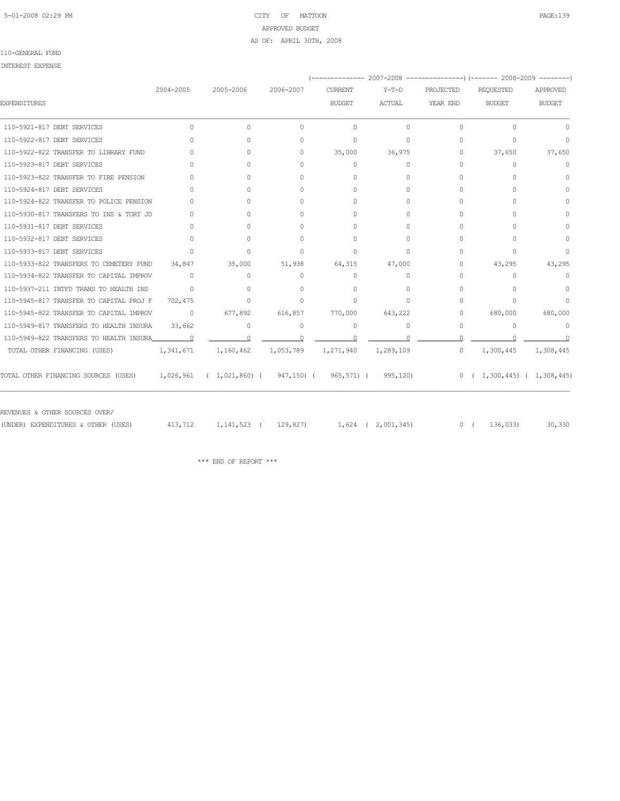## 5-01-2008 02:29 PM CITY OF MATTOON PAGE:139 APPROVED BUDGET AS OF: APRIL 30TH, 2008

### 110-GENERAL FUND

|                                                                                                     |                |           |           | (------------- 2007–2008 ----------------) (------- 2008–2009 --------) |               |           |                                                           |               |
|-----------------------------------------------------------------------------------------------------|----------------|-----------|-----------|-------------------------------------------------------------------------|---------------|-----------|-----------------------------------------------------------|---------------|
|                                                                                                     | 2004-2005      | 2005-2006 | 2006-2007 | <b>CURRENT</b>                                                          | $Y-T-D$       | PROJECTED | REQUESTED                                                 | APPROVED      |
| <b>EXPENDITURES</b>                                                                                 |                |           |           | <b>BUDGET</b>                                                           | <b>ACTUAL</b> | YEAR END  | <b>BUDGET</b>                                             | <b>BUDGET</b> |
| 110-5921-817 DEBT SERVICES                                                                          | $\Omega$       | $\Omega$  | $\circ$   | $\circ$                                                                 | $\Omega$      | $\Omega$  | $\Omega$                                                  | $\cap$        |
| 110-5922-817 DEBT SERVICES                                                                          | $\cap$         | $\Omega$  | 0         | $\Omega$                                                                | $\Omega$      | $\Omega$  | $\Omega$                                                  | $\Omega$      |
| 110-5922-822 TRANSFER TO LIBRARY FUND                                                               | $\cap$         | $\Omega$  | $\Omega$  | 35,000                                                                  | 36,975        | $\Omega$  | 37,650                                                    | 37,650        |
| 110-5923-817 DEBT SERVICES                                                                          | <sup>n</sup>   | $\Omega$  | $\Omega$  | $\Omega$                                                                | $\Omega$      | $\Omega$  | $\Omega$                                                  | $\circ$       |
| 110-5923-822 TRANSFER TO FIRE PENSION                                                               | $\Omega$       | $\Omega$  | $\circ$   | $\Omega$                                                                | $\Omega$      | 0         | $\Omega$                                                  | $\Omega$      |
| 110-5924-817 DEBT SERVICES                                                                          | $\cap$         | $\Omega$  | $\Omega$  | $\Omega$                                                                | $\Omega$      | $\Omega$  | $\cap$                                                    | $\Omega$      |
| 110-5924-822 TRANSFER TO POLICE PENSION                                                             | $\bigcap$      | $\Omega$  | $\Omega$  | $\Omega$                                                                | $\bigcap$     | $\Omega$  | $\Omega$                                                  | $\Omega$      |
| 110-5930-817 TRANSFERS TO INS & TORT JD                                                             | $\Omega$       | $\Omega$  | $\Omega$  | $\Omega$                                                                | $\Omega$      | $\Omega$  | 0                                                         | $\Omega$      |
| 110-5931-817 DEBT SERVICES                                                                          | $\Omega$       | $\Omega$  | $\Omega$  | $\bigcap$                                                               | $\Omega$      | $\Omega$  | 0                                                         | $\Omega$      |
| 110-5932-817 DEBT SERVICES                                                                          | $\Omega$       | $\Omega$  | $\Omega$  | $\Omega$                                                                | $\Omega$      | 0         | 0                                                         | $\Omega$      |
| 110-5933-817 DEBT SERVICES                                                                          | $\Omega$       | $\Omega$  | $\circ$   | $\Omega$                                                                | $\Omega$      | 0         | $\Omega$                                                  | $\Omega$      |
| 110-5933-822 TRANSFERS TO CEMETERY FUND                                                             | 34,847         | 35,000    | 51,938    | 64,315                                                                  | 47,000        | $\Omega$  | 43,295                                                    | 43,295        |
| 110-5934-822 TRANSFER TO CAPITAL IMPROV                                                             | $\Omega$       | 0         | $\circ$   | $\Omega$                                                                | $\Omega$      | $\Omega$  | $\Omega$                                                  | $\Omega$      |
| 110-5937-211 INTFD TRANS TO HEALTH INS                                                              | $\Omega$       | $\Omega$  | $\Omega$  | $\Omega$                                                                | $\Omega$      | $\Omega$  | $\Omega$                                                  | $\Omega$      |
| 110-5945-817 TRANSFER TO CAPITAL PROJ F                                                             | 702,475        | $\circ$   | $\circ$   | $\Omega$                                                                | $\Omega$      | $\Omega$  | $\Omega$                                                  | $\Omega$      |
| 110-5945-822 TRANSFER TO CAPITAL IMPROV                                                             | $\circ$        | 677,892   | 616,857   | 770,000                                                                 | 643,222       | 0         | 680,000                                                   | 680,000       |
| 110-5949-817 TRANSFERS TO HEALTH INSURA                                                             | 33,662         | 0         | $\circ$   | 0                                                                       | $\Omega$      | $\circ$   | $\circ$                                                   | $\Omega$      |
| 110-5949-822 TRANSFERS TO HEALTH INSURA                                                             | $\overline{a}$ | $\cap$    | $\cap$    | $\cap$                                                                  | $\cap$        | $\Omega$  |                                                           |               |
| TOTAL OTHER FINANCING (USES)                                                                        | 1,341,671      | 1,160,462 | 1,053,789 | 1,271,940                                                               | 1,289,109     | $\Omega$  | 1,300,445                                                 | 1,308,445     |
| TOTAL OTHER FINANCING SOURCES (USES)    1,026,961  ( 1,021,860) (  947,150) (  965,571) (  995,120) |                |           |           |                                                                         |               |           | $0 \left( 1, 300, 445 \right) \left( 1, 308, 445 \right)$ |               |

| (UNDER) EXPENDITURES & OTHER (USES) | 413,712 1,141,523 ( 129,827) | 1,624 ( 2,001,345) | 0 ( $136,033$ 30,330 |  |
|-------------------------------------|------------------------------|--------------------|----------------------|--|
|                                     |                              |                    |                      |  |

 $\star\star\star$  END OF REPORT  $\star\star\star$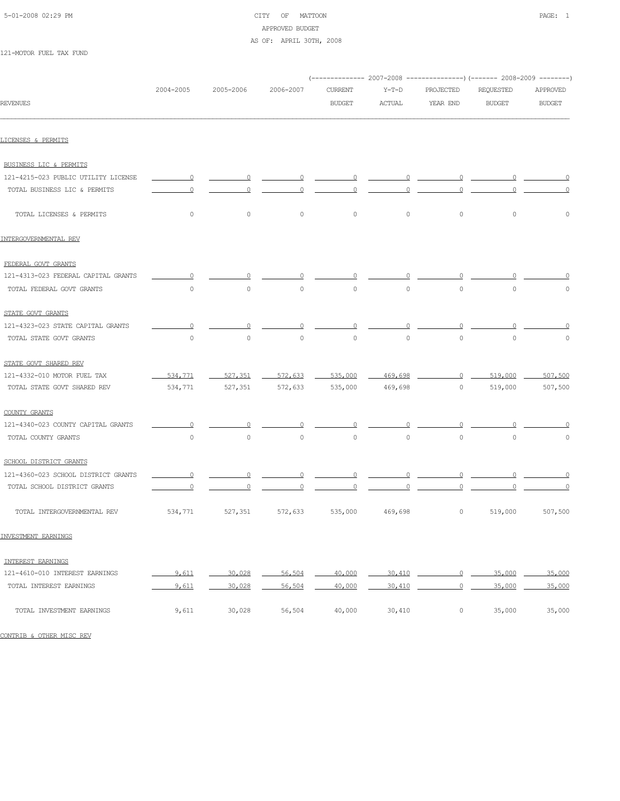| 5-01-2008 02:29 PM |  |
|--------------------|--|
|                    |  |

## CITY OF MATTOON PAGE: 1 APPROVED BUDGET AS OF: APRIL 30TH, 2008

121-MOTOR FUEL TAX FUND

| 2004-2005      | 2005-2006      | 2006-2007      | <b>CURRENT</b> | $Y-T-D$        | PROJECTED      | REQUESTED      | APPROVED       |
|----------------|----------------|----------------|----------------|----------------|----------------|----------------|----------------|
|                |                |                | <b>BUDGET</b>  | ACTUAL         | YEAR END       | <b>BUDGET</b>  | <b>BUDGET</b>  |
|                |                |                |                |                |                |                |                |
|                |                |                |                |                |                |                |                |
| $\overline{0}$ | $\overline{0}$ | 0              | 0              | $\Omega$       | 0              | $\Omega$       | $\overline{0}$ |
| 0              | n              | 0              | n              | 0              | 0              | $\overline{0}$ | $\Omega$       |
| $\circ$        | $\circ$        | $\circ$        | $\circ$        | $\circ$        | $\circ$        | $\circ$        | $\circ$        |
|                |                |                |                |                |                |                |                |
|                |                |                |                |                |                |                |                |
| $\circ$        |                | $\Omega$       | $\Omega$       | $\Omega$       | $\circ$        | $\circ$        | 0              |
| $\circ$        | $\circ$        | $\circ$        | $\circ$        | $\Omega$       | $\circ$        | $\Omega$       | $\circ$        |
|                |                |                |                |                |                |                |                |
|                |                |                |                |                |                |                |                |
| $\circ$        | $\circ$        | $\circ$        | $\circ$        | $\circ$        | $\circ$        | $\circ$        | $\circ$        |
|                |                |                |                |                |                |                |                |
| 534,771        | 527,351        | 572,633        | 535,000        |                |                | 519,000        | 507,500        |
| 534,771        | 527,351        | 572,633        | 535,000        | 469,698        | $\circ$        | 519,000        | 507,500        |
|                |                |                |                |                |                |                |                |
| $\overline{0}$ | 0              | $\circ$        | $\overline{0}$ | $\circ$        | $\overline{0}$ | $\circ$        | $\overline{0}$ |
| $\circ$        | $\circ$        | $\circ$        | $\circ$        | $\circ$        | $\circ$        | $\circ$        | $\circ$        |
|                |                |                |                |                |                |                |                |
| $\overline{0}$ | $\circ$        | $\Omega$       | $\overline{0}$ | $\overline{0}$ | $\overline{0}$ | $\overline{0}$ | $\overline{0}$ |
| $\Omega$       | 0              | $\overline{0}$ | $\overline{0}$ | $\Omega$       | $\Omega$       | $\Omega$       | $\circ$        |
| 534,771        | 527,351        | 572,633        | 535,000        | 469,698        | $\circ$        | 519,000        | 507,500        |
|                |                |                |                |                |                | 469,698        | 0              |

### INVESTMENT EARNINGS

| INTEREST EARNINGS              |       |        |        |        |        |        |        |
|--------------------------------|-------|--------|--------|--------|--------|--------|--------|
| 121-4610-010 INTEREST EARNINGS | 9,611 | 30,028 | 56.504 | 40,000 | 30.410 | 35,000 | 35,000 |
| TOTAL INTEREST EARNINGS        | 9.611 | 30,028 | 56,504 | 40,000 | 30,410 | 35,000 | 35,000 |
| TOTAL INVESTMENT EARNINGS      | 9,611 | 30,028 | 56,504 | 40,000 | 30,410 | 35,000 | 35,000 |

CONTRIB & OTHER MISC REV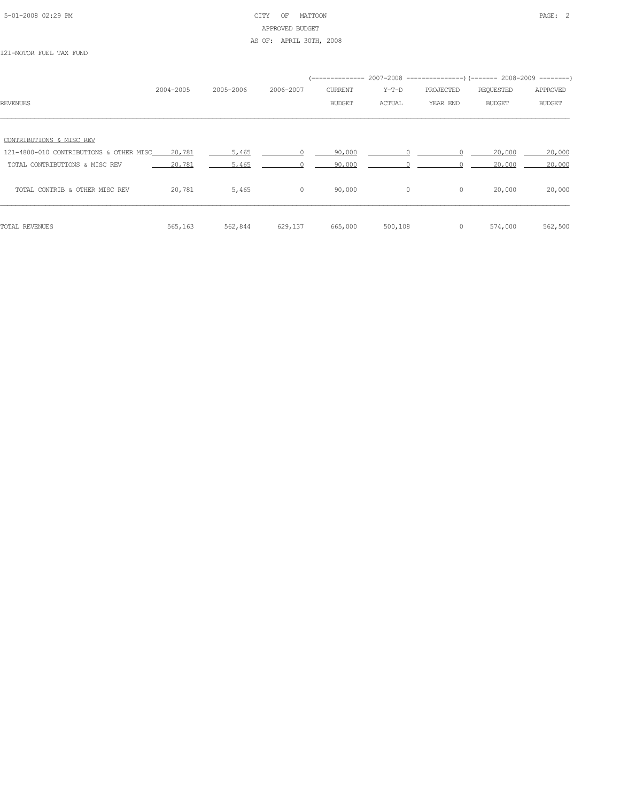## 5-01-2008 02:29 PM CITY OF MATTOON PAGE: 2 APPROVED BUDGET AS OF: APRIL 30TH, 2008

121-MOTOR FUEL TAX FUND

|                                                    |           |           |                |                |         |           | (-------------- 2007-2008 -------------------- 2008-2009 ----------- |               |
|----------------------------------------------------|-----------|-----------|----------------|----------------|---------|-----------|----------------------------------------------------------------------|---------------|
|                                                    | 2004-2005 | 2005-2006 | 2006-2007      | <b>CURRENT</b> | $Y-T-D$ | PROJECTED | REQUESTED                                                            | APPROVED      |
| <b>REVENUES</b>                                    |           |           |                | <b>BUDGET</b>  | ACTUAL  | YEAR END  | BUDGET                                                               | <b>BUDGET</b> |
|                                                    |           |           |                |                |         |           |                                                                      |               |
| CONTRIBUTIONS & MISC REV                           |           |           |                |                |         |           |                                                                      |               |
| 121-4800-010 CONTRIBUTIONS & OTHER MISC____ 20.781 |           | 5,465     |                | 90,000         |         |           | 20,000                                                               | 20,000        |
| TOTAL CONTRIBUTIONS & MISC REV                     | 20,781    | 5,465     |                | 90.000         |         |           | 20,000                                                               | 20,000        |
| TOTAL CONTRIB & OTHER MISC REV                     | 20,781    | 5,465     | $\overline{0}$ | 90,000         | $\circ$ | $\circ$   | 20,000                                                               | 20,000        |
| TOTAL REVENUES                                     | 565,163   | 562,844   | 629,137        | 665,000        | 500,108 | $\circ$   | 574,000                                                              | 562,500       |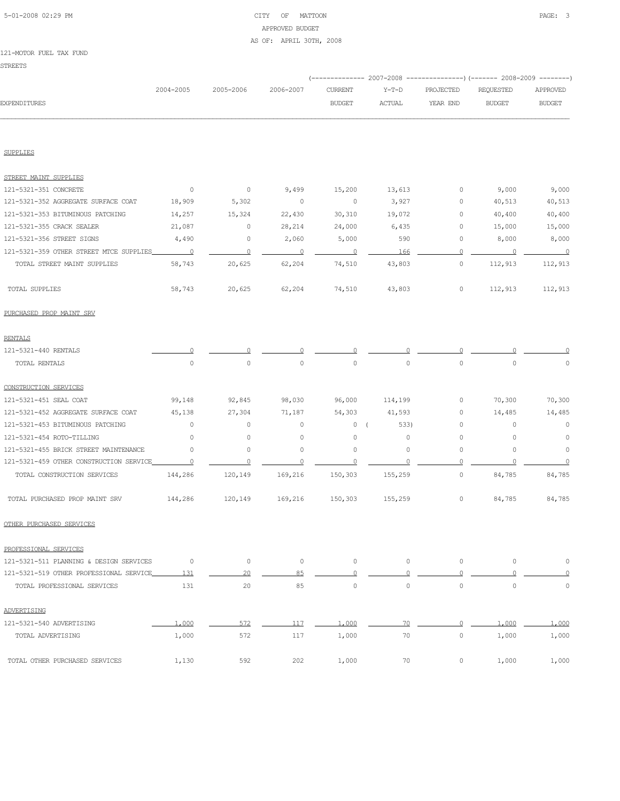## 5-01-2008 02:29 PM CITY OF MATTOON PAGE: 3 APPROVED BUDGET AS OF: APRIL 30TH, 2008

#### 121-MOTOR FUEL TAX FUND

|                                         | 2004-2005                | 2005-2006               | 2006-2007                |                          |               | (------------- 2007-2008 ---------------) (------- 2008-2009 --------) |                          |               |
|-----------------------------------------|--------------------------|-------------------------|--------------------------|--------------------------|---------------|------------------------------------------------------------------------|--------------------------|---------------|
| <b>EXPENDITURES</b>                     |                          |                         |                          | <b>CURRENT</b>           | $Y-T-D$       | PROJECTED                                                              | REQUESTED                | APPROVED      |
|                                         |                          |                         |                          | <b>BUDGET</b>            | <b>ACTUAL</b> | YEAR END                                                               | <b>BUDGET</b>            | <b>BUDGET</b> |
|                                         |                          |                         |                          |                          |               |                                                                        |                          |               |
| <b>SUPPLIES</b>                         |                          |                         |                          |                          |               |                                                                        |                          |               |
| STREET MAINT SUPPLIES                   |                          |                         |                          |                          |               |                                                                        |                          |               |
| 121-5321-351 CONCRETE                   | $\overline{0}$           | $\overline{0}$          | 9,499                    | 15,200                   | 13,613        | 0                                                                      | 9,000                    | 9,000         |
| 121-5321-352 AGGREGATE SURFACE COAT     | 18,909                   | 5,302                   | $\overline{0}$           | $\circ$                  | 3,927         | 0                                                                      | 40,513                   | 40,513        |
| 121-5321-353 BITUMINOUS PATCHING        | 14,257                   | 15,324                  | 22,430                   | 30,310                   | 19,072        | $\circ$                                                                | 40,400                   | 40,400        |
| 121-5321-355 CRACK SEALER               | 21,087                   | $\circ$                 | 28,214                   | 24,000                   | 6,435         | $\circ$                                                                | 15,000                   | 15,000        |
| 121-5321-356 STREET SIGNS               | 4,490                    | 0                       | 2,060                    | 5,000                    | 590           | 0                                                                      | 8,000                    | 8,000         |
| 121-5321-359 OTHER STREET MTCE SUPPLIES | $\overline{\phantom{0}}$ | $\overline{\mathbf{0}}$ | $\overline{\phantom{0}}$ | $\overline{\phantom{0}}$ | 166           | $\circ$                                                                | $\overline{\phantom{0}}$ | $\sim$ 0      |
| TOTAL STREET MAINT SUPPLIES             | 58,743                   | 20,625                  | 62,204                   | 74,510                   | 43,803        | $\circ$                                                                | 112,913                  | 112,913       |
| TOTAL SUPPLIES                          | 58,743                   | 20,625                  | 62,204                   | 74,510                   | 43,803        | 0                                                                      | 112,913                  | 112,913       |
| PURCHASED PROP MAINT SRV                |                          |                         |                          |                          |               |                                                                        |                          |               |
| <b>RENTALS</b>                          |                          |                         |                          |                          |               |                                                                        |                          |               |
| 121-5321-440 RENTALS                    |                          |                         |                          |                          |               |                                                                        |                          |               |
| TOTAL RENTALS                           | $\circ$                  | $\circ$                 | $\circ$                  | 0                        | $\circ$       | $\circ$                                                                | $\circ$                  | 0             |
| CONSTRUCTION SERVICES                   |                          |                         |                          |                          |               |                                                                        |                          |               |
| 121-5321-451 SEAL COAT                  | 99,148                   | 92,845                  | 98,030                   | 96,000                   | 114,199       | 0                                                                      | 70,300                   | 70,300        |
| 121-5321-452 AGGREGATE SURFACE COAT     | 45,138                   | 27,304                  | 71,187                   | 54,303                   | 41,593        | 0                                                                      | 14,485                   | 14,485        |
| 121-5321-453 BITUMINOUS PATCHING        | $\circ$                  | 0                       | $\circ$                  | 0(                       | 533)          | 0                                                                      | 0                        | $\circ$       |
| 121-5321-454 ROTO-TILLING               | $\mathbf{0}$             | 0                       | $\circ$                  | 0                        | $\mathbf{0}$  | 0                                                                      | $\circ$                  | $\circ$       |
| 121-5321-455 BRICK STREET MAINTENANCE   | 0                        | 0                       | 0                        | 0                        | 0             | 0                                                                      | 0                        | $\circ$       |
| 121-5321-459 OTHER CONSTRUCTION SERVICE | $\circ$                  | 0                       | $\circ$                  |                          |               | $\Omega$                                                               |                          | $\circ$       |
| TOTAL CONSTRUCTION SERVICES             | 144,286                  | 120,149                 | 169,216                  | 150,303                  | 155,259       | 0                                                                      | 84,785                   | 84,785        |
| TOTAL PURCHASED PROP MAINT SRV          | 144,286                  | 120,149                 | 169,216                  | 150,303                  | 155,259       | 0                                                                      | 84,785                   | 84,785        |
| OTHER PURCHASED SERVICES                |                          |                         |                          |                          |               |                                                                        |                          |               |
| PROFESSIONAL SERVICES                   |                          |                         |                          |                          |               |                                                                        |                          |               |
| 121-5321-511 PLANNING & DESIGN SERVICES | $\circ$                  | $\circ$                 | $\circ$                  | $\circ$                  | $\circ$       | $\circ$                                                                | $\circ$                  | $\mathbb O$   |
| 121-5321-519 OTHER PROFESSIONAL SERVICE | 131                      | 20                      | 85                       | $\circ$                  | $\mathbf{0}$  | $\circ$                                                                | $\Omega$                 | $\circ$       |
| TOTAL PROFESSIONAL SERVICES             | 131                      | 20                      | 85                       | $\circ$                  | $\circ$       | $\circ$                                                                | $\mathbf{0}$             | $\circ$       |
| ADVERTISING                             |                          |                         |                          |                          |               |                                                                        |                          |               |
| 121-5321-540 ADVERTISING                | 1,000                    | 572                     | 117                      | 1,000                    | 70            | $\circ$                                                                | 1,000                    | 1,000         |
| TOTAL ADVERTISING                       | 1,000                    | 572                     | 117                      | 1,000                    | 70            | $\circ$                                                                | 1,000                    | 1,000         |

TOTAL OTHER PURCHASED SERVICES 1,130 592 202 1,000 70 0 1,000 1,000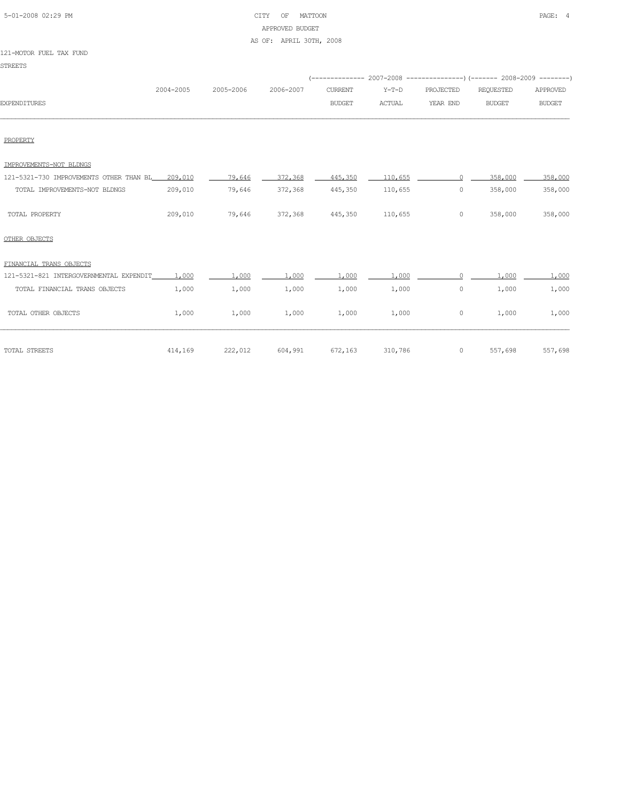| 5-01-2008 02:29 PM |  |
|--------------------|--|

## CITY OF MATTOON PAGE: 4 APPROVED BUDGET AS OF: APRIL 30TH, 2008

#### 121-MOTOR FUEL TAX FUND

STREETS

|                                         |           |           |           |                | (-------------- 2007-2008 -----------------) (------- 2008-2009 -------- |           |               |               |
|-----------------------------------------|-----------|-----------|-----------|----------------|--------------------------------------------------------------------------|-----------|---------------|---------------|
|                                         | 2004-2005 | 2005-2006 | 2006-2007 | <b>CURRENT</b> | $Y-T-D$                                                                  | PROJECTED | REQUESTED     | APPROVED      |
| <b>EXPENDITURES</b>                     |           |           |           | <b>BUDGET</b>  | <b>ACTUAL</b>                                                            | YEAR END  | <b>BUDGET</b> | <b>BUDGET</b> |
|                                         |           |           |           |                |                                                                          |           |               |               |
| PROPERTY                                |           |           |           |                |                                                                          |           |               |               |
| IMPROVEMENTS-NOT BLDNGS                 |           |           |           |                |                                                                          |           |               |               |
| 121-5321-730 IMPROVEMENTS OTHER THAN BL | 209,010   | 79,646    | 372,368   | 445,350        | 110,655                                                                  |           | 358,000       | 358,000       |
| TOTAL IMPROVEMENTS-NOT BLDNGS           | 209,010   | 79,646    | 372,368   | 445,350        | 110,655                                                                  | 0         | 358,000       | 358,000       |
| TOTAL PROPERTY                          | 209,010   | 79,646    | 372,368   | 445,350        | 110,655                                                                  | 0         | 358,000       | 358,000       |
| OTHER OBJECTS                           |           |           |           |                |                                                                          |           |               |               |
| FINANCIAL TRANS OBJECTS                 |           |           |           |                |                                                                          |           |               |               |
| 121-5321-821 INTERGOVERNMENTAL EXPENDIT | 1,000     | 1,000     | 1,000     | 1,000          | 1,000                                                                    | $\cap$    | 1,000         | 1,000         |
| TOTAL FINANCIAL TRANS OBJECTS           | 1,000     | 1,000     | 1,000     | 1,000          | 1,000                                                                    | 0         | 1,000         | 1,000         |
| TOTAL OTHER OBJECTS                     | 1,000     | 1,000     | 1,000     | 1,000          | 1,000                                                                    | 0         | 1,000         | 1,000         |

TOTAL STREETS 414,169 222,012 604,991 672,163 310,786 0 557,698 557,698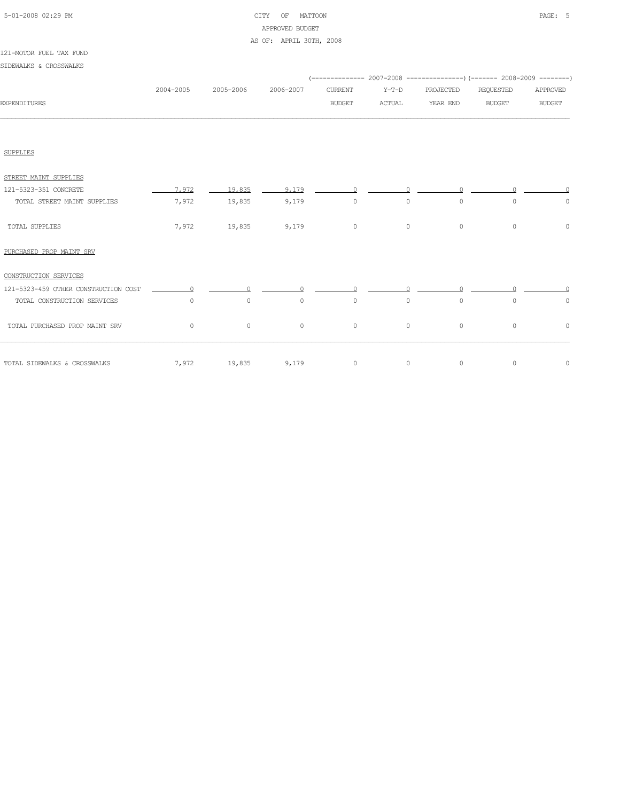|  | 5-01-2008 02:29 PM |  |
|--|--------------------|--|

## CITY OF MATTOON **PAGE:** 5 APPROVED BUDGET AS OF: APRIL 30TH, 2008

|                                      |           |           |           |               |          | (-------------- 2007-2008 ----------------) (------- 2008-2009 --------) |               |               |
|--------------------------------------|-----------|-----------|-----------|---------------|----------|--------------------------------------------------------------------------|---------------|---------------|
|                                      | 2004-2005 | 2005-2006 | 2006-2007 | CURRENT       | $Y-T-D$  | PROJECTED                                                                | REQUESTED     | APPROVED      |
| <b>EXPENDITURES</b>                  |           |           |           | <b>BUDGET</b> | ACTUAL   | YEAR END                                                                 | <b>BUDGET</b> | <b>BUDGET</b> |
|                                      |           |           |           |               |          |                                                                          |               |               |
| <b>SUPPLIES</b>                      |           |           |           |               |          |                                                                          |               |               |
| STREET MAINT SUPPLIES                |           |           |           |               |          |                                                                          |               |               |
| 121-5323-351 CONCRETE                | 7.972     | 19,835    | 9.179     | $\Omega$      | $\Omega$ | $\bigcap$                                                                | O.            | $\cap$        |
| TOTAL STREET MAINT SUPPLIES          | 7,972     | 19,835    | 9,179     | $\circ$       | $\circ$  | $\circ$                                                                  | $\circ$       | $\circ$       |
| TOTAL SUPPLIES                       | 7,972     | 19,835    | 9,179     | $\circ$       | $\circ$  | $\circ$                                                                  | $\circ$       | $\circ$       |
| PURCHASED PROP MAINT SRV             |           |           |           |               |          |                                                                          |               |               |
| CONSTRUCTION SERVICES                |           |           |           |               |          |                                                                          |               |               |
| 121-5323-459 OTHER CONSTRUCTION COST | $\cap$    | $\cap$    | $\Omega$  | $\cap$        | $\Omega$ | $\cap$                                                                   |               |               |
| TOTAL CONSTRUCTION SERVICES          | $\circ$   | $\circ$   | $\circ$   | $\circ$       | $\circ$  | $\circ$                                                                  | $\circ$       | $\circ$       |
| TOTAL PURCHASED PROP MAINT SRV       | $\circ$   | $\circ$   | $\circ$   | $\circ$       | $\circ$  | $\circ$                                                                  | $\circ$       | $\circ$       |
| TOTAL SIDEWALKS & CROSSWALKS         | 7,972     | 19,835    | 9,179     | $\circ$       | $\circ$  | $\circ$                                                                  | $\circ$       | $\circ$       |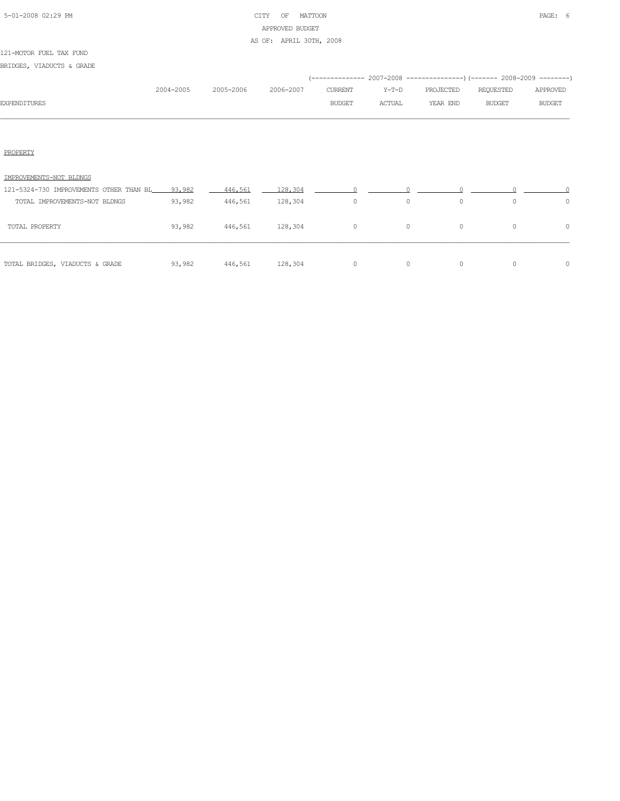# 5-01-2008 02:29 PM CITY OF MATTOON PAGE: 6 APPROVED BUDGET AS OF: APRIL 30TH, 2008

#### 121-MOTOR FUEL TAX FUND

BRIDGES, VIADUCTS & GRADE

|              |           |           |           |               |        | (-------------- 2007-2008 -------------------- 2008-2009 ---------) |               |               |
|--------------|-----------|-----------|-----------|---------------|--------|---------------------------------------------------------------------|---------------|---------------|
|              | 2004-2005 | 2005-2006 | 2006-2007 | CURRENT       | Y-T-D  | PROJECTED                                                           | REQUESTED     | APPROVED      |
| EXPENDITURES |           |           |           | <b>BUDGET</b> | ACTUAL | YEAR END                                                            | <b>BUDGET</b> | <b>BUDGET</b> |
|              |           |           |           |               |        |                                                                     |               |               |
|              |           |           |           |               |        |                                                                     |               |               |
|              |           |           |           |               |        |                                                                     |               |               |
| FROFERT)     |           |           |           |               |        |                                                                     |               |               |

| IMPROVEMENTS-NOT BLDNGS                        |        |         |                        |   |          |   |          |  |
|------------------------------------------------|--------|---------|------------------------|---|----------|---|----------|--|
| 121-5324-730 IMPROVEMENTS OTHER THAN BL 93,982 |        | 446.561 | 128,304<br>and a state |   |          |   |          |  |
| TOTAL IMPROVEMENTS-NOT BLDNGS                  | 93,982 | 446,561 | 128,304                | 0 | $\Omega$ |   |          |  |
| TOTAL PROPERTY                                 | 93,982 | 446,561 | 128,304                | 0 | $\Omega$ | 0 | $\Omega$ |  |
| TOTAL BRIDGES, VIADUCTS & GRADE                | 93,982 | 446,561 | 128,304                |   |          |   |          |  |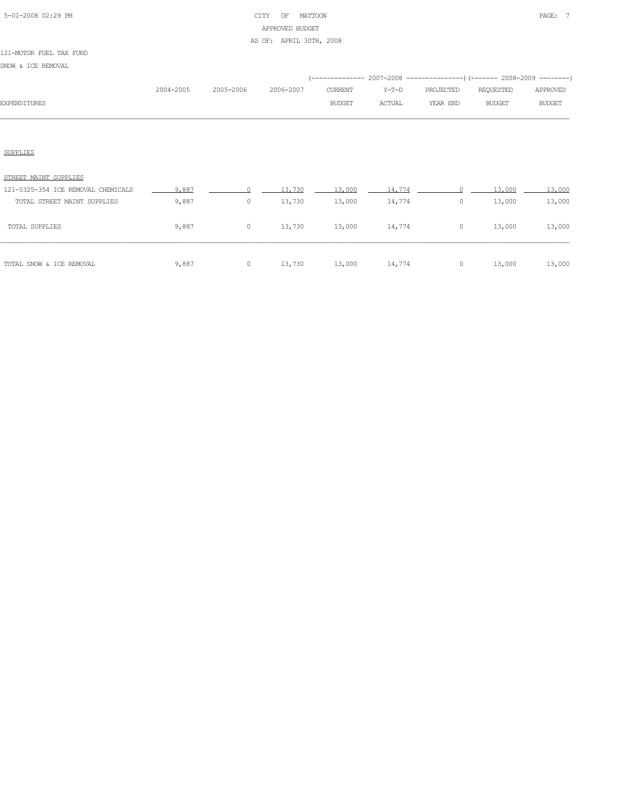# 5-01-2008 02:29 PM CITY OF MATTOON PAGE: 7 APPROVED BUDGET AS OF: APRIL 30TH, 2008

#### 121-MOTOR FUEL TAX FUND

SNOW & ICE REMOVAL

|                     |           |           |           |                |        | (------------- 2007-2008 ----------------) (------- 2008-2009 --------) |           |               |
|---------------------|-----------|-----------|-----------|----------------|--------|-------------------------------------------------------------------------|-----------|---------------|
|                     | 2004-2005 | 2005-2006 | 2006-2007 | <b>CURRENT</b> | Y-T-D  | PROJECTED                                                               | REQUESTED | APPROVED      |
| <b>EXPENDITURES</b> |           |           |           | <b>BUDGET</b>  | ACTUAL | YEAR END                                                                | BUDGET    | <b>BUDGET</b> |
|                     |           |           |           |                |        |                                                                         |           |               |
|                     |           |           |           |                |        |                                                                         |           |               |
|                     |           |           |           |                |        |                                                                         |           |               |

# SUPPLIES

| TOTAL SNOW & ICE REMOVAL           | 9,887 | 0 | 13,730 | 13,000 | 14,774 | 0 | 13,000 | 13,000 |
|------------------------------------|-------|---|--------|--------|--------|---|--------|--------|
| <b>TOTAL SUPPLIES</b>              | 9,887 | 0 | 13,730 | 13,000 | 14,774 | 0 | 13,000 | 13,000 |
| TOTAL STREET MAINT SUPPLIES        | 9,887 | 0 | 13,730 | 13,000 | 14,774 | 0 | 13,000 | 13,000 |
| 121-5325-354 ICE REMOVAL CHEMICALS | 9,887 |   | 13,730 | 13,000 | 14,774 |   | 13,000 | 13,000 |
| STREET MAINT SUPPLIES              |       |   |        |        |        |   |        |        |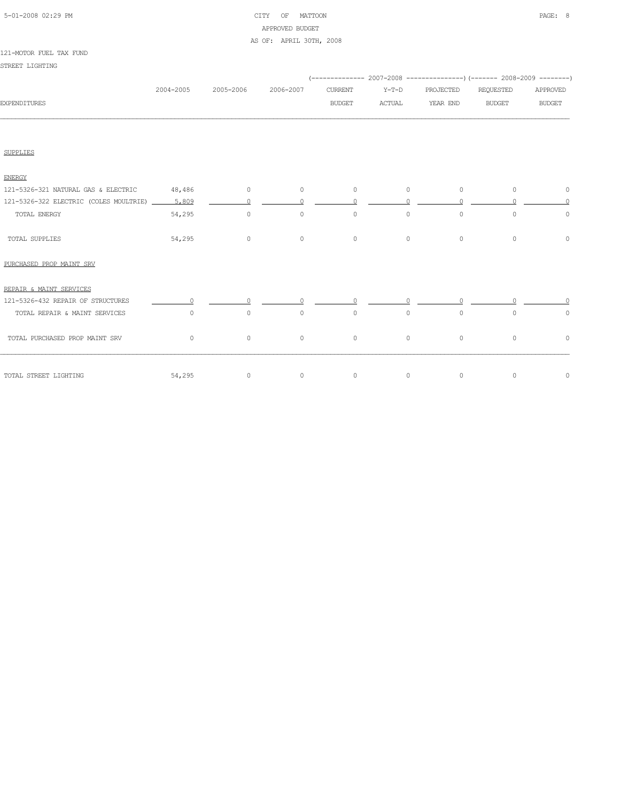# 5-01-2008 02:29 PM CITY OF MATTOON PAGE: 8 APPROVED BUDGET AS OF: APRIL 30TH, 2008

#### 121-MOTOR FUEL TAX FUND

STREET LIGHTING

|                                                      |           |                |           |                |         |           | (-------------- 2007-2008 ----------------) (------- 2008-2009 --------) |               |
|------------------------------------------------------|-----------|----------------|-----------|----------------|---------|-----------|--------------------------------------------------------------------------|---------------|
|                                                      | 2004-2005 | 2005-2006      | 2006-2007 | CURRENT        | $Y-T-D$ | PROJECTED | REQUESTED                                                                | APPROVED      |
| <b>EXPENDITURES</b>                                  |           |                |           | BUDGET         | ACTUAL  | YEAR END  | <b>BUDGET</b>                                                            | <b>BUDGET</b> |
|                                                      |           |                |           |                |         |           |                                                                          |               |
| <b>SUPPLIES</b>                                      |           |                |           |                |         |           |                                                                          |               |
| <b>ENERGY</b>                                        |           |                |           |                |         |           |                                                                          |               |
| 121-5326-321 NATURAL GAS & ELECTRIC 48,486 0         |           |                | 0         | $\circ$        | $\circ$ | $\circ$   | $\circ$                                                                  | 0             |
| 121-5326-322 ELECTRIC (COLES MOULTRIE) _______ 5,809 |           | $\Omega$       |           | $\Omega$       |         |           |                                                                          |               |
| TOTAL ENERGY                                         | 54,295    | $\circ$        | $\circ$   | $\circ$        | $\circ$ | $\circ$   | $\circ$                                                                  | $\circ$       |
| TOTAL SUPPLIES                                       | 54,295    | $\overline{0}$ | $\circ$   | $\overline{0}$ | $\circ$ | $\circ$   | $\circ$                                                                  | $\circ$       |
| PURCHASED PROP MAINT SRV                             |           |                |           |                |         |           |                                                                          |               |
| REPAIR & MAINT SERVICES                              |           |                |           |                |         |           |                                                                          |               |
| 121-5326-432 REPAIR OF STRUCTURES                    |           |                |           |                |         |           |                                                                          |               |
| TOTAL REPAIR & MAINT SERVICES                        | $\circ$   | $\circ$        | $\circ$   | $\circ$        | $\circ$ | $\circ$   | $\circ$                                                                  | $\circ$       |
| TOTAL PURCHASED PROP MAINT SRV                       | $\circ$   | $\circ$        | $\circ$   | $\circ$        | $\circ$ | $\circ$   | $\circ$                                                                  | $\circ$       |
| 54,295<br>TOTAL STREET LIGHTING                      |           | $\sim$ 0       | $\circ$   | $\overline{0}$ | $\circ$ | $\circ$   | $\circ$                                                                  | $\circ$       |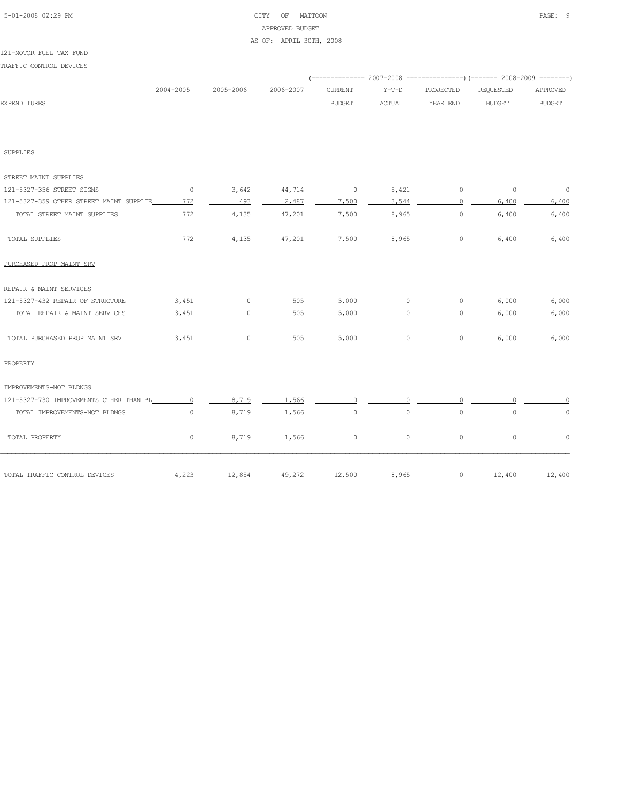#### 5-01-2008 02:29 PM CITY OF MATTOON PAGE: 9 APPROVED BUDGET AS OF: APRIL 30TH, 2008

TRAFFIC CONTROL DEVICES (-------------- 2007-2008 ---------------)(------- 2008-2009 --------) 2004-2005 2005-2006 2006-2007 CURRENT Y-T-D PROJECTED REQUESTED APPROVED EXPENDITURES BUDGET ACTUAL YEAR END BUDGET BUDGET SUPPLIES STREET MAINT SUPPLIES 121-5327-356 STREET SIGNS 0 3,642 44,714 0 5,421 0 0 0 121-5327-359 OTHER STREET MAINT SUPPLIE 772 493 493 4487 7,500 3,544 9,400 6,400 6,400 TOTAL STREET MAINT SUPPLIES 772 4,135 47,201 7,500 8,965 0 6,400 6,400 TOTAL SUPPLIES 772 4,135 47,201 7,500 8,965 0 6,400 6,400 PURCHASED PROP MAINT SRV REPAIR & MAINT SERVICES 121-5327-432 REPAIR OF STRUCTURE  $\overline{3,451}$   $\overline{0}$  5.05  $\overline{5,000}$   $\overline{0}$   $\overline{0}$  6,000  $\overline{0}$  6,000 TOTAL REPAIR & MAINT SERVICES 3,451 0 505 5,000 0 0 6,000 6,000 TOTAL PURCHASED PROP MAINT SRV 3,451 0 505 5,000 0 6,000 6,000 6,000 PROPERTY IMPROVEMENTS-NOT BLDNGS 121-5327-730 IMPROVEMENTS OTHER THAN BL 0 8,719 1,566 0 0 0 0 0 TOTAL IMPROVEMENTS-NOT BLDNGS  $0$  8,719 1,566 0 0 0 0 0 0 0

TOTAL PROPERTY 0 8,719 1,566 0 0 0 0 0

TOTAL TRAFFIC CONTROL DEVICES 4,223 12,854 49,272 12,500 8,965 0 12,400 12,400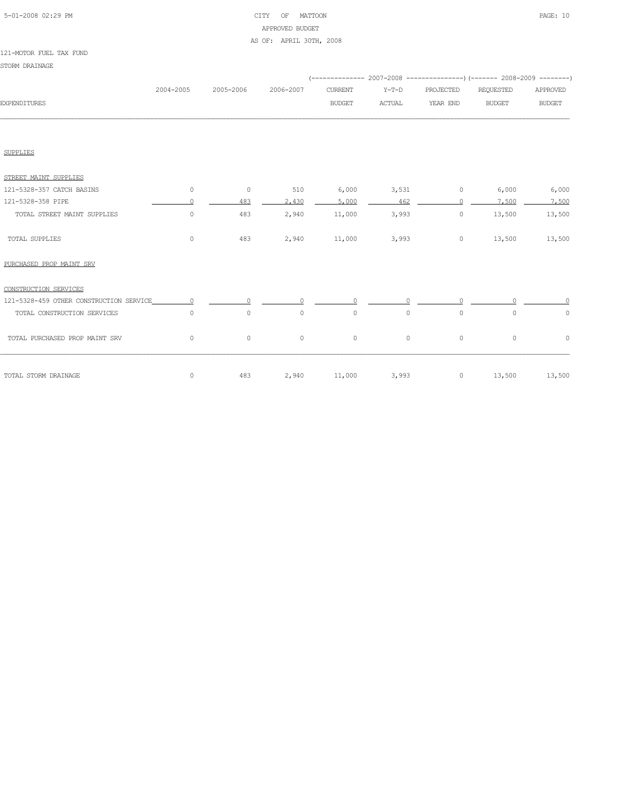# 5-01-2008 02:29 PM CITY OF MATTOON PAGE: 10 APPROVED BUDGET AS OF: APRIL 30TH, 2008

#### 121-MOTOR FUEL TAX FUND

STORM DRAINAGE

|                                         |           |           |           |                |         |           | (-------------- 2007-2008 ----------------) (------- 2008-2009 --------) |               |
|-----------------------------------------|-----------|-----------|-----------|----------------|---------|-----------|--------------------------------------------------------------------------|---------------|
|                                         | 2004-2005 | 2005-2006 | 2006-2007 | <b>CURRENT</b> | $Y-T-D$ | PROJECTED | REQUESTED                                                                | APPROVED      |
| <b>EXPENDITURES</b>                     |           |           |           | <b>BUDGET</b>  | ACTUAL  | YEAR END  | <b>BUDGET</b>                                                            | <b>BUDGET</b> |
|                                         |           |           |           |                |         |           |                                                                          |               |
| SUPPLIES                                |           |           |           |                |         |           |                                                                          |               |
| STREET MAINT SUPPLIES                   |           |           |           |                |         |           |                                                                          |               |
| 121-5328-357 CATCH BASINS               | 0         | $\circ$   | 510       | 6,000          | 3,531   | $\circ$   | 6,000                                                                    | 6,000         |
| 121-5328-358 PIPE                       | $\Omega$  | 483       | 2,430     | 5,000          | 462     | $\Omega$  | 7,500                                                                    | 7,500         |
| TOTAL STREET MAINT SUPPLIES             | $\circ$   | 483       | 2,940     | 11,000         | 3,993   | $\circ$   | 13,500                                                                   | 13,500        |
| TOTAL SUPPLIES                          | $\circ$   | 483       | 2,940     | 11,000         | 3,993   | $\circ$   | 13,500                                                                   | 13,500        |
| PURCHASED PROP MAINT SRV                |           |           |           |                |         |           |                                                                          |               |
| CONSTRUCTION SERVICES                   |           |           |           |                |         |           |                                                                          |               |
| 121-5328-459 OTHER CONSTRUCTION SERVICE | $\cap$    |           |           |                |         |           |                                                                          |               |
| TOTAL CONSTRUCTION SERVICES             | $\circ$   | $\circ$   | $\circ$   | $\circ$        | $\circ$ | $\circ$   | $\circ$                                                                  | $\circ$       |
| TOTAL PURCHASED PROP MAINT SRV          | $\circ$   | $\circ$   | $\circ$   | $\circ$        | $\circ$ | $\circ$   | $\circ$                                                                  | $\circ$       |
| TOTAL STORM DRAINAGE                    | 0         | 483       | 2,940     | 11,000         | 3,993   | $\circ$   | 13,500                                                                   | 13,500        |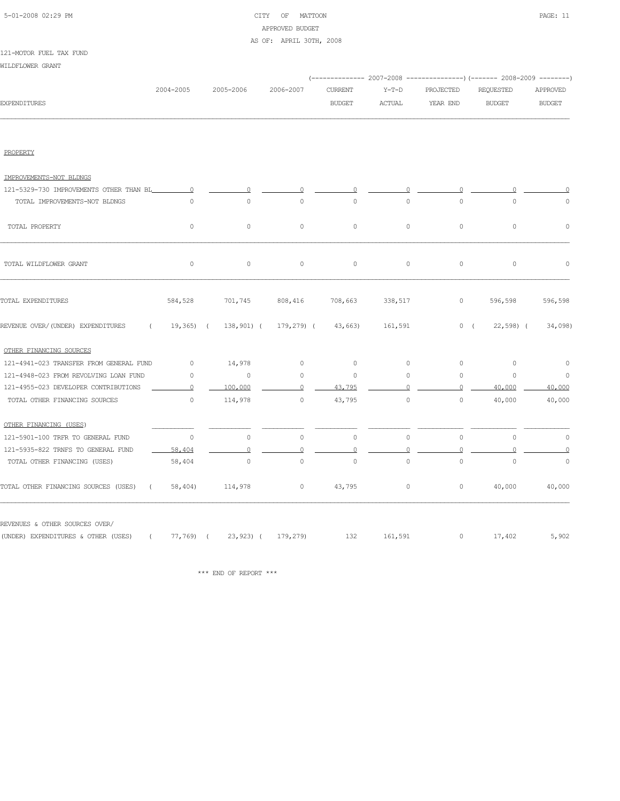# 5-01-2008 02:29 PM CITY OF MATTOON PAGE: 11 APPROVED BUDGET AS OF: APRIL 30TH, 2008

#### 121-MOTOR FUEL TAX FUND

WILDFLOWER GRANT

|                                                    |                |                                      |                |                     |                     |              | (-------------- 2007-2008 ---------------) (------- 2008-2009 --------) |                     |
|----------------------------------------------------|----------------|--------------------------------------|----------------|---------------------|---------------------|--------------|-------------------------------------------------------------------------|---------------------|
|                                                    | 2004-2005      | 2005-2006                            | 2006-2007      | <b>CURRENT</b>      | $Y-T-D$             | PROJECTED    | REQUESTED                                                               | APPROVED            |
| <b>EXPENDITURES</b>                                |                |                                      |                | <b>BUDGET</b>       | ACTUAL              | YEAR END     | <b>BUDGET</b>                                                           | <b>BUDGET</b>       |
|                                                    |                |                                      |                |                     |                     |              |                                                                         |                     |
| PROPERTY                                           |                |                                      |                |                     |                     |              |                                                                         |                     |
| IMPROVEMENTS-NOT BLDNGS                            |                |                                      |                |                     |                     |              |                                                                         |                     |
| 121-5329-730 IMPROVEMENTS OTHER THAN BL            | $\overline{0}$ | $\circ$                              |                |                     |                     |              |                                                                         |                     |
| TOTAL IMPROVEMENTS-NOT BLDNGS                      | $\overline{0}$ | $\circ$                              | $\overline{0}$ | $\circ$             | $\circ$             | $\circ$      | $\circ$                                                                 | $\circ$             |
| TOTAL PROPERTY                                     | 0              | $\circ$                              | $\circ$        | $\mathsf{O}\xspace$ | $\mathsf{O}\xspace$ | $\circ$      | $\mathbb O$                                                             | $\mathbb O$         |
| TOTAL WILDFLOWER GRANT                             | $\circ$        | $\circ$                              | $\circ$        | $\circ$             | $\circ$             | $\circ$      | $\circ$                                                                 | $\circ$             |
| TOTAL EXPENDITURES                                 | 584,528        | 701,745                              | 808,416        | 708,663             | 338,517             | $\circ$      | 596,598                                                                 | 596,598             |
| REVENUE OVER/(UNDER) EXPENDITURES<br>$\sqrt{2}$    | $19,365$ ) (   | 138,901) (                           | 179,279) (     | 43,663)             | 161,591             |              | 0(<br>$(22, 598)$ (                                                     | 34,098)             |
| OTHER FINANCING SOURCES                            |                |                                      |                |                     |                     |              |                                                                         |                     |
| 121-4941-023 TRANSFER FROM GENERAL FUND            | $\circ$        | 14,978                               | $\circ$        | $\circ$             | $\circ$             | $\mathbf{0}$ | $\circ$                                                                 | $\circ$             |
| 121-4948-023 FROM REVOLVING LOAN FUND              | $\circ$        | $\circ$                              | $\mathbf{0}$   | $\circ$             | $\mathbf{0}$        | $\circ$      | $\circ$                                                                 | $\circ$             |
| 121-4955-023 DEVELOPER CONTRIBUTIONS               | $\circ$        | 100,000                              | $\circ$        | 43,795              |                     | $\circ$      | 40,000                                                                  | 40,000              |
| TOTAL OTHER FINANCING SOURCES                      | $\circ$        | 114,978                              | $\circ$        | 43,795              | $\circ$             | $\circ$      | 40,000                                                                  | 40,000              |
| OTHER FINANCING (USES)                             |                |                                      |                |                     |                     |              |                                                                         |                     |
| 121-5901-100 TRFR TO GENERAL FUND                  | $\circ$        | $\circ$                              | $\circ$        | $\circ$             | $\mathsf{O}\xspace$ | $\circ$      | $\circ$                                                                 | $\circ$             |
| 121-5935-822 TRNFS TO GENERAL FUND                 | 58,404         | $\overline{0}$                       | 0              | 0                   | 0                   | $\Omega$     |                                                                         | $\mathbf 0$         |
| TOTAL OTHER FINANCING (USES)                       | 58,404         | $\circ$                              | $\circ$        | $\circ$             | $\mathsf{O}\xspace$ | $\circ$      | $\mathbb O$                                                             | $\mathsf{O}\xspace$ |
| TOTAL OTHER FINANCING SOURCES (USES)<br>$\sqrt{2}$ | 58,404)        | 114,978                              | $\circ$        | 43,795              | $\circ$             | $\circ$      | 40,000                                                                  | 40,000              |
| REVENUES & OTHER SOURCES OVER/                     |                |                                      |                |                     |                     |              |                                                                         |                     |
| (UNDER) EXPENDITURES & OTHER (USES)                |                | $(77, 769)$ $(23, 923)$ $(179, 279)$ |                | 132                 | 161,591             | $\circ$      | 17,402                                                                  | 5,902               |

 $\hspace{0.1mm}^{\star\star\star}$  END OF REPORT  $\hspace{0.1mm}^{\star\star\star}$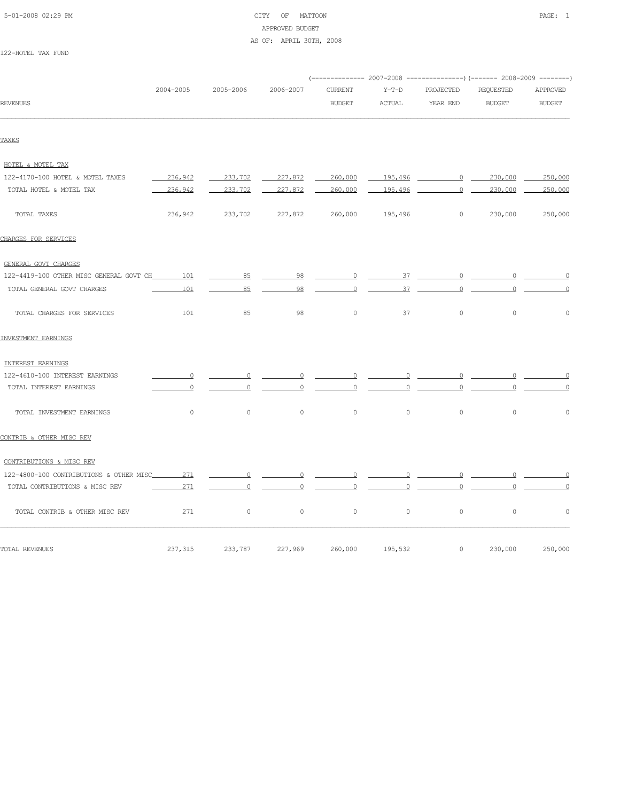# 5-01-2008 02:29 PM CITY OF MATTOON PAGE: 1 APPROVED BUDGET AS OF: APRIL 30TH, 2008

122-HOTEL TAX FUND

| 2005-2006<br>236,942<br>233,702<br>236,942<br>233,702<br>236,942<br>233,702 | 2006-2007<br>227,872<br>227,872<br>227,872                                                                       | <b>CURRENT</b><br><b>BUDGET</b><br>260,000<br>260,000<br>260,000 | $Y-T-D$<br>ACTUAL<br>195.496<br>195,496<br>195,496 | PROJECTED<br>YEAR END<br>$\circ$ | REQUESTED<br><b>BUDGET</b><br>$\overline{0}$<br>230,000<br>230,000<br>$0 \qquad \qquad$<br>230,000 | APPROVED<br><b>BUDGET</b><br>250,000<br>250,000<br>250,000                                                                                                                                                                                                                                                                                                                                                                                                                                         |
|-----------------------------------------------------------------------------|------------------------------------------------------------------------------------------------------------------|------------------------------------------------------------------|----------------------------------------------------|----------------------------------|----------------------------------------------------------------------------------------------------|----------------------------------------------------------------------------------------------------------------------------------------------------------------------------------------------------------------------------------------------------------------------------------------------------------------------------------------------------------------------------------------------------------------------------------------------------------------------------------------------------|
|                                                                             |                                                                                                                  |                                                                  |                                                    |                                  |                                                                                                    |                                                                                                                                                                                                                                                                                                                                                                                                                                                                                                    |
|                                                                             |                                                                                                                  |                                                                  |                                                    |                                  |                                                                                                    |                                                                                                                                                                                                                                                                                                                                                                                                                                                                                                    |
|                                                                             |                                                                                                                  |                                                                  |                                                    |                                  |                                                                                                    |                                                                                                                                                                                                                                                                                                                                                                                                                                                                                                    |
|                                                                             |                                                                                                                  |                                                                  |                                                    |                                  |                                                                                                    |                                                                                                                                                                                                                                                                                                                                                                                                                                                                                                    |
|                                                                             |                                                                                                                  |                                                                  |                                                    |                                  |                                                                                                    |                                                                                                                                                                                                                                                                                                                                                                                                                                                                                                    |
|                                                                             |                                                                                                                  |                                                                  |                                                    |                                  |                                                                                                    |                                                                                                                                                                                                                                                                                                                                                                                                                                                                                                    |
|                                                                             |                                                                                                                  |                                                                  |                                                    |                                  |                                                                                                    |                                                                                                                                                                                                                                                                                                                                                                                                                                                                                                    |
|                                                                             |                                                                                                                  |                                                                  |                                                    |                                  |                                                                                                    |                                                                                                                                                                                                                                                                                                                                                                                                                                                                                                    |
|                                                                             |                                                                                                                  |                                                                  |                                                    |                                  |                                                                                                    |                                                                                                                                                                                                                                                                                                                                                                                                                                                                                                    |
|                                                                             |                                                                                                                  |                                                                  |                                                    |                                  |                                                                                                    |                                                                                                                                                                                                                                                                                                                                                                                                                                                                                                    |
| 85                                                                          | 98                                                                                                               |                                                                  |                                                    |                                  | $\overline{0}$                                                                                     | $\sim$ 000 $\sim$ 000 $\sim$ 000 $\sim$ 000 $\sim$ 000 $\sim$ 000 $\sim$                                                                                                                                                                                                                                                                                                                                                                                                                           |
| 85                                                                          | 98                                                                                                               | $\circ$                                                          |                                                    |                                  | $\circ$                                                                                            | $\Omega$                                                                                                                                                                                                                                                                                                                                                                                                                                                                                           |
| 85                                                                          | 98                                                                                                               | $\circ$                                                          | 37                                                 | $\circ$                          | $\mathbb O$                                                                                        | $\mathbb O$                                                                                                                                                                                                                                                                                                                                                                                                                                                                                        |
|                                                                             |                                                                                                                  |                                                                  |                                                    |                                  |                                                                                                    |                                                                                                                                                                                                                                                                                                                                                                                                                                                                                                    |
|                                                                             |                                                                                                                  |                                                                  |                                                    |                                  |                                                                                                    |                                                                                                                                                                                                                                                                                                                                                                                                                                                                                                    |
| $\overline{0}$                                                              | $\overline{0}$                                                                                                   | $\overline{0}$                                                   | $\overline{0}$                                     |                                  | $\overline{0}$                                                                                     | $\Omega$                                                                                                                                                                                                                                                                                                                                                                                                                                                                                           |
| $\circ$                                                                     | $\circ$                                                                                                          | $\circ$                                                          | $\circ$                                            |                                  | $\circ$                                                                                            | $\Omega$                                                                                                                                                                                                                                                                                                                                                                                                                                                                                           |
| $\circ$                                                                     | $\circ$                                                                                                          | $\circ$                                                          | $\circ$                                            | $\circ$                          | $\circ$                                                                                            | $\circ$                                                                                                                                                                                                                                                                                                                                                                                                                                                                                            |
|                                                                             |                                                                                                                  |                                                                  |                                                    |                                  |                                                                                                    |                                                                                                                                                                                                                                                                                                                                                                                                                                                                                                    |
|                                                                             |                                                                                                                  |                                                                  |                                                    |                                  |                                                                                                    |                                                                                                                                                                                                                                                                                                                                                                                                                                                                                                    |
|                                                                             | $\overline{0}$                                                                                                   |                                                                  |                                                    |                                  |                                                                                                    |                                                                                                                                                                                                                                                                                                                                                                                                                                                                                                    |
| $\circ$                                                                     | $\Omega$                                                                                                         | $\circ$                                                          |                                                    |                                  |                                                                                                    | $\Omega$                                                                                                                                                                                                                                                                                                                                                                                                                                                                                           |
| $\circ$                                                                     | $\circ$                                                                                                          | $\circ$                                                          | $\circ$                                            | $\circ$                          | $\mathbb O$                                                                                        | $\circ$                                                                                                                                                                                                                                                                                                                                                                                                                                                                                            |
|                                                                             | 122-4419-100 OTHER MISC GENERAL GOVT CH________ 101<br>101<br>101<br>$\circ$<br>$\circ$<br>$\circ$<br>271<br>271 | $\overline{0}$ $\overline{0}$                                    |                                                    | $\overline{0}$                   | $37 -$<br>0                                                                                        | $37 \quad 0 \quad$<br>0<br>$\overline{0}$ and $\overline{0}$ and $\overline{0}$ and $\overline{0}$ and $\overline{0}$ and $\overline{0}$ and $\overline{0}$ and $\overline{0}$ and $\overline{0}$ and $\overline{0}$ and $\overline{0}$ and $\overline{0}$ and $\overline{0}$ and $\overline{0}$ and $\overline{0}$ and $\overline{0}$ and $\overline{0}$ and<br>0<br>$\begin{array}{ccccccccccccccccc} 0 & \cdots & \cdots & 0 & \cdots & \cdots & 0 & \cdots & \cdots & 0 \end{array}$<br>0<br>0 |

TOTAL REVENUES 237,315 233,787 227,969 260,000 195,532 0 230,000 250,000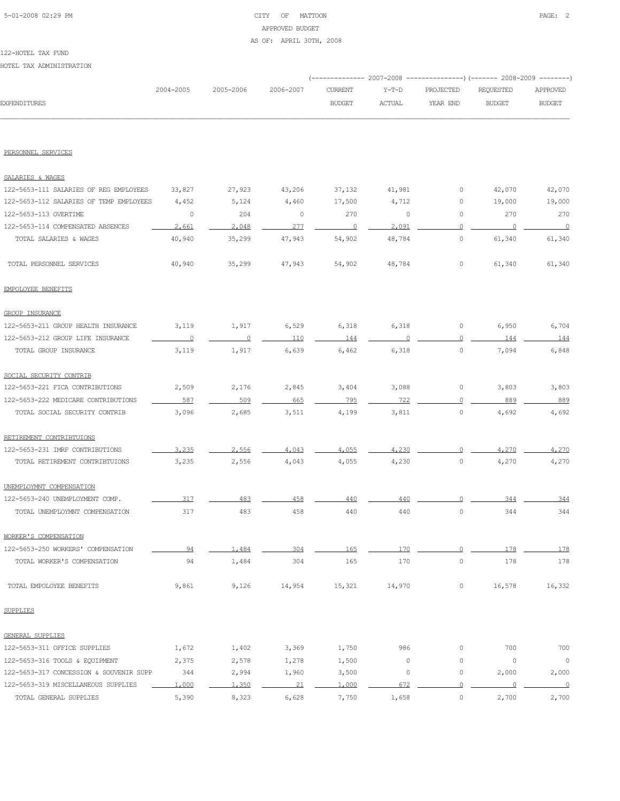# 5-01-2008 02:29 PM CITY OF MATTOON PAGE: 2 APPROVED BUDGET AS OF: APRIL 30TH, 2008

#### 122-HOTEL TAX FUND

HOTEL TAX ADMINISTRATION

|                                         |           |           |           | ----------- 2007-2008 |               |                     | ----------------) (------- 2008-2009 -------- |                |
|-----------------------------------------|-----------|-----------|-----------|-----------------------|---------------|---------------------|-----------------------------------------------|----------------|
|                                         | 2004-2005 | 2005-2006 | 2006-2007 | <b>CURRENT</b>        | $Y-T-D$       | PROJECTED           | REQUESTED                                     | APPROVED       |
| EXPENDITURES                            |           |           |           | <b>BUDGET</b>         | <b>ACTUAL</b> | YEAR END            | <b>BUDGET</b>                                 | <b>BUDGET</b>  |
|                                         |           |           |           |                       |               |                     |                                               |                |
| PERSONNEL SERVICES                      |           |           |           |                       |               |                     |                                               |                |
| SALARIES & WAGES                        |           |           |           |                       |               |                     |                                               |                |
| 122-5653-111 SALARIES OF REG EMPLOYEES  | 33,827    | 27,923    | 43,206    | 37,132                | 41,981        | 0                   | 42,070                                        | 42,070         |
| 122-5653-112 SALARIES OF TEMP EMPLOYEES | 4,452     | 5,124     | 4,460     | 17,500                | 4,712         | 0                   | 19,000                                        | 19,000         |
| 122-5653-113 OVERTIME                   | $\circ$   | 204       | 0         | 270                   | $\circ$       | 0                   | 270                                           | 270            |
| 122-5653-114 COMPENSATED ABSENCES       | 2,661     | 2,048     | 277       | $\overline{0}$        | 2,091         | $\Omega$            | $\circ$                                       | $\overline{0}$ |
| TOTAL SALARIES & WAGES                  | 40,940    | 35,299    | 47,943    | 54,902                | 48,784        | $\mathsf{O}\xspace$ | 61,340                                        | 61,340         |
| TOTAL PERSONNEL SERVICES                | 40,940    | 35,299    | 47,943    | 54,902                | 48,784        | 0                   | 61,340                                        | 61,340         |
| EMPOLOYEE BENEFITS                      |           |           |           |                       |               |                     |                                               |                |
| <b>GROUP INSURANCE</b>                  |           |           |           |                       |               |                     |                                               |                |
| 122-5653-211 GROUP HEALTH INSURANCE     | 3,119     | 1,917     | 6,529     | 6,318                 | 6,318         | 0                   | 6,950                                         | 6,704          |
| 122-5653-212 GROUP LIFE INSURANCE       | $\circ$   | $\circ$   | 110       | 144                   |               | $\circ$             | 144                                           | 144            |
| TOTAL GROUP INSURANCE                   | 3,119     | 1,917     | 6,639     | 6,462                 | 6,318         | $\circ$             | 7,094                                         | 6,848          |
| SOCIAL SECURITY CONTRIB                 |           |           |           |                       |               |                     |                                               |                |
| 122-5653-221 FICA CONTRIBUTIONS         | 2,509     | 2,176     | 2,845     | 3,404                 | 3,088         | 0                   | 3,803                                         | 3,803          |
| 122-5653-222 MEDICARE CONTRIBUTIONS     | 587       | 509       | 665       | 795                   | 722           | $\circ$             | 889                                           | 889            |
| TOTAL SOCIAL SECURITY CONTRIB           | 3,096     | 2,685     | 3,511     | 4,199                 | 3,811         | $\circ$             | 4,692                                         | 4,692          |
| RETIREMENT CONTRIBTUIONS                |           |           |           |                       |               |                     |                                               |                |
| 122-5653-231 IMRF CONTRIBUTIONS         | 3,235     | 2,556     | 4,043     | 4,055                 | 4,230         | $\Omega$            | 4,270                                         | 4,270          |
| TOTAL RETIREMENT CONTRIBTUIONS          | 3,235     | 2,556     | 4,043     | 4,055                 | 4,230         | $\circ$             | 4,270                                         | 4,270          |
| UNEMPLOYMNT COMPENSATION                |           |           |           |                       |               |                     |                                               |                |
| 122-5653-240 UNEMPLOYMENT COMP.         | 317       | 483       | 458       | 440                   | 440           | 0                   | 344                                           | 344            |
| TOTAL UNEMPLOYMNT COMPENSATION          | 317       | 483       | 458       | 440                   | 440           | $\circ$             | 344                                           | 344            |
| WORKER'S COMPENSATION                   |           |           |           |                       |               |                     |                                               |                |
| 122-5653-250 WORKERS' COMPENSATION      | 94        | 1.484     | 304       | 165                   | 170           | $\circ$             | 178                                           | 178            |
| TOTAL WORKER'S COMPENSATION             | 94        | 1,484     | 304       | 165                   | 170           | $\circ$             | 178                                           | 178            |
| TOTAL EMPOLOYEE BENEFITS                | 9,861     | 9,126     | 14,954    | 15,321                | 14,970        | $\circ$             | 16,578                                        | 16,332         |
| SUPPLIES                                |           |           |           |                       |               |                     |                                               |                |
| GENERAL SUPPLIES                        |           |           |           |                       |               |                     |                                               |                |
| 122-5653-311 OFFICE SUPPLIES            | 1,672     | 1,402     | 3,369     | 1,750                 | 986           | 0                   | 700                                           | 700            |
| 122-5653-316 TOOLS & EQUIPMENT          | 2,375     | 2,578     | 1,278     | 1,500                 | 0             | 0                   | $\circ$                                       | $\circ$        |
| 122-5653-317 CONCESSION & SOUVENIR SUPP | 344       | 2,994     | 1,960     | 3,500                 | $\circ$       | 0                   | 2,000                                         | 2,000          |
| 122-5653-319 MISCELLANEOUS SUPPLIES     | 1,000     | 1,350     | 21        | 1,000                 | 672           | $\circ$             | $\Omega$                                      | $\overline{0}$ |
| TOTAL GENERAL SUPPLIES                  | 5,390     | 8,323     | 6,628     | 7,750                 | 1,658         | $\circ$             | 2,700                                         | 2,700          |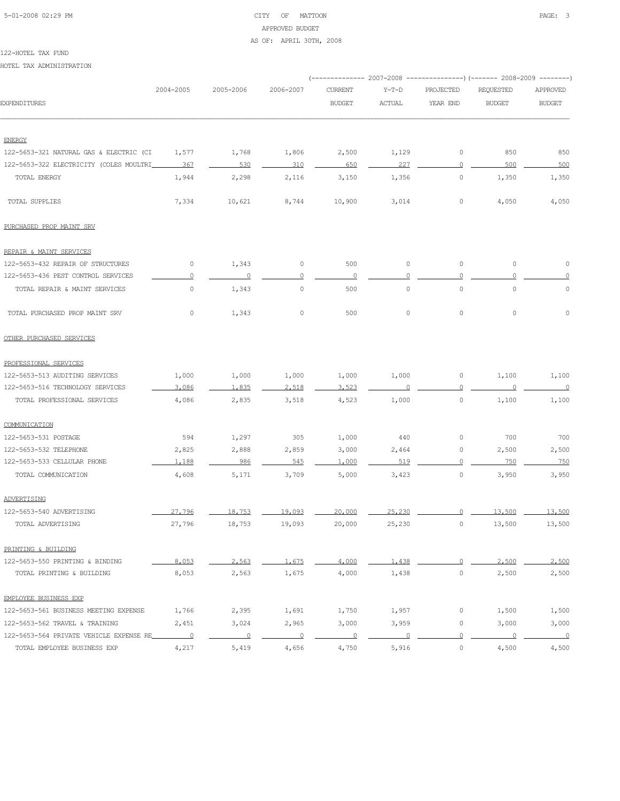# 5-01-2008 02:29 PM CITY OF MATTOON PAGE: 3 APPROVED BUDGET AS OF: APRIL 30TH, 2008

#### 122-HOTEL TAX FUND

HOTEL TAX ADMINISTRATION

|                                         |                          |                |           |                |                     |                | (------------- 2007-2008 ---------------) (------- 2008-2009 --------) |                          |
|-----------------------------------------|--------------------------|----------------|-----------|----------------|---------------------|----------------|------------------------------------------------------------------------|--------------------------|
|                                         | 2004-2005                | 2005-2006      | 2006-2007 | <b>CURRENT</b> | $Y-T-D$             | PROJECTED      | REQUESTED                                                              | APPROVED                 |
| EXPENDITURES                            |                          |                |           | <b>BUDGET</b>  | <b>ACTUAL</b>       | YEAR END       | <b>BUDGET</b>                                                          | <b>BUDGET</b>            |
|                                         |                          |                |           |                |                     |                |                                                                        |                          |
| <b>ENERGY</b>                           |                          |                |           |                |                     |                |                                                                        |                          |
| 122-5653-321 NATURAL GAS & ELECTRIC (CI | 1,577                    | 1,768          | 1,806     | 2,500          | 1,129               | 0              | 850                                                                    | 850                      |
| 122-5653-322 ELECTRICITY (COLES MOULTRI | 367                      | 530            | 310       | 650            | 227                 | $\Omega$       | 500                                                                    | 500                      |
| TOTAL ENERGY                            | 1,944                    | 2,298          | 2,116     | 3,150          | 1,356               | 0              | 1,350                                                                  | 1,350                    |
| TOTAL SUPPLIES                          | 7,334                    | 10,621         | 8,744     | 10,900         | 3,014               | 0              | 4,050                                                                  | 4,050                    |
| PURCHASED PROP MAINT SRV                |                          |                |           |                |                     |                |                                                                        |                          |
| REPAIR & MAINT SERVICES                 |                          |                |           |                |                     |                |                                                                        |                          |
| 122-5653-432 REPAIR OF STRUCTURES       | 0                        | 1,343          | 0         | 500            | $\circ$             | 0              | $\circ$                                                                | $\circ$                  |
| 122-5653-436 PEST CONTROL SERVICES      | 0                        | $\overline{0}$ | $\Omega$  | $\overline{0}$ |                     | $\Omega$       | $\Omega$                                                               | $\circ$                  |
| TOTAL REPAIR & MAINT SERVICES           | $\mathbb O$              | 1,343          | 0         | 500            | $\mathsf{O}\xspace$ | $\circ$        | $\mathsf{O}\xspace$                                                    | $\circ$                  |
| TOTAL PURCHASED PROP MAINT SRV          | 0                        | 1,343          | $\circ$   | 500            | 0                   | 0              | $\circ$                                                                | $\circ$                  |
| OTHER PURCHASED SERVICES                |                          |                |           |                |                     |                |                                                                        |                          |
| PROFESSIONAL SERVICES                   |                          |                |           |                |                     |                |                                                                        |                          |
| 122-5653-513 AUDITING SERVICES          | 1,000                    | 1,000          | 1,000     | 1,000          | 1,000               | 0              | 1,100                                                                  | 1,100                    |
| 122-5653-516 TECHNOLOGY SERVICES        | 3,086                    | 1.835          | 2,518     | 3.523          |                     |                |                                                                        | $\overline{\phantom{0}}$ |
| TOTAL PROFESSIONAL SERVICES             | 4,086                    | 2,835          | 3,518     | 4,523          | 1,000               | $\circ$        | 1,100                                                                  | 1,100                    |
| COMMUNICATION                           |                          |                |           |                |                     |                |                                                                        |                          |
| 122-5653-531 POSTAGE                    | 594                      | 1,297          | 305       | 1,000          | 440                 | 0              | 700                                                                    | 700                      |
| 122-5653-532 TELEPHONE                  | 2,825                    | 2,888          | 2,859     | 3,000          | 2,464               | 0              | 2,500                                                                  | 2,500                    |
| 122-5653-533 CELLULAR PHONE             | 1,188                    | 986            | 545       | 1,000          | 519                 | $\Omega$       | 750                                                                    | 750                      |
| TOTAL COMMUNICATION                     | 4,608                    | 5,171          | 3,709     | 5,000          | 3,423               | $\circ$        | 3,950                                                                  | 3,950                    |
| ADVERTISING                             |                          |                |           |                |                     |                |                                                                        |                          |
| 122-5653-540 ADVERTISING                | 27,796                   | 18,753         | 19,093    | 20,000         | 25,230              | $\overline{0}$ | 13,500                                                                 | 13,500                   |
| TOTAL ADVERTISING                       | 27,796                   | 18,753         | 19,093    | 20,000         | 25,230              | $\circ$        | 13,500                                                                 | 13,500                   |
| PRINTING & BUILDING                     |                          |                |           |                |                     |                |                                                                        |                          |
| 122-5653-550 PRINTING & BINDING         | 8,053                    | 2,563          | 1,675     | 4,000          | 1,438               | $\Omega$       | 2,500                                                                  | 2,500                    |
| TOTAL PRINTING & BUILDING               | 8,053                    | 2,563          | 1,675     | 4,000          | 1,438               | 0              | 2,500                                                                  | 2,500                    |
| EMPLOYEE BUSINESS EXP                   |                          |                |           |                |                     |                |                                                                        |                          |
| 122-5653-561 BUSINESS MEETING EXPENSE   | 1,766                    | 2,395          | 1,691     | 1,750          | 1,957               | 0              | 1,500                                                                  | 1,500                    |
| 122-5653-562 TRAVEL & TRAINING          | 2,451                    | 3,024          | 2,965     | 3,000          | 3,959               | 0              | 3,000                                                                  | 3,000                    |
| 122-5653-564 PRIVATE VEHICLE EXPENSE RE | $\overline{\phantom{0}}$ | $\overline{0}$ | $\circ$   | 0              |                     | 0              | $\circ$                                                                | $\overline{\phantom{0}}$ |
| TOTAL EMPLOYEE BUSINESS EXP             | 4,217                    | 5,419          | 4,656     | 4,750          | 5,916               | $\circ$        | 4,500                                                                  | 4,500                    |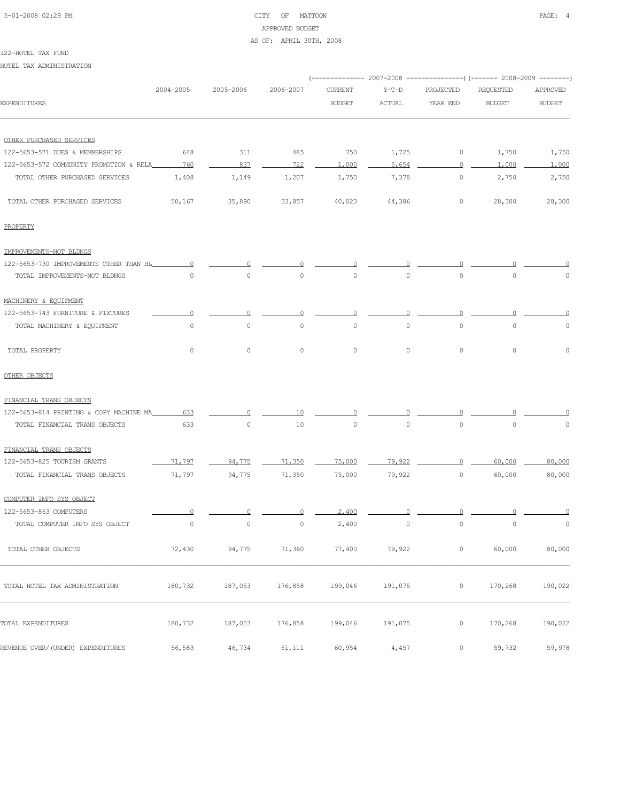# 5-01-2008 02:29 PM CITY OF MATTOON PAGE: 4 APPROVED BUDGET AS OF: APRIL 30TH, 2008

#### 122-HOTEL TAX FUND

HOTEL TAX ADMINISTRATION

|                                         |           |           |                |                |         |             | (-------------- 2007-2008 ----------------) (------- 2008-2009 --------) |                |
|-----------------------------------------|-----------|-----------|----------------|----------------|---------|-------------|--------------------------------------------------------------------------|----------------|
|                                         | 2004-2005 | 2005-2006 | 2006-2007      | <b>CURRENT</b> | $Y-T-D$ | PROJECTED   | REQUESTED                                                                | APPROVED       |
| EXPENDITURES                            |           |           |                | <b>BUDGET</b>  | ACTUAL  | YEAR END    | <b>BUDGET</b>                                                            | <b>BUDGET</b>  |
|                                         |           |           |                |                |         |             |                                                                          |                |
| OTHER PURCHASED SERVICES                |           |           |                |                |         |             |                                                                          |                |
| 122-5653-571 DUES & MEMBERSHIPS         | 648       | 311       | 485            | 750            | 1,725   | $\mathbb O$ | 1,750                                                                    | 1,750          |
| 122-5653-572 COMMUNITY PROMOTION & RELA | 760       | 837       | 722            | 1,000          | 5,654   | 0           | 1,000                                                                    | 1,000          |
| TOTAL OTHER PURCHASED SERVICES          | 1,408     | 1,149     | 1,207          | 1,750          | 7,378   | 0           | 2,750                                                                    | 2,750          |
| TOTAL OTHER PURCHASED SERVICES          | 50,167    | 35,890    | 33,857         | 40,023         | 44,386  | 0           | 28,300                                                                   | 28,300         |
| PROPERTY                                |           |           |                |                |         |             |                                                                          |                |
| IMPROVEMENTS-NOT BLDNGS                 |           |           |                |                |         |             |                                                                          |                |
| 122-5653-730 IMPROVEMENTS OTHER THAN BL |           |           |                |                |         |             |                                                                          |                |
| TOTAL IMPROVEMENTS-NOT BLDNGS           | $\circ$   | $\circ$   | $\circ$        | $\circ$        | $\circ$ | $\circ$     | 0                                                                        | $\circ$        |
| MACHINERY & EQUIPMENT                   |           |           |                |                |         |             |                                                                          |                |
| 122-5653-743 FURNITURE & FIXTURES       |           |           |                |                |         |             |                                                                          |                |
| TOTAL MACHINERY & EQUIPMENT             | 0         | 0         | $\circ$        | $\circ$        | 0       | $\circ$     | 0                                                                        | 0              |
| TOTAL PROPERTY                          | $\circ$   | $\circ$   | $\circ$        | $\circ$        | $\circ$ | 0           | 0                                                                        | 0              |
| OTHER OBJECTS                           |           |           |                |                |         |             |                                                                          |                |
| FINANCIAL TRANS OBJECTS                 |           |           |                |                |         |             |                                                                          |                |
| 122-5653-814 PRINTING & COPY MACHINE MA | 633       |           |                |                |         |             |                                                                          |                |
| TOTAL FINANCIAL TRANS OBJECTS           | 633       | 0         | 10             | $\circ$        | $\circ$ | $\circ$     | $\circ$                                                                  | $\circ$        |
| FINANCIAL TRANS OBJECTS                 |           |           |                |                |         |             |                                                                          |                |
| 122-5653-825 TOURISM GRANTS             | 71,797    | 94,775    | 71,350         | 75,000         | 79,922  | $\Omega$    | 60,000                                                                   | 80,000         |
| TOTAL FINANCIAL TRANS OBJECTS           | 71,797    | 94,775    | 71,350         | 75,000         | 79,922  | 0           | 60,000                                                                   | 80,000         |
| COMPUTER INFO SYS OBJECT                |           |           |                |                |         |             |                                                                          |                |
| 122-5653-863 COMPUTERS                  |           | 0         | 0              | 2,400          |         | $\Omega$    | 0                                                                        | $\overline{0}$ |
| TOTAL COMPUTER INFO SYS OBJECT          |           |           | $\overline{0}$ | 2,400          | $\circ$ | 0           |                                                                          |                |
| TOTAL OTHER OBJECTS                     | 72,430    | 94,775    | 71,360         | 77,400         | 79,922  | $\circ$     | 60,000                                                                   | 80,000         |
| TOTAL HOTEL TAX ADMINISTRATION          | 180,732   | 187,053   | 176,858        | 199,046        | 191,075 | $\circ$     | 170,268                                                                  | 190,022        |
| TOTAL EXPENDITURES                      | 180,732   | 187,053   | 176,858        | 199,046        | 191,075 | 0           | 170,268                                                                  | 190,022        |
| REVENUE OVER/(UNDER) EXPENDITURES       | 56,583    | 46,734    | 51,111         | 60,954         | 4,457   | 0           | 59,732                                                                   | 59,978         |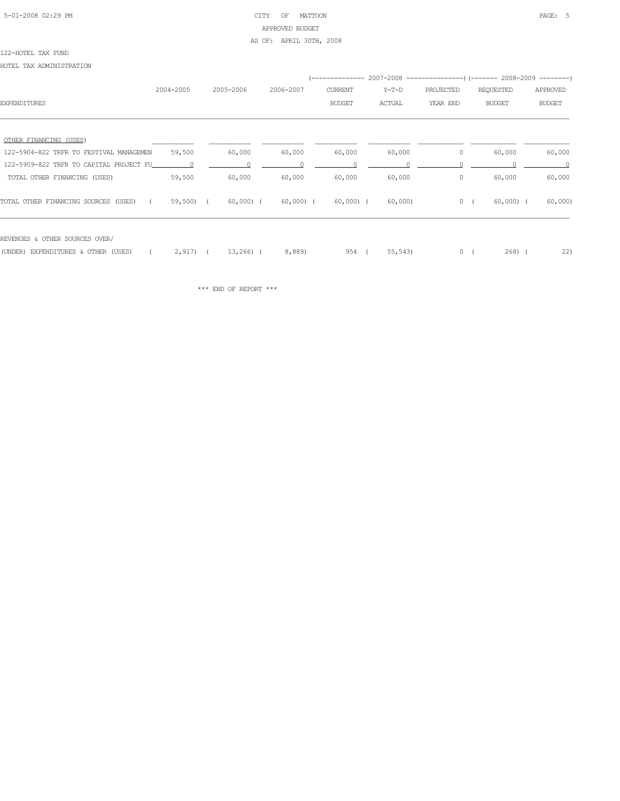#### 5-01-2008 02:29 PM CITY OF MATTOON PAGE: 5 APPROVED BUDGET AS OF: APRIL 30TH, 2008

#### 122-HOTEL TAX FUND

HOTEL TAX ADMINISTRATION

|                                         |           |            |           |                |         |           | (-------------- 2007-2008 ----------------) (------- 2008-2009 --------) |               |
|-----------------------------------------|-----------|------------|-----------|----------------|---------|-----------|--------------------------------------------------------------------------|---------------|
|                                         | 2004-2005 | 2005-2006  | 2006-2007 | <b>CURRENT</b> | $Y-T-D$ | PROJECTED | REQUESTED                                                                | APPROVED      |
| <b>EXPENDITURES</b>                     |           |            |           | <b>BUDGET</b>  | ACTUAL  | YEAR END  | <b>BUDGET</b>                                                            | <b>BUDGET</b> |
|                                         |           |            |           |                |         |           |                                                                          |               |
| OTHER FINANCING (USES)                  |           |            |           |                |         |           |                                                                          |               |
| 122-5904-822 TRFR TO FESTIVAL MANAGEMEN | 59,500    | 60,000     | 60,000    | 60,000         | 60,000  | 0         | 60,000                                                                   | 60,000        |
|                                         |           |            |           |                |         |           |                                                                          |               |
| TOTAL OTHER FINANCING (USES)            | 59,500    | 60,000     | 60,000    | 60,000         | 60,000  | 0         | 60,000                                                                   | 60,000        |
| TOTAL OTHER FINANCING SOURCES (USES)    | 59,500) ( | 60,000) (  | 60,000) ( | 60,000) (      | 60,000) |           | $0 \left($<br>$60,000$ (                                                 | 60,000        |
| REVENUES & OTHER SOURCES OVER/          |           |            |           |                |         |           |                                                                          |               |
|                                         |           |            |           |                |         |           |                                                                          |               |
| (UNDER) EXPENDITURES & OTHER (USES)     | $2,917$ ( | $13,266$ ( | 8,889)    | 954 (          | 55, 543 | 0(        | $268$ ) (                                                                | 22)           |

 $\star\star\star$  END OF REPORT  $\star\star\star$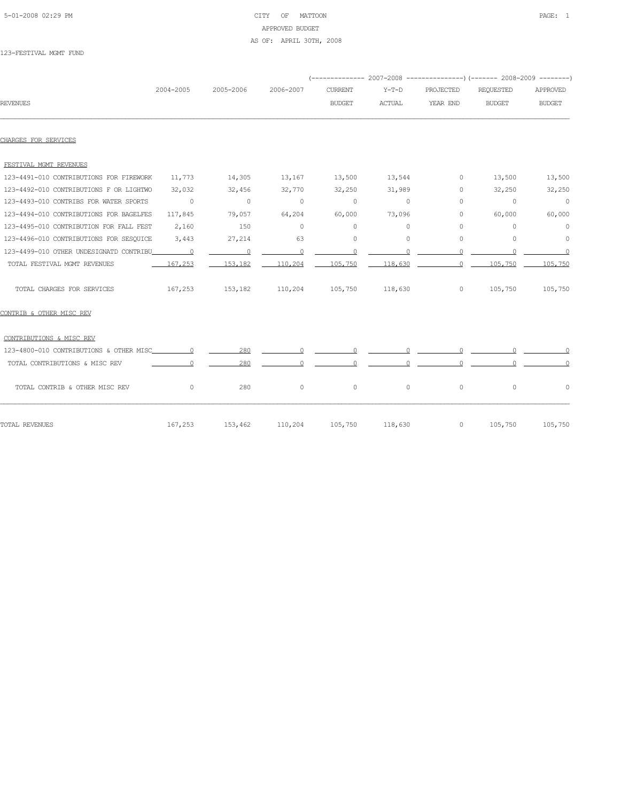# 5-01-2008 02:29 PM CITY OF MATTOON PAGE: 1 APPROVED BUDGET AS OF: APRIL 30TH, 2008

#### 123-FESTIVAL MGMT FUND

|                                         | 2004-2005      | 2005-2006      | 2006-2007      | <b>CURRENT</b> | $Y-T-D$       | PROJECTED | <b>REQUESTED</b> | APPROVED       |
|-----------------------------------------|----------------|----------------|----------------|----------------|---------------|-----------|------------------|----------------|
| <b>REVENUES</b>                         |                |                |                | <b>BUDGET</b>  | <b>ACTUAL</b> | YEAR END  | <b>BUDGET</b>    | <b>BUDGET</b>  |
|                                         |                |                |                |                |               |           |                  |                |
| CHARGES FOR SERVICES                    |                |                |                |                |               |           |                  |                |
| FESTIVAL MGMT REVENUES                  |                |                |                |                |               |           |                  |                |
| 123-4491-010 CONTRIBUTIONS FOR FIREWORK | 11,773         | 14,305         | 13,167         | 13,500         | 13,544        | $\circ$   | 13,500           | 13,500         |
| 123-4492-010 CONTRIBUTIONS F OR LIGHTWO | 32,032         | 32,456         | 32,770         | 32,250         | 31,989        | $\circ$   | 32,250           | 32,250         |
| 123-4493-010 CONTRIBS FOR WATER SPORTS  | $\overline{0}$ | $\overline{0}$ | $\overline{0}$ | $\circ$        | $\circ$       | $\Omega$  | $\overline{0}$   | $\overline{0}$ |
| 123-4494-010 CONTRIBUTIONS FOR BAGELFES | 117,845        | 79,057         | 64,204         | 60,000         | 73,096        | $\circ$   | 60,000           | 60,000         |
| 123-4495-010 CONTRIBUTION FOR FALL FEST | 2,160          | 150            | $\circ$        | $\circ$        | $\circ$       | $\circ$   | $\circ$          | $\circ$        |
| 123-4496-010 CONTRIBUTIONS FOR SESQUICE | 3,443          | 27,214         | 63             | $\circ$        | $\circ$       | $\circ$   | 0                | $\circ$        |
| 123-4499-010 OTHER UNDESIGNATD CONTRIBU |                | $\overline{0}$ | $\circ$        | $\circ$        | $\Omega$      | $\Omega$  | $\Omega$         | $\sim$ 0       |
| TOTAL FESTIVAL MGMT REVENUES            | 167.253        | 153,182        | 110,204        | 105,750        | 118,630       | $\circ$   | 105,750          | 105,750        |
| TOTAL CHARGES FOR SERVICES              | 167,253        | 153,182        | 110,204        | 105,750        | 118,630       | $\circ$   | 105,750          | 105,750        |
| CONTRIB & OTHER MISC REV                |                |                |                |                |               |           |                  |                |
| CONTRIBUTIONS & MISC REV                |                |                |                |                |               |           |                  |                |
|                                         |                | 280            | $\Omega$       | $\circ$        |               |           |                  |                |
| TOTAL CONTRIBUTIONS & MISC REV          |                | 280            |                |                |               |           |                  |                |
| TOTAL CONTRIB & OTHER MISC REV          | $\circ$        | 280            | $\circ$        | $\circ$        | $\circ$       | $\circ$   | $\circ$          | 0              |
| TOTAL REVENUES                          | 167,253        | 153,462        | 110,204        | 105,750        | 118,630       | $\circ$   | 105,750          | 105,750        |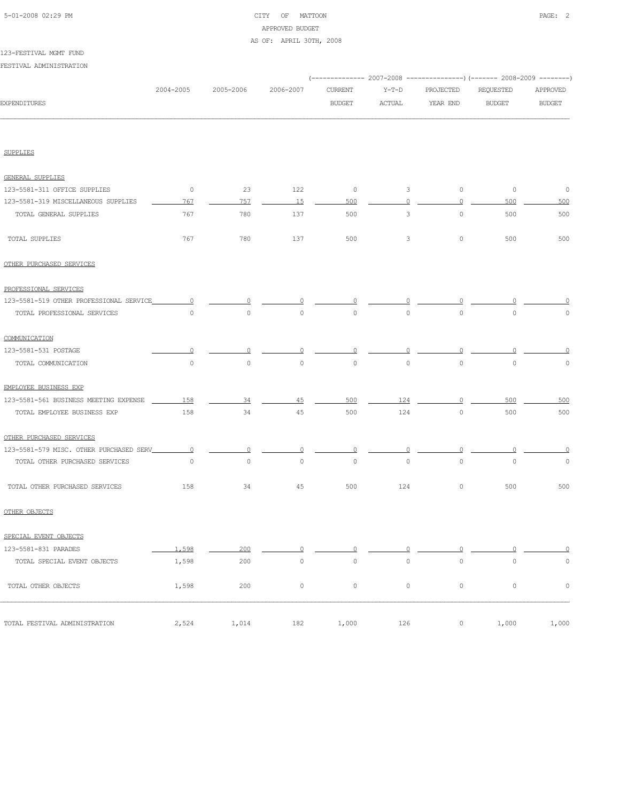# 5-01-2008 02:29 PM CITY OF MATTOON PAGE: 2 APPROVED BUDGET AS OF: APRIL 30TH, 2008

#### 123-FESTIVAL MGMT FUND

FESTIVAL ADMINISTRATION

| <b>EXPENDITURES</b><br><b>SUPPLIES</b>   |                |                |             |                     |                     |           | (-------------- 2007-2008 ----------------) (------- 2008-2009 --------) |                     |
|------------------------------------------|----------------|----------------|-------------|---------------------|---------------------|-----------|--------------------------------------------------------------------------|---------------------|
|                                          | 2004-2005      | 2005-2006      | 2006-2007   | <b>CURRENT</b>      | $Y-T-D$             | PROJECTED | REQUESTED                                                                | APPROVED            |
|                                          |                |                |             | <b>BUDGET</b>       | ACTUAL              | YEAR END  | <b>BUDGET</b>                                                            | <b>BUDGET</b>       |
|                                          |                |                |             |                     |                     |           |                                                                          |                     |
|                                          |                |                |             |                     |                     |           |                                                                          |                     |
| <b>GENERAL SUPPLIES</b>                  |                |                |             |                     |                     |           |                                                                          |                     |
| 123-5581-311 OFFICE SUPPLIES             | $\circ$        | 23             | 122         | $\circ$             | $\mathbf{3}$        | $\circ$   | $\circ$                                                                  | $\overline{0}$      |
| 123-5581-319 MISCELLANEOUS SUPPLIES      | 767            | 757            | 15          | 500                 | $\Omega$            | $\circ$   | 500                                                                      | 500                 |
| TOTAL GENERAL SUPPLIES                   | 767            | 780            | 137         | 500                 | 3                   | $\circ$   | 500                                                                      | 500                 |
| TOTAL SUPPLIES                           | 767            | 780            | 137         | 500                 | 3                   | $\circ$   | 500                                                                      | 500                 |
| OTHER PURCHASED SERVICES                 |                |                |             |                     |                     |           |                                                                          |                     |
| PROFESSIONAL SERVICES                    |                |                |             |                     |                     |           |                                                                          |                     |
| 123-5581-519 OTHER PROFESSIONAL SERVICE  | $\circ$        | $\Omega$       |             |                     |                     |           |                                                                          |                     |
| TOTAL PROFESSIONAL SERVICES              | $\circ$        | $\circ$        | $\circ$     | $\circ$             | $\circ$             | $\circ$   | $\circ$                                                                  | $\mathbb O$         |
| COMMUNICATION                            |                |                |             |                     |                     |           |                                                                          |                     |
| 123-5581-531 POSTAGE                     | 0              | 0              | $\Omega$    | $\Omega$            | $\Omega$            | $\Omega$  |                                                                          | $\Omega$            |
| TOTAL COMMUNICATION                      | $\circ$        | $\circ$        | $\circ$     | $\mathsf{O}\xspace$ | $\circ$             | $\circ$   | $\mathbb O$                                                              | $\mathsf{O}\xspace$ |
| EMPLOYEE BUSINESS EXP                    |                |                |             |                     |                     |           |                                                                          |                     |
| 123-5581-561 BUSINESS MEETING EXPENSE    | 158            | 34             | 45          | 500                 | 124                 | $\Omega$  | 500                                                                      | 500                 |
| TOTAL EMPLOYEE BUSINESS EXP              | 158            | 34             | 45          | 500                 | 124                 | $\circ$   | 500                                                                      | 500                 |
| OTHER PURCHASED SERVICES                 |                |                |             |                     |                     |           |                                                                          |                     |
| 123-5581-579 MISC. OTHER PURCHASED SERV_ | $\overline{0}$ | $\overline{0}$ | 0           | 0                   | 0                   | $\circ$   |                                                                          | $\Omega$            |
| TOTAL OTHER PURCHASED SERVICES           | $\circ$        | $\circ$        | $\circ$     | $\mathsf{O}\xspace$ | $\circ$             | $\circ$   | $\circ$                                                                  | $\circ$             |
| TOTAL OTHER PURCHASED SERVICES           | 158            | 34             | 45          | 500                 | 124                 | $\circ$   | 500                                                                      | 500                 |
| OTHER OBJECTS                            |                |                |             |                     |                     |           |                                                                          |                     |
| SPECIAL EVENT OBJECTS                    |                |                |             |                     |                     |           |                                                                          |                     |
| 123-5581-831 PARADES                     | 1,598          | 200            | $\Omega$    | $\Omega$            | O                   | O         | O                                                                        | $\overline{0}$      |
| TOTAL SPECIAL EVENT OBJECTS              | 1,598          | 200            | $\mathbb O$ | $\mathbb O$         | $\mathsf{O}\xspace$ | $\circ$   | $\circ$                                                                  | $\mathbb O$         |
| TOTAL OTHER OBJECTS                      | 1,598          | 200            | $\circ$     | $\circ$             | $\circ$             | $\circ$   | $\circ$                                                                  | $\mathbb O$         |
| TOTAL FESTIVAL ADMINISTRATION            | 2,524          | 1,014          | 182         | 1,000               | 126                 | $\circ$   | 1,000                                                                    | 1,000               |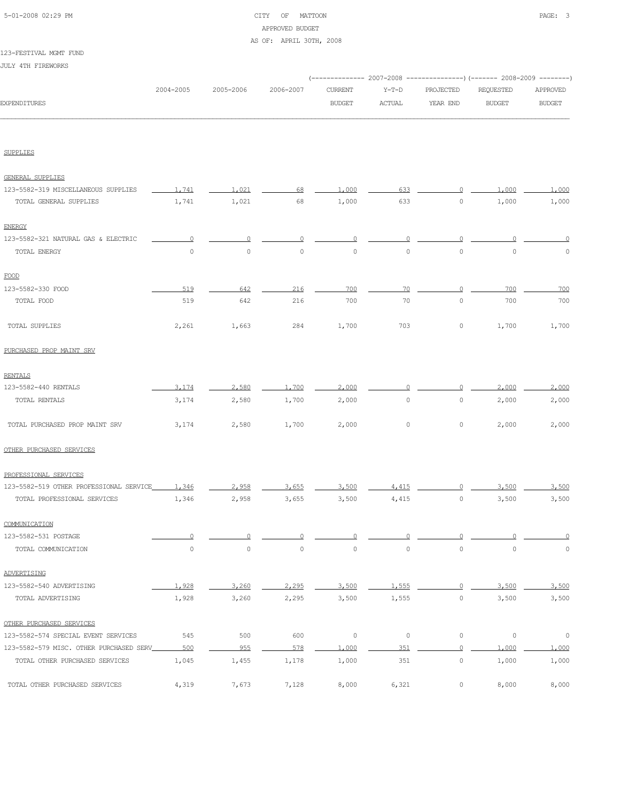# 5-01-2008 02:29 PM CITY OF MATTOON PAGE: 3 APPROVED BUDGET AS OF: APRIL 30TH, 2008

#### 123-FESTIVAL MGMT FUND

JULY 4TH FIREWORKS

|                     |           |           |           |               |        | (-------------- 2007-2008 ----------------) (------- 2008-2009 --------) |               |               |
|---------------------|-----------|-----------|-----------|---------------|--------|--------------------------------------------------------------------------|---------------|---------------|
|                     | 2004-2005 | 2005-2006 | 2006-2007 | CURRENT       | Y-T-D  | PROJECTED                                                                | REOUESTED     | APPROVED      |
| <b>EXPENDITURES</b> |           |           |           | <b>BUDGET</b> | ACTUAL | YEAR END                                                                 | <b>BUDGET</b> | <b>BUDGET</b> |
|                     |           |           |           |               |        |                                                                          |               |               |

SUPPLIES

| GENERAL SUPPLIES                        |          |          |                |              |                |                |                     |          |
|-----------------------------------------|----------|----------|----------------|--------------|----------------|----------------|---------------------|----------|
| 123-5582-319 MISCELLANEOUS SUPPLIES     | 1.741    | 1,021    | 68             | 1,000        | 633            |                | 1,000               | 1,000    |
| TOTAL GENERAL SUPPLIES                  | 1,741    | 1,021    | 68             | 1,000        | 633            | $\mathbb O$    | 1,000               | 1,000    |
| <b>ENERGY</b>                           |          |          |                |              |                |                |                     |          |
| 123-5582-321 NATURAL GAS & ELECTRIC     | $\Omega$ | $\Omega$ | $\Omega$       | $\Omega$     | $\overline{0}$ | $\overline{0}$ | $\Omega$            | O        |
| TOTAL ENERGY                            | $\Omega$ | $\Omega$ | $\Omega$       | $\Omega$     | $\Omega$       | $\Omega$       | $\Omega$            | n        |
| FOOD                                    |          |          |                |              |                |                |                     |          |
| 123-5582-330 FOOD                       | 519      | 642      | 216            | 700          | 70             | $\Omega$       | 700                 | 700      |
| TOTAL FOOD                              | 519      | 642      | 216            | 700          | 70             | $\mathbf{0}$   | 700                 | 700      |
| TOTAL SUPPLIES                          | 2,261    | 1,663    | 284            | 1,700        | 703            | $\mathbb O$    | 1,700               | 1,700    |
| PURCHASED PROP MAINT SRV                |          |          |                |              |                |                |                     |          |
| <b>RENTALS</b>                          |          |          |                |              |                |                |                     |          |
| 123-5582-440 RENTALS                    | 3,174    | 2,580    | 1,700          | 2,000        | 0              | 0              | 2,000               | 2,000    |
| TOTAL RENTALS                           | 3,174    | 2,580    | 1,700          | 2,000        | $\circ$        | $\circ$        | 2,000               | 2,000    |
| TOTAL PURCHASED PROP MAINT SRV          | 3,174    | 2,580    | 1,700          | 2,000        | $\mathbb O$    | 0              | 2,000               | 2,000    |
| OTHER PURCHASED SERVICES                |          |          |                |              |                |                |                     |          |
| PROFESSIONAL SERVICES                   |          |          |                |              |                |                |                     |          |
| 123-5582-519 OTHER PROFESSIONAL SERVICE | 1,346    | 2.958    | 3.655          | 3,500        | 4.415          | $\Omega$       | 3,500               | 3,500    |
| TOTAL PROFESSIONAL SERVICES             | 1,346    | 2,958    | 3,655          | 3,500        | 4,415          | $\circ$        | 3,500               | 3,500    |
| COMMUNICATION                           |          |          |                |              |                |                |                     |          |
| 123-5582-531 POSTAGE                    | $\circ$  | $\circ$  |                | $\cup$       |                | ∩              |                     |          |
| TOTAL COMMUNICATION                     | $\circ$  | $\circ$  | $\overline{0}$ | $\mathbf{0}$ | $\circ$        | $\circ$        | $\circ$             | $\Omega$ |
| ADVERTISING                             |          |          |                |              |                |                |                     |          |
| 123-5582-540 ADVERTISING                | 1,928    | 3,260    | 2,295          | 3,500        | 1,555          |                | 3,500               | 3,500    |
| TOTAL ADVERTISING                       | 1,928    | 3,260    | 2,295          | 3,500        | 1,555          | $\circ$        | 3,500               | 3,500    |
| OTHER PURCHASED SERVICES                |          |          |                |              |                |                |                     |          |
| 123-5582-574 SPECIAL EVENT SERVICES     | 545      | 500      | 600            | $\mathbb O$  | $\mathbb O$    | $\mathbb O$    | $\mathsf{O}\xspace$ | $\circ$  |
| 123-5582-579 MISC. OTHER PURCHASED SERV | 500      | 955      | 578            | 1,000        | 351            | $\circ$        | 1,000               | 1,000    |
| TOTAL OTHER PURCHASED SERVICES          | 1,045    | 1,455    | 1,178          | 1,000        | 351            | $\circ$        | 1,000               | 1,000    |
| TOTAL OTHER PURCHASED SERVICES          | 4,319    | 7,673    | 7,128          | 8,000        | 6,321          | $\mathbf 0$    | 8,000               | 8,000    |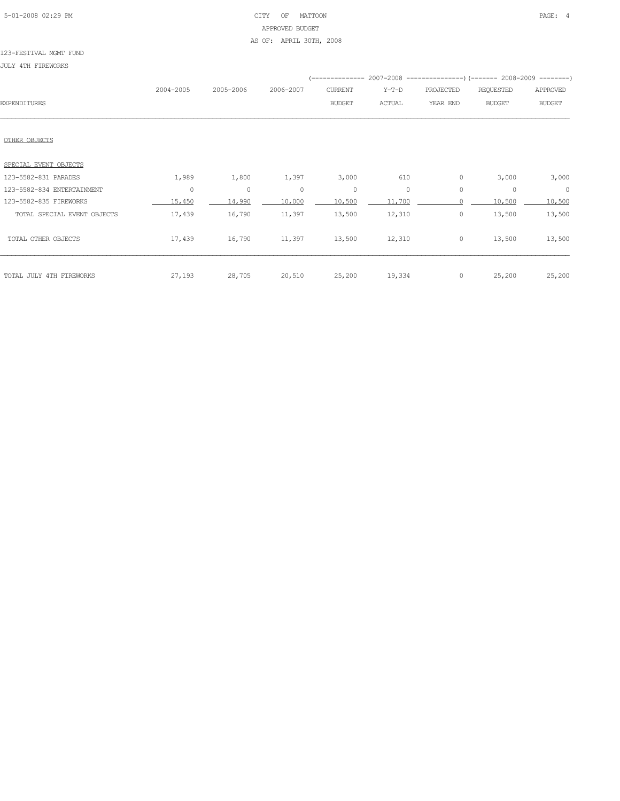# 5-01-2008 02:29 PM CITY OF MATTOON PAGE: 4 APPROVED BUDGET AS OF: APRIL 30TH, 2008

#### 123-FESTIVAL MGMT FUND

JULY 4TH FIREWORKS

|                             |           |           |           | --------------- |         |           | 2007-2008 ----------------) (------- 2008-2009 --------) |               |
|-----------------------------|-----------|-----------|-----------|-----------------|---------|-----------|----------------------------------------------------------|---------------|
|                             | 2004-2005 | 2005-2006 | 2006-2007 | CURRENT         | $Y-T-D$ | PROJECTED | REQUESTED                                                | APPROVED      |
| <b>EXPENDITURES</b>         |           |           |           | <b>BUDGET</b>   | ACTUAL  | YEAR END  | <b>BUDGET</b>                                            | <b>BUDGET</b> |
|                             |           |           |           |                 |         |           |                                                          |               |
|                             |           |           |           |                 |         |           |                                                          |               |
| OTHER OBJECTS               |           |           |           |                 |         |           |                                                          |               |
| SPECIAL EVENT OBJECTS       |           |           |           |                 |         |           |                                                          |               |
| 123-5582-831 PARADES        | 1,989     | 1,800     | 1,397     | 3,000           | 610     | 0         | 3,000                                                    | 3,000         |
| 123-5582-834 ENTERTAINMENT  | $\circ$   | $\circ$   | $\circ$   | $\circ$         | $\circ$ | $\circ$   | $\circ$                                                  | $\circ$       |
| 123-5582-835 FIREWORKS      | 15,450    | 14,990    | 10,000    | 10,500          | 11,700  |           | 10,500                                                   | 10,500        |
| TOTAL SPECIAL EVENT OBJECTS | 17,439    | 16,790    | 11,397    | 13,500          | 12,310  | 0         | 13,500                                                   | 13,500        |
| TOTAL OTHER OBJECTS         | 17,439    | 16,790    | 11,397    | 13,500          | 12,310  | $\circ$   | 13,500                                                   | 13,500        |
|                             |           |           |           |                 |         |           |                                                          |               |
|                             |           |           |           |                 |         |           |                                                          |               |
| TOTAL JULY 4TH FIREWORKS    | 27,193    | 28,705    | 20,510    | 25,200          | 19,334  | $\circ$   | 25,200                                                   | 25,200        |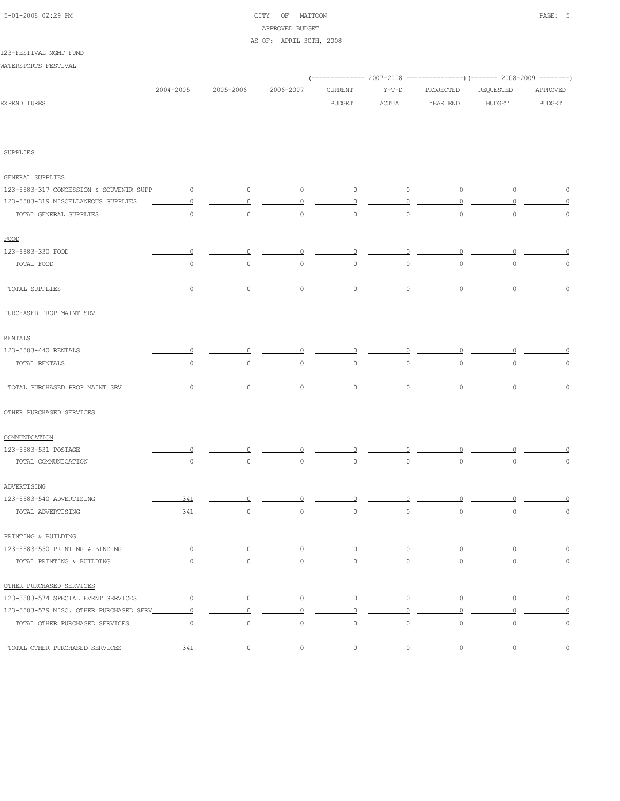# 5-01-2008 02:29 PM CITY OF MATTOON PAGE: 5 APPROVED BUDGET AS OF: APRIL 30TH, 2008

#### 123-FESTIVAL MGMT FUND

WATERSPORTS FESTIVAL

|                                         |                |           |                |                |                |                | (-------------- 2007-2008 ----------------) (------- 2008-2009 --------) |                |
|-----------------------------------------|----------------|-----------|----------------|----------------|----------------|----------------|--------------------------------------------------------------------------|----------------|
|                                         | 2004-2005      | 2005-2006 | 2006-2007      | <b>CURRENT</b> | $Y-T-D$        | PROJECTED      | REQUESTED                                                                | APPROVED       |
| <b>EXPENDITURES</b>                     |                |           |                | <b>BUDGET</b>  | <b>ACTUAL</b>  | YEAR END       | <b>BUDGET</b>                                                            | <b>BUDGET</b>  |
|                                         |                |           |                |                |                |                |                                                                          |                |
| <b>SUPPLIES</b>                         |                |           |                |                |                |                |                                                                          |                |
| <b>GENERAL SUPPLIES</b>                 |                |           |                |                |                |                |                                                                          |                |
| 123-5583-317 CONCESSION & SOUVENIR SUPP | $\circ$        | $\circ$   | $\circ$        | $\circ$        | $\circ$        | $\circ$        | $\circ$                                                                  | $\circ$        |
| 123-5583-319 MISCELLANEOUS SUPPLIES     | $\circ$        | $\circ$   | $\overline{0}$ | $\overline{0}$ | $\circ$        | $\circ$        | $\Omega$                                                                 | $\Omega$       |
| TOTAL GENERAL SUPPLIES                  | $\circ$        | $\circ$   | $\circ$        | $\circ$        | $\circ$        | $\circ$        | $\mathbb O$                                                              | $\mathbb O$    |
| FOOD                                    |                |           |                |                |                |                |                                                                          |                |
| 123-5583-330 FOOD                       | $\circ$        | $\circ$   | $\Omega$       | $\Omega$       | $\Omega$       | $\Omega$       | $\Omega$                                                                 | $\Omega$       |
| TOTAL FOOD                              | $\circ$        | $\circ$   | $\circ$        | $\circ$        | $\circ$        | $\circ$        | $\circ$                                                                  | $\circ$        |
| TOTAL SUPPLIES                          | $\circ$        | $\circ$   | $\circ$        | $\circ$        | $\circ$        | $\circ$        | $\mathsf{O}\xspace$                                                      | $\mathbb O$    |
| PURCHASED PROP MAINT SRV                |                |           |                |                |                |                |                                                                          |                |
| <b>RENTALS</b>                          |                |           |                |                |                |                |                                                                          |                |
| 123-5583-440 RENTALS                    | $\Omega$       | $\Omega$  | $\Omega$       | $\Omega$       | $\Omega$       | $\Omega$       | $\Omega$                                                                 | $\Omega$       |
| TOTAL RENTALS                           | $\circ$        | $\circ$   | $\circ$        | $\circ$        | $\circ$        | $\circ$        | $\mathbb O$                                                              | $\circ$        |
| TOTAL PURCHASED PROP MAINT SRV          | $\circ$        | $\circ$   | $\circ$        | $\circ$        | $\circ$        | $\circ$        | $\circ$                                                                  | $\mathbb O$    |
| OTHER PURCHASED SERVICES                |                |           |                |                |                |                |                                                                          |                |
| COMMUNICATION                           |                |           |                |                |                |                |                                                                          |                |
| 123-5583-531 POSTAGE                    |                |           |                |                |                |                |                                                                          |                |
| TOTAL COMMUNICATION                     | $\circ$        | $\circ$   | $\circ$        | $\circ$        | $\circ$        | $\circ$        | $\circ$                                                                  | 0              |
| ADVERTISING                             |                |           |                |                |                |                |                                                                          |                |
| 123-5583-540 ADVERTISING                | 341            | ∩         |                | Ω              |                | $\Omega$       |                                                                          |                |
| TOTAL ADVERTISING                       | 341            | $\circ$   | $\circ$        | $\circ$        | $\circ$        | $\circ$        | $\mathbb O$                                                              | 0              |
| PRINTING & BUILDING                     |                |           |                |                |                |                |                                                                          |                |
| 123-5583-550 PRINTING & BINDING         | $\circ$        | $\Omega$  | $\Omega$       | n              | $\Omega$       |                |                                                                          |                |
| TOTAL PRINTING & BUILDING               | $\circ$        | $\circ$   | $\circ$        | $\circ$        | $\circ$        | $\circ$        | $\circ$                                                                  | $\circ$        |
| OTHER PURCHASED SERVICES                |                |           |                |                |                |                |                                                                          |                |
| 123-5583-574 SPECIAL EVENT SERVICES     | $\circ$        | $\circ$   | $\circ$        | $\circ$        | $\circ$        | $\circ$        | $\circ$                                                                  | $\circ$        |
| 123-5583-579 MISC. OTHER PURCHASED SERV | $\overline{0}$ | $\circ$   | $\Omega$       | $\overline{0}$ | $\overline{0}$ | $\overline{0}$ | $\circ$                                                                  | $\overline{0}$ |
| TOTAL OTHER PURCHASED SERVICES          | $\circ$        | $\circ$   | $\circ$        | $\circ$        | $\circ$        | $\circ$        | $\circ$                                                                  | $\mathbb O$    |
| TOTAL OTHER PURCHASED SERVICES          | 341            | $\circ$   | $\circ$        | $\circ$        | $\circ$        | $\circ$        | 0                                                                        | 0              |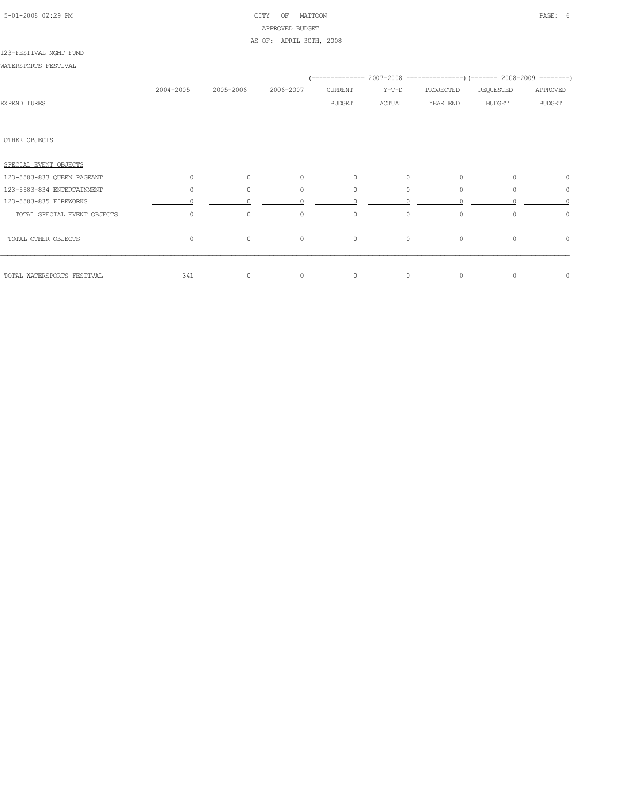# 5-01-2008 02:29 PM CITY OF MATTOON PAGE: 6 APPROVED BUDGET AS OF: APRIL 30TH, 2008

#### 123-FESTIVAL MGMT FUND

WATERSPORTS FESTIVAL

|                             |           |           |              |               |              |           | (-------------- 2007-2008 ----------------) (------- 2008-2009 --------) |               |  |
|-----------------------------|-----------|-----------|--------------|---------------|--------------|-----------|--------------------------------------------------------------------------|---------------|--|
|                             | 2004-2005 | 2005-2006 | 2006-2007    | CURRENT       | Y-T-D        | PROJECTED | REQUESTED                                                                | APPROVED      |  |
| <b>EXPENDITURES</b>         |           |           |              | <b>BUDGET</b> | ACTUAL       | YEAR END  | <b>BUDGET</b>                                                            | <b>BUDGET</b> |  |
|                             |           |           |              |               |              |           |                                                                          |               |  |
|                             |           |           |              |               |              |           |                                                                          |               |  |
| OTHER OBJECTS               |           |           |              |               |              |           |                                                                          |               |  |
| SPECIAL EVENT OBJECTS       |           |           |              |               |              |           |                                                                          |               |  |
| 123-5583-833 QUEEN PAGEANT  | $\circ$   | $\circ$   | $\circ$      | $\circ$       | $\circ$      | $\circ$   | $\Omega$                                                                 | 0             |  |
| 123-5583-834 ENTERTAINMENT  | $\circ$   | $\Omega$  | $\circ$      | 0             | $\circ$      | $\circ$   | $\Omega$                                                                 | $\circ$       |  |
| 123-5583-835 FIREWORKS      |           |           | $\cap$       | $\cap$        |              |           |                                                                          |               |  |
| TOTAL SPECIAL EVENT OBJECTS | $\circ$   | $\circ$   | $\mathbf{0}$ | $\mathbf{0}$  | $\mathbf{0}$ | $\circ$   | $\Omega$                                                                 | $\circ$       |  |
| TOTAL OTHER OBJECTS         | $\circ$   | $\circ$   | $\circ$      | $\circ$       | $\circ$      | $\circ$   | $\circ$                                                                  | $\circ$       |  |
| TOTAL WATERSPORTS FESTIVAL  | 341       | $\circ$   | $\circ$      | $\circ$       | $\mathbf{0}$ | $\circ$   | $\Omega$                                                                 | 0             |  |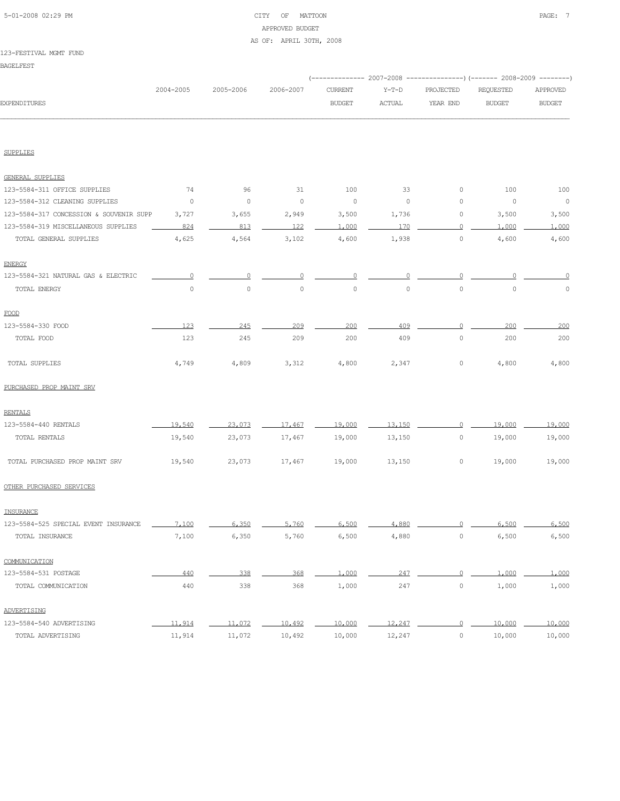# 5-01-2008 02:29 PM CITY OF MATTOON PAGE: 7 APPROVED BUDGET AS OF: APRIL 30TH, 2008

#### 123-FESTIVAL MGMT FUND

BAGELFEST

|                                         | 2004-2005      | 2005-2006 | 2006-2007      | <b>CURRENT</b> | $Y-T-D$ | PROJECTED           | <b>REQUESTED</b>         | APPROVED            |
|-----------------------------------------|----------------|-----------|----------------|----------------|---------|---------------------|--------------------------|---------------------|
| <b>EXPENDITURES</b>                     |                |           |                | <b>BUDGET</b>  | ACTUAL  | YEAR END            | <b>BUDGET</b>            | <b>BUDGET</b>       |
|                                         |                |           |                |                |         |                     |                          |                     |
| <b>SUPPLIES</b>                         |                |           |                |                |         |                     |                          |                     |
| <b>GENERAL SUPPLIES</b>                 |                |           |                |                |         |                     |                          |                     |
| 123-5584-311 OFFICE SUPPLIES            | 74             | 96        | 31             | 100            | 33      | 0                   | 100                      | 100                 |
| 123-5584-312 CLEANING SUPPLIES          | $\overline{0}$ | $\circ$   | $\overline{0}$ | $\circ$        | $\circ$ | $\circ$             | $\overline{\phantom{0}}$ | $\overline{0}$      |
| 123-5584-317 CONCESSION & SOUVENIR SUPP | 3,727          | 3,655     | 2,949          | 3,500          | 1,736   | 0                   | 3,500                    | 3,500               |
| 123-5584-319 MISCELLANEOUS SUPPLIES     | 824            | 813       | 122            | 1,000          | 170     | $\circ$             | 1,000                    | 1,000               |
| TOTAL GENERAL SUPPLIES                  | 4,625          | 4,564     | 3,102          | 4,600          | 1,938   | 0                   | 4,600                    | 4,600               |
| <b>ENERGY</b>                           |                |           |                |                |         |                     |                          |                     |
| 123-5584-321 NATURAL GAS & ELECTRIC     | $\Omega$       | $\Omega$  | $\Omega$       | $\Omega$       | $\cup$  |                     | $\Omega$                 | 0                   |
| TOTAL ENERGY                            | $\circ$        | $\circ$   | $\circ$        | $\circ$        | $\circ$ | $\circ$             | $\circ$                  | $\mathsf{O}\xspace$ |
| FOOD                                    |                |           |                |                |         |                     |                          |                     |
| 123-5584-330 FOOD                       | 123            | 245       | 209            | 200            | 409     | $\Omega$            | 200                      | 200                 |
| TOTAL FOOD                              | 123            | 245       | 209            | 200            | 409     | $\circ$             | 200                      | 200                 |
| TOTAL SUPPLIES                          | 4,749          | 4,809     | 3,312          | 4,800          | 2,347   | $\circ$             | 4,800                    | 4,800               |
| PURCHASED PROP MAINT SRV                |                |           |                |                |         |                     |                          |                     |
| <b>RENTALS</b>                          |                |           |                |                |         |                     |                          |                     |
| 123-5584-440 RENTALS                    | 19,540         | 23,073    | 17,467         | 19,000         | 13,150  | $\Omega$            | 19,000                   | 19,000              |
| TOTAL RENTALS                           | 19,540         | 23,073    | 17,467         | 19,000         | 13,150  | $\circ$             | 19,000                   | 19,000              |
| TOTAL PURCHASED PROP MAINT SRV          | 19,540         | 23,073    | 17,467         | 19,000         | 13,150  | 0                   | 19,000                   | 19,000              |
| OTHER PURCHASED SERVICES                |                |           |                |                |         |                     |                          |                     |
| INSURANCE                               |                |           |                |                |         |                     |                          |                     |
| 123-5584-525 SPECIAL EVENT INSURANCE    | 7,100          | 6,350     | 5,760          | 6,500          | 4,880   |                     | 6,500<br>$\overline{0}$  | 6,500               |
| TOTAL INSURANCE                         | 7,100          | 6,350     | 5,760          | 6,500          | 4,880   | $\mathbb O$         | 6,500                    | 6,500               |
| COMMUNICATION                           |                |           |                |                |         |                     |                          |                     |
| 123-5584-531 POSTAGE                    | 440            | 338       | 368            | 1,000          | 247     | $\Omega$            | 1,000                    | 1,000               |
| TOTAL COMMUNICATION                     | 440            | 338       | 368            | 1,000          | 247     | $\mathsf{O}\xspace$ | 1,000                    | 1,000               |
| ADVERTISING                             |                |           |                |                |         |                     |                          |                     |
| 123-5584-540 ADVERTISING                | 11,914         | 11,072    | 10,492         | 10,000         | 12,247  | $\overline{0}$      | 10,000                   | 10,000              |
| TOTAL ADVERTISING                       | 11,914         | 11,072    | 10,492         | 10,000         | 12,247  | $\mathbb O$         | 10,000                   | 10,000              |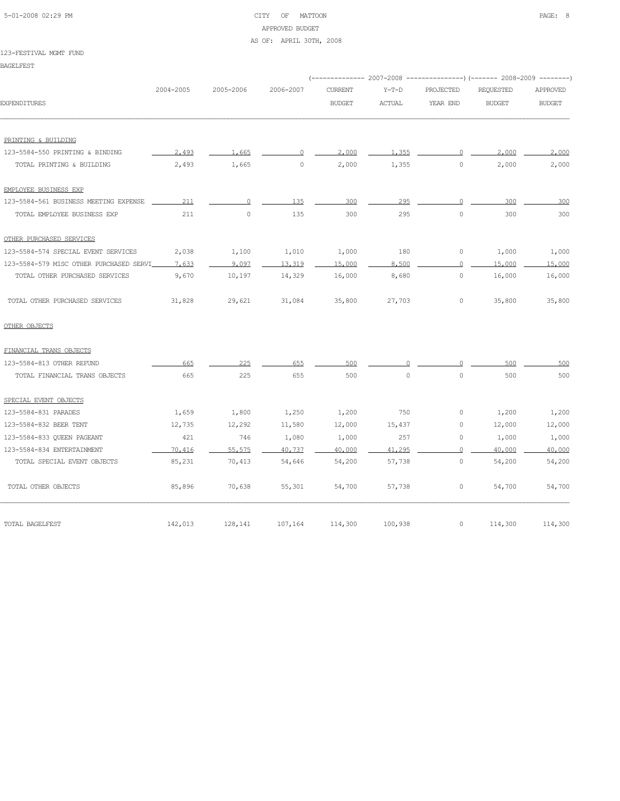# 5-01-2008 02:29 PM CITY OF MATTOON PAGE: 8 APPROVED BUDGET

#### AS OF: APRIL 30TH, 2008

#### 123-FESTIVAL MGMT FUND

BAGELFEST

|                                         |           |           |           |                |               |           | (-------------- 2007-2008 ----------------) (------- 2008-2009 --------) |               |
|-----------------------------------------|-----------|-----------|-----------|----------------|---------------|-----------|--------------------------------------------------------------------------|---------------|
|                                         | 2004-2005 | 2005-2006 | 2006-2007 | <b>CURRENT</b> | $Y-T-D$       | PROJECTED | <b>REQUESTED</b>                                                         | APPROVED      |
| <b>EXPENDITURES</b>                     |           |           |           | <b>BUDGET</b>  | <b>ACTUAL</b> | YEAR END  | <b>BUDGET</b>                                                            | <b>BUDGET</b> |
| PRINTING & BUILDING                     |           |           |           |                |               |           |                                                                          |               |
| 123-5584-550 PRINTING & BINDING         | 2,493     | 1,665     | $\Omega$  | 2,000          | 1,355         | $\Omega$  | 2,000                                                                    | 2,000         |
| TOTAL PRINTING & BUILDING               | 2,493     | 1,665     | $\circ$   | 2,000          | 1,355         | $\circ$   | 2,000                                                                    | 2,000         |
| EMPLOYEE BUSINESS EXP                   |           |           |           |                |               |           |                                                                          |               |
| 123-5584-561 BUSINESS MEETING EXPENSE   | 211       | $\circ$   | 135       | 300            | 295           | $\circ$   | 300                                                                      | 300           |
| TOTAL EMPLOYEE BUSINESS EXP             | 211       | $\circ$   | 135       | 300            | 295           | $\circ$   | 300                                                                      | 300           |
| OTHER PURCHASED SERVICES                |           |           |           |                |               |           |                                                                          |               |
| 123-5584-574 SPECIAL EVENT SERVICES     | 2,038     | 1,100     | 1,010     | 1,000          | 180           | $\circ$   | 1,000                                                                    | 1,000         |
| 123-5584-579 MISC OTHER PURCHASED SERVI | 7.633     | 9,097     | 13,319    | 15,000         | 8,500         | $\circ$   | 15,000                                                                   | 15,000        |
| TOTAL OTHER PURCHASED SERVICES          | 9,670     | 10,197    | 14,329    | 16,000         | 8,680         | 0         | 16,000                                                                   | 16,000        |
| TOTAL OTHER PURCHASED SERVICES          | 31,828    | 29,621    | 31,084    | 35,800         | 27,703        | $\circ$   | 35,800                                                                   | 35,800        |
| OTHER OBJECTS                           |           |           |           |                |               |           |                                                                          |               |
| FINANCIAL TRANS OBJECTS                 |           |           |           |                |               |           |                                                                          |               |
| 123-5584-813 OTHER REFUND               | 665       | 225       | 655       | 500            | $\Omega$      | $\Omega$  | 500                                                                      | 500           |
| TOTAL FINANCIAL TRANS OBJECTS           | 665       | 225       | 655       | 500            | $\circ$       | $\Omega$  | 500                                                                      | 500           |
| SPECIAL EVENT OBJECTS                   |           |           |           |                |               |           |                                                                          |               |
| 123-5584-831 PARADES                    | 1,659     | 1,800     | 1,250     | 1,200          | 750           | $\circ$   | 1,200                                                                    | 1,200         |
| 123-5584-832 BEER TENT                  | 12,735    | 12,292    | 11,580    | 12,000         | 15,437        | $\circ$   | 12,000                                                                   | 12,000        |
| 123-5584-833 QUEEN PAGEANT              | 421       | 746       | 1,080     | 1,000          | 257           | 0         | 1,000                                                                    | 1,000         |
| 123-5584-834 ENTERTAINMENT              | 70,416    | 55,575    | 40,737    | 40,000         | 41,295        | $\Omega$  | 40,000                                                                   | 40,000        |
| TOTAL SPECIAL EVENT OBJECTS             | 85,231    | 70,413    | 54,646    | 54,200         | 57,738        | $\circ$   | 54,200                                                                   | 54,200        |
| TOTAL OTHER OBJECTS                     | 85,896    | 70,638    | 55,301    | 54,700         | 57,738        | 0         | 54,700                                                                   | 54,700        |
| TOTAL BAGELFEST                         | 142,013   | 128,141   | 107,164   | 114,300        | 100,938       | $\circ$   | 114,300                                                                  | 114,300       |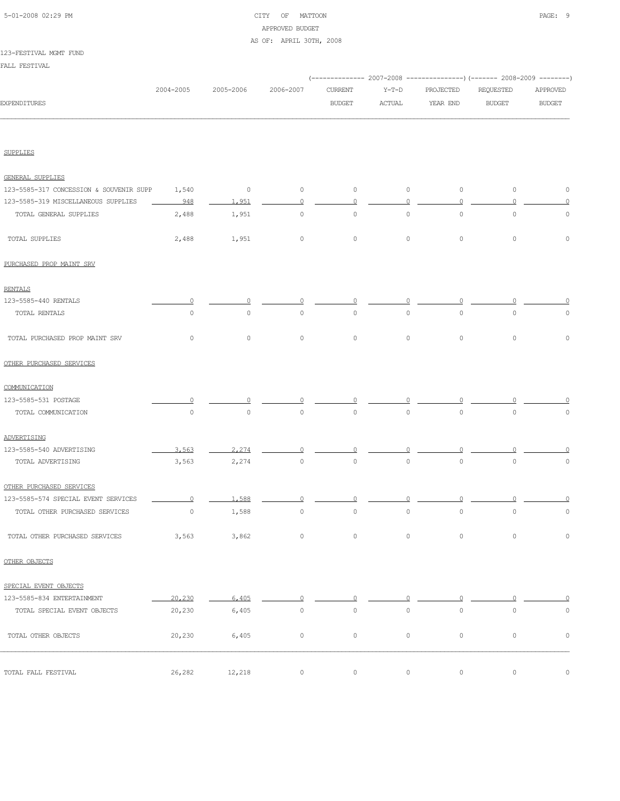# 5-01-2008 02:29 PM CITY OF MATTOON PAGE: 9 APPROVED BUDGET AS OF: APRIL 30TH, 2008

#### 123-FESTIVAL MGMT FUND

FALL FESTIVAL

|                                         |           |           |                     |                     |                     |              | (------------- 2007-2008 ---------------) (------- 2008-2009 --------) |                     |
|-----------------------------------------|-----------|-----------|---------------------|---------------------|---------------------|--------------|------------------------------------------------------------------------|---------------------|
|                                         | 2004-2005 | 2005-2006 | 2006-2007           | CURRENT             | $Y-T-D$             | PROJECTED    | REQUESTED                                                              | APPROVED            |
| <b>EXPENDITURES</b>                     |           |           |                     | <b>BUDGET</b>       | ACTUAL              | YEAR END     | <b>BUDGET</b>                                                          | <b>BUDGET</b>       |
|                                         |           |           |                     |                     |                     |              |                                                                        |                     |
| <b>SUPPLIES</b>                         |           |           |                     |                     |                     |              |                                                                        |                     |
| GENERAL SUPPLIES                        |           |           |                     |                     |                     |              |                                                                        |                     |
| 123-5585-317 CONCESSION & SOUVENIR SUPP | 1,540     | $\circ$   | $\circ$             | 0                   | $\circ$             | $\circ$      | $\circ$                                                                | $\mathbb O$         |
| 123-5585-319 MISCELLANEOUS SUPPLIES     | 948       | 1,951     | $\circ$             | $\circ$             | $\circ$             | $\mathbf{0}$ | $\Omega$                                                               | 0                   |
| TOTAL GENERAL SUPPLIES                  | 2,488     | 1,951     | $\circ$             | $\circ$             | $\circ$             | $\circ$      | $\circ$                                                                | $\mathbb O$         |
| TOTAL SUPPLIES                          | 2,488     | 1,951     | $\circ$             | $\mathsf{O}\xspace$ | 0                   | $\circ$      | $\circ$                                                                | $\mathbb O$         |
| PURCHASED PROP MAINT SRV                |           |           |                     |                     |                     |              |                                                                        |                     |
| RENTALS                                 |           |           |                     |                     |                     |              |                                                                        |                     |
| 123-5585-440 RENTALS                    |           |           |                     |                     |                     |              |                                                                        |                     |
| TOTAL RENTALS                           | $\circ$   | $\circ$   | $\mathsf{O}\xspace$ | $\mathbb O$         | $\mathsf{O}\xspace$ | $\circ$      | $\circ$                                                                | $\mathbb O$         |
| TOTAL PURCHASED PROP MAINT SRV          | $\circ$   | $\circ$   | $\circ$             | $\mathsf{O}\xspace$ | $\circ$             | $\circ$      | $\circ$                                                                | $\circ$             |
| OTHER PURCHASED SERVICES                |           |           |                     |                     |                     |              |                                                                        |                     |
| COMMUNICATION                           |           |           |                     |                     |                     |              |                                                                        |                     |
| 123-5585-531 POSTAGE                    |           |           |                     |                     |                     |              |                                                                        |                     |
| TOTAL COMMUNICATION                     | $\circ$   | $\circ$   | $\circ$             | $\mathsf{O}\xspace$ | $\mathsf{O}\xspace$ | $\circ$      | $\circ$                                                                | $\circ$             |
| ADVERTISING                             |           |           |                     |                     |                     |              |                                                                        |                     |
| 123-5585-540 ADVERTISING                | 3,563     | 2.274     |                     |                     |                     |              |                                                                        |                     |
| TOTAL ADVERTISING                       | 3,563     | 2,274     | $\mathbb O$         | 0                   | $\mathsf{O}\xspace$ | $\circ$      | $\mathbb O$                                                            | $\circ$             |
| OTHER PURCHASED SERVICES                |           |           |                     |                     |                     |              |                                                                        |                     |
| 123-5585-574 SPECIAL EVENT SERVICES     | 0         | 1,588     |                     |                     |                     |              |                                                                        |                     |
| TOTAL OTHER PURCHASED SERVICES          | 0         | 1,588     | $\circ$             | $\mathbb O$         | $\mathsf{O}\xspace$ | $\circ$      | 0                                                                      | 0                   |
| TOTAL OTHER PURCHASED SERVICES          | 3,563     | 3,862     | $\circ$             | $\circ$             | $\mathbb O$         | $\mathbb O$  | $\circ$                                                                | $\mathbb O$         |
| OTHER OBJECTS                           |           |           |                     |                     |                     |              |                                                                        |                     |
| SPECIAL EVENT OBJECTS                   |           |           |                     |                     |                     |              |                                                                        |                     |
| 123-5585-834 ENTERTAINMENT              | 20,230    | 6,405     | 0                   | $\circ$             |                     | $\Omega$     |                                                                        | $\circ$             |
| TOTAL SPECIAL EVENT OBJECTS             | 20,230    | 6,405     | $\circ$             | $\mathsf{O}\xspace$ | $\mathbb O$         | $\circ$      | $\mathbb O$                                                            | $\mathbb O$         |
| TOTAL OTHER OBJECTS                     | 20,230    | 6,405     | $\circ$             | $\circ$             | $\circ$             | $\circ$      | $\circ$                                                                | $\mathsf{O}\xspace$ |
|                                         |           |           |                     |                     |                     |              |                                                                        |                     |
| TOTAL FALL FESTIVAL                     | 26,282    | 12,218    | $\circ$             | $\circ$             | $\circ$             | $\circ$      | $\circ$                                                                | $\mathbb O$         |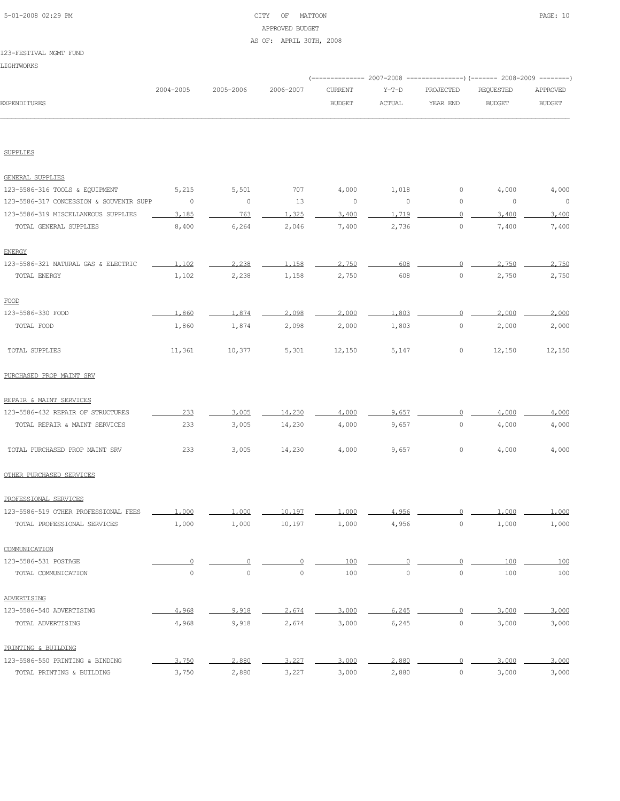| 5-01-2008 02:29 PM |  |
|--------------------|--|

# CITY OF MATTOON PAGE: 10 APPROVED BUDGET AS OF: APRIL 30TH, 2008

#### 123-FESTIVAL MGMT FUND

|                                         | 2004-2005      | 2005-2006 | 2006-2007      | <b>CURRENT</b> | $Y-T-D$  | PROJECTED      | <b>REQUESTED</b> | APPROVED       |
|-----------------------------------------|----------------|-----------|----------------|----------------|----------|----------------|------------------|----------------|
| EXPENDITURES                            |                |           |                | <b>BUDGET</b>  | ACTUAL   | YEAR END       | <b>BUDGET</b>    | <b>BUDGET</b>  |
|                                         |                |           |                |                |          |                |                  |                |
| <b>SUPPLIES</b>                         |                |           |                |                |          |                |                  |                |
| <b>GENERAL SUPPLIES</b>                 |                |           |                |                |          |                |                  |                |
| 123-5586-316 TOOLS & EQUIPMENT          | 5,215          | 5,501     | 707            | 4,000          | 1,018    | 0              | 4,000            | 4,000          |
| 123-5586-317 CONCESSION & SOUVENIR SUPP | $\circ$        | $\circ$   | 13             | $\circ$        | $\circ$  | 0              | $\circ$          | $\overline{0}$ |
| 123-5586-319 MISCELLANEOUS SUPPLIES     | 3,185          | 763       | 1,325          | 3,400          | 1,719    | $\Omega$       | 3,400            | 3.400          |
| TOTAL GENERAL SUPPLIES                  | 8,400          | 6,264     | 2,046          | 7,400          | 2,736    | $\circ$        | 7,400            | 7,400          |
| <b>ENERGY</b>                           |                |           |                |                |          |                |                  |                |
| 123-5586-321 NATURAL GAS & ELECTRIC     | 1,102          | 2,238     | 1,158          | 2,750          | 608      | $\Omega$       | 2,750            | 2,750          |
| TOTAL ENERGY                            | 1,102          | 2,238     | 1,158          | 2,750          | 608      | $\circ$        | 2,750            | 2,750          |
| FOOD                                    |                |           |                |                |          |                |                  |                |
| 123-5586-330 FOOD                       | 1,860          | 1,874     | 2,098          | 2,000          | 1,803    | $\circ$        | 2,000            | 2,000          |
| TOTAL FOOD                              | 1,860          | 1,874     | 2,098          | 2,000          | 1,803    | $\circ$        | 2,000            | 2,000          |
| TOTAL SUPPLIES                          | 11,361         | 10,377    | 5,301          | 12,150         | 5,147    | $\circ$        | 12,150           | 12,150         |
| PURCHASED PROP MAINT SRV                |                |           |                |                |          |                |                  |                |
| REPAIR & MAINT SERVICES                 |                |           |                |                |          |                |                  |                |
| 123-5586-432 REPAIR OF STRUCTURES       | 233            | 3,005     | 14,230         | 4,000          | 9.657    | $\circ$        | 4,000            | 4,000          |
| TOTAL REPAIR & MAINT SERVICES           | 233            | 3,005     | 14,230         | 4,000          | 9,657    | 0              | 4,000            | 4,000          |
| TOTAL PURCHASED PROP MAINT SRV          | 233            | 3,005     | 14,230         | 4,000          | 9,657    | 0              | 4,000            | 4,000          |
| OTHER PURCHASED SERVICES                |                |           |                |                |          |                |                  |                |
| PROFESSIONAL SERVICES                   |                |           |                |                |          |                |                  |                |
| 123-5586-519 OTHER PROFESSIONAL FEES    | 1,000          | 1,000     | 10,197         | 1,000          | 4.956    |                | 1,000            | 1,000          |
| TOTAL PROFESSIONAL SERVICES             | 1,000          | 1,000     | 10,197         | 1,000          | 4,956    | $\circ$        | 1,000            | 1,000          |
| COMMUNICATION                           |                |           |                |                |          |                |                  |                |
| 123-5586-531 POSTAGE                    | $\overline{0}$ | $\Omega$  | $\overline{0}$ | 100            | $\Omega$ | $\Omega$       | 100              | 100            |
| TOTAL COMMUNICATION                     | $\circ$        | $\circ$   | $\circ$        | 100            | $\circ$  | $\mathbb O$    | 100              | 100            |
| ADVERTISING                             |                |           |                |                |          |                |                  |                |
| 123-5586-540 ADVERTISING                | 4,968          | 9,918     | 2,674          | 3,000          | 6,245    | $\overline{0}$ | 3,000            | 3,000          |
| TOTAL ADVERTISING                       | 4,968          | 9,918     | 2,674          | 3,000          | 6,245    | $\circ$        | 3,000            | 3,000          |
| PRINTING & BUILDING                     |                |           |                |                |          |                |                  |                |
| 123-5586-550 PRINTING & BINDING         | 3,750          | 2,880     | 3,227          | 3,000          | 2,880    | 0              | 3,000            | 3,000          |

TOTAL PRINTING & BUILDING 3,750 2,880 3,227 3,000 2,880 0 3,000 3,000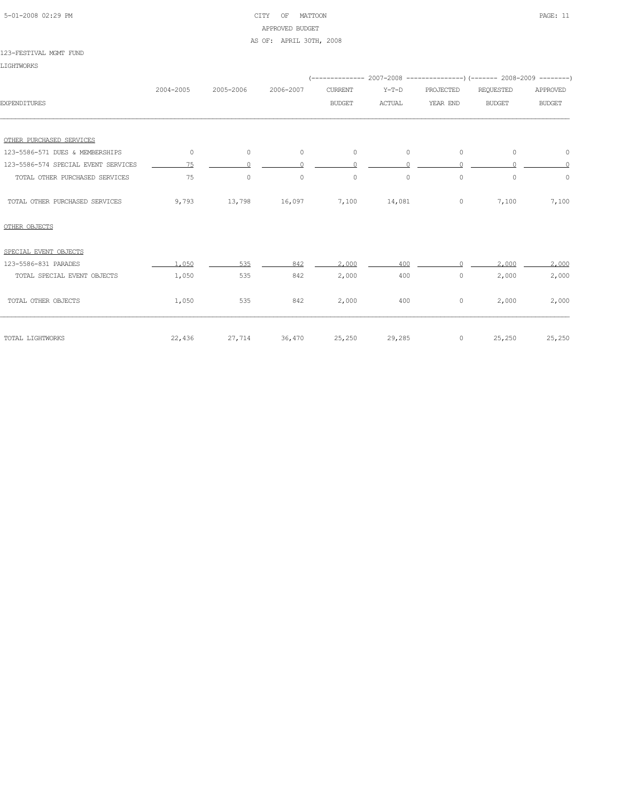| 5-01-2008 02:29 PM |  |
|--------------------|--|
|                    |  |

# CITY OF MATTOON PAGE: 11 APPROVED BUDGET AS OF: APRIL 30TH, 2008

#### 123-FESTIVAL MGMT FUND

LIGHTWORKS

|                                     | 2004-2005 | 2005-2006 | 2006-2007     | <b>CURRENT</b> | $Y-T-D$       | PROJECTED | <b>REQUESTED</b> | APPROVED      |  |
|-------------------------------------|-----------|-----------|---------------|----------------|---------------|-----------|------------------|---------------|--|
| <b>EXPENDITURES</b>                 |           |           |               | <b>BUDGET</b>  | <b>ACTUAL</b> | YEAR END  | <b>BUDGET</b>    | <b>BUDGET</b> |  |
|                                     |           |           |               |                |               |           |                  |               |  |
| OTHER PURCHASED SERVICES            |           |           |               |                |               |           |                  |               |  |
| 123-5586-571 DUES & MEMBERSHIPS     | $\circ$   | $\circ$   | $\circ$       | $\circ$        | $\circ$       | $\circ$   | $\circ$          | 0             |  |
| 123-5586-574 SPECIAL EVENT SERVICES | 75        |           |               | $\cap$         |               |           |                  | $\cap$        |  |
| TOTAL OTHER PURCHASED SERVICES      | 75        | $\circ$   | $\circ$       | $\circ$        | $\circ$       | $\circ$   | $\circ$          | $\mathbb O$   |  |
| TOTAL OTHER PURCHASED SERVICES      | 9,793     | 13,798    | 16,097        | 7,100          | 14,081        | $\circ$   | 7,100            | 7,100         |  |
| OTHER OBJECTS                       |           |           |               |                |               |           |                  |               |  |
| SPECIAL EVENT OBJECTS               |           |           |               |                |               |           |                  |               |  |
| 123-5586-831 PARADES                | 1,050     | 535       | 842           | 2,000          | 400           |           | 2,000            | 2,000         |  |
| TOTAL SPECIAL EVENT OBJECTS         | 1,050     | 535       | 842           | 2,000          | 400           | $\circ$   | 2,000            | 2,000         |  |
| TOTAL OTHER OBJECTS                 | 1,050     | 535       | 842           | 2,000          | 400           | $\circ$   | 2,000            | 2,000         |  |
| TOTAL LIGHTWORKS                    | 22,436    |           | 27,714 36,470 | 25,250         | 29,285        | $\circ$   | 25,250           | 25,250        |  |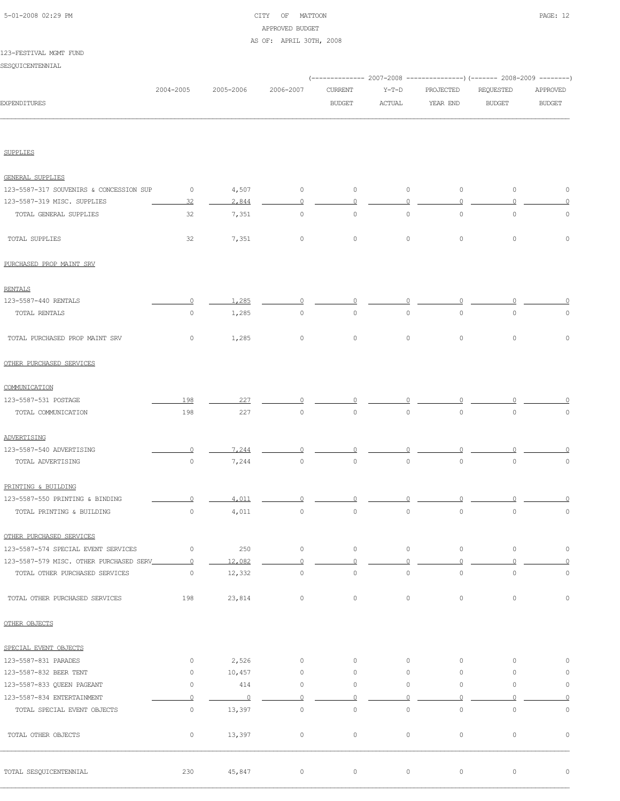# 5-01-2008 02:29 PM CITY OF MATTOON PAGE: 12 APPROVED BUDGET AS OF: APRIL 30TH, 2008

#### 123-FESTIVAL MGMT FUND

SESQUICENTENNIAL

|                                         |                     |            |                     |                |                     |                     | (------------- 2007-2008 ---------------) (------- 2008-2009 --------) |                     |
|-----------------------------------------|---------------------|------------|---------------------|----------------|---------------------|---------------------|------------------------------------------------------------------------|---------------------|
|                                         | 2004-2005           | 2005-2006  | 2006-2007           | CURRENT        | $Y-T-D$             | PROJECTED           | REQUESTED                                                              | APPROVED            |
| <b>EXPENDITURES</b>                     |                     |            |                     | <b>BUDGET</b>  | <b>ACTUAL</b>       | YEAR END            | <b>BUDGET</b>                                                          | <b>BUDGET</b>       |
|                                         |                     |            |                     |                |                     |                     |                                                                        |                     |
| <b>SUPPLIES</b>                         |                     |            |                     |                |                     |                     |                                                                        |                     |
| GENERAL SUPPLIES                        |                     |            |                     |                |                     |                     |                                                                        |                     |
| 123-5587-317 SOUVENIRS & CONCESSION SUP | $\circ$             | 4,507      | $\circ$             | $\circ$        | $\circ$             | $\circ$             | $\circ$                                                                | $\circ$             |
| 123-5587-319 MISC. SUPPLIES             | 32                  | 2,844      | 0                   | $\circ$        | $\circ$             | $\circ$             | $\Omega$                                                               | $\circ$             |
| TOTAL GENERAL SUPPLIES                  | 32                  | 7,351      | $\mathsf{O}\xspace$ | $\circ$        | $\mathsf{O}\xspace$ | $\circ$             | $\mathsf{O}\xspace$                                                    | 0                   |
| TOTAL SUPPLIES                          | 32                  | 7,351      | $\circ$             | $\circ$        | $\circ$             | $\circ$             | $\circ$                                                                | $\mathbb O$         |
| PURCHASED PROP MAINT SRV                |                     |            |                     |                |                     |                     |                                                                        |                     |
| <b>RENTALS</b>                          |                     |            |                     |                |                     |                     |                                                                        |                     |
| 123-5587-440 RENTALS                    | $\Omega$            | 1,285      | 0                   | $\Omega$       | 0                   | U                   |                                                                        |                     |
| TOTAL RENTALS                           | $\circ$             | 1,285      | $\mathsf{O}\xspace$ | $\circ$        | $\mathbb O$         | 0                   | $\mathbb O$                                                            | $\circ$             |
| TOTAL PURCHASED PROP MAINT SRV          | $\circ$             | 1,285      | $\mathsf{O}\xspace$ | $\circ$        | $\circ$             | $\circ$             | $\circ$                                                                | $\mathbf 0$         |
| OTHER PURCHASED SERVICES                |                     |            |                     |                |                     |                     |                                                                        |                     |
| COMMUNICATION                           |                     |            |                     |                |                     |                     |                                                                        |                     |
| 123-5587-531 POSTAGE                    | 198                 | 227        |                     |                |                     |                     |                                                                        |                     |
| TOTAL COMMUNICATION                     | 198                 | 227        | $\mathsf{O}\xspace$ | $\circ$        | $\circ$             | $\circ$             | $\circ$                                                                | $\mathbb O$         |
| ADVERTISING                             |                     |            |                     |                |                     |                     |                                                                        |                     |
| 123-5587-540 ADVERTISING                | $\Omega$            | 7,244      | ∩                   |                |                     |                     |                                                                        |                     |
| TOTAL ADVERTISING                       | $\mathsf{O}\xspace$ | 7,244      | $\circ$             | $\circ$        | $\mathsf{O}\xspace$ | $\mathsf{O}\xspace$ | $\mathsf{O}\xspace$                                                    | $\mathbb O$         |
| PRINTING & BUILDING                     |                     |            |                     |                |                     |                     |                                                                        |                     |
| 123-5587-550 PRINTING & BINDING         |                     | 4.011      |                     |                |                     |                     |                                                                        |                     |
| TOTAL PRINTING & BUILDING               | $\mathsf{O}\xspace$ | 4,011      | $\circ$             | $\circ$        | $\mathsf{O}\xspace$ | $\circ$             | $\circ$                                                                | $\mathbb O$         |
| OTHER PURCHASED SERVICES                |                     |            |                     |                |                     |                     |                                                                        |                     |
| 123-5587-574 SPECIAL EVENT SERVICES     | $\circ$             | 250        | $\circ$             | $\circ$        | $\circ$             | $\circ$             | $\circ$                                                                | $\circ$             |
| 123-5587-579 MISC. OTHER PURCHASED SERV | $\overline{0}$      | 12,082     | $\overline{0}$      | $\overline{0}$ | $\Omega$            | $\circ$             | $\circ$                                                                | $\circ$             |
| TOTAL OTHER PURCHASED SERVICES          | $\circ$             | 12,332     | $\circ$             | $\circ$        | $\circ$             | $\mathsf{O}\xspace$ | $\circ$                                                                | $\circ$             |
| TOTAL OTHER PURCHASED SERVICES          | 198                 | 23,814     | $\circ$             | $\circ$        | $\circ$             | $\circ$             | $\circ$                                                                | $\mathsf{O}\xspace$ |
| OTHER OBJECTS                           |                     |            |                     |                |                     |                     |                                                                        |                     |
| SPECIAL EVENT OBJECTS                   |                     |            |                     |                |                     |                     |                                                                        |                     |
| 123-5587-831 PARADES                    | $\circ$             | 2,526      | $\circ$             | $\circ$        | $\circ$             | $\circ$             | $\circ$                                                                | 0                   |
| 123-5587-832 BEER TENT                  | $\circ$             | 10,457     | $\mathsf{O}\xspace$ | $\circ$        | $\circ$             | 0                   | $\circ$                                                                | 0                   |
| 123-5587-833 QUEEN PAGEANT              | $\circ$             | 414        | $\mathsf{O}\xspace$ | $\circ$        | $\circ$             | 0                   | $\circ$                                                                | $\mathbb O$         |
| 123-5587-834 ENTERTAINMENT              | $\overline{0}$      | $\sqrt{0}$ | $\circ$             | $\circ$        | $\circ$             | $\circ$             | $\circ$                                                                | $\overline{0}$      |
| TOTAL SPECIAL EVENT OBJECTS             | $\circ$             | 13,397     | $\mathsf{O}\xspace$ | $\circ$        | $\mathsf{O}\xspace$ | $\mathsf{O}\xspace$ | $\circ$                                                                | $\mathsf{O}\xspace$ |
| TOTAL OTHER OBJECTS                     | $\circ$             | 13,397     | $\circ$             | $\circ$        | $\circ$             | $\circ$             | $\circ$                                                                | $\mathbb O$         |
| TOTAL SESQUICENTENNIAL                  | 230                 | 45,847     | $\circ$             | $\circ$        | $\circ$             | $\circ$             | $\circ$                                                                | $\mathbb O$         |
|                                         |                     |            |                     |                |                     |                     |                                                                        |                     |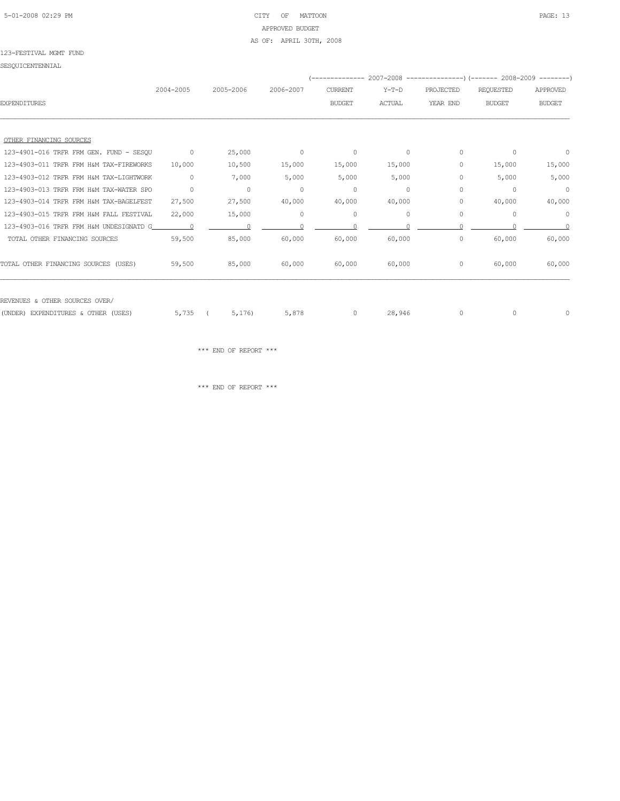# 5-01-2008 02:29 PM CITY OF MATTOON PAGE: 13 APPROVED BUDGET AS OF: APRIL 30TH, 2008

#### 123-FESTIVAL MGMT FUND

SESQUICENTENNIAL

|                                         |           |           |           | -------------- |               |           | 2007-2008 ----------------) (------- 2008-2009 ---------) |               |
|-----------------------------------------|-----------|-----------|-----------|----------------|---------------|-----------|-----------------------------------------------------------|---------------|
|                                         | 2004-2005 | 2005-2006 | 2006-2007 | <b>CURRENT</b> | $Y-T-D$       | PROJECTED | <b>REQUESTED</b>                                          | APPROVED      |
| <b>EXPENDITURES</b>                     |           |           |           | <b>BUDGET</b>  | <b>ACTUAL</b> | YEAR END  | <b>BUDGET</b>                                             | <b>BUDGET</b> |
|                                         |           |           |           |                |               |           |                                                           |               |
| OTHER FINANCING SOURCES                 |           |           |           |                |               |           |                                                           |               |
| 123-4901-016 TRFR FRM GEN. FUND - SESQU | $\circ$   | 25,000    | $\circ$   | $\circ$        | $\circ$       | 0         | $\circ$                                                   | $\circ$       |
| 123-4903-011 TRFR FRM H&M TAX-FIREWORKS | 10,000    | 10,500    | 15,000    | 15,000         | 15,000        | 0         | 15,000                                                    | 15,000        |
| 123-4903-012 TRFR FRM H&M TAX-LIGHTWORK | $\circ$   | 7,000     | 5,000     | 5,000          | 5,000         | 0         | 5,000                                                     | 5,000         |
| 123-4903-013 TRFR FRM H&M TAX-WATER SPO | $\circ$   | $\circ$   | $\circ$   | $\circ$        | $\circ$       | $\circ$   | 0                                                         | $\circ$       |
| 123-4903-014 TRFR FRM H&M TAX-BAGELFEST | 27,500    | 27,500    | 40,000    | 40,000         | 40,000        | 0         | 40,000                                                    | 40,000        |
| 123-4903-015 TRFR FRM H&M FALL FESTIVAL | 22,000    | 15,000    | $\circ$   | $\circ$        | $\circ$       | $\circ$   | 0                                                         | $\circ$       |
| 123-4903-016 TRFR FRM H&M UNDESIGNATD G |           |           |           |                |               |           |                                                           | $\Omega$      |
| TOTAL OTHER FINANCING SOURCES           | 59,500    | 85,000    | 60,000    | 60,000         | 60,000        | $\circ$   | 60,000                                                    | 60,000        |
| TOTAL OTHER FINANCING SOURCES (USES)    | 59,500    | 85,000    | 60,000    | 60,000         | 60,000        | 0         | 60,000                                                    | 60,000        |
| REVENUES & OTHER SOURCES OVER/          |           |           |           |                |               |           |                                                           |               |
| (UNDER) EXPENDITURES & OTHER (USES)     | 5,735     | 5,176     | 5,878     | $\circ$        | 28,946        | $\circ$   | $\Omega$                                                  | 0             |
|                                         |           |           |           |                |               |           |                                                           |               |

 $\star\star\star$  END OF REPORT  $\star\star\star$ 

 $\star\star\star$  END OF REPORT  $\star\star\star$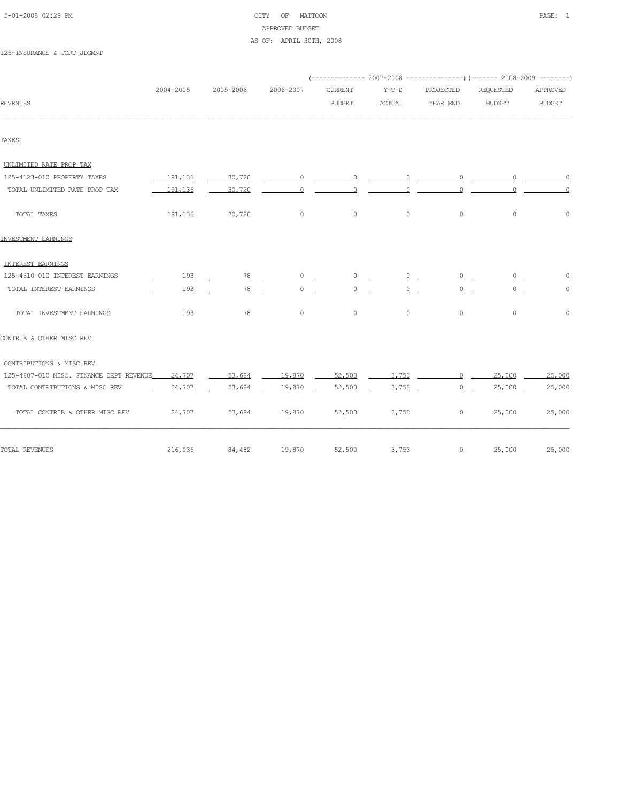| 5-01-2008 02:29 PM |  |
|--------------------|--|
|                    |  |

# CITY OF MATTOON **PAGE:** 1 APPROVED BUDGET AS OF: APRIL 30TH, 2008

#### 125-INSURANCE & TORT JDGMNT

|                                                |            |                 |               |                                                                                                                                                                                                                                                                                                                                    |                                                                         |                                                                                                                                                                                                                                                                                                                                    | (-------------- 2007-2008 ----------------) (------- 2008-2009 --------)                                                                                                                                                                                                                                                           |                                                                             |
|------------------------------------------------|------------|-----------------|---------------|------------------------------------------------------------------------------------------------------------------------------------------------------------------------------------------------------------------------------------------------------------------------------------------------------------------------------------|-------------------------------------------------------------------------|------------------------------------------------------------------------------------------------------------------------------------------------------------------------------------------------------------------------------------------------------------------------------------------------------------------------------------|------------------------------------------------------------------------------------------------------------------------------------------------------------------------------------------------------------------------------------------------------------------------------------------------------------------------------------|-----------------------------------------------------------------------------|
|                                                | 2004-2005  | 2005-2006       | 2006-2007     | <b>CURRENT</b>                                                                                                                                                                                                                                                                                                                     | $Y-T-D$                                                                 | PROJECTED                                                                                                                                                                                                                                                                                                                          | REQUESTED                                                                                                                                                                                                                                                                                                                          | APPROVED                                                                    |
| <b>REVENUES</b>                                |            |                 |               | <b>BUDGET</b>                                                                                                                                                                                                                                                                                                                      | <b>ACTUAL</b>                                                           | YEAR END                                                                                                                                                                                                                                                                                                                           | <b>BUDGET</b>                                                                                                                                                                                                                                                                                                                      | <b>BUDGET</b>                                                               |
| TAXES                                          |            |                 |               |                                                                                                                                                                                                                                                                                                                                    |                                                                         |                                                                                                                                                                                                                                                                                                                                    |                                                                                                                                                                                                                                                                                                                                    |                                                                             |
|                                                |            |                 |               |                                                                                                                                                                                                                                                                                                                                    |                                                                         |                                                                                                                                                                                                                                                                                                                                    |                                                                                                                                                                                                                                                                                                                                    |                                                                             |
| UNLIMITED RATE PROP TAX                        |            |                 |               |                                                                                                                                                                                                                                                                                                                                    |                                                                         |                                                                                                                                                                                                                                                                                                                                    |                                                                                                                                                                                                                                                                                                                                    |                                                                             |
| 125-4123-010 PROPERTY TAXES                    | 191.136    | 30,720          |               |                                                                                                                                                                                                                                                                                                                                    |                                                                         |                                                                                                                                                                                                                                                                                                                                    | $\overline{0}$ and $\overline{0}$ and $\overline{0}$ and $\overline{0}$ and $\overline{0}$ and $\overline{0}$ and $\overline{0}$ and $\overline{0}$ and $\overline{0}$ and $\overline{0}$ and $\overline{0}$ and $\overline{0}$ and $\overline{0}$ and $\overline{0}$ and $\overline{0}$ and $\overline{0}$ and $\overline{0}$ and | $\begin{array}{c c c c c} \hline 0 & \quad \text{if} \quad & 0 \end{array}$ |
| TOTAL UNLIMITED RATE PROP TAX                  | $-191,136$ |                 |               | $\overline{0}$ and $\overline{0}$ and $\overline{0}$ and $\overline{0}$ and $\overline{0}$ and $\overline{0}$ and $\overline{0}$ and $\overline{0}$ and $\overline{0}$ and $\overline{0}$ and $\overline{0}$ and $\overline{0}$ and $\overline{0}$ and $\overline{0}$ and $\overline{0}$ and $\overline{0}$ and $\overline{0}$ and | $\overline{0}$<br>$\circ$                                               |                                                                                                                                                                                                                                                                                                                                    | $\overline{0}$ and $\overline{0}$ and $\overline{0}$ and $\overline{0}$ and $\overline{0}$ and $\overline{0}$ and $\overline{0}$ and $\overline{0}$ and $\overline{0}$ and $\overline{0}$ and $\overline{0}$ and $\overline{0}$ and $\overline{0}$ and $\overline{0}$ and $\overline{0}$ and $\overline{0}$ and $\overline{0}$ and | $\overline{0}$<br>$\overline{0}$                                            |
| TOTAL TAXES                                    | 191,136    | 30,720          | $\circ$       | $\circ$                                                                                                                                                                                                                                                                                                                            | $\circ$                                                                 | $\circ$                                                                                                                                                                                                                                                                                                                            | $\mathbb O$                                                                                                                                                                                                                                                                                                                        | $\mathbb O$                                                                 |
| INVESTMENT EARNINGS                            |            |                 |               |                                                                                                                                                                                                                                                                                                                                    |                                                                         |                                                                                                                                                                                                                                                                                                                                    |                                                                                                                                                                                                                                                                                                                                    |                                                                             |
| INTEREST EARNINGS                              |            |                 |               |                                                                                                                                                                                                                                                                                                                                    |                                                                         |                                                                                                                                                                                                                                                                                                                                    |                                                                                                                                                                                                                                                                                                                                    |                                                                             |
| 125-4610-010 INTEREST EARNINGS                 | 193        | $\overline{78}$ |               |                                                                                                                                                                                                                                                                                                                                    |                                                                         |                                                                                                                                                                                                                                                                                                                                    |                                                                                                                                                                                                                                                                                                                                    | $\sim$ 000 $\sim$ 000 $\sim$ 000 $\sim$ 000 $\sim$                          |
| TOTAL INTEREST EARNINGS                        | 193        |                 |               | $\overline{0}$ and $\overline{0}$ and $\overline{0}$ and $\overline{0}$ and $\overline{0}$ and $\overline{0}$ and $\overline{0}$ and $\overline{0}$ and $\overline{0}$ and $\overline{0}$ and $\overline{0}$ and $\overline{0}$ and $\overline{0}$ and $\overline{0}$ and $\overline{0}$ and $\overline{0}$ and $\overline{0}$ and | $\overline{0}$ and $\overline{0}$ and $\overline{0}$ and $\overline{0}$ | $\overline{0}$ and $\overline{0}$ and $\overline{0}$ and $\overline{0}$ and $\overline{0}$ and $\overline{0}$ and $\overline{0}$ and $\overline{0}$ and $\overline{0}$ and $\overline{0}$ and $\overline{0}$ and $\overline{0}$ and $\overline{0}$ and $\overline{0}$ and $\overline{0}$ and $\overline{0}$ and $\overline{0}$ and | $\overline{0}$ and $\overline{0}$ and $\overline{0}$ and $\overline{0}$ and $\overline{0}$ and $\overline{0}$ and $\overline{0}$ and $\overline{0}$ and $\overline{0}$ and $\overline{0}$ and $\overline{0}$ and $\overline{0}$ and $\overline{0}$ and $\overline{0}$ and $\overline{0}$ and $\overline{0}$ and $\overline{0}$ and | $\overline{0}$<br>$\overline{0}$                                            |
| TOTAL INVESTMENT EARNINGS                      | 193        | 78              | $\circ$       | $\circ$                                                                                                                                                                                                                                                                                                                            | $\circ$                                                                 | $\circ$                                                                                                                                                                                                                                                                                                                            | $\circ$                                                                                                                                                                                                                                                                                                                            | $\circ$                                                                     |
| CONTRIB & OTHER MISC REV                       |            |                 |               |                                                                                                                                                                                                                                                                                                                                    |                                                                         |                                                                                                                                                                                                                                                                                                                                    |                                                                                                                                                                                                                                                                                                                                    |                                                                             |
| CONTRIBUTIONS & MISC REV                       |            |                 |               |                                                                                                                                                                                                                                                                                                                                    |                                                                         |                                                                                                                                                                                                                                                                                                                                    |                                                                                                                                                                                                                                                                                                                                    |                                                                             |
| 125-4807-010 MISC. FINANCE DEPT REVENUE 24,707 |            | 53,684          | 19,870        | 52,500                                                                                                                                                                                                                                                                                                                             |                                                                         | $3,753$ 0 25,000                                                                                                                                                                                                                                                                                                                   |                                                                                                                                                                                                                                                                                                                                    | 25,000                                                                      |
| TOTAL CONTRIBUTIONS & MISC REV                 | 24,707     | 53,684          | 19,870        | 52,500                                                                                                                                                                                                                                                                                                                             | 3.753                                                                   | $\Omega$                                                                                                                                                                                                                                                                                                                           | 25,000                                                                                                                                                                                                                                                                                                                             | 25,000                                                                      |
| TOTAL CONTRIB & OTHER MISC REV                 | 24,707     |                 | 53,684 19,870 | 52,500                                                                                                                                                                                                                                                                                                                             | 3,753                                                                   | $\circ$                                                                                                                                                                                                                                                                                                                            | 25,000                                                                                                                                                                                                                                                                                                                             | 25,000                                                                      |
| TOTAL REVENUES                                 | 216,036    | 84,482          | 19,870        | 52,500                                                                                                                                                                                                                                                                                                                             | 3,753                                                                   | $\circ$                                                                                                                                                                                                                                                                                                                            | 25,000                                                                                                                                                                                                                                                                                                                             | 25,000                                                                      |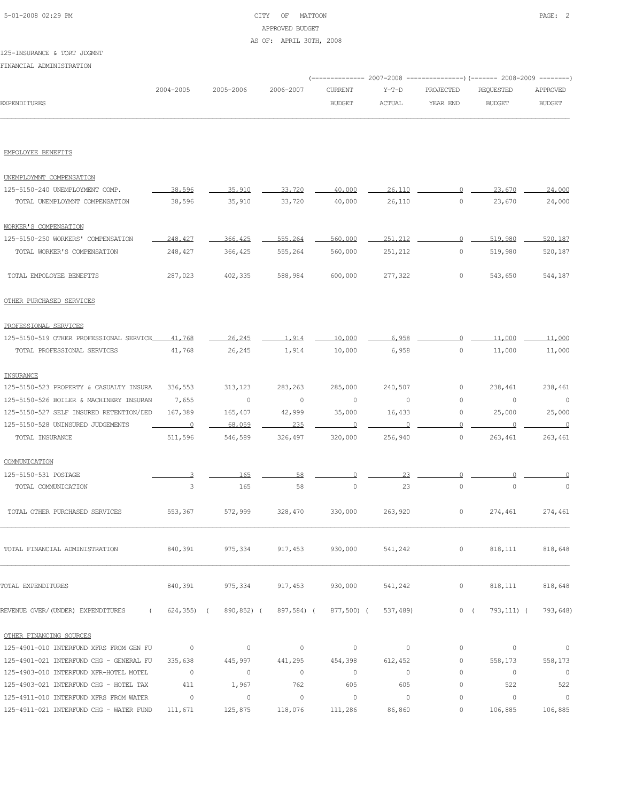# 5-01-2008 02:29 PM CITY OF MATTOON PAGE: 2 APPROVED BUDGET AS OF: APRIL 30TH, 2008

#### 125-INSURANCE & TORT JDGMNT

FINANCIAL ADMINISTRATION

|                     |               |           |           |        |        | (-------------- 2007-2008 ----------------) (------- 2008-2009 --------) |        |               |
|---------------------|---------------|-----------|-----------|--------|--------|--------------------------------------------------------------------------|--------|---------------|
|                     | $2004 - 2005$ | 2005-2006 | 2006-2007 |        |        |                                                                          |        | APPROVED      |
| <b>EXPENDITURES</b> |               |           |           | BUDGET | ACTUAL | YEAR END                                                                 | BUDGET | <b>BUDGET</b> |
|                     |               |           |           |        |        |                                                                          |        |               |

#### EMPOLOYEE BENEFITS

| UNEMPLOYMNT COMPENSATION                      |                            |                |                |                     |          |                |                |                          |
|-----------------------------------------------|----------------------------|----------------|----------------|---------------------|----------|----------------|----------------|--------------------------|
| 125-5150-240 UNEMPLOYMENT COMP.               | 38,596                     | 35,910         | 33,720         | 40,000              | 26,110   | $\circ$        | 23,670         | 24,000                   |
| TOTAL UNEMPLOYMNT COMPENSATION                | 38,596                     | 35,910         | 33,720         | 40,000              | 26,110   | $\circ$        | 23,670         | 24,000                   |
| WORKER'S COMPENSATION                         |                            |                |                |                     |          |                |                |                          |
| 125-5150-250 WORKERS' COMPENSATION            | 248,427                    | 366,425        | 555,264        | 560,000             | 251,212  | $\overline{0}$ | 519,980        | 520,187                  |
| TOTAL WORKER'S COMPENSATION                   | 248,427                    | 366,425        | 555,264        | 560,000             | 251,212  | 0              | 519,980        | 520,187                  |
| TOTAL EMPOLOYEE BENEFITS                      | 287,023                    | 402,335        | 588,984        | 600,000             | 277,322  | 0              | 543,650        | 544,187                  |
| OTHER PURCHASED SERVICES                      |                            |                |                |                     |          |                |                |                          |
| PROFESSIONAL SERVICES                         |                            |                |                |                     |          |                |                |                          |
| 125-5150-519 OTHER PROFESSIONAL SERVICE       | 41,768                     | 26,245         | 1.914          | 10,000              | 6.958    | $\circ$        | 11,000         | 11,000                   |
| TOTAL PROFESSIONAL SERVICES                   | 41,768                     | 26,245         | 1,914          | 10,000              | 6,958    | $\circ$        | 11,000         | 11,000                   |
| INSURANCE                                     |                            |                |                |                     |          |                |                |                          |
| 125-5150-523 PROPERTY & CASUALTY INSURA       | 336,553                    | 313,123        | 283,263        | 285,000             | 240,507  | $\circ$        | 238,461        | 238,461                  |
| 125-5150-526 BOILER & MACHINERY INSURAN       | 7,655                      | 0              | $\circ$        | 0                   | $\circ$  | $\circ$        | 0              | $\circ$                  |
| 125-5150-527 SELF INSURED RETENTION/DED       | 167,389                    | 165,407        | 42,999         | 35,000              | 16,433   | $\circ$        | 25,000         | 25,000                   |
| 125-5150-528 UNINSURED JUDGEMENTS             | $\overline{\phantom{0}}$   | 68,059         | 235            | $\circ$             | 0        | $\circ$        | - 0            | $\overline{\phantom{0}}$ |
| TOTAL INSURANCE                               | 511,596                    | 546,589        | 326,497        | 320,000             | 256,940  | $\circ$        | 263,461        | 263,461                  |
| COMMUNICATION                                 |                            |                |                |                     |          |                |                |                          |
| 125-5150-531 POSTAGE                          | 3                          | 165            | 58             | $\circ$             | 23       | $\Omega$       |                |                          |
| TOTAL COMMUNICATION                           | 3                          | 165            | 58             | $\mathsf{O}\xspace$ | 23       | $\circ$        | $\circ$        | 0                        |
| TOTAL OTHER PURCHASED SERVICES                | 553,367                    | 572,999        | 328,470        | 330,000             | 263,920  | 0              | 274,461        | 274,461                  |
| TOTAL FINANCIAL ADMINISTRATION                | 840,391                    | 975,334        | 917,453        | 930,000             | 541,242  | 0              | 818,111        | 818,648                  |
| TOTAL EXPENDITURES                            | 840,391                    | 975,334        | 917,453        | 930,000             | 541,242  | $\circ$        | 818,111        | 818,648                  |
| REVENUE OVER/(UNDER) EXPENDITURES<br>$\left($ | $624, 355$ )<br>$\sqrt{2}$ | 890,852) (     | 897,584) (     | 877,500) (          | 537,489) | 0(             | 793, 111) (    | 793,648)                 |
| OTHER FINANCING SOURCES                       |                            |                |                |                     |          |                |                |                          |
| 125-4901-010 INTERFUND XFRS FROM GEN FU       | $\overline{\phantom{0}}$   | $\circ$        | $\circ$        | $\circ$             | $\circ$  | 0              | $\circ$        | $\mathbb O$              |
| 125-4901-021 INTERFUND CHG - GENERAL FU       | 335,638                    | 445,997        | 441,295        | 454,398             | 612,452  | 0              | 558,173        | 558,173                  |
| 125-4903-010 INTERFUND XFR-HOTEL MOTEL        | $\overline{0}$             | $\overline{0}$ | $\overline{0}$ | $\circ$             | $\circ$  | $\circ$        | $\overline{0}$ | $\overline{0}$           |
| 125-4903-021 INTERFUND CHG - HOTEL TAX        | 411                        | 1,967          | 762            | 605                 | 605      | $\circ$        | 522            | 522                      |
| 125-4911-010 INTERFUND XFRS FROM WATER        | $\overline{\phantom{0}}$   | $\circ$        | $\circ$        | $\circ$             | $\circ$  | $\circ$        | $\circ$        | $\overline{0}$           |
| 125-4911-021 INTERFUND CHG - WATER FUND       | 111,671                    | 125,875        | 118,076        | 111,286             | 86,860   | $\circ$        | 106,885        | 106,885                  |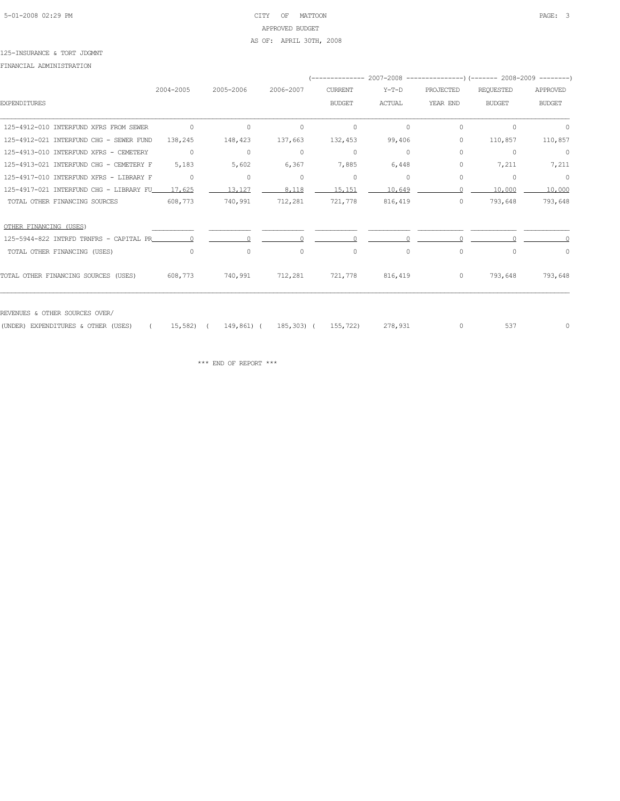# 5-01-2008 02:29 PM CITY OF MATTOON PAGE: 3 APPROVED BUDGET AS OF: APRIL 30TH, 2008

#### 125-INSURANCE & TORT JDGMNT

FINANCIAL ADMINISTRATION

|                                         |            |            |           | --------------      |               |           |                  |               |
|-----------------------------------------|------------|------------|-----------|---------------------|---------------|-----------|------------------|---------------|
|                                         | 2004-2005  | 2005-2006  | 2006-2007 | <b>CURRENT</b>      | $Y-T-D$       | PROJECTED | <b>REQUESTED</b> | APPROVED      |
| <b>EXPENDITURES</b>                     |            |            |           | <b>BUDGET</b>       | <b>ACTUAL</b> | YEAR END  | <b>BUDGET</b>    | <b>BUDGET</b> |
| 125-4912-010 INTERFUND XFRS FROM SEWER  | $\circ$    | $\circ$    | $\circ$   | $\circ$             | $\circ$       | 0         | $\circ$          | $\circ$       |
| 125-4912-021 INTERFUND CHG - SEWER FUND | 138,245    | 148,423    | 137,663   | 132,453             | 99,406        | 0         | 110,857          | 110,857       |
| 125-4913-010 INTERFUND XFRS - CEMETERY  | $\circ$    | 0          | $\circ$   | 0                   | $\circ$       | 0         | 0                | $\circ$       |
| 125-4913-021 INTERFUND CHG - CEMETERY F | 5,183      | 5,602      | 6,367     | 7,885               | 6,448         | 0         | 7,211            | 7,211         |
| 125-4917-010 INTERFUND XFRS - LIBRARY F | $\circ$    | 0          | $\circ$   | 0                   | $\circ$       | 0         | 0                | $\circ$       |
| 125-4917-021 INTERFUND CHG - LIBRARY FU | 17,625     | 13,127     | 8,118     | 15,151              | 10,649        |           | 10,000           | 10,000        |
| TOTAL OTHER FINANCING SOURCES           | 608,773    | 740,991    | 712,281   | 721,778             | 816,419       | $\circ$   | 793,648          | 793,648       |
| OTHER FINANCING (USES)                  |            |            |           |                     |               |           |                  |               |
| 125-5944-822 INTRFD TRNFRS - CAPITAL PR |            |            |           |                     |               |           |                  |               |
| TOTAL OTHER FINANCING (USES)            | $\Omega$   | $\Omega$   | $\Omega$  | $\circ$             | $\Omega$      | $\circ$   | $\cap$           | $\Omega$      |
| TOTAL OTHER FINANCING SOURCES (USES)    | 608,773    | 740,991    | 712,281   | 721,778             | 816,419       | $\circ$   | 793,648          | 793,648       |
| REVENUES & OTHER SOURCES OVER/          |            |            |           |                     |               |           |                  |               |
| (UNDER) EXPENDITURES & OTHER (USES)     | $15,582$ ( | 149,861) ( |           | 185,303) ( 155,722) | 278,931       | $\circ$   | 537              | 0             |
|                                         |            |            |           |                     |               |           |                  |               |

 $\star\star\star$  END OF REPORT  $\star\star\star$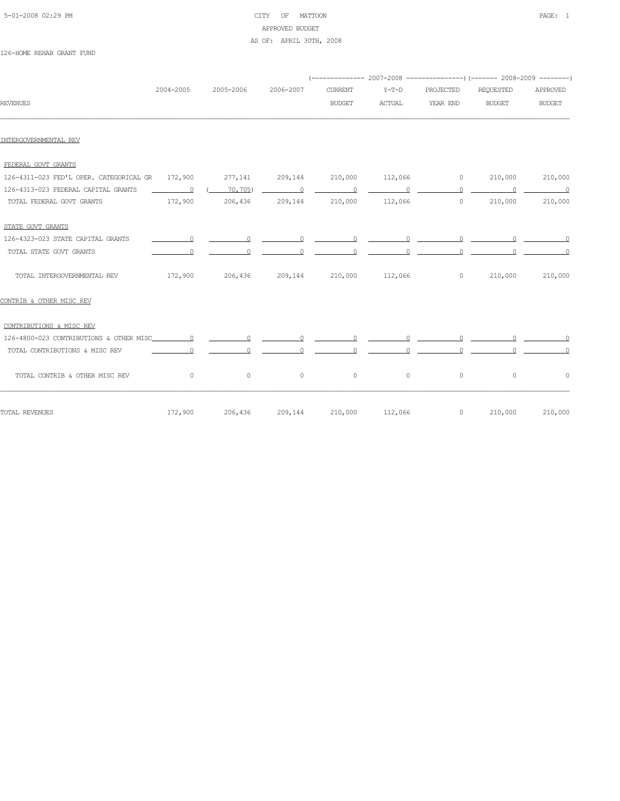# 5-01-2008 02:29 PM CITY OF MATTOON PAGE: 1 APPROVED BUDGET AS OF: APRIL 30TH, 2008

126-HOME REHAB GRANT FUND

|                                                 |                                                                                                                                                                                                                                                                                                                                                                                                                                                                                 |                 |           | (-------------- 2007-2008 ----------------) (------- 2008-2009 --------) |         |             |                                                                                                                                                                                                                                                                                                                                    |                |
|-------------------------------------------------|---------------------------------------------------------------------------------------------------------------------------------------------------------------------------------------------------------------------------------------------------------------------------------------------------------------------------------------------------------------------------------------------------------------------------------------------------------------------------------|-----------------|-----------|--------------------------------------------------------------------------|---------|-------------|------------------------------------------------------------------------------------------------------------------------------------------------------------------------------------------------------------------------------------------------------------------------------------------------------------------------------------|----------------|
|                                                 | 2004-2005                                                                                                                                                                                                                                                                                                                                                                                                                                                                       | 2005-2006       | 2006-2007 | <b>CURRENT</b>                                                           | $Y-T-D$ | PROJECTED   | <b>REQUESTED</b>                                                                                                                                                                                                                                                                                                                   | APPROVED       |
| <b>REVENUES</b>                                 |                                                                                                                                                                                                                                                                                                                                                                                                                                                                                 |                 |           | <b>BUDGET</b>                                                            | ACTUAL  | YEAR END    | <b>BUDGET</b>                                                                                                                                                                                                                                                                                                                      | <b>BUDGET</b>  |
| INTERGOVERNMENTAL REV                           |                                                                                                                                                                                                                                                                                                                                                                                                                                                                                 |                 |           |                                                                          |         |             |                                                                                                                                                                                                                                                                                                                                    |                |
| FEDERAL GOVT GRANTS                             |                                                                                                                                                                                                                                                                                                                                                                                                                                                                                 |                 |           |                                                                          |         |             |                                                                                                                                                                                                                                                                                                                                    |                |
| 126-4311-023 FED'L OPER. CATEGORICAL GR 172,900 |                                                                                                                                                                                                                                                                                                                                                                                                                                                                                 | 277,141         |           | 209,144 210,000                                                          |         | $112,066$ 0 | 210,000                                                                                                                                                                                                                                                                                                                            | 210,000        |
| 126-4313-023 FEDERAL CAPITAL GRANTS             | $\overline{\phantom{a}}$ $\overline{\phantom{a}}$ $\overline{\phantom{a}}$ $\overline{\phantom{a}}$ $\overline{\phantom{a}}$ $\overline{\phantom{a}}$ $\overline{\phantom{a}}$ $\overline{\phantom{a}}$ $\overline{\phantom{a}}$ $\overline{\phantom{a}}$ $\overline{\phantom{a}}$ $\overline{\phantom{a}}$ $\overline{\phantom{a}}$ $\overline{\phantom{a}}$ $\overline{\phantom{a}}$ $\overline{\phantom{a}}$ $\overline{\phantom{a}}$ $\overline{\phantom{a}}$ $\overline{\$ | $($ 70, 705)    |           |                                                                          |         |             |                                                                                                                                                                                                                                                                                                                                    |                |
| TOTAL FEDERAL GOVT GRANTS                       |                                                                                                                                                                                                                                                                                                                                                                                                                                                                                 | 172,900 206,436 |           | 209,144 210,000                                                          |         | 112,066     | $\overline{0}$<br>210,000                                                                                                                                                                                                                                                                                                          | 210,000        |
| STATE GOVT GRANTS                               |                                                                                                                                                                                                                                                                                                                                                                                                                                                                                 |                 |           |                                                                          |         |             |                                                                                                                                                                                                                                                                                                                                    |                |
| 126-4323-023 STATE CAPITAL GRANTS               |                                                                                                                                                                                                                                                                                                                                                                                                                                                                                 |                 |           |                                                                          |         |             |                                                                                                                                                                                                                                                                                                                                    |                |
| TOTAL STATE GOVT GRANTS                         | $\Omega$                                                                                                                                                                                                                                                                                                                                                                                                                                                                        | $\circ$         |           | $\circ$                                                                  |         | $\Omega$    |                                                                                                                                                                                                                                                                                                                                    |                |
| TOTAL INTERGOVERNMENTAL REV                     |                                                                                                                                                                                                                                                                                                                                                                                                                                                                                 | 172,900 206,436 |           | 209,144 210,000 112,066 0                                                |         |             | 210,000                                                                                                                                                                                                                                                                                                                            | 210,000        |
| CONTRIB & OTHER MISC REV                        |                                                                                                                                                                                                                                                                                                                                                                                                                                                                                 |                 |           |                                                                          |         |             |                                                                                                                                                                                                                                                                                                                                    |                |
| CONTRIBUTIONS & MISC REV                        |                                                                                                                                                                                                                                                                                                                                                                                                                                                                                 |                 |           |                                                                          |         |             |                                                                                                                                                                                                                                                                                                                                    |                |
|                                                 |                                                                                                                                                                                                                                                                                                                                                                                                                                                                                 |                 |           |                                                                          |         |             |                                                                                                                                                                                                                                                                                                                                    |                |
| TOTAL CONTRIBUTIONS & MISC REV                  | $\circ$                                                                                                                                                                                                                                                                                                                                                                                                                                                                         | $\circ$         | $\circ$   | $\circ$                                                                  | $\circ$ |             | $\overline{0}$ and $\overline{0}$ and $\overline{0}$ and $\overline{0}$ and $\overline{0}$ and $\overline{0}$ and $\overline{0}$ and $\overline{0}$ and $\overline{0}$ and $\overline{0}$ and $\overline{0}$ and $\overline{0}$ and $\overline{0}$ and $\overline{0}$ and $\overline{0}$ and $\overline{0}$ and $\overline{0}$ and | $\overline{0}$ |
| TOTAL CONTRIB & OTHER MISC REV                  | $\circ$                                                                                                                                                                                                                                                                                                                                                                                                                                                                         | $\circ$         | $\circ$   | $\circ$                                                                  | $\circ$ | $\circ$     | $\circ$                                                                                                                                                                                                                                                                                                                            | $\circ$        |
| TOTAL REVENUES                                  | 172,900                                                                                                                                                                                                                                                                                                                                                                                                                                                                         | 206,436         | 209,144   | 210,000                                                                  | 112,066 | $\circ$     | 210,000                                                                                                                                                                                                                                                                                                                            | 210,000        |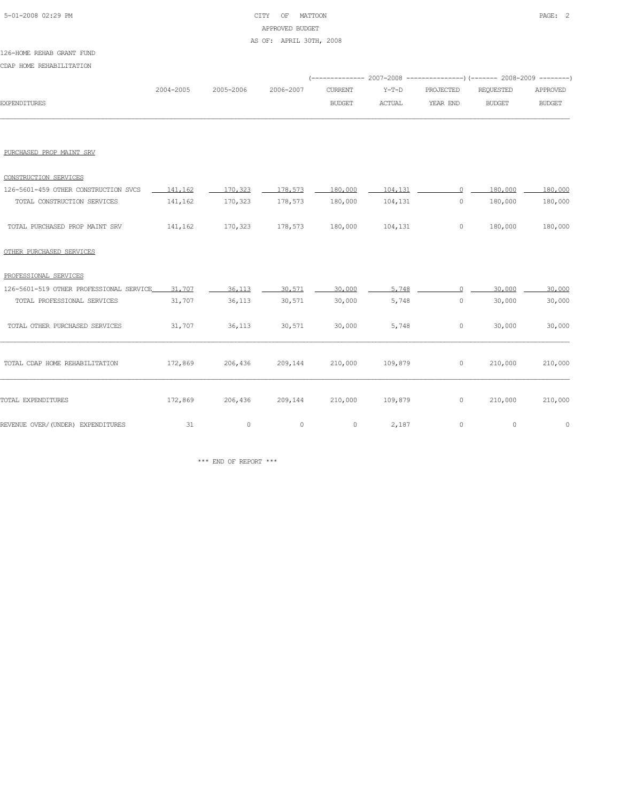# 5-01-2008 02:29 PM CITY OF MATTOON PAGE: 2 APPROVED BUDGET AS OF: APRIL 30TH, 2008

#### 126-HOME REHAB GRANT FUND

CDAP HOME REHABILITATION

|                     |           |           |           |               |         | (-------------- 2007-2008 ----------------) (------- 2008-2009 --------) |               |               |
|---------------------|-----------|-----------|-----------|---------------|---------|--------------------------------------------------------------------------|---------------|---------------|
|                     | 2004-2005 | 2005-2006 | 2006-2007 | CURRENT       | $Y-T-D$ | PROJECTED                                                                | REOUESTED     | APPROVED      |
| <b>EXPENDITURES</b> |           |           |           | <b>BUDGET</b> | ACTUAL  | YEAR END                                                                 | <b>BUDGET</b> | <b>BUDGET</b> |
|                     |           |           |           |               |         |                                                                          |               |               |

#### PURCHASED PROP MAINT SRV

| CONSTRUCTION SERVICES                |         |         |         |         |         |         |         |
|--------------------------------------|---------|---------|---------|---------|---------|---------|---------|
| 126-5601-459 OTHER CONSTRUCTION SVCS | 141.162 | 170.323 | 178.573 | 180,000 | 104,131 | 180,000 | 180,000 |
| TOTAL CONSTRUCTION SERVICES          | 141,162 | 170,323 | 178,573 | 180,000 | 104,131 | 180,000 | 180,000 |
| TOTAL PURCHASED PROP MAINT SRV       | 141,162 | 170,323 | 178,573 | 180,000 | 104,131 | 180,000 | 180,000 |

# OTHER PURCHASED SERVICES

| PROFESSIONAL SERVICES                   |         |         |         |         |         |         |         |         |
|-----------------------------------------|---------|---------|---------|---------|---------|---------|---------|---------|
| 126-5601-519 OTHER PROFESSIONAL SERVICE | 31,707  | 36,113  | 30,571  | 30,000  | 5,748   |         | 30,000  | 30,000  |
| TOTAL PROFESSIONAL SERVICES             | 31,707  | 36,113  | 30,571  | 30,000  | 5,748   | $\circ$ | 30,000  | 30,000  |
| TOTAL OTHER PURCHASED SERVICES          | 31,707  | 36,113  | 30,571  | 30,000  | 5,748   | $\circ$ | 30,000  | 30,000  |
| TOTAL CDAP HOME REHABILITATION          | 172,869 | 206,436 | 209,144 | 210,000 | 109,879 | $\circ$ | 210,000 | 210,000 |
| TOTAL EXPENDITURES                      | 172,869 | 206,436 | 209,144 | 210,000 | 109,879 | $\circ$ | 210,000 | 210,000 |
| REVENUE OVER/(UNDER) EXPENDITURES       | 31      | 0       | $\circ$ | 0       | 2,187   | $\circ$ | $\circ$ | 0       |

 $\star\star\star$  END OF REPORT  $\star\star\star$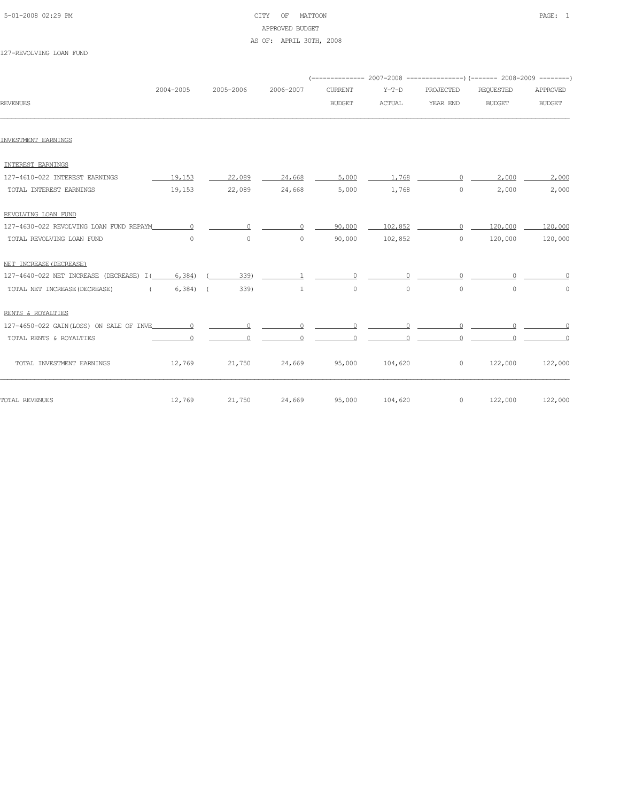#### 5-01-2008 02:29 PM CITY OF MATTOON PAGE: 1 APPROVED BUDGET AS OF: APRIL 30TH, 2008

|                                           |           |           |           |                | (-------------- 2007-2008 -------------------- 2008-2009 ----------- |           |               |               |
|-------------------------------------------|-----------|-----------|-----------|----------------|----------------------------------------------------------------------|-----------|---------------|---------------|
|                                           | 2004-2005 | 2005-2006 | 2006-2007 | <b>CURRENT</b> | $Y-T-D$                                                              | PROJECTED | REQUESTED     | APPROVED      |
| <b>REVENUES</b>                           |           |           |           | <b>BUDGET</b>  | <b>ACTUAL</b>                                                        | YEAR END  | <b>BUDGET</b> | <b>BUDGET</b> |
|                                           |           |           |           |                |                                                                      |           |               |               |
| INVESTMENT EARNINGS                       |           |           |           |                |                                                                      |           |               |               |
| INTEREST EARNINGS                         |           |           |           |                |                                                                      |           |               |               |
| 127-4610-022 INTEREST EARNINGS            | 19,153    | 22,089    | 24,668    | 5,000          | 1,768                                                                | $\cap$    | 2,000         | 2,000         |
| TOTAL INTEREST EARNINGS                   | 19,153    | 22,089    | 24,668    | 5,000          | 1,768                                                                | $\circ$   | 2,000         | 2,000         |
| REVOLVING LOAN FUND                       |           |           |           |                |                                                                      |           |               |               |
| 127-4630-022 REVOLVING LOAN FUND REPAYM   | $\cap$    | $\Omega$  |           | 90,000         | 102,852                                                              | $\cap$    | 120,000       | 120,000       |
| TOTAL REVOLVING LOAN FUND                 | $\Omega$  | $\circ$   | $\Omega$  | 90,000         | 102,852                                                              | $\Omega$  | 120,000       | 120,000       |
| NET INCREASE (DECREASE)                   |           |           |           |                |                                                                      |           |               |               |
| 127-4640-022 NET INCREASE (DECREASE) I(   | 6,384)    | 339)      |           |                |                                                                      |           |               |               |
| TOTAL NET INCREASE (DECREASE)<br>$\left($ | $6,384$ ( | 339)      | 1         | 0              | $\circ$                                                              | 0         | $\Omega$      | $\circ$       |
| RENTS & ROYALTIES                         |           |           |           |                |                                                                      |           |               |               |
| 127-4650-022 GAIN(LOSS) ON SALE OF INVE   | $\Omega$  |           |           |                |                                                                      |           |               |               |
| TOTAL RENTS & ROYALTIES                   |           |           |           |                |                                                                      |           |               |               |
| TOTAL INVESTMENT EARNINGS                 | 12,769    | 21,750    | 24,669    | 95,000         | 104,620                                                              | 0         | 122,000       | 122,000       |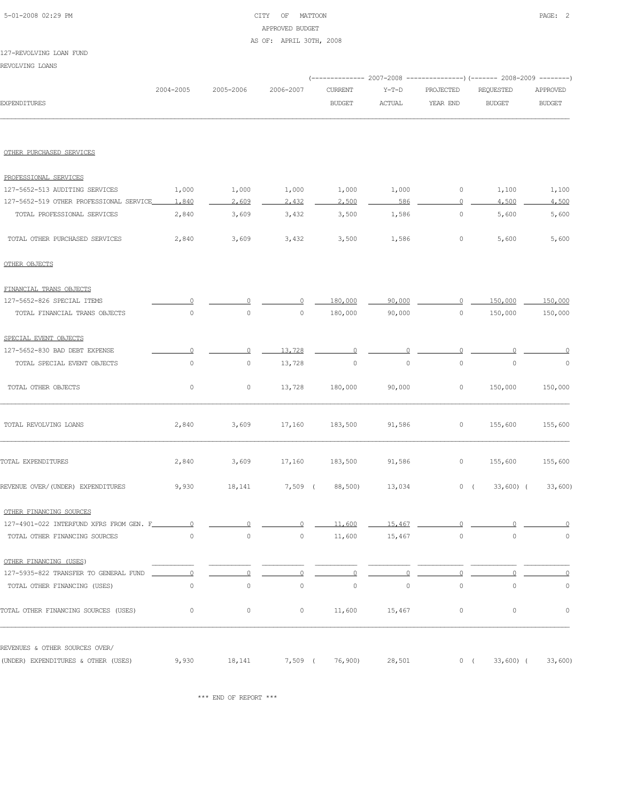#### 5-01-2008 02:29 PM CITY OF MATTOON PAGE: 2 APPROVED BUDGET AS OF: APRIL 30TH, 2008

#### 127-REVOLVING LOAN FUND

REVOLVING LOANS

|                                         |             |                     |           | (------------- 2007-2008 ---------------) (------- 2008-2009 --------) |               |             |               |               |
|-----------------------------------------|-------------|---------------------|-----------|------------------------------------------------------------------------|---------------|-------------|---------------|---------------|
|                                         | 2004-2005   | 2005-2006           | 2006-2007 | <b>CURRENT</b>                                                         | $Y-T-D$       | PROJECTED   | REQUESTED     | APPROVED      |
| <b>EXPENDITURES</b>                     |             |                     |           | <b>BUDGET</b>                                                          | <b>ACTUAL</b> | YEAR END    | <b>BUDGET</b> | <b>BUDGET</b> |
|                                         |             |                     |           |                                                                        |               |             |               |               |
| OTHER PURCHASED SERVICES                |             |                     |           |                                                                        |               |             |               |               |
| PROFESSIONAL SERVICES                   |             |                     |           |                                                                        |               |             |               |               |
| 127-5652-513 AUDITING SERVICES          | 1,000       | 1,000               | 1,000     | 1,000                                                                  | 1,000         | 0           | 1,100         | 1,100         |
| 127-5652-519 OTHER PROFESSIONAL SERVICE | 1,840       | 2,609               | 2,432     | 2,500                                                                  | 586           | $\Omega$    | 4,500         | 4,500         |
| TOTAL PROFESSIONAL SERVICES             | 2,840       | 3,609               | 3,432     | 3,500                                                                  | 1,586         | $\mathbb O$ | 5,600         | 5,600         |
| TOTAL OTHER PURCHASED SERVICES          | 2,840       | 3,609               | 3,432     | 3,500                                                                  | 1,586         | 0           | 5,600         | 5,600         |
| OTHER OBJECTS                           |             |                     |           |                                                                        |               |             |               |               |
| FINANCIAL TRANS OBJECTS                 |             |                     |           |                                                                        |               |             |               |               |
| 127-5652-826 SPECIAL ITEMS              |             |                     |           | 180,000                                                                | 90,000        | 0           | 150,000       | 150,000       |
| TOTAL FINANCIAL TRANS OBJECTS           | 0           | $\mathsf{O}\xspace$ | $\circ$   | 180,000                                                                | 90,000        | $\mathbb O$ | 150,000       | 150,000       |
| SPECIAL EVENT OBJECTS                   |             |                     |           |                                                                        |               |             |               |               |
| 127-5652-830 BAD DEBT EXPENSE           |             |                     | 13,728    |                                                                        |               |             |               |               |
| TOTAL SPECIAL EVENT OBJECTS             | $\mathbb O$ | 0                   | 13,728    | $\circ$                                                                | $\mathbb O$   | $\circ$     | 0             | $\circ$       |
| TOTAL OTHER OBJECTS                     | 0           | 0                   | 13,728    | 180,000                                                                | 90,000        | 0           | 150,000       | 150,000       |
| TOTAL REVOLVING LOANS                   | 2,840       | 3,609               | 17,160    | 183,500                                                                | 91,586        | 0           | 155,600       | 155,600       |
| TOTAL EXPENDITURES                      | 2,840       | 3,609               | 17,160    | 183,500                                                                | 91,586        | 0           | 155,600       | 155,600       |
| REVENUE OVER/(UNDER) EXPENDITURES       | 9,930       | 18,141              | $7,509$ ( | 88,500)                                                                | 13,034        | 0(          | $33,600$ (    | 33,600        |
| OTHER FINANCING SOURCES                 |             |                     |           |                                                                        |               |             |               |               |
| 127-4901-022 INTERFUND XFRS FROM GEN.   |             |                     |           |                                                                        |               |             |               |               |
| TOTAL OTHER FINANCING SOURCES           | 0           | 0                   | 0         | 11,600                                                                 | 15,467        | 0           | 0             | $\circ$       |
| OTHER FINANCING (USES)                  |             |                     |           |                                                                        |               |             |               |               |
| 127-5935-822 TRANSFER TO GENERAL FUND   | $\circ$     |                     |           |                                                                        |               |             |               | 0             |
| TOTAL OTHER FINANCING (USES)            | 0           | $\circ$             | 0         | $\circ$                                                                | $\circ$       | $\circ$     | 0             | 0             |
| TOTAL OTHER FINANCING SOURCES (USES)    | $\circ$     | 0                   | $\circ$   | 11,600                                                                 | 15,467        | 0           | 0             | $\circ$       |
| REVENUES & OTHER SOURCES OVER/          |             |                     |           |                                                                        |               |             |               |               |
| (UNDER) EXPENDITURES & OTHER (USES)     | 9,930       | 18,141              | $7,509$ ( | 76,900)                                                                | 28,501        | 0(          | $33,600$ (    | 33,600        |

\*\*\* END OF REPORT \*\*\*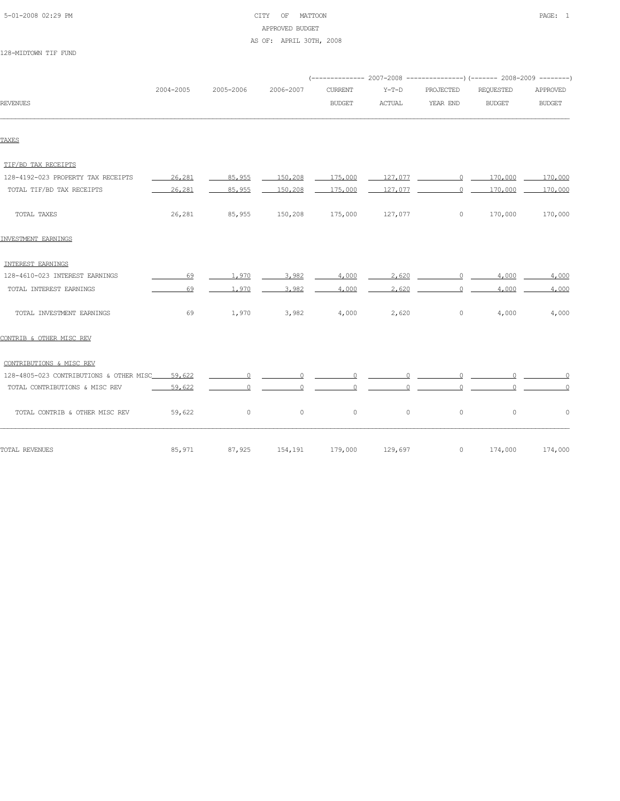| 5-01-2008 02:29 PM |  |
|--------------------|--|
|                    |  |

# CITY OF MATTOON **PAGE:** 1 APPROVED BUDGET AS OF: APRIL 30TH, 2008

128-MIDTOWN TIF FUND

|                                                    | 2004-2005 | 2005-2006 | 2006-2007                         | <b>CURRENT</b> | $Y-T-D$       | PROJECTED       | REQUESTED                                                                                                                                 | APPROVED      |
|----------------------------------------------------|-----------|-----------|-----------------------------------|----------------|---------------|-----------------|-------------------------------------------------------------------------------------------------------------------------------------------|---------------|
| <b>REVENUES</b>                                    |           |           |                                   | <b>BUDGET</b>  | <b>ACTUAL</b> | YEAR END        | <b>BUDGET</b>                                                                                                                             | <b>BUDGET</b> |
|                                                    |           |           |                                   |                |               |                 |                                                                                                                                           |               |
| TAXES                                              |           |           |                                   |                |               |                 |                                                                                                                                           |               |
| TIF/BD TAX RECEIPTS                                |           |           |                                   |                |               |                 |                                                                                                                                           |               |
| 128-4192-023 PROPERTY TAX RECEIPTS                 | 26,281    | 85,955    | 150,208                           | 175.000        |               |                 | $\underline{\hspace{1.5cm}127.077}$ $\underline{\hspace{1.5cm}0}$ $\underline{\hspace{1.5cm}170.000}$ $\underline{\hspace{1.5cm}170.000}$ |               |
| TOTAL TIF/BD TAX RECEIPTS                          | 26,281    | 85,955    | 150,208                           | 175,000        |               |                 | $127.077$ $0$ $170.000$ $170.000$                                                                                                         |               |
| TOTAL TAXES                                        | 26,281    |           | 85,955 150,208 175,000            |                | 127,077       | $\circ$         | 170,000                                                                                                                                   | 170,000       |
| INVESTMENT EARNINGS                                |           |           |                                   |                |               |                 |                                                                                                                                           |               |
| INTEREST EARNINGS                                  |           |           |                                   |                |               |                 |                                                                                                                                           |               |
| 128-4610-023 INTEREST EARNINGS                     | 69        | 1.970     | 3.982                             | 4.000          |               | $2.620$ 0 4.000 |                                                                                                                                           | 4,000         |
| TOTAL INTEREST EARNINGS                            | 69        | 1,970     | 3,982                             | 4,000          |               | $2,620$ 0 4,000 |                                                                                                                                           | 4,000         |
| TOTAL INVESTMENT EARNINGS                          | 69        | 1,970     | 3,982                             | 4,000          | 2,620         | $\circ$         | 4,000                                                                                                                                     | 4,000         |
| CONTRIB & OTHER MISC REV                           |           |           |                                   |                |               |                 |                                                                                                                                           |               |
| CONTRIBUTIONS & MISC REV                           |           |           |                                   |                |               |                 |                                                                                                                                           |               |
| 128-4805-023 CONTRIBUTIONS & OTHER MISC_____59,622 |           |           |                                   |                |               |                 |                                                                                                                                           |               |
| TOTAL CONTRIBUTIONS & MISC REV                     | $-59,622$ |           | $\overline{0}$ and $\overline{0}$ |                |               |                 |                                                                                                                                           |               |
| TOTAL CONTRIB & OTHER MISC REV                     | 59,622    | $\circ$   | $\circ$                           | $\circ$        | $\circ$       | $\circ$         | $\circ$                                                                                                                                   | $\circ$       |
| TOTAL REVENUES                                     | 85,971    | 87,925    | 154,191                           | 179,000        | 129,697       | $\circ$         | 174,000                                                                                                                                   | 174,000       |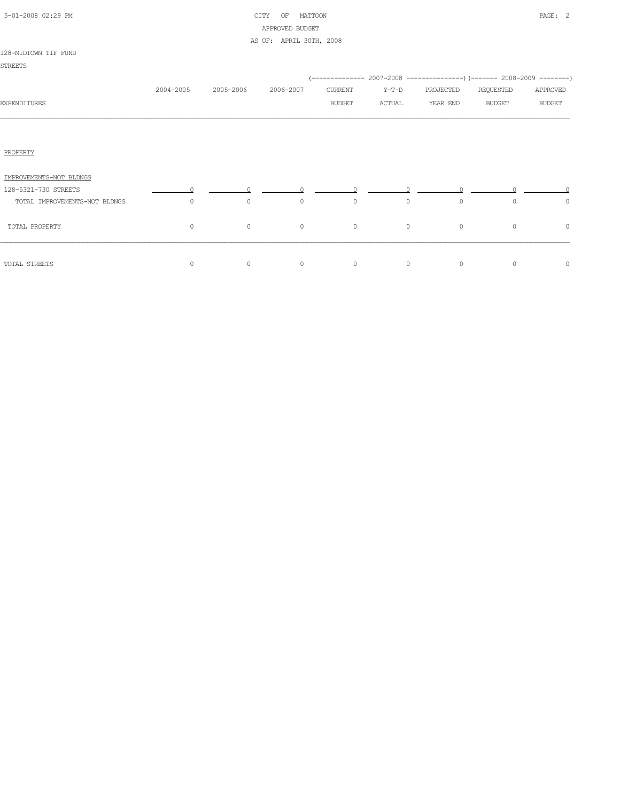| 5-01-2008 02:29 PM |  |
|--------------------|--|
|                    |  |

# CITY OF MATTOON **PAGE:** 2 APPROVED BUDGET AS OF: APRIL 30TH, 2008

#### 128-MIDTOWN TIF FUND

|                               |           |           |           |               |         | (-------------- 2007-2008 ----------------) (------- 2008-2009 --------) |               |               |
|-------------------------------|-----------|-----------|-----------|---------------|---------|--------------------------------------------------------------------------|---------------|---------------|
|                               | 2004-2005 | 2005-2006 | 2006-2007 | CURRENT       | $Y-T-D$ | PROJECTED                                                                | REQUESTED     | APPROVED      |
| <b>EXPENDITURES</b>           |           |           |           | <b>BUDGET</b> | ACTUAL  | YEAR END                                                                 | <b>BUDGET</b> | <b>BUDGET</b> |
|                               |           |           |           |               |         |                                                                          |               |               |
|                               |           |           |           |               |         |                                                                          |               |               |
| PROPERTY                      |           |           |           |               |         |                                                                          |               |               |
| IMPROVEMENTS-NOT BLDNGS       |           |           |           |               |         |                                                                          |               |               |
| 128-5321-730 STREETS          |           |           |           |               |         |                                                                          |               |               |
| TOTAL IMPROVEMENTS-NOT BLDNGS | 0         | $\circ$   | $\circ$   | $\circ$       | $\circ$ | $\circ$                                                                  | $\circ$       | $\circ$       |
| TOTAL PROPERTY                | $\circ$   | $\circ$   | $\circ$   | $\circ$       | $\circ$ | $\circ$                                                                  | $\circ$       | 0             |
| TOTAL STREETS                 | $\circ$   | 0         | $\circ$   | $\circ$       | $\circ$ | $\circ$                                                                  | $\circ$       | $\circ$       |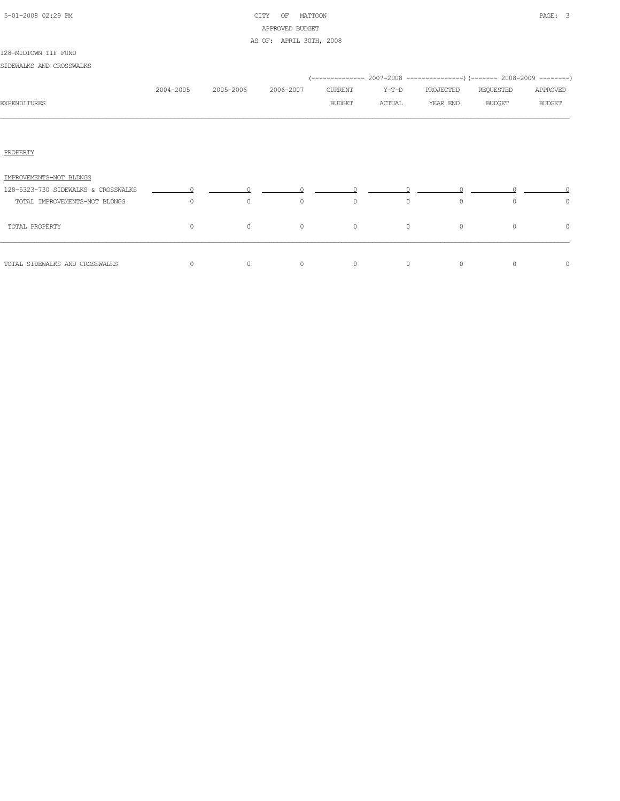| 5-01-2008 02:29 PM |  |
|--------------------|--|

# CITY OF MATTOON **PAGE:** 3 APPROVED BUDGET AS OF: APRIL 30TH, 2008

#### 128-MIDTOWN TIF FUND

SIDEWALKS AND CROSSWALKS

|                                     |           |           |           |                |         |           | (-------------- 2007-2008 ----------------) (------- 2008-2009 --------) |               |
|-------------------------------------|-----------|-----------|-----------|----------------|---------|-----------|--------------------------------------------------------------------------|---------------|
|                                     | 2004-2005 | 2005-2006 | 2006-2007 | <b>CURRENT</b> | $Y-T-D$ | PROJECTED | REQUESTED                                                                | APPROVED      |
| <b>EXPENDITURES</b>                 |           |           |           | <b>BUDGET</b>  | ACTUAL  | YEAR END  | <b>BUDGET</b>                                                            | <b>BUDGET</b> |
|                                     |           |           |           |                |         |           |                                                                          |               |
| PROPERTY                            |           |           |           |                |         |           |                                                                          |               |
| IMPROVEMENTS-NOT BLDNGS             |           |           |           |                |         |           |                                                                          |               |
| 128-5323-730 SIDEWALKS & CROSSWALKS |           |           |           |                |         |           |                                                                          |               |
| TOTAL IMPROVEMENTS-NOT BLDNGS       | $\circ$   | $\circ$   | $\circ$   | $\circ$        | $\circ$ | $\circ$   | $\Omega$                                                                 | $\circ$       |
| TOTAL PROPERTY                      | $\circ$   | $\circ$   | $\circ$   | $\circ$        | $\circ$ | $\circ$   | $\circ$                                                                  | $\circ$       |
| TOTAL SIDEWALKS AND CROSSWALKS      | 0         | $\circ$   | $\circ$   | $\circ$        | $\circ$ | $\circ$   | $\circ$                                                                  | 0             |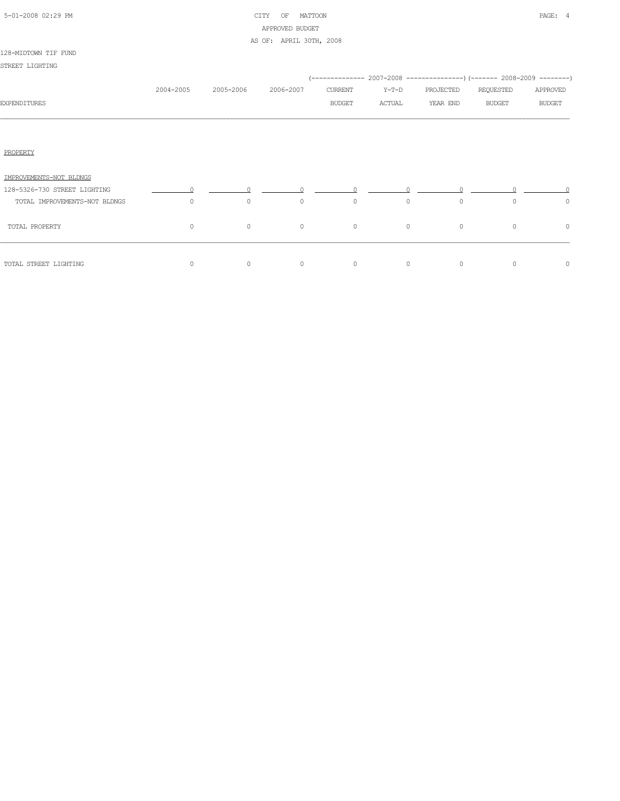| 5-01-2008 02:29 PM |  |  |
|--------------------|--|--|

# CITY OF MATTOON **PAGE:** 4 APPROVED BUDGET AS OF: APRIL 30TH, 2008

|                               |           |           |           |               |         | (-------------- 2007-2008 ----------------) (------- 2008-2009 --------) |               |               |
|-------------------------------|-----------|-----------|-----------|---------------|---------|--------------------------------------------------------------------------|---------------|---------------|
|                               | 2004-2005 | 2005-2006 | 2006-2007 | CURRENT       | $Y-T-D$ | PROJECTED                                                                | REQUESTED     | APPROVED      |
| <b>EXPENDITURES</b>           |           |           |           | <b>BUDGET</b> | ACTUAL  | YEAR END                                                                 | <b>BUDGET</b> | <b>BUDGET</b> |
|                               |           |           |           |               |         |                                                                          |               |               |
| PROPERTY                      |           |           |           |               |         |                                                                          |               |               |
| IMPROVEMENTS-NOT BLDNGS       |           |           |           |               |         |                                                                          |               |               |
| 128-5326-730 STREET LIGHTING  |           |           |           |               |         |                                                                          |               |               |
| TOTAL IMPROVEMENTS-NOT BLDNGS | $\circ$   | $\circ$   | $\circ$   | $\circ$       | $\circ$ | $\circ$                                                                  | $\circ$       | $\circ$       |
| TOTAL PROPERTY                | $\circ$   | $\circ$   | $\circ$   | $\circ$       | $\circ$ | $\circ$                                                                  | $\Omega$      | 0             |
| TOTAL STREET LIGHTING         | $\circ$   | $\circ$   | $\circ$   | $\circ$       | $\circ$ | $\circ$                                                                  | 0             | $\circ$       |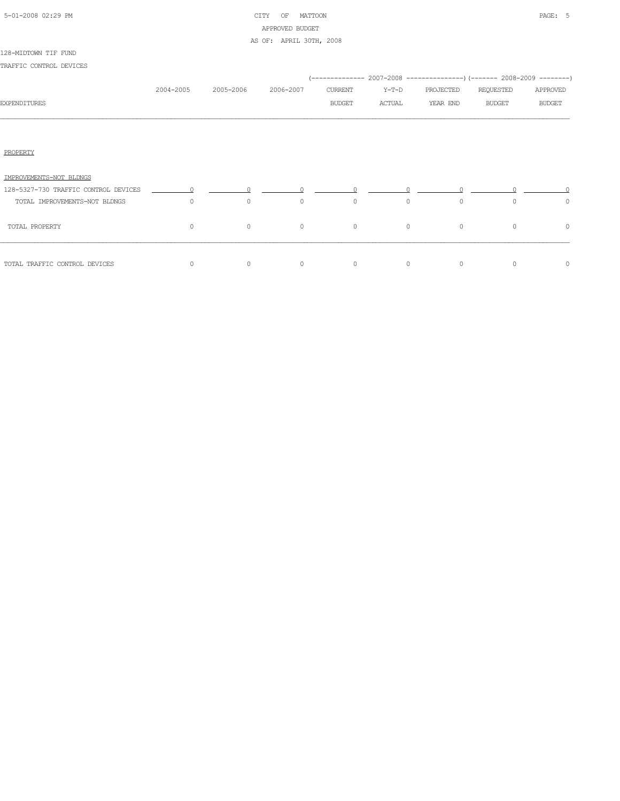| 5-01-2008 02:29 PM |  |
|--------------------|--|

# CITY OF MATTOON PAGE: 5 APPROVED BUDGET AS OF: APRIL 30TH, 2008

#### 128-MIDTOWN TIF FUND

| TRAFFIC CONTROL DEVICES              |           |                                                          |           |               |          |                                                                          |           |               |
|--------------------------------------|-----------|----------------------------------------------------------|-----------|---------------|----------|--------------------------------------------------------------------------|-----------|---------------|
|                                      |           |                                                          |           |               |          | (-------------- 2007-2008 ----------------) (------- 2008-2009 --------) |           |               |
|                                      | 2004-2005 | 2005-2006                                                | 2006-2007 | CURRENT       | Y-T-D    | PROJECTED                                                                | REQUESTED | APPROVED      |
| EXPENDITURES                         |           |                                                          |           | <b>BUDGET</b> | ACTUAL   | YEAR END                                                                 | BUDGET    | <b>BUDGET</b> |
|                                      |           |                                                          |           |               |          |                                                                          |           |               |
| PROPERTY                             |           |                                                          |           |               |          |                                                                          |           |               |
| IMPROVEMENTS-NOT BLDNGS              |           |                                                          |           |               |          |                                                                          |           |               |
| 128-5327-730 TRAFFIC CONTROL DEVICES |           | $\begin{array}{ccccccc}\n0 & & & 0 & & & 0\n\end{array}$ |           |               |          |                                                                          |           |               |
| TOTAL IMPROVEMENTS-NOT BLDNGS        | $\Omega$  | $\circ$                                                  | $\Omega$  | $\circ$       | $\Omega$ | $\Omega$                                                                 | $\Omega$  | $\circ$       |
| TOTAL PROPERTY                       | $\circ$   | $\circ$                                                  | $\circ$   | $\circ$       | $\circ$  | $\circ$                                                                  | $\Omega$  | $\circ$       |
|                                      |           |                                                          |           |               |          |                                                                          |           |               |

TOTAL TRAFFIC CONTROL DEVICES 0 0 0 0 0 0 0 0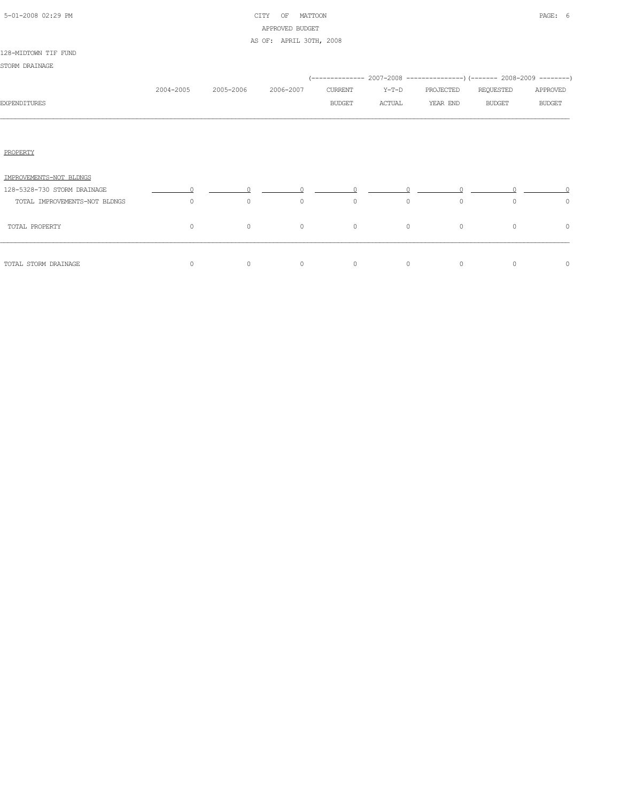| 5-01-2008 02:29 PM |  |  |
|--------------------|--|--|

# CITY OF MATTOON **PAGE: 6** APPROVED BUDGET AS OF: APRIL 30TH, 2008

| STORM DRAINAGE                |           |           |           |                          |                 |                       |                                                                                                        |                           |
|-------------------------------|-----------|-----------|-----------|--------------------------|-----------------|-----------------------|--------------------------------------------------------------------------------------------------------|---------------------------|
| EXPENDITURES                  | 2004-2005 | 2005-2006 | 2006-2007 | CURRENT<br><b>BUDGET</b> | Y-T-D<br>ACTUAL | PROJECTED<br>YEAR END | (-------------- 2007-2008 ----------------) (------- 2008-2009 --------)<br>REQUESTED<br><b>BUDGET</b> | APPROVED<br><b>BUDGET</b> |
|                               |           |           |           |                          |                 |                       |                                                                                                        |                           |
| PROPERTY                      |           |           |           |                          |                 |                       |                                                                                                        |                           |
| IMPROVEMENTS-NOT BLDNGS       |           |           |           |                          |                 |                       |                                                                                                        |                           |
| 128-5328-730 STORM DRAINAGE   |           |           |           |                          |                 |                       |                                                                                                        |                           |
| TOTAL IMPROVEMENTS-NOT BLDNGS | $\circ$   | $\circ$   | $\circ$   | 0                        | $\circ$         | $\circ$               | $\Omega$                                                                                               | $\circ$                   |
| TOTAL PROPERTY                | $\circ$   | $\circ$   | $\circ$   | $\circ$                  | $\circ$         | $\circ$               | $\circ$                                                                                                | $\circ$                   |
| TOTAL STORM DRAINAGE          | $\circ$   | $\circ$   | $\circ$   | $\circ$                  | 0               | $\circ$               | $\mathbf{0}$                                                                                           | $\circ$                   |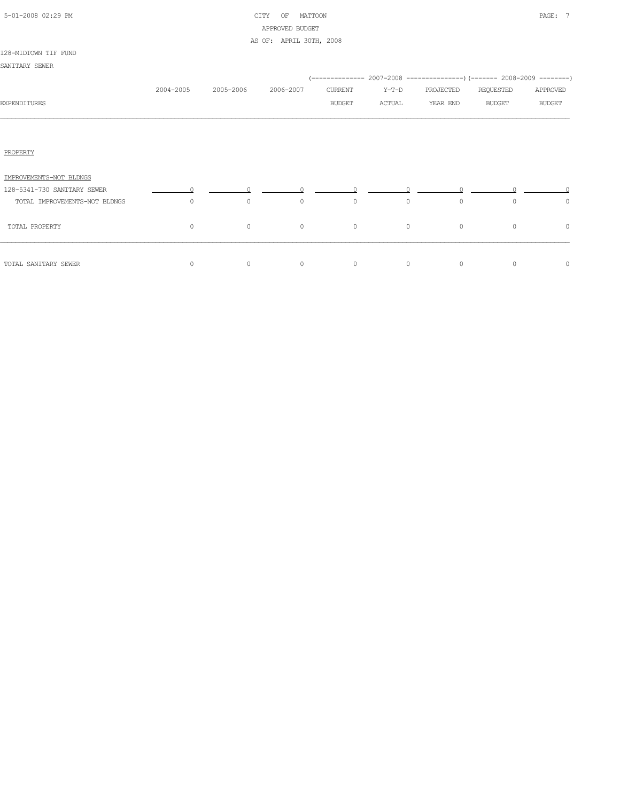| 5-01-2008 02:29 PM |  |  |
|--------------------|--|--|

# CITY OF MATTOON PAGE: 7 APPROVED BUDGET

|                               |           |           | AS OF: APRIL 30TH, 2008 |               |         |           |                                                                          |               |
|-------------------------------|-----------|-----------|-------------------------|---------------|---------|-----------|--------------------------------------------------------------------------|---------------|
| 128-MIDTOWN TIF FUND          |           |           |                         |               |         |           |                                                                          |               |
| SANITARY SEWER                |           |           |                         |               |         |           |                                                                          |               |
|                               |           |           |                         |               |         |           | (-------------- 2007-2008 ----------------) (------- 2008-2009 --------) |               |
|                               | 2004-2005 | 2005-2006 | 2006-2007               | CURRENT       | Y-T-D   | PROJECTED | REQUESTED                                                                | APPROVED      |
| <b>EXPENDITURES</b>           |           |           |                         | <b>BUDGET</b> | ACTUAL  | YEAR END  | <b>BUDGET</b>                                                            | <b>BUDGET</b> |
|                               |           |           |                         |               |         |           |                                                                          |               |
| PROPERTY                      |           |           |                         |               |         |           |                                                                          |               |
| IMPROVEMENTS-NOT BLDNGS       |           |           |                         |               |         |           |                                                                          |               |
| 128-5341-730 SANITARY SEWER   |           |           |                         |               |         |           |                                                                          |               |
| TOTAL IMPROVEMENTS-NOT BLDNGS | $\Omega$  | $\circ$   | $\circ$                 | $\circ$       | $\circ$ | $\circ$   | $\circ$                                                                  | 0             |
| TOTAL PROPERTY                | $\circ$   | $\circ$   | $\circ$                 | $\circ$       | $\circ$ | $\circ$   | $\circ$                                                                  | $\circ$       |
| TOTAL SANITARY SEWER          | $\circ$   | $\circ$   | $\circ$                 | $\circ$       | $\circ$ | $\circ$   | $\circ$                                                                  | $\circ$       |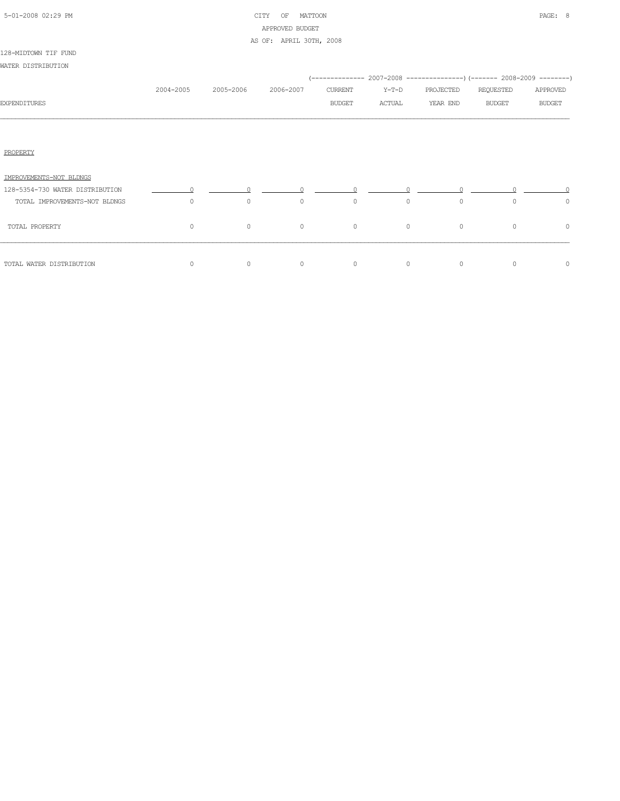| 5-01-2008 02:29 PM |  |  |
|--------------------|--|--|

# CITY OF MATTOON **PAGE: 8** APPROVED BUDGET AS OF: APRIL 30TH, 2008

| WATER DISTRIBUTION              |           |           |           |               |         |           |                                                                                       |               |
|---------------------------------|-----------|-----------|-----------|---------------|---------|-----------|---------------------------------------------------------------------------------------|---------------|
|                                 | 2004-2005 | 2005-2006 | 2006-2007 | CURRENT       | $Y-T-D$ | PROJECTED | (-------------- 2007-2008 ----------------) (------- 2008-2009 --------)<br>REQUESTED | APPROVED      |
| <b>EXPENDITURES</b>             |           |           |           | <b>BUDGET</b> | ACTUAL  | YEAR END  | <b>BUDGET</b>                                                                         | <b>BUDGET</b> |
|                                 |           |           |           |               |         |           |                                                                                       |               |
| PROPERTY                        |           |           |           |               |         |           |                                                                                       |               |
| IMPROVEMENTS-NOT BLDNGS         |           |           |           |               |         |           |                                                                                       |               |
| 128-5354-730 WATER DISTRIBUTION |           |           |           |               |         |           |                                                                                       |               |
| TOTAL IMPROVEMENTS-NOT BLDNGS   | $\circ$   | $\circ$   | $\circ$   | $\circ$       | $\circ$ | $\circ$   | $\circ$                                                                               | $\circ$       |
| TOTAL PROPERTY                  | $\circ$   | $\circ$   | $\circ$   | $\circ$       | $\circ$ | $\circ$   | 0                                                                                     | 0             |
|                                 |           |           |           |               |         |           |                                                                                       |               |

TOTAL WATER DISTRIBUTION 0 0 0 0 0 0 0 0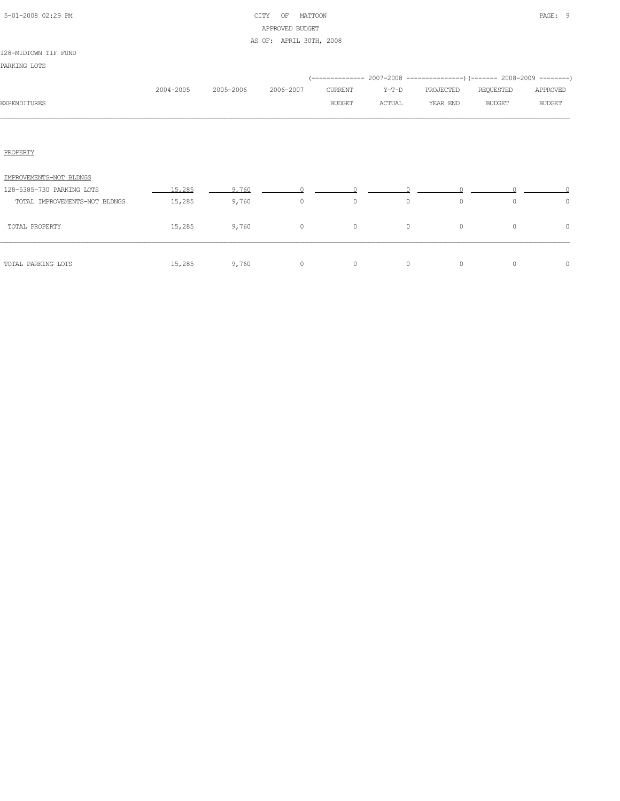| 5-01-2008 02:29 PM |  |
|--------------------|--|

# CITY OF MATTOON **PAGE:** 9 APPROVED BUDGET AS OF: APRIL 30TH, 2008

|                               |           |           |           |                |         |           | $(---------- 2007-2008 ----------)$ $(---- 2008-2009 -------)$ |               |
|-------------------------------|-----------|-----------|-----------|----------------|---------|-----------|----------------------------------------------------------------|---------------|
|                               | 2004-2005 | 2005-2006 | 2006-2007 | <b>CURRENT</b> | $Y-T-D$ | PROJECTED | REQUESTED                                                      | APPROVED      |
| <b>EXPENDITURES</b>           |           |           |           | <b>BUDGET</b>  | ACTUAL  | YEAR END  | <b>BUDGET</b>                                                  | <b>BUDGET</b> |
|                               |           |           |           |                |         |           |                                                                |               |
|                               |           |           |           |                |         |           |                                                                |               |
| PROPERTY                      |           |           |           |                |         |           |                                                                |               |
|                               |           |           |           |                |         |           |                                                                |               |
| IMPROVEMENTS-NOT BLDNGS       |           |           |           |                |         |           |                                                                |               |
| 128-5385-730 PARKING LOTS     | 15,285    | 9,760     |           |                |         |           |                                                                |               |
| TOTAL IMPROVEMENTS-NOT BLDNGS | 15,285    | 9,760     | $\circ$   | $\circ$        | $\circ$ | $\circ$   | $\circ$                                                        | $\circ$       |
| TOTAL PROPERTY                | 15,285    | 9,760     | $\circ$   | $\circ$        | $\circ$ | $\circ$   | $\circ$                                                        | $\circ$       |
|                               |           |           |           |                |         |           |                                                                |               |
| TOTAL PARKING LOTS            | 15,285    | 9,760     | $\circ$   | $\circ$        | $\circ$ | 0         | $\circ$                                                        | $\circ$       |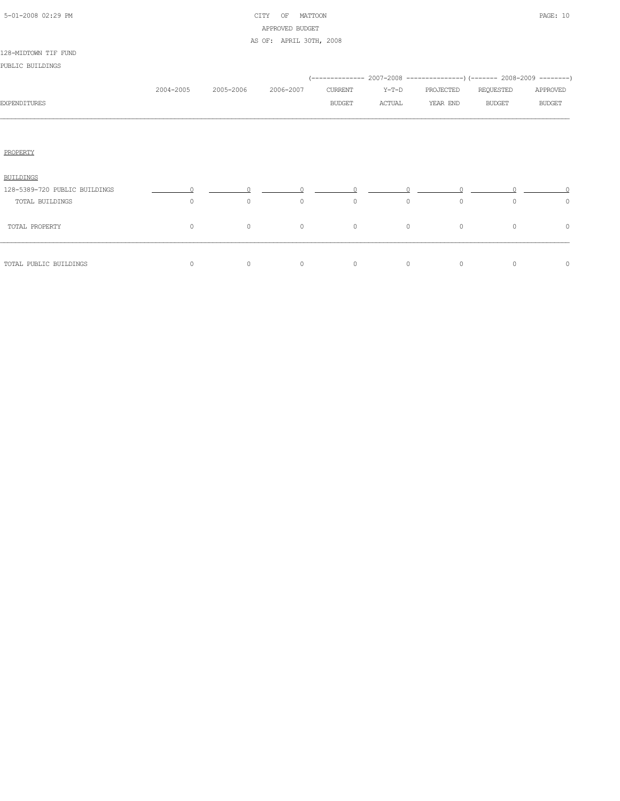| 5-01-2008 02:29 PM |  |  |
|--------------------|--|--|

# CITY OF MATTOON PAGE: 10 APPROVED BUDGET AS OF: APRIL 30TH, 2008

|                               | 2004-2005 | 2005-2006 | 2006-2007 | CURRENT       | $Y-T-D$ | PROJECTED | REQUESTED     | APPROVED      |
|-------------------------------|-----------|-----------|-----------|---------------|---------|-----------|---------------|---------------|
| EXPENDITURES                  |           |           |           | <b>BUDGET</b> | ACTUAL  | YEAR END  | <b>BUDGET</b> | <b>BUDGET</b> |
|                               |           |           |           |               |         |           |               |               |
|                               |           |           |           |               |         |           |               |               |
| PROPERTY                      |           |           |           |               |         |           |               |               |
| <b>BUILDINGS</b>              |           |           |           |               |         |           |               |               |
| 128-5389-720 PUBLIC BUILDINGS |           |           |           |               |         |           |               |               |
| TOTAL BUILDINGS               | 0         | $\circ$   | $\circ$   | $\circ$       | $\circ$ | $\circ$   | $\circ$       | $\circ$       |
| TOTAL PROPERTY                | $\circ$   | $\circ$   | $\circ$   | $\circ$       | $\circ$ | $\circ$   | $\circ$       | $\circ$       |
| TOTAL PUBLIC BUILDINGS        | 0         | $\circ$   | $\circ$   | $\circ$       | $\circ$ | $\circ$   | $\circ$       | $\circ$       |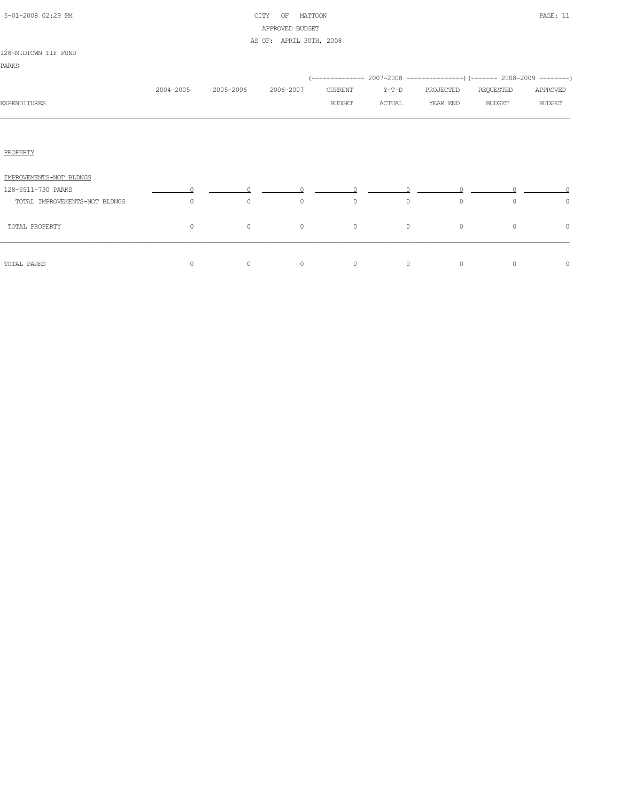| 5-01-2008 02:29 PM |  |
|--------------------|--|
|                    |  |

# CITY OF MATTOON PAGE: 11 APPROVED BUDGET AS OF: APRIL 30TH, 2008

#### 128-MIDTOWN TIF FUND

|                               |           |           |           |               |              |           | (-------------- 2007-2008 ----------------) (------- 2008-2009 --------) |               |
|-------------------------------|-----------|-----------|-----------|---------------|--------------|-----------|--------------------------------------------------------------------------|---------------|
|                               | 2004-2005 | 2005-2006 | 2006-2007 | CURRENT       | $Y-T-D$      | PROJECTED | REQUESTED                                                                | APPROVED      |
| <b>EXPENDITURES</b>           |           |           |           | <b>BUDGET</b> | ACTUAL       | YEAR END  | <b>BUDGET</b>                                                            | <b>BUDGET</b> |
|                               |           |           |           |               |              |           |                                                                          |               |
|                               |           |           |           |               |              |           |                                                                          |               |
| PROPERTY                      |           |           |           |               |              |           |                                                                          |               |
| IMPROVEMENTS-NOT BLDNGS       |           |           |           |               |              |           |                                                                          |               |
| 128-5511-730 PARKS            |           |           |           |               |              |           |                                                                          |               |
| TOTAL IMPROVEMENTS-NOT BLDNGS | $\circ$   | $\circ$   | $\circ$   | $\circ$       | $\circ$      | $\circ$   | $\circ$                                                                  | $\circ$       |
| TOTAL PROPERTY                | $\circ$   | $\circ$   | $\circ$   | $\circ$       | $\circ$      | $\circ$   | $\circ$                                                                  | 0             |
| TOTAL PARKS                   | $\circ$   | 0         | $\circ$   | $\circ$       | $\mathbf{0}$ | $\circ$   | $\circ$                                                                  | $\circ$       |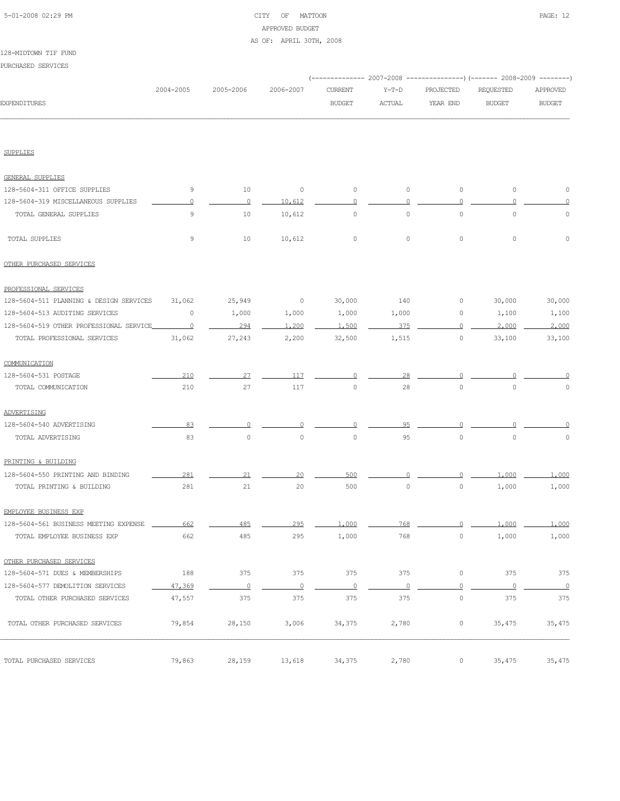## 5-01-2008 02:29 PM CITY OF MATTOON PAGE: 12 APPROVED BUDGET AS OF: APRIL 30TH, 2008

| TS8-WIDIOMN IIF FOND                    |           |                |           |                |                         |           |                                                                          |               |
|-----------------------------------------|-----------|----------------|-----------|----------------|-------------------------|-----------|--------------------------------------------------------------------------|---------------|
| PURCHASED SERVICES                      |           |                |           |                |                         |           |                                                                          |               |
|                                         |           |                |           |                |                         |           | (-------------- 2007-2008 ----------------) (------- 2008-2009 --------) |               |
|                                         | 2004-2005 | 2005-2006      | 2006-2007 | <b>CURRENT</b> | $Y-T-D$                 | PROJECTED | <b>REQUESTED</b>                                                         | APPROVED      |
| <b>EXPENDITURES</b>                     |           |                |           | <b>BUDGET</b>  | $\operatorname{ACTUAL}$ | YEAR END  | <b>BUDGET</b>                                                            | <b>BUDGET</b> |
|                                         |           |                |           |                |                         |           |                                                                          |               |
|                                         |           |                |           |                |                         |           |                                                                          |               |
| <b>SUPPLIES</b>                         |           |                |           |                |                         |           |                                                                          |               |
| <b>GENERAL SUPPLIES</b>                 |           |                |           |                |                         |           |                                                                          |               |
| 128-5604-311 OFFICE SUPPLIES            | 9         | 10             | $\circ$   | $\circ$        | $\circ$                 | $\circ$   | $\circ$                                                                  | 0             |
| 128-5604-319 MISCELLANEOUS SUPPLIES     | $\cap$    | $\overline{0}$ | 10,612    | $\circ$        | $\cap$                  | $\Omega$  | ∩                                                                        | 0             |
| TOTAL GENERAL SUPPLIES                  | 9         | 10             | 10,612    | 0              | $\circ$                 | $\circ$   | $\circ$                                                                  | 0             |
|                                         |           |                |           |                |                         |           |                                                                          |               |
| TOTAL SUPPLIES                          | 9         | 10             | 10,612    | 0              | $\circ$                 | $\circ$   | $\circ$                                                                  | $\Omega$      |
| OTHER PURCHASED SERVICES                |           |                |           |                |                         |           |                                                                          |               |
| PROFESSIONAL SERVICES                   |           |                |           |                |                         |           |                                                                          |               |
| 128-5604-511 PLANNING & DESIGN SERVICES | 31,062    | 25,949         | $\circ$   | 30,000         | 140                     | 0         | 30,000                                                                   | 30,000        |
| 128-5604-513 AUDITING SERVICES          | $\circ$   | 1,000          | 1,000     | 1,000          | 1,000                   | 0         | 1,100                                                                    | 1,100         |
| 128-5604-519 OTHER PROFESSIONAL SERVICE | $\Omega$  | 294            | 1,200     | 1,500          | 375                     | $\cap$    | 2,000                                                                    | 2,000         |
| TOTAL PROFESSIONAL SERVICES             | 31,062    | 27,243         | 2,200     | 32,500         | 1,515                   | $\circ$   | 33,100                                                                   | 33,100        |
| COMMUNICATION                           |           |                |           |                |                         |           |                                                                          |               |
| 128-5604-531 POSTAGE                    | 210       | 27             | 117       |                | 28                      |           |                                                                          |               |
| TOTAL COMMUNICATION                     | 210       | 27             | 117       | 0              | 28                      | $\circ$   | $\Omega$                                                                 | $\circ$       |
| ADVERTISING                             |           |                |           |                |                         |           |                                                                          |               |

| 128-5604-540 ADVERTISING              | 83     |         |         |         |         |         |         |          |
|---------------------------------------|--------|---------|---------|---------|---------|---------|---------|----------|
| TOTAL ADVERTISING                     | 83     | $\circ$ | $\circ$ | $\circ$ | 95      | $\circ$ | $\circ$ | $\circ$  |
|                                       |        |         |         |         |         |         |         |          |
| PRINTING & BUILDING                   |        |         |         |         |         |         |         |          |
| 128-5604-550 PRINTING AND BINDING     | 281    | 21      | 20      | 500     |         |         | 1,000   | 1,000    |
| TOTAL PRINTING & BUILDING             | 281    | 21      | 20      | 500     | $\circ$ | $\circ$ | 1,000   | 1,000    |
|                                       |        |         |         |         |         |         |         |          |
| EMPLOYEE BUSINESS EXP                 |        |         |         |         |         |         |         |          |
| 128-5604-561 BUSINESS MEETING EXPENSE | 662    | 485     | 295     | 1,000   | 768     |         | 1,000   | 1,000    |
| TOTAL EMPLOYEE BUSINESS EXP           | 662    | 485     | 295     | 1,000   | 768     | $\circ$ | 1,000   | 1,000    |
|                                       |        |         |         |         |         |         |         |          |
| OTHER PURCHASED SERVICES              |        |         |         |         |         |         |         |          |
| 128-5604-571 DUES & MEMBERSHIPS       | 188    | 375     | 375     | 375     | 375     | $\circ$ | 375     | 375      |
| 128-5604-577 DEMOLITION SERVICES      | 47,369 |         |         |         |         |         |         | $\Omega$ |

| 128-5604-577 DEMOLITION SERVICES | 47.369 |        |        |        |       |        |        |
|----------------------------------|--------|--------|--------|--------|-------|--------|--------|
| TOTAL OTHER PURCHASED SERVICES   | 47,557 | 375    | 375    | 375    | 375   | 375    | 375    |
| TOTAL OTHER PURCHASED SERVICES   | 79,854 | 28,150 | 3,006  | 34,375 | 2,780 | 35,475 | 35,475 |
| TOTAL PURCHASED SERVICES         | 79,863 | 28,159 | 13,618 | 34,375 | 2,780 | 35,475 | 35,475 |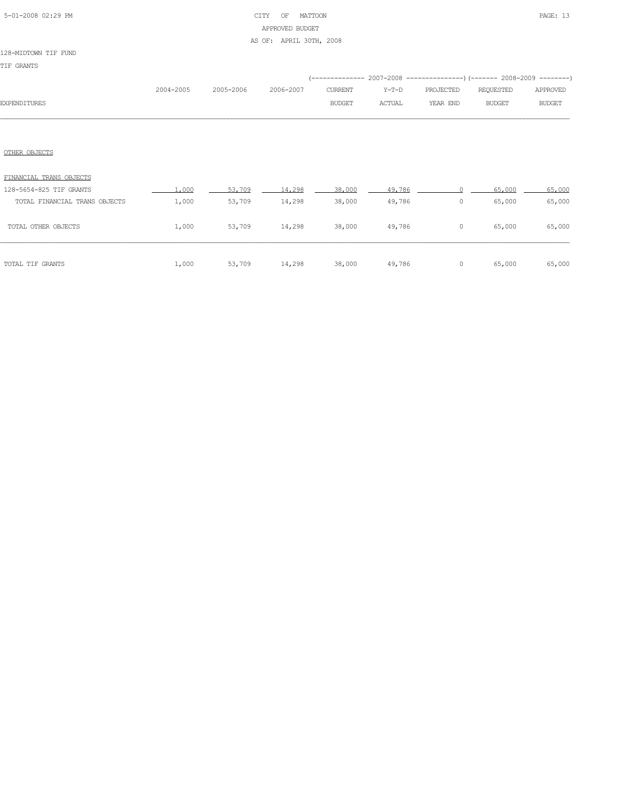# 5-01-2008 02:29 PM CITY OF MATTOON PAGE: 13 APPROVED BUDGET AS OF: APRIL 30TH, 2008

|              |           |                     |               |               | (-------------- 2007-2008 -----------------) (------- 2008-2009 ---------) |               |               |
|--------------|-----------|---------------------|---------------|---------------|----------------------------------------------------------------------------|---------------|---------------|
|              | 2004-2005 | 2005-2006 2006-2007 | CURRENT       | Y-T-D         | PROJECTED                                                                  | REOUESTED     | APPROVED      |
| EXPENDITURES |           |                     | <b>BUDGET</b> | <b>ACTUAL</b> | YEAR END                                                                   | <b>BUDGET</b> | <b>BUDGET</b> |
|              |           |                     |               |               |                                                                            |               |               |

## OTHER OBJECTS

| TOTAL TIF GRANTS              | 1,000 | 53,709 | 14,298 | 38,000 | 49,786 |   | 65,000 | 65,000 |
|-------------------------------|-------|--------|--------|--------|--------|---|--------|--------|
| TOTAL OTHER OBJECTS           | 1,000 | 53,709 | 14,298 | 38,000 | 49,786 | 0 | 65,000 | 65,000 |
| TOTAL FINANCIAL TRANS OBJECTS | 1,000 | 53,709 | 14,298 | 38,000 | 49,786 | 0 | 65,000 | 65,000 |
| 128-5654-825 TIF GRANTS       | .000  | 53,709 | 14,298 | 38,000 | 49,786 |   | 65,000 | 65,000 |
| FINANCIAL TRANS OBJECTS       |       |        |        |        |        |   |        |        |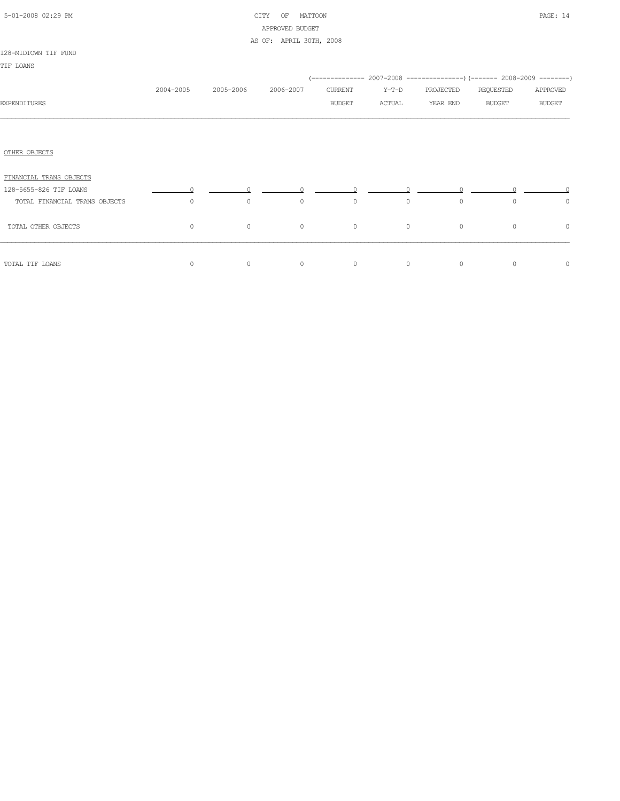|  | 5-01-2008 02:29 PM |  |
|--|--------------------|--|

# CITY OF MATTOON **PAGE:** 14 APPROVED BUDGET AS OF: APRIL 30TH, 2008

## 128-MIDTOWN TIF FUND

|                               |           |           |           |               |         |           | (-------------- 2007-2008 ----------------) (------- 2008-2009 --------) |               |
|-------------------------------|-----------|-----------|-----------|---------------|---------|-----------|--------------------------------------------------------------------------|---------------|
|                               | 2004-2005 | 2005-2006 | 2006-2007 | CURRENT       | $Y-T-D$ | PROJECTED | REQUESTED                                                                | APPROVED      |
| <b>EXPENDITURES</b>           |           |           |           | <b>BUDGET</b> | ACTUAL  | YEAR END  | <b>BUDGET</b>                                                            | <b>BUDGET</b> |
|                               |           |           |           |               |         |           |                                                                          |               |
|                               |           |           |           |               |         |           |                                                                          |               |
| OTHER OBJECTS                 |           |           |           |               |         |           |                                                                          |               |
| FINANCIAL TRANS OBJECTS       |           |           |           |               |         |           |                                                                          |               |
| 128-5655-826 TIF LOANS        |           |           |           |               |         |           |                                                                          |               |
| TOTAL FINANCIAL TRANS OBJECTS | $\circ$   | $\circ$   | $\circ$   | $\circ$       | $\circ$ | $\circ$   | $\circ$                                                                  | $\circ$       |
| TOTAL OTHER OBJECTS           | $\circ$   | $\circ$   | $\circ$   | $\circ$       | $\circ$ | $\circ$   | $\circ$                                                                  | $\circ$       |
| TOTAL TIF LOANS               | $\circ$   | $\circ$   | $\circ$   | $\circ$       | $\circ$ | $\circ$   | $\circ$                                                                  | $\circ$       |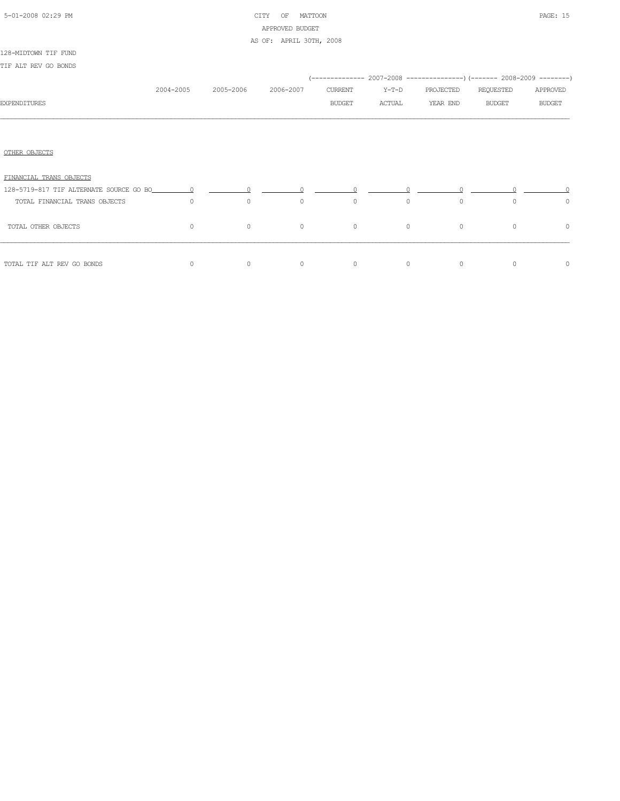|  | 5-01-2008 02:29 PM |  |
|--|--------------------|--|

# CITY OF MATTOON **PAGE: 15** APPROVED BUDGET

AS OF: APRIL 30TH, 2008

## 128-MIDTOWN TIF FUND

| TIF ALT REV GO BONDS          |           |           |           |                          |                                                                                                                                                                                                                                                                                                                                               |                       |                                                                                                        |                           |
|-------------------------------|-----------|-----------|-----------|--------------------------|-----------------------------------------------------------------------------------------------------------------------------------------------------------------------------------------------------------------------------------------------------------------------------------------------------------------------------------------------|-----------------------|--------------------------------------------------------------------------------------------------------|---------------------------|
| <b>EXPENDITURES</b>           | 2004-2005 | 2005-2006 | 2006-2007 | CURRENT<br><b>BUDGET</b> | $Y-T-D$<br>ACTUAL                                                                                                                                                                                                                                                                                                                             | PROJECTED<br>YEAR END | (-------------- 2007-2008 ----------------) (------- 2008-2009 --------)<br>REQUESTED<br><b>BUDGET</b> | APPROVED<br><b>BUDGET</b> |
| OTHER OBJECTS                 |           |           |           |                          |                                                                                                                                                                                                                                                                                                                                               |                       |                                                                                                        |                           |
| FINANCIAL TRANS OBJECTS       |           |           |           |                          |                                                                                                                                                                                                                                                                                                                                               |                       |                                                                                                        |                           |
| TOTAL FINANCIAL TRANS OBJECTS | $\Omega$  | $\circ$   | $\circ$   | $\circ$                  | $\overline{0}$ and $\overline{0}$ and $\overline{0}$ and $\overline{0}$ and $\overline{0}$ and $\overline{0}$ and $\overline{0}$ and $\overline{0}$ and $\overline{0}$ and $\overline{0}$ and $\overline{0}$ and $\overline{0}$ and $\overline{0}$ and $\overline{0}$ and $\overline{0}$ and $\overline{0}$ and $\overline{0}$ and<br>$\circ$ | $\circ$               | $\Omega$                                                                                               | 0                         |
| TOTAL OTHER OBJECTS           | $\circ$   | $\circ$   | $\circ$   | $\circ$                  | $\circ$                                                                                                                                                                                                                                                                                                                                       | $\circ$               | $\circ$                                                                                                | 0                         |
| TOTAL TIF ALT REV GO BONDS    | 0         | $\circ$   | $\circ$   | $\circ$                  | $\circ$                                                                                                                                                                                                                                                                                                                                       | $\circ$               | $\Omega$                                                                                               | 0                         |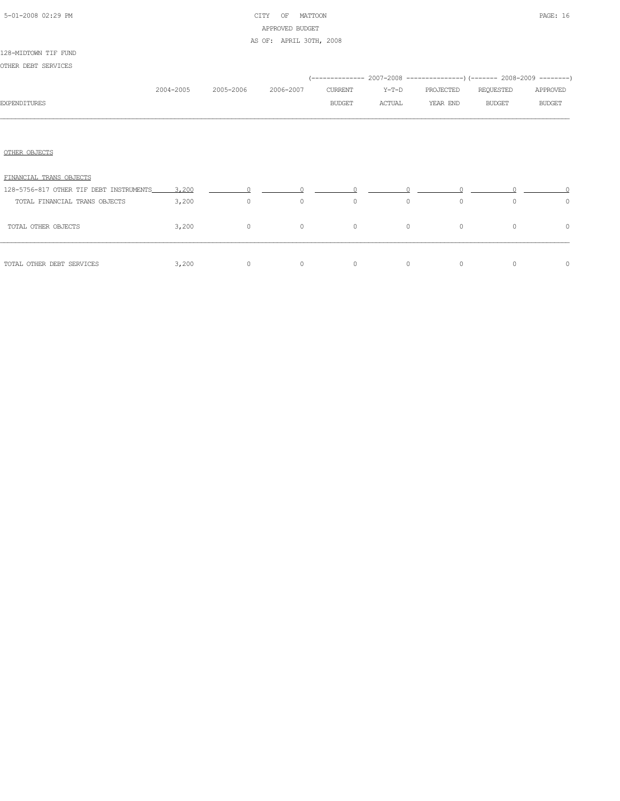# 5-01-2008 02:29 PM CITY OF MATTOON PAGE: 16 APPROVED BUDGET AS OF: APRIL 30TH, 2008

## 128-MIDTOWN TIF FUND

OTHER DEBT SERVICES

|                                               |           |                |           |         |         | (-------------- 2007-2008 ----------------) (------- 2008-2009 --------) |               |               |
|-----------------------------------------------|-----------|----------------|-----------|---------|---------|--------------------------------------------------------------------------|---------------|---------------|
|                                               | 2004-2005 | 2005-2006      | 2006-2007 | CURRENT | $Y-T-D$ | PROJECTED                                                                | REQUESTED     | APPROVED      |
| <b>EXPENDITURES</b>                           |           |                |           | BUDGET  | ACTUAL  | YEAR END                                                                 | <b>BUDGET</b> | <b>BUDGET</b> |
|                                               |           |                |           |         |         |                                                                          |               |               |
| OTHER OBJECTS                                 |           |                |           |         |         |                                                                          |               |               |
| FINANCIAL TRANS OBJECTS                       |           |                |           |         |         |                                                                          |               |               |
| 128-5756-817 OTHER TIF DEBT INSTRUMENTS 3,200 |           |                |           |         |         |                                                                          |               |               |
| TOTAL FINANCIAL TRANS OBJECTS                 | 3,200     | $\overline{0}$ | $\circ$   | $\circ$ | $\circ$ | $\circ$                                                                  | $\Omega$      | $\circ$       |
| TOTAL OTHER OBJECTS                           | 3,200     | $\circ$        | $\circ$   | $\circ$ | $\circ$ | $\circ$                                                                  | $\circ$       | $\circ$       |
| TOTAL OTHER DEBT SERVICES                     | 3,200     | $\circ$        | $\circ$   | $\circ$ | $\circ$ | $\circ$                                                                  | 0             | $\circ$       |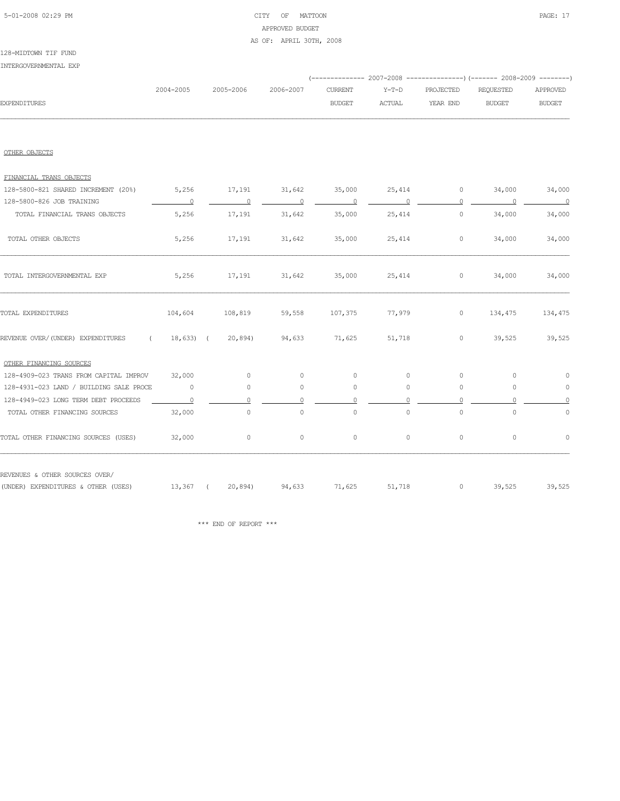# 5-01-2008 02:29 PM CITY OF MATTOON PAGE: 17 APPROVED BUDGET

## AS OF: APRIL 30TH, 2008

| 128-MIDTOWN TIF FUND  |  |
|-----------------------|--|
| INTERGOVERNMENTAL EXP |  |

|                     |           |  |               |        | (-------------- 2007-2008 ----------------) (------- 2008-2009 --------) |        |               |
|---------------------|-----------|--|---------------|--------|--------------------------------------------------------------------------|--------|---------------|
|                     | 2004-2005 |  |               |        |                                                                          |        |               |
| <b>EXPENDITURES</b> |           |  | <b>BUDGET</b> | ACTUAL | YEAR END                                                                 | BUDGET | <b>BUDGET</b> |
|                     |           |  |               |        |                                                                          |        |               |

## OTHER OBJECTS

| FINANCIAL TRANS OBJECTS                                               |                |                          |                     |                     |                     |                                                                                                                                                                                                                                                                                                                                    |          |                          |
|-----------------------------------------------------------------------|----------------|--------------------------|---------------------|---------------------|---------------------|------------------------------------------------------------------------------------------------------------------------------------------------------------------------------------------------------------------------------------------------------------------------------------------------------------------------------------|----------|--------------------------|
| 128-5800-821 SHARED INCREMENT (20%)                                   | 5,256          | 17,191                   | 31,642              | 35,000              | 25,414              | $\circ$                                                                                                                                                                                                                                                                                                                            | 34,000   | 34,000                   |
| 128-5800-826 JOB TRAINING                                             | $\overline{0}$ | $\overline{\phantom{0}}$ | $\overline{0}$      |                     | $\Omega$            | 0                                                                                                                                                                                                                                                                                                                                  | $\Omega$ | $\overline{\phantom{0}}$ |
| TOTAL FINANCIAL TRANS OBJECTS                                         | 5,256          | 17,191                   | 31,642              | 35,000              | 25,414              | $\circ$                                                                                                                                                                                                                                                                                                                            | 34,000   | 34,000                   |
| TOTAL OTHER OBJECTS                                                   | 5,256          | 17,191                   | 31,642              | 35,000              | 25,414              | $\circ$                                                                                                                                                                                                                                                                                                                            | 34,000   | 34,000                   |
| TOTAL INTERGOVERNMENTAL EXP                                           | 5,256          | 17,191                   | 31,642              | 35,000              | 25,414              | $\circ$                                                                                                                                                                                                                                                                                                                            | 34,000   | 34,000                   |
| TOTAL EXPENDITURES                                                    | 104,604        | 108,819                  | 59,558              | 107,375             | 77,979              | $\circ$                                                                                                                                                                                                                                                                                                                            | 134,475  | 134,475                  |
| REVENUE OVER/(UNDER) EXPENDITURES<br>$\sim$ $\sim$ $\sim$             | $18,633$ (     | 20,894)                  | 94,633              | 71,625              | 51,718              | $\circ$                                                                                                                                                                                                                                                                                                                            | 39,525   | 39,525                   |
| OTHER FINANCING SOURCES                                               |                |                          |                     |                     |                     |                                                                                                                                                                                                                                                                                                                                    |          |                          |
| 128-4909-023 TRANS FROM CAPITAL IMPROV                                | 32,000         | $\circ$                  | $\Omega$            | $\circ$             | $\circ$             | $\circ$                                                                                                                                                                                                                                                                                                                            | $\circ$  | $\circ$                  |
| 128-4931-023 LAND / BUILDING SALE PROCE                               | 0              | $\circ$                  | $\circ$             | 0                   | $\circ$             | $\circ$                                                                                                                                                                                                                                                                                                                            | $\circ$  | $\circ$                  |
| 128-4949-023 LONG TERM DEBT PROCEEDS                                  | $\Omega$       |                          |                     | $\Omega$            | $\Omega$            | $\Omega$                                                                                                                                                                                                                                                                                                                           | $\Omega$ | $\Omega$                 |
| TOTAL OTHER FINANCING SOURCES                                         | 32,000         | $\circ$                  | $\mathsf{O}\xspace$ | $\mathsf{O}\xspace$ | $\mathsf{O}\xspace$ | $\circ$                                                                                                                                                                                                                                                                                                                            | $\circ$  | $\circ$                  |
| TOTAL OTHER FINANCING SOURCES (USES)                                  | 32,000         | $\circ$                  | $\circ$             | $\circ$             | $\circ$             | $\circ$                                                                                                                                                                                                                                                                                                                            | $\circ$  | $\circ$                  |
| REVENUES & OTHER SOURCES OVER/<br>(UNDER) EXPENDITURES & OTHER (USES) | 13,367 (       |                          | 20,894) 94,633      | 71,625              | 51,718              | $\overline{0}$ and $\overline{0}$ and $\overline{0}$ and $\overline{0}$ and $\overline{0}$ and $\overline{0}$ and $\overline{0}$ and $\overline{0}$ and $\overline{0}$ and $\overline{0}$ and $\overline{0}$ and $\overline{0}$ and $\overline{0}$ and $\overline{0}$ and $\overline{0}$ and $\overline{0}$ and $\overline{0}$ and | 39,525   | 39,525                   |
|                                                                       |                |                          |                     |                     |                     |                                                                                                                                                                                                                                                                                                                                    |          |                          |

 $\star\star\star$  END OF REPORT  $\star\star\star$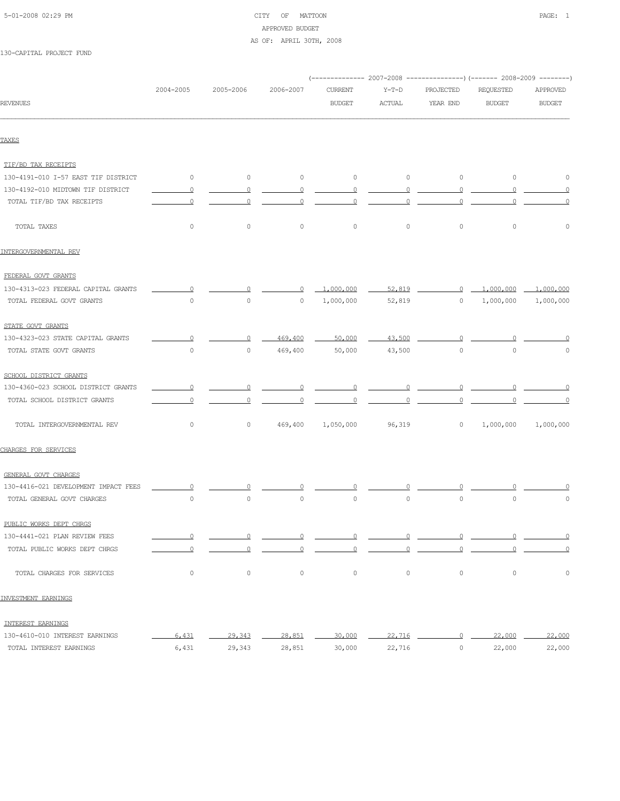# 5-01-2008 02:29 PM CITY OF MATTOON PAGE: 1 APPROVED BUDGET AS OF: APRIL 30TH, 2008

|                                      | 2004-2005      | 2005-2006                | 2006-2007      | <b>CURRENT</b>           | $Y-T-D$  | PROJECTED      | REQUESTED                             | APPROVED                 |  |
|--------------------------------------|----------------|--------------------------|----------------|--------------------------|----------|----------------|---------------------------------------|--------------------------|--|
| <b>REVENUES</b>                      |                |                          |                | <b>BUDGET</b>            | ACTUAL   | YEAR END       | <b>BUDGET</b>                         | <b>BUDGET</b>            |  |
| TAXES                                |                |                          |                |                          |          |                |                                       |                          |  |
|                                      |                |                          |                |                          |          |                |                                       |                          |  |
| TIF/BD TAX RECEIPTS                  |                |                          |                |                          |          |                |                                       |                          |  |
| 130-4191-010 I-57 EAST TIF DISTRICT  | $\circ$        | $\circ$                  | $\circ$        | $\circ$                  | $\circ$  | $\circ$        | $\overline{0}$                        | $\circ$                  |  |
| 130-4192-010 MIDTOWN TIF DISTRICT    | $\overline{0}$ | $\overline{0}$           | $\overline{0}$ | $\overline{0}$           | $\Omega$ | $\overline{0}$ | $\circ$                               | $\overline{0}$           |  |
| TOTAL TIF/BD TAX RECEIPTS            | $\Omega$       | $\Omega$                 | $\Omega$       | $\Omega$                 | 0        | $\Omega$       | 0                                     | $\circ$                  |  |
| TOTAL TAXES                          | $\circ$        | $\circ$                  | $\circ$        | $\circ$                  | $\circ$  | $\circ$        | $\mathsf{O}\xspace$                   | $\mathsf{O}\xspace$      |  |
| INTERGOVERNMENTAL REV                |                |                          |                |                          |          |                |                                       |                          |  |
| FEDERAL GOVT GRANTS                  |                |                          |                |                          |          |                |                                       |                          |  |
| 130-4313-023 FEDERAL CAPITAL GRANTS  | $\circ$        | $\Omega$                 | $\circ$        | 1,000,000                | 52,819   |                | $0 \quad 1,000,000 \quad 1,000,000$   |                          |  |
| TOTAL FEDERAL GOVT GRANTS            | $\circ$        | $\circ$                  | $\circ$        | 1,000,000                | 52,819   |                | $0 \qquad 1,000,000$                  | 1,000,000                |  |
| STATE GOVT GRANTS                    |                |                          |                |                          |          |                |                                       |                          |  |
| 130-4323-023 STATE CAPITAL GRANTS    | $\circ$        | $\circ$                  | 469,400        | 50,000                   | 43,500   | $\Omega$       | $\circ$                               | 0                        |  |
| TOTAL STATE GOVT GRANTS              | $\circ$        | $\circ$                  | 469,400        | 50,000                   | 43,500   | $\circ$        | $\circ$                               | 0                        |  |
| SCHOOL DISTRICT GRANTS               |                |                          |                |                          |          |                |                                       |                          |  |
| 130-4360-023 SCHOOL DISTRICT GRANTS  | $\sim$ 0       | $\overline{\phantom{0}}$ |                |                          |          |                |                                       |                          |  |
| TOTAL SCHOOL DISTRICT GRANTS         | $\circ$        | $\overline{0}$           | $\circ$        | $\overline{0}$           | $\circ$  | $\overline{0}$ |                                       |                          |  |
| TOTAL INTERGOVERNMENTAL REV          | $\circ$        | $\circ$                  |                | 469,400 1,050,000 96,319 |          |                | $0 \qquad 1,000,000 \qquad 1,000,000$ |                          |  |
| CHARGES FOR SERVICES                 |                |                          |                |                          |          |                |                                       |                          |  |
| GENERAL GOVT CHARGES                 |                |                          |                |                          |          |                |                                       |                          |  |
| 130-4416-021 DEVELOPMENT IMPACT FEES | $\Omega$       |                          |                |                          |          |                |                                       |                          |  |
| TOTAL GENERAL GOVT CHARGES           | $\circ$        | 0                        | $\circ$        | $\circ$                  | $\circ$  | $\circ$        | $\circ$                               | $\circ$                  |  |
| PUBLIC WORKS DEPT CHRGS              |                |                          |                |                          |          |                |                                       |                          |  |
| 130-4441-021 PLAN REVIEW FEES        | $\overline{0}$ | $\overline{0}$           | $\overline{0}$ | $\overline{0}$           | $\Omega$ | $\overline{0}$ | $\Omega$                              | $\overline{\phantom{0}}$ |  |
| TOTAL PUBLIC WORKS DEPT CHRGS        | $\Omega$       | $\circ$                  | $\Omega$       | $\circ$                  | $\Omega$ | $\circ$        |                                       | $\overline{0}$           |  |
| TOTAL CHARGES FOR SERVICES           | $\circ$        | $\circ$                  | $\circ$        | $\circ$                  | $\circ$  | $\circ$        | $\mathsf{O}\xspace$                   | $\mathbb O$              |  |
| INVESTMENT EARNINGS                  |                |                          |                |                          |          |                |                                       |                          |  |
| INTEREST EARNINGS                    |                |                          |                |                          |          |                |                                       |                          |  |
| 130-4610-010 INTEREST EARNINGS       | 6,431          | 29,343                   | 28,851         | 30,000                   | 22,716   | $\overline{0}$ | 22,000                                | 22,000                   |  |
| TOTAL INTEREST EARNINGS              | 6,431          | 29,343                   | 28,851         | 30,000                   | 22,716   | $\circ$        | 22,000                                | 22,000                   |  |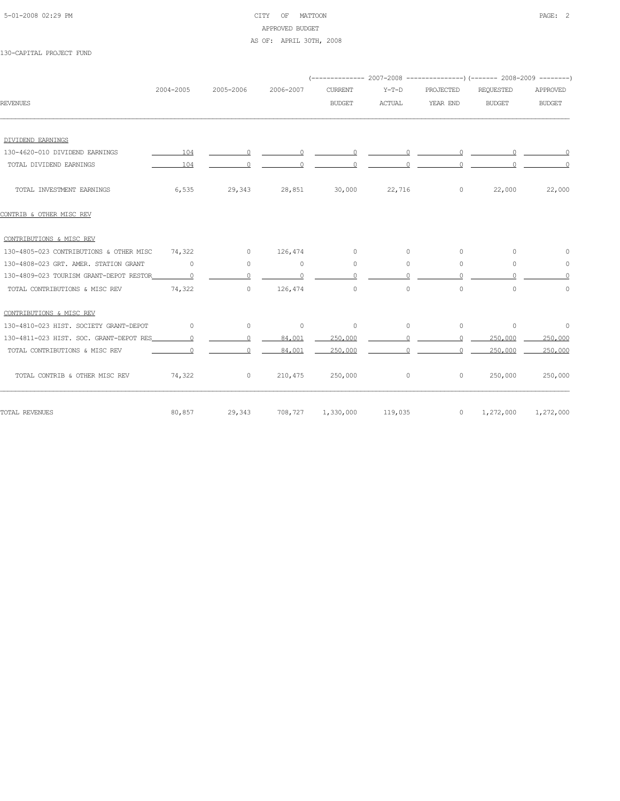# 5-01-2008 02:29 PM CITY OF MATTOON PAGE: 2 APPROVED BUDGET AS OF: APRIL 30TH, 2008

|                                         |                |           |           | (-------------- 2007-2008 ---------------) (------- 2008-2009 --------) |                                                    |                                                   |                      |               |
|-----------------------------------------|----------------|-----------|-----------|-------------------------------------------------------------------------|----------------------------------------------------|---------------------------------------------------|----------------------|---------------|
|                                         | 2004-2005      | 2005-2006 | 2006-2007 | <b>CURRENT</b>                                                          | $Y-T-D$                                            | PROJECTED                                         | <b>REQUESTED</b>     | APPROVED      |
| <b>REVENUES</b>                         |                |           |           | <b>BUDGET</b>                                                           | <b>ACTUAL</b>                                      | YEAR END                                          | <b>BUDGET</b>        | <b>BUDGET</b> |
|                                         |                |           |           |                                                                         |                                                    |                                                   |                      |               |
| DIVIDEND EARNINGS                       |                |           |           |                                                                         |                                                    |                                                   |                      |               |
| 130-4620-010 DIVIDEND EARNINGS          | 104            |           |           |                                                                         | $\begin{array}{ccccccc}\n0 & & & & 0\n\end{array}$ | $\begin{array}{ccc} & & 0 & & \hline \end{array}$ |                      | $\sim$ 0      |
| TOTAL DIVIDEND EARNINGS                 | 104            |           |           | $\Omega$                                                                |                                                    | $\Omega$                                          |                      |               |
| TOTAL INVESTMENT EARNINGS               | 6,535          | 29,343    | 28,851    | 30,000                                                                  | 22,716                                             | $\circ$                                           | 22,000               | 22,000        |
| CONTRIB & OTHER MISC REV                |                |           |           |                                                                         |                                                    |                                                   |                      |               |
| CONTRIBUTIONS & MISC REV                |                |           |           |                                                                         |                                                    |                                                   |                      |               |
| 130-4805-023 CONTRIBUTIONS & OTHER MISC | 74,322         | $\Omega$  | 126,474   | $\circ$                                                                 | $\circ$                                            | 0                                                 | $\Omega$             |               |
| 130-4808-023 GRT. AMER. STATION GRANT   | $\circ$        | $\circ$   | $\circ$   | $\circ$                                                                 | $\circ$                                            | 0                                                 | $\Omega$             | $\Omega$      |
| 130-4809-023 TOURISM GRANT-DEPOT RESTOR | $\overline{0}$ | $\cap$    | $\Omega$  | $\Omega$                                                                | $\bigcap$                                          | $\Omega$                                          | $\cap$               | $\Omega$      |
| TOTAL CONTRIBUTIONS & MISC REV          | 74,322         | $\circ$   | 126,474   | $\circ$                                                                 | $\circ$                                            | $\circ$                                           | $\Omega$             | $\Omega$      |
| CONTRIBUTIONS & MISC REV                |                |           |           |                                                                         |                                                    |                                                   |                      |               |
| 130-4810-023 HIST. SOCIETY GRANT-DEPOT  | $\Omega$       | $\circ$   | $\circ$   | 0                                                                       | $\circ$                                            | $\circ$                                           | $\circ$              | 0             |
| 130-4811-023 HIST, SOC. GRANT-DEPOT RES | $\Omega$       | $\cap$    | 84,001    | 250,000                                                                 |                                                    | $\cap$                                            | 250,000              | 250,000       |
| TOTAL CONTRIBUTIONS & MISC REV          | $\Omega$       | $\Omega$  | 84,001    | 250,000                                                                 | $\Omega$                                           | $\Omega$                                          | 250,000              | 250,000       |
| TOTAL CONTRIB & OTHER MISC REV          | 74,322         | $\circ$   | 210,475   | 250,000                                                                 | 0                                                  | 0                                                 | 250,000              | 250,000       |
| TOTAL REVENUES                          | 80,857         | 29,343    |           | 708,727 1,330,000                                                       | 119,035                                            |                                                   | $0 \qquad 1,272,000$ | 1,272,000     |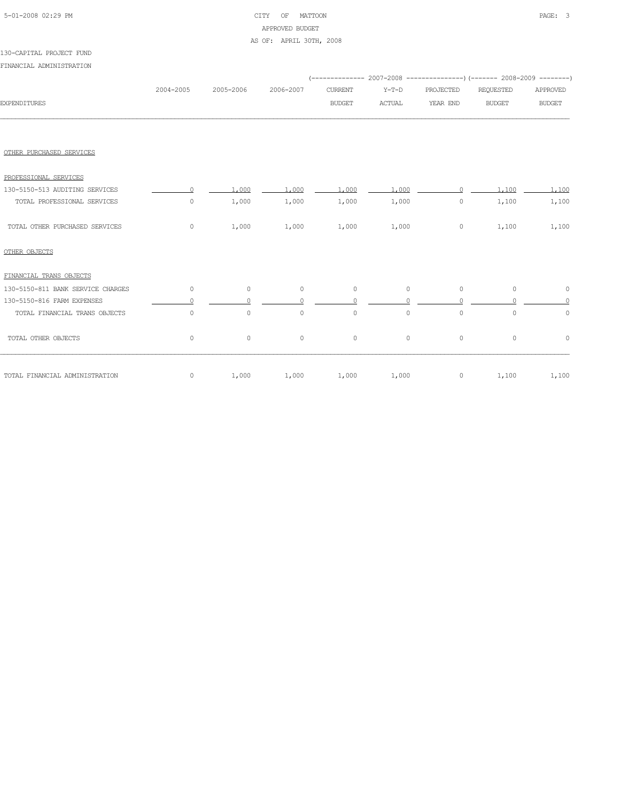| 5-01-2008 02:29 PM |  |
|--------------------|--|
|                    |  |

# CITY OF MATTOON **PAGE:** 3 APPROVED BUDGET AS OF: APRIL 30TH, 2008

|                                   | 2004-2005 | 2005-2006 | 2006-2007 | <b>CURRENT</b> | $Y-T-D$       | PROJECTED | REQUESTED     | APPROVED      |
|-----------------------------------|-----------|-----------|-----------|----------------|---------------|-----------|---------------|---------------|
| <b>EXPENDITURES</b>               |           |           |           | <b>BUDGET</b>  | <b>ACTUAL</b> | YEAR END  | <b>BUDGET</b> | <b>BUDGET</b> |
|                                   |           |           |           |                |               |           |               |               |
| OTHER PURCHASED SERVICES          |           |           |           |                |               |           |               |               |
| PROFESSIONAL SERVICES             |           |           |           |                |               |           |               |               |
| 130-5150-513 AUDITING SERVICES    |           | 1,000     | 1,000     | 1,000          | 1,000         | $\cap$    | 1,100         | 1,100         |
| TOTAL PROFESSIONAL SERVICES       | 0         | 1,000     | 1,000     | 1,000          | 1,000         | $\circ$   | 1,100         | 1,100         |
| TOTAL OTHER PURCHASED SERVICES    | $\circ$   | 1,000     | 1,000     | 1,000          | 1,000         | $\circ$   | 1,100         | 1,100         |
| OTHER OBJECTS                     |           |           |           |                |               |           |               |               |
| FINANCIAL TRANS OBJECTS           |           |           |           |                |               |           |               |               |
| 130-5150-811 BANK SERVICE CHARGES | $\circ$   | $\circ$   | $\circ$   | $\circ$        | $\circ$       | $\circ$   | $\circ$       | $\circ$       |
| 130-5150-816 FARM EXPENSES        | $\cap$    | O         | $\cap$    | $\Omega$       | $\Omega$      | $\cap$    |               | $\Omega$      |
| TOTAL FINANCIAL TRANS OBJECTS     | $\circ$   | $\circ$   | $\circ$   | $\circ$        | $\circ$       | $\circ$   | $\circ$       | $\circ$       |
| TOTAL OTHER OBJECTS               | $\circ$   | $\circ$   | $\circ$   | $\circ$        | $\circ$       | $\circ$   | $\circ$       | 0             |
| TOTAL FINANCIAL ADMINISTRATION    | 0         | 1,000     | 1,000     | 1,000          | 1,000         | 0         | 1,100         | 1,100         |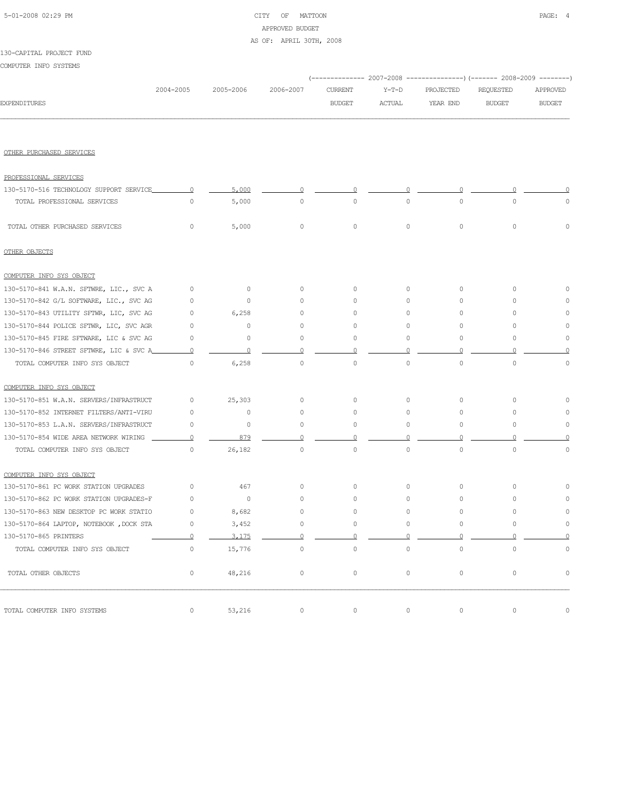# 5-01-2008 02:29 PM CITY OF MATTOON PAGE: 4 APPROVED BUDGET AS OF: APRIL 30TH, 2008

COMPUTER INFO SYSTEMS

|                                         |                |           |                |                |                     | (------------- 2007-2008 ---------------) (------- 2008-2009 --------) |                     |                |
|-----------------------------------------|----------------|-----------|----------------|----------------|---------------------|------------------------------------------------------------------------|---------------------|----------------|
|                                         | 2004-2005      | 2005-2006 | 2006-2007      | <b>CURRENT</b> | $Y-T-D$             | PROJECTED                                                              | REQUESTED           | APPROVED       |
| <b>EXPENDITURES</b>                     |                |           |                | <b>BUDGET</b>  | ACTUAL              | YEAR END                                                               | <b>BUDGET</b>       | <b>BUDGET</b>  |
|                                         |                |           |                |                |                     |                                                                        |                     |                |
| OTHER PURCHASED SERVICES                |                |           |                |                |                     |                                                                        |                     |                |
| PROFESSIONAL SERVICES                   |                |           |                |                |                     |                                                                        |                     |                |
| 130-5170-516 TECHNOLOGY SUPPORT SERVICE | $\overline{0}$ | 5,000     | 0              | 0              | 0                   | $\cup$                                                                 |                     |                |
| TOTAL PROFESSIONAL SERVICES             | $\circ$        | 5,000     | $\circ$        | $\circ$        | $\mathsf{O}\xspace$ | $\circ$                                                                | $\circ$             | $\circ$        |
| TOTAL OTHER PURCHASED SERVICES          | 0              | 5,000     | $\circ$        | $\circ$        | 0                   | $\circ$                                                                | $\mathsf{O}\xspace$ | $\Omega$       |
| OTHER OBJECTS                           |                |           |                |                |                     |                                                                        |                     |                |
| COMPUTER INFO SYS OBJECT                |                |           |                |                |                     |                                                                        |                     |                |
| 130-5170-841 W.A.N. SFTWRE, LIC., SVC A | 0              | 0         | 0              | 0              | $\circ$             | 0                                                                      | $\circ$             | ∩              |
| 130-5170-842 G/L SOFTWARE, LIC., SVC AG | 0              | 0         | 0              | 0              | 0                   | 0                                                                      | $\circ$             | $\Omega$       |
| 130-5170-843 UTILITY SFTWR, LIC, SVC AG | $\circ$        | 6,258     | 0              | 0              | 0                   | 0                                                                      | $\circ$             | $\Omega$       |
| 130-5170-844 POLICE SFTWR, LIC, SVC AGR | $\circ$        | $\circ$   | $\circ$        | 0              | 0                   | $\circ$                                                                | $\circ$             | $\Omega$       |
| 130-5170-845 FIRE SFTWARE, LIC & SVC AG | 0              | 0         | $\circ$        | 0              | 0                   | 0                                                                      | $\circ$             | $\circ$        |
| 130-5170-846 STREET SFTWRE, LIC & SVC A | $\circ$        | $\Omega$  | Ω              |                |                     |                                                                        |                     |                |
| TOTAL COMPUTER INFO SYS OBJECT          | 0              | 6,258     | $\circ$        | $\circ$        | $\circ$             | $\circ$                                                                | $\circ$             | $\circ$        |
| COMPUTER INFO SYS OBJECT                |                |           |                |                |                     |                                                                        |                     |                |
| 130-5170-851 W.A.N. SERVERS/INFRASTRUCT | $\circ$        | 25,303    | $\circ$        | $\circ$        | $\circ$             | $\circ$                                                                | $\circ$             | $\Omega$       |
| 130-5170-852 INTERNET FILTERS/ANTI-VIRU | $\circ$        | $\circ$   | $\circ$        | $\circ$        | $\circ$             | $\circ$                                                                | $\circ$             | $\Omega$       |
| 130-5170-853 L.A.N. SERVERS/INFRASTRUCT | 0              | $\circ$   | $\circ$        | 0              | $\circ$             | $\circ$                                                                | 0                   | 0              |
| 130-5170-854 WIDE AREA NETWORK WIRING   | $\circ$        | 879       | $\circ$        | $\Omega$       | $\Omega$            | $\Omega$                                                               | $\Omega$            | O              |
| TOTAL COMPUTER INFO SYS OBJECT          | $\circ$        | 26,182    | $\circ$        | $\circ$        | $\circ$             | $\circ$                                                                | $\circ$             | $\circ$        |
| COMPUTER INFO SYS OBJECT                |                |           |                |                |                     |                                                                        |                     |                |
| 130-5170-861 PC WORK STATION UPGRADES   | $\circ$        | 467       | $\circ$        | 0              | $\circ$             | $\circ$                                                                | $\circ$             | $\Omega$       |
| 130-5170-862 PC WORK STATION UPGRADES-F | $\circ$        | $\circ$   | $\circ$        | $\circ$        | $\circ$             | $\circ$                                                                | $\circ$             | 0              |
| 130-5170-863 NEW DESKTOP PC WORK STATIO | $\circ$        | 8,682     | $\circ$        | 0              | 0                   | 0                                                                      | $\circ$             | $\circ$        |
| 130-5170-864 LAPTOP, NOTEBOOK, DOCK STA | 0              | 3,452     | $\circ$        |                | 0                   |                                                                        | $\Omega$            | 0              |
| 130-5170-865 PRINTERS                   | $\Omega$       | 3,175     | $\overline{0}$ | $\circ$        | $\circ$             | $\circ$                                                                | $\circ$             | $\overline{0}$ |
| TOTAL COMPUTER INFO SYS OBJECT          | $\circ$        | 15,776    | $\circ$        | $\circ$        | $\circ$             | $\circ$                                                                | $\circ$             | $\mathbb O$    |
| TOTAL OTHER OBJECTS                     | 0              | 48,216    | $\circ$        | $\circ$        | $\circ$             | $\circ$                                                                | $\circ$             | $\circ$        |
| TOTAL COMPUTER INFO SYSTEMS             | $\circ$        | 53,216    | $\circ$        | $\mathbb O$    | $\circ$             | $\circ$                                                                | $\circ$             | $\mathsf{O}$   |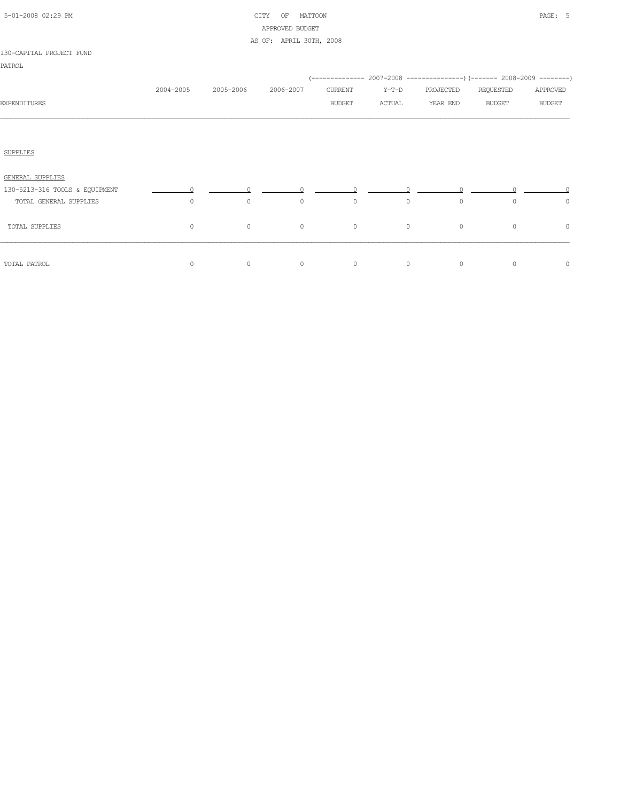| 5-01-2008 02:29 PM |  |  |
|--------------------|--|--|

# CITY OF MATTOON **PAGE:** 5 APPROVED BUDGET AS OF: APRIL 30TH, 2008

|                                |           |           |           | (-------------- 2007-2008 ----------------) (------- 2008-2009 --------) |         |           |               |               |
|--------------------------------|-----------|-----------|-----------|--------------------------------------------------------------------------|---------|-----------|---------------|---------------|
|                                | 2004-2005 | 2005-2006 | 2006-2007 | CURRENT                                                                  | $Y-T-D$ | PROJECTED | REQUESTED     | APPROVED      |
| <b>EXPENDITURES</b>            |           |           |           | <b>BUDGET</b>                                                            | ACTUAL  | YEAR END  | <b>BUDGET</b> | <b>BUDGET</b> |
|                                |           |           |           |                                                                          |         |           |               |               |
|                                |           |           |           |                                                                          |         |           |               |               |
| <b>SUPPLIES</b>                |           |           |           |                                                                          |         |           |               |               |
| GENERAL SUPPLIES               |           |           |           |                                                                          |         |           |               |               |
| 130-5213-316 TOOLS & EQUIPMENT |           |           |           |                                                                          |         |           |               |               |
| TOTAL GENERAL SUPPLIES         | $\circ$   | $\circ$   | $\circ$   | $\circ$                                                                  | $\circ$ | $\circ$   | $\circ$       | 0             |
| TOTAL SUPPLIES                 | 0         | $\circ$   | $\circ$   | $\circ$                                                                  | $\circ$ | $\circ$   | $\circ$       | 0             |
| TOTAL PATROL                   | $\circ$   | 0         | $\circ$   | $\circ$                                                                  | $\circ$ | $\circ$   | $\circ$       | $\circ$       |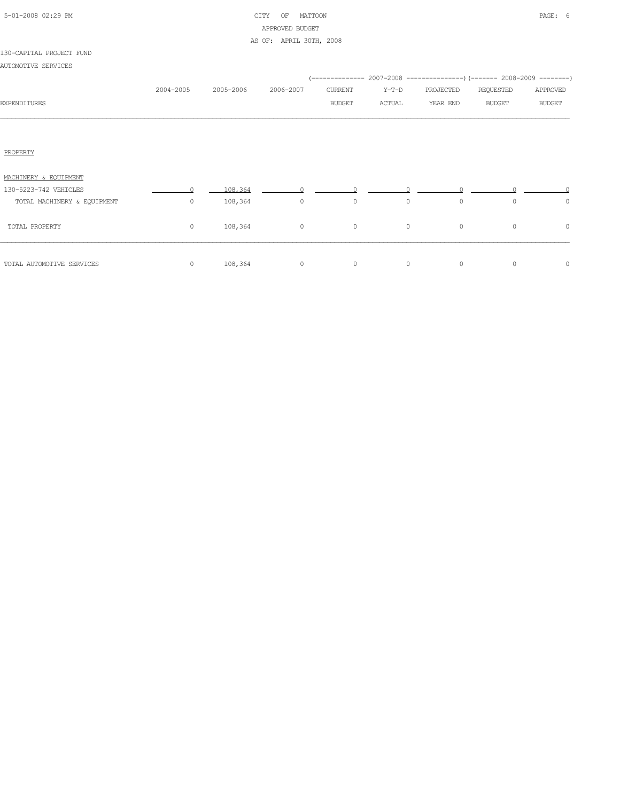|  | 5-01-2008 02:29 PM |  |
|--|--------------------|--|

# CITY OF MATTOON **PAGE: 6** APPROVED BUDGET AS OF: APRIL 30TH, 2008

| AUTOMOTIVE SERVICES         |           |           |                |                          |                   |                       |                            |                           |
|-----------------------------|-----------|-----------|----------------|--------------------------|-------------------|-----------------------|----------------------------|---------------------------|
| <b>EXPENDITURES</b>         | 2004-2005 | 2005-2006 | 2006-2007      | CURRENT<br><b>BUDGET</b> | $Y-T-D$<br>ACTUAL | PROJECTED<br>YEAR END | REQUESTED<br><b>BUDGET</b> | APPROVED<br><b>BUDGET</b> |
|                             |           |           |                |                          |                   |                       |                            |                           |
| PROPERTY                    |           |           |                |                          |                   |                       |                            |                           |
| MACHINERY & EQUIPMENT       |           |           |                |                          |                   |                       |                            |                           |
| 130-5223-742 VEHICLES       | $\bigcap$ | 108,364   | $\overline{0}$ |                          |                   |                       |                            |                           |
| TOTAL MACHINERY & EQUIPMENT | $\circ$   | 108,364   | $\circ$        | $\circ$                  | $\circ$           | $\circ$               | $\circ$                    | $\circ$                   |
| TOTAL PROPERTY              | $\circ$   | 108,364   | $\overline{0}$ | $\circ$                  | $\circ$           | $\circ$               | $\circ$                    | $\circ$                   |
| TOTAL AUTOMOTIVE SERVICES   | $\circ$   | 108,364   | $\overline{0}$ | $\circ$                  | $\circ$           | $\circ$               | $\circ$                    | $\circ$                   |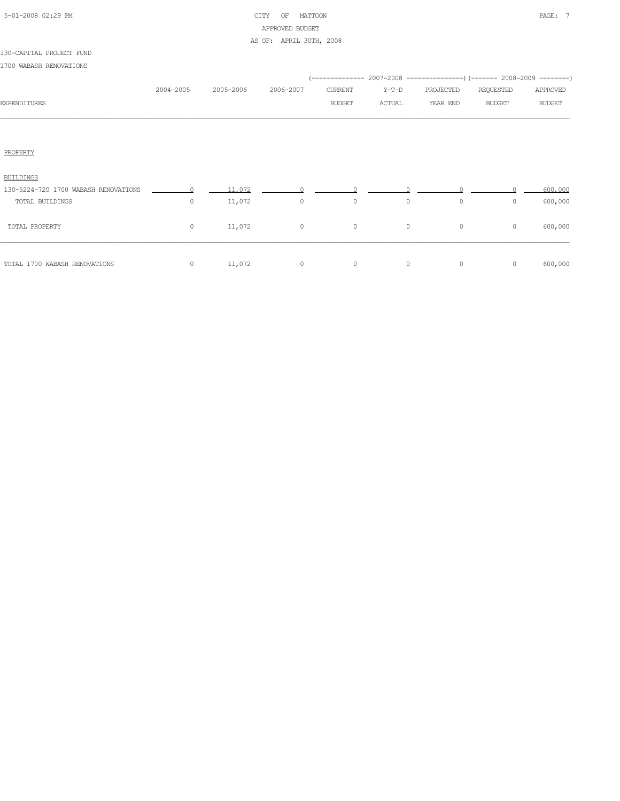| 5-01-2008 02:29 PM |  |  |
|--------------------|--|--|

# CITY OF MATTOON **PAGE:** 7 APPROVED BUDGET AS OF: APRIL 30TH, 2008

| 1700 WABASH RENOVATIONS              |           |           |           |               |         |                                                                     |               |               |
|--------------------------------------|-----------|-----------|-----------|---------------|---------|---------------------------------------------------------------------|---------------|---------------|
|                                      |           |           |           |               |         | (-------------- 2007-2008 -------------------- 2008-2009 ---------) |               |               |
|                                      | 2004-2005 | 2005-2006 | 2006-2007 | CURRENT       | $Y-T-D$ | PROJECTED                                                           | REQUESTED     | APPROVED      |
| <b>EXPENDITURES</b>                  |           |           |           | <b>BUDGET</b> | ACTUAL  | YEAR END                                                            | <b>BUDGET</b> | <b>BUDGET</b> |
|                                      |           |           |           |               |         |                                                                     |               |               |
|                                      |           |           |           |               |         |                                                                     |               |               |
| PROPERTY                             |           |           |           |               |         |                                                                     |               |               |
|                                      |           |           |           |               |         |                                                                     |               |               |
| <b>BUILDINGS</b>                     |           |           |           |               |         |                                                                     |               |               |
| 130-5224-720 1700 WABASH RENOVATIONS | $\cap$    | 11,072    | $\Omega$  | $\cap$        |         |                                                                     |               | 600,000       |
| TOTAL BUILDINGS                      | $\circ$   | 11,072    | $\circ$   | $\circ$       | $\circ$ | $\circ$                                                             | $\Omega$      | 600,000       |
| TOTAL PROPERTY                       | $\circ$   | 11,072    | $\circ$   | $\circ$       | $\circ$ | $\circ$                                                             | $\circ$       | 600,000       |
|                                      |           |           |           |               |         |                                                                     |               |               |
|                                      |           |           |           |               |         |                                                                     |               |               |
| TOTAL 1700 WABASH RENOVATIONS        | $\circ$   | 11,072    | $\circ$   | $\circ$       | 0       | $\circ$                                                             | $\circ$       | 600,000       |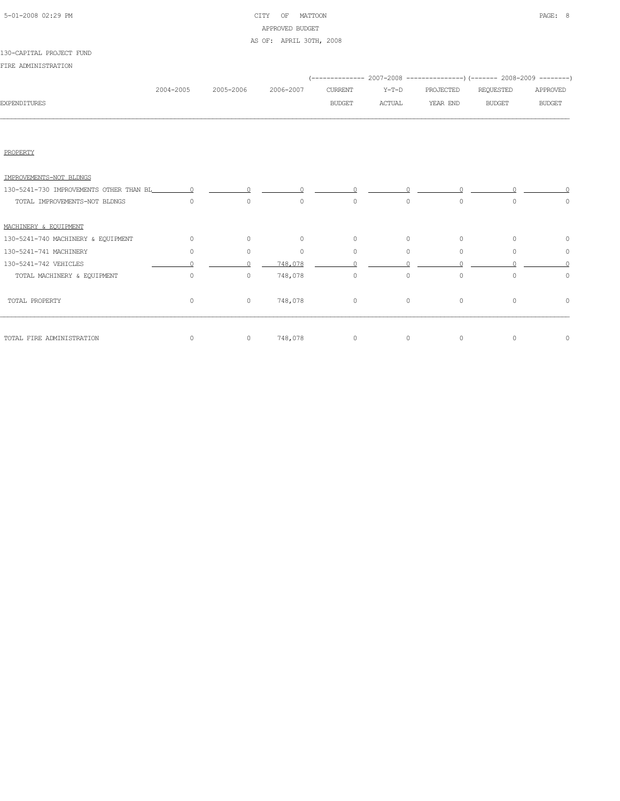# 5-01-2008 02:29 PM CITY OF MATTOON PAGE: 8 APPROVED BUDGET AS OF: APRIL 30TH, 2008

## 130-CAPITAL PROJECT FUND

FIRE ADMINISTRATION

|              |           |           |           |               |         | (-------------- 2007-2008 ----------------) (------- 2008-2009 --------) |           |               |
|--------------|-----------|-----------|-----------|---------------|---------|--------------------------------------------------------------------------|-----------|---------------|
|              | 2004-2005 | 2005-2006 | 2006-2007 | CURRENT       | $Y-T-D$ | PROJECTED                                                                | REQUESTED | APPROVED      |
| EXPENDITURES |           |           |           | <b>BUDGET</b> | ACTUAL  | YEAR END                                                                 | BUDGET    | <b>BUDGET</b> |
|              |           |           |           |               |         |                                                                          |           |               |
|              |           |           |           |               |         |                                                                          |           |               |

PROPERTY

| IMPROVEMENTS-NOT BLDNGS            |          |         |          |         |          |          |          |   |
|------------------------------------|----------|---------|----------|---------|----------|----------|----------|---|
|                                    |          |         | $\sim$ 0 |         |          |          |          |   |
| TOTAL IMPROVEMENTS-NOT BLDNGS      | $\Omega$ | $\circ$ | $\circ$  | $\circ$ | $\circ$  | 0        | $\circ$  | 0 |
| MACHINERY & EOUIPMENT              |          |         |          |         |          |          |          |   |
| 130-5241-740 MACHINERY & EQUIPMENT | 0        | $\circ$ | $\circ$  | $\circ$ | $\circ$  | $\circ$  | $\circ$  | 0 |
| 130-5241-741 MACHINERY             | 0        | $\circ$ | $\Omega$ | $\circ$ | $\Omega$ | $\Omega$ |          | 0 |
| 130-5241-742 VEHICLES              |          |         | 748,078  |         |          |          |          |   |
| TOTAL MACHINERY & EQUIPMENT        | $\circ$  | $\circ$ | 748,078  | $\circ$ | $\circ$  | $\circ$  | $\Omega$ | 0 |
| TOTAL PROPERTY                     | $\Omega$ | $\circ$ | 748,078  | $\circ$ | $\circ$  | $\circ$  | $\circ$  | 0 |
| TOTAL FIRE ADMINISTRATION          |          | 0       | 748,078  | $\circ$ | $\circ$  | $\circ$  |          | 0 |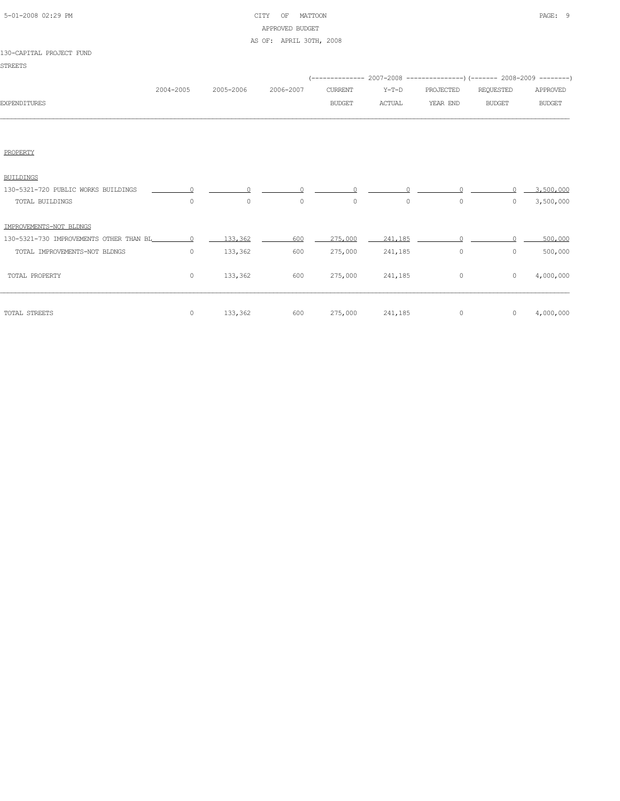| 5-01-2008 02:29 PM |  |  |
|--------------------|--|--|

# CITY OF MATTOON PAGE: 9 APPROVED BUDGET AS OF: APRIL 30TH, 2008

| <b>STREETS</b>                          |           |           |           |                |               |           |                                                                            |               |
|-----------------------------------------|-----------|-----------|-----------|----------------|---------------|-----------|----------------------------------------------------------------------------|---------------|
|                                         |           |           |           |                |               |           | (-------------- 2007-2008 -----------------) (------- 2008-2009 ---------) |               |
|                                         | 2004-2005 | 2005-2006 | 2006-2007 | <b>CURRENT</b> | $Y-T-D$       | PROJECTED | REQUESTED                                                                  | APPROVED      |
| <b>EXPENDITURES</b>                     |           |           |           | <b>BUDGET</b>  | <b>ACTUAL</b> | YEAR END  | <b>BUDGET</b>                                                              | <b>BUDGET</b> |
|                                         |           |           |           |                |               |           |                                                                            |               |
|                                         |           |           |           |                |               |           |                                                                            |               |
| PROPERTY                                |           |           |           |                |               |           |                                                                            |               |
| <b>BUILDINGS</b>                        |           |           |           |                |               |           |                                                                            |               |
| 130-5321-720 PUBLIC WORKS BUILDINGS     |           |           |           |                |               |           |                                                                            | 3,500,000     |
| TOTAL BUILDINGS                         | $\circ$   | $\circ$   | $\circ$   | $\circ$        | $\circ$       | $\circ$   | $\Omega$                                                                   | 3,500,000     |
| IMPROVEMENTS-NOT BLDNGS                 |           |           |           |                |               |           |                                                                            |               |
| 130-5321-730 IMPROVEMENTS OTHER THAN BL | $\cap$    | 133,362   | 600       | 275,000        | 241,185       |           |                                                                            | 500,000       |
| TOTAL IMPROVEMENTS-NOT BLDNGS           | $\circ$   | 133,362   | 600       | 275,000        | 241,185       | $\circ$   | $\circ$                                                                    | 500,000       |
| TOTAL PROPERTY                          | $\circ$   | 133,362   | 600       | 275,000        | 241,185       | $\circ$   | $\circ$                                                                    | 4,000,000     |
|                                         |           |           |           |                |               |           |                                                                            |               |
| TOTAL STREETS                           | 0         | 133,362   | 600       | 275,000        | 241,185       | $\circ$   | $\circ$                                                                    | 4,000,000     |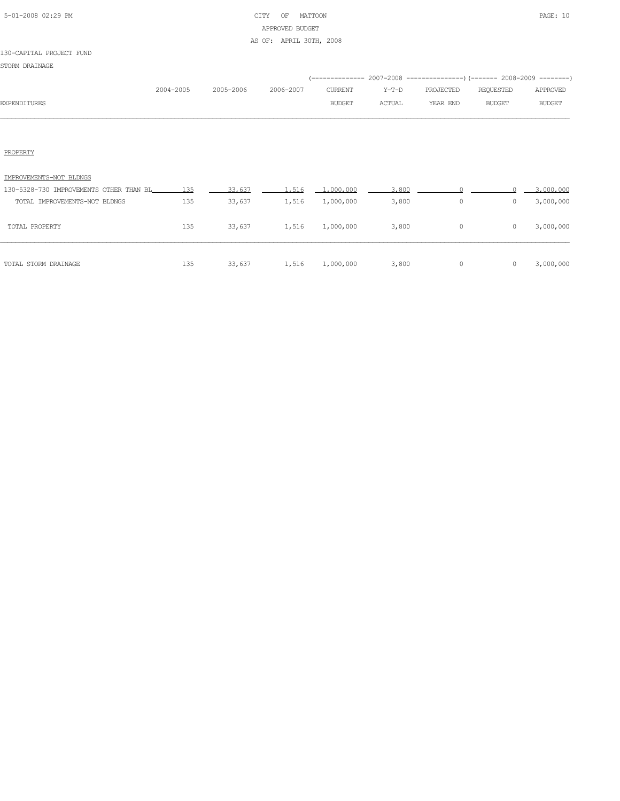# 5-01-2008 02:29 PM CITY OF MATTOON PAGE: 10 APPROVED BUDGET AS OF: APRIL 30TH, 2008

## 130-CAPITAL PROJECT FUND

STORM DRAINAGE

|                     |           |           |           |               |        | (-------------- 2007-2008 ----------------) (------- 2008-2009 --------) |           |               |
|---------------------|-----------|-----------|-----------|---------------|--------|--------------------------------------------------------------------------|-----------|---------------|
|                     | 2004-2005 | 2005-2006 | 2006-2007 | CURRENT       |        | Y-T-D PROJECTED                                                          | REOUESTED | APPROVED      |
| <b>EXPENDITURES</b> |           |           |           | <b>BUDGET</b> | ACTUAL | YEAR END                                                                 | BUDGET    | <b>BUDGET</b> |
|                     |           |           |           |               |        |                                                                          |           |               |

## PROPERTY

| TOTAL STORM DRAINAGE                        | 135 | 33,637 | 1,516 | 1,000,000 | 3,800 | 0 |   | 3,000,000 |
|---------------------------------------------|-----|--------|-------|-----------|-------|---|---|-----------|
| TOTAL PROPERTY                              | 135 | 33,637 | 1,516 | 1,000,000 | 3,800 | 0 | 0 | 3,000,000 |
| TOTAL IMPROVEMENTS-NOT BLDNGS               | 135 | 33,637 | 1,516 | 1,000,000 | 3,800 | 0 |   | 3,000,000 |
| 130-5328-730 IMPROVEMENTS OTHER THAN BL 135 |     | 33,637 | 1,516 | 1.000.000 | 3,800 |   |   | 3,000,000 |
| IMPROVEMENTS-NOT BLDNGS                     |     |        |       |           |       |   |   |           |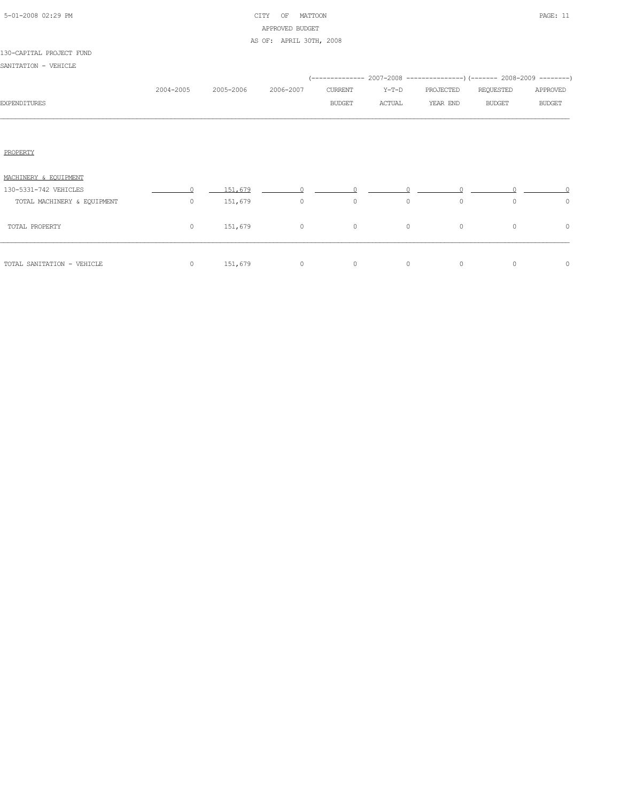|  | 5-01-2008 02:29 PM |  |
|--|--------------------|--|

# CITY OF MATTOON **PAGE:** 11 APPROVED BUDGET AS OF: APRIL 30TH, 2008

| SANITATION - VEHICLE        |           |           |           |               |         |                                                                     |               |               |
|-----------------------------|-----------|-----------|-----------|---------------|---------|---------------------------------------------------------------------|---------------|---------------|
|                             |           |           |           |               |         | (-------------- 2007-2008 -------------------- 2008-2009 ---------) |               |               |
|                             | 2004-2005 | 2005-2006 | 2006-2007 | CURRENT       | $Y-T-D$ | PROJECTED                                                           | REQUESTED     | APPROVED      |
| <b>EXPENDITURES</b>         |           |           |           | <b>BUDGET</b> | ACTUAL  | YEAR END                                                            | <b>BUDGET</b> | <b>BUDGET</b> |
|                             |           |           |           |               |         |                                                                     |               |               |
|                             |           |           |           |               |         |                                                                     |               |               |
| PROPERTY                    |           |           |           |               |         |                                                                     |               |               |
|                             |           |           |           |               |         |                                                                     |               |               |
| MACHINERY & EOUIPMENT       |           |           |           |               |         |                                                                     |               |               |
| 130-5331-742 VEHICLES       | $\cap$    | 151,679   | $\Omega$  |               |         |                                                                     |               |               |
| TOTAL MACHINERY & EQUIPMENT | $\circ$   | 151,679   | $\circ$   | $\circ$       | $\circ$ | $\circ$                                                             | $\Omega$      | $\circ$       |
| TOTAL PROPERTY              | $\circ$   | 151,679   | $\circ$   | $\circ$       | $\circ$ | $\circ$                                                             | $\circ$       | $\circ$       |
|                             |           |           |           |               |         |                                                                     |               |               |
| TOTAL SANITATION - VEHICLE  | $\circ$   | 151,679   | $\circ$   | $\circ$       | 0       | $\circ$                                                             | $\circ$       | $\circ$       |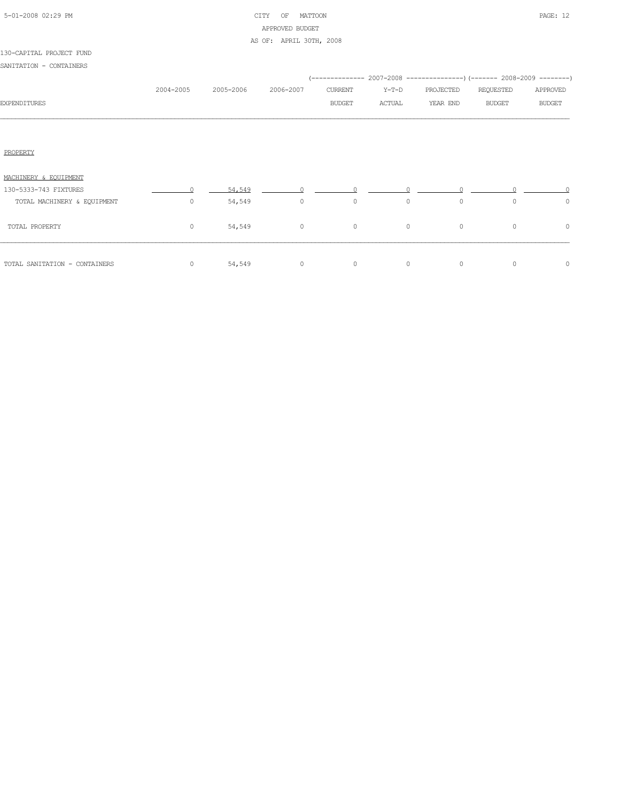|  | 5-01-2008 02:29 PM |  |
|--|--------------------|--|

# CITY OF MATTOON **PAGE:** 12 APPROVED BUDGET AS OF: APRIL 30TH, 2008

| SANITATION - CONTAINERS       |           |                     |                |               |          |                                                                     |               |               |
|-------------------------------|-----------|---------------------|----------------|---------------|----------|---------------------------------------------------------------------|---------------|---------------|
|                               |           |                     |                |               |          | (-------------- 2007-2008 -------------------- 2008-2009 ---------) |               |               |
|                               | 2004-2005 | 2005-2006 2006-2007 |                | CURRENT       | $Y-T-D$  | PROJECTED                                                           | REQUESTED     | APPROVED      |
| <b>EXPENDITURES</b>           |           |                     |                | <b>BUDGET</b> | ACTUAL   | YEAR END                                                            | <b>BUDGET</b> | <b>BUDGET</b> |
|                               |           |                     |                |               |          |                                                                     |               |               |
| PROPERTY                      |           |                     |                |               |          |                                                                     |               |               |
| MACHINERY & EQUIPMENT         |           |                     |                |               |          |                                                                     |               |               |
| 130-5333-743 FIXTURES         | $\cap$    | 54,549              |                |               |          |                                                                     |               |               |
| TOTAL MACHINERY & EQUIPMENT   | $\Omega$  | 54,549              | $\circ$        | $\circ$       | $\Omega$ | $\circ$                                                             | $\Omega$      | $\circ$       |
| TOTAL PROPERTY                | $\circ$   | 54,549              | $\overline{0}$ | $\circ$       | $\circ$  | $\circ$                                                             | $\circ$       | $\circ$       |
| TOTAL SANITATION - CONTAINERS | $\circ$   | 54,549              | $\circ$        | $\circ$       | $\circ$  | $\circ$                                                             | 0             | $\circ$       |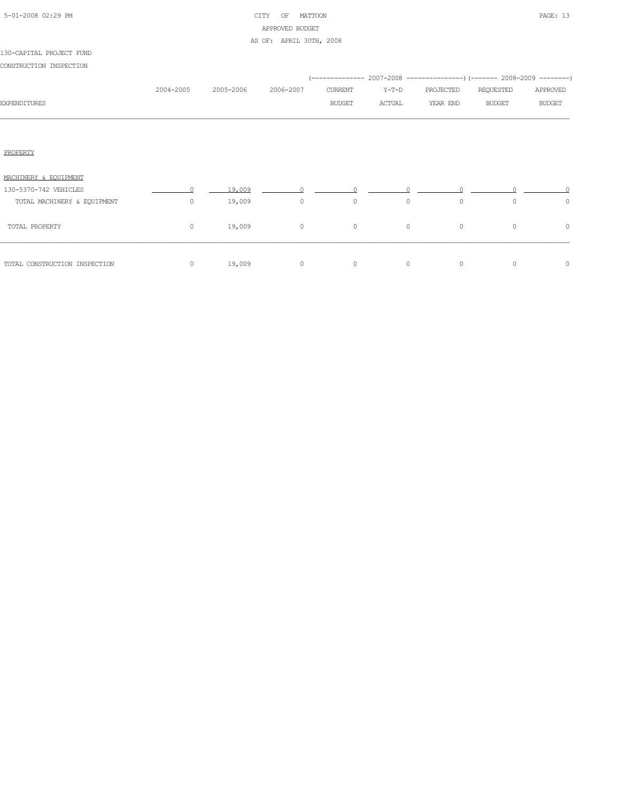|  | 5-01-2008 02:29 PM |  |
|--|--------------------|--|

# CITY OF MATTOON **PAGE:** 13 APPROVED BUDGET AS OF: APRIL 30TH, 2008

| CONSTRUCTION INSPECTION       |           |           |                |               |         |                                                                     |               |               |  |
|-------------------------------|-----------|-----------|----------------|---------------|---------|---------------------------------------------------------------------|---------------|---------------|--|
|                               |           |           |                |               |         | (-------------- 2007-2008 -------------------- 2008-2009 ---------) |               |               |  |
|                               | 2004-2005 | 2005-2006 | 2006-2007      | CURRENT       | $Y-T-D$ | PROJECTED                                                           | REQUESTED     | APPROVED      |  |
| <b>EXPENDITURES</b>           |           |           |                | <b>BUDGET</b> | ACTUAL  | YEAR END                                                            | <b>BUDGET</b> | <b>BUDGET</b> |  |
|                               |           |           |                |               |         |                                                                     |               |               |  |
| PROPERTY                      |           |           |                |               |         |                                                                     |               |               |  |
| MACHINERY & EQUIPMENT         |           |           |                |               |         |                                                                     |               |               |  |
| 130-5370-742 VEHICLES         | $\cap$    | 19,009    | $\Omega$       | $\cap$        |         |                                                                     |               |               |  |
| TOTAL MACHINERY & EQUIPMENT   | $\Omega$  | 19,009    | $\circ$        | $\circ$       | $\circ$ | $\circ$                                                             | $\Omega$      | $\circ$       |  |
| TOTAL PROPERTY                | $\circ$   | 19,009    | $\overline{0}$ | $\circ$       | $\circ$ | $\circ$                                                             | $\circ$       | $\circ$       |  |
| TOTAL CONSTRUCTION INSPECTION | $\circ$   | 19,009    | $\circ$        | $\circ$       | $\circ$ | $\circ$                                                             | $\circ$       | $\circ$       |  |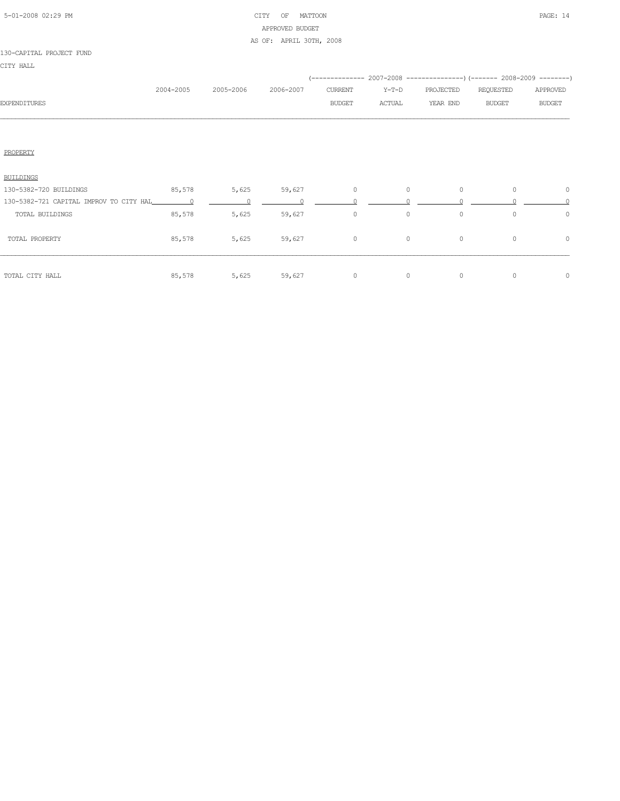# 5-01-2008 02:29 PM CITY OF MATTOON PAGE: 14 APPROVED BUDGET AS OF: APRIL 30TH, 2008

## 130-CAPITAL PROJECT FUND

CITY HALL

|              | 2004-2005 | 2005-2006 | 2006-2007 | CURRENT       | Y-T-D  | PROJECTED | REQUESTED     | APPROVED      |
|--------------|-----------|-----------|-----------|---------------|--------|-----------|---------------|---------------|
| EXPENDITURES |           |           |           | <b>BUDGET</b> | ACTUAL | YEAR END  | <b>BUDGET</b> | <b>BUDGET</b> |
|              |           |           |           |               |        |           |               |               |
|              |           |           |           |               |        |           |               |               |

# PROPERTY

| BUILDINGS                               |          |       |        |         |          |          |          |   |
|-----------------------------------------|----------|-------|--------|---------|----------|----------|----------|---|
| 130-5382-720 BUILDINGS                  | 85,578   | 5,625 | 59,627 | 0       | 0        | 0        | 0        | 0 |
| 130-5382-721 CAPITAL IMPROV TO CITY HAL | $\sim$ 0 |       |        |         |          |          |          |   |
| TOTAL BUILDINGS                         | 85,578   | 5,625 | 59,627 | $\circ$ | $\circ$  | 0        | $\Omega$ | U |
| TOTAL PROPERTY                          | 85,578   | 5,625 | 59,627 | 0       | 0        | 0        | $\Omega$ | 0 |
| TOTAL CITY HALL                         | 85,578   | 5,625 | 59,627 | 0       | $\Omega$ | $\Omega$ | $\Omega$ | O |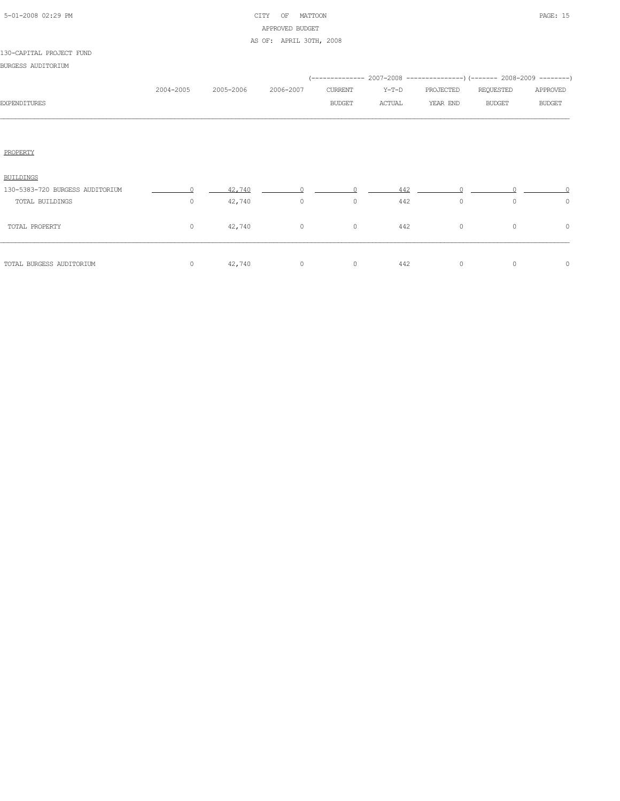|  | 5-01-2008 02:29 PM |  |
|--|--------------------|--|

# CITY OF MATTOON PAGE: 15 APPROVED BUDGET AS OF: APRIL 30TH, 2008

| BURGESS AUDITORIUM |  |
|--------------------|--|
|                    |  |

| 2004-2005 | 2005-2006 | 2006-2007 | CURRENT       | Y-T-D  | PROJECTED | REQUESTED     | APPROVED                                                             |
|-----------|-----------|-----------|---------------|--------|-----------|---------------|----------------------------------------------------------------------|
|           |           |           | <b>BUDGET</b> | ACTUAL | YEAR END  | <b>BUDGET</b> | <b>BUDGET</b>                                                        |
|           |           |           |               |        |           |               |                                                                      |
|           |           |           |               |        |           |               |                                                                      |
|           |           |           |               |        |           |               |                                                                      |
| $\sim$ 0  | 42,740    |           |               | 442    |           |               |                                                                      |
| 0         | 42,740    | $\circ$   | $\circ$       | 442    | $\circ$   | $\circ$       | 0                                                                    |
| $\circ$   | 42,740    | $\circ$   | $\circ$       | 442    | $\circ$   | $\circ$       | $\circ$                                                              |
| $\circ$   | 42,740    | $\circ$   | $\circ$       | 442    | $\circ$   | $\circ$       | $\circ$                                                              |
|           |           |           |               |        |           |               | (-------------- 2007-2008 -------------------- 2008-2009 ----------- |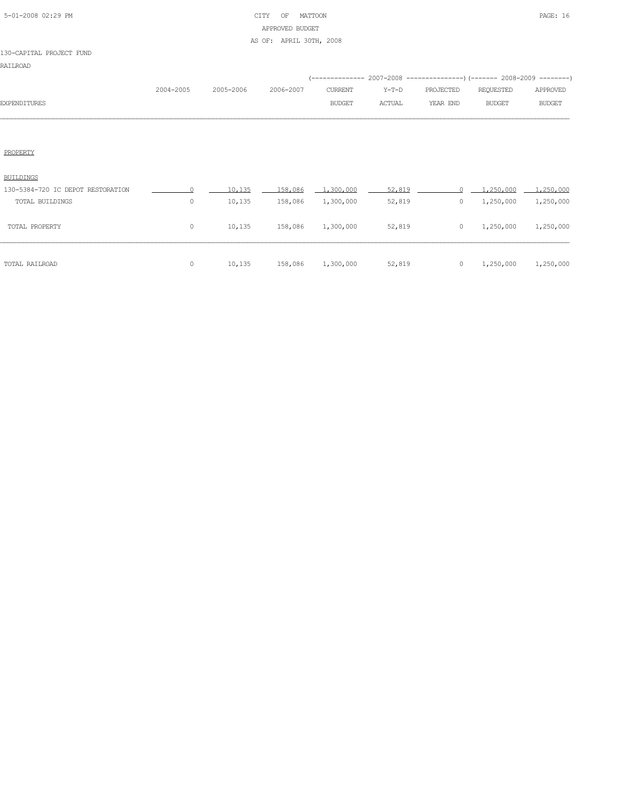| 5-01-2008 02:29 PM |  |  |
|--------------------|--|--|

# CITY OF MATTOON PAGE: 16 APPROVED BUDGET AS OF: APRIL 30TH, 2008

## 130-CAPITAL PROJECT FUND

|              |           |                     |               |         | (-------------- 2007-2008 ----------------) (------- 2008-2009 ---------) |           |               |
|--------------|-----------|---------------------|---------------|---------|---------------------------------------------------------------------------|-----------|---------------|
|              | 2004-2005 | 2005-2006 2006-2007 | CURRENT       | $Y-T-D$ | PROJECTED                                                                 | REOUESTED | APPROVED      |
| EXPENDITURES |           |                     | <b>BUDGET</b> | ACTUAL  | YEAR END                                                                  | BUDGET    | <b>BUDGET</b> |
|              |           |                     |               |         |                                                                           |           |               |

## PROPERTY

| TOTAL RAILROAD                    |         | 10,135 | 158,086 | 1,300,000 | 52,819 | 0 | 1,250,000 | 1,250,000 |
|-----------------------------------|---------|--------|---------|-----------|--------|---|-----------|-----------|
| TOTAL PROPERTY                    | $\circ$ | 10,135 | 158,086 | 1,300,000 | 52,819 | 0 | 1,250,000 | 1,250,000 |
| TOTAL BUILDINGS                   | $\circ$ | 10,135 | 158,086 | 1,300,000 | 52,819 | 0 | 1,250,000 | 1,250,000 |
| 130-5384-720 IC DEPOT RESTORATION |         | 10,135 | 158,086 | 1,300,000 | 52,819 |   | 1,250,000 | 1,250,000 |
| BUILDINGS                         |         |        |         |           |        |   |           |           |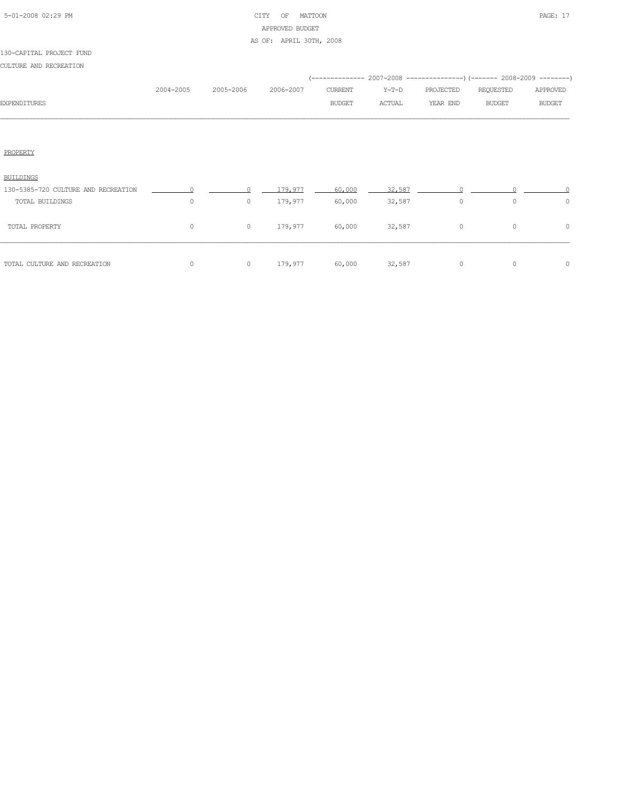|  | 5-01-2008 02:29 PM |  |
|--|--------------------|--|

# CITY OF MATTOON **PAGE: 17** APPROVED BUDGET AS OF: APRIL 30TH, 2008

## 130-CAPITAL PROJECT FUND

CULTURE AND RECREATION

|                     |           |           |           |         |        | (-------------- 2007-2008 ----------------) (------- 2008-2009 --------) |           |               |
|---------------------|-----------|-----------|-----------|---------|--------|--------------------------------------------------------------------------|-----------|---------------|
|                     | 2004-2005 | 2005-2006 | 2006-2007 | CURRENT | Y-T-D  | PROJECTED                                                                | REQUESTED | APPROVED      |
| <b>EXPENDITURES</b> |           |           |           | BUDGET  | ACTUAL | YEAR END                                                                 | BUDGET    | <b>BUDGET</b> |
|                     |           |           |           |         |        |                                                                          |           |               |
|                     |           |           |           |         |        |                                                                          |           |               |
|                     |           |           |           |         |        |                                                                          |           |               |

# PROPERTY

| TOTAL CULTURE AND RECREATION        |   | 0       | 179.977 | 60,000 | 32,587 |   | $\Omega$ | 0      |
|-------------------------------------|---|---------|---------|--------|--------|---|----------|--------|
| TOTAL PROPERTY                      | 0 | $\circ$ | 179,977 | 60,000 | 32,587 | 0 | $\circ$  | $\cap$ |
| TOTAL BUILDINGS                     | 0 | $\circ$ | 179,977 | 60,000 | 32,587 | 0 | 0        |        |
| 130-5385-720 CULTURE AND RECREATION |   |         | 179.977 | 60,000 | 32,587 |   |          |        |
| <b>BUILDINGS</b>                    |   |         |         |        |        |   |          |        |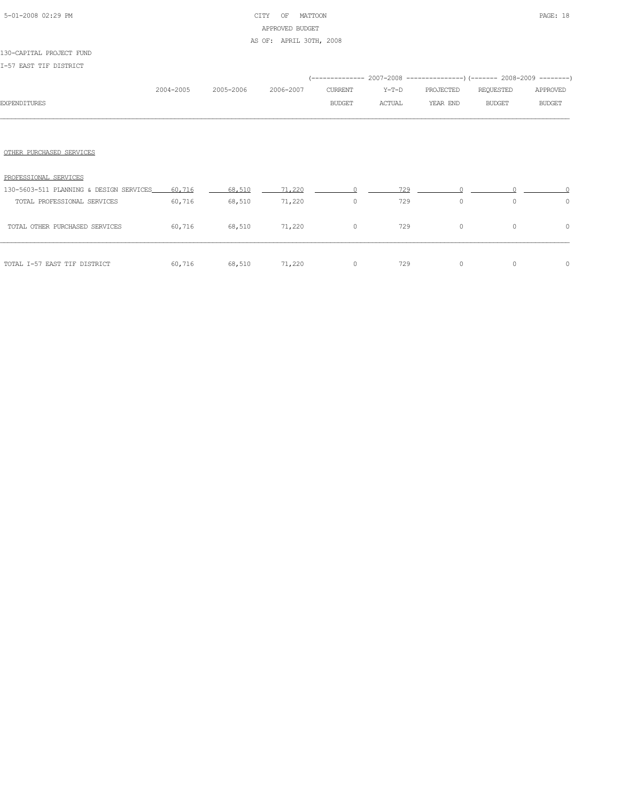# 5-01-2008 02:29 PM CITY OF MATTOON PAGE: 18 APPROVED BUDGET AS OF: APRIL 30TH, 2008

## 130-CAPITAL PROJECT FUND

I-57 EAST TIF DISTRICT

|                                         |           |           |           |                |         |           | (-------------- 2007-2008 -------------------- 2008-2009 ---------) |               |
|-----------------------------------------|-----------|-----------|-----------|----------------|---------|-----------|---------------------------------------------------------------------|---------------|
|                                         | 2004-2005 | 2005-2006 | 2006-2007 | <b>CURRENT</b> | $Y-T-D$ | PROJECTED | REQUESTED                                                           | APPROVED      |
| <b>EXPENDITURES</b>                     |           |           |           | <b>BUDGET</b>  | ACTUAL  | YEAR END  | <b>BUDGET</b>                                                       | <b>BUDGET</b> |
|                                         |           |           |           |                |         |           |                                                                     |               |
|                                         |           |           |           |                |         |           |                                                                     |               |
| OTHER PURCHASED SERVICES                |           |           |           |                |         |           |                                                                     |               |
|                                         |           |           |           |                |         |           |                                                                     |               |
| PROFESSIONAL SERVICES                   |           |           |           |                |         |           |                                                                     |               |
| 130-5603-511 PLANNING & DESIGN SERVICES | 60,716    | 68,510    | 71,220    | $\cap$         | 729     |           |                                                                     |               |
| TOTAL PROFESSIONAL SERVICES             | 60,716    | 68,510    | 71,220    | $\circ$        | 729     | $\circ$   | $\Omega$                                                            | $\circ$       |
| TOTAL OTHER PURCHASED SERVICES          | 60,716    | 68,510    | 71,220    | $\circ$        | 729     | $\circ$   | $\circ$                                                             | 0             |
|                                         |           |           |           |                |         |           |                                                                     |               |
|                                         |           |           |           |                |         |           |                                                                     |               |
| TOTAL I-57 EAST TIF DISTRICT            | 60,716    | 68,510    | 71,220    | $\circ$        | 729     | $\circ$   | $\Omega$                                                            | 0             |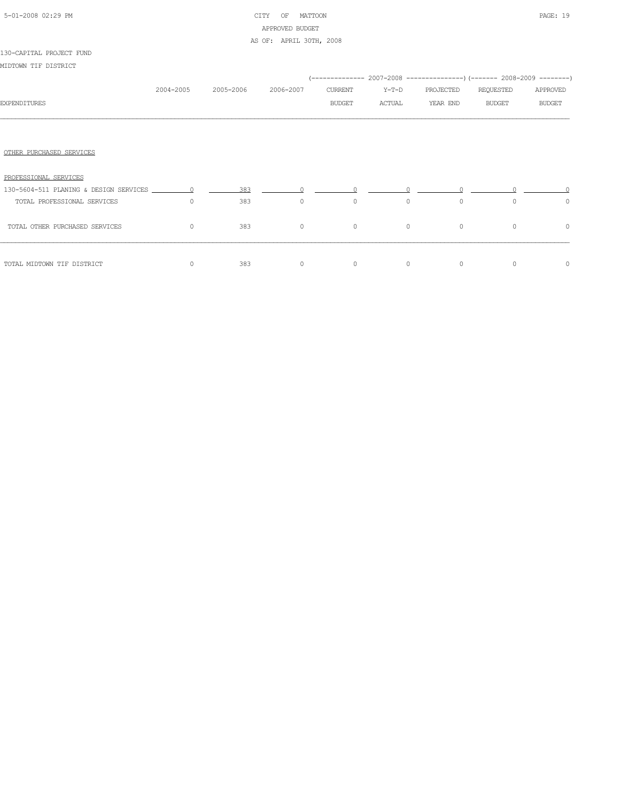# 5-01-2008 02:29 PM CITY OF MATTOON PAGE: 19 APPROVED BUDGET AS OF: APRIL 30TH, 2008

## 130-CAPITAL PROJECT FUND

MIDTOWN TIF DISTRICT

|                                |           |           |           |                                              |         |           | (-------------- 2007-2008 ----------------) (------- 2008-2009 --------) |               |
|--------------------------------|-----------|-----------|-----------|----------------------------------------------|---------|-----------|--------------------------------------------------------------------------|---------------|
|                                | 2004-2005 | 2005-2006 | 2006-2007 | CURRENT                                      | Y-T-D   | PROJECTED | REQUESTED                                                                | APPROVED      |
| <b>EXPENDITURES</b>            |           |           |           | BUDGET                                       | ACTUAL  | YEAR END  | BUDGET                                                                   | <b>BUDGET</b> |
|                                |           |           |           |                                              |         |           |                                                                          |               |
| OTHER PURCHASED SERVICES       |           |           |           |                                              |         |           |                                                                          |               |
| PROFESSIONAL SERVICES          |           |           |           |                                              |         |           |                                                                          |               |
|                                |           | 383       |           | $\begin{array}{ccc}\n0 & & & 0\n\end{array}$ |         |           |                                                                          |               |
| TOTAL PROFESSIONAL SERVICES    | $\Omega$  | 383       | $\circ$   | $\circ$                                      | $\circ$ | $\circ$   | $\Omega$                                                                 | $\circ$       |
| TOTAL OTHER PURCHASED SERVICES | $\circ$   | 383       | $\circ$   | $\circ$                                      | $\circ$ | $\circ$   | $\circ$                                                                  | $\circ$       |
|                                | $\circ$   |           | $\circ$   | $\circ$                                      | $\circ$ | $\circ$   | $\Omega$                                                                 |               |
| TOTAL MIDTOWN TIF DISTRICT     |           | 383       |           |                                              |         |           |                                                                          | 0             |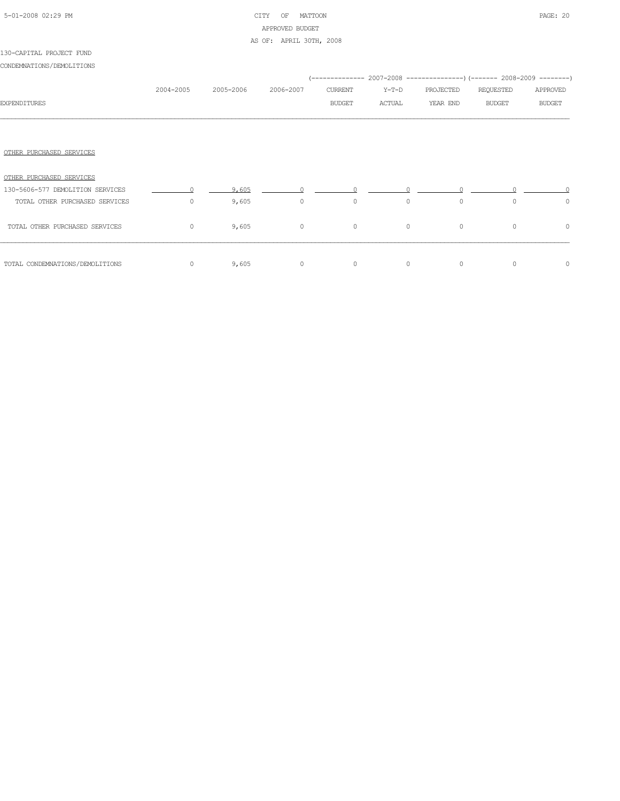## 5-01-2008 02:29 PM CITY OF MATTOON PAGE: 20 APPROVED BUDGET AS OF: APRIL 30TH, 2008

## OTHER PURCHASED SERVICES

| OTHER PURCHASED SERVICES         |       |          |         |          |          |          |          |
|----------------------------------|-------|----------|---------|----------|----------|----------|----------|
| 130-5606-577 DEMOLITION SERVICES | 9,605 |          |         |          |          |          |          |
| TOTAL OTHER PURCHASED SERVICES   | 9,605 | $\Omega$ | 0       | 0        | 0        |          | 0        |
| TOTAL OTHER PURCHASED SERVICES   | 9,605 | $\Omega$ | $\circ$ | $\Omega$ | $\Omega$ | $\Omega$ | $\Omega$ |
| TOTAL CONDEMNATIONS/DEMOLITIONS  | 9,605 | $\Omega$ |         | $\Omega$ | 0        | ∩        | $\Omega$ |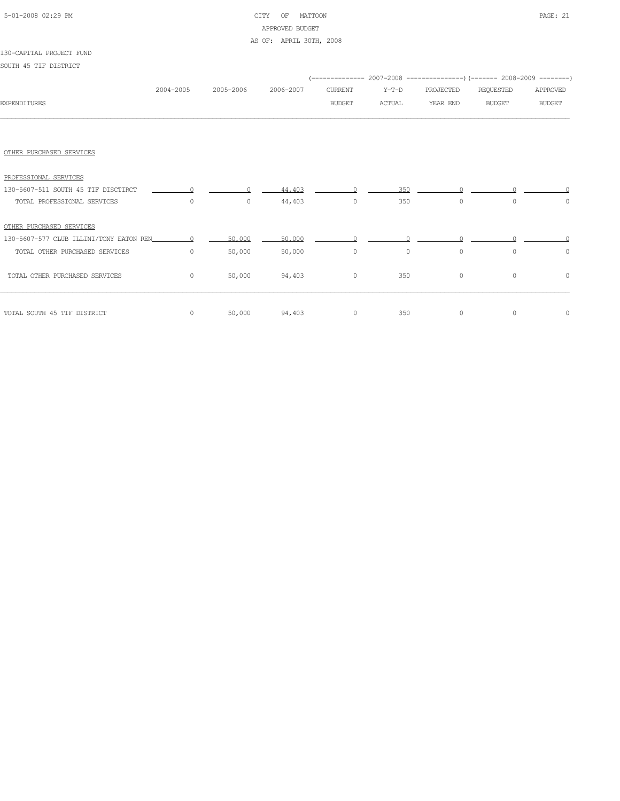# 5-01-2008 02:29 PM CITY OF MATTOON PAGE: 21 APPROVED BUDGET AS OF: APRIL 30TH, 2008

## 130-CAPITAL PROJECT FUND

SOUTH 45 TIF DISTRICT

|                                     |           |           |               |                |                                                                                                                                                                                                                                                                                               |               | (-------------- 2007-2008 -------------------- 2008-2009 ---------) |               |
|-------------------------------------|-----------|-----------|---------------|----------------|-----------------------------------------------------------------------------------------------------------------------------------------------------------------------------------------------------------------------------------------------------------------------------------------------|---------------|---------------------------------------------------------------------|---------------|
|                                     | 2004-2005 | 2005-2006 | 2006-2007     | <b>CURRENT</b> | Y-T-D                                                                                                                                                                                                                                                                                         | PROJECTED     | REQUESTED                                                           | APPROVED      |
| <b>EXPENDITURES</b>                 |           |           |               | <b>BUDGET</b>  | ACTUAL                                                                                                                                                                                                                                                                                        | YEAR END      | <b>BUDGET</b>                                                       | <b>BUDGET</b> |
|                                     |           |           |               |                |                                                                                                                                                                                                                                                                                               |               |                                                                     |               |
|                                     |           |           |               |                |                                                                                                                                                                                                                                                                                               |               |                                                                     |               |
| OTHER PURCHASED SERVICES            |           |           |               |                |                                                                                                                                                                                                                                                                                               |               |                                                                     |               |
| PROFESSIONAL SERVICES               |           |           |               |                |                                                                                                                                                                                                                                                                                               |               |                                                                     |               |
| 130-5607-511 SOUTH 45 TIF DISCTIRCT | $\Omega$  | $\Omega$  | 44.403        |                | $\sim$ 0 $\sim$ 0 $\sim$ 0 $\sim$ 0 $\sim$ 0 $\sim$ 0 $\sim$ 0 $\sim$ 0 $\sim$ 0 $\sim$ 0 $\sim$ 0 $\sim$ 0 $\sim$ 0 $\sim$ 0 $\sim$ 0 $\sim$ 0 $\sim$ 0 $\sim$ 0 $\sim$ 0 $\sim$ 0 $\sim$ 0 $\sim$ 0 $\sim$ 0 $\sim$ 0 $\sim$ 0 $\sim$ 0 $\sim$ 0 $\sim$ 0 $\sim$ 0 $\sim$ 0 $\sim$ 0 $\sim$ | 350<br>$\cap$ |                                                                     |               |
| TOTAL PROFESSIONAL SERVICES         | $\Omega$  | $\circ$   | 44,403        | $\circ$        | 350                                                                                                                                                                                                                                                                                           | $\circ$       | $\Omega$                                                            | 0             |
| OTHER PURCHASED SERVICES            |           |           |               |                |                                                                                                                                                                                                                                                                                               |               |                                                                     |               |
|                                     |           | 50,000    | 50,000        | $\cap$         |                                                                                                                                                                                                                                                                                               |               |                                                                     |               |
| TOTAL OTHER PURCHASED SERVICES      | $\Omega$  | 50,000    | 50,000        | $\circ$        | $\circ$                                                                                                                                                                                                                                                                                       | $\circ$       | $\Omega$                                                            | $\Omega$      |
| TOTAL OTHER PURCHASED SERVICES      | $\circ$   | 50,000    | 94,403        | $\circ$        | 350                                                                                                                                                                                                                                                                                           | $\circ$       | $\circ$                                                             | $\circ$       |
| TOTAL SOUTH 45 TIF DISTRICT         | $\circ$   |           | 50,000 94,403 | $\circ$        | 350                                                                                                                                                                                                                                                                                           | $\circ$       | $\circ$                                                             | 0             |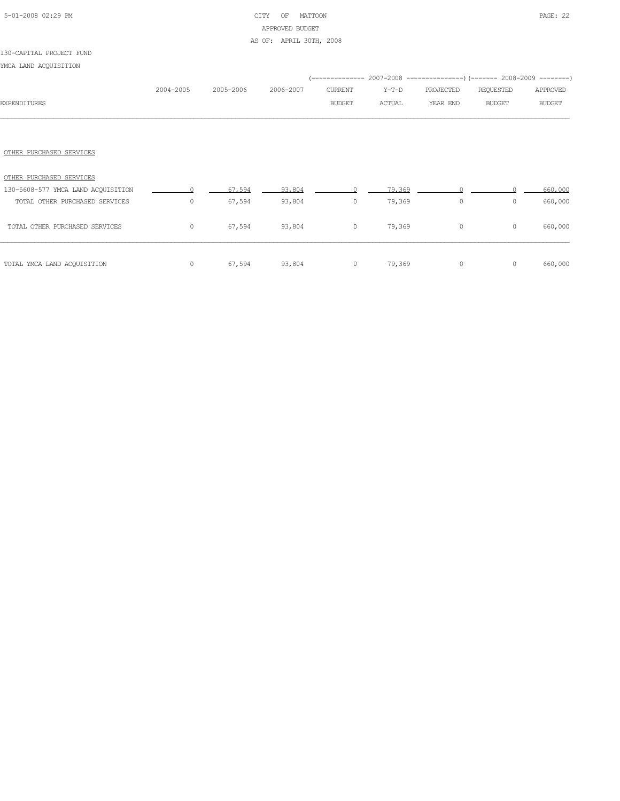# 5-01-2008 02:29 PM CITY OF MATTOON PAGE: 22 APPROVED BUDGET AS OF: APRIL 30TH, 2008

#### 130-CAPITAL PROJECT FUND

YMCA LAND ACQUISITION

|                                    |           |           |           |               | (-------------- 2007-2008 ----------------) (------- 2008-2009 --------) |           |               |               |
|------------------------------------|-----------|-----------|-----------|---------------|--------------------------------------------------------------------------|-----------|---------------|---------------|
|                                    | 2004-2005 | 2005-2006 | 2006-2007 | CURRENT       | Y-T-D                                                                    | PROJECTED | REQUESTED     | APPROVED      |
| <b>EXPENDITURES</b>                |           |           |           | <b>BUDGET</b> | ACTUAL                                                                   | YEAR END  | <b>BUDGET</b> | <b>BUDGET</b> |
|                                    |           |           |           |               |                                                                          |           |               |               |
|                                    |           |           |           |               |                                                                          |           |               |               |
| OTHER PURCHASED SERVICES           |           |           |           |               |                                                                          |           |               |               |
| OTHER PURCHASED SERVICES           |           |           |           |               |                                                                          |           |               |               |
| 130-5608-577 YMCA LAND ACQUISITION |           | 67,594    | 93,804    |               | 79,369                                                                   |           |               | 660,000       |
| TOTAL OTHER PURCHASED SERVICES     | $\circ$   | 67,594    | 93,804    | $\circ$       | 79,369                                                                   | $\circ$   | $\circ$       | 660,000       |
| TOTAL OTHER PURCHASED SERVICES     | $\circ$   | 67,594    | 93,804    | $\circ$       | 79,369                                                                   | $\circ$   | 0             | 660,000       |

TOTAL YMCA LAND ACQUISITION 0 67,594 93,804 0 79,369 0 0 660,000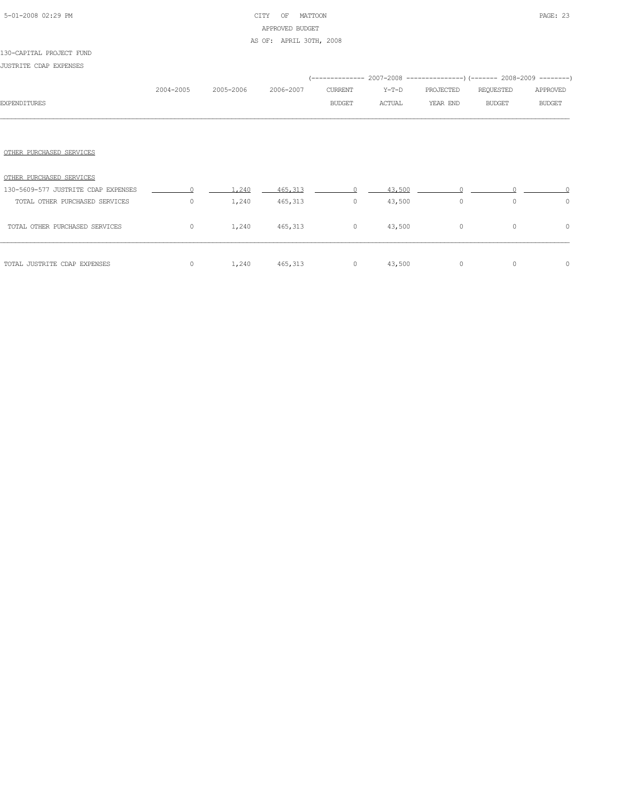# 5-01-2008 02:29 PM CITY OF MATTOON PAGE: 23 APPROVED BUDGET AS OF: APRIL 30TH, 2008

## 130-CAPITAL PROJECT FUND

JUSTRITE CDAP EXPENSES

| <b>EXPENDITURES</b>                 | 2004-2005 | 2005-2006 | 2006-2007 | <b>CURRENT</b><br><b>BUDGET</b> | (-------------- 2007-2008 -----------------) (------- 2008-2009 --------)<br>$Y-T-D$<br>ACTUAL | PROJECTED<br>YEAR END | REQUESTED<br><b>BUDGET</b> | APPROVED<br><b>BUDGET</b> |
|-------------------------------------|-----------|-----------|-----------|---------------------------------|------------------------------------------------------------------------------------------------|-----------------------|----------------------------|---------------------------|
| OTHER PURCHASED SERVICES            |           |           |           |                                 |                                                                                                |                       |                            |                           |
| OTHER PURCHASED SERVICES            |           |           |           |                                 |                                                                                                |                       |                            |                           |
| 130-5609-577 JUSTRITE CDAP EXPENSES |           | .,240     | 465, 313  |                                 | 43,500                                                                                         |                       |                            |                           |
| TOTAL OTHER PURCHASED SERVICES      | $\circ$   | 1,240     | 465,313   | $\circ$                         | 43,500                                                                                         | $\circ$               | $\circ$                    | $\circ$                   |
| TOTAL OTHER PURCHASED SERVICES      | $\circ$   | 1,240     | 465,313   | $\overline{0}$                  | 43,500                                                                                         | $\circ$               | $\mathbf{0}$               | 0                         |

| TOTAL JUSTRITE CDAP EXPENSES | .,240 | $  -$<br>ـ⊥د .465 | 43,500 |  |  |
|------------------------------|-------|-------------------|--------|--|--|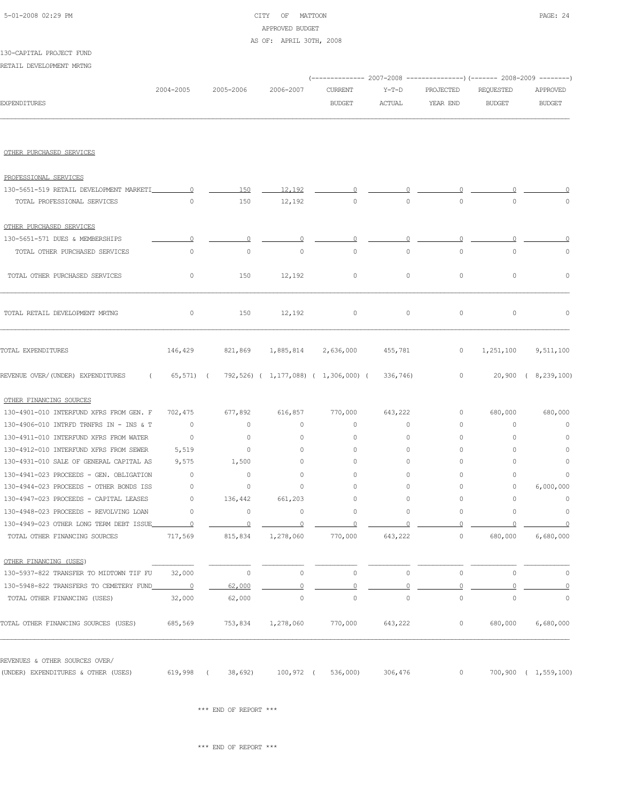# 5-01-2008 02:29 PM CITY OF MATTOON PAGE: 24 APPROVED BUDGET AS OF: APRIL 30TH, 2008

RETAIL DEVELOPMENT MRTNG

|                                                                          |                     |                    |                                               | (------------- 2007-2008 ---------------) (------- 2008-2009 --------) |                     |                     |                     |                      |
|--------------------------------------------------------------------------|---------------------|--------------------|-----------------------------------------------|------------------------------------------------------------------------|---------------------|---------------------|---------------------|----------------------|
|                                                                          | 2004-2005           | 2005-2006          | 2006-2007                                     | CURRENT                                                                | $Y-T-D$             | PROJECTED           | REQUESTED           | APPROVED             |
| <b>EXPENDITURES</b>                                                      |                     |                    |                                               | <b>BUDGET</b>                                                          | ACTUAL              | YEAR END            | <b>BUDGET</b>       | <b>BUDGET</b>        |
|                                                                          |                     |                    |                                               |                                                                        |                     |                     |                     |                      |
| OTHER PURCHASED SERVICES                                                 |                     |                    |                                               |                                                                        |                     |                     |                     |                      |
| PROFESSIONAL SERVICES                                                    |                     |                    |                                               |                                                                        |                     |                     |                     |                      |
| 130-5651-519 RETAIL DEVELOPMENT MARKETI                                  | $\overline{0}$      | 150                | 12,192                                        |                                                                        |                     |                     |                     |                      |
| TOTAL PROFESSIONAL SERVICES                                              | $\circ$             | 150                | 12,192                                        | 0                                                                      | 0                   | 0                   | $\circ$             |                      |
| OTHER PURCHASED SERVICES                                                 |                     |                    |                                               |                                                                        |                     |                     |                     |                      |
| 130-5651-571 DUES & MEMBERSHIPS                                          | 0                   | 0                  |                                               | $\Omega$                                                               | $\Omega$            | 0                   | $\Omega$            |                      |
| TOTAL OTHER PURCHASED SERVICES                                           | $\circ$             | $\circ$            | $\circ$                                       | $\circ$                                                                | $\circ$             | $\circ$             | $\circ$             | $\mathbb O$          |
| TOTAL OTHER PURCHASED SERVICES                                           | $\circ$             | 150                | 12,192                                        | 0                                                                      | $\circ$             | $\circ$             | $\circ$             | $\mathbb O$          |
| TOTAL RETAIL DEVELOPMENT MRTNG                                           | 0                   | 150                | 12,192                                        | $\circ$                                                                | $\circ$             | $\circ$             | $\circ$             | 0                    |
| TOTAL EXPENDITURES                                                       | 146,429             | 821,869            | 1,885,814 2,636,000                           |                                                                        | 455,781             | $\circ$             | 1,251,100           | 9,511,100            |
| REVENUE OVER/(UNDER) EXPENDITURES<br>$\sim$ $\sim$ $\sim$                | $65, 571$ (         |                    | 792,526) ( 1,177,088) ( 1,306,000) ( 336,746) |                                                                        |                     | $\circ$             |                     | 20,900 ( 8,239,100)  |
| OTHER FINANCING SOURCES                                                  |                     |                    |                                               |                                                                        |                     |                     |                     |                      |
| 130-4901-010 INTERFUND XFRS FROM GEN. F                                  | 702,475             | 677,892            | 616,857                                       | 770,000                                                                | 643,222             | 0                   | 680,000             | 680,000              |
| 130-4906-010 INTRFD TRNFRS IN - INS & T                                  | $\circ$             | $\circ$            | $\circ$                                       | 0                                                                      | 0                   | 0                   | 0                   | $\circ$              |
| 130-4911-010 INTERFUND XFRS FROM WATER                                   | $\circ$             | $\circ$            | 0                                             | 0                                                                      | 0                   | $\circ$             | $\circ$             | 0                    |
| 130-4912-010 INTERFUND XFRS FROM SEWER                                   | 5,519               | $\circ$            | $\circ$                                       | 0                                                                      | 0                   | $\circ$             | $\circ$             | 0                    |
| 130-4931-010 SALE OF GENERAL CAPITAL AS                                  | 9,575               | 1,500              | $\circ$                                       | 0                                                                      | $\circ$             | $\circ$             | $\circ$             | $\circ$              |
| 130-4941-023 PROCEEDS - GEN. OBLIGATION                                  | $\circ$             | $\overline{0}$     | $\circ$                                       | 0                                                                      | $\circ$             | 0                   | $\circ$             | 0                    |
| 130-4944-023 PROCEEDS - OTHER BONDS ISS                                  | $\circ$             | 0                  | 0                                             | 0                                                                      | $\circ$             | 0                   | 0                   | 6,000,000            |
| 130-4947-023 PROCEEDS - CAPITAL LEASES                                   | $\circ$             | 136,442            | 661,203                                       | 0                                                                      | $\circ$             | 0                   | $\circ$             | $\mathbb O$          |
| 130-4948-023 PROCEEDS - REVOLVING LOAN                                   | $\circ$             | $\circ$            | $\circ$                                       | 0                                                                      | $\circ$             | $\circ$             | $\circ$             | 0                    |
| 130-4949-023 OTHER LONG TERM DEBT ISSUE<br>TOTAL OTHER FINANCING SOURCES | $\Omega$<br>717,569 | $\circ$<br>815,834 | $\Omega$<br>1,278,060                         | 0<br>770,000                                                           | $\Omega$<br>643,222 | 0<br>$\circ$        | $\Omega$<br>680,000 | 0<br>6,680,000       |
| OTHER FINANCING (USES)                                                   |                     |                    |                                               |                                                                        |                     |                     |                     |                      |
| 130-5937-822 TRANSFER TO MIDTOWN TIF FU                                  | 32,000              | $\circ$            | $\circ$                                       | $\mathbb O$                                                            | $\circ$             | $\mathsf{O}\xspace$ | $\circ$             | 0                    |
| 130-5948-822 TRANSFERS TO CEMETERY FUND                                  |                     | 62,000             | $\Omega$                                      | $\Omega$                                                               | $\overline{0}$      | $\Omega$            | $\Omega$            | $\overline{0}$       |
| TOTAL OTHER FINANCING (USES)                                             | 32,000              | 62,000             | $\mathbb O$                                   | $\circ$                                                                | $\circ$             | $\mathsf{O}\xspace$ | $\mathbb O$         | $\mathbb O$          |
| TOTAL OTHER FINANCING SOURCES (USES)                                     | 685,569             | 753,834            | 1,278,060                                     | 770,000                                                                | 643,222             | $\circ$             | 680,000             | 6,680,000            |
| REVENUES & OTHER SOURCES OVER/                                           |                     |                    |                                               |                                                                        |                     |                     |                     |                      |
| (UNDER) EXPENDITURES & OTHER (USES)                                      | 619,998 (           | 38,692)            | 100,972 (                                     | 536,000)                                                               | 306,476             | $\circ$             |                     | 700,900 ( 1,559,100) |

 $\star\star\star$  END OF REPORT  $\star\star\star$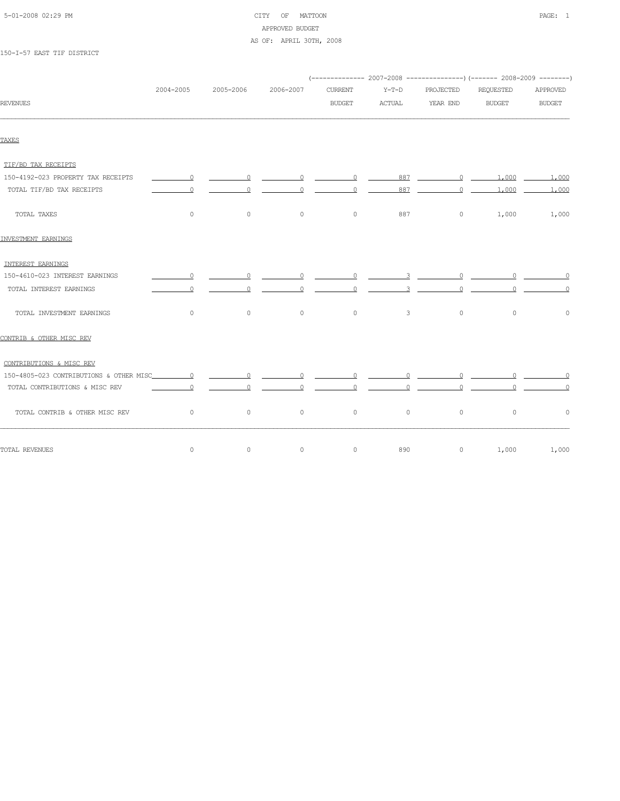| 5-01-2008 02:29 PM |  |  |
|--------------------|--|--|

# CITY OF MATTOON **PAGE:** 1 APPROVED BUDGET AS OF: APRIL 30TH, 2008

150-I-57 EAST TIF DISTRICT

|                                    |           |                                                                                                     |                |                   |                                  |                         | (-------------- 2007-2008 ----------------) (------- 2008-2009 --------)                                                                                                                                                                                                                                                           |                                  |
|------------------------------------|-----------|-----------------------------------------------------------------------------------------------------|----------------|-------------------|----------------------------------|-------------------------|------------------------------------------------------------------------------------------------------------------------------------------------------------------------------------------------------------------------------------------------------------------------------------------------------------------------------------|----------------------------------|
|                                    | 2004-2005 | 2005-2006                                                                                           | 2006-2007      | <b>CURRENT</b>    | $Y-T-D$                          | PROJECTED               | REQUESTED                                                                                                                                                                                                                                                                                                                          | APPROVED                         |
| <b>REVENUES</b>                    |           |                                                                                                     |                | <b>BUDGET</b>     | ACTUAL                           | YEAR END                | <b>BUDGET</b>                                                                                                                                                                                                                                                                                                                      | <b>BUDGET</b>                    |
| TAXES                              |           |                                                                                                     |                |                   |                                  |                         |                                                                                                                                                                                                                                                                                                                                    |                                  |
| TIF/BD TAX RECEIPTS                |           |                                                                                                     |                |                   |                                  |                         |                                                                                                                                                                                                                                                                                                                                    |                                  |
| 150-4192-023 PROPERTY TAX RECEIPTS | $\sim$ 0  | $\overline{\phantom{a}}$ $\overline{\phantom{a}}$ $\overline{\phantom{a}}$ $\overline{\phantom{a}}$ |                |                   |                                  |                         | 887 0 1,000                                                                                                                                                                                                                                                                                                                        | 1,000                            |
| TOTAL TIF/BD TAX RECEIPTS          |           |                                                                                                     |                | $\Omega$          | 887                              | $\circ$                 | 1,000                                                                                                                                                                                                                                                                                                                              | 1,000                            |
| TOTAL TAXES                        | $\circ$   | $\circ$                                                                                             | $\circ$        | $\circ$           | 887                              | $\circ$                 | 1,000                                                                                                                                                                                                                                                                                                                              | 1,000                            |
| INVESTMENT EARNINGS                |           |                                                                                                     |                |                   |                                  |                         |                                                                                                                                                                                                                                                                                                                                    |                                  |
| INTEREST EARNINGS                  |           |                                                                                                     |                |                   |                                  |                         |                                                                                                                                                                                                                                                                                                                                    |                                  |
| 150-4610-023 INTEREST EARNINGS     | $\Omega$  | $\circ$                                                                                             | $\circ$        | $0 \qquad \qquad$ |                                  | $0$ $-$<br>$3 \times 3$ |                                                                                                                                                                                                                                                                                                                                    |                                  |
| TOTAL INTEREST EARNINGS            | $\Omega$  | $\circ$                                                                                             | $\circ$        | $\circ$           | 3                                | $\circ$                 | $\Omega$                                                                                                                                                                                                                                                                                                                           |                                  |
| TOTAL INVESTMENT EARNINGS          | $\circ$   | $\circ$                                                                                             | $\circ$        | $\circ$           | $\mathbf{3}$                     | $\circ$                 | $\circ$                                                                                                                                                                                                                                                                                                                            | $\circ$                          |
| CONTRIB & OTHER MISC REV           |           |                                                                                                     |                |                   |                                  |                         |                                                                                                                                                                                                                                                                                                                                    |                                  |
| CONTRIBUTIONS & MISC REV           |           |                                                                                                     |                |                   |                                  |                         |                                                                                                                                                                                                                                                                                                                                    |                                  |
|                                    |           | $\sim$ 0                                                                                            | $\circ$        | $\sim$ 0          | $\overline{0}$                   |                         | $\begin{array}{ccc} 0 & \cdots & 0 \end{array}$                                                                                                                                                                                                                                                                                    | $\sim$ 0                         |
| TOTAL CONTRIBUTIONS & MISC REV     | $\Omega$  |                                                                                                     | $\overline{0}$ | $\overline{0}$    | $\overline{0}$<br>$\overline{0}$ |                         | $\overline{0}$ and $\overline{0}$ and $\overline{0}$ and $\overline{0}$ and $\overline{0}$ and $\overline{0}$ and $\overline{0}$ and $\overline{0}$ and $\overline{0}$ and $\overline{0}$ and $\overline{0}$ and $\overline{0}$ and $\overline{0}$ and $\overline{0}$ and $\overline{0}$ and $\overline{0}$ and $\overline{0}$ and | $\overline{0}$<br>$\overline{0}$ |
| TOTAL CONTRIB & OTHER MISC REV     | $\circ$   | $\circ$                                                                                             | $\circ$        | $\circ$           | $\circ$                          | $\circ$                 | $\circ$                                                                                                                                                                                                                                                                                                                            | $\circ$                          |
| TOTAL REVENUES                     | $\circ$   | $\circ$                                                                                             | $\circ$        | $\circ$           | 890                              | $\circ$                 | 1,000                                                                                                                                                                                                                                                                                                                              | 1,000                            |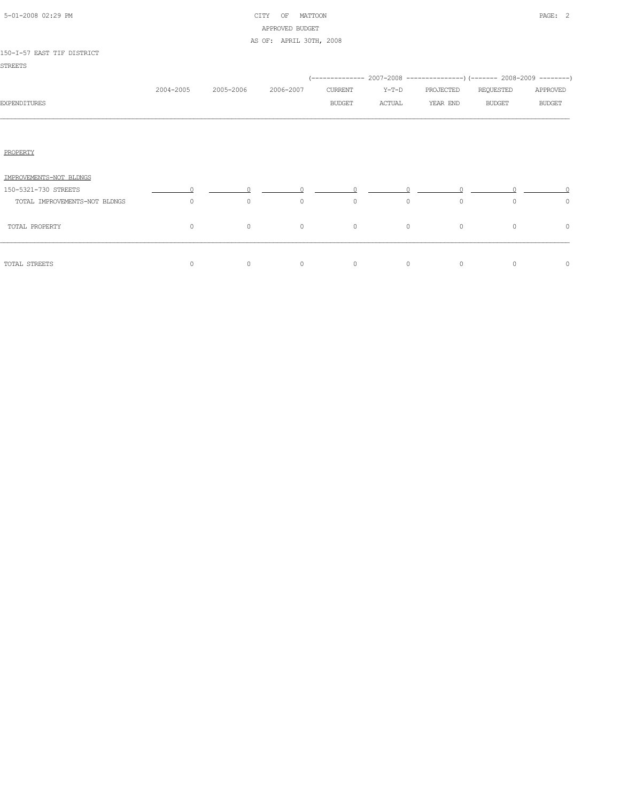|  | 5-01-2008 02:29 PM |  |
|--|--------------------|--|

# CITY OF MATTOON PAGE: 2 APPROVED BUDGET AS OF: APRIL 30TH, 2008

# 150-I-57 EAST TIF DISTRICT

| TOOLT-ON ENGIL IIE DIGINICI   |           |           |           |               |         |                                                                           |               |               |
|-------------------------------|-----------|-----------|-----------|---------------|---------|---------------------------------------------------------------------------|---------------|---------------|
| <b>STREETS</b>                |           |           |           |               |         |                                                                           |               |               |
|                               |           |           |           |               |         | (-------------- 2007-2008 ----------------) (------- 2008-2009 ---------) |               |               |
|                               | 2004-2005 | 2005-2006 | 2006-2007 | CURRENT       | $Y-T-D$ | PROJECTED                                                                 | REQUESTED     | APPROVED      |
| <b>EXPENDITURES</b>           |           |           |           | <b>BUDGET</b> | ACTUAL  | YEAR END                                                                  | <b>BUDGET</b> | <b>BUDGET</b> |
|                               |           |           |           |               |         |                                                                           |               |               |
|                               |           |           |           |               |         |                                                                           |               |               |
|                               |           |           |           |               |         |                                                                           |               |               |
| PROPERTY                      |           |           |           |               |         |                                                                           |               |               |
|                               |           |           |           |               |         |                                                                           |               |               |
| IMPROVEMENTS-NOT BLDNGS       |           |           |           |               |         |                                                                           |               |               |
| 150-5321-730 STREETS          |           |           |           |               |         |                                                                           |               |               |
| TOTAL IMPROVEMENTS-NOT BLDNGS | $\circ$   | 0         | $\circ$   | $\circ$       | $\circ$ | 0                                                                         |               | $\circ$       |

| TOTAL PROPERTY | 0 |  |  |  |
|----------------|---|--|--|--|
| TOTAL STREETS  | 0 |  |  |  |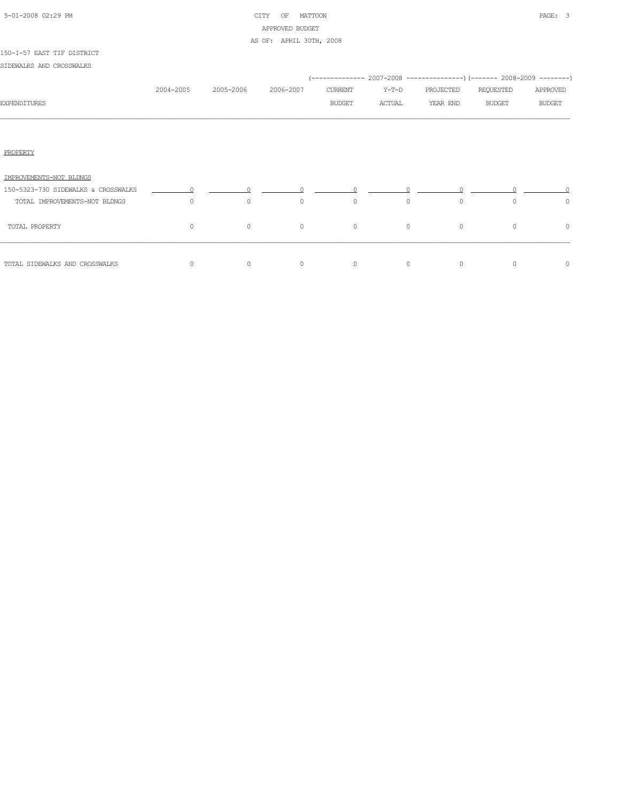| 5-01-2008 02:29 PM |  |
|--------------------|--|

# CITY OF MATTOON **PAGE:** 3 APPROVED BUDGET AS OF: APRIL 30TH, 2008

#### 150-I-57 EAST TIF DISTRICT

SIDEWALKS AND CROSSWALKS

|                                     |           |           |           |         |         |           | (-------------- 2007-2008 ----------------) (------- 2008-2009 --------) |               |
|-------------------------------------|-----------|-----------|-----------|---------|---------|-----------|--------------------------------------------------------------------------|---------------|
|                                     | 2004-2005 | 2005-2006 | 2006-2007 | CURRENT | $Y-T-D$ | PROJECTED | REQUESTED                                                                | APPROVED      |
| <b>EXPENDITURES</b>                 |           |           |           | BUDGET  | ACTUAL  | YEAR END  | <b>BUDGET</b>                                                            | <b>BUDGET</b> |
|                                     |           |           |           |         |         |           |                                                                          |               |
| PROPERTY                            |           |           |           |         |         |           |                                                                          |               |
| IMPROVEMENTS-NOT BLDNGS             |           |           |           |         |         |           |                                                                          |               |
| 150-5323-730 SIDEWALKS & CROSSWALKS | $\cap$    |           |           |         |         |           |                                                                          |               |
| TOTAL IMPROVEMENTS-NOT BLDNGS       | $\circ$   | $\circ$   | $\circ$   | $\circ$ | $\circ$ | $\circ$   | $\Omega$                                                                 | $\circ$       |
| TOTAL PROPERTY                      | $\circ$   | $\circ$   | $\circ$   | $\circ$ | $\circ$ | $\circ$   | $\circ$                                                                  | $\circ$       |
| TOTAL SIDEWALKS AND CROSSWALKS      | 0         | $\circ$   | $\circ$   | $\circ$ | $\circ$ | $\circ$   | $\circ$                                                                  | $\circ$       |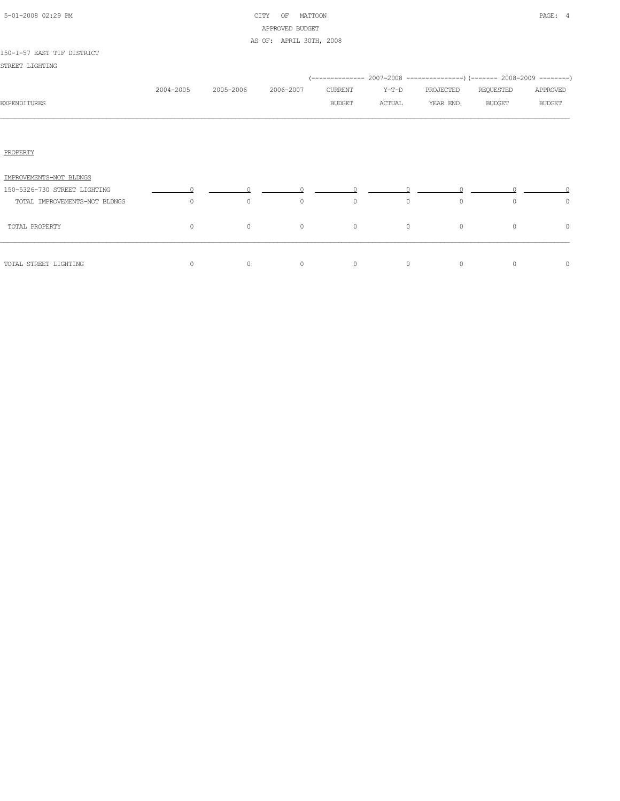| 5-01-2008 02:29 PM |  |
|--------------------|--|

# CITY OF MATTOON **PAGE:** 4 APPROVED BUDGET AS OF: APRIL 30TH, 2008

#### 150-I-57 EAST TIF DISTRICT

STREET LIGHTING

|                               |           |           |           |               |         |           | (-------------- 2007-2008 ----------------) (------- 2008-2009 --------) |               |
|-------------------------------|-----------|-----------|-----------|---------------|---------|-----------|--------------------------------------------------------------------------|---------------|
|                               | 2004-2005 | 2005-2006 | 2006-2007 | CURRENT       | Y-T-D   | PROJECTED | REQUESTED                                                                | APPROVED      |
| <b>EXPENDITURES</b>           |           |           |           | <b>BUDGET</b> | ACTUAL  | YEAR END  | <b>BUDGET</b>                                                            | <b>BUDGET</b> |
|                               |           |           |           |               |         |           |                                                                          |               |
| PROPERTY                      |           |           |           |               |         |           |                                                                          |               |
| IMPROVEMENTS-NOT BLDNGS       |           |           |           |               |         |           |                                                                          |               |
| 150-5326-730 STREET LIGHTING  | $\cap$    |           |           |               |         |           |                                                                          |               |
| TOTAL IMPROVEMENTS-NOT BLDNGS | $\Omega$  | $\circ$   | $\circ$   | $\circ$       | $\circ$ | $\circ$   | $\Omega$                                                                 | $\circ$       |
| TOTAL PROPERTY                | $\circ$   | $\circ$   | $\circ$   | $\circ$       | $\circ$ | $\circ$   | $\circ$                                                                  | $\circ$       |
|                               |           |           |           |               |         |           |                                                                          |               |
| TOTAL STREET LIGHTING         | $\Omega$  | $\circ$   | $\circ$   | $\circ$       | $\circ$ | $\circ$   | $\Omega$                                                                 | 0             |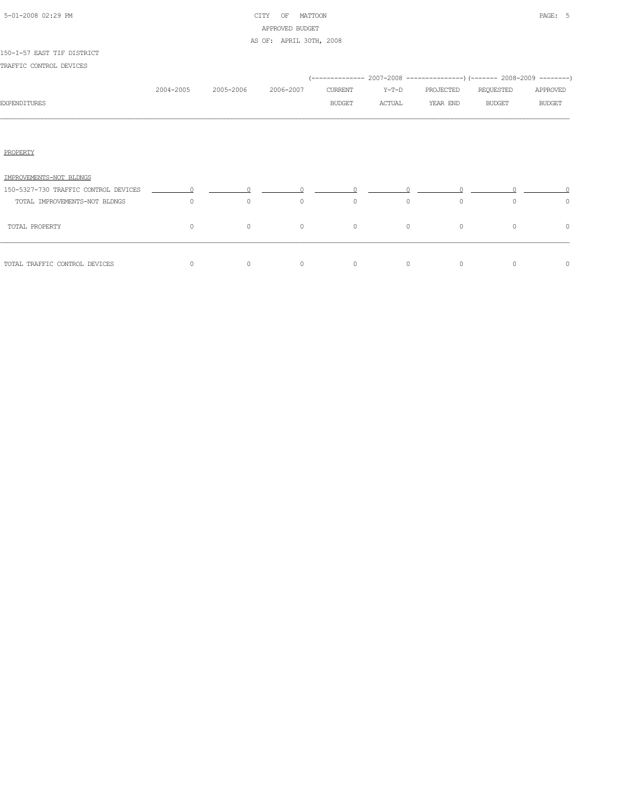| 5-01-2008 02:29 PM |  |
|--------------------|--|

# CITY OF MATTOON **PAGE:** 5 APPROVED BUDGET AS OF: APRIL 30TH, 2008

#### 150-I-57 EAST TIF DISTRICT

|                                      |           |                                                                  |           |         |          | (-------------- 2007-2008 ---------------) (------- 2008-2009 --------) |               |               |
|--------------------------------------|-----------|------------------------------------------------------------------|-----------|---------|----------|-------------------------------------------------------------------------|---------------|---------------|
|                                      | 2004-2005 | 2005-2006                                                        | 2006-2007 | CURRENT | Y-T-D    | PROJECTED                                                               | REQUESTED     | APPROVED      |
| <b>EXPENDITURES</b>                  |           |                                                                  |           | BUDGET  | ACTUAL   | YEAR END                                                                | <b>BUDGET</b> | <b>BUDGET</b> |
|                                      |           |                                                                  |           |         |          |                                                                         |               |               |
| PROPERTY                             |           |                                                                  |           |         |          |                                                                         |               |               |
| IMPROVEMENTS-NOT BLDNGS              |           |                                                                  |           |         |          |                                                                         |               |               |
| 150-5327-730 TRAFFIC CONTROL DEVICES |           | $\begin{array}{ccccccc}\n0 & & & 0 & & & 0 & & & 0\n\end{array}$ |           |         |          |                                                                         |               |               |
| TOTAL IMPROVEMENTS-NOT BLDNGS        | $\Omega$  | $\circ$                                                          | $\circ$   | $\circ$ | $\Omega$ | $\circ$                                                                 | $\Omega$      | $\circ$       |
| TOTAL PROPERTY                       | $\Omega$  | $\circ$                                                          | $\circ$   | $\circ$ | $\circ$  | $\circ$                                                                 | $\Omega$      | 0             |
| TOTAL TRAFFIC CONTROL DEVICES        | $\circ$   | $\circ$                                                          | $\circ$   | $\circ$ | $\circ$  | $\circ$                                                                 | $\circ$       | $\circ$       |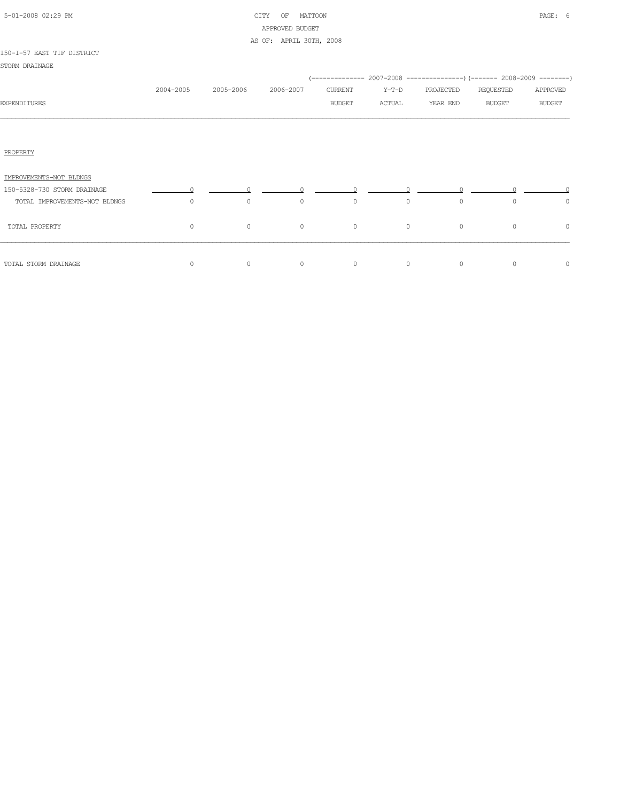| 5-01-2008 02:29 PM |  |
|--------------------|--|

# CITY OF MATTOON **PAGE:** 6 APPROVED BUDGET AS OF: APRIL 30TH, 2008

#### 150-I-57 EAST TIF DISTRICT

STORM DRAINAGE

|                               |           |           |           |               |         |           | (-------------- 2007-2008 -----------------) (------- 2008-2009 ---------) |               |
|-------------------------------|-----------|-----------|-----------|---------------|---------|-----------|----------------------------------------------------------------------------|---------------|
|                               | 2004-2005 | 2005-2006 | 2006-2007 | CURRENT       | Y-T-D   | PROJECTED | REQUESTED                                                                  | APPROVED      |
| <b>EXPENDITURES</b>           |           |           |           | <b>BUDGET</b> | ACTUAL  | YEAR END  | <b>BUDGET</b>                                                              | <b>BUDGET</b> |
|                               |           |           |           |               |         |           |                                                                            |               |
| PROPERTY                      |           |           |           |               |         |           |                                                                            |               |
| IMPROVEMENTS-NOT BLDNGS       |           |           |           |               |         |           |                                                                            |               |
| 150-5328-730 STORM DRAINAGE   | $\Omega$  |           |           |               |         |           |                                                                            |               |
| TOTAL IMPROVEMENTS-NOT BLDNGS | $\circ$   | $\circ$   | $\circ$   | $\circ$       | $\circ$ | $\circ$   | $\Omega$                                                                   | $\circ$       |
| TOTAL PROPERTY                | $\circ$   | $\circ$   | $\circ$   | $\circ$       | $\circ$ | $\circ$   | $\circ$                                                                    | $\circ$       |
| TOTAL STORM DRAINAGE          | $\circ$   | $\circ$   | $\circ$   | $\circ$       | $\circ$ | $\circ$   | $\circ$                                                                    | $\circ$       |
|                               |           |           |           |               |         |           |                                                                            |               |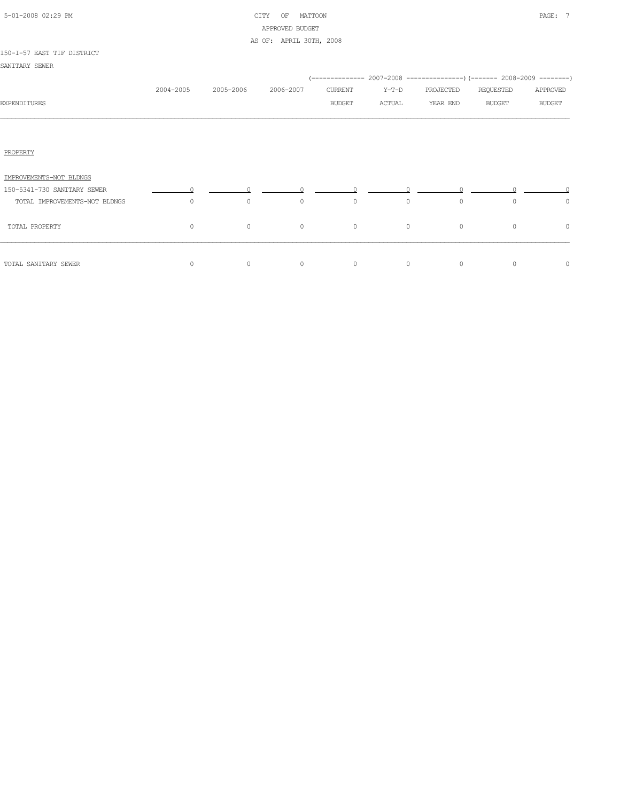| 5-01-2008 02:29 PM |  |
|--------------------|--|
|                    |  |

# CITY OF MATTOON **PAGE:** 7 APPROVED BUDGET AS OF: APRIL 30TH, 2008

#### 150-I-57 EAST TIF DISTRICT

SANITARY SEWER

|                               | 2004-2005 | 2005-2006 | 2006-2007 | CURRENT       | $Y-T-D$ | PROJECTED | REQUESTED     | APPROVED      |
|-------------------------------|-----------|-----------|-----------|---------------|---------|-----------|---------------|---------------|
| <b>EXPENDITURES</b>           |           |           |           | <b>BUDGET</b> | ACTUAL  | YEAR END  | <b>BUDGET</b> | <b>BUDGET</b> |
|                               |           |           |           |               |         |           |               |               |
|                               |           |           |           |               |         |           |               |               |
| PROPERTY                      |           |           |           |               |         |           |               |               |
| IMPROVEMENTS-NOT BLDNGS       |           |           |           |               |         |           |               |               |
| 150-5341-730 SANITARY SEWER   |           |           |           |               |         |           |               |               |
| TOTAL IMPROVEMENTS-NOT BLDNGS | $\circ$   | $\circ$   | $\circ$   | $\circ$       | $\circ$ | $\circ$   | $\Omega$      | $\circ$       |
| TOTAL PROPERTY                | $\circ$   | $\circ$   | $\circ$   | $\circ$       | $\circ$ | $\circ$   | $\circ$       | 0             |
| TOTAL SANITARY SEWER          | $\circ$   | $\circ$   | $\circ$   | $\circ$       | $\circ$ | $\circ$   | $\circ$       | 0             |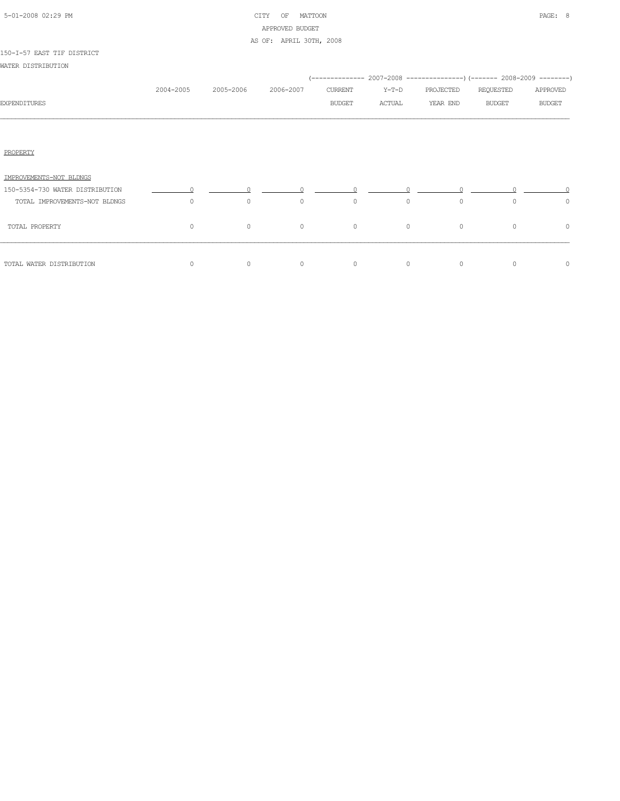| 5-01-2008 02:29 PM |  |
|--------------------|--|

# CITY OF MATTOON **PAGE: 8** APPROVED BUDGET AS OF: APRIL 30TH, 2008

#### 150-I-57 EAST TIF DISTRICT

WATER DISTRIBUTION

|                                 |           |           |           |               |          | (-------------- 2007-2008 ----------------) (------- 2008-2009 --------) |               |               |
|---------------------------------|-----------|-----------|-----------|---------------|----------|--------------------------------------------------------------------------|---------------|---------------|
|                                 | 2004-2005 | 2005-2006 | 2006-2007 | CURRENT       | Y-T-D    | PROJECTED                                                                | REQUESTED     | APPROVED      |
| <b>EXPENDITURES</b>             |           |           |           | <b>BUDGET</b> | ACTUAL   | YEAR END                                                                 | <b>BUDGET</b> | <b>BUDGET</b> |
|                                 |           |           |           |               |          |                                                                          |               |               |
| PROPERTY                        |           |           |           |               |          |                                                                          |               |               |
| IMPROVEMENTS-NOT BLDNGS         |           |           |           |               |          |                                                                          |               |               |
| 150-5354-730 WATER DISTRIBUTION | $\sim$ 0  |           |           |               |          |                                                                          |               |               |
| TOTAL IMPROVEMENTS-NOT BLDNGS   | $\Omega$  | $\circ$   | $\circ$   | $\circ$       | $\Omega$ | $\circ$                                                                  | $\Omega$      | 0             |
| TOTAL PROPERTY                  | $\circ$   | $\circ$   | $\circ$   | $\circ$       | $\circ$  | $\circ$                                                                  | $\circ$       | $\circ$       |
| TOTAL WATER DISTRIBUTION        | $\circ$   | $\circ$   | $\circ$   | $\circ$       | $\circ$  | $\circ$                                                                  | $\circ$       | 0             |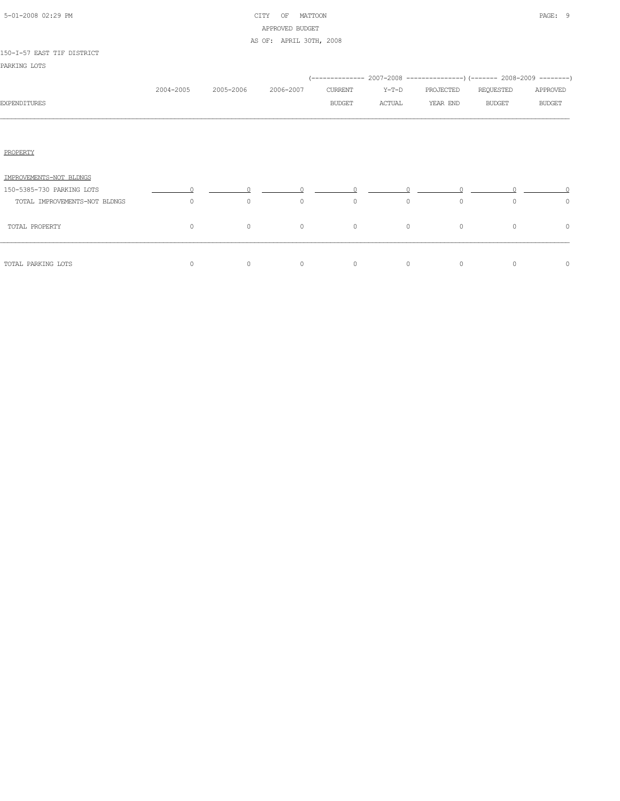|  | 5-01-2008 02:29 PM |  |
|--|--------------------|--|

# CITY OF MATTOON **PAGE:** 9 APPROVED BUDGET AS OF: APRIL 30TH, 2008

#### 150-I-57 EAST TIF DISTRICT

|           |           |           |               |         |           | (-------------- 2007-2008 ----------------) (------- 2008-2009 --------) |               |
|-----------|-----------|-----------|---------------|---------|-----------|--------------------------------------------------------------------------|---------------|
| 2004-2005 | 2005-2006 | 2006-2007 | CURRENT       | Y-T-D   | PROJECTED | REQUESTED                                                                | APPROVED      |
|           |           |           | <b>BUDGET</b> | ACTUAL  | YEAR END  | <b>BUDGET</b>                                                            | <b>BUDGET</b> |
|           |           |           |               |         |           |                                                                          |               |
|           |           |           |               |         |           |                                                                          |               |
|           |           |           |               |         |           |                                                                          |               |
|           |           |           |               |         |           |                                                                          |               |
|           |           |           |               |         |           |                                                                          |               |
| $\circ$   | $\circ$   | $\circ$   | $\circ$       | $\circ$ | $\circ$   | $\circ$                                                                  | $\circ$       |
| $\circ$   | $\circ$   | $\circ$   | $\circ$       | $\circ$ | $\circ$   | $\circ$                                                                  | 0             |
|           |           |           |               |         |           |                                                                          | $\circ$       |
|           | $\circ$   | $\circ$   | $\circ$       | $\circ$ | $\circ$   | $\circ$                                                                  | $\circ$       |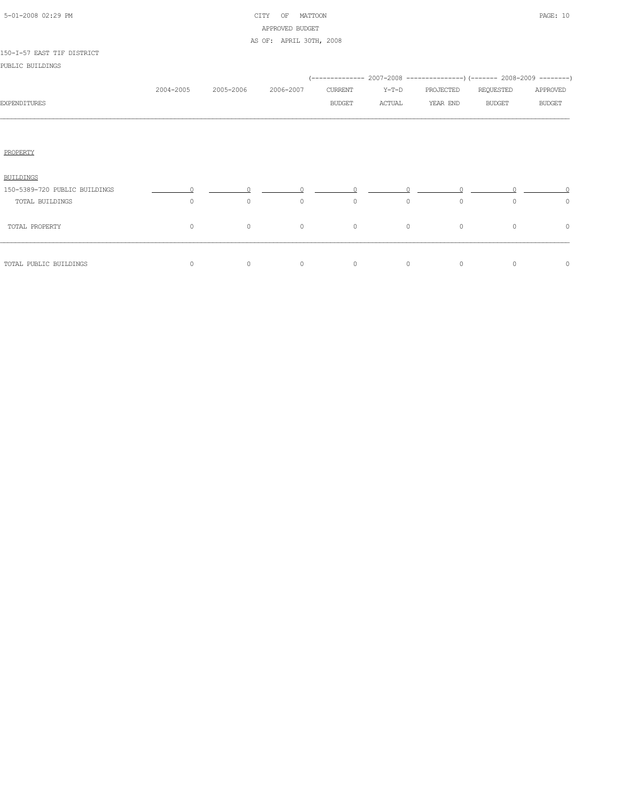| 5-01-2008 02:29 PM |  |
|--------------------|--|

# CITY OF MATTOON PAGE: 10 APPROVED BUDGET AS OF: APRIL 30TH, 2008

#### 150-I-57 EAST TIF DISTRICT

PUBLIC BUILDINGS

|                               |                |           |           |               |         |           | (-------------- 2007-2008 ----------------) (------- 2008-2009 --------) |               |
|-------------------------------|----------------|-----------|-----------|---------------|---------|-----------|--------------------------------------------------------------------------|---------------|
|                               | 2004-2005      | 2005-2006 | 2006-2007 | CURRENT       | $Y-T-D$ | PROJECTED | REQUESTED                                                                | APPROVED      |
| <b>EXPENDITURES</b>           |                |           |           | <b>BUDGET</b> | ACTUAL  | YEAR END  | <b>BUDGET</b>                                                            | <b>BUDGET</b> |
|                               |                |           |           |               |         |           |                                                                          |               |
| PROPERTY                      |                |           |           |               |         |           |                                                                          |               |
| BUILDINGS                     |                |           |           |               |         |           |                                                                          |               |
| 150-5389-720 PUBLIC BUILDINGS | $\overline{0}$ |           |           |               |         |           |                                                                          |               |
| TOTAL BUILDINGS               | $\circ$        | $\circ$   | $\circ$   | $\circ$       | $\circ$ | $\circ$   | $\circ$                                                                  | $\circ$       |
| TOTAL PROPERTY                | 0              | $\circ$   | $\circ$   | $\circ$       | $\circ$ | $\circ$   | $\circ$                                                                  | $\circ$       |
| TOTAL PUBLIC BUILDINGS        | 0              | $\circ$   | $\circ$   | $\circ$       | $\circ$ | $\circ$   | $\circ$                                                                  | $\circ$       |
|                               |                |           |           |               |         |           |                                                                          |               |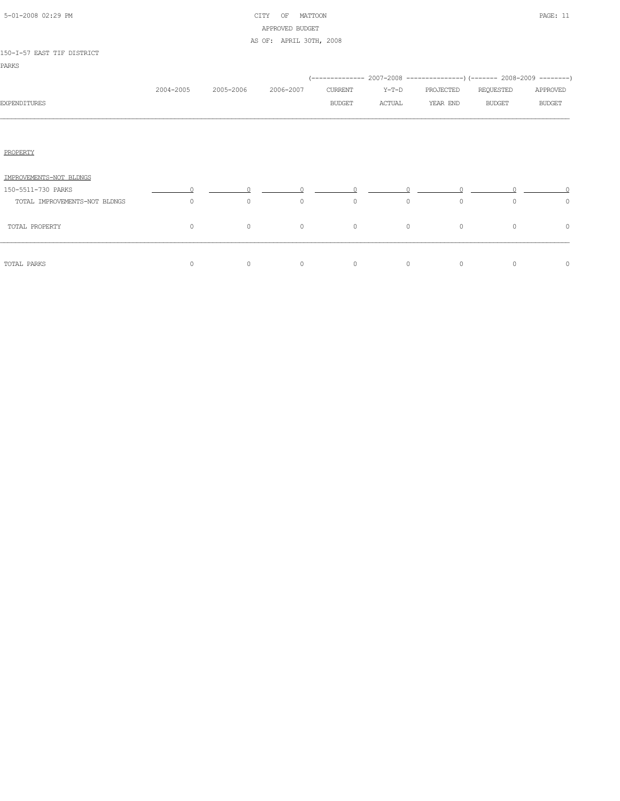|  | 5-01-2008 02:29 PM |  |
|--|--------------------|--|

# CITY OF MATTOON PAGE: 11 APPROVED BUDGET AS OF: APRIL 30TH, 2008

#### 150-I-57 EAST TIF DISTRICT

|                               |           |           |           |               |         | (-------------- 2007-2008 ----------------) (------- 2008-2009 --------) |               |               |
|-------------------------------|-----------|-----------|-----------|---------------|---------|--------------------------------------------------------------------------|---------------|---------------|
|                               | 2004-2005 | 2005-2006 | 2006-2007 | CURRENT       | Y-T-D   | PROJECTED                                                                | REQUESTED     | APPROVED      |
| <b>EXPENDITURES</b>           |           |           |           | <b>BUDGET</b> | ACTUAL  | YEAR END                                                                 | <b>BUDGET</b> | <b>BUDGET</b> |
|                               |           |           |           |               |         |                                                                          |               |               |
|                               |           |           |           |               |         |                                                                          |               |               |
| PROPERTY                      |           |           |           |               |         |                                                                          |               |               |
| IMPROVEMENTS-NOT BLDNGS       |           |           |           |               |         |                                                                          |               |               |
| 150-5511-730 PARKS            |           |           |           |               |         |                                                                          |               |               |
| TOTAL IMPROVEMENTS-NOT BLDNGS | $\circ$   | $\circ$   | $\circ$   | $\circ$       | $\circ$ | $\circ$                                                                  | $\circ$       | $\circ$       |
| TOTAL PROPERTY                | 0         | $\circ$   | $\circ$   | $\circ$       | $\circ$ | $\circ$                                                                  | $\circ$       | 0             |
| TOTAL PARKS                   | $\circ$   | $\circ$   | $\circ$   | $\circ$       | $\circ$ | $\circ$                                                                  | $\circ$       | $\circ$       |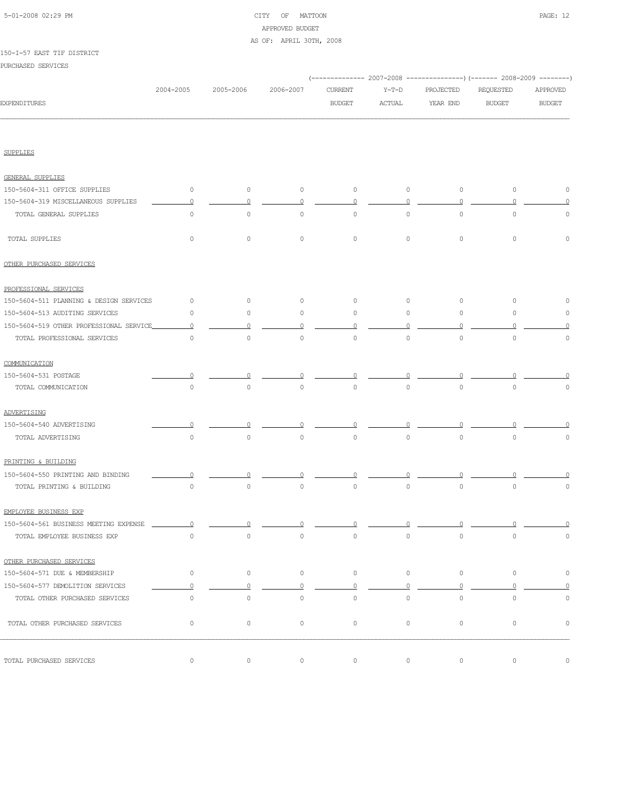# 5-01-2008 02:29 PM CITY OF MATTOON PAGE: 12 APPROVED BUDGET AS OF: APRIL 30TH, 2008

#### 150-I-57 EAST TIF DISTRICT

PURCHASED SERVICES

|                                         |                     |           |             |               |          |           | (------------- 2007-2008 ---------------) (------- 2008-2009 --------) |               |
|-----------------------------------------|---------------------|-----------|-------------|---------------|----------|-----------|------------------------------------------------------------------------|---------------|
|                                         | 2004-2005           | 2005-2006 | 2006-2007   | CURRENT       | $Y-T-D$  | PROJECTED | REQUESTED                                                              | APPROVED      |
| <b>EXPENDITURES</b>                     |                     |           |             | <b>BUDGET</b> | ACTUAL   | YEAR END  | <b>BUDGET</b>                                                          | <b>BUDGET</b> |
|                                         |                     |           |             |               |          |           |                                                                        |               |
| <b>SUPPLIES</b>                         |                     |           |             |               |          |           |                                                                        |               |
|                                         |                     |           |             |               |          |           |                                                                        |               |
| <b>GENERAL SUPPLIES</b>                 |                     |           |             |               |          |           |                                                                        |               |
| 150-5604-311 OFFICE SUPPLIES            | $\circ$             | $\circ$   | 0           | $\circ$       | $\circ$  | $\circ$   | $\circ$                                                                | $\circ$       |
| 150-5604-319 MISCELLANEOUS SUPPLIES     | $\Omega$            | 0         | $\Omega$    | 0             |          | $\circ$   |                                                                        |               |
| TOTAL GENERAL SUPPLIES                  | $\circ$             | $\circ$   | $\circ$     | 0             | 0        | $\circ$   | 0                                                                      | 0             |
| TOTAL SUPPLIES                          | $\circ$             | $\circ$   | $\circ$     | $\circ$       | $\circ$  | $\circ$   | $\circ$                                                                | $\circ$       |
| OTHER PURCHASED SERVICES                |                     |           |             |               |          |           |                                                                        |               |
| PROFESSIONAL SERVICES                   |                     |           |             |               |          |           |                                                                        |               |
| 150-5604-511 PLANNING & DESIGN SERVICES | $\circ$             | $\circ$   | $\circ$     | $\circ$       | $\circ$  | $\circ$   | 0                                                                      | 0             |
| 150-5604-513 AUDITING SERVICES          | $\circ$             | $\circ$   | $\circ$     | 0             | 0        | $\circ$   | $\circ$                                                                | 0             |
| 150-5604-519 OTHER PROFESSIONAL SERVICE | $\Omega$            | $\Omega$  | $\Omega$    | $\cap$        | O        | $\cap$    |                                                                        | $\Omega$      |
| TOTAL PROFESSIONAL SERVICES             | $\mathsf{O}\xspace$ | $\circ$   | $\mathbb O$ | $\circ$       | $\circ$  | $\circ$   | $\mathbb O$                                                            | $\mathbb O$   |
| COMMUNICATION                           |                     |           |             |               |          |           |                                                                        |               |
| 150-5604-531 POSTAGE                    |                     | $\Omega$  |             |               |          |           |                                                                        |               |
| TOTAL COMMUNICATION                     | 0                   | $\circ$   | $\circ$     | $\circ$       | $\circ$  | $\circ$   | $\mathbf 0$                                                            | 0             |
| ADVERTISING                             |                     |           |             |               |          |           |                                                                        |               |
| 150-5604-540 ADVERTISING                |                     |           |             |               |          |           |                                                                        |               |
| TOTAL ADVERTISING                       | $\mathsf{O}\xspace$ | $\circ$   | $\mathbb O$ | $\mathbb O$   | $\circ$  | $\circ$   | $\mathbb O$                                                            | $\circ$       |
| PRINTING & BUILDING                     |                     |           |             |               |          |           |                                                                        |               |
| 150-5604-550 PRINTING AND BINDING       |                     |           |             |               |          |           |                                                                        |               |
| TOTAL PRINTING & BUILDING               | $\mathsf{O}\xspace$ | $\circ$   | $\mathbb O$ | $\circ$       | $\circ$  | $\circ$   | $\mathbb O$                                                            | 0             |
| EMPLOYEE BUSINESS EXP                   |                     |           |             |               |          |           |                                                                        |               |
| 150-5604-561 BUSINESS MEETING EXPENSE   | 0                   | n         |             |               | 0        | 0         | 0                                                                      |               |
| TOTAL EMPLOYEE BUSINESS EXP             | $\mathsf{O}\xspace$ | $\circ$   | $\circ$     | $\circ$       | $\circ$  | $\circ$   | $\mathsf{O}\xspace$                                                    | $\circ$       |
| OTHER PURCHASED SERVICES                |                     |           |             |               |          |           |                                                                        |               |
| 150-5604-571 DUE & MEMBERSHIP           | $\circ$             | $\circ$   | $\circ$     | $\circ$       | $\circ$  | $\circ$   | $\circ$                                                                | $\circ$       |
| 150-5604-577 DEMOLITION SERVICES        | $\overline{0}$      | $\circ$   | $\Omega$    | $\Omega$      | $\Omega$ | $\circ$   | $\circ$                                                                | $\Omega$      |
| TOTAL OTHER PURCHASED SERVICES          | $\mathsf{O}\xspace$ | $\circ$   | $\circ$     | $\circ$       | $\circ$  | $\circ$   | $\circ$                                                                | $\mathbb O$   |
| TOTAL OTHER PURCHASED SERVICES          | $\circ$             | $\circ$   | $\circ$     | $\circ$       | $\circ$  | $\circ$   | $\circ$                                                                | $\circ$       |
|                                         |                     |           |             |               |          |           |                                                                        |               |
| TOTAL PURCHASED SERVICES                | 0                   | $\circ$   | $\circ$     | $\circ$       | $\circ$  | $\circ$   | $\circ$                                                                | $\circ$       |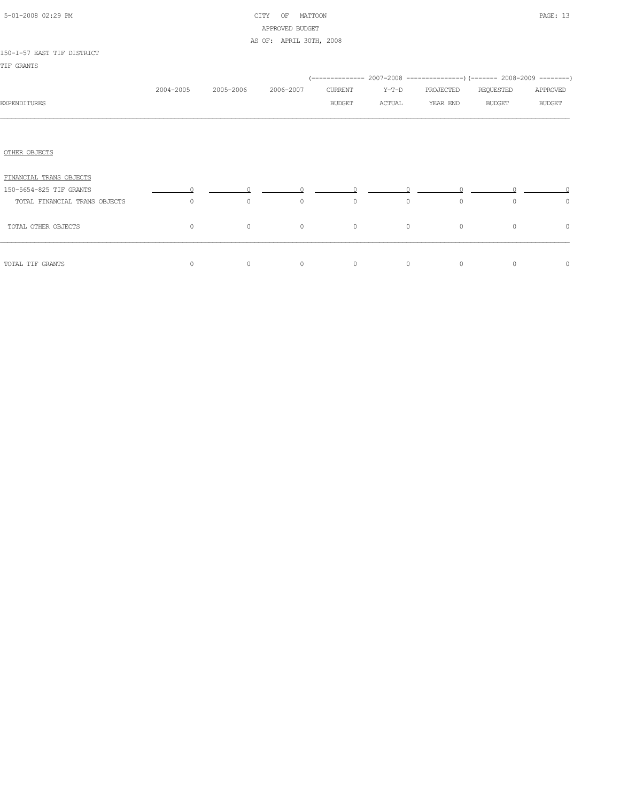|  | 5-01-2008 02:29 PM |  |
|--|--------------------|--|

# CITY OF MATTOON **PAGE: 13** APPROVED BUDGET AS OF: APRIL 30TH, 2008

#### 150-I-57 EAST TIF DISTRICT

|                               |           |           |           |               |         | (-------------- 2007-2008 ----------------) (------- 2008-2009 --------) |               |               |
|-------------------------------|-----------|-----------|-----------|---------------|---------|--------------------------------------------------------------------------|---------------|---------------|
|                               | 2004-2005 | 2005-2006 | 2006-2007 | CURRENT       | Y-T-D   | PROJECTED                                                                | REQUESTED     | APPROVED      |
| <b>EXPENDITURES</b>           |           |           |           | <b>BUDGET</b> | ACTUAL  | YEAR END                                                                 | <b>BUDGET</b> | <b>BUDGET</b> |
|                               |           |           |           |               |         |                                                                          |               |               |
|                               |           |           |           |               |         |                                                                          |               |               |
| OTHER OBJECTS                 |           |           |           |               |         |                                                                          |               |               |
| FINANCIAL TRANS OBJECTS       |           |           |           |               |         |                                                                          |               |               |
| 150-5654-825 TIF GRANTS       |           |           |           |               |         |                                                                          |               |               |
| TOTAL FINANCIAL TRANS OBJECTS | $\circ$   | $\circ$   | $\circ$   | $\circ$       | $\circ$ | $\circ$                                                                  | $\circ$       | $\circ$       |
| TOTAL OTHER OBJECTS           | $\circ$   | $\circ$   | $\circ$   | $\circ$       | $\circ$ | $\circ$                                                                  | $\circ$       | 0             |
| TOTAL TIF GRANTS              | 0         | $\circ$   | $\circ$   | $\circ$       | $\circ$ | $\circ$                                                                  | $\circ$       | $\circ$       |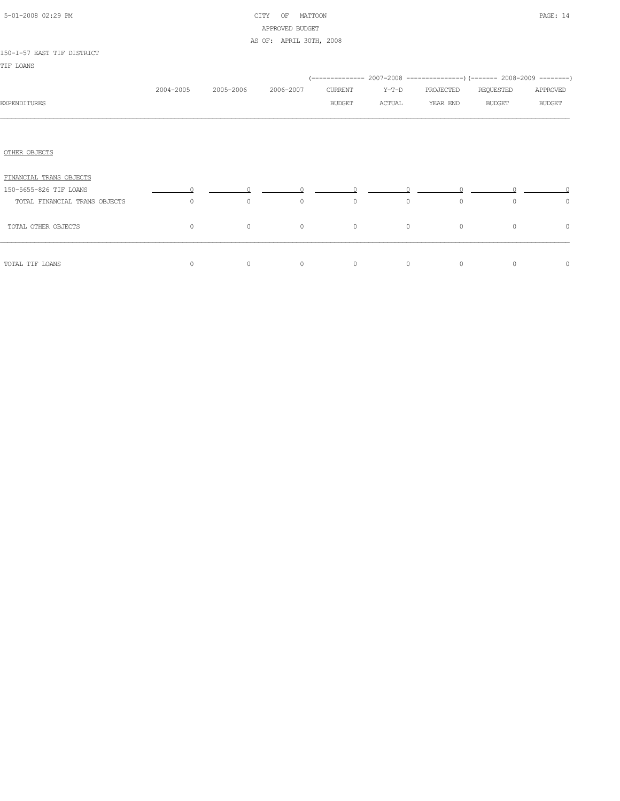|  | 5-01-2008 02:29 PM |  |
|--|--------------------|--|

# CITY OF MATTOON **PAGE:** 14 APPROVED BUDGET AS OF: APRIL 30TH, 2008

#### 150-I-57 EAST TIF DISTRICT

|                               | 2004-2005 | 2005-2006 | 2006-2007 | CURRENT       | $Y-T-D$ | (-------------- 2007-2008 ----------------) (------- 2008-2009 --------)<br>PROJECTED | REQUESTED     | APPROVED      |
|-------------------------------|-----------|-----------|-----------|---------------|---------|---------------------------------------------------------------------------------------|---------------|---------------|
| <b>EXPENDITURES</b>           |           |           |           | <b>BUDGET</b> | ACTUAL  | YEAR END                                                                              | <b>BUDGET</b> | <b>BUDGET</b> |
|                               |           |           |           |               |         |                                                                                       |               |               |
| OTHER OBJECTS                 |           |           |           |               |         |                                                                                       |               |               |
| FINANCIAL TRANS OBJECTS       |           |           |           |               |         |                                                                                       |               |               |
| 150-5655-826 TIF LOANS        |           |           |           |               |         |                                                                                       |               |               |
| TOTAL FINANCIAL TRANS OBJECTS | $\circ$   | $\circ$   | $\circ$   | $\circ$       | $\circ$ | $\circ$                                                                               | $\circ$       | $\circ$       |
| TOTAL OTHER OBJECTS           | $\circ$   | $\circ$   | $\circ$   | $\circ$       | $\circ$ | $\circ$                                                                               | $\circ$       | 0             |
| TOTAL TIF LOANS               | $\circ$   | $\circ$   | $\circ$   | $\circ$       | $\circ$ | $\circ$                                                                               | $\circ$       | 0             |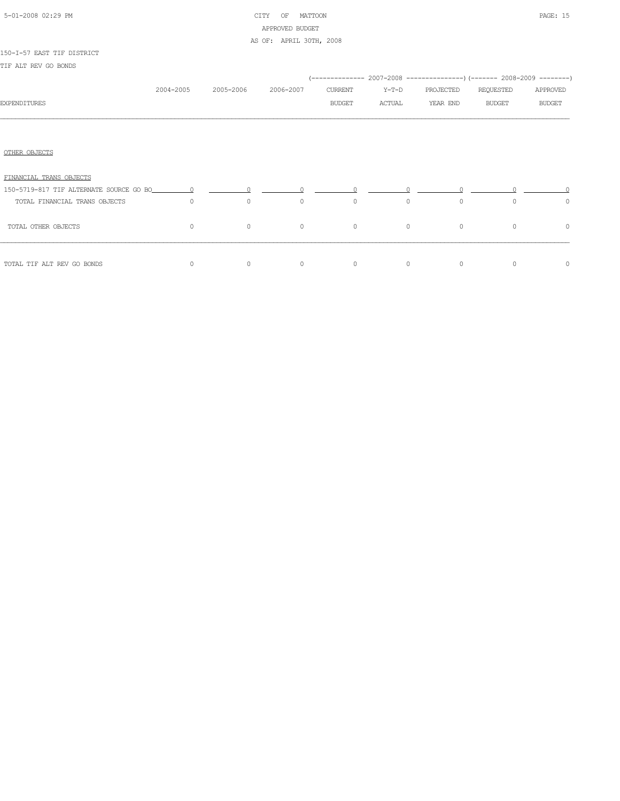|  | 5-01-2008 02:29 PM |  |
|--|--------------------|--|

# CITY OF MATTOON **PAGE:** 15 APPROVED BUDGET AS OF: APRIL 30TH, 2008

### 150-I-57 EAST TIF DISTRICT

TIF ALT REV GO BONDS

|                                                                                                           |           |           |           |         |          |           | (-------------- 2007-2008 ----------------) (------- 2008-2009 --------) |               |
|-----------------------------------------------------------------------------------------------------------|-----------|-----------|-----------|---------|----------|-----------|--------------------------------------------------------------------------|---------------|
|                                                                                                           | 2004-2005 | 2005-2006 | 2006-2007 | CURRENT | $Y-T-D$  | PROJECTED | REQUESTED                                                                | APPROVED      |
| <b>EXPENDITURES</b>                                                                                       |           |           |           | BUDGET  | ACTUAL   | YEAR END  | <b>BUDGET</b>                                                            | <b>BUDGET</b> |
|                                                                                                           |           |           |           |         |          |           |                                                                          |               |
| OTHER OBJECTS                                                                                             |           |           |           |         |          |           |                                                                          |               |
| FINANCIAL TRANS OBJECTS                                                                                   |           |           |           |         |          |           |                                                                          |               |
| 150-5719-817 TIF ALTERNATE SOURCE GO BO $\qquad \qquad 0 \qquad \qquad 0 \qquad \qquad 0 \qquad \qquad 0$ |           |           |           |         |          |           |                                                                          |               |
| TOTAL FINANCIAL TRANS OBJECTS                                                                             | $\Omega$  | $\circ$   | $\circ$   | $\circ$ | $\Omega$ | $\circ$   | $\Omega$                                                                 | $\circ$       |
| TOTAL OTHER OBJECTS                                                                                       | $\circ$   | $\circ$   | $\circ$   | $\circ$ | $\circ$  | $\circ$   | $\circ$                                                                  | $\circ$       |
|                                                                                                           |           |           |           |         |          |           |                                                                          |               |
| TOTAL TIF ALT REV GO BONDS                                                                                | $\circ$   | $\circ$   | $\circ$   | $\circ$ | $\circ$  | $\circ$   | $\Omega$                                                                 | $\circ$       |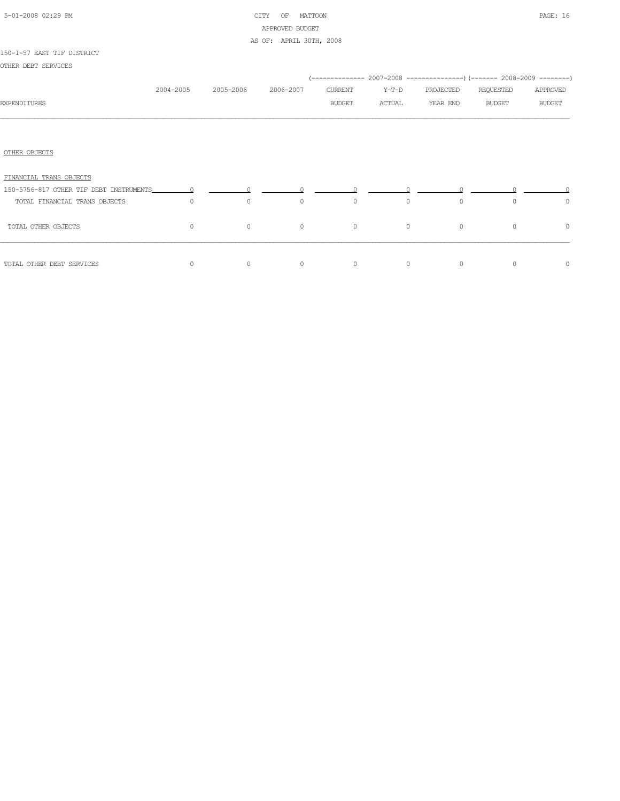|  | 5-01-2008 02:29 PM |  |
|--|--------------------|--|

# CITY OF MATTOON **PAGE:** 16 APPROVED BUDGET AS OF: APRIL 30TH, 2008

#### 150-I-57 EAST TIF DISTRICT

OTHER DEBT SERVICES

|                               |           |           |           |                                              |          |           | (-------------- 2007-2008 ----------------) (------- 2008-2009 --------) |               |
|-------------------------------|-----------|-----------|-----------|----------------------------------------------|----------|-----------|--------------------------------------------------------------------------|---------------|
|                               | 2004-2005 | 2005-2006 | 2006-2007 | CURRENT                                      | $Y-T-D$  | PROJECTED | REQUESTED                                                                | APPROVED      |
| <b>EXPENDITURES</b>           |           |           |           | BUDGET                                       | ACTUAL   | YEAR END  | <b>BUDGET</b>                                                            | <b>BUDGET</b> |
|                               |           |           |           |                                              |          |           |                                                                          |               |
|                               |           |           |           |                                              |          |           |                                                                          |               |
| OTHER OBJECTS                 |           |           |           |                                              |          |           |                                                                          |               |
| FINANCIAL TRANS OBJECTS       |           |           |           |                                              |          |           |                                                                          |               |
|                               |           |           |           | $\begin{matrix} 0 & 0 \\ 0 & 0 \end{matrix}$ |          |           |                                                                          |               |
| TOTAL FINANCIAL TRANS OBJECTS | $\Omega$  | $\circ$   | $\circ$   | $\circ$                                      | $\Omega$ | $\circ$   | $\Omega$                                                                 | $\circ$       |
| TOTAL OTHER OBJECTS           | $\circ$   | $\circ$   | $\circ$   | $\circ$                                      | $\circ$  | $\circ$   | $\circ$                                                                  | $\circ$       |
| TOTAL OTHER DEBT SERVICES     | $\Omega$  | $\circ$   | $\circ$   | $\circ$                                      | $\circ$  | $\circ$   | $\Omega$                                                                 | $\circ$       |
|                               |           |           |           |                                              |          |           |                                                                          |               |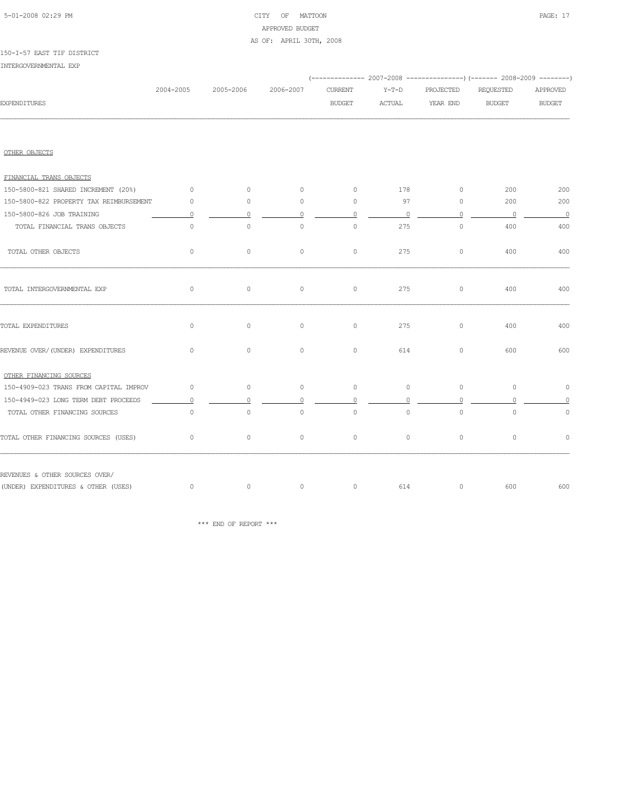# 5-01-2008 02:29 PM CITY OF MATTOON PAGE: 17 APPROVED BUDGET AS OF: APRIL 30TH, 2008

#### 150-I-57 EAST TIF DISTRICT

INTERGOVERNMENTAL EXP

|                                         |           |           |           |                |          |                | (-------------- 2007-2008 ----------------) (------- 2008-2009 --------) |                          |
|-----------------------------------------|-----------|-----------|-----------|----------------|----------|----------------|--------------------------------------------------------------------------|--------------------------|
|                                         | 2004-2005 | 2005-2006 | 2006-2007 | <b>CURRENT</b> | $Y-T-D$  | PROJECTED      | REQUESTED                                                                | APPROVED                 |
| EXPENDITURES                            |           |           |           | <b>BUDGET</b>  | ACTUAL   | YEAR END       | <b>BUDGET</b>                                                            | <b>BUDGET</b>            |
|                                         |           |           |           |                |          |                |                                                                          |                          |
| OTHER OBJECTS                           |           |           |           |                |          |                |                                                                          |                          |
|                                         |           |           |           |                |          |                |                                                                          |                          |
| FINANCIAL TRANS OBJECTS                 |           |           |           |                |          |                |                                                                          |                          |
| 150-5800-821 SHARED INCREMENT (20%)     | $\circ$   | $\circ$   | $\circ$   | $\circ$        | 178      | $\circ$        | 200                                                                      | 200                      |
| 150-5800-822 PROPERTY TAX REIMBURSEMENT | $\circ$   | $\circ$   | $\circ$   | $\circ$        | 97       | $\circ$        | 200                                                                      | 200                      |
| 150-5800-826 JOB TRAINING               | $\Omega$  | $\Omega$  | $\circ$   | $\overline{0}$ | $\circ$  | $\overline{0}$ | $\overline{0}$                                                           | $\overline{\phantom{0}}$ |
| TOTAL FINANCIAL TRANS OBJECTS           | $\circ$   | $\circ$   | $\circ$   | $\circ$        | 275      | $\circ$        | 400                                                                      | 400                      |
| TOTAL OTHER OBJECTS                     | $\circ$   | $\circ$   | $\circ$   | $\circ$        | 275      | $\circ$        | 400                                                                      | 400                      |
| TOTAL INTERGOVERNMENTAL EXP             | $\circ$   | 0         | $\circ$   | $\circ$        | 275      | $\circ$        | 400                                                                      | 400                      |
| TOTAL EXPENDITURES                      | $\circ$   | $\circ$   | $\circ$   | $\circ$        | 275      | $\circ$        | 400                                                                      | 400                      |
| REVENUE OVER/(UNDER) EXPENDITURES       | $\circ$   | $\circ$   | $\circ$   | $\circ$        | 614      | $\circ$        | 600                                                                      | 600                      |
| OTHER FINANCING SOURCES                 |           |           |           |                |          |                |                                                                          |                          |
| 150-4909-023 TRANS FROM CAPITAL IMPROV  | $\circ$   | 0         | $\circ$   | $\circ$        | $\circ$  | $\circ$        | $\circ$                                                                  | $\mathbb O$              |
| 150-4949-023 LONG TERM DEBT PROCEEDS    | $\Omega$  | $\circ$   | $\circ$   | $\Omega$       | $\Omega$ | $\circ$        | $\Omega$                                                                 | $\Omega$                 |
| TOTAL OTHER FINANCING SOURCES           | $\circ$   | $\circ$   | $\circ$   | $\circ$        | $\circ$  | $\circ$        | $\circ$                                                                  | $\mathsf{O}\xspace$      |
| TOTAL OTHER FINANCING SOURCES (USES)    | $\circ$   | 0         | $\circ$   | $\circ$        | $\circ$  | $\circ$        | $\circ$                                                                  | $\mathbb O$              |
| REVENUES & OTHER SOURCES OVER/          |           |           |           |                |          |                |                                                                          |                          |
| (UNDER) EXPENDITURES & OTHER (USES)     | $\circ$   | $\circ$   | $\circ$   | $\circ$        | 614      | $\circ$        | 600                                                                      | 600                      |

 $\star\star\star$  END OF REPORT  $\star\star\star$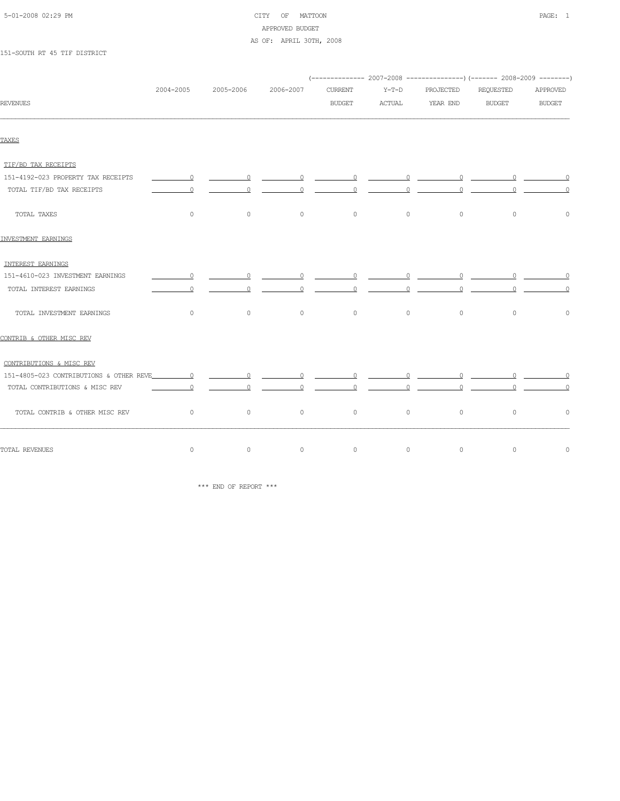| 5-01-2008 02:29 PM |  |
|--------------------|--|
|                    |  |

# CITY OF MATTOON **PAGE:** 1 APPROVED BUDGET AS OF: APRIL 30TH, 2008

#### 151-SOUTH RT 45 TIF DISTRICT

|                                    |                          |                |                   | (-------------- 2007-2008 ----------------) (------- 2008-2009 --------)                                                                                                                                                                                                                                                                                                                                                                                                        |                |                                                                                                                |               |                              |
|------------------------------------|--------------------------|----------------|-------------------|---------------------------------------------------------------------------------------------------------------------------------------------------------------------------------------------------------------------------------------------------------------------------------------------------------------------------------------------------------------------------------------------------------------------------------------------------------------------------------|----------------|----------------------------------------------------------------------------------------------------------------|---------------|------------------------------|
|                                    | 2004-2005                | 2005-2006      | 2006-2007         | <b>CURRENT</b>                                                                                                                                                                                                                                                                                                                                                                                                                                                                  | $Y-T-D$        | PROJECTED                                                                                                      | REQUESTED     | APPROVED                     |
| <b>REVENUES</b>                    |                          |                |                   | <b>BUDGET</b>                                                                                                                                                                                                                                                                                                                                                                                                                                                                   | ACTUAL         | YEAR END                                                                                                       | <b>BUDGET</b> | <b>BUDGET</b>                |
|                                    |                          |                |                   |                                                                                                                                                                                                                                                                                                                                                                                                                                                                                 |                |                                                                                                                |               |                              |
| TAXES                              |                          |                |                   |                                                                                                                                                                                                                                                                                                                                                                                                                                                                                 |                |                                                                                                                |               |                              |
| TIF/BD TAX RECEIPTS                |                          |                |                   |                                                                                                                                                                                                                                                                                                                                                                                                                                                                                 |                |                                                                                                                |               |                              |
| 151-4192-023 PROPERTY TAX RECEIPTS | $\overline{a}$           |                |                   |                                                                                                                                                                                                                                                                                                                                                                                                                                                                                 |                |                                                                                                                |               |                              |
| TOTAL TIF/BD TAX RECEIPTS          | $\circ$                  | $\overline{0}$ | $0 \qquad \qquad$ | $\overline{\phantom{a}}$ $\overline{\phantom{a}}$ $\overline{\phantom{a}}$ $\overline{\phantom{a}}$ $\overline{\phantom{a}}$ $\overline{\phantom{a}}$ $\overline{\phantom{a}}$ $\overline{\phantom{a}}$ $\overline{\phantom{a}}$ $\overline{\phantom{a}}$ $\overline{\phantom{a}}$ $\overline{\phantom{a}}$ $\overline{\phantom{a}}$ $\overline{\phantom{a}}$ $\overline{\phantom{a}}$ $\overline{\phantom{a}}$ $\overline{\phantom{a}}$ $\overline{\phantom{a}}$ $\overline{\$ |                | $\begin{array}{ccccccccccccccccc} 0 & \cdots & \cdots & 0 & \cdots & \cdots & 0 & \cdots & \cdots \end{array}$ |               | $\overline{0}$               |
| TOTAL TAXES                        | $\circ$                  | $\circ$        | $\circ$           | $\circ$                                                                                                                                                                                                                                                                                                                                                                                                                                                                         | $\circ$        | $\circ$                                                                                                        | $\circ$       | $\circ$                      |
| INVESTMENT EARNINGS                |                          |                |                   |                                                                                                                                                                                                                                                                                                                                                                                                                                                                                 |                |                                                                                                                |               |                              |
| INTEREST EARNINGS                  |                          |                |                   |                                                                                                                                                                                                                                                                                                                                                                                                                                                                                 |                |                                                                                                                |               |                              |
| 151-4610-023 INVESTMENT EARNINGS   | $\overline{\phantom{a}}$ |                |                   |                                                                                                                                                                                                                                                                                                                                                                                                                                                                                 |                |                                                                                                                |               |                              |
| TOTAL INTEREST EARNINGS            | $\overline{0}$           | $\circ$        | $\overline{0}$    | $\overline{0}$                                                                                                                                                                                                                                                                                                                                                                                                                                                                  | $\overline{0}$ | $\overline{0}$                                                                                                 |               | $0 \qquad \qquad$<br>$\circ$ |
| TOTAL INVESTMENT EARNINGS          | $\circ$                  | $\circ$        | $\circ$           | $\circ$                                                                                                                                                                                                                                                                                                                                                                                                                                                                         | $\circ$        | $\circ$                                                                                                        | $\circ$       | $\circ$                      |
| CONTRIB & OTHER MISC REV           |                          |                |                   |                                                                                                                                                                                                                                                                                                                                                                                                                                                                                 |                |                                                                                                                |               |                              |
| CONTRIBUTIONS & MISC REV           |                          |                |                   |                                                                                                                                                                                                                                                                                                                                                                                                                                                                                 |                |                                                                                                                |               |                              |
|                                    |                          |                |                   |                                                                                                                                                                                                                                                                                                                                                                                                                                                                                 |                |                                                                                                                |               |                              |
| TOTAL CONTRIBUTIONS & MISC REV     | $\Omega$                 | $\Omega$       | $\Omega$          | 0                                                                                                                                                                                                                                                                                                                                                                                                                                                                               | $\Omega$       |                                                                                                                | $\Omega$      | $\Omega$<br>$\Omega$         |
| TOTAL CONTRIB & OTHER MISC REV     | $\circ$                  | $\circ$        | $\circ$           | $\circ$                                                                                                                                                                                                                                                                                                                                                                                                                                                                         | $\circ$        | $\circ$                                                                                                        | $\circ$       | $\circ$                      |
| TOTAL REVENUES                     | $\circ$                  | $\circ$        | $\circ$           | $\mathbb O$                                                                                                                                                                                                                                                                                                                                                                                                                                                                     | $\circ$        | $\circ$                                                                                                        | $\circ$       | $\circ$                      |

\*\*\* END OF REPORT \*\*\*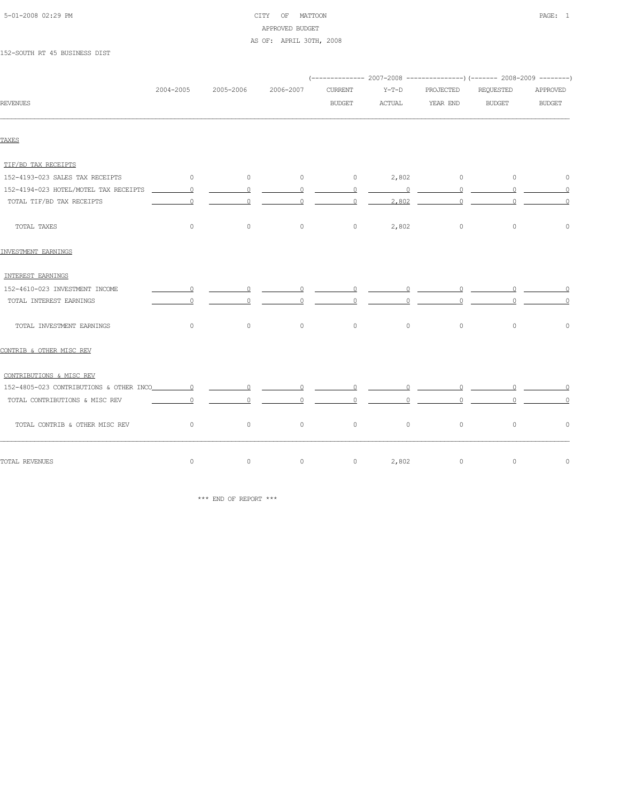# 5-01-2008 02:29 PM CITY OF MATTOON PAGE: 1 APPROVED BUDGET AS OF: APRIL 30TH, 2008

#### 152-SOUTH RT 45 BUSINESS DIST

|                                 |                          |           |                |                |               |                   | ------------- 2007-2008 ----------------) (------- 2008-2009 --------) |                |
|---------------------------------|--------------------------|-----------|----------------|----------------|---------------|-------------------|------------------------------------------------------------------------|----------------|
|                                 | 2004-2005                | 2005-2006 | 2006-2007      | <b>CURRENT</b> | $Y-T-D$       | PROJECTED         | <b>REQUESTED</b>                                                       | APPROVED       |
| <b>REVENUES</b>                 |                          |           |                | <b>BUDGET</b>  | <b>ACTUAL</b> | YEAR END          | <b>BUDGET</b>                                                          | <b>BUDGET</b>  |
|                                 |                          |           |                |                |               |                   |                                                                        |                |
| TAXES                           |                          |           |                |                |               |                   |                                                                        |                |
| TIF/BD TAX RECEIPTS             |                          |           |                |                |               |                   |                                                                        |                |
| 152-4193-023 SALES TAX RECEIPTS | $\sim$ 0 $\sim$ 0 $\sim$ | $\sim$ 0  | $\sim$ 0       |                |               | $0 \t 2,802 \t 0$ | $\sim$ 0                                                               | $\circ$        |
|                                 |                          |           |                |                |               |                   |                                                                        |                |
| TOTAL TIF/BD TAX RECEIPTS       | $\overline{0}$           |           |                |                |               |                   |                                                                        | $\circ$        |
| TOTAL TAXES                     | $\circ$                  | $\circ$   | $\overline{0}$ |                | 0 $2,802$ 0   |                   | $\circ$                                                                | $\circ$        |
| INVESTMENT EARNINGS             |                          |           |                |                |               |                   |                                                                        |                |
| INTEREST EARNINGS               |                          |           |                |                |               |                   |                                                                        |                |
| 152-4610-023 INVESTMENT INCOME  |                          |           |                |                |               |                   |                                                                        |                |
| TOTAL INTEREST EARNINGS         |                          |           |                |                |               |                   |                                                                        |                |
| TOTAL INVESTMENT EARNINGS       | $\circ$                  | $\circ$   | $\circ$        | $\circ$        | $\circ$       | $\circ$           | $\circ$                                                                | $\circ$        |
| CONTRIB & OTHER MISC REV        |                          |           |                |                |               |                   |                                                                        |                |
| CONTRIBUTIONS & MISC REV        |                          |           |                |                |               |                   |                                                                        |                |
|                                 |                          |           |                |                |               |                   |                                                                        |                |
| TOTAL CONTRIBUTIONS & MISC REV  | $\sim$ 0                 |           |                |                |               |                   |                                                                        | $\overline{0}$ |
| TOTAL CONTRIB & OTHER MISC REV  | $\sim$ 0                 | $\circ$   | $\circ$        | $\circ$        | $\circ$       | $\circ$           | $\circ$                                                                | $\circ$        |
| TOTAL REVENUES                  | $\circ$                  | $\circ$   | $\circ$        | $\circ$        | 2,802         | $\circ$           | $\circ$                                                                | $\circ$        |

 $\star\star\star$  END OF REPORT  $\star\star\star$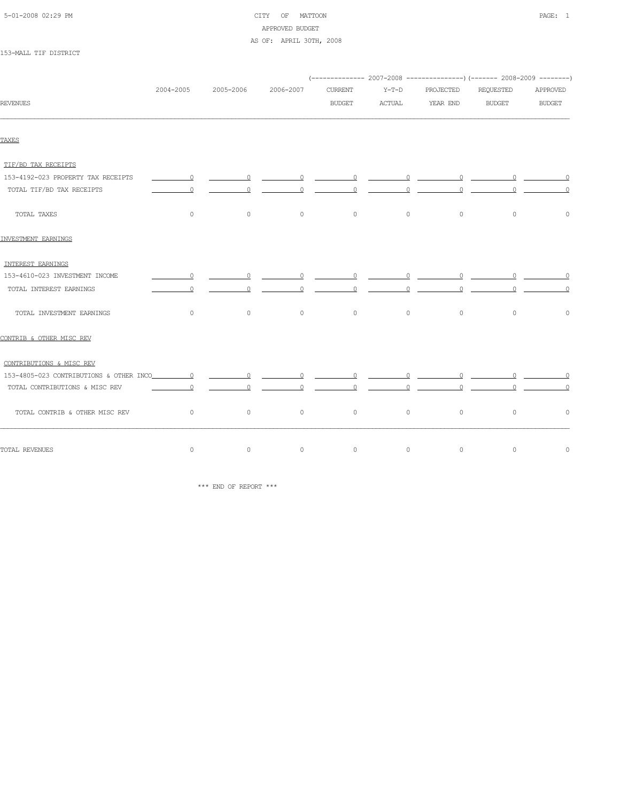| 5-01-2008 02:29 PM |  |
|--------------------|--|
|                    |  |

# CITY OF MATTOON **PAGE:** 1 APPROVED BUDGET AS OF: APRIL 30TH, 2008

153-MALL TIF DISTRICT

|                                    |                                                                                                     |                                                                                                                                                                                                                                                                                                                                                                                                                                                                                 |           |                |               | (-------------- 2007-2008 ----------------) (------- 2008-2009 --------) |               |                      |
|------------------------------------|-----------------------------------------------------------------------------------------------------|---------------------------------------------------------------------------------------------------------------------------------------------------------------------------------------------------------------------------------------------------------------------------------------------------------------------------------------------------------------------------------------------------------------------------------------------------------------------------------|-----------|----------------|---------------|--------------------------------------------------------------------------|---------------|----------------------|
|                                    | 2004-2005                                                                                           | 2005-2006                                                                                                                                                                                                                                                                                                                                                                                                                                                                       | 2006-2007 | <b>CURRENT</b> | $Y-T-D$       | PROJECTED                                                                | REQUESTED     | APPROVED             |
| <b>REVENUES</b>                    |                                                                                                     |                                                                                                                                                                                                                                                                                                                                                                                                                                                                                 |           | <b>BUDGET</b>  | <b>ACTUAL</b> | YEAR END                                                                 | <b>BUDGET</b> | <b>BUDGET</b>        |
| TAXES                              |                                                                                                     |                                                                                                                                                                                                                                                                                                                                                                                                                                                                                 |           |                |               |                                                                          |               |                      |
|                                    |                                                                                                     |                                                                                                                                                                                                                                                                                                                                                                                                                                                                                 |           |                |               |                                                                          |               |                      |
| TIF/BD TAX RECEIPTS                |                                                                                                     |                                                                                                                                                                                                                                                                                                                                                                                                                                                                                 |           |                |               |                                                                          |               |                      |
| 153-4192-023 PROPERTY TAX RECEIPTS | $\sim$ 0                                                                                            | $\overline{\phantom{a}}$ $\overline{\phantom{a}}$ $\overline{\phantom{a}}$ $\overline{\phantom{a}}$ $\overline{\phantom{a}}$ $\overline{\phantom{a}}$ $\overline{\phantom{a}}$ $\overline{\phantom{a}}$ $\overline{\phantom{a}}$ $\overline{\phantom{a}}$ $\overline{\phantom{a}}$ $\overline{\phantom{a}}$ $\overline{\phantom{a}}$ $\overline{\phantom{a}}$ $\overline{\phantom{a}}$ $\overline{\phantom{a}}$ $\overline{\phantom{a}}$ $\overline{\phantom{a}}$ $\overline{\$ |           |                |               |                                                                          |               |                      |
| TOTAL TIF/BD TAX RECEIPTS          | $\Omega$                                                                                            | $\Omega$                                                                                                                                                                                                                                                                                                                                                                                                                                                                        | $\Omega$  | $\circ$        | $\Omega$      | $\Omega$                                                                 |               | $\Omega$<br>$\Omega$ |
| TOTAL TAXES                        | $\circ$                                                                                             | $\circ$                                                                                                                                                                                                                                                                                                                                                                                                                                                                         | $\circ$   | $\circ$        | $\circ$       | $\circ$                                                                  | $\circ$       | $\circ$              |
| <b>INVESTMENT EARNINGS</b>         |                                                                                                     |                                                                                                                                                                                                                                                                                                                                                                                                                                                                                 |           |                |               |                                                                          |               |                      |
| INTEREST EARNINGS                  |                                                                                                     |                                                                                                                                                                                                                                                                                                                                                                                                                                                                                 |           |                |               |                                                                          |               |                      |
| 153-4610-023 INVESTMENT INCOME     | $\overline{\phantom{a}}$ $\overline{\phantom{a}}$ $\overline{\phantom{a}}$ $\overline{\phantom{a}}$ | $\overline{0}$                                                                                                                                                                                                                                                                                                                                                                                                                                                                  | $\sim$ 0  |                |               |                                                                          |               |                      |
| TOTAL INTEREST EARNINGS            | $\Omega$                                                                                            | $\Omega$                                                                                                                                                                                                                                                                                                                                                                                                                                                                        | $\circ$   | $\circ$        | $\circ$       | $\Omega$                                                                 |               | $\Omega$             |
| TOTAL INVESTMENT EARNINGS          | $\circ$                                                                                             | $\circ$                                                                                                                                                                                                                                                                                                                                                                                                                                                                         | $\circ$   | $\circ$        | $\circ$       | $\circ$                                                                  | $\circ$       | $\circ$              |
| CONTRIB & OTHER MISC REV           |                                                                                                     |                                                                                                                                                                                                                                                                                                                                                                                                                                                                                 |           |                |               |                                                                          |               |                      |
| CONTRIBUTIONS & MISC REV           |                                                                                                     |                                                                                                                                                                                                                                                                                                                                                                                                                                                                                 |           |                |               |                                                                          |               |                      |
|                                    |                                                                                                     |                                                                                                                                                                                                                                                                                                                                                                                                                                                                                 |           |                |               |                                                                          |               |                      |
| TOTAL CONTRIBUTIONS & MISC REV     | $\Omega$                                                                                            |                                                                                                                                                                                                                                                                                                                                                                                                                                                                                 |           |                |               | $\Omega$                                                                 |               |                      |
| TOTAL CONTRIB & OTHER MISC REV     | $\circ$                                                                                             | $\circ$                                                                                                                                                                                                                                                                                                                                                                                                                                                                         | $\circ$   | $\circ$        | $\circ$       | $\circ$                                                                  | $\circ$       | $\circ$              |
| TOTAL REVENUES                     | $\circ$                                                                                             | $\circ$                                                                                                                                                                                                                                                                                                                                                                                                                                                                         | $\circ$   | $\circ$        | $\circ$       | $\circ$                                                                  | $\circ$       | $\circ$              |

\*\*\* END OF REPORT \*\*\*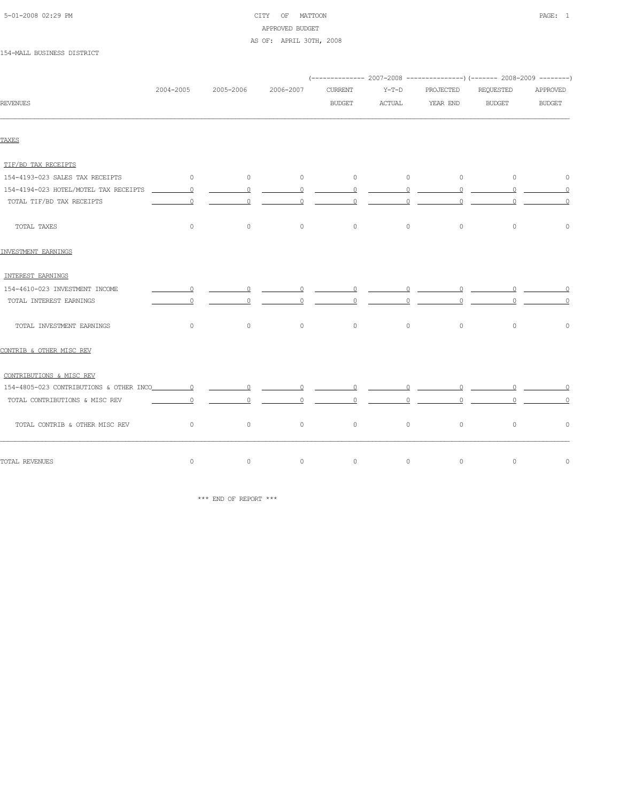| 5-01-2008 02:29 PM |  |
|--------------------|--|
|                    |  |

# CITY OF MATTOON **PAGE:** 1 APPROVED BUDGET AS OF: APRIL 30TH, 2008

#### 154-MALL BUSINESS DISTRICT

| 2004-2005      | 2005-2006            | 2006-2007                                  | <b>CURRENT</b>                                                                                                                                                                                                                                                                                                                                                                                                                                   | $Y-T-D$       | PROJECTED                                                                                 | REQUESTED                                                                                                                              | APPROVED                                                                                                                                                                                                                                                                                 |
|----------------|----------------------|--------------------------------------------|--------------------------------------------------------------------------------------------------------------------------------------------------------------------------------------------------------------------------------------------------------------------------------------------------------------------------------------------------------------------------------------------------------------------------------------------------|---------------|-------------------------------------------------------------------------------------------|----------------------------------------------------------------------------------------------------------------------------------------|------------------------------------------------------------------------------------------------------------------------------------------------------------------------------------------------------------------------------------------------------------------------------------------|
|                |                      |                                            | <b>BUDGET</b>                                                                                                                                                                                                                                                                                                                                                                                                                                    | <b>ACTUAL</b> | YEAR END                                                                                  | <b>BUDGET</b>                                                                                                                          | <b>BUDGET</b>                                                                                                                                                                                                                                                                            |
|                |                      |                                            |                                                                                                                                                                                                                                                                                                                                                                                                                                                  |               |                                                                                           |                                                                                                                                        |                                                                                                                                                                                                                                                                                          |
|                |                      |                                            |                                                                                                                                                                                                                                                                                                                                                                                                                                                  |               |                                                                                           |                                                                                                                                        |                                                                                                                                                                                                                                                                                          |
|                |                      |                                            |                                                                                                                                                                                                                                                                                                                                                                                                                                                  |               |                                                                                           |                                                                                                                                        |                                                                                                                                                                                                                                                                                          |
|                | $\sim$ 0             | $\sim$ 0                                   | $\circ$                                                                                                                                                                                                                                                                                                                                                                                                                                          |               | $\circ$                                                                                   | $\sim$ 0                                                                                                                               | $\circ$                                                                                                                                                                                                                                                                                  |
|                |                      |                                            |                                                                                                                                                                                                                                                                                                                                                                                                                                                  |               |                                                                                           |                                                                                                                                        |                                                                                                                                                                                                                                                                                          |
| $\overline{0}$ |                      |                                            |                                                                                                                                                                                                                                                                                                                                                                                                                                                  |               |                                                                                           |                                                                                                                                        | $\circ$                                                                                                                                                                                                                                                                                  |
| $\circ$        | $\circ$              | $\circ$                                    | $\circ$                                                                                                                                                                                                                                                                                                                                                                                                                                          | $\circ$       | $\circ$                                                                                   | $\circ$                                                                                                                                | $\circ$                                                                                                                                                                                                                                                                                  |
|                |                      |                                            |                                                                                                                                                                                                                                                                                                                                                                                                                                                  |               |                                                                                           |                                                                                                                                        |                                                                                                                                                                                                                                                                                          |
|                |                      |                                            |                                                                                                                                                                                                                                                                                                                                                                                                                                                  |               |                                                                                           |                                                                                                                                        |                                                                                                                                                                                                                                                                                          |
|                |                      |                                            |                                                                                                                                                                                                                                                                                                                                                                                                                                                  |               |                                                                                           |                                                                                                                                        |                                                                                                                                                                                                                                                                                          |
| $\circ$        |                      |                                            |                                                                                                                                                                                                                                                                                                                                                                                                                                                  |               |                                                                                           |                                                                                                                                        | $\circ$                                                                                                                                                                                                                                                                                  |
| $\circ$        | $\circ$              | $\circ$                                    | $\circ$                                                                                                                                                                                                                                                                                                                                                                                                                                          | $\circ$       | $\circ$                                                                                   | $\circ$                                                                                                                                | $\circ$                                                                                                                                                                                                                                                                                  |
|                |                      |                                            |                                                                                                                                                                                                                                                                                                                                                                                                                                                  |               |                                                                                           |                                                                                                                                        |                                                                                                                                                                                                                                                                                          |
|                |                      |                                            |                                                                                                                                                                                                                                                                                                                                                                                                                                                  |               |                                                                                           |                                                                                                                                        |                                                                                                                                                                                                                                                                                          |
|                |                      |                                            |                                                                                                                                                                                                                                                                                                                                                                                                                                                  |               |                                                                                           |                                                                                                                                        |                                                                                                                                                                                                                                                                                          |
|                |                      |                                            |                                                                                                                                                                                                                                                                                                                                                                                                                                                  |               |                                                                                           |                                                                                                                                        | $\circ$                                                                                                                                                                                                                                                                                  |
|                | $\circ$              | $\circ$                                    | $\circ$                                                                                                                                                                                                                                                                                                                                                                                                                                          | $\circ$       | $\circ$                                                                                   | $\circ$                                                                                                                                | $\circ$                                                                                                                                                                                                                                                                                  |
| $\circ$        | $\circ$              | $\circ$                                    | $\circ$                                                                                                                                                                                                                                                                                                                                                                                                                                          | $\circ$       | $\circ$                                                                                   | $\circ$                                                                                                                                | $\circ$                                                                                                                                                                                                                                                                                  |
|                | $\sim$ 0<br>$\sim$ 0 | $\overline{0}$<br>$\sim$ 0 $\sim$ 0 $\sim$ | $\overline{0}$<br>$\overline{\phantom{a}}$ 0 $\overline{\phantom{a}}$<br>$\overline{0}$ and $\overline{0}$ and $\overline{0}$ and $\overline{0}$ and $\overline{0}$ and $\overline{0}$ and $\overline{0}$ and $\overline{0}$ and $\overline{0}$ and $\overline{0}$ and $\overline{0}$ and $\overline{0}$ and $\overline{0}$ and $\overline{0}$ and $\overline{0}$ and $\overline{0}$ and $\overline{0}$ and<br>$\overline{0}$ and $\overline{0}$ |               | $\sim$ 0<br>$\begin{array}{ccccccccccccc}\n0 & \cdots & 0 & \cdots & \cdots\n\end{array}$ | $\begin{array}{ccccccccccccccccc} 0 & \text{ & & & & 0 & & \text{ & & & 0 & & \text{ & & & \text{ & & \text{ & \text{ } \end{array} }$ | (-------------- 2007-2008 ----------------) (------- 2008-2009 --------)<br>$\begin{array}{ccccccccccccc}\n0 & \cdots & \cdots & 0 & \cdots & \cdots\n\end{array}$<br>$\begin{array}{ccccccccccccccccc} 0 & \cdots & \cdots & 0 & \cdots & \cdots & 0 & \cdots & \cdots & 0 \end{array}$ |

 $\star\star\star$  END OF REPORT  $\star\star\star$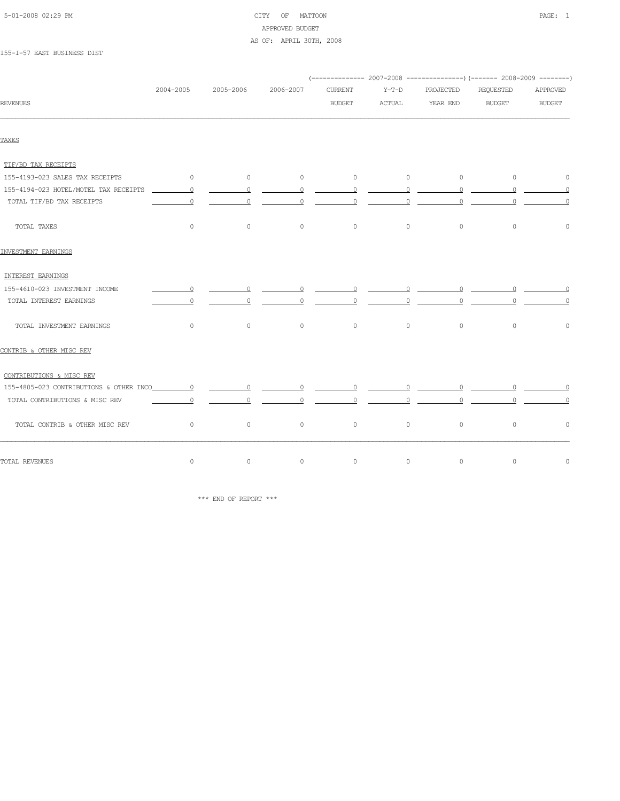# 5-01-2008 02:29 PM CITY OF MATTOON PAGE: 1 APPROVED BUDGET AS OF: APRIL 30TH, 2008

155-I-57 EAST BUSINESS DIST

|                                 |                |                |                |                                                                                                                                                                                                                                                                                                                                    |                                                                                                                                                                                                                                                                                                                                    |                                                          | (-------------- 2007-2008 -------------------) (------- 2008-2009 ---------)                                                                                                                                                                                                                                                       |                |
|---------------------------------|----------------|----------------|----------------|------------------------------------------------------------------------------------------------------------------------------------------------------------------------------------------------------------------------------------------------------------------------------------------------------------------------------------|------------------------------------------------------------------------------------------------------------------------------------------------------------------------------------------------------------------------------------------------------------------------------------------------------------------------------------|----------------------------------------------------------|------------------------------------------------------------------------------------------------------------------------------------------------------------------------------------------------------------------------------------------------------------------------------------------------------------------------------------|----------------|
|                                 | 2004-2005      | 2005-2006      | 2006-2007      | <b>CURRENT</b>                                                                                                                                                                                                                                                                                                                     | Y-T-D                                                                                                                                                                                                                                                                                                                              | PROJECTED                                                | REQUESTED                                                                                                                                                                                                                                                                                                                          | APPROVED       |
| <b>REVENUES</b>                 |                |                |                | <b>BUDGET</b>                                                                                                                                                                                                                                                                                                                      | ACTUAL                                                                                                                                                                                                                                                                                                                             | YEAR END                                                 | <b>BUDGET</b>                                                                                                                                                                                                                                                                                                                      | <b>BUDGET</b>  |
| TAXES                           |                |                |                |                                                                                                                                                                                                                                                                                                                                    |                                                                                                                                                                                                                                                                                                                                    |                                                          |                                                                                                                                                                                                                                                                                                                                    |                |
| TIF/BD TAX RECEIPTS             |                |                |                |                                                                                                                                                                                                                                                                                                                                    |                                                                                                                                                                                                                                                                                                                                    |                                                          |                                                                                                                                                                                                                                                                                                                                    |                |
| 155-4193-023 SALES TAX RECEIPTS | $\sim$ 0       | $\sim$ 0       | $\sim$ 0       |                                                                                                                                                                                                                                                                                                                                    |                                                                                                                                                                                                                                                                                                                                    | $\begin{array}{ccccccc}\n0 & & & 0 & & & 0\n\end{array}$ | $\sim$ 0                                                                                                                                                                                                                                                                                                                           | $\circ$        |
|                                 |                |                |                |                                                                                                                                                                                                                                                                                                                                    |                                                                                                                                                                                                                                                                                                                                    |                                                          |                                                                                                                                                                                                                                                                                                                                    |                |
| TOTAL TIF/BD TAX RECEIPTS       | $\circ$        | 0              |                | $\overline{0}$ and $\overline{0}$ and $\overline{0}$ and $\overline{0}$ and $\overline{0}$ and $\overline{0}$ and $\overline{0}$ and $\overline{0}$ and $\overline{0}$ and $\overline{0}$ and $\overline{0}$ and $\overline{0}$ and $\overline{0}$ and $\overline{0}$ and $\overline{0}$ and $\overline{0}$ and $\overline{0}$ and | $\overline{0}$ and $\overline{0}$ and $\overline{0}$ and $\overline{0}$ and $\overline{0}$ and $\overline{0}$ and $\overline{0}$ and $\overline{0}$ and $\overline{0}$ and $\overline{0}$ and $\overline{0}$ and $\overline{0}$ and $\overline{0}$ and $\overline{0}$ and $\overline{0}$ and $\overline{0}$ and $\overline{0}$ and | $\overline{\phantom{a}}$ $\overline{\phantom{a}}$        | $\overline{0}$ and $\overline{0}$ and $\overline{0}$ and $\overline{0}$ and $\overline{0}$ and $\overline{0}$ and $\overline{0}$ and $\overline{0}$ and $\overline{0}$ and $\overline{0}$ and $\overline{0}$ and $\overline{0}$ and $\overline{0}$ and $\overline{0}$ and $\overline{0}$ and $\overline{0}$ and $\overline{0}$ and | $\overline{0}$ |
| TOTAL TAXES                     | $\circ$        | $\overline{0}$ | $\overline{0}$ | $\overline{0}$                                                                                                                                                                                                                                                                                                                     | $\overline{0}$                                                                                                                                                                                                                                                                                                                     | $\circ$                                                  | $\overline{0}$                                                                                                                                                                                                                                                                                                                     | $\circ$        |
| INVESTMENT EARNINGS             |                |                |                |                                                                                                                                                                                                                                                                                                                                    |                                                                                                                                                                                                                                                                                                                                    |                                                          |                                                                                                                                                                                                                                                                                                                                    |                |
| INTEREST EARNINGS               |                |                |                |                                                                                                                                                                                                                                                                                                                                    |                                                                                                                                                                                                                                                                                                                                    |                                                          |                                                                                                                                                                                                                                                                                                                                    |                |
| 155-4610-023 INVESTMENT INCOME  |                |                |                |                                                                                                                                                                                                                                                                                                                                    |                                                                                                                                                                                                                                                                                                                                    |                                                          |                                                                                                                                                                                                                                                                                                                                    |                |
| TOTAL INTEREST EARNINGS         | $\overline{0}$ |                |                |                                                                                                                                                                                                                                                                                                                                    |                                                                                                                                                                                                                                                                                                                                    |                                                          |                                                                                                                                                                                                                                                                                                                                    | $\circ$        |
| TOTAL INVESTMENT EARNINGS       | $\circ$        | $\circ$        | $\sim$ 0       |                                                                                                                                                                                                                                                                                                                                    | $\begin{array}{ccc} & & & 0 & \quad & \quad & 0 \end{array}$                                                                                                                                                                                                                                                                       | $\circ$                                                  | $\circ$                                                                                                                                                                                                                                                                                                                            | $\circ$        |
| CONTRIB & OTHER MISC REV        |                |                |                |                                                                                                                                                                                                                                                                                                                                    |                                                                                                                                                                                                                                                                                                                                    |                                                          |                                                                                                                                                                                                                                                                                                                                    |                |
| CONTRIBUTIONS & MISC REV        |                |                |                |                                                                                                                                                                                                                                                                                                                                    |                                                                                                                                                                                                                                                                                                                                    |                                                          |                                                                                                                                                                                                                                                                                                                                    |                |
|                                 |                |                |                |                                                                                                                                                                                                                                                                                                                                    |                                                                                                                                                                                                                                                                                                                                    |                                                          |                                                                                                                                                                                                                                                                                                                                    |                |
| TOTAL CONTRIBUTIONS & MISC REV  | $\sim$ 0       |                |                |                                                                                                                                                                                                                                                                                                                                    |                                                                                                                                                                                                                                                                                                                                    |                                                          |                                                                                                                                                                                                                                                                                                                                    | $\overline{0}$ |
| TOTAL CONTRIB & OTHER MISC REV  | $\sim$ 0       | $\circ$        | $\sim$ 0       | $\overline{0}$                                                                                                                                                                                                                                                                                                                     | $\circ$                                                                                                                                                                                                                                                                                                                            | $\circ$                                                  | $\circ$                                                                                                                                                                                                                                                                                                                            | $\Omega$       |
| TOTAL REVENUES                  | $\circ$        | $\circ$        | $\circ$        | $\circ$                                                                                                                                                                                                                                                                                                                            | $\circ$                                                                                                                                                                                                                                                                                                                            | $\circ$                                                  | $\circ$                                                                                                                                                                                                                                                                                                                            | $\circ$        |

 $\star\star\star$  END OF REPORT  $\star\star\star$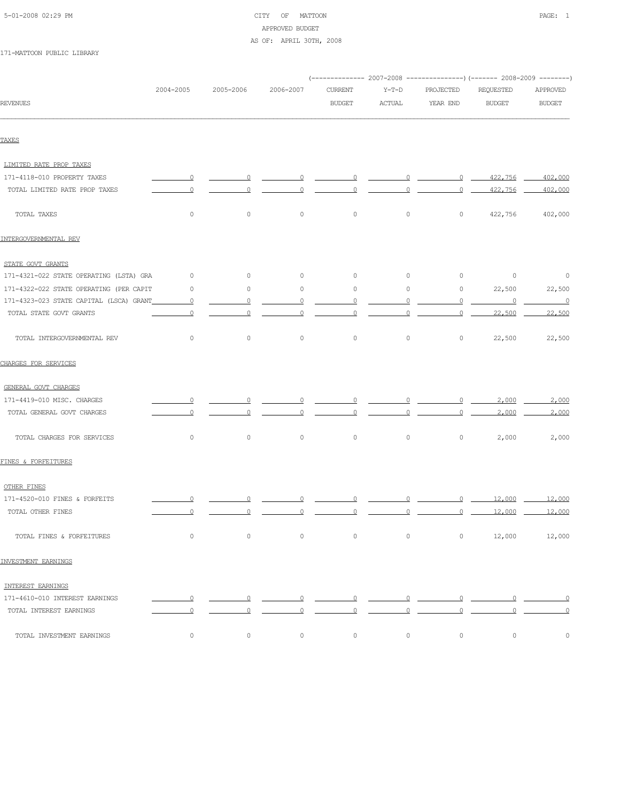| 5-01-2008 02:29 PM |  |
|--------------------|--|
|                    |  |

# CITY OF MATTOON **PAGE:** 1 APPROVED BUDGET AS OF: APRIL 30TH, 2008

|                                          |                          |                                                     |                               |                                                   |                                         |                     | (-------------- 2007-2008 ---------------) (------- 2008-2009 --------) |                          |
|------------------------------------------|--------------------------|-----------------------------------------------------|-------------------------------|---------------------------------------------------|-----------------------------------------|---------------------|-------------------------------------------------------------------------|--------------------------|
|                                          | 2004-2005                | 2005-2006                                           | 2006-2007                     | <b>CURRENT</b>                                    | $Y-T-D$                                 | PROJECTED           | REQUESTED                                                               | APPROVED                 |
| <b>REVENUES</b>                          |                          |                                                     |                               | <b>BUDGET</b>                                     | <b>ACTUAL</b>                           | YEAR END            | <b>BUDGET</b>                                                           | <b>BUDGET</b>            |
|                                          |                          |                                                     |                               |                                                   |                                         |                     |                                                                         |                          |
| TAXES                                    |                          |                                                     |                               |                                                   |                                         |                     |                                                                         |                          |
| LIMITED RATE PROP TAXES                  |                          |                                                     |                               |                                                   |                                         |                     |                                                                         |                          |
| 171-4118-010 PROPERTY TAXES              | $\overline{0}$           | $\overline{0}$                                      | $\overline{\mathbf{0}}$       | $\overline{\phantom{0}}$                          | $\overline{0}$                          |                     | $0 \quad 422,756$                                                       | 402,000                  |
| TOTAL LIMITED RATE PROP TAXES            | $\overline{0}$           | $\overline{0}$                                      | $\overline{0}$                | $\overline{0}$                                    | $\circ$                                 | $\overline{0}$      | 422,756                                                                 | 402,000                  |
| TOTAL TAXES                              | $\circ$                  | 0                                                   | $\circ$                       | $\circ$                                           | $\circ$                                 | $\circ$             | 422,756                                                                 | 402,000                  |
| INTERGOVERNMENTAL REV                    |                          |                                                     |                               |                                                   |                                         |                     |                                                                         |                          |
| STATE GOVT GRANTS                        |                          |                                                     |                               |                                                   |                                         |                     |                                                                         |                          |
| 171-4321-022 STATE OPERATING (LSTA) GRA  | $\overline{0}$           | $\circ$                                             | $\circ$                       | $\circ$                                           | $\circ$                                 | $\circ$             | $\overline{0}$                                                          | $\overline{\phantom{0}}$ |
| 171-4322-022 STATE OPERATING (PER CAPIT  | $\circ$                  | $\circ$                                             | $\circ$                       | $\circ$                                           | $\circ$                                 | $\circ$             | 22,500                                                                  | 22,500                   |
| 171-4323-023 STATE CAPITAL (LSCA) GRANT_ | $\overline{0}$           | $\overline{0}$                                      | $\overline{0}$                | $\overline{0}$                                    | $\overline{0}$                          | $\circ$             | $\overline{\phantom{0}}$                                                | $\overline{\phantom{0}}$ |
| TOTAL STATE GOVT GRANTS                  | $\circ$                  | $\circ$                                             | $\circ$                       | $\overline{0}$                                    | $\circ$                                 | $\overline{0}$      | 22,500                                                                  | 22,500                   |
| TOTAL INTERGOVERNMENTAL REV              | $\circ$                  | $\circ$                                             | $\circ$                       | $\circ$                                           | $\circ$                                 | $\circ$             | 22,500                                                                  | 22,500                   |
| CHARGES FOR SERVICES                     |                          |                                                     |                               |                                                   |                                         |                     |                                                                         |                          |
| GENERAL GOVT CHARGES                     |                          |                                                     |                               |                                                   |                                         |                     |                                                                         |                          |
| 171-4419-010 MISC. CHARGES               | $\overline{0}$           | $\Omega$                                            | 0                             | $\overline{0}$                                    | $\overline{0}$                          | $\Omega$            | 2,000                                                                   | 2,000                    |
| TOTAL GENERAL GOVT CHARGES               | $\Omega$                 | $\Omega$                                            | 0                             | $\overline{0}$                                    | $\overline{0}$                          | $\overline{0}$      | 2,000                                                                   | 2,000                    |
| TOTAL CHARGES FOR SERVICES               | $\circ$                  | $\circ$                                             | $\circ$                       | $\circ$                                           | $\circ$                                 | $\circ$             | 2,000                                                                   | 2,000                    |
| FINES & FORFEITURES                      |                          |                                                     |                               |                                                   |                                         |                     |                                                                         |                          |
| OTHER FINES                              |                          |                                                     |                               |                                                   |                                         |                     |                                                                         |                          |
| 171-4520-010 FINES & FORFEITS            | $\overline{\mathbf{0}}$  | $\Omega$                                            | $\overline{0}$                | $\overline{0}$                                    | $\circ$                                 |                     | $0 \hspace{1.5mm} 12,000 \hspace{1.5mm} 12,000$                         |                          |
| TOTAL OTHER FINES                        | $\overline{0}$           | $\overline{0}$                                      | $\overline{\phantom{0}}$      | $\overline{0}$                                    | $\overline{0}$ $\overline{\phantom{0}}$ |                     | 0 12,000 12,000                                                         |                          |
| TOTAL FINES & FORFEITURES                | $\circ$                  | $\overline{0}$                                      | $\overline{0}$                | $\overline{0}$                                    |                                         | $\overline{0}$<br>0 | 12,000                                                                  | 12,000                   |
| INVESTMENT EARNINGS                      |                          |                                                     |                               |                                                   |                                         |                     |                                                                         |                          |
| INTEREST EARNINGS                        |                          |                                                     |                               |                                                   |                                         |                     |                                                                         |                          |
| 171-4610-010 INTEREST EARNINGS           | $\overline{\phantom{0}}$ | $\overline{\phantom{a}}$ 0 $\overline{\phantom{a}}$ |                               |                                                   |                                         |                     |                                                                         |                          |
| TOTAL INTEREST EARNINGS                  | $\overline{0}$           | $\overline{0}$                                      | $\overline{0}$ $\overline{0}$ | $\overline{\phantom{a}}$ $\overline{\phantom{a}}$ | $\overline{0}$                          | $\overline{0}$      | $\overline{0}$                                                          | $\overline{0}$           |
| TOTAL INVESTMENT EARNINGS                | $\circ$                  | $\circ$                                             | $\circ$                       | $\circ$                                           | $\circ$                                 | $\circ$             | $\circ$                                                                 | $\circ$                  |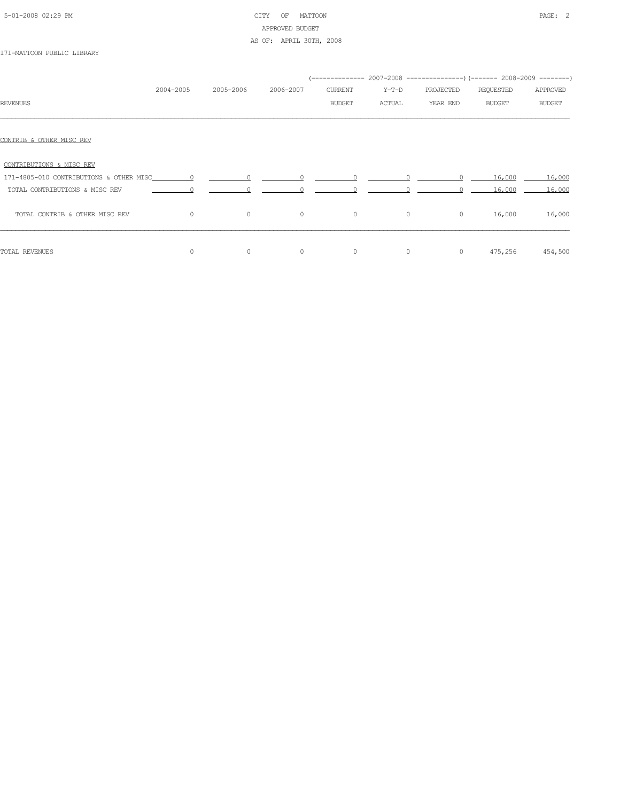# 5-01-2008 02:29 PM CITY OF MATTOON PAGE: 2 APPROVED BUDGET AS OF: APRIL 30TH, 2008

|                                |           |           |           |                                                                                                                                                                                                                                                                                                                                 |        | (-------------- 2007–2008 --------------------) (-------- 2008–2009 ---------) |                         |               |
|--------------------------------|-----------|-----------|-----------|---------------------------------------------------------------------------------------------------------------------------------------------------------------------------------------------------------------------------------------------------------------------------------------------------------------------------------|--------|--------------------------------------------------------------------------------|-------------------------|---------------|
|                                | 2004-2005 | 2005-2006 | 2006-2007 | CURRENT                                                                                                                                                                                                                                                                                                                         | Y-T-D  | PROJECTED                                                                      | REQUESTED               | APPROVED      |
| <b>REVENUES</b>                |           |           |           | <b>BUDGET</b>                                                                                                                                                                                                                                                                                                                   | ACTUAL | YEAR END                                                                       | <b>BUDGET</b>           | <b>BUDGET</b> |
| CONTRIB & OTHER MISC REV       |           |           |           |                                                                                                                                                                                                                                                                                                                                 |        |                                                                                |                         |               |
| CONTRIBUTIONS & MISC REV       |           |           |           |                                                                                                                                                                                                                                                                                                                                 |        |                                                                                |                         |               |
|                                |           |           |           | $\begin{matrix} 0 & 0 & 0 \\ 0 & 0 & 0 \\ 0 & 0 & 0 \\ 0 & 0 & 0 \\ 0 & 0 & 0 \\ 0 & 0 & 0 \\ 0 & 0 & 0 \\ 0 & 0 & 0 \\ 0 & 0 & 0 & 0 \\ 0 & 0 & 0 & 0 \\ 0 & 0 & 0 & 0 \\ 0 & 0 & 0 & 0 \\ 0 & 0 & 0 & 0 & 0 \\ 0 & 0 & 0 & 0 & 0 \\ 0 & 0 & 0 & 0 & 0 \\ 0 & 0 & 0 & 0 & 0 & 0 \\ 0 & 0 & 0 & 0 & 0 & 0 \\ 0 & 0 & 0 & 0 & 0$ |        |                                                                                | 16,000                  | 16,000        |
| TOTAL CONTRIBUTIONS & MISC REV | $\sim$ 0  |           |           | $\begin{array}{ccccccc}\n0 & & & 0 & & & 0\n\end{array}$                                                                                                                                                                                                                                                                        |        |                                                                                | $0 \t 16.000 \t 16.000$ |               |
| TOTAL CONTRIB & OTHER MISC REV | $\Omega$  | $\circ$   | $\circ$   | $\circ$                                                                                                                                                                                                                                                                                                                         |        | $\circ$<br>$\circ$                                                             | 16,000                  | 16,000        |
| TOTAL REVENUES                 | $\Omega$  | $\circ$   | $\circ$   | $\circ$                                                                                                                                                                                                                                                                                                                         |        | $\circ$<br>$\circ$                                                             | 475,256                 | 454,500       |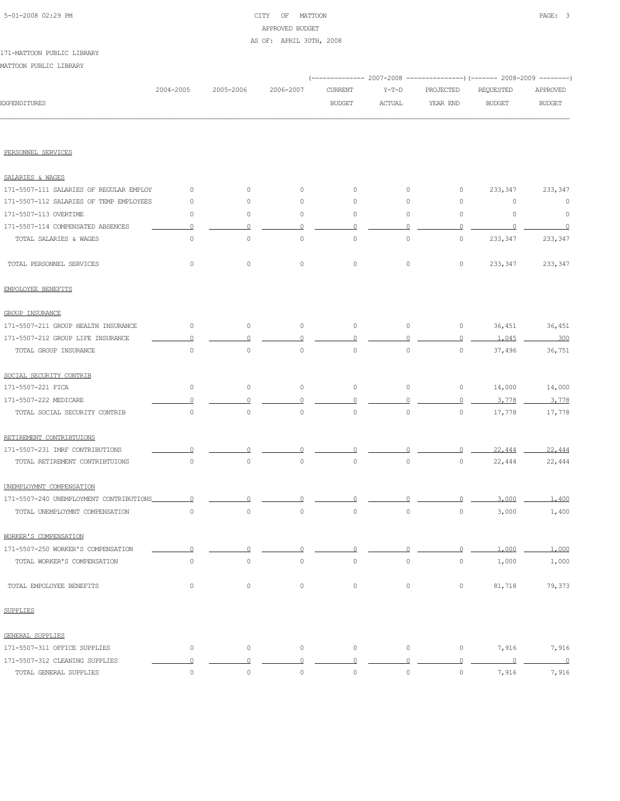# 5-01-2008 02:29 PM CITY OF MATTOON PAGE: 3 APPROVED BUDGET AS OF: APRIL 30TH, 2008

#### 171-MATTOON PUBLIC LIBRARY

|                                         |                     |                     |           |                |                     |                | (------------- 2007-2008 ---------------) (------- 2008-2009 --------) |                          |
|-----------------------------------------|---------------------|---------------------|-----------|----------------|---------------------|----------------|------------------------------------------------------------------------|--------------------------|
|                                         | 2004-2005           | 2005-2006           | 2006-2007 | <b>CURRENT</b> | $Y-T-D$             | PROJECTED      | REQUESTED                                                              | APPROVED                 |
| <b>EXPENDITURES</b>                     |                     |                     |           | <b>BUDGET</b>  | ACTUAL              | YEAR END       | <b>BUDGET</b>                                                          | <b>BUDGET</b>            |
|                                         |                     |                     |           |                |                     |                |                                                                        |                          |
| PERSONNEL SERVICES                      |                     |                     |           |                |                     |                |                                                                        |                          |
| SALARIES & WAGES                        |                     |                     |           |                |                     |                |                                                                        |                          |
| 171-5507-111 SALARIES OF REGULAR EMPLOY | 0                   | $\circ$             | 0         | $\circ$        | $\circ$             | 0              | 233,347                                                                | 233,347                  |
| 171-5507-112 SALARIES OF TEMP EMPLOYEES | $\circ$             | $\circ$             | 0         | 0              | $\circ$             | 0              | 0                                                                      | $\circ$                  |
| 171-5507-113 OVERTIME                   | $\circ$             | $\circ$             | $\circ$   | $\circ$        | 0                   | 0              | $\circ$                                                                | $\circ$                  |
| 171-5507-114 COMPENSATED ABSENCES       | $\Omega$            | $\circ$             | $\Omega$  | $\Omega$       | $\Omega$            | $\circ$        | 0                                                                      | $\overline{0}$           |
| TOTAL SALARIES & WAGES                  | $\circ$             | $\circ$             | $\circ$   | $\circ$        | 0                   | 0              | 233,347                                                                | 233,347                  |
| TOTAL PERSONNEL SERVICES                | $\mathbb O$         | $\circ$             | $\circ$   | $\circ$        | $\circ$             | $\circ$        | 233,347                                                                | 233,347                  |
| EMPOLOYEE BENEFITS                      |                     |                     |           |                |                     |                |                                                                        |                          |
| GROUP INSURANCE                         |                     |                     |           |                |                     |                |                                                                        |                          |
| 171-5507-211 GROUP HEALTH INSURANCE     | $\circ$             | $\circ$             | $\circ$   | $\circ$        | $\circ$             | $\circ$        | 36,451                                                                 | 36,451                   |
| 171-5507-212 GROUP LIFE INSURANCE       | $\Omega$            | $\circ$             | 0         | 0              | $\Omega$            | $\circ$        | 1,045                                                                  | 300                      |
| TOTAL GROUP INSURANCE                   | $\mathbb O$         | $\circ$             | $\circ$   | $\circ$        | $\circ$             | $\circ$        | 37,496                                                                 | 36,751                   |
| SOCIAL SECURITY CONTRIB                 |                     |                     |           |                |                     |                |                                                                        |                          |
| 171-5507-221 FICA                       | 0                   | $\circ$             | $\circ$   | 0              | 0                   | $\circ$        | 14,000                                                                 | 14,000                   |
| 171-5507-222 MEDICARE                   |                     | $\Omega$            | 0         | 0              | 0                   | $\overline{0}$ | 3,778                                                                  | 3,778                    |
| TOTAL SOCIAL SECURITY CONTRIB           | $\mathbb O$         | $\circ$             | $\circ$   | $\circ$        | $\circ$             | $\circ$        | 17,778                                                                 | 17,778                   |
| RETIREMENT CONTRIBTUIONS                |                     |                     |           |                |                     |                |                                                                        |                          |
| 171-5507-231 IMRF CONTRIBUTIONS         |                     |                     |           |                |                     | 0              | 22,444                                                                 | 22,444                   |
| TOTAL RETIREMENT CONTRIBTUIONS          | 0                   | 0                   | $\circ$   | $\circ$        | 0                   | 0              | 22,444                                                                 | 22,444                   |
| UNEMPLOYMNT COMPENSATION                |                     |                     |           |                |                     |                |                                                                        |                          |
| 171-5507-240 UNEMPLOYMENT CONTRIBUTIONS | 0                   |                     |           |                |                     | n              | 3,000                                                                  | 1,400                    |
| TOTAL UNEMPLOYMNT COMPENSATION          | $\circ$             | $\circ$             | $\circ$   | $\circ$        | $\circ$             | $\circ$        | 3,000                                                                  | 1,400                    |
| WORKER'S COMPENSATION                   |                     |                     |           |                |                     |                |                                                                        |                          |
| 171-5507-250 WORKER'S COMPENSATION      | 0                   | $\Omega$            | 0         | 0              | 0                   | $\circ$        | 1,000                                                                  | 1,000                    |
| TOTAL WORKER'S COMPENSATION             | $\mathbb O$         | $\circ$             | $\circ$   | $\circ$        | $\mathsf{O}\xspace$ | $\circ$        | 1,000                                                                  | 1,000                    |
| TOTAL EMPOLOYEE BENEFITS                | 0                   | $\circ$             | $\circ$   | $\circ$        | $\circ$             | $\circ$        | 81,718                                                                 | 79,373                   |
| <b>SUPPLIES</b>                         |                     |                     |           |                |                     |                |                                                                        |                          |
| GENERAL SUPPLIES                        |                     |                     |           |                |                     |                |                                                                        |                          |
| 171-5507-311 OFFICE SUPPLIES            | $\mathsf{O}\xspace$ | $\circ$             | $\circ$   | $\circ$        | $\circ$             | $\circ$        | 7,916                                                                  | 7,916                    |
| 171-5507-312 CLEANING SUPPLIES          | $\overline{0}$      | $\Omega$            | $\circ$   | $\circ$        | $\circ$             | $\overline{0}$ | $\overline{0}$                                                         | $\overline{\phantom{0}}$ |
| TOTAL GENERAL SUPPLIES                  | $\mathbb O$         | $\mathsf{O}\xspace$ | $\circ$   | $\mathbb O$    | $\mathsf{O}\xspace$ | $\circ$        | 7,916                                                                  | 7,916                    |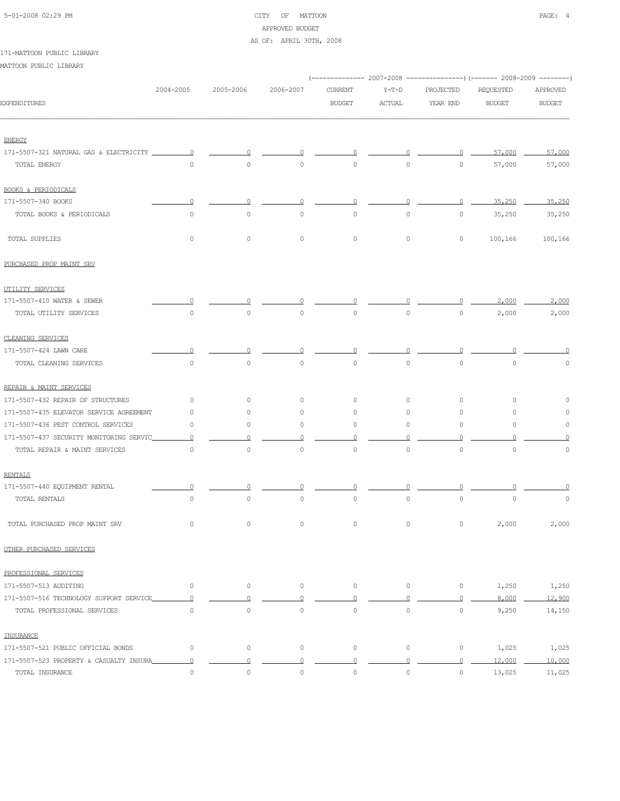| 5-01-2008 02:29 PM |  |
|--------------------|--|
|                    |  |

# CITY OF MATTOON **PAGE: 4** APPROVED BUDGET

### AS OF: APRIL 30TH, 2008

### 171-MATTOON PUBLIC LIBRARY

|                                         |                |                     |             |                     | (-------------- 2007-2008 ----------------) (------- 2008-2009 --------) |                |               |               |
|-----------------------------------------|----------------|---------------------|-------------|---------------------|--------------------------------------------------------------------------|----------------|---------------|---------------|
|                                         | 2004-2005      | 2005-2006           | 2006-2007   | <b>CURRENT</b>      | $Y-T-D$                                                                  | PROJECTED      | REQUESTED     | APPROVED      |
| EXPENDITURES                            |                |                     |             | <b>BUDGET</b>       | <b>ACTUAL</b>                                                            | YEAR END       | <b>BUDGET</b> | <b>BUDGET</b> |
| <b>ENERGY</b>                           |                |                     |             |                     |                                                                          |                |               |               |
| 171-5507-321 NATURAL GAS & ELECTRICITY  | $\Omega$       |                     |             |                     |                                                                          | $\Omega$       | 57,000        | 57,000        |
| TOTAL ENERGY                            | $\Omega$       | $\circ$             | $\circ$     | 0                   | $\circ$                                                                  | $\circ$        | 57,000        | 57,000        |
| BOOKS & PERIODICALS                     |                |                     |             |                     |                                                                          |                |               |               |
| 171-5507-340 BOOKS                      | $\Omega$       | 0                   | 0           | 0                   | 0                                                                        | $\overline{0}$ | 35,250        | 35,250        |
| TOTAL BOOKS & PERIODICALS               | $\circ$        | $\circ$             | 0           | 0                   | $\circ$                                                                  | $\circ$        | 35,250        | 35,250        |
| TOTAL SUPPLIES                          | $\circ$        | $\circ$             | $\circ$     | 0                   | $\circ$                                                                  | 0              | 100,166       | 100,166       |
| PURCHASED PROP MAINT SRV                |                |                     |             |                     |                                                                          |                |               |               |
| UTILITY SERVICES                        |                |                     |             |                     |                                                                          |                |               |               |
| 171-5507-410 WATER & SEWER              |                |                     |             |                     |                                                                          |                | 2,000         | 2,000         |
| TOTAL UTILITY SERVICES                  | $\circ$        | $\circ$             | $\circ$     | 0                   | $\circ$                                                                  | $\circ$        | 2,000         | 2,000         |
| CLEANING SERVICES                       |                |                     |             |                     |                                                                          |                |               |               |
| 171-5507-424 LAWN CARE                  | 0              |                     |             |                     |                                                                          |                |               | n             |
| TOTAL CLEANING SERVICES                 | $\circ$        | $\circ$             | $\mathbb O$ | $\mathsf{O}\xspace$ | $\circ$                                                                  | $\circ$        | $\mathbb O$   | 0             |
| REPAIR & MAINT SERVICES                 |                |                     |             |                     |                                                                          |                |               |               |
| 171-5507-432 REPAIR OF STRUCTURES       | $\circ$        | $\circ$             | 0           | $\circ$             | $\mathbf{0}$                                                             | $\circ$        | $\circ$       |               |
| 171-5507-435 ELEVATOR SERVICE AGREEMENT | 0              | $\circ$             | 0           | $\circ$             | $\circ$                                                                  | 0              | $\circ$       | 0             |
| 171-5507-436 PEST CONTROL SERVICES      | 0              | 0                   | 0           | 0                   | $\circ$                                                                  | $\circ$        | $\circ$       | 0             |
| 171-5507-437 SECURITY MONITORING SERVIC | $\Omega$       |                     |             |                     |                                                                          |                |               |               |
| TOTAL REPAIR & MAINT SERVICES           | $\circ$        | $\circ$             | 0           | 0                   | $\circ$                                                                  | $\mathbb O$    | $\circ$       | $\circ$       |
| <b>RENTALS</b>                          |                |                     |             |                     |                                                                          |                |               |               |
| 171-5507-440 EQUIPMENT RENTAL           |                |                     |             |                     |                                                                          |                |               |               |
| TOTAL RENTALS                           | $\circ$        | $\circ$             | $\mathbb O$ | $\mathsf{O}\xspace$ | $\circ$                                                                  | $\circ$        | $\circ$       | 0             |
| TOTAL PURCHASED PROP MAINT SRV          | $\circ$        | $\circ$             | $\circ$     | 0                   | $\mathbf{0}$                                                             | $\circ$        | 2,000         | 2,000         |
| OTHER PURCHASED SERVICES                |                |                     |             |                     |                                                                          |                |               |               |
| PROFESSIONAL SERVICES                   |                |                     |             |                     |                                                                          |                |               |               |
| 171-5507-513 AUDITING                   | $\circ$        | $\circ$             | $\circ$     | $\circ$             | $\circ$                                                                  | $\circ$        | 1,250         | 1,250         |
| 171-5507-516 TECHNOLOGY SUPPORT SERVICE | $\circ$        | $\Omega$            | $\circ$     | $\Omega$            | $\mathbf{0}$                                                             | $\Omega$       | 8,000         | 12,900        |
| TOTAL PROFESSIONAL SERVICES             | $\circ$        | $\circ$             | $\circ$     | $\circ$             | $\circ$                                                                  | $\circ$        | 9,250         | 14,150        |
| INSURANCE                               |                |                     |             |                     |                                                                          |                |               |               |
| 171-5507-521 PUBLIC OFFICIAL BONDS      | $\circ$        | $\mathsf{O}\xspace$ | $\circ$     | $\mathsf{O}\xspace$ | $\circ$                                                                  | $\circ$        | 1,025         | 1,025         |
| 171-5507-523 PROPERTY & CASUALTY INSURA | $\overline{0}$ | $\Omega$            | $\Omega$    | $\overline{0}$      | $\overline{0}$                                                           | $\overline{0}$ | 12,000        | 10,000        |
| TOTAL INSURANCE                         | $\circ$        | $\circ$             | $\circ$     | $\circ$             | $\circ$                                                                  | $\circ$        | 13,025        | 11,025        |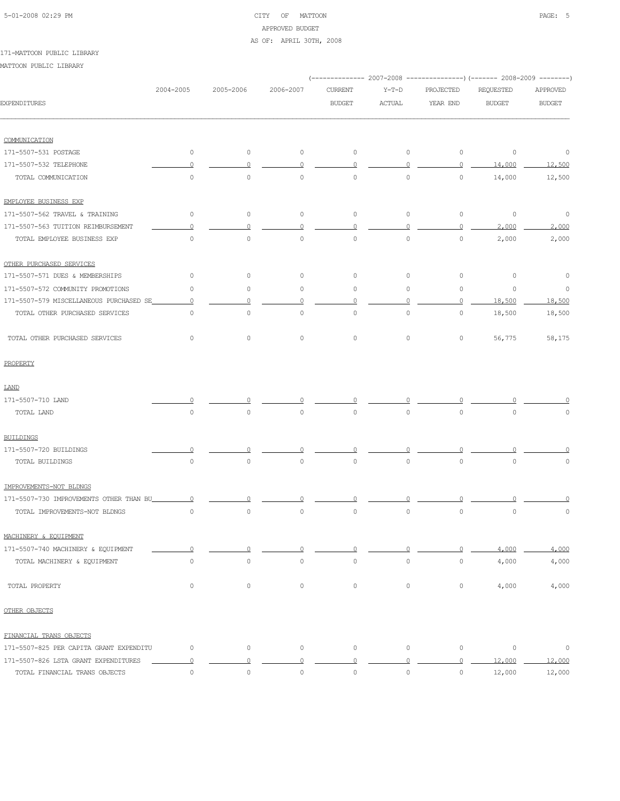### 5-01-2008 02:29 PM CITY OF MATTOON PAGE: 5 APPROVED BUDGET AS OF: APRIL 30TH, 2008

### 171-MATTOON PUBLIC LIBRARY

|                                         |                     |                     |             | ----------- 2007-2008 |               |                     | ----------------) (------- 2008-2009 ---------) |               |
|-----------------------------------------|---------------------|---------------------|-------------|-----------------------|---------------|---------------------|-------------------------------------------------|---------------|
|                                         | 2004-2005           | 2005-2006           | 2006-2007   | <b>CURRENT</b>        | $Y-T-D$       | PROJECTED           | REQUESTED                                       | APPROVED      |
| <b>EXPENDITURES</b>                     |                     |                     |             | <b>BUDGET</b>         | <b>ACTUAL</b> | YEAR END            | <b>BUDGET</b>                                   | <b>BUDGET</b> |
| COMMUNICATION                           |                     |                     |             |                       |               |                     |                                                 |               |
| 171-5507-531 POSTAGE                    | $\circ$             | 0                   | $\circ$     | $\circ$               | $\circ$       | $\circ$             | $\circ$                                         | $\circ$       |
| 171-5507-532 TELEPHONE                  | $\Omega$            | 0                   | $\Omega$    | 0                     | $\Omega$      | $\circ$             | 14,000                                          | 12,500        |
| TOTAL COMMUNICATION                     | $\circ$             | $\mathsf{O}\xspace$ | $\mathbb O$ | $\circ$               | $\circ$       | $\circ$             | 14,000                                          | 12,500        |
| EMPLOYEE BUSINESS EXP                   |                     |                     |             |                       |               |                     |                                                 |               |
| 171-5507-562 TRAVEL & TRAINING          | $\circ$             | $\circ$             | $\circ$     | 0                     | $\circ$       | $\circ$             | $\circ$                                         | $\circ$       |
| 171-5507-563 TUITION REIMBURSEMENT      | $\Omega$            | 0                   | $\Omega$    | $\Omega$              | $\Omega$      | $\circ$             | 2,000                                           | 2,000         |
| TOTAL EMPLOYEE BUSINESS EXP             | $\circ$             | $\circ$             | $\circ$     | $\circ$               | $\circ$       | $\circ$             | 2,000                                           | 2,000         |
| OTHER PURCHASED SERVICES                |                     |                     |             |                       |               |                     |                                                 |               |
| 171-5507-571 DUES & MEMBERSHIPS         | 0                   | $\circ$             | 0           | $\circ$               | $\circ$       | $\circ$             | 0                                               | $\circ$       |
| 171-5507-572 COMMUNITY PROMOTIONS       | $\circ$             | $\circ$             | 0           | 0                     | $\circ$       | $\circ$             | $\circ$                                         | $\circ$       |
| 171-5507-579 MISCELLANEOUS PURCHASED SE | $\circ$             | 0                   | $\circ$     | $\circ$               | $\Omega$      | $\overline{0}$      | 18,500                                          | 18,500        |
| TOTAL OTHER PURCHASED SERVICES          | $\circ$             | $\circ$             | 0           | 0                     | $\circ$       | $\circ$             | 18,500                                          | 18,500        |
| TOTAL OTHER PURCHASED SERVICES          | $\circ$             | $\mathsf{O}\xspace$ | $\mathbb O$ | $\mathsf{O}\xspace$   | $\circ$       | $\circ$             | 56,775                                          | 58,175        |
| PROPERTY                                |                     |                     |             |                       |               |                     |                                                 |               |
| LAND                                    |                     |                     |             |                       |               |                     |                                                 |               |
| 171-5507-710 LAND                       | n                   |                     |             |                       |               |                     |                                                 |               |
| TOTAL LAND                              | $\circ$             | $\mathsf{O}\xspace$ | $\mathbb O$ | $\circ$               | $\circ$       | $\mathsf{O}\xspace$ | $\mathbf 0$                                     | 0             |
| <b>BUILDINGS</b>                        |                     |                     |             |                       |               |                     |                                                 |               |
| 171-5507-720 BUILDINGS                  | $\Omega$            |                     |             |                       |               |                     |                                                 |               |
| TOTAL BUILDINGS                         | $\circ$             | $\mathsf{O}\xspace$ | $\mathbb O$ | $\mathsf{O}\xspace$   | $\circ$       | $\mathsf{O}\xspace$ | $\mathbf 0$                                     | 0             |
| IMPROVEMENTS-NOT BLDNGS                 |                     |                     |             |                       |               |                     |                                                 |               |
| 171-5507-730 IMPROVEMENTS OTHER THAN BU | $\Omega$            |                     |             |                       |               |                     |                                                 |               |
| TOTAL IMPROVEMENTS-NOT BLDNGS           | $\circ$             | $\mathsf{O}\xspace$ | $\mathbb O$ | $\mathsf{O}\xspace$   | $\circ$       | $\mathbb O$         | $\mathbb O$                                     | 0             |
| MACHINERY & EQUIPMENT                   |                     |                     |             |                       |               |                     |                                                 |               |
| 171-5507-740 MACHINERY & EQUIPMENT      | $\Omega$            | $\Omega$            | 0           | 0                     | 0             | $\circ$             | 4,000                                           | 4,000         |
| TOTAL MACHINERY & EQUIPMENT             | $\circ$             | $\circ$             | $\circ$     | $\circ$               | $\circ$       | $\circ$             | 4,000                                           | 4,000         |
| TOTAL PROPERTY                          | $\circ$             | $\circ$             | $\circ$     | $\circ$               | $\circ$       | $\circ$             | 4,000                                           | 4,000         |
| OTHER OBJECTS                           |                     |                     |             |                       |               |                     |                                                 |               |
| FINANCIAL TRANS OBJECTS                 |                     |                     |             |                       |               |                     |                                                 |               |
| 171-5507-825 PER CAPITA GRANT EXPENDITU | $\circ$             | $\mathsf{O}\xspace$ | $\circ$     | $\circ$               | $\circ$       | $\circ$             | $\mathbb O$                                     | $\circ$       |
| 171-5507-826 LSTA GRANT EXPENDITURES    | $\Omega$            | $\circ$             | $\circ$     | $\overline{0}$        | $\circ$       | $\overline{0}$      | 12,000                                          | 12,000        |
| TOTAL FINANCIAL TRANS OBJECTS           | $\mathsf{O}\xspace$ | $\mathbb O$         | $\circ$     | 0                     | $\circ$       | $\circ$             | 12,000                                          | 12,000        |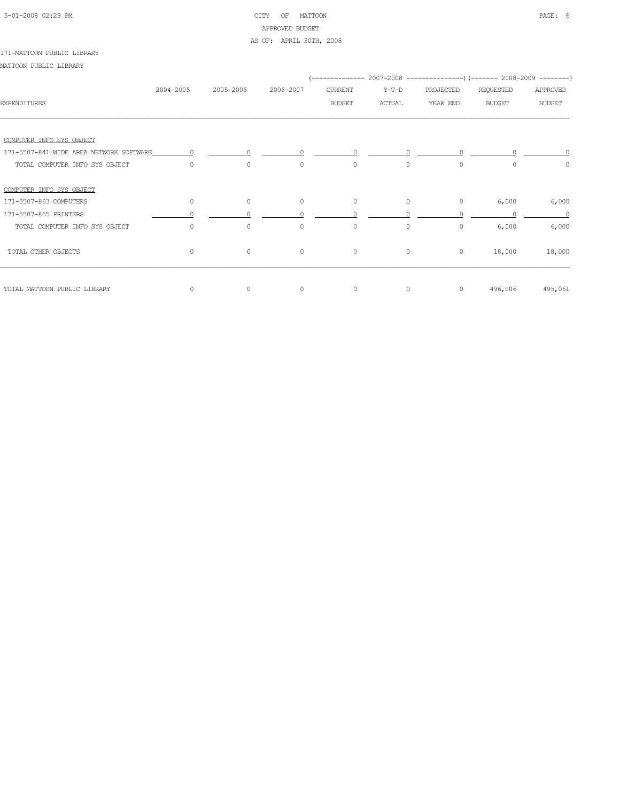# 5-01-2008 02:29 PM CITY OF MATTOON PAGE: 6 APPROVED BUDGET AS OF: APRIL 30TH, 2008

#### 171-MATTOON PUBLIC LIBRARY

|                                         |           |           |           |                |               |           | (-------------- 2007-2008 ----------------) (------- 2008-2009 --------) |               |
|-----------------------------------------|-----------|-----------|-----------|----------------|---------------|-----------|--------------------------------------------------------------------------|---------------|
|                                         | 2004-2005 | 2005-2006 | 2006-2007 | <b>CURRENT</b> | $Y-T-D$       | PROJECTED | REQUESTED                                                                | APPROVED      |
| <b>EXPENDITURES</b>                     |           |           |           | <b>BUDGET</b>  | <b>ACTUAL</b> | YEAR END  | <b>BUDGET</b>                                                            | <b>BUDGET</b> |
|                                         |           |           |           |                |               |           |                                                                          |               |
| COMPUTER INFO SYS OBJECT                |           |           |           |                |               |           |                                                                          |               |
| 171-5507-841 WIDE AREA NETWORK SOFTWARE |           |           |           |                |               |           |                                                                          |               |
| TOTAL COMPUTER INFO SYS OBJECT          | $\Omega$  | $\circ$   | $\circ$   | $\circ$        | $\circ$       | $\circ$   | $\Omega$                                                                 | $\circ$       |
| COMPUTER INFO SYS OBJECT                |           |           |           |                |               |           |                                                                          |               |
| 171-5507-863 COMPUTERS                  | $\circ$   | $\circ$   | $\circ$   | $\circ$        | $\circ$       | $\circ$   | 6,000                                                                    | 6,000         |
| 171-5507-865 PRINTERS                   |           |           |           |                |               |           |                                                                          | $\bigcap$     |
| TOTAL COMPUTER INFO SYS OBJECT          | 0         | $\circ$   | $\circ$   | $\circ$        | $\circ$       | 0         | 6,000                                                                    | 6,000         |
| TOTAL OTHER OBJECTS                     | $\circ$   | $\circ$   | $\circ$   | $\circ$        | $\circ$       | $\circ$   | 18,000                                                                   | 18,000        |
| TOTAL MATTOON PUBLIC LIBRARY            | 0         | $\circ$   | $\circ$   | $\circ$        | $\circ$       | $\circ$   | 496,006                                                                  | 495,061       |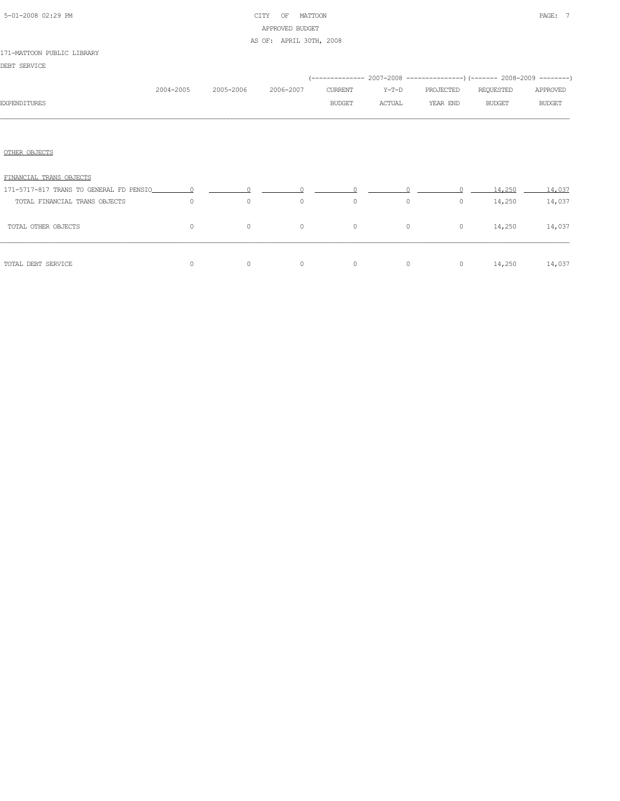| 5-01-2008 02:29 PM |  |  |
|--------------------|--|--|

# CITY OF MATTOON **PAGE:** 7 APPROVED BUDGET AS OF: APRIL 30TH, 2008

#### 171-MATTOON PUBLIC LIBRARY

DEBT SERVICE

|                               |           |           |           |               |         | (-------------- 2007-2008 ----------------) (------- 2008-2009 --------) |                             |               |
|-------------------------------|-----------|-----------|-----------|---------------|---------|--------------------------------------------------------------------------|-----------------------------|---------------|
|                               | 2004-2005 | 2005-2006 | 2006-2007 | CURRENT       | $Y-T-D$ | PROJECTED                                                                | REQUESTED                   | APPROVED      |
| <b>EXPENDITURES</b>           |           |           |           | <b>BUDGET</b> | ACTUAL  | YEAR END                                                                 | <b>BUDGET</b>               | <b>BUDGET</b> |
|                               |           |           |           |               |         |                                                                          |                             |               |
| OTHER OBJECTS                 |           |           |           |               |         |                                                                          |                             |               |
| FINANCIAL TRANS OBJECTS       |           |           |           |               |         |                                                                          |                             |               |
|                               |           |           |           |               |         |                                                                          | 14.250                      | 14,037        |
| TOTAL FINANCIAL TRANS OBJECTS | $\Omega$  | $\circ$   | $\circ$   | $\circ$       |         | $\circ$                                                                  | $0 \qquad \qquad$<br>14,250 | 14,037        |
| TOTAL OTHER OBJECTS           | $\Omega$  | $\circ$   | $\circ$   | $\circ$       |         | $\circ$<br>$\circ$                                                       | 14,250                      | 14,037        |
| TOTAL DEBT SERVICE            | $\circ$   | $\circ$   | $\circ$   | $\circ$       |         | $\circ$                                                                  | 0 $14,250$ $14,037$         |               |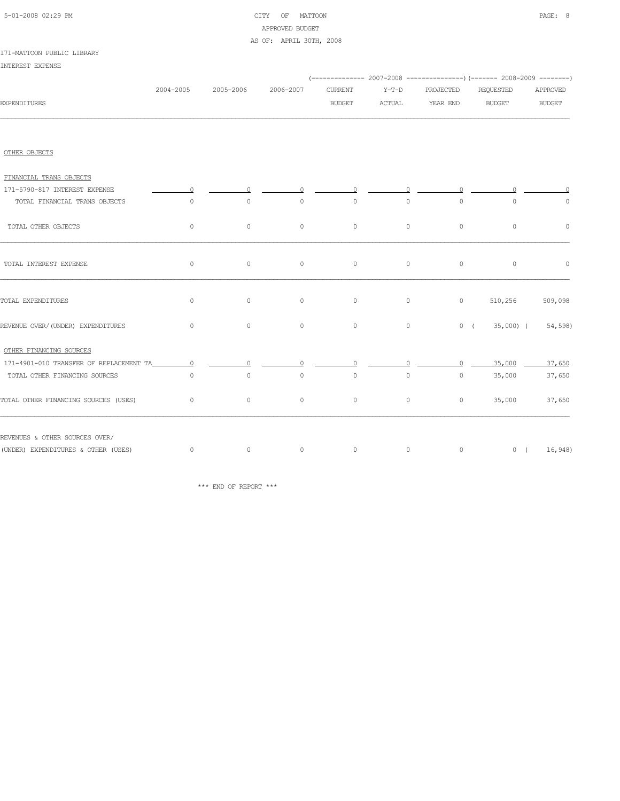| 5-01-2008 02:29 PM |  |  |
|--------------------|--|--|

# CITY OF MATTOON PAGE: 8 APPROVED BUDGET AS OF: APRIL 30TH, 2008

#### 171-MATTOON PUBLIC LIBRARY

INTEREST EXPENSE

|                                         |           |           |           |                |         |           | (-------------- 2007-2008 -------------------) (------- 2008-2009 ---------) |               |
|-----------------------------------------|-----------|-----------|-----------|----------------|---------|-----------|------------------------------------------------------------------------------|---------------|
|                                         | 2004-2005 | 2005-2006 | 2006-2007 | <b>CURRENT</b> | $Y-T-D$ | PROJECTED | REQUESTED                                                                    | APPROVED      |
| <b>EXPENDITURES</b>                     |           |           |           | <b>BUDGET</b>  | ACTUAL  | YEAR END  | <b>BUDGET</b>                                                                | <b>BUDGET</b> |
|                                         |           |           |           |                |         |           |                                                                              |               |
| OTHER OBJECTS                           |           |           |           |                |         |           |                                                                              |               |
| FINANCIAL TRANS OBJECTS                 |           |           |           |                |         |           |                                                                              |               |
| 171-5790-817 INTEREST EXPENSE           |           |           |           | $\Omega$       |         | $\cap$    |                                                                              |               |
| TOTAL FINANCIAL TRANS OBJECTS           | $\circ$   | $\circ$   | $\circ$   | $\circ$        | $\circ$ | $\circ$   | $\circ$                                                                      | $\circ$       |
| TOTAL OTHER OBJECTS                     | $\circ$   | 0         | $\circ$   | $\circ$        | $\circ$ | $\circ$   | $\circ$                                                                      | $\circ$       |
| TOTAL INTEREST EXPENSE                  | $\circ$   | $\circ$   | $\circ$   | $\circ$        | $\circ$ | $\circ$   | $\circ$                                                                      | $\circ$       |
| TOTAL EXPENDITURES                      | $\circ$   | $\circ$   | $\circ$   | $\circ$        | $\circ$ |           | 510,256<br>$0 \qquad \qquad$                                                 | 509,098       |
| REVENUE OVER/(UNDER) EXPENDITURES       | $\circ$   | $\circ$   | $\circ$   | $\circ$        | $\circ$ |           | $0$ ( 35,000) ( 54,598)                                                      |               |
| OTHER FINANCING SOURCES                 |           |           |           |                |         |           |                                                                              |               |
| 171-4901-010 TRANSFER OF REPLACEMENT TA | $\Omega$  |           |           |                |         |           | 35,000                                                                       | 37,650        |
| TOTAL OTHER FINANCING SOURCES           | $\circ$   | $\circ$   | $\circ$   | $\circ$        | $\circ$ | $\circ$   | 35,000                                                                       | 37,650        |
| TOTAL OTHER FINANCING SOURCES (USES)    | $\circ$   | 0         | $\circ$   | $\circ$        | $\circ$ | $\circ$   | 35,000                                                                       | 37,650        |
| REVENUES & OTHER SOURCES OVER/          |           |           |           |                |         |           |                                                                              |               |
| (UNDER) EXPENDITURES & OTHER (USES)     | $\circ$   | $\sim$ 0  | $\circ$   | $\circ$        | $\circ$ | $\sim$ 0  | 0(16,948)                                                                    |               |

\*\*\* END OF REPORT \*\*\*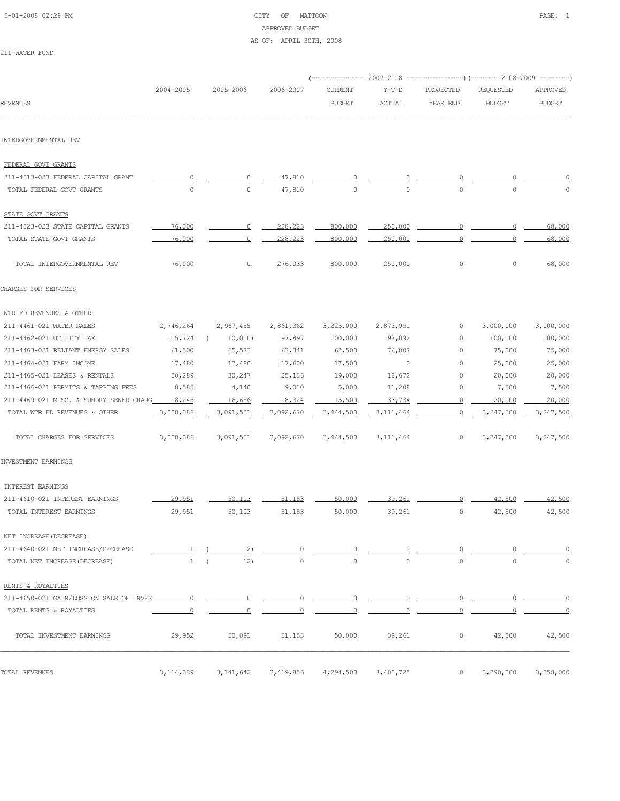# 5-01-2008 02:29 PM CITY OF MATTOON PAGE: 1 APPROVED BUDGET AS OF: APRIL 30TH, 2008

211-WATER FUND

|                                         |                       |                     |                     |                                 |                          |                       | (-------------- 2007-2008 ----------------) (------- 2008-2009 -------- |                           |
|-----------------------------------------|-----------------------|---------------------|---------------------|---------------------------------|--------------------------|-----------------------|-------------------------------------------------------------------------|---------------------------|
| REVENUES                                | 2004-2005             | 2005-2006           | 2006-2007           | <b>CURRENT</b><br><b>BUDGET</b> | $Y-T-D$<br><b>ACTUAL</b> | PROJECTED<br>YEAR END | REQUESTED<br><b>BUDGET</b>                                              | APPROVED<br><b>BUDGET</b> |
|                                         |                       |                     |                     |                                 |                          |                       |                                                                         |                           |
| INTERGOVERNMENTAL REV                   |                       |                     |                     |                                 |                          |                       |                                                                         |                           |
|                                         |                       |                     |                     |                                 |                          |                       |                                                                         |                           |
| FEDERAL GOVT GRANTS                     |                       |                     |                     |                                 |                          |                       |                                                                         |                           |
| 211-4313-023 FEDERAL CAPITAL GRANT      | ∩                     | ∩                   | 47,810              |                                 |                          | n                     |                                                                         |                           |
| TOTAL FEDERAL GOVT GRANTS               | $\mathbb O$           | $\mathsf{O}\xspace$ | 47,810              | $\circ$                         | $\mathbb O$              | $\circ$               | $\mathbb O$                                                             | $\circ$                   |
| STATE GOVT GRANTS                       |                       |                     |                     |                                 |                          |                       |                                                                         |                           |
| 211-4323-023 STATE CAPITAL GRANTS       | 76,000                | 0                   | 228,223             | 800,000                         | 250,000                  | 0                     | n                                                                       | 68,000                    |
| TOTAL STATE GOVT GRANTS                 | 76,000                | 0                   | 228,223             | 800,000                         | 250,000                  | O                     |                                                                         | 68,000                    |
| TOTAL INTERGOVERNMENTAL REV             | 76,000                | $\circ$             | 276,033             | 800,000                         | 250,000                  | $\circ$               | 0                                                                       | 68,000                    |
| CHARGES FOR SERVICES                    |                       |                     |                     |                                 |                          |                       |                                                                         |                           |
| WTR FD REVENUES & OTHER                 |                       |                     |                     |                                 |                          |                       |                                                                         |                           |
| 211-4461-021 WATER SALES                | 2,746,264             | 2,967,455           | 2,861,362           | 3,225,000                       | 2,873,951                | 0                     | 3,000,000                                                               | 3,000,000                 |
| 211-4462-021 UTILITY TAX                | 105,724               | 10,000<br>$\left($  | 97,897              | 100,000                         | 97,092                   | 0                     | 100,000                                                                 | 100,000                   |
| 211-4463-021 RELIANT ENERGY SALES       | 61,500                | 65,573              | 63,341              | 62,500                          | 76,807                   | 0                     | 75,000                                                                  | 75,000                    |
| 211-4464-021 FARM INCOME                | 17,480                | 17,480              | 17,600              | 17,500                          | $\circ$                  | 0                     | 25,000                                                                  | 25,000                    |
| 211-4465-021 LEASES & RENTALS           | 50,289                | 30,247              | 25,136              | 19,000                          | 18,672                   | 0                     | 20,000                                                                  | 20,000                    |
| 211-4466-021 PERMITS & TAPPING FEES     | 8,585                 | 4,140               | 9,010               | 5,000                           | 11,208                   | 0                     | 7,500                                                                   | 7,500                     |
| 211-4469-021 MISC. & SUNDRY SEWER CHARG | 18,245                | 16,656              | 18,324              | 15,500                          | 33,734                   | $\Omega$              | 20,000                                                                  | 20,000                    |
| TOTAL WTR FD REVENUES & OTHER           | 3,008,086             | 3,091,551           | 3,092,670           | 3,444,500                       | 3.111,464                | $\circ$               | 3,247,500                                                               | 3,247,500                 |
| TOTAL CHARGES FOR SERVICES              | 3,008,086             | 3,091,551           | 3,092,670           | 3,444,500                       | 3, 111, 464              | 0                     | 3,247,500                                                               | 3,247,500                 |
| INVESTMENT EARNINGS                     |                       |                     |                     |                                 |                          |                       |                                                                         |                           |
| INTEREST EARNINGS                       |                       |                     |                     |                                 |                          |                       |                                                                         |                           |
| 211-4610-021 INTEREST EARNINGS          | 29,951                | 50,103              | 51,153              | 50,000                          | 39,261                   | ∩                     | 42,500                                                                  | 42,500                    |
| TOTAL INTEREST EARNINGS                 | 29,951                | 50,103              | 51,153              | 50,000                          | 39,261                   | $\mathbb O$           | 42,500                                                                  | 42,500                    |
| NET INCREASE (DECREASE)                 |                       |                     |                     |                                 |                          |                       |                                                                         |                           |
| 211-4640-021 NET INCREASE/DECREASE      | $\mathbf{\mathbf{1}}$ | 12)                 | $\circ$             |                                 |                          |                       |                                                                         |                           |
| TOTAL NET INCREASE (DECREASE)           | $\mathbf{1}$          | 12)<br>$\left($     | $\mathsf{O}\xspace$ | $\circ$                         | $\circ$                  | $\circ$               | $\mathbb O$                                                             | $\circ$                   |
| RENTS & ROYALTIES                       |                       |                     |                     |                                 |                          |                       |                                                                         |                           |
| 211-4650-021 GAIN/LOSS ON SALE OF INVES | $\circ$               | $\overline{0}$      | $\circ$             | $\overline{0}$                  |                          | $\circ$               |                                                                         |                           |
| TOTAL RENTS & ROYALTIES                 | 0                     | $\Omega$            | O                   |                                 |                          | 0                     |                                                                         |                           |
| TOTAL INVESTMENT EARNINGS               | 29,952                | 50,091              | 51,153              | 50,000                          | 39,261                   | $\circ$               | 42,500                                                                  | 42,500                    |
| TOTAL REVENUES                          | 3, 114, 039           | 3, 141, 642         | 3,419,856           | 4,294,500                       | 3,400,725                | $\circ$               | 3,290,000                                                               | 3,358,000                 |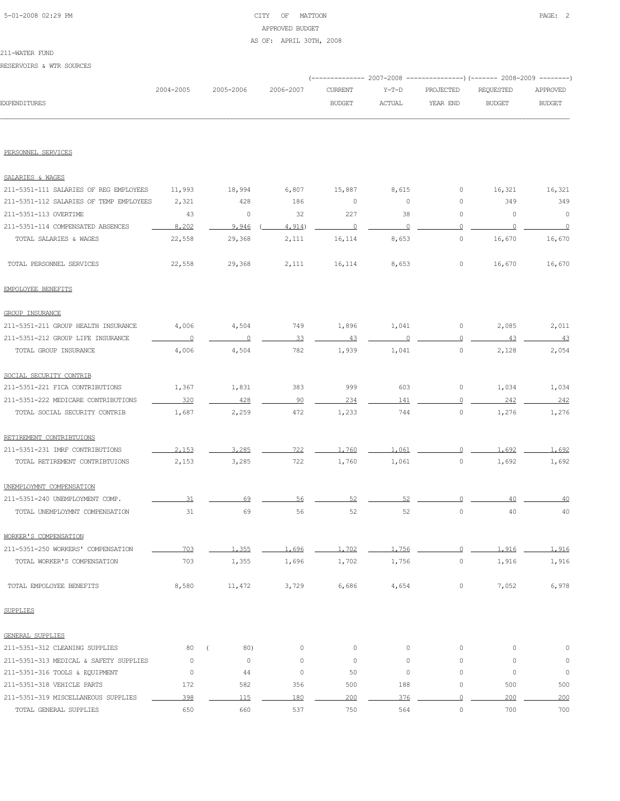# 5-01-2008 02:29 PM CITY OF MATTOON PAGE: 2 APPROVED BUDGET AS OF: APRIL 30TH, 2008

### 211-WATER FUND

RESERVOIRS & WTR SOURCES

|                     |           |           |           |               |               | (-------------- 2007-2008 -----------------) (------- 2008-2009 ---------) |               |               |
|---------------------|-----------|-----------|-----------|---------------|---------------|----------------------------------------------------------------------------|---------------|---------------|
|                     | 2004-2005 | 2005-2006 | 2006-2007 | CURRENT       | $Y-T-D$       | PROJECTED                                                                  | REOUESTED     | APPROVED      |
| <b>EXPENDITURES</b> |           |           |           | <b>BUDGET</b> | <b>ACTUAL</b> | YEAR END                                                                   | <b>BUDGET</b> | <b>BUDGET</b> |
|                     |           |           |           |               |               |                                                                            |               |               |

### PERSONNEL SERVICES

| SALARIES & WAGES                        |                      |         |         |         |          |                     |         |          |
|-----------------------------------------|----------------------|---------|---------|---------|----------|---------------------|---------|----------|
| 211-5351-111 SALARIES OF REG EMPLOYEES  | 11,993               | 18,994  | 6,807   | 15,887  | 8,615    | 0                   | 16,321  | 16,321   |
| 211-5351-112 SALARIES OF TEMP EMPLOYEES | 2,321                | 428     | 186     | 0       | 0        | 0                   | 349     | 349      |
| 211-5351-113 OVERTIME                   | 43                   | 0       | 32      | 227     | 38       | 0                   | $\circ$ | $\circ$  |
| 211-5351-114 COMPENSATED ABSENCES       | 8,202                | 9,946   | 4,914)  | $\circ$ | $\Omega$ | $\Omega$            | $\circ$ | $\Omega$ |
| TOTAL SALARIES & WAGES                  | 22,558               | 29,368  | 2,111   | 16,114  | 8,653    | $\circ$             | 16,670  | 16,670   |
| TOTAL PERSONNEL SERVICES                | 22,558               | 29,368  | 2,111   | 16,114  | 8,653    | $\circ$             | 16,670  | 16,670   |
| EMPOLOYEE BENEFITS                      |                      |         |         |         |          |                     |         |          |
| <b>GROUP INSURANCE</b>                  |                      |         |         |         |          |                     |         |          |
| 211-5351-211 GROUP HEALTH INSURANCE     | 4,006                | 4,504   | 749     | 1,896   | 1,041    | $\circ$             | 2,085   | 2,011    |
| 211-5351-212 GROUP LIFE INSURANCE       | $\overline{0}$       | $\circ$ | 33      | 43      | $\circ$  | $\Omega$            | 43      | 43       |
| TOTAL GROUP INSURANCE                   | 4,006                | 4,504   | 782     | 1,939   | 1,041    | $\circ$             | 2,128   | 2,054    |
| SOCIAL SECURITY CONTRIB                 |                      |         |         |         |          |                     |         |          |
| 211-5351-221 FICA CONTRIBUTIONS         | 1,367                | 1,831   | 383     | 999     | 603      | $\circ$             | 1,034   | 1,034    |
| 211-5351-222 MEDICARE CONTRIBUTIONS     | 320                  | 428     | 90      | 234     | 141      | $\circ$             | 242     | 242      |
| TOTAL SOCIAL SECURITY CONTRIB           | 1,687                | 2,259   | 472     | 1,233   | 744      | $\circ$             | 1,276   | 1,276    |
| RETIREMENT CONTRIBTUIONS                |                      |         |         |         |          |                     |         |          |
| 211-5351-231 IMRF CONTRIBUTIONS         | 2.153                | 3,285   | 722     | 1,760   | 1,061    | $\Omega$            | 1,692   | 1,692    |
| TOTAL RETIREMENT CONTRIBTUIONS          | 2,153                | 3,285   | 722     | 1,760   | 1,061    | $\circ$             | 1,692   | 1,692    |
| UNEMPLOYMNT COMPENSATION                |                      |         |         |         |          |                     |         |          |
| 211-5351-240 UNEMPLOYMENT COMP.         | 31                   | 69      | 56      | 52      | 52       | $\circ$             | 40      | 40       |
| TOTAL UNEMPLOYMNT COMPENSATION          | 31                   | 69      | 56      | 52      | 52       | $\circ$             | 40      | 40       |
| WORKER'S COMPENSATION                   |                      |         |         |         |          |                     |         |          |
| 211-5351-250 WORKERS' COMPENSATION      | 703                  | 1,355   | 1,696   | 1,702   | 1,756    | $\overline{0}$      | 1.916   | 1,916    |
| TOTAL WORKER'S COMPENSATION             | 703                  | 1,355   | 1,696   | 1,702   | 1,756    | $\circ$             | 1,916   | 1,916    |
| TOTAL EMPOLOYEE BENEFITS                | 8,580                | 11,472  | 3,729   | 6,686   | 4,654    | $\circ$             | 7,052   | 6,978    |
| SUPPLIES                                |                      |         |         |         |          |                     |         |          |
| GENERAL SUPPLIES                        |                      |         |         |         |          |                     |         |          |
| 211-5351-312 CLEANING SUPPLIES          | 80<br>$\overline{ }$ | 80)     | 0       | $\circ$ | $\circ$  | $\circ$             | $\circ$ | $\circ$  |
| 211-5351-313 MEDICAL & SAFETY SUPPLIES  | $\circ$              | $\circ$ | $\circ$ | $\circ$ | $\circ$  | $\circ$             | $\circ$ | $\circ$  |
| 211-5351-316 TOOLS & EQUIPMENT          | $\circ$              | 44      | $\circ$ | 50      | $\circ$  | $\circ$             | $\circ$ | $\circ$  |
| 211-5351-318 VEHICLE PARTS              | 172                  | 582     | 356     | 500     | 188      | $\circ$             | 500     | 500      |
| 211-5351-319 MISCELLANEOUS SUPPLIES     | 398                  | 115     | 180     | 200     | 376      | $\overline{0}$      | 200     | 200      |
| TOTAL GENERAL SUPPLIES                  | 650                  | 660     | 537     | 750     | 564      | $\mathsf{O}\xspace$ | 700     | 700      |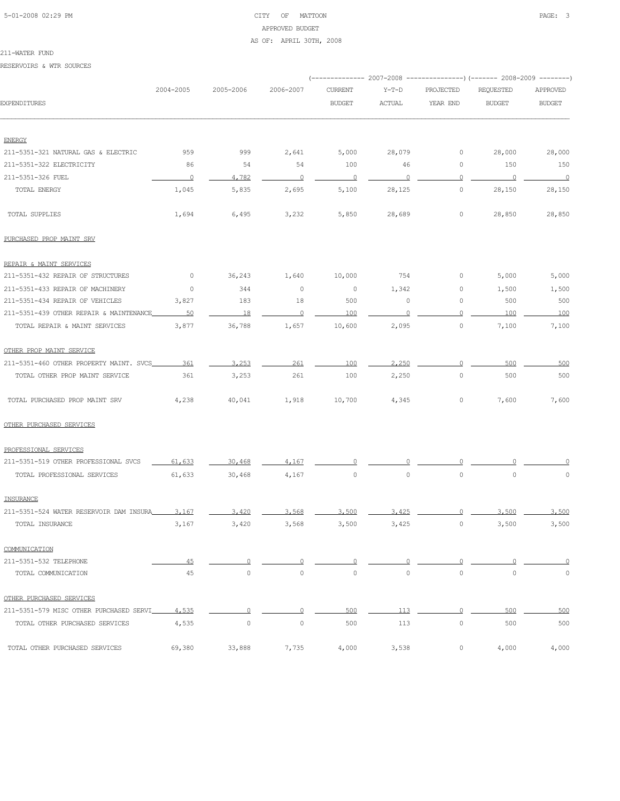# 5-01-2008 02:29 PM CITY OF MATTOON PAGE: 3 APPROVED BUDGET AS OF: APRIL 30TH, 2008

#### 211-WATER FUND

RESERVOIRS & WTR SOURCES

|                                         |                |                |                | ----------- 2007-2008    |                     |                     | ----------------) (------- 2008-2009 ---------) |               |
|-----------------------------------------|----------------|----------------|----------------|--------------------------|---------------------|---------------------|-------------------------------------------------|---------------|
|                                         | 2004-2005      | 2005-2006      | 2006-2007      | <b>CURRENT</b>           | $Y-T-D$             | PROJECTED           | REQUESTED                                       | APPROVED      |
| <b>EXPENDITURES</b>                     |                |                |                | <b>BUDGET</b>            | <b>ACTUAL</b>       | YEAR END            | <b>BUDGET</b>                                   | <b>BUDGET</b> |
|                                         |                |                |                |                          |                     |                     |                                                 |               |
| <b>ENERGY</b>                           |                |                |                |                          |                     |                     |                                                 |               |
| 211-5351-321 NATURAL GAS & ELECTRIC     | 959            | 999            | 2,641          | 5,000                    | 28,079              | 0                   | 28,000                                          | 28,000        |
| 211-5351-322 ELECTRICITY                | 86             | 54             | 54             | 100                      | 46                  | 0                   | 150                                             | 150           |
| 211-5351-326 FUEL                       | $\overline{0}$ | 4,782<br>5,835 | $\overline{0}$ | $\overline{\phantom{0}}$ | $\circ$             | $\Omega$<br>$\circ$ | $\overline{\phantom{0}}$                        | $\sim$ 0      |
| TOTAL ENERGY                            | 1,045          |                | 2,695          | 5,100                    | 28,125              |                     | 28,150                                          | 28,150        |
| TOTAL SUPPLIES                          | 1,694          | 6,495          | 3,232          | 5,850                    | 28,689              | $\circ$             | 28,850                                          | 28,850        |
| PURCHASED PROP MAINT SRV                |                |                |                |                          |                     |                     |                                                 |               |
| REPAIR & MAINT SERVICES                 |                |                |                |                          |                     |                     |                                                 |               |
| 211-5351-432 REPAIR OF STRUCTURES       | 0              | 36,243         | 1,640          | 10,000                   | 754                 | 0                   | 5,000                                           | 5,000         |
| 211-5351-433 REPAIR OF MACHINERY        | $\circ$        | 344            | $\circ$        | $\circ$                  | 1,342               | 0                   | 1,500                                           | 1,500         |
| 211-5351-434 REPAIR OF VEHICLES         | 3,827          | 183            | 18             | 500                      | 0                   | 0                   | 500                                             | 500           |
| 211-5351-439 OTHER REPAIR & MAINTENANCE | 50             | 18             | $\circ$        | 100                      | $\Omega$            | 0                   | 100                                             | 100           |
| TOTAL REPAIR & MAINT SERVICES           | 3,877          | 36,788         | 1,657          | 10,600                   | 2,095               | $\circ$             | 7,100                                           | 7,100         |
| OTHER PROP MAINT SERVICE                |                |                |                |                          |                     |                     |                                                 |               |
| 211-5351-460 OTHER PROPERTY MAINT. SVCS | 361            | 3,253          | 261            | 100                      | 2,250               | $\Omega$            | 500                                             | 500           |
| TOTAL OTHER PROP MAINT SERVICE          | 361            | 3,253          | 261            | 100                      | 2,250               | $\circ$             | 500                                             | 500           |
| TOTAL PURCHASED PROP MAINT SRV          | 4,238          | 40,041         | 1,918          | 10,700                   | 4,345               | $\circ$             | 7,600                                           | 7,600         |
| OTHER PURCHASED SERVICES                |                |                |                |                          |                     |                     |                                                 |               |
| PROFESSIONAL SERVICES                   |                |                |                |                          |                     |                     |                                                 |               |
| 211-5351-519 OTHER PROFESSIONAL SVCS    | 61,633         | 30,468         | 4,167          |                          |                     |                     |                                                 |               |
| TOTAL PROFESSIONAL SERVICES             | 61,633         | 30,468         | 4,167          | $\circ$                  | $\mathsf{O}\xspace$ | $\circ$             | $\mathbb O$                                     | $\mathbb O$   |
| INSURANCE                               |                |                |                |                          |                     |                     |                                                 |               |
| 211-5351-524 WATER RESERVOIR DAM INSURA | 3.167          | 3,420          | 3,568          | 3,500                    | 3.425               |                     | 3,500                                           | 3,500         |
| TOTAL INSURANCE                         | 3,167          | 3,420          | 3,568          | 3,500                    | 3,425               | $\circ$             | 3,500                                           | 3,500         |
| COMMUNICATION                           |                |                |                |                          |                     |                     |                                                 |               |
| 211-5351-532 TELEPHONE                  | 45             | $\circ$        | 0              | $\Omega$                 |                     | 0                   |                                                 |               |
| TOTAL COMMUNICATION                     | 45             | $\circ$        | $\circ$        | $\circ$                  | $\circ$             | $\mathsf{O}\xspace$ | $\mathbb O$                                     | $\circ$       |
| OTHER PURCHASED SERVICES                |                |                |                |                          |                     |                     |                                                 |               |
| 211-5351-579 MISC OTHER PURCHASED SERVI | 4,535          | $\overline{0}$ | $\Omega$       | 500                      | 113                 | $\overline{0}$      | 500                                             | 500           |
| TOTAL OTHER PURCHASED SERVICES          | 4,535          | $\circ$        | $\circ$        | 500                      | 113                 | $\circ$             | 500                                             | 500           |
| TOTAL OTHER PURCHASED SERVICES          | 69,380         | 33,888         | 7,735          | 4,000                    | 3,538               | $\circ$             | 4,000                                           | 4,000         |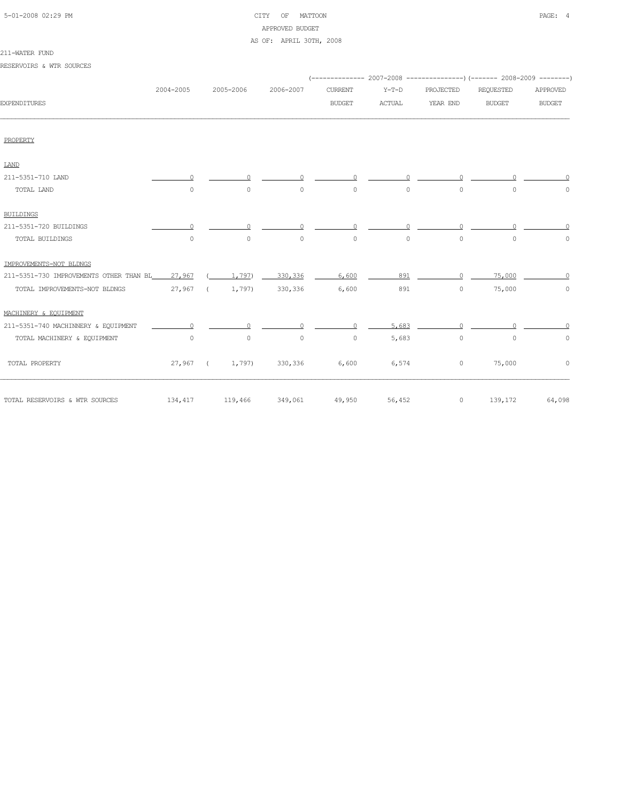# 5-01-2008 02:29 PM CITY OF MATTOON PAGE: 4 APPROVED BUDGET

### AS OF: APRIL 30TH, 2008

# 211-WATER FUND

| RESERVOIRS & WTR SOURCES |  |  |
|--------------------------|--|--|
|                          |  |  |

|                                                |                 |           |                         |                |               |           | ------------ 2007-2008 ----------------) (------- 2008-2009 --------) |               |
|------------------------------------------------|-----------------|-----------|-------------------------|----------------|---------------|-----------|-----------------------------------------------------------------------|---------------|
|                                                | 2004-2005       | 2005-2006 | 2006-2007               | <b>CURRENT</b> | $Y-T-D$       | PROJECTED | <b>REQUESTED</b>                                                      | APPROVED      |
| <b>EXPENDITURES</b>                            |                 |           |                         | <b>BUDGET</b>  | <b>ACTUAL</b> | YEAR END  | <b>BUDGET</b>                                                         | <b>BUDGET</b> |
|                                                |                 |           |                         |                |               |           |                                                                       |               |
| PROPERTY                                       |                 |           |                         |                |               |           |                                                                       |               |
| <b>LAND</b>                                    |                 |           |                         |                |               |           |                                                                       |               |
| 211-5351-710 LAND                              |                 | $\Omega$  |                         |                |               |           |                                                                       |               |
| TOTAL LAND                                     | $\circ$         | $\circ$   | $\circ$                 | $\circ$        | $\circ$       | $\circ$   | $\circ$                                                               | $\circ$       |
| <b>BUILDINGS</b>                               |                 |           |                         |                |               |           |                                                                       |               |
| 211-5351-720 BUILDINGS                         |                 |           |                         | $\bigcap$      |               |           |                                                                       |               |
| TOTAL BUILDINGS                                | $\circ$         | $\circ$   | $\circ$                 | 0              | $\circ$       | $\circ$   | $\circ$                                                               | 0             |
| IMPROVEMENTS-NOT BLDNGS                        |                 |           |                         |                |               |           |                                                                       |               |
| 211-5351-730 IMPROVEMENTS OTHER THAN BL 27,967 |                 |           | $1,797$ $330,336$       | 6,600          | 891           | $\cap$    | 75,000                                                                | $\Omega$      |
| TOTAL IMPROVEMENTS-NOT BLDNGS                  | 27,967 (        | 1,797)    | 330,336                 | 6,600          | 891           | $\circ$   | 75,000                                                                | $\circ$       |
| MACHINERY & EOUIPMENT                          |                 |           |                         |                |               |           |                                                                       |               |
| 211-5351-740 MACHINNERY & EQUIPMENT            | $\cap$          | $\Omega$  |                         | $\Omega$       | 5,683         | $\cap$    |                                                                       |               |
| TOTAL MACHINERY & EQUIPMENT                    | $\circ$         | $\circ$   | $\circ$                 | $\circ$        | 5,683         | $\circ$   | $\circ$                                                               | $\circ$       |
| TOTAL PROPERTY                                 |                 |           | 27,967 ( 1,797) 330,336 | 6,600          | 6,574         | $\circ$   | 75,000                                                                | $\circ$       |
| TOTAL RESERVOIRS & WTR SOURCES                 | 134,417 119,466 |           | 349,061                 | 49,950         | 56,452        | $\circ$   | 139,172                                                               | 64,098        |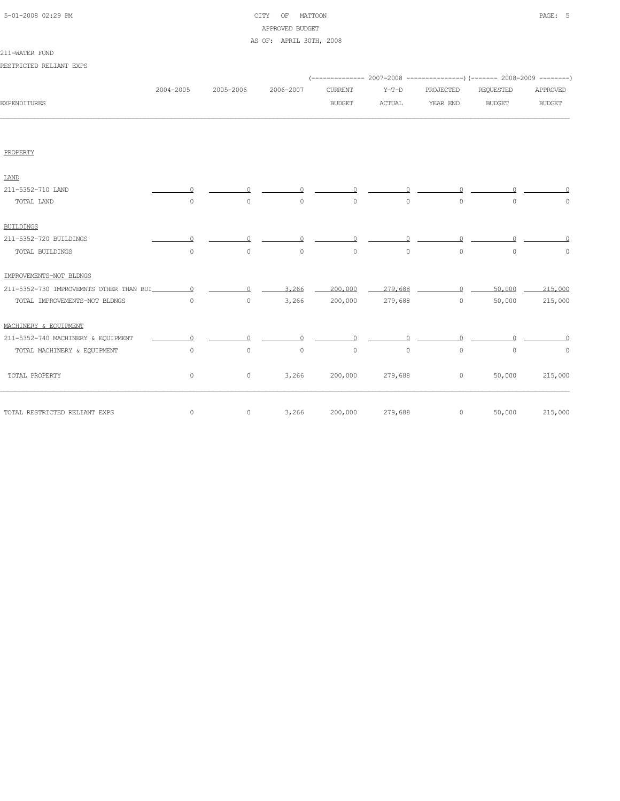| 5-01-2008 02:29 PM |  |
|--------------------|--|

# CITY OF MATTOON **PAGE:** 5 APPROVED BUDGET

### AS OF: APRIL 30TH, 2008

| RESTRICTED RELIANT EXPS                 |              |              |           |                                 |                          |                       |                                                                                                        |                           |
|-----------------------------------------|--------------|--------------|-----------|---------------------------------|--------------------------|-----------------------|--------------------------------------------------------------------------------------------------------|---------------------------|
| <b>EXPENDITURES</b>                     | 2004-2005    | 2005-2006    | 2006-2007 | <b>CURRENT</b><br><b>BUDGET</b> | $Y-T-D$<br><b>ACTUAL</b> | PROJECTED<br>YEAR END | (-------------- 2007-2008 ----------------) (------- 2008-2009 --------)<br>REQUESTED<br><b>BUDGET</b> | APPROVED<br><b>BUDGET</b> |
|                                         |              |              |           |                                 |                          |                       |                                                                                                        |                           |
| PROPERTY                                |              |              |           |                                 |                          |                       |                                                                                                        |                           |
| <b>LAND</b>                             |              |              |           |                                 |                          |                       |                                                                                                        |                           |
| 211-5352-710 LAND                       | <sup>0</sup> | <sup>0</sup> |           |                                 |                          |                       |                                                                                                        |                           |
| TOTAL LAND                              | $\circ$      | $\circ$      | $\circ$   | $\circ$                         | $\circ$                  | $\circ$               | $\circ$                                                                                                | $\circ$                   |
| <b>BUILDINGS</b>                        |              |              |           |                                 |                          |                       |                                                                                                        |                           |
| 211-5352-720 BUILDINGS                  | $\cap$       | $\Omega$     | $\cap$    | $\Omega$                        | $\Omega$                 | $\Omega$              |                                                                                                        |                           |
| TOTAL BUILDINGS                         | $\circ$      | $\circ$      | $\circ$   | $\circ$                         | $\circ$                  | $\circ$               | $\circ$                                                                                                | $\circ$                   |
| IMPROVEMENTS-NOT BLDNGS                 |              |              |           |                                 |                          |                       |                                                                                                        |                           |
| 211-5352-730 IMPROVEMNTS OTHER THAN BUI | $\Omega$     | $\circ$      | 3,266     | 200,000                         | 279,688                  | $\Omega$              | 50,000                                                                                                 | 215,000                   |
| TOTAL IMPROVEMENTS-NOT BLDNGS           | $\circ$      | $\circ$      | 3,266     | 200,000                         | 279,688                  | $\circ$               | 50,000                                                                                                 | 215,000                   |
| MACHINERY & EOUIPMENT                   |              |              |           |                                 |                          |                       |                                                                                                        |                           |
| 211-5352-740 MACHINERY & EQUIPMENT      | $\circ$      | $\circ$      | $\Omega$  | $\circ$                         |                          | $\Omega$              |                                                                                                        |                           |
| TOTAL MACHINERY & EQUIPMENT             | $\circ$      | $\circ$      | $\circ$   | $\circ$                         | $\circ$                  | $\circ$               | $\circ$                                                                                                | $\circ$                   |
| TOTAL PROPERTY                          | $\circ$      | $\circ$      | 3,266     | 200,000                         | 279,688                  | $\circ$               | 50,000                                                                                                 | 215,000                   |
| TOTAL RESTRICTED RELIANT EXPS           | $\circ$      | $\circ$      | 3,266     | 200,000                         | 279,688                  | $\circ$               | 50,000                                                                                                 | 215,000                   |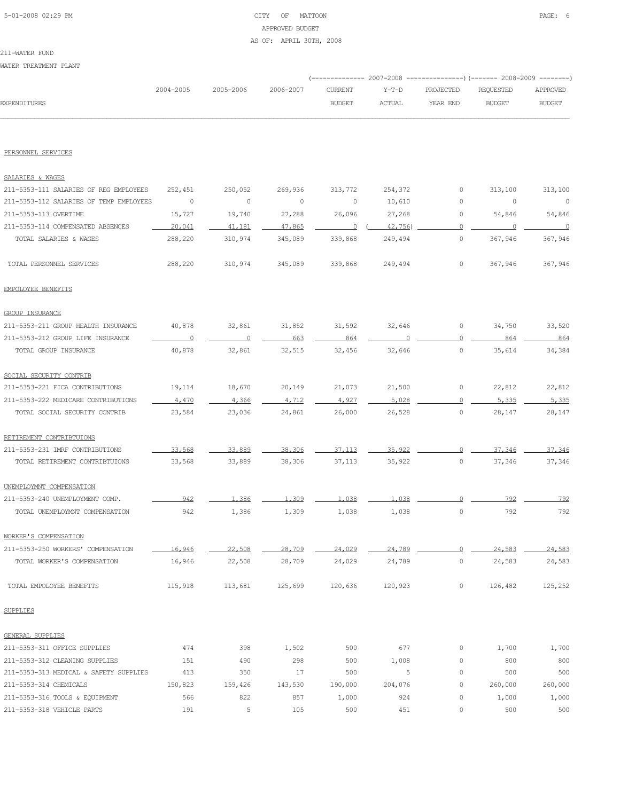# 5-01-2008 02:29 PM CITY OF MATTOON PAGE: 6 APPROVED BUDGET AS OF: APRIL 30TH, 2008

### 211-WATER FUND

WATER TREATMENT PLANT

|                     |           |                     |               |               | (-------------- 2007-2008 ----------------) (------- 2008-2009 ---------) |           |               |
|---------------------|-----------|---------------------|---------------|---------------|---------------------------------------------------------------------------|-----------|---------------|
|                     | 2004-2005 | 2005-2006 2006-2007 |               | CURRENT Y-T-D | PROJECTED                                                                 | REOUESTED | APPROVED      |
| <b>EXPENDITURES</b> |           |                     | <b>BUDGET</b> | <b>ACTUAL</b> | YEAR END                                                                  | BUDGET    | <b>BUDGET</b> |
|                     |           |                     |               |               |                                                                           |           |               |

### PERSONNEL SERVICES

| SALARIES & WAGES                        |                |                |         |                |         |                |         |          |
|-----------------------------------------|----------------|----------------|---------|----------------|---------|----------------|---------|----------|
| 211-5353-111 SALARIES OF REG EMPLOYEES  | 252,451        | 250,052        | 269,936 | 313,772        | 254,372 | 0              | 313,100 | 313,100  |
| 211-5353-112 SALARIES OF TEMP EMPLOYEES | 0              | 0              | $\circ$ | 0              | 10,610  | 0              | 0       | $\circ$  |
| 211-5353-113 OVERTIME                   | 15,727         | 19,740         | 27,288  | 26,096         | 27,268  | 0              | 54,846  | 54,846   |
| 211-5353-114 COMPENSATED ABSENCES       | 20,041         | 41,181         | 47,865  | $\overline{0}$ | 42,756  | $\overline{0}$ | $\circ$ | $\Omega$ |
| TOTAL SALARIES & WAGES                  | 288,220        | 310,974        | 345,089 | 339,868        | 249,494 | 0              | 367,946 | 367,946  |
| TOTAL PERSONNEL SERVICES                | 288,220        | 310,974        | 345,089 | 339,868        | 249,494 | $\circ$        | 367,946 | 367,946  |
| EMPOLOYEE BENEFITS                      |                |                |         |                |         |                |         |          |
| <b>GROUP INSURANCE</b>                  |                |                |         |                |         |                |         |          |
| 211-5353-211 GROUP HEALTH INSURANCE     | 40,878         | 32,861         | 31,852  | 31,592         | 32,646  | 0              | 34,750  | 33,520   |
| 211-5353-212 GROUP LIFE INSURANCE       | $\overline{0}$ | $\overline{0}$ | 663     | 864            | $\circ$ | $\Omega$       | 864     | 864      |
| TOTAL GROUP INSURANCE                   | 40,878         | 32,861         | 32,515  | 32,456         | 32,646  | $\circ$        | 35,614  | 34,384   |
| SOCIAL SECURITY CONTRIB                 |                |                |         |                |         |                |         |          |
| 211-5353-221 FICA CONTRIBUTIONS         | 19,114         | 18,670         | 20,149  | 21,073         | 21,500  | 0              | 22,812  | 22,812   |
| 211-5353-222 MEDICARE CONTRIBUTIONS     | 4,470          | 4,366          | 4.712   | 4.927          | 5,028   | $\circ$        | 5,335   | 5,335    |
| TOTAL SOCIAL SECURITY CONTRIB           | 23,584         | 23,036         | 24,861  | 26,000         | 26,528  | $\circ$        | 28,147  | 28,147   |
| RETIREMENT CONTRIBTUIONS                |                |                |         |                |         |                |         |          |
| 211-5353-231 IMRF CONTRIBUTIONS         | 33,568         | 33,889         | 38,306  | 37, 113        | 35,922  | $\cap$         | 37,346  | 37,346   |
| TOTAL RETIREMENT CONTRIBTUIONS          | 33,568         | 33,889         | 38,306  | 37,113         | 35,922  | 0              | 37,346  | 37,346   |
| UNEMPLOYMNT COMPENSATION                |                |                |         |                |         |                |         |          |
| 211-5353-240 UNEMPLOYMENT COMP.         | 942            | 1,386          | 1,309   | 1,038          | 1,038   | $\circ$        | 792     | 792      |
| TOTAL UNEMPLOYMNT COMPENSATION          | 942            | 1,386          | 1,309   | 1,038          | 1,038   | $\circ$        | 792     | 792      |
| WORKER'S COMPENSATION                   |                |                |         |                |         |                |         |          |
| 211-5353-250 WORKERS' COMPENSATION      | 16,946         | 22,508         | 28,709  | 24,029         | 24,789  | $\circ$        | 24,583  | 24,583   |
| TOTAL WORKER'S COMPENSATION             | 16,946         | 22,508         | 28,709  | 24,029         | 24,789  | $\circ$        | 24,583  | 24,583   |
| TOTAL EMPOLOYEE BENEFITS                | 115,918        | 113,681        | 125,699 | 120,636        | 120,923 | 0              | 126,482 | 125,252  |
| <b>SUPPLIES</b>                         |                |                |         |                |         |                |         |          |
| GENERAL SUPPLIES                        |                |                |         |                |         |                |         |          |
| 211-5353-311 OFFICE SUPPLIES            | 474            | 398            | 1,502   | 500            | 677     | 0              | 1,700   | 1,700    |
| 211-5353-312 CLEANING SUPPLIES          | 151            | 490            | 298     | 500            | 1,008   | 0              | 800     | 800      |
| 211-5353-313 MEDICAL & SAFETY SUPPLIES  | 413            | 350            | 17      | 500            | 5       | 0              | 500     | 500      |
| 211-5353-314 CHEMICALS                  | 150,823        | 159,426        | 143,530 | 190,000        | 204,076 | 0              | 260,000 | 260,000  |
| 211-5353-316 TOOLS & EQUIPMENT          | 566            | 822            | 857     | 1,000          | 924     | $\circ$        | 1,000   | 1,000    |
| 211-5353-318 VEHICLE PARTS              | 191            | 5              | 105     | 500            | 451     | $\circ$        | 500     | 500      |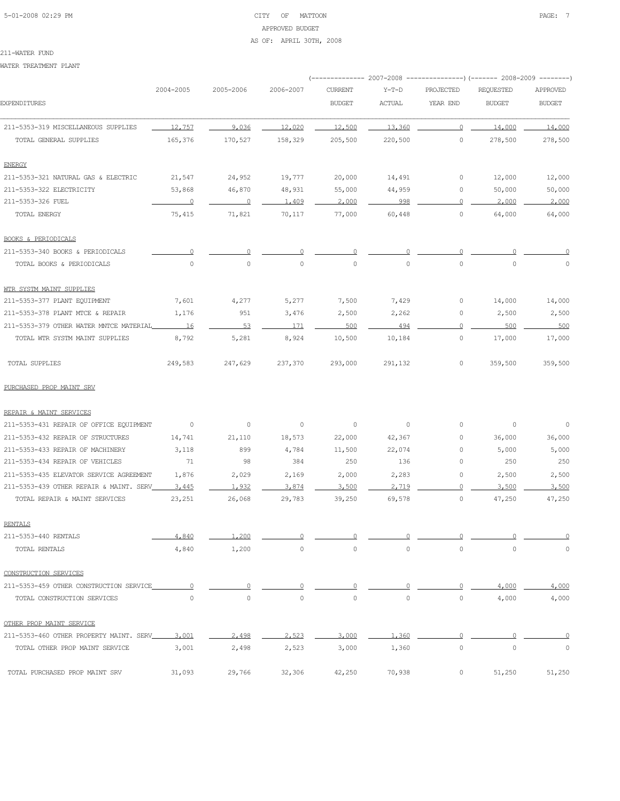# 5-01-2008 02:29 PM CITY OF MATTOON PAGE: 7 APPROVED BUDGET AS OF: APRIL 30TH, 2008

#### 211-WATER FUND

WATER TREATMENT PLANT

|                                         |                          |                |                          | ------------ 2007-2008 |               |                | ---------------) (------- 2008-2009 --------) |               |
|-----------------------------------------|--------------------------|----------------|--------------------------|------------------------|---------------|----------------|-----------------------------------------------|---------------|
|                                         | 2004-2005                | 2005-2006      | 2006-2007                | <b>CURRENT</b>         | $Y-T-D$       | PROJECTED      | REQUESTED                                     | APPROVED      |
| <b>EXPENDITURES</b>                     |                          |                |                          | <b>BUDGET</b>          | <b>ACTUAL</b> | YEAR END       | <b>BUDGET</b>                                 | <b>BUDGET</b> |
| 211-5353-319 MISCELLANEOUS SUPPLIES     | 12,757                   | 9.036          | 12,020                   | 12,500                 | 13,360        | $\circ$        | 14,000                                        | 14,000        |
| TOTAL GENERAL SUPPLIES                  | 165,376                  | 170,527        | 158,329                  | 205,500                | 220,500       | $\circ$        | 278,500                                       | 278,500       |
| <b>ENERGY</b>                           |                          |                |                          |                        |               |                |                                               |               |
| 211-5353-321 NATURAL GAS & ELECTRIC     | 21,547                   | 24,952         | 19,777                   | 20,000                 | 14,491        | $\circ$        | 12,000                                        | 12,000        |
| 211-5353-322 ELECTRICITY                | 53,868                   | 46,870         | 48,931                   | 55,000                 | 44,959        | 0              | 50,000                                        | 50,000        |
| 211-5353-326 FUEL                       |                          | $\sim$ 0       | 1,409                    | 2,000                  | 998           | $\circ$        | 2,000                                         | 2,000         |
| TOTAL ENERGY                            | 75,415                   | 71,821         | 70,117                   | 77,000                 | 60,448        | $\circ$        | 64,000                                        | 64,000        |
| <b>BOOKS &amp; PERIODICALS</b>          |                          |                |                          |                        |               |                |                                               |               |
| 211-5353-340 BOOKS & PERIODICALS        | $\Omega$                 | $\Omega$       | 0                        | 0                      |               | $\circ$        |                                               |               |
| TOTAL BOOKS & PERIODICALS               | $\circ$                  | $\circ$        | $\circ$                  | 0                      | $\circ$       | $\circ$        | $\circ$                                       | $\Omega$      |
| WTR SYSTM MAINT SUPPLIES                |                          |                |                          |                        |               |                |                                               |               |
| 211-5353-377 PLANT EQUIPMENT            | 7,601                    | 4,277          | 5,277                    | 7,500                  | 7,429         | 0              | 14,000                                        | 14,000        |
| 211-5353-378 PLANT MTCE & REPAIR        | 1,176                    | 951            | 3,476                    | 2,500                  | 2,262         | 0              | 2,500                                         | 2,500         |
| 211-5353-379 OTHER WATER MNTCE MATERIAL | 16                       | 53             | 171                      | 500                    | 494           | $\circ$        | 500                                           | 500           |
| TOTAL WTR SYSTM MAINT SUPPLIES          | 8,792                    | 5,281          | 8,924                    | 10,500                 | 10,184        | 0              | 17,000                                        | 17,000        |
| TOTAL SUPPLIES                          | 249,583                  | 247,629        | 237,370                  | 293,000                | 291,132       | $\circ$        | 359,500                                       | 359,500       |
| PURCHASED PROP MAINT SRV                |                          |                |                          |                        |               |                |                                               |               |
| REPAIR & MAINT SERVICES                 |                          |                |                          |                        |               |                |                                               |               |
| 211-5353-431 REPAIR OF OFFICE EQUIPMENT | $\overline{\phantom{0}}$ | $\circ$        | $\overline{\phantom{0}}$ | $\circ$                | 0             | $\circ$        | 0                                             | $\circ$       |
| 211-5353-432 REPAIR OF STRUCTURES       | 14,741                   | 21,110         | 18,573                   | 22,000                 | 42,367        | $\circ$        | 36,000                                        | 36,000        |
| 211-5353-433 REPAIR OF MACHINERY        | 3,118                    | 899            | 4,784                    | 11,500                 | 22,074        | $\circ$        | 5,000                                         | 5,000         |
| 211-5353-434 REPAIR OF VEHICLES         | 71                       | 98             | 384                      | 250                    | 136           | $\circ$        | 250                                           | 250           |
| 211-5353-435 ELEVATOR SERVICE AGREEMENT | 1,876                    | 2,029          | 2,169                    | 2,000                  | 2,283         | $\circ$        | 2,500                                         | 2,500         |
| 211-5353-439 OTHER REPAIR & MAINT. SERV | 3,445                    | 1,932          | 3,874                    | 3,500                  | 2.719         | $\Omega$       | 3,500                                         | 3,500         |
| TOTAL REPAIR & MAINT SERVICES           | 23,251                   | 26,068         | 29,783                   | 39,250                 | 69,578        | $\circ$        | 47,250                                        | 47,250        |
| <b>RENTALS</b>                          |                          |                |                          |                        |               |                |                                               |               |
| 211-5353-440 RENTALS                    | 4,840                    | 1,200          | 0                        | 0                      | 0             | $\Omega$       |                                               | $\circ$       |
| TOTAL RENTALS                           | 4,840                    | 1,200          | $\circ$                  | $\circ$                | $\circ$       | $\circ$        | $\mathbf 0$                                   | 0             |
| CONSTRUCTION SERVICES                   |                          |                |                          |                        |               |                |                                               |               |
| 211-5353-459 OTHER CONSTRUCTION SERVICE | $\overline{0}$           | $\overline{0}$ | $\overline{0}$           | 0                      | 0             | $\circ$        | 4,000                                         | 4,000         |
| TOTAL CONSTRUCTION SERVICES             | $\circ$                  | $\circ$        | $\circ$                  | 0                      | $\circ$       | $\circ$        | 4,000                                         | 4,000         |
| OTHER PROP MAINT SERVICE                |                          |                |                          |                        |               |                |                                               |               |
| 211-5353-460 OTHER PROPERTY MAINT, SERV | 3,001                    | 2,498          | 2,523                    | 3,000                  | 1,360         | $\overline{0}$ | 0                                             | 0             |
| TOTAL OTHER PROP MAINT SERVICE          | 3,001                    | 2,498          | 2,523                    | 3,000                  | 1,360         | $\mathbb O$    | $\circ$                                       | $\circ$       |
| TOTAL PURCHASED PROP MAINT SRV          | 31,093                   | 29,766         | 32,306                   | 42,250                 | 70,938        | 0              | 51,250                                        | 51,250        |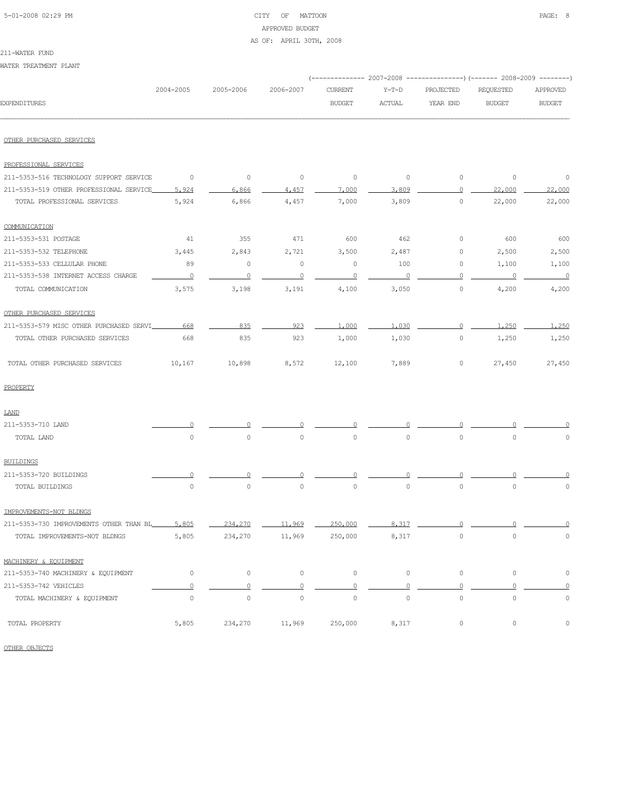# 5-01-2008 02:29 PM CITY OF MATTOON PAGE: 8 APPROVED BUDGET AS OF: APRIL 30TH, 2008

WATER TREATMENT PLANT

|                                         |                     |                     |             |                |               |                     | (-------------- 2007-2008 ---------------) (------- 2008-2009 --------) |                     |
|-----------------------------------------|---------------------|---------------------|-------------|----------------|---------------|---------------------|-------------------------------------------------------------------------|---------------------|
|                                         | 2004-2005           | 2005-2006           | 2006-2007   | <b>CURRENT</b> | $Y-T-D$       | PROJECTED           | REQUESTED                                                               | APPROVED            |
| <b>EXPENDITURES</b>                     |                     |                     |             | <b>BUDGET</b>  | <b>ACTUAL</b> | YEAR END            | <b>BUDGET</b>                                                           | <b>BUDGET</b>       |
| OTHER PURCHASED SERVICES                |                     |                     |             |                |               |                     |                                                                         |                     |
| PROFESSIONAL SERVICES                   |                     |                     |             |                |               |                     |                                                                         |                     |
| 211-5353-516 TECHNOLOGY SUPPORT SERVICE | $\overline{0}$      | $\circ$             | $\circ$     | $\circ$        | $\circ$       | $\circ$             | $\circ$                                                                 | $\circ$             |
| 211-5353-519 OTHER PROFESSIONAL SERVICE | 5.924               | 6,866               | 4.457       | 7,000          | 3,809         | 0                   | 22,000                                                                  | 22,000              |
| TOTAL PROFESSIONAL SERVICES             | 5,924               | 6,866               | 4,457       | 7,000          | 3,809         | $\circ$             | 22,000                                                                  | 22,000              |
| COMMUNICATION                           |                     |                     |             |                |               |                     |                                                                         |                     |
| 211-5353-531 POSTAGE                    | 41                  | 355                 | 471         | 600            | 462           | 0                   | 600                                                                     | 600                 |
| 211-5353-532 TELEPHONE                  | 3,445               | 2,843               | 2,721       | 3,500          | 2,487         | 0                   | 2,500                                                                   | 2,500               |
| 211-5353-533 CELLULAR PHONE             | 89                  | $\circ$             | $\circ$     | $\circ$        | 100           | 0                   | 1,100                                                                   | 1,100               |
| 211-5353-538 INTERNET ACCESS CHARGE     | $\overline{0}$      | $\overline{0}$      | $\circ$     | $\circ$        | $\circ$       | 0                   | $\circ$                                                                 | $\circ$             |
| TOTAL COMMUNICATION                     | 3,575               | 3,198               | 3,191       | 4,100          | 3,050         | 0                   | 4,200                                                                   | 4,200               |
| OTHER PURCHASED SERVICES                |                     |                     |             |                |               |                     |                                                                         |                     |
| 211-5353-579 MISC OTHER PURCHASED SERVI | 668                 | 835                 | 923         | 1,000          | 1,030         | 0                   | 1,250                                                                   | 1,250               |
| TOTAL OTHER PURCHASED SERVICES          | 668                 | 835                 | 923         | 1,000          | 1,030         | $\circ$             | 1,250                                                                   | 1,250               |
| TOTAL OTHER PURCHASED SERVICES          | 10,167              | 10,898              | 8,572       | 12,100         | 7,889         | 0                   | 27,450                                                                  | 27,450              |
| PROPERTY                                |                     |                     |             |                |               |                     |                                                                         |                     |
| LAND                                    |                     |                     |             |                |               |                     |                                                                         |                     |
| 211-5353-710 LAND                       |                     |                     |             |                |               |                     |                                                                         |                     |
| TOTAL LAND                              | $\circ$             | $\circ$             | $\mathbb O$ | 0              | $\circ$       | $\circ$             | 0                                                                       | 0                   |
| <b>BUILDINGS</b>                        |                     |                     |             |                |               |                     |                                                                         |                     |
| 211-5353-720 BUILDINGS                  |                     |                     |             |                |               |                     |                                                                         |                     |
| TOTAL BUILDINGS                         | $\circ$             | $\mathbb O$         | $\mathbb O$ | $\mathbb O$    | $\circ$       | $\mathbb O$         | $\mathbf 0$                                                             | $\Omega$            |
| IMPROVEMENTS-NOT BLDNGS                 |                     |                     |             |                |               |                     |                                                                         |                     |
| 211-5353-730 IMPROVEMENTS OTHER THAN BL | 5,805               | 234,270             | 11,969      | 250,000        | 8,317         |                     |                                                                         |                     |
| TOTAL IMPROVEMENTS-NOT BLDNGS           | 5,805               | 234,270             | 11,969      | 250,000        | 8,317         | $\circ$             | $\mathsf{O}\xspace$                                                     | $\mathsf{O}\xspace$ |
| MACHINERY & EQUIPMENT                   |                     |                     |             |                |               |                     |                                                                         |                     |
| 211-5353-740 MACHINERY & EQUIPMENT      | $\circ$             | 0                   | $\circ$     | $\circ$        | $\circ$       | $\circ$             | 0                                                                       | $\mathbb O$         |
| 211-5353-742 VEHICLES                   | $\mathbf 0$         | $\overline{0}$      | $\Omega$    | $\Omega$       | $\Omega$      | $\mathbf 0$         | $\Omega$                                                                | $\mathbf 0$         |
| TOTAL MACHINERY & EQUIPMENT             | $\mathsf{O}\xspace$ | $\mathsf{O}\xspace$ | $\mathbb O$ | $\circ$        | $\circ$       | $\circ$             | $\mathbb O$                                                             | $\mathbb O$         |
| TOTAL PROPERTY                          | 5,805               | 234,270             | 11,969      | 250,000        | 8,317         | $\mathsf{O}\xspace$ | 0                                                                       | 0                   |

OTHER OBJECTS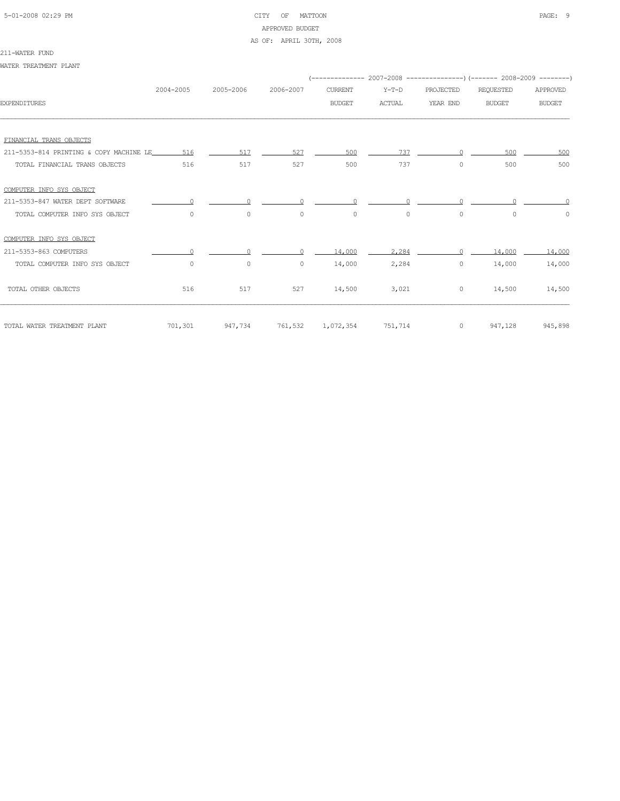# 5-01-2008 02:29 PM CITY OF MATTOON PAGE: 9 APPROVED BUDGET

## AS OF: APRIL 30TH, 2008

#### 211-WATER FUND

WATER TREATMENT PLANT

|                                         | 2004-2005 | 2005-2006 | 2006-2007 | <b>CURRENT</b>    | $Y-T-D$       | PROJECTED | <b>REQUESTED</b> | APPROVED      |
|-----------------------------------------|-----------|-----------|-----------|-------------------|---------------|-----------|------------------|---------------|
| <b>EXPENDITURES</b>                     |           |           |           | <b>BUDGET</b>     | <b>ACTUAL</b> | YEAR END  | <b>BUDGET</b>    | <b>BUDGET</b> |
|                                         |           |           |           |                   |               |           |                  |               |
| FINANCIAL TRANS OBJECTS                 |           |           |           |                   |               |           |                  |               |
| 211-5353-814 PRINTING & COPY MACHINE LE | 516       | 517       | 527       | 500               | 737           |           | 500              | 500           |
| TOTAL FINANCIAL TRANS OBJECTS           | 516       | 517       | 527       | 500               | 737           | $\circ$   | 500              | 500           |
| COMPUTER INFO SYS OBJECT                |           |           |           |                   |               |           |                  |               |
| 211-5353-847 WATER DEPT SOFTWARE        |           |           |           |                   |               |           |                  |               |
| TOTAL COMPUTER INFO SYS OBJECT          | $\Omega$  | $\circ$   | $\circ$   | $\circ$           | $\circ$       | $\circ$   | $\Omega$         | $\circ$       |
| COMPUTER INFO SYS OBJECT                |           |           |           |                   |               |           |                  |               |
| 211-5353-863 COMPUTERS                  |           |           |           | 14,000            | 2,284         | $\cap$    | 14,000           | 14,000        |
| TOTAL COMPUTER INFO SYS OBJECT          | $\circ$   | 0         | $\circ$   | 14,000            | 2,284         | $\circ$   | 14,000           | 14,000        |
| TOTAL OTHER OBJECTS                     | 516       | 517       | 527       | 14,500            | 3,021         | $\circ$   | 14,500           | 14,500        |
| TOTAL WATER TREATMENT PLANT             | 701,301   | 947,734   |           | 761,532 1,072,354 | 751,714       | $\circ$   | 947,128          | 945,898       |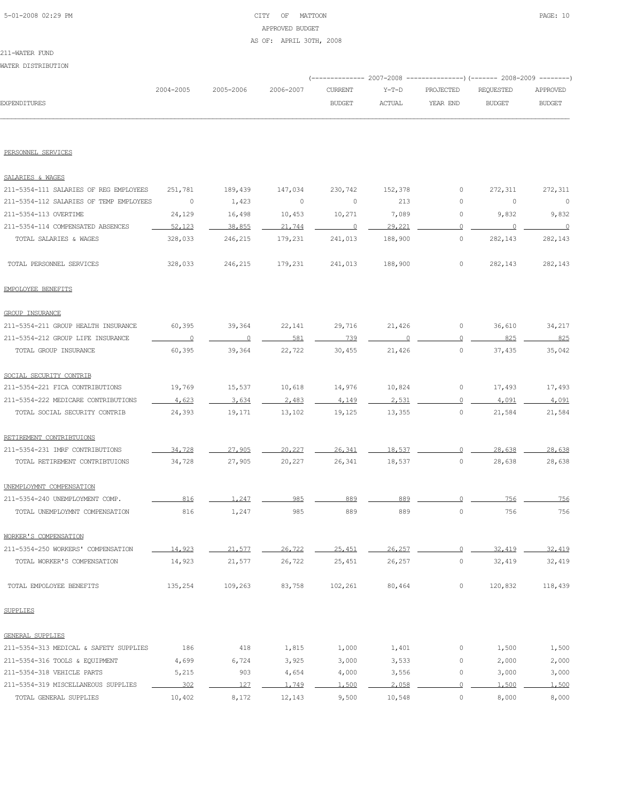# 5-01-2008 02:29 PM CITY OF MATTOON PAGE: 10 APPROVED BUDGET AS OF: APRIL 30TH, 2008

211-WATER FUND WATER DISTRIBUTION

|                                         |           |                |           |                          |               |                     | (------------- 2007-2008 ---------------) (------- 2008-2009 --------) |                          |
|-----------------------------------------|-----------|----------------|-----------|--------------------------|---------------|---------------------|------------------------------------------------------------------------|--------------------------|
|                                         | 2004-2005 | 2005-2006      | 2006-2007 | <b>CURRENT</b>           | $Y-T-D$       | PROJECTED           | REQUESTED                                                              | APPROVED                 |
| <b>EXPENDITURES</b>                     |           |                |           | <b>BUDGET</b>            | <b>ACTUAL</b> | YEAR END            | <b>BUDGET</b>                                                          | <b>BUDGET</b>            |
|                                         |           |                |           |                          |               |                     |                                                                        |                          |
| PERSONNEL SERVICES                      |           |                |           |                          |               |                     |                                                                        |                          |
| SALARIES & WAGES                        |           |                |           |                          |               |                     |                                                                        |                          |
| 211-5354-111 SALARIES OF REG EMPLOYEES  | 251,781   | 189,439        | 147,034   | 230,742                  | 152,378       | 0                   | 272,311                                                                | 272,311                  |
| 211-5354-112 SALARIES OF TEMP EMPLOYEES | $\circ$   | 1,423          | 0         | 0                        | 213           | 0                   | 0                                                                      | $\circ$                  |
| 211-5354-113 OVERTIME                   | 24,129    | 16,498         | 10,453    | 10,271                   | 7,089         | 0                   | 9,832                                                                  | 9,832                    |
| 211-5354-114 COMPENSATED ABSENCES       | 52,123    | 38,855         | 21,744    | $\overline{\phantom{0}}$ | 29,221        | 0                   | $\overline{\phantom{0}}$                                               | $\overline{\phantom{0}}$ |
| TOTAL SALARIES & WAGES                  | 328,033   | 246,215        | 179,231   | 241,013                  | 188,900       | 0                   | 282,143                                                                | 282,143                  |
| TOTAL PERSONNEL SERVICES                | 328,033   | 246,215        | 179,231   | 241,013                  | 188,900       | 0                   | 282,143                                                                | 282,143                  |
| EMPOLOYEE BENEFITS                      |           |                |           |                          |               |                     |                                                                        |                          |
| <b>GROUP INSURANCE</b>                  |           |                |           |                          |               |                     |                                                                        |                          |
| 211-5354-211 GROUP HEALTH INSURANCE     | 60,395    | 39,364         | 22,141    | 29,716                   | 21,426        | 0                   | 36,610                                                                 | 34,217                   |
| 211-5354-212 GROUP LIFE INSURANCE       | 0         | $\overline{0}$ | 581       | 739                      |               | 0                   | 825                                                                    | 825                      |
| TOTAL GROUP INSURANCE                   | 60,395    | 39,364         | 22,722    | 30,455                   | 21,426        | 0                   | 37,435                                                                 | 35,042                   |
| SOCIAL SECURITY CONTRIB                 |           |                |           |                          |               |                     |                                                                        |                          |
| 211-5354-221 FICA CONTRIBUTIONS         | 19,769    | 15,537         | 10,618    | 14,976                   | 10,824        | 0                   | 17,493                                                                 | 17,493                   |
| 211-5354-222 MEDICARE CONTRIBUTIONS     | 4.623     | 3,634          | 2.483     | 4.149                    | 2,531         | 0                   | 4.091                                                                  | 4,091                    |
| TOTAL SOCIAL SECURITY CONTRIB           | 24,393    | 19,171         | 13,102    | 19,125                   | 13,355        | 0                   | 21,584                                                                 | 21,584                   |
| RETIREMENT CONTRIBTUIONS                |           |                |           |                          |               |                     |                                                                        |                          |
| 211-5354-231 IMRF CONTRIBUTIONS         | 34,728    | 27,905         | 20,227    | 26,341                   | 18,537        | $\cap$              | 28,638                                                                 | 28,638                   |
| TOTAL RETIREMENT CONTRIBTUIONS          | 34,728    | 27,905         | 20,227    | 26,341                   | 18,537        | 0                   | 28,638                                                                 | 28,638                   |
| UNEMPLOYMNT COMPENSATION                |           |                |           |                          |               |                     |                                                                        |                          |
| 211-5354-240 UNEMPLOYMENT COMP.         | 816       | 1,247          | 985       | 889                      | 889           | 0                   | 756                                                                    | 756                      |
| TOTAL UNEMPLOYMNT COMPENSATION          | 816       | 1,247          | 985       | 889                      | 889           | 0                   | 756                                                                    | 756                      |
| WORKER'S COMPENSATION                   |           |                |           |                          |               |                     |                                                                        |                          |
| 211-5354-250 WORKERS' COMPENSATION      | 14,923    | 21,577         | 26,722    | 25,451                   | 26,257        | $\Omega$            | 32,419                                                                 | 32,419                   |
| TOTAL WORKER'S COMPENSATION             | 14,923    | 21,577         | 26,722    | 25,451                   | 26,257        | $\mathsf{O}\xspace$ | 32,419                                                                 | 32,419                   |
| TOTAL EMPOLOYEE BENEFITS                | 135,254   | 109,263        | 83,758    | 102,261                  | 80,464        | 0                   | 120,832                                                                | 118,439                  |
| <b>SUPPLIES</b>                         |           |                |           |                          |               |                     |                                                                        |                          |
| <b>GENERAL SUPPLIES</b>                 |           |                |           |                          |               |                     |                                                                        |                          |
| 211-5354-313 MEDICAL & SAFETY SUPPLIES  | 186       | 418            | 1,815     | 1,000                    | 1,401         | 0                   | 1,500                                                                  | 1,500                    |
| 211-5354-316 TOOLS & EQUIPMENT          | 4,699     | 6,724          | 3,925     | 3,000                    | 3,533         | 0                   | 2,000                                                                  | 2,000                    |
| 211-5354-318 VEHICLE PARTS              | 5,215     | 903            | 4,654     | 4,000                    | 3,556         | 0                   | 3,000                                                                  | 3,000                    |
| 211-5354-319 MISCELLANEOUS SUPPLIES     | 302       | 127            | 1,749     | 1,500                    | 2,058         | 0                   | 1,500                                                                  | 1,500                    |
| TOTAL GENERAL SUPPLIES                  | 10,402    | 8,172          | 12,143    | 9,500                    | 10,548        | 0                   | 8,000                                                                  | 8,000                    |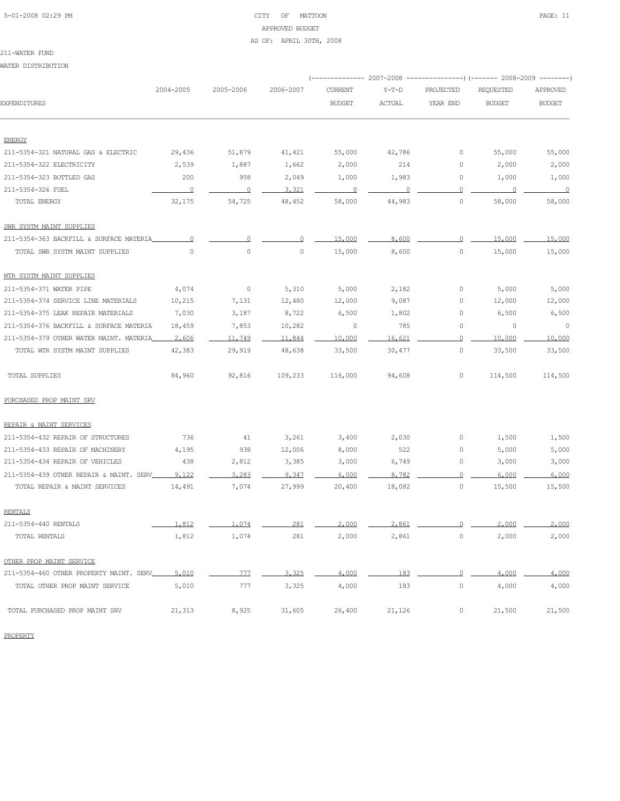# 5-01-2008 02:29 PM CITY OF MATTOON PAGE: 11 APPROVED BUDGET AS OF: APRIL 30TH, 2008

#### 211-WATER FUND

WATER DISTRIBUTION

|                                                                 |                          |                          |                 | ---------- 2007-2008 |                |                | ------------) (------- 2008-2009 -------- |                 |
|-----------------------------------------------------------------|--------------------------|--------------------------|-----------------|----------------------|----------------|----------------|-------------------------------------------|-----------------|
|                                                                 | 2004-2005                | 2005-2006                | 2006-2007       | <b>CURRENT</b>       | $Y-T-D$        | PROJECTED      | REQUESTED                                 | APPROVED        |
| <b>EXPENDITURES</b>                                             |                          |                          |                 | <b>BUDGET</b>        | ACTUAL         | YEAR END       | <b>BUDGET</b>                             | <b>BUDGET</b>   |
|                                                                 |                          |                          |                 |                      |                |                |                                           |                 |
| <b>ENERGY</b>                                                   | 29,436                   |                          |                 |                      |                | $\circ$        |                                           |                 |
| 211-5354-321 NATURAL GAS & ELECTRIC<br>211-5354-322 ELECTRICITY | 2,539                    | 51,879<br>1,887          | 41,421<br>1,662 | 55,000<br>2,000      | 42,786<br>214  | 0              | 55,000<br>2,000                           | 55,000<br>2,000 |
| 211-5354-323 BOTTLED GAS                                        | 200                      | 958                      | 2,049           | 1,000                | 1,983          | 0              | 1,000                                     | 1,000           |
| 211-5354-326 FUEL                                               | $\overline{\phantom{0}}$ | $\overline{\phantom{0}}$ | 3,321           | $\sim$ 0             | $\overline{0}$ | $\circ$        | $\overline{0}$                            | $\sim$ 0        |
| TOTAL ENERGY                                                    | 32,175                   | 54,725                   | 48,452          | 58,000               | 44,983         | $\circ$        | 58,000                                    | 58,000          |
| SWR SYSTM MAINT SUPPLIES                                        |                          |                          |                 |                      |                |                |                                           |                 |
| 211-5354-363 BACKFILL & SURFACE MATERIA                         | 0                        | 0                        |                 | 15,000               | 8,600          | $\circ$        | 15,000                                    | 15,000          |
| TOTAL SWR SYSTM MAINT SUPPLIES                                  | $\circ$                  | $\circ$                  | $\circ$         | 15,000               | 8,600          | 0              | 15,000                                    | 15,000          |
| WTR SYSTM MAINT SUPPLIES                                        |                          |                          |                 |                      |                |                |                                           |                 |
| 211-5354-371 WATER PIPE                                         | 4,074                    | $\overline{0}$           | 5,310           | 5,000                | 2,182          | $\circ$        | 5,000                                     | 5,000           |
| 211-5354-374 SERVICE LINE MATERIALS                             | 10,215                   | 7,131                    | 12,480          | 12,000               | 9,087          | $\circ$        | 12,000                                    | 12,000          |
| 211-5354-375 LEAK REPAIR MATERIALS                              | 7,030                    | 3,187                    | 8,722           | 6,500                | 1,802          | $\circ$        | 6,500                                     | 6,500           |
| 211-5354-376 BACKFILL & SURFACE MATERIA                         | 18,459                   | 7,853                    | 10,282          | $\circ$              | 785            | 0              | 0                                         | $\circ$         |
| 211-5354-379 OTHER WATER MAINT. MATERIA                         | 2.606                    | 11,749                   | 11,844          | 10,000               | 16,621         | $\circ$        | 10,000                                    | 10,000          |
| TOTAL WTR SYSTM MAINT SUPPLIES                                  | 42,383                   | 29,919                   | 48,638          | 33,500               | 30,477         | 0              | 33,500                                    | 33,500          |
| TOTAL SUPPLIES                                                  | 84,960                   | 92,816                   | 109,233         | 116,000              | 94,608         | $\circ$        | 114,500                                   | 114,500         |
| PURCHASED PROP MAINT SRV                                        |                          |                          |                 |                      |                |                |                                           |                 |
| REPAIR & MAINT SERVICES                                         |                          |                          |                 |                      |                |                |                                           |                 |
| 211-5354-432 REPAIR OF STRUCTURES                               | 736                      | 41                       | 3,261           | 3,400                | 2,030          | $\circ$        | 1,500                                     | 1,500           |
| 211-5354-433 REPAIR OF MACHINERY                                | 4,195                    | 938                      | 12,006          | 8,000                | 522            | $\circ$        | 5,000                                     | 5,000           |
| 211-5354-434 REPAIR OF VEHICLES                                 | 438                      | 2,812                    | 3,385           | 3,000                | 6,749          | 0              | 3,000                                     | 3,000           |
| 211-5354-439 OTHER REPAIR & MAINT. SERV                         | 9.122                    | 3,283                    | 9.347           | 6.000                | 8,782          | $\Omega$       | 6,000                                     | 6,000           |
| TOTAL REPAIR & MAINT SERVICES                                   | 14,491                   | 7,074                    | 27,999          | 20,400               | 18,082         | $\circ$        | 15,500                                    | 15,500          |
| <b>RENTALS</b>                                                  |                          |                          |                 |                      |                |                |                                           |                 |
| 211-5354-440 RENTALS                                            | 1,812                    | 1.074                    | 281             | 2,000                | 2,861          | $\Omega$       | 2,000                                     | 2,000           |
| TOTAL RENTALS                                                   | 1,812                    | 1,074                    | 281             | 2,000                | 2,861          | 0              | 2,000                                     | 2,000           |
| OTHER PROP MAINT SERVICE                                        |                          |                          |                 |                      |                |                |                                           |                 |
| 211-5354-460 OTHER PROPERTY MAINT. SERV_                        | 5,010                    | 777                      | 3,325           | 4,000                | 183            | $\overline{0}$ | 4,000                                     | 4,000           |
| TOTAL OTHER PROP MAINT SERVICE                                  | 5,010                    | 777                      | 3,325           | 4,000                | 183            | $\circ$        | 4,000                                     | 4,000           |
| TOTAL PURCHASED PROP MAINT SRV                                  | 21,313                   | 8,925                    | 31,605          | 26,400               | 21,126         | 0              | 21,500                                    | 21,500          |

PROPERTY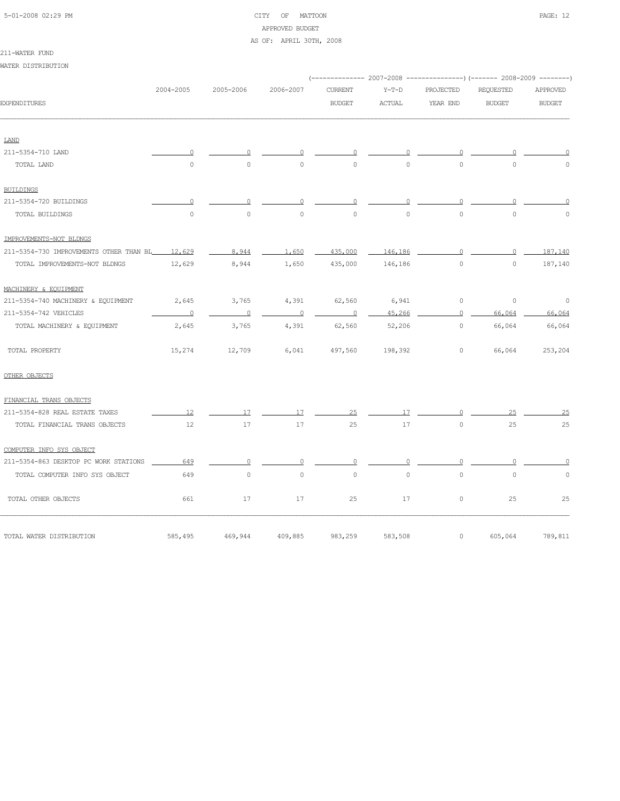## 5-01-2008 02:29 PM CITY OF MATTOON PAGE: 12 APPROVED BUDGET

## AS OF: APRIL 30TH, 2008

211-WATER FUND WATER DISTRIBUTION

|                                         |                          |                          |                          |                |          |           | (-------------- 2007-2008 ---------------) (------- 2008-2009 --------) |               |
|-----------------------------------------|--------------------------|--------------------------|--------------------------|----------------|----------|-----------|-------------------------------------------------------------------------|---------------|
|                                         | 2004-2005                | 2005-2006                | 2006-2007                | <b>CURRENT</b> | $Y-T-D$  | PROJECTED | REQUESTED                                                               | APPROVED      |
| <b>EXPENDITURES</b>                     |                          |                          |                          | <b>BUDGET</b>  | ACTUAL   | YEAR END  | <b>BUDGET</b>                                                           | <b>BUDGET</b> |
| <b>LAND</b>                             |                          |                          |                          |                |          |           |                                                                         |               |
| 211-5354-710 LAND                       | $\Omega$                 | $\cap$                   | $\Omega$                 | $\Omega$       | $\cap$   | $\Omega$  |                                                                         |               |
| TOTAL LAND                              | $\Omega$                 | $\Omega$                 | $\Omega$                 | $\Omega$       | $\Omega$ | $\Omega$  | $\Omega$                                                                | $\Omega$      |
| <b>BUILDINGS</b>                        |                          |                          |                          |                |          |           |                                                                         |               |
| 211-5354-720 BUILDINGS                  | $\Omega$                 |                          |                          |                |          | $\Omega$  |                                                                         |               |
| TOTAL BUILDINGS                         | $\circ$                  | $\circ$                  | $\circ$                  | $\circ$        | $\circ$  | $\circ$   | $\Omega$                                                                | $\Omega$      |
| IMPROVEMENTS-NOT BLDNGS                 |                          |                          |                          |                |          |           |                                                                         |               |
| 211-5354-730 IMPROVEMENTS OTHER THAN BL | 12,629                   | 8,944                    | 1,650                    | 435,000        | 146,186  | $\Omega$  | $\Omega$                                                                | 187,140       |
| TOTAL IMPROVEMENTS-NOT BLDNGS           | 12,629                   | 8,944                    | 1,650                    | 435,000        | 146,186  | $\circ$   | $\circ$                                                                 | 187,140       |
| MACHINERY & EOUIPMENT                   |                          |                          |                          |                |          |           |                                                                         |               |
| 211-5354-740 MACHINERY & EQUIPMENT      | 2,645                    | 3,765                    | 4,391                    | 62,560         | 6,941    | $\circ$   | $\circ$                                                                 | $\circ$       |
| 211-5354-742 VEHICLES                   | $\overline{\phantom{0}}$ | $\overline{\phantom{0}}$ | $\overline{\phantom{0}}$ | $\overline{0}$ | 45,266   | $\circ$   | 66,064                                                                  | 66,064        |
| TOTAL MACHINERY & EQUIPMENT             | 2,645                    | 3,765                    | 4,391                    | 62,560         | 52,206   | $\circ$   | 66,064                                                                  | 66,064        |
| TOTAL PROPERTY                          | 15,274                   | 12,709                   | 6,041                    | 497,560        | 198,392  | $\circ$   | 66,064                                                                  | 253,204       |
| OTHER OBJECTS                           |                          |                          |                          |                |          |           |                                                                         |               |
| FINANCIAL TRANS OBJECTS                 |                          |                          |                          |                |          |           |                                                                         |               |
| 211-5354-828 REAL ESTATE TAXES          | 12                       | 17                       | 17                       | 25             | 17       | $\Omega$  | 25                                                                      | 25            |
| TOTAL FINANCIAL TRANS OBJECTS           | 12                       | 17                       | 17                       | 25             | 17       | $\circ$   | 25                                                                      | 25            |
| COMPUTER INFO SYS OBJECT                |                          |                          |                          |                |          |           |                                                                         |               |
| 211-5354-863 DESKTOP PC WORK STATIONS   | 649                      | 0                        | $\Omega$                 | $\circ$        | $\Omega$ | $\Omega$  |                                                                         |               |
| TOTAL COMPUTER INFO SYS OBJECT          | 649                      | $\circ$                  | $\circ$                  | $\Omega$       | $\circ$  | $\circ$   | $\circ$                                                                 | 0             |
| TOTAL OTHER OBJECTS                     | 661                      | 17                       | 17                       | 25             | 17       | $\circ$   | 25                                                                      | 25            |
| TOTAL WATER DISTRIBUTION                | 585,495                  | 469,944                  | 409,885                  | 983,259        | 583,508  | $\circ$   | 605,064                                                                 | 789,811       |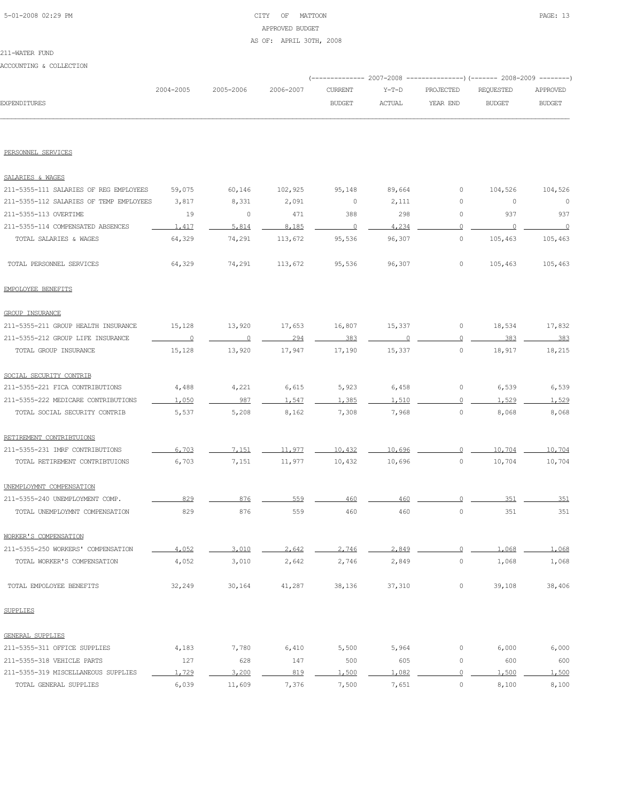# 5-01-2008 02:29 PM CITY OF MATTOON PAGE: 13 APPROVED BUDGET AS OF: APRIL 30TH, 2008

## 211-WATER FUND

## ACCOUNTING & COLLECTION

|                     |           |           |           |               |        | (-------------- 2007-2008 ----------------) (------- 2008-2009 --------) |           |               |
|---------------------|-----------|-----------|-----------|---------------|--------|--------------------------------------------------------------------------|-----------|---------------|
|                     | 2004-2005 | 2005-2006 | 2006-2007 | CURRENT       | Y-T-D  | PROJECTED                                                                | REQUESTED | APPROVED      |
| <b>EXPENDITURES</b> |           |           |           | <b>BUDGET</b> | ACTUAL | YEAR END                                                                 | BUDGET    | <b>BUDGET</b> |
|                     |           |           |           |               |        |                                                                          |           |               |
|                     |           |           |           |               |        |                                                                          |           |               |

## PERSONNEL SERVICES

| SALARIES & WAGES                        |         |          |         |         |        |                     |         |          |
|-----------------------------------------|---------|----------|---------|---------|--------|---------------------|---------|----------|
| 211-5355-111 SALARIES OF REG EMPLOYEES  | 59,075  | 60,146   | 102,925 | 95,148  | 89,664 | $\mathbb O$         | 104,526 | 104,526  |
| 211-5355-112 SALARIES OF TEMP EMPLOYEES | 3,817   | 8,331    | 2,091   | $\circ$ | 2,111  | $\circ$             | $\circ$ | $\circ$  |
| 211-5355-113 OVERTIME                   | 19      | 0        | 471     | 388     | 298    | $\mathbb O$         | 937     | 937      |
| 211-5355-114 COMPENSATED ABSENCES       | 1.417   | 5,814    | 8.185   | 0       | 4.234  | $\circ$             | 0       | $\Omega$ |
| TOTAL SALARIES & WAGES                  | 64,329  | 74,291   | 113,672 | 95,536  | 96,307 | $\mathsf{O}\xspace$ | 105,463 | 105,463  |
| TOTAL PERSONNEL SERVICES                | 64,329  | 74,291   | 113,672 | 95,536  | 96,307 | $\circ$             | 105,463 | 105,463  |
| EMPOLOYEE BENEFITS                      |         |          |         |         |        |                     |         |          |
| <b>GROUP INSURANCE</b>                  |         |          |         |         |        |                     |         |          |
| 211-5355-211 GROUP HEALTH INSURANCE     | 15,128  | 13,920   | 17,653  | 16,807  | 15,337 | 0                   | 18,534  | 17,832   |
| 211-5355-212 GROUP LIFE INSURANCE       | $\circ$ | $\Omega$ | 294     | 383     |        | $\overline{0}$      | 383     | 383      |
| TOTAL GROUP INSURANCE                   | 15,128  | 13,920   | 17,947  | 17,190  | 15,337 | $\circ$             | 18,917  | 18,215   |
| SOCIAL SECURITY CONTRIB                 |         |          |         |         |        |                     |         |          |
| 211-5355-221 FICA CONTRIBUTIONS         | 4,488   | 4,221    | 6,615   | 5,923   | 6,458  | $\circ$             | 6,539   | 6,539    |
| 211-5355-222 MEDICARE CONTRIBUTIONS     | 1,050   | 987      | 1.547   | 1,385   | 1,510  | $\Omega$            | 1.529   | 1.529    |
| TOTAL SOCIAL SECURITY CONTRIB           | 5,537   | 5,208    | 8,162   | 7,308   | 7,968  | $\mathbb O$         | 8,068   | 8,068    |
| RETIREMENT CONTRIBTUIONS                |         |          |         |         |        |                     |         |          |
| 211-5355-231 IMRF CONTRIBUTIONS         | 6,703   | 7,151    | 11,977  | 10,432  | 10,696 | $\mathbf{0}$        | 10,704  | 10,704   |
| TOTAL RETIREMENT CONTRIBTUIONS          | 6,703   | 7,151    | 11,977  | 10,432  | 10,696 | $\mathsf{O}\xspace$ | 10,704  | 10,704   |
| UNEMPLOYMNT COMPENSATION                |         |          |         |         |        |                     |         |          |
| 211-5355-240 UNEMPLOYMENT COMP.         | 829     | 876      | 559     | 460     | 460    | 0                   | 351     | 351      |
| TOTAL UNEMPLOYMNT COMPENSATION          | 829     | 876      | 559     | 460     | 460    | $\circ$             | 351     | 351      |
| WORKER'S COMPENSATION                   |         |          |         |         |        |                     |         |          |
| 211-5355-250 WORKERS' COMPENSATION      | 4,052   | 3,010    | 2,642   | 2,746   | 2,849  | $\circ$             | 1,068   | 1,068    |
| TOTAL WORKER'S COMPENSATION             | 4,052   | 3,010    | 2,642   | 2,746   | 2,849  | $\mathsf{O}\xspace$ | 1,068   | 1,068    |
| TOTAL EMPOLOYEE BENEFITS                | 32,249  | 30,164   | 41,287  | 38,136  | 37,310 | $\mathbb O$         | 39,108  | 38,406   |
| <b>SUPPLIES</b>                         |         |          |         |         |        |                     |         |          |
| GENERAL SUPPLIES                        |         |          |         |         |        |                     |         |          |
| 211-5355-311 OFFICE SUPPLIES            | 4,183   | 7,780    | 6,410   | 5,500   | 5,964  | 0                   | 6,000   | 6,000    |
| 211-5355-318 VEHICLE PARTS              | 127     | 628      | 147     | 500     | 605    | 0                   | 600     | 600      |
| 211-5355-319 MISCELLANEOUS SUPPLIES     | 1,729   | 3,200    | 819     | 1,500   | 1,082  | $\Omega$            | 1,500   | 1,500    |
| TOTAL GENERAL SUPPLIES                  | 6,039   | 11,609   | 7,376   | 7,500   | 7,651  | 0                   | 8,100   | 8,100    |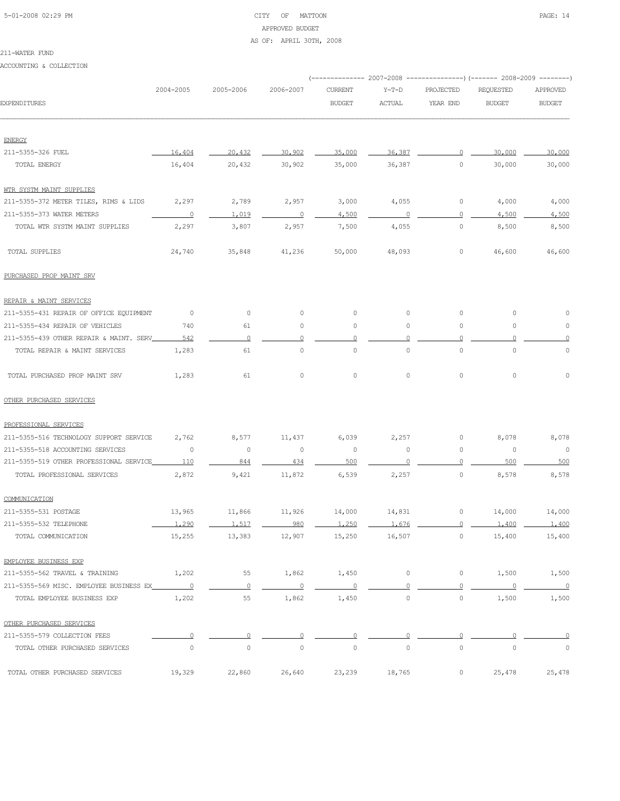# 5-01-2008 02:29 PM CITY OF MATTOON PAGE: 14 APPROVED BUDGET AS OF: APRIL 30TH, 2008

#### 211-WATER FUND

ACCOUNTING & COLLECTION

|                                         |                |                |                |                |                |           | (------------- 2007–2008 ---------------) (------- 2008–2009 --------) |                          |
|-----------------------------------------|----------------|----------------|----------------|----------------|----------------|-----------|------------------------------------------------------------------------|--------------------------|
|                                         | 2004-2005      | 2005-2006      | 2006-2007      | <b>CURRENT</b> | $Y-T-D$        | PROJECTED | <b>REQUESTED</b>                                                       | APPROVED                 |
| EXPENDITURES                            |                |                |                | <b>BUDGET</b>  | <b>ACTUAL</b>  | YEAR END  | <b>BUDGET</b>                                                          | <b>BUDGET</b>            |
| <b>ENERGY</b>                           |                |                |                |                |                |           |                                                                        |                          |
| 211-5355-326 FUEL                       | 16,404         | 20,432         | 30,902         | 35,000         | 36,387         | $\circ$   | 30,000                                                                 | 30,000                   |
| TOTAL ENERGY                            | 16,404         | 20,432         | 30,902         | 35,000         | 36,387         | $\circ$   | 30,000                                                                 | 30,000                   |
| WTR SYSTM MAINT SUPPLIES                |                |                |                |                |                |           |                                                                        |                          |
| 211-5355-372 METER TILES, RIMS & LIDS   | 2,297          | 2,789          | 2,957          | 3,000          | 4,055          | 0         | 4,000                                                                  | 4,000                    |
| 211-5355-373 WATER METERS               | $\overline{0}$ | 1,019          | $\circ$        | 4,500          | $\overline{0}$ | $\Omega$  | 4,500                                                                  | 4,500                    |
| TOTAL WTR SYSTM MAINT SUPPLIES          | 2,297          | 3,807          | 2,957          | 7,500          | 4,055          | $\circ$   | 8,500                                                                  | 8,500                    |
| TOTAL SUPPLIES                          | 24,740         | 35,848         | 41,236         | 50,000         | 48,093         | $\circ$   | 46,600                                                                 | 46,600                   |
| PURCHASED PROP MAINT SRV                |                |                |                |                |                |           |                                                                        |                          |
| REPAIR & MAINT SERVICES                 |                |                |                |                |                |           |                                                                        |                          |
| 211-5355-431 REPAIR OF OFFICE EQUIPMENT | $\overline{0}$ | $\circ$        | $\circ$        | 0              | $\circ$        | $\circ$   | 0                                                                      | 0                        |
| 211-5355-434 REPAIR OF VEHICLES         | 740            | 61             | $\circ$        | 0              | 0              | $\circ$   | $\circ$                                                                | 0                        |
| 211-5355-439 OTHER REPAIR & MAINT. SERV | 542            | $\circ$        | $\circ$        | $\circ$        | $\Omega$       | $\circ$   | $\Omega$                                                               | $\Omega$                 |
| TOTAL REPAIR & MAINT SERVICES           | 1,283          | 61             | $\mathbb O$    | $\circ$        | $\circ$        | $\circ$   | $\mathbf 0$                                                            | $\mathbb O$              |
| TOTAL PURCHASED PROP MAINT SRV          | 1,283          | 61             | $\circ$        | $\circ$        | $\circ$        | $\circ$   | $\mathbb O$                                                            | $\Omega$                 |
| OTHER PURCHASED SERVICES                |                |                |                |                |                |           |                                                                        |                          |
| PROFESSIONAL SERVICES                   |                |                |                |                |                |           |                                                                        |                          |
| 211-5355-516 TECHNOLOGY SUPPORT SERVICE | 2,762          | 8,577          | 11,437         | 6,039          | 2,257          | 0         | 8,078                                                                  | 8,078                    |
| 211-5355-518 ACCOUNTING SERVICES        | 0              | $\circ$        | 0              | $\circ$        | 0              | 0         | $\circ$                                                                | $\overline{0}$           |
| 211-5355-519 OTHER PROFESSIONAL SERVICE | 110            | 844            | 434            | 500            |                | $\Omega$  | 500                                                                    | 500                      |
| TOTAL PROFESSIONAL SERVICES             | 2,872          | 9,421          | 11,872         | 6,539          | 2,257          | $\circ$   | 8,578                                                                  | 8,578                    |
| COMMUNICATION                           |                |                |                |                |                |           |                                                                        |                          |
| 211-5355-531 POSTAGE                    | 13,965         | 11,866         | 11,926         | 14,000         | 14,831         | 0         | 14,000                                                                 | 14,000                   |
| 211-5355-532 TELEPHONE                  | 1,290          | 1.517          | 980            | 1,250          | 1.676          | $\circ$   | 1,400                                                                  | 1,400                    |
| TOTAL COMMUNICATION                     | 15,255         | 13,383         | 12,907         | 15,250         | 16,507         | 0         | 15,400                                                                 | 15,400                   |
| EMPLOYEE BUSINESS EXP                   |                |                |                |                |                |           |                                                                        |                          |
| 211-5355-562 TRAVEL & TRAINING          | 1,202          | 55             | 1,862          | 1,450          | $\circ$        | 0         | 1,500                                                                  | 1,500                    |
|                                         |                | $\overline{0}$ | $\overline{0}$ | $\overline{0}$ | 0              | 0         | $\overline{0}$                                                         | $\overline{\phantom{0}}$ |
| TOTAL EMPLOYEE BUSINESS EXP             | 1,202          | 55             | 1,862          | 1,450          | $\circ$        | $\circ$   | 1,500                                                                  | 1,500                    |
| OTHER PURCHASED SERVICES                |                |                |                |                |                |           |                                                                        |                          |
| 211-5355-579 COLLECTION FEES            | $\Omega$       | $\circ$        | 0              | $\circ$        | n              | $\Omega$  |                                                                        | 0                        |
| TOTAL OTHER PURCHASED SERVICES          | $\circ$        | $\circ$        | $\circ$        | $\circ$        | $\mathbb O$    | $\circ$   | $\circ$                                                                | $\circ$                  |
| TOTAL OTHER PURCHASED SERVICES          | 19,329         | 22,860         | 26,640         | 23,239         | 18,765         | 0         | 25,478                                                                 | 25,478                   |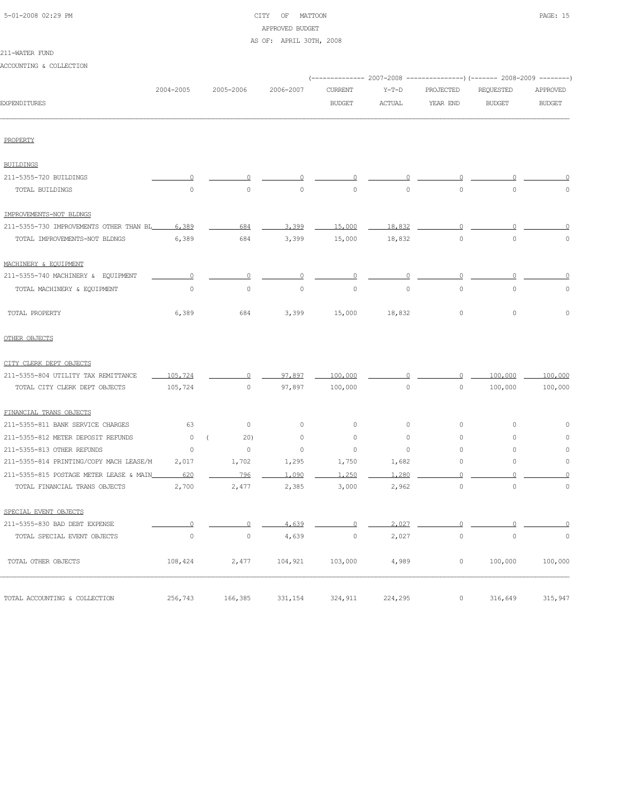# 5-01-2008 02:29 PM CITY OF MATTOON PAGE: 15 APPROVED BUDGET

AS OF: APRIL 30TH, 2008

| 211-WATER FUND |
|----------------|
|----------------|

ACCOUNTING & COLLECTION

|                                         | 2004-2005 | 2005-2006           | 2006-2007 | <b>CURRENT</b>      | $Y-T-D$       | PROJECTED | <b>REQUESTED</b> | APPROVED      |
|-----------------------------------------|-----------|---------------------|-----------|---------------------|---------------|-----------|------------------|---------------|
| <b>EXPENDITURES</b>                     |           |                     |           | <b>BUDGET</b>       | <b>ACTUAL</b> | YEAR END  | <b>BUDGET</b>    | <b>BUDGET</b> |
| PROPERTY                                |           |                     |           |                     |               |           |                  |               |
| <b>BUILDINGS</b>                        |           |                     |           |                     |               |           |                  |               |
| 211-5355-720 BUILDINGS                  |           |                     |           |                     |               |           |                  |               |
| TOTAL BUILDINGS                         | $\Omega$  | $\circ$             | $\circ$   | $\circ$             | 0             | $\circ$   | $\circ$          | $\Omega$      |
| IMPROVEMENTS-NOT BLDNGS                 |           |                     |           |                     |               |           |                  |               |
| 211-5355-730 IMPROVEMENTS OTHER THAN BL | 6,389     | 684                 | 3,399     | 15,000              | 18,832        | $\circ$   | n                |               |
| TOTAL IMPROVEMENTS-NOT BLDNGS           | 6,389     | 684                 | 3,399     | 15,000              | 18,832        | $\circ$   | $\mathbf 0$      | 0             |
| MACHINERY & EQUIPMENT                   |           |                     |           |                     |               |           |                  |               |
| 211-5355-740 MACHINERY & EQUIPMENT      | $\Omega$  | $\Omega$            | 0         | 0                   | 0             | 0         | n                |               |
| TOTAL MACHINERY & EQUIPMENT             | $\circ$   | $\mathsf{O}\xspace$ | $\circ$   | $\circ$             | $\circ$       | $\circ$   | $\mathbb O$      | 0             |
| TOTAL PROPERTY                          | 6,389     | 684                 | 3,399     | 15,000              | 18,832        | 0         | $\circ$          | 0             |
| OTHER OBJECTS                           |           |                     |           |                     |               |           |                  |               |
| CITY CLERK DEPT OBJECTS                 |           |                     |           |                     |               |           |                  |               |
| 211-5355-804 UTILITY TAX REMITTANCE     | 105,724   | 0                   | 97.897    | 100,000             |               | $\circ$   | 100,000          | 100,000       |
| TOTAL CITY CLERK DEPT OBJECTS           | 105,724   | 0                   | 97,897    | 100,000             | $\circ$       | $\circ$   | 100,000          | 100,000       |
| FINANCIAL TRANS OBJECTS                 |           |                     |           |                     |               |           |                  |               |
| 211-5355-811 BANK SERVICE CHARGES       | 63        | $\circ$             | $\circ$   | $\circ$             | 0             | 0         | 0                | 0             |
| 211-5355-812 METER DEPOSIT REFUNDS      | $\circ$   | 20)                 | $\circ$   | $\circ$             | $\circ$       | 0         | 0                | 0             |
| 211-5355-813 OTHER REFUNDS              | $\circ$   | $\circ$             | $\circ$   | $\circ$             | $\circ$       | 0         | 0                | 0             |
| 211-5355-814 PRINTING/COPY MACH LEASE/M | 2,017     | 1,702               | 1,295     | 1,750               | 1,682         | 0         | 0                | 0             |
| 211-5355-815 POSTAGE METER LEASE & MAIN | 620       | 796                 | 1,090     | 1,250               | 1,280         |           |                  |               |
| TOTAL FINANCIAL TRANS OBJECTS           | 2,700     | 2,477               | 2,385     | 3,000               | 2,962         | $\circ$   | $\circ$          | $\circ$       |
| SPECIAL EVENT OBJECTS                   |           |                     |           |                     |               |           |                  |               |
| 211-5355-830 BAD DEBT EXPENSE           | $\circ$   | $\sim$ 0            | 4,639     | $\circ$             | 2,027         | $\circ$   | $\circ$          | 0             |
| TOTAL SPECIAL EVENT OBJECTS             | $\circ$   | $\circ$             | 4,639     | $\mathsf{O}\xspace$ | 2,027         | $\circ$   | $\mathbb O$      | $\circ$       |
| TOTAL OTHER OBJECTS                     | 108,424   | 2,477               | 104,921   | 103,000             | 4,989         | $\circ$   | 100,000          | 100,000       |
| TOTAL ACCOUNTING & COLLECTION           | 256,743   | 166,385             | 331,154   | 324,911             | 224,295       | $\circ$   | 316,649          | 315,947       |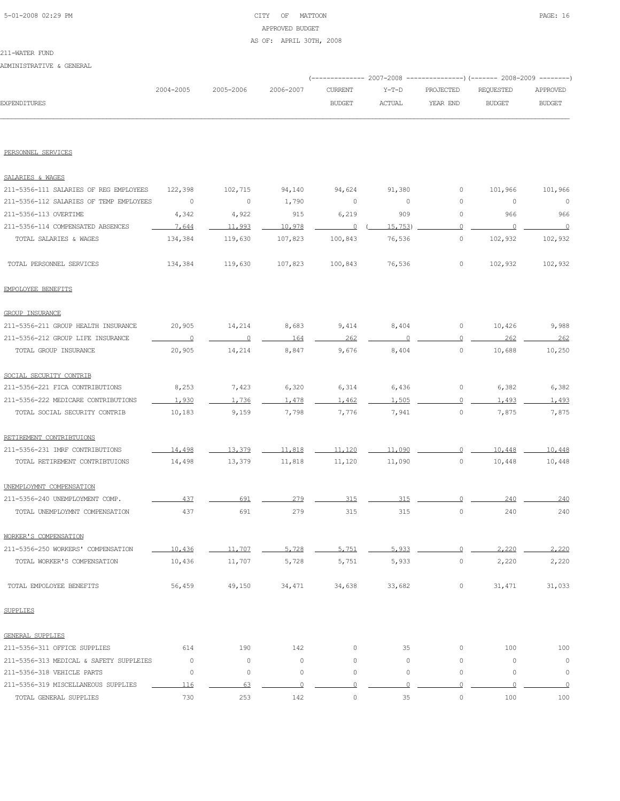# 5-01-2008 02:29 PM CITY OF MATTOON PAGE: 16 APPROVED BUDGET AS OF: APRIL 30TH, 2008

# 211-WATER FUND

ADMINISTRATIVE & GENERAL

|                     |           |                     |        |        | (-------------- 2007-2008 ----------------) (------- 2008-2009 --------) |        |               |
|---------------------|-----------|---------------------|--------|--------|--------------------------------------------------------------------------|--------|---------------|
|                     | 2004-2005 | 2005-2006 2006-2007 |        |        | CURRENT Y-T-D PROJECTED REQUESTED APPROVED                               |        |               |
| <b>EXPENDITURES</b> |           |                     | BUDGET | ACTUAL | YEAR END                                                                 | BUDGET | <b>BUDGET</b> |
|                     |           |                     |        |        |                                                                          |        |               |

#### PERSONNEL SERVICES

| SALARIES & WAGES                        |                |                |                |                |                     |                |                     |          |
|-----------------------------------------|----------------|----------------|----------------|----------------|---------------------|----------------|---------------------|----------|
| 211-5356-111 SALARIES OF REG EMPLOYEES  | 122,398        | 102,715        | 94,140         | 94,624         | 91,380              | 0              | 101,966             | 101,966  |
| 211-5356-112 SALARIES OF TEMP EMPLOYEES | 0              | 0              | 1,790          | 0              | 0                   | 0              | $\circ$             | 0        |
| 211-5356-113 OVERTIME                   | 4,342          | 4,922          | 915            | 6,219          | 909                 | $\circ$        | 966                 | 966      |
| 211-5356-114 COMPENSATED ABSENCES       | 7,644          | 11,993         | 10,978         | $\overline{0}$ | 15, 753)            | $\overline{0}$ | $\overline{0}$      | $\cap$   |
| TOTAL SALARIES & WAGES                  | 134,384        | 119,630        | 107,823        | 100,843        | 76,536              | $\circ$        | 102,932             | 102,932  |
| TOTAL PERSONNEL SERVICES                | 134,384        | 119,630        | 107,823        | 100,843        | 76,536              | 0              | 102,932             | 102,932  |
| EMPOLOYEE BENEFITS                      |                |                |                |                |                     |                |                     |          |
| <b>GROUP INSURANCE</b>                  |                |                |                |                |                     |                |                     |          |
| 211-5356-211 GROUP HEALTH INSURANCE     | 20,905         | 14,214         | 8,683          | 9,414          | 8,404               | 0              | 10,426              | 9,988    |
| 211-5356-212 GROUP LIFE INSURANCE       | $\overline{0}$ | $\overline{0}$ | 164            | 262            | 0                   | $\circ$        | 262                 | 262      |
| TOTAL GROUP INSURANCE                   | 20,905         | 14,214         | 8,847          | 9,676          | 8,404               | $\circ$        | 10,688              | 10,250   |
| SOCIAL SECURITY CONTRIB                 |                |                |                |                |                     |                |                     |          |
| 211-5356-221 FICA CONTRIBUTIONS         | 8,253          | 7,423          | 6,320          | 6,314          | 6,436               | $\circ$        | 6,382               | 6,382    |
| 211-5356-222 MEDICARE CONTRIBUTIONS     | 1,930          | 1.736          | 1,478          | 1,462          | 1,505               | $\Omega$       | 1,493               | 1,493    |
| TOTAL SOCIAL SECURITY CONTRIB           | 10,183         | 9,159          | 7,798          | 7,776          | 7,941               | $\circ$        | 7,875               | 7,875    |
| RETIREMENT CONTRIBTUIONS                |                |                |                |                |                     |                |                     |          |
| 211-5356-231 IMRF CONTRIBUTIONS         | 14,498         | 13,379         | 11,818         | 11,120         | 11,090              | $\cap$         | 10,448              | 10,448   |
| TOTAL RETIREMENT CONTRIBTUIONS          | 14,498         | 13,379         | 11,818         | 11,120         | 11,090              | $\circ$        | 10,448              | 10,448   |
| UNEMPLOYMNT COMPENSATION                |                |                |                |                |                     |                |                     |          |
| 211-5356-240 UNEMPLOYMENT COMP.         | 437            | 691            | 279            | 315            | 315                 | $\Omega$       | 240                 | 240      |
| TOTAL UNEMPLOYMNT COMPENSATION          | 437            | 691            | 279            | 315            | 315                 | 0              | 240                 | 240      |
| WORKER'S COMPENSATION                   |                |                |                |                |                     |                |                     |          |
| 211-5356-250 WORKERS' COMPENSATION      | 10,436         | 11,707         | 5,728          | 5.751          | 5.933               | $\Omega$       | 2,220               | 2,220    |
| TOTAL WORKER'S COMPENSATION             | 10,436         | 11,707         | 5,728          | 5,751          | 5,933               | 0              | 2,220               | 2,220    |
| TOTAL EMPOLOYEE BENEFITS                | 56,459         | 49,150         | 34,471         | 34,638         | 33,682              | 0              | 31,471              | 31,033   |
| <b>SUPPLIES</b>                         |                |                |                |                |                     |                |                     |          |
| GENERAL SUPPLIES                        |                |                |                |                |                     |                |                     |          |
| 211-5356-311 OFFICE SUPPLIES            | 614            | 190            | 142            | 0              | 35                  | 0              | 100                 | 100      |
| 211-5356-313 MEDICAL & SAFETY SUPPLEIES | $\circ$        | $\circ$        | $\circ$        | $\mathbb O$    | $\circ$             | 0              | $\circ$             | $\circ$  |
| 211-5356-318 VEHICLE PARTS              | $\circ$        | $\circ$        | $\circ$        | $\mathbb O$    | $\mathsf{O}\xspace$ | $\circ$        | $\mathsf{O}\xspace$ | $\circ$  |
| 211-5356-319 MISCELLANEOUS SUPPLIES     | 116            | 63             | $\overline{0}$ | $\Omega$       | $\Omega$            | $\circ$        | $\Omega$            | $\Omega$ |
| TOTAL GENERAL SUPPLIES                  | 730            | 253            | 142            | $\circ$        | 35                  | $\circ$        | 100                 | 100      |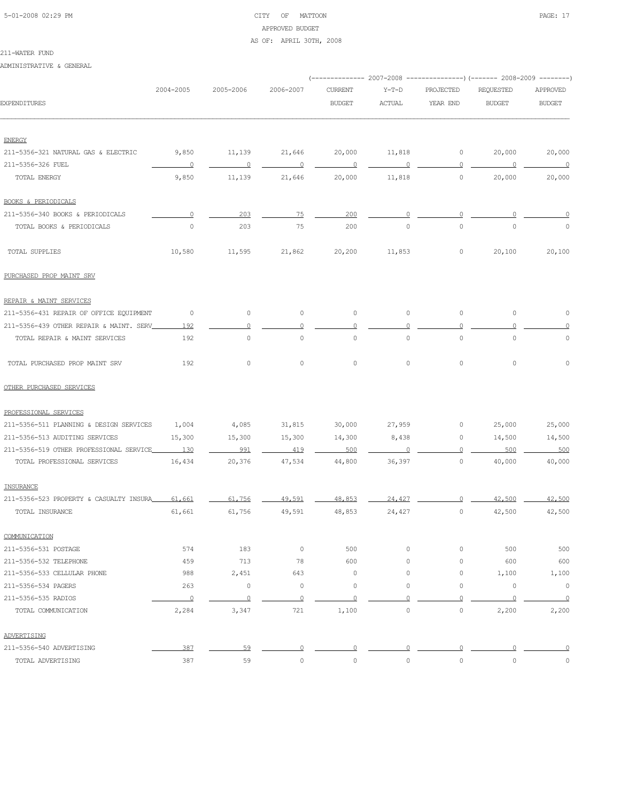# 5-01-2008 02:29 PM CITY OF MATTOON PAGE: 17 APPROVED BUDGET AS OF: APRIL 30TH, 2008

#### 211-WATER FUND

ADMINISTRATIVE & GENERAL

|                                          |                          |                |                          | ------------ 2007-2008   |                |                | ----------------) (------- 2008-2009 ---------) |                          |
|------------------------------------------|--------------------------|----------------|--------------------------|--------------------------|----------------|----------------|-------------------------------------------------|--------------------------|
|                                          | 2004-2005                | 2005-2006      | 2006-2007                | <b>CURRENT</b>           | $Y-T-D$        | PROJECTED      | REQUESTED                                       | APPROVED                 |
| <b>EXPENDITURES</b>                      |                          |                |                          | <b>BUDGET</b>            | <b>ACTUAL</b>  | YEAR END       | <b>BUDGET</b>                                   | <b>BUDGET</b>            |
| <b>ENERGY</b>                            |                          |                |                          |                          |                |                |                                                 |                          |
| 211-5356-321 NATURAL GAS & ELECTRIC      | 9,850                    | 11,139         | 21,646                   | 20,000                   | 11,818         | $\circ$        | 20,000                                          | 20,000                   |
| 211-5356-326 FUEL                        | $\sim$ 0                 | $\overline{0}$ | $\overline{\phantom{0}}$ | $\overline{\phantom{0}}$ | $\circ$        | $\overline{0}$ | $\sim$ 0                                        | $\overline{\phantom{0}}$ |
| TOTAL ENERGY                             | 9,850                    | 11,139         | 21,646                   | 20,000                   | 11,818         | $\circ$        | 20,000                                          | 20,000                   |
| <b>BOOKS &amp; PERIODICALS</b>           |                          |                |                          |                          |                |                |                                                 |                          |
| 211-5356-340 BOOKS & PERIODICALS         | $\circ$                  | 203            | 75                       | 200                      |                | $\circ$        |                                                 |                          |
| TOTAL BOOKS & PERIODICALS                | $\circ$                  | 203            | 75                       | 200                      | $\circ$        | $\circ$        | $\mathbf 0$                                     | $\circ$                  |
| TOTAL SUPPLIES                           | 10,580                   | 11,595         | 21,862                   | 20,200                   | 11,853         | $\circ$        | 20,100                                          | 20,100                   |
| PURCHASED PROP MAINT SRV                 |                          |                |                          |                          |                |                |                                                 |                          |
| REPAIR & MAINT SERVICES                  |                          |                |                          |                          |                |                |                                                 |                          |
| 211-5356-431 REPAIR OF OFFICE EQUIPMENT  | $\overline{\phantom{0}}$ | $\circ$        | $\circ$                  | $\circ$                  | $\circ$        | $\circ$        | $\circ$                                         | $\circ$                  |
| 211-5356-439 OTHER REPAIR & MAINT. SERV_ | 192                      | $\Omega$       | $\circ$                  | $\circ$                  | $\circ$        | $\circ$        | $\Omega$                                        | $\Omega$                 |
| TOTAL REPAIR & MAINT SERVICES            | 192                      | $\circ$        | $\mathbb O$              | $\circ$                  | $\circ$        | $\circ$        | $\mathbf 0$                                     | $\circ$                  |
| TOTAL PURCHASED PROP MAINT SRV           | 192                      | $\circ$        | $\circ$                  | $\circ$                  | $\circ$        | $\circ$        | $\circ$                                         | $\mathbf 0$              |
| OTHER PURCHASED SERVICES                 |                          |                |                          |                          |                |                |                                                 |                          |
| PROFESSIONAL SERVICES                    |                          |                |                          |                          |                |                |                                                 |                          |
| 211-5356-511 PLANNING & DESIGN SERVICES  | 1,004                    | 4,085          | 31,815                   | 30,000                   | 27,959         | 0              | 25,000                                          | 25,000                   |
| 211-5356-513 AUDITING SERVICES           | 15,300                   | 15,300         | 15,300                   | 14,300                   | 8,438          | $\circ$        | 14,500                                          | 14,500                   |
| 211-5356-519 OTHER PROFESSIONAL SERVICE  | 130                      | 991            | 419                      | 500                      | $\Omega$       | $\Omega$       | 500                                             | 500                      |
| TOTAL PROFESSIONAL SERVICES              | 16,434                   | 20,376         | 47,534                   | 44,800                   | 36,397         | $\circ$        | 40,000                                          | 40,000                   |
| INSURANCE                                |                          |                |                          |                          |                |                |                                                 |                          |
| 211-5356-523 PROPERTY & CASUALTY INSURA  | 61,661                   | 61,756         | 49,591                   | 48,853                   | 24,427         | $\Omega$       | 42,500                                          | 42,500                   |
| TOTAL INSURANCE                          | 61,661                   | 61,756         | 49,591                   | 48,853                   | 24,427         | 0              | 42,500                                          | 42,500                   |
| COMMUNICATION                            |                          |                |                          |                          |                |                |                                                 |                          |
| 211-5356-531 POSTAGE                     | 574                      | 183            | $\circ$                  | 500                      | $\circ$        | 0              | 500                                             | 500                      |
| 211-5356-532 TELEPHONE                   | 459                      | 713            | 78                       | 600                      | $\circ$        | $\circ$        | 600                                             | 600                      |
| 211-5356-533 CELLULAR PHONE              | 988                      | 2,451          | 643                      | $\circ$                  | $\circ$        | 0              | 1,100                                           | 1,100                    |
| 211-5356-534 PAGERS                      | 263                      | $\circ$        | $\circ$                  | $\circ$                  | $\circ$        | $\circ$        | $\circ$                                         | $\circ$                  |
| 211-5356-535 RADIOS                      | $\overline{0}$           | $\overline{0}$ | $\Omega$                 | $\overline{0}$           | $\circ$        | $\overline{0}$ | 0                                               | $\overline{0}$           |
| TOTAL COMMUNICATION                      | 2,284                    | 3,347          | 721                      | 1,100                    | $\circ$        | $\mathbb O$    | 2,200                                           | 2,200                    |
| ADVERTISING                              |                          |                |                          |                          |                |                |                                                 |                          |
| 211-5356-540 ADVERTISING                 | 387                      | 59             | $\overline{0}$           | $\Omega$                 | $\overline{0}$ | $\Omega$       | 0                                               | $\Omega$                 |
| TOTAL ADVERTISING                        | 387                      | 59             | 0                        | 0                        | $\circ$        | $\mathbb O$    | $\mathbb O$                                     | $\mathbb O$              |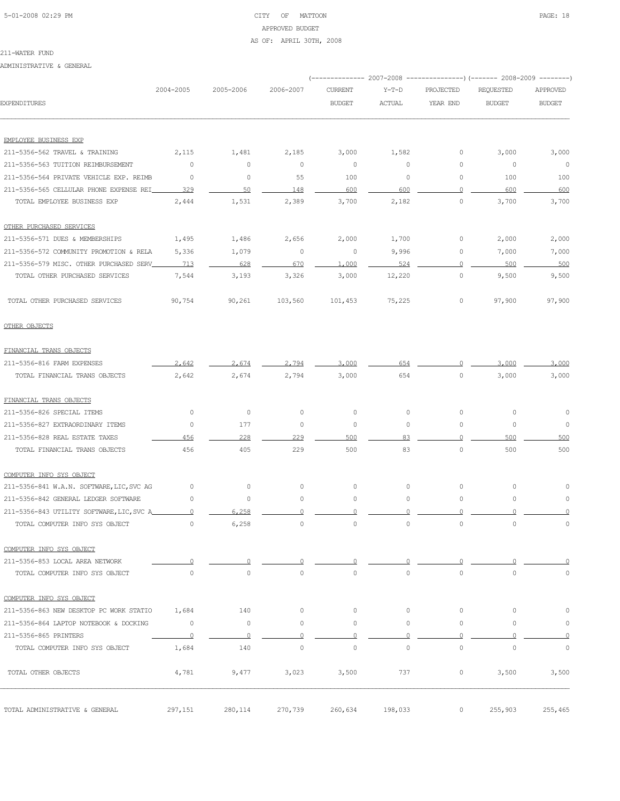# 5-01-2008 02:29 PM CITY OF MATTOON PAGE: 18 APPROVED BUDGET AS OF: APRIL 30TH, 2008

#### 211-WATER FUND

ADMINISTRATIVE & GENERAL

|                                           |                     |                |                     | (-------------- 2007-2008 |                         |                     | ----------------) (------- 2008-2009 -------- |               |
|-------------------------------------------|---------------------|----------------|---------------------|---------------------------|-------------------------|---------------------|-----------------------------------------------|---------------|
|                                           | 2004-2005           | 2005-2006      | 2006-2007           | <b>CURRENT</b>            | $Y-T-D$                 | PROJECTED           | REQUESTED                                     | APPROVED      |
| <b>EXPENDITURES</b>                       |                     |                |                     | <b>BUDGET</b>             | $\operatorname{ACTUAL}$ | YEAR END            | <b>BUDGET</b>                                 | <b>BUDGET</b> |
| EMPLOYEE BUSINESS EXP                     |                     |                |                     |                           |                         |                     |                                               |               |
| 211-5356-562 TRAVEL & TRAINING            | 2,115               | 1,481          | 2,185               | 3,000                     | 1,582                   | 0                   | 3,000                                         | 3,000         |
| 211-5356-563 TUITION REIMBURSEMENT        | $\circ$             | $\mathbb O$    | $\circ$             | $\circ$                   | 0                       | 0                   | 0                                             | $\circ$       |
| 211-5356-564 PRIVATE VEHICLE EXP. REIMB   | $\circ$             | $\mathbb O$    | 55                  | 100                       | $\circ$                 | 0                   | 100                                           | 100           |
| 211-5356-565 CELLULAR PHONE EXPENSE REI   | 329                 | 50             | 148                 | 600                       | 600                     | $\circ$             | 600                                           | 600           |
| TOTAL EMPLOYEE BUSINESS EXP               | 2,444               | 1,531          | 2,389               | 3,700                     | 2,182                   | $\circ$             | 3,700                                         | 3,700         |
| OTHER PURCHASED SERVICES                  |                     |                |                     |                           |                         |                     |                                               |               |
| 211-5356-571 DUES & MEMBERSHIPS           | 1,495               | 1,486          | 2,656               | 2,000                     | 1,700                   | 0                   | 2,000                                         | 2,000         |
| 211-5356-572 COMMUNITY PROMOTION & RELA   | 5,336               | 1,079          | 0                   | $\circ$                   | 9,996                   | 0                   | 7,000                                         | 7,000         |
| 211-5356-579 MISC. OTHER PURCHASED SERV   | 713                 | 628            | 670                 | 1,000                     | 524                     | $\Omega$            | 500                                           | 500           |
| TOTAL OTHER PURCHASED SERVICES            | 7,544               | 3,193          | 3,326               | 3,000                     | 12,220                  | $\circ$             | 9,500                                         | 9,500         |
| TOTAL OTHER PURCHASED SERVICES            | 90,754              | 90,261         | 103,560             | 101,453                   | 75,225                  | 0                   | 97,900                                        | 97,900        |
| OTHER OBJECTS                             |                     |                |                     |                           |                         |                     |                                               |               |
| FINANCIAL TRANS OBJECTS                   |                     |                |                     |                           |                         |                     |                                               |               |
| 211-5356-816 FARM EXPENSES                | 2,642               | 2.674          | 2,794               | 3,000                     | 654                     | $\Omega$            | 3,000                                         | 3,000         |
| TOTAL FINANCIAL TRANS OBJECTS             | 2,642               | 2,674          | 2,794               | 3,000                     | 654                     | $\circ$             | 3,000                                         | 3,000         |
| FINANCIAL TRANS OBJECTS                   |                     |                |                     |                           |                         |                     |                                               |               |
| 211-5356-826 SPECIAL ITEMS                | 0                   | $\circ$        | $\circ$             | 0                         | 0                       | $\circ$             | 0                                             | 0             |
| 211-5356-827 EXTRAORDINARY ITEMS          | 0                   | 177            | $\circ$             | $\circ$                   | 0                       | $\circ$             | 0                                             | 0             |
| 211-5356-828 REAL ESTATE TAXES            | 456                 | 228            | 229                 | 500                       | 83                      | $\Omega$            | 500                                           | 500           |
| TOTAL FINANCIAL TRANS OBJECTS             | 456                 | 405            | 229                 | 500                       | 83                      | $\circ$             | 500                                           | 500           |
| COMPUTER INFO SYS OBJECT                  |                     |                |                     |                           |                         |                     |                                               |               |
| 211-5356-841 W.A.N. SOFTWARE, LIC, SVC AG | 0                   | $\mathbb O$    | $\circ$             | 0                         | $\circ$                 | $\circ$             | 0                                             |               |
| 211-5356-842 GENERAL LEDGER SOFTWARE      | 0                   | $\circ$        | 0                   | 0                         | 0                       | $\circ$             | 0                                             | 0             |
| 211-5356-843 UTILITY SOFTWARE, LIC, SVC A | $\Omega$            | 6.258          |                     | O                         |                         | $\Omega$            |                                               |               |
| TOTAL COMPUTER INFO SYS OBJECT            | $\circ$             | 6,258          | $\circ$             | $\circ$                   | 0                       | $\circ$             | $\circ$                                       | 0             |
| COMPUTER INFO SYS OBJECT                  |                     |                |                     |                           |                         |                     |                                               |               |
| 211-5356-853 LOCAL AREA NETWORK           |                     | $\overline{0}$ |                     | 0                         |                         |                     |                                               | O             |
| TOTAL COMPUTER INFO SYS OBJECT            | $\mathsf{O}\xspace$ | $\circ$        | $\mathsf{O}\xspace$ | $\mathbb O$               | $\circ$                 | $\mathsf{O}\xspace$ | $\mathbb O$                                   | $\circ$       |
| COMPUTER INFO SYS OBJECT                  |                     |                |                     |                           |                         |                     |                                               |               |
| 211-5356-863 NEW DESKTOP PC WORK STATIO   | 1,684               | 140            | $\circ$             | $\circ$                   | $\circ$                 | $\circ$             | 0                                             | 0             |
| 211-5356-864 LAPTOP NOTEBOOK & DOCKING    | $\circ$             | $\circ$        | $\circ$             | $\circ$                   | $\circ$                 | $\circ$             | $\circ$                                       | $\circ$       |
| 211-5356-865 PRINTERS                     | 0                   | $\Omega$       | $\circ$             | $\Omega$                  | $\circ$                 | $\circ$             | $\Omega$                                      | 0             |
| TOTAL COMPUTER INFO SYS OBJECT            | 1,684               | 140            | $\mathbb O$         | $\mathbb O$               | $\circ$                 | $\circ$             | $\mathbb O$                                   | $\circ$       |
| TOTAL OTHER OBJECTS                       | 4,781               | 9,477          | 3,023               | 3,500                     | 737                     | $\circ$             | 3,500                                         | 3,500         |
| TOTAL ADMINISTRATIVE & GENERAL            | 297,151             | 280,114        | 270,739             | 260,634                   | 198,033                 | 0                   | 255,903                                       | 255,465       |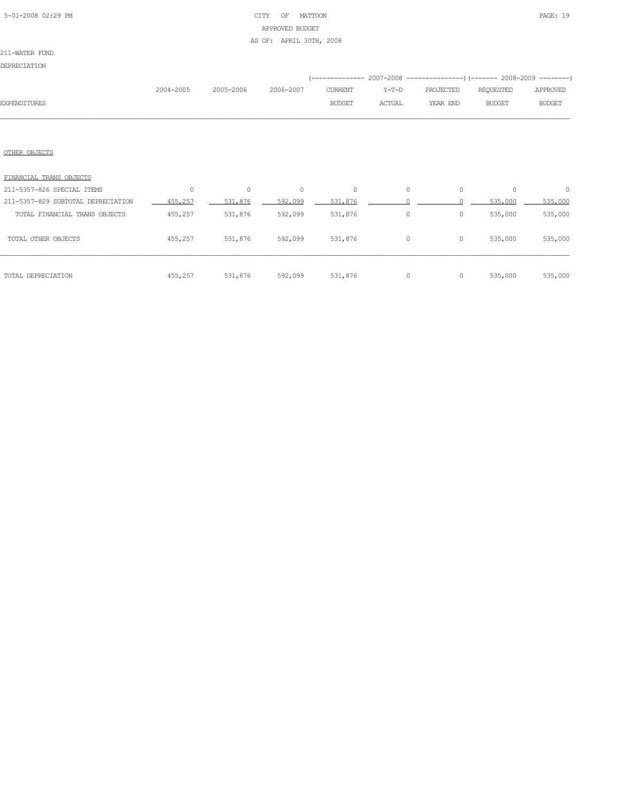# 5-01-2008 02:29 PM CITY OF MATTOON PAGE: 19 APPROVED BUDGET AS OF: APRIL 30TH, 2008

## 211-WATER FUND

DEPRECIATION

|                     |           |           |           |                |               | (-------------- 2007-2008 -----------------) (------- 2008-2009 ---------) |               |               |
|---------------------|-----------|-----------|-----------|----------------|---------------|----------------------------------------------------------------------------|---------------|---------------|
|                     | 2004-2005 | 2005-2006 | 2006-2007 | <b>CURRENT</b> | Y-T-D         | PROJECTED                                                                  | REOUESTED     | APPROVED      |
| <b>EXPENDITURES</b> |           |           |           | <b>BUDGET</b>  | <b>ACTUAL</b> | YEAR END                                                                   | <b>BUDGET</b> | <b>BUDGET</b> |
|                     |           |           |           |                |               |                                                                            |               |               |

## OTHER OBJECTS

| FINANCIAL TRANS OBJECTS            |          |         |          |          |          |         |          |          |
|------------------------------------|----------|---------|----------|----------|----------|---------|----------|----------|
| 211-5357-826 SPECIAL ITEMS         | $\Omega$ | $\circ$ | $\Omega$ | $\Omega$ | $\Omega$ | $\circ$ | $\Omega$ | $\Omega$ |
| 211-5357-829 SUBTOTAL DEPRECIATION | 455,257  | 531,876 | 592,099  | 531,876  |          |         | 535,000  | 535,000  |
| TOTAL FINANCIAL TRANS OBJECTS      | 455,257  | 531,876 | 592,099  | 531,876  | $\Omega$ | 0       | 535,000  | 535,000  |
| TOTAL OTHER OBJECTS                | 455,257  | 531,876 | 592,099  | 531,876  | $\Omega$ | 0       | 535,000  | 535,000  |
| TOTAL DEPRECIATION                 | 455,257  | 531,876 | 592,099  | 531,876  | $\Omega$ | 0       | 535,000  | 535,000  |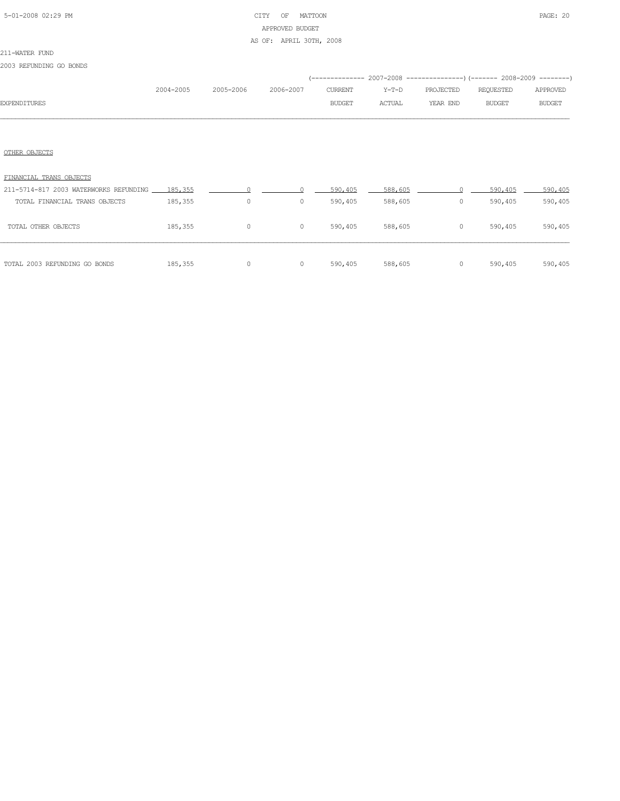# 5-01-2008 02:29 PM CITY OF MATTOON PAGE: 20 APPROVED BUDGET

## AS OF: APRIL 30TH, 2008

## 211-WATER FUND

2003 REFUNDING GO BONDS

|                     | 2004-2005 | 2005-2006 | 2006-2007 | CURRENT       | Y-T-D  | PROJECTED | REQUESTED | APPROVED      |
|---------------------|-----------|-----------|-----------|---------------|--------|-----------|-----------|---------------|
| <b>EXPENDITURES</b> |           |           |           | <b>BUDGET</b> | ACTUAL | YEAR END  | BUDGET    | <b>BUDGET</b> |
|                     |           |           |           |               |        |           |           |               |
|                     |           |           |           |               |        |           |           |               |
|                     |           |           |           |               |        |           |           |               |

# OTHER OBJECTS

| FINANCIAL TRANS OBJECTS                        |         |         |         |         |         |         |         |         |
|------------------------------------------------|---------|---------|---------|---------|---------|---------|---------|---------|
| 211-5714-817 2003 WATERWORKS REFUNDING 185.355 |         |         |         | 590,405 | 588,605 |         | 590,405 | 590,405 |
| TOTAL FINANCIAL TRANS OBJECTS                  | 185,355 | $\circ$ | $\circ$ | 590,405 | 588,605 | 0       | 590,405 | 590,405 |
| TOTAL OTHER OBJECTS                            | 185,355 | 0       | 0       | 590,405 | 588,605 | 0       | 590,405 | 590,405 |
| TOTAL 2003 REFUNDING GO BONDS                  | 185,355 | 0       |         | 590,405 | 588,605 | $\circ$ | 590,405 | 590,405 |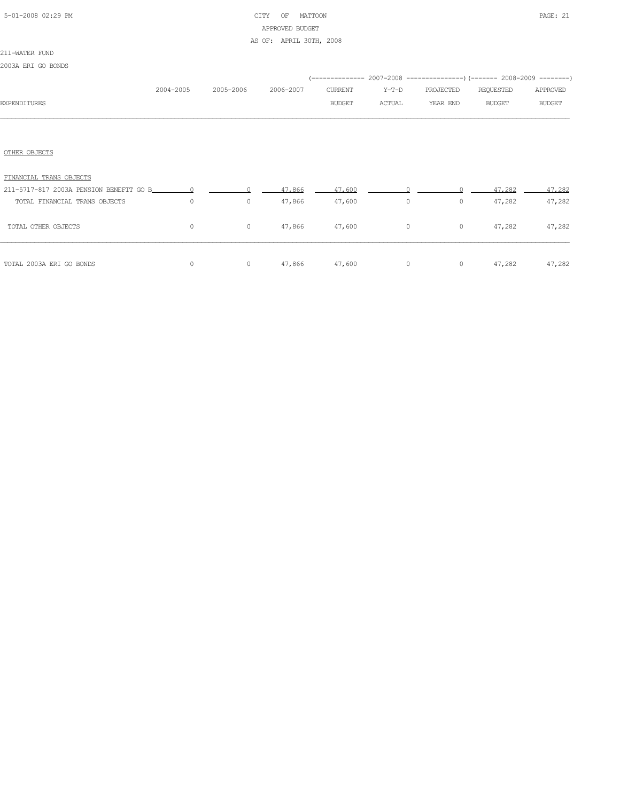# 5-01-2008 02:29 PM CITY OF MATTOON PAGE: 21 APPROVED BUDGET

## AS OF: APRIL 30TH, 2008

## 211-WATER FUND

2003A ERI GO BONDS

|                               |           |           |           |               |         |           | (-------------- 2007-2008 -----------------) (------- 2008-2009 --------) |               |
|-------------------------------|-----------|-----------|-----------|---------------|---------|-----------|---------------------------------------------------------------------------|---------------|
|                               | 2004-2005 | 2005-2006 | 2006-2007 | CURRENT       | $Y-T-D$ | PROJECTED | REQUESTED                                                                 | APPROVED      |
| <b>EXPENDITURES</b>           |           |           |           | <b>BUDGET</b> | ACTUAL  | YEAR END  | <b>BUDGET</b>                                                             | <b>BUDGET</b> |
|                               |           |           |           |               |         |           |                                                                           |               |
|                               |           |           |           |               |         |           |                                                                           |               |
| OTHER OBJECTS                 |           |           |           |               |         |           |                                                                           |               |
| FINANCIAL TRANS OBJECTS       |           |           |           |               |         |           |                                                                           |               |
|                               |           |           | 47,866    | 47,600        |         |           | 47,282                                                                    | 47.282        |
| TOTAL FINANCIAL TRANS OBJECTS | $\circ$   | $\circ$   | 47,866    | 47,600        | $\circ$ | $\circ$   | 47,282                                                                    | 47,282        |
| TOTAL OTHER OBJECTS           | $\Omega$  | 0         | 47,866    | 47,600        | $\circ$ | $\circ$   | 47,282                                                                    | 47,282        |

| TOTAL 2003A ERI GO BONDS |  | 0                    0               47,866         47,600         0              0         47,282         47,282 |  |  |
|--------------------------|--|-------------------------------------------------------------------------------------------------------------------|--|--|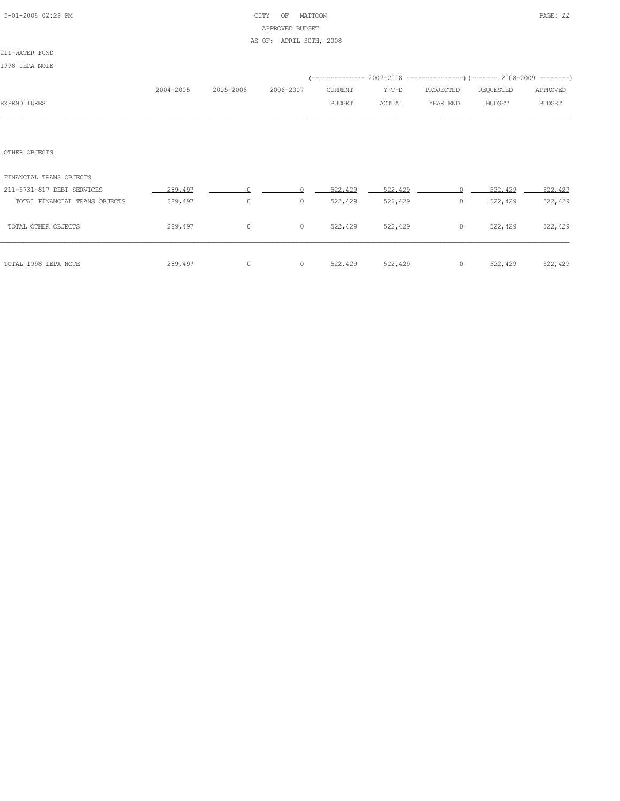# 5-01-2008 02:29 PM CITY OF MATTOON PAGE: 22 APPROVED BUDGET AS OF: APRIL 30TH, 2008

## 211-WATER FUND

1998 IEPA NOTE

|                               | 2004-2005 | 2005-2006 | 2006-2007 | <b>CURRENT</b> | $Y-T-D$       | PROJECTED | <b>REQUESTED</b> | APPROVED      |
|-------------------------------|-----------|-----------|-----------|----------------|---------------|-----------|------------------|---------------|
| <b>EXPENDITURES</b>           |           |           |           | <b>BUDGET</b>  | <b>ACTUAL</b> | YEAR END  | <b>BUDGET</b>    | <b>BUDGET</b> |
|                               |           |           |           |                |               |           |                  |               |
| OTHER OBJECTS                 |           |           |           |                |               |           |                  |               |
| FINANCIAL TRANS OBJECTS       |           |           |           |                |               |           |                  |               |
| 211-5731-817 DEBT SERVICES    | 289,497   |           |           | 522,429        | 522,429       |           | 522,429          | 522,429       |
| TOTAL FINANCIAL TRANS OBJECTS | 289,497   | $\circ$   | $\circ$   | 522,429        | 522,429       | $\circ$   | 522,429          | 522,429       |
| TOTAL OTHER OBJECTS           | 289,497   | $\circ$   | $\circ$   | 522,429        | 522,429       | $\circ$   | 522,429          | 522,429       |
| TOTAL 1998 IEPA NOTE          | 289,497   | $\circ$   | $\circ$   | 522,429        | 522,429       | $\circ$   | 522,429          | 522,429       |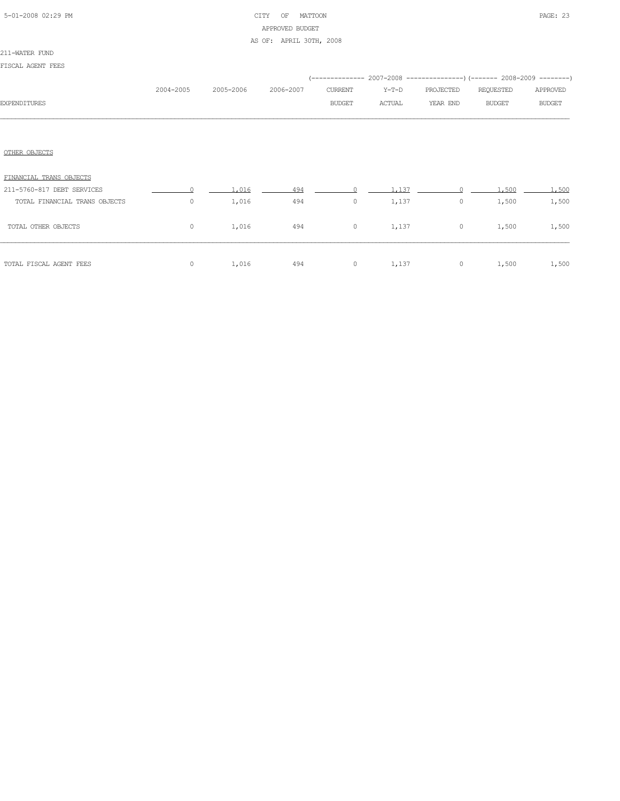# 5-01-2008 02:29 PM CITY OF MATTOON PAGE: 23 APPROVED BUDGET AS OF: APRIL 30TH, 2008

### 211-WATER FUND

| FISCAL AGENT FEES |  |
|-------------------|--|
|-------------------|--|

|                               |           |           |           |               |         |           | (-------------- 2007-2008 -------------------- 2008-2009 ----------- |               |
|-------------------------------|-----------|-----------|-----------|---------------|---------|-----------|----------------------------------------------------------------------|---------------|
|                               | 2004-2005 | 2005-2006 | 2006-2007 | CURRENT       | $Y-T-D$ | PROJECTED | REQUESTED                                                            | APPROVED      |
| <b>EXPENDITURES</b>           |           |           |           | <b>BUDGET</b> | ACTUAL  | YEAR END  | <b>BUDGET</b>                                                        | <b>BUDGET</b> |
|                               |           |           |           |               |         |           |                                                                      |               |
|                               |           |           |           |               |         |           |                                                                      |               |
| OTHER OBJECTS                 |           |           |           |               |         |           |                                                                      |               |
| FINANCIAL TRANS OBJECTS       |           |           |           |               |         |           |                                                                      |               |
| 211-5760-817 DEBT SERVICES    |           | 1,016     | 494       |               | 1,137   |           | 1,500                                                                | 1,500         |
| TOTAL FINANCIAL TRANS OBJECTS | $\circ$   | 1,016     | 494       | $\circ$       | 1,137   | $\circ$   | 1,500                                                                | 1,500         |
| TOTAL OTHER OBJECTS           | $\circ$   | 1,016     | 494       | $\circ$       | 1,137   | $\circ$   | 1,500                                                                | 1,500         |
| TOTAL FISCAL AGENT FEES       | 0         | 1,016     | 494       | $\circ$       | 1,137   | $\circ$   | 1,500                                                                | 1,500         |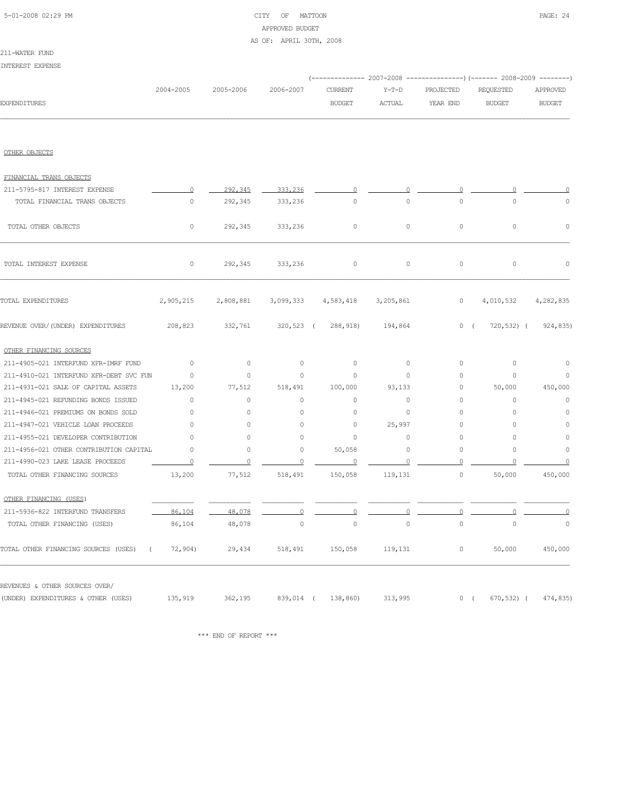# 5-01-2008 02:29 PM CITY OF MATTOON PAGE: 24 APPROVED BUDGET AS OF: APRIL 30TH, 2008

## 211-WATER FUND

| INTEREST EXPENSE                                 |           |           |             |                     |           |                |               |               |
|--------------------------------------------------|-----------|-----------|-------------|---------------------|-----------|----------------|---------------|---------------|
|                                                  |           |           |             |                     |           |                |               |               |
|                                                  | 2004-2005 | 2005-2006 | 2006-2007   | <b>CURRENT</b>      | $Y-T-D$   | PROJECTED      | REQUESTED     | APPROVED      |
| <b>EXPENDITURES</b>                              |           |           |             | <b>BUDGET</b>       | ACTUAL    | YEAR END       | <b>BUDGET</b> | <b>BUDGET</b> |
| OTHER OBJECTS                                    |           |           |             |                     |           |                |               |               |
|                                                  |           |           |             |                     |           |                |               |               |
| FINANCIAL TRANS OBJECTS                          |           |           |             |                     |           |                |               |               |
| 211-5795-817 INTEREST EXPENSE                    | $\Omega$  | 292,345   | 333,236     | 0                   |           |                |               |               |
| TOTAL FINANCIAL TRANS OBJECTS                    | 0         | 292,345   | 333,236     | $\circ$             | $\circ$   | $\circ$        | 0             | 0             |
| TOTAL OTHER OBJECTS                              | 0         | 292,345   | 333,236     | $\circ$             | $\circ$   | $\circ$        | $\circ$       | 0             |
| TOTAL INTEREST EXPENSE                           | $\circ$   | 292,345   | 333,236     | $\circ$             | $\circ$   | $\circ$        | $\circ$       | 0             |
| TOTAL EXPENDITURES                               | 2,905,215 | 2,808,881 | 3,099,333   | 4,583,418           | 3,205,861 | $\circ$        | 4,010,532     | 4,282,835     |
| REVENUE OVER/(UNDER) EXPENDITURES                | 208,823   | 332,761   | 320,523 (   | 288,918)            | 194,864   | 0(             | $720,532)$ (  | 924,835)      |
| OTHER FINANCING SOURCES                          |           |           |             |                     |           |                |               |               |
| 211-4905-021 INTERFUND XFR-IMRF FUND             | $\circ$   | $\circ$   | $\circ$     | 0                   | $\circ$   | $\circ$        | 0             | 0             |
| 211-4910-021 INTERFUND XFR-DEBT SVC FUN          | $\circ$   | $\circ$   | $\circ$     | $\circ$             | $\circ$   | $\circ$        | $\circ$       | $\circ$       |
| 211-4931-021 SALE OF CAPITAL ASSETS              | 13,200    | 77,512    | 518,491     | 100,000             | 93,133    | 0              | 50,000        | 450,000       |
| 211-4945-021 REFUNDING BONDS ISSUED              | $\circ$   | $\circ$   | $\circ$     | $\circ$             | $\circ$   | $\circ$        | 0             | 0             |
| 211-4946-021 PREMIUMS ON BONDS SOLD              | 0         | 0         | 0           | 0                   | 0         | $\circ$        | 0             | 0             |
| 211-4947-021 VEHICLE LOAN PROCEEDS               | $\circ$   | 0         | 0           | 0                   | 25,997    | $\circ$        | $\circ$       | 0             |
| 211-4955-021 DEVELOPER CONTRIBUTION              | 0         | 0         | 0           | 0                   | $\circ$   | $\circ$        | $\circ$       | 0             |
| 211-4956-021 OTHER CONTRIBUTION CAPITAL          | 0         | 0         | 0           | 50,058              | 0         | $\circ$        | 0             | 0             |
| 211-4990-023 LAKE LEASE PROCEEDS                 |           |           |             |                     |           |                |               |               |
| TOTAL OTHER FINANCING SOURCES                    | 13,200    | 77,512    | 518,491     | 150,058             | 119,131   | 0              | 50,000        | 450,000       |
| OTHER FINANCING (USES)                           |           |           |             |                     |           |                |               |               |
| 211-5936-822 INTERFUND TRANSFERS                 | 86,104    | 48,078    |             |                     |           | $\overline{0}$ |               |               |
| TOTAL OTHER FINANCING (USES)                     | 86,104    | 48,078    | $\mathbb O$ | $\mathsf{O}\xspace$ | $\circ$   | $\mathbb O$    | $\mathbb O$   | 0             |
| TOTAL OTHER FINANCING SOURCES (USES)<br>$\left($ | 72,904)   | 29,434    | 518,491     | 150,058             | 119,131   | 0              | 50,000        | 450,000       |
| REVENUES & OTHER SOURCES OVER/                   |           |           |             |                     |           |                |               |               |
| (UNDER) EXPENDITURES & OTHER (USES)              | 135,919   | 362,195   | 839,014 (   | 138,860)            | 313,995   | 0(             | $670, 532)$ ( | 474,835)      |

 $\star\star\star$  END OF REPORT  $\star\star\star$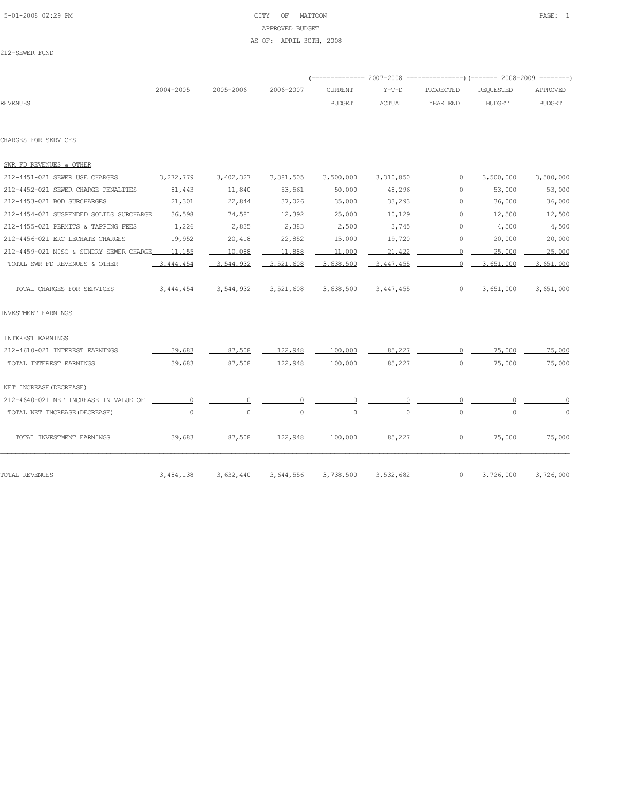## 5-01-2008 02:29 PM CITY OF MATTOON PAGE: 1 APPROVED BUDGET AS OF: APRIL 30TH, 2008

212-SEWER FUND

| <b>REVENUES</b>                         | 2004-2005 | 2005-2006 | 2006-2007 | --------------<br><b>CURRENT</b><br><b>BUDGET</b> | $Y-T-D$<br><b>ACTUAL</b> | PROJECTED<br>YEAR END | $2007 - 2008$ ----------------) (------- 2008-2009 ---------)<br>REQUESTED<br><b>BUDGET</b> | APPROVED<br><b>BUDGET</b> |
|-----------------------------------------|-----------|-----------|-----------|---------------------------------------------------|--------------------------|-----------------------|---------------------------------------------------------------------------------------------|---------------------------|
| CHARGES FOR SERVICES                    |           |           |           |                                                   |                          |                       |                                                                                             |                           |
| SWR FD REVENUES & OTHER                 |           |           |           |                                                   |                          |                       |                                                                                             |                           |
| 212-4451-021 SEWER USE CHARGES          | 3,272,779 | 3,402,327 | 3,381,505 | 3,500,000                                         | 3,310,850                | $\Omega$              | 3,500,000                                                                                   | 3,500,000                 |
| 212-4452-021 SEWER CHARGE PENALTIES     | 81,443    | 11,840    | 53,561    | 50,000                                            | 48,296                   | $\Omega$              | 53,000                                                                                      | 53,000                    |
| 212-4453-021 BOD SURCHARGES             | 21,301    | 22,844    | 37,026    | 35,000                                            | 33,293                   | 0                     | 36,000                                                                                      | 36,000                    |
| 212-4454-021 SUSPENDED SOLIDS SURCHARGE | 36,598    | 74,581    | 12,392    | 25,000                                            | 10,129                   | $\Omega$              | 12,500                                                                                      | 12,500                    |
| 212-4455-021 PERMITS & TAPPING FEES     | 1,226     | 2,835     | 2,383     | 2,500                                             | 3,745                    | 0                     | 4,500                                                                                       | 4,500                     |
| 212-4456-021 ERC LECHATE CHARGES        | 19,952    | 20,418    | 22,852    | 15,000                                            | 19,720                   | 0                     | 20,000                                                                                      | 20,000                    |
| 212-4459-021 MISC & SUNDRY SEWER CHARGE | 11,155    | 10,088    | 11,888    | 11,000                                            | 21,422                   |                       | 25,000                                                                                      | 25,000                    |
|                                         | 3,444,454 | 3,544,932 | 3.521.608 | 3,638,500                                         | 3,447,455                |                       | 3,651,000                                                                                   | 3.651.000                 |

|  | INVESTMENT EARNINGS |  |
|--|---------------------|--|
|--|---------------------|--|

| <b>TOTAL REVENUES</b>                   | 3,484,138 | 3,632,440 | 3,644,556 | 3,738,500 | 3,532,682 | 0       | 3,726,000 | 3,726,000 |
|-----------------------------------------|-----------|-----------|-----------|-----------|-----------|---------|-----------|-----------|
| TOTAL INVESTMENT EARNINGS               | 39,683    | 87,508    | 122,948   | 100,000   | 85,227    | $\circ$ | 75,000    | 75,000    |
| TOTAL NET INCREASE (DECREASE)           |           |           |           |           |           |         |           |           |
| 212-4640-021 NET INCREASE IN VALUE OF I |           |           |           |           |           |         |           |           |
| NET INCREASE (DECREASE)                 |           |           |           |           |           |         |           |           |
| TOTAL INTEREST EARNINGS                 | 39,683    | 87,508    | 122,948   | 100,000   | 85,227    | 0       | 75,000    | 75,000    |
| 212-4610-021 INTEREST EARNINGS          | 39,683    | 87,508    | 122,948   | 100,000   | 85,227    |         | 75,000    | 75,000    |
| INTEREST EARNINGS                       |           |           |           |           |           |         |           |           |

TOTAL CHARGES FOR SERVICES 3,444,454 3,544,932 3,521,608 3,638,500 3,447,455 0 3,651,000 3,651,000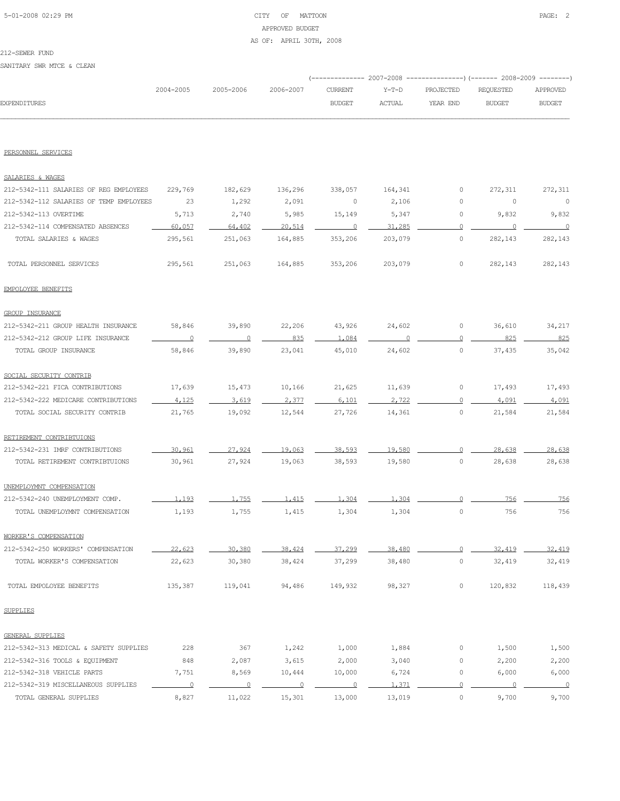# 5-01-2008 02:29 PM CITY OF MATTOON PAGE: 2 APPROVED BUDGET AS OF: APRIL 30TH, 2008

## 212-SEWER FUND

SANITARY SWR MTCE & CLEAN

|              |           |           |           |               |         | (-------------- 2007-2008 ----------------) (------- 2008-2009 ---------) |           |               |
|--------------|-----------|-----------|-----------|---------------|---------|---------------------------------------------------------------------------|-----------|---------------|
|              | 2004-2005 | 2005-2006 | 2006-2007 | CURRENT       | Y-T-D   | PROJECTED                                                                 | REOUESTED | APPROVED      |
| EXPENDTTURES |           |           |           | <b>BUDGET</b> | ACTUAL. | YEAR END                                                                  | BUDGET    | <b>BUDGET</b> |
|              |           |           |           |               |         |                                                                           |           |               |

## PERSONNEL SERVICES

| SALARIES & WAGES                        |                          |                |                         |                          |          |                     |          |                |
|-----------------------------------------|--------------------------|----------------|-------------------------|--------------------------|----------|---------------------|----------|----------------|
| 212-5342-111 SALARIES OF REG EMPLOYEES  | 229,769                  | 182,629        | 136,296                 | 338,057                  | 164,341  | 0                   | 272,311  | 272,311        |
| 212-5342-112 SALARIES OF TEMP EMPLOYEES | 23                       | 1,292          | 2,091                   | 0                        | 2,106    | 0                   | 0        | $\mathbf 0$    |
| 212-5342-113 OVERTIME                   | 5,713                    | 2,740          | 5,985                   | 15,149                   | 5,347    | 0                   | 9,832    | 9,832          |
| 212-5342-114 COMPENSATED ABSENCES       | 60,057                   | 64,402         | 20,514                  | $\overline{0}$           | 31,285   | $\circ$             | $\circ$  | $\Omega$       |
| TOTAL SALARIES & WAGES                  | 295,561                  | 251,063        | 164,885                 | 353,206                  | 203,079  | $\circ$             | 282,143  | 282,143        |
| TOTAL PERSONNEL SERVICES                | 295,561                  | 251,063        | 164,885                 | 353,206                  | 203,079  | $\circ$             | 282,143  | 282,143        |
| EMPOLOYEE BENEFITS                      |                          |                |                         |                          |          |                     |          |                |
| <b>GROUP INSURANCE</b>                  |                          |                |                         |                          |          |                     |          |                |
| 212-5342-211 GROUP HEALTH INSURANCE     | 58,846                   | 39,890         | 22,206                  | 43,926                   | 24,602   | 0                   | 36,610   | 34,217         |
| 212-5342-212 GROUP LIFE INSURANCE       | $\overline{\phantom{0}}$ | $\overline{0}$ | 835                     | 1,084                    | $\Omega$ | 0                   | 825      | 825            |
| TOTAL GROUP INSURANCE                   | 58,846                   | 39,890         | 23,041                  | 45,010                   | 24,602   | $\circ$             | 37,435   | 35,042         |
| SOCIAL SECURITY CONTRIB                 |                          |                |                         |                          |          |                     |          |                |
| 212-5342-221 FICA CONTRIBUTIONS         | 17,639                   | 15,473         | 10,166                  | 21,625                   | 11,639   | 0                   | 17,493   | 17,493         |
| 212-5342-222 MEDICARE CONTRIBUTIONS     | 4.125                    | 3,619          | 2.377                   | 6.101                    | 2,722    | $\circ$             | 4,091    | 4.091          |
| TOTAL SOCIAL SECURITY CONTRIB           | 21,765                   | 19,092         | 12,544                  | 27,726                   | 14,361   | 0                   | 21,584   | 21,584         |
| RETIREMENT CONTRIBTUIONS                |                          |                |                         |                          |          |                     |          |                |
| 212-5342-231 IMRF CONTRIBUTIONS         | 30,961                   | 27,924         | 19,063                  | 38,593                   | 19,580   | $\circ$             | 28,638   | 28,638         |
| TOTAL RETIREMENT CONTRIBTUIONS          | 30,961                   | 27,924         | 19,063                  | 38,593                   | 19,580   | $\circ$             | 28,638   | 28,638         |
| UNEMPLOYMNT COMPENSATION                |                          |                |                         |                          |          |                     |          |                |
| 212-5342-240 UNEMPLOYMENT COMP.         | 1,193                    | 1,755          | 1.415                   | 1,304                    | 1,304    | $\Omega$            | 756      | 756            |
| TOTAL UNEMPLOYMNT COMPENSATION          | 1,193                    | 1,755          | 1,415                   | 1,304                    | 1,304    | $\circ$             | 756      | 756            |
| WORKER'S COMPENSATION                   |                          |                |                         |                          |          |                     |          |                |
| 212-5342-250 WORKERS' COMPENSATION      | 22,623                   | 30,380         | 38,424                  | 37,299                   | 38,480   | $\circ$             | 32,419   | 32,419         |
| TOTAL WORKER'S COMPENSATION             | 22,623                   | 30,380         | 38,424                  | 37,299                   | 38,480   | $\circ$             | 32,419   | 32,419         |
| TOTAL EMPOLOYEE BENEFITS                | 135,387                  | 119,041        | 94,486                  | 149,932                  | 98,327   | 0                   | 120,832  | 118,439        |
| <b>SUPPLIES</b>                         |                          |                |                         |                          |          |                     |          |                |
| <b>GENERAL SUPPLIES</b>                 |                          |                |                         |                          |          |                     |          |                |
| 212-5342-313 MEDICAL & SAFETY SUPPLIES  | 228                      | 367            | 1,242                   | 1,000                    | 1,884    | 0                   | 1,500    | 1,500          |
| 212-5342-316 TOOLS & EQUIPMENT          | 848                      | 2,087          | 3,615                   | 2,000                    | 3,040    | 0                   | 2,200    | 2,200          |
| 212-5342-318 VEHICLE PARTS              | 7,751                    | 8,569          | 10,444                  | 10,000                   | 6,724    | 0                   | 6,000    | 6,000          |
| 212-5342-319 MISCELLANEOUS SUPPLIES     | $\overline{0}$           | $\overline{0}$ | $\overline{\mathbf{0}}$ | $\overline{\phantom{0}}$ | 1,371    | $\overline{0}$      | $\Omega$ | $\overline{0}$ |
| TOTAL GENERAL SUPPLIES                  | 8,827                    | 11,022         | 15,301                  | 13,000                   | 13,019   | $\mathsf{O}\xspace$ | 9,700    | 9,700          |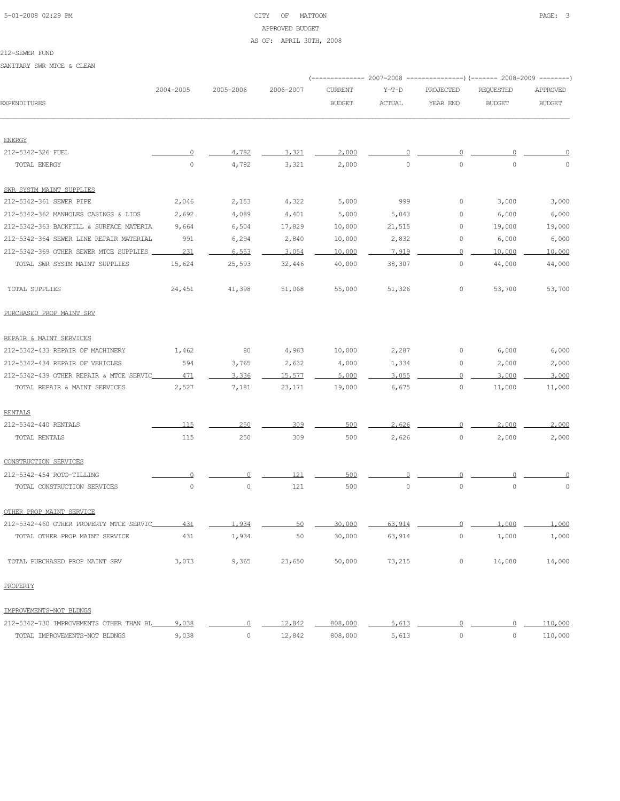# 5-01-2008 02:29 PM CITY OF MATTOON PAGE: 3 APPROVED BUDGET AS OF: APRIL 30TH, 2008

#### 212-SEWER FUND

SANITARY SWR MTCE & CLEAN

|                                         |           |           |           |                |               |                | (-------------- 2007-2008 -----------------) (------- 2008-2009 ---------) |               |
|-----------------------------------------|-----------|-----------|-----------|----------------|---------------|----------------|----------------------------------------------------------------------------|---------------|
|                                         | 2004-2005 | 2005-2006 | 2006-2007 | <b>CURRENT</b> | $Y-T-D$       | PROJECTED      | <b>REQUESTED</b>                                                           | APPROVED      |
| <b>EXPENDITURES</b>                     |           |           |           | <b>BUDGET</b>  | <b>ACTUAL</b> | YEAR END       | <b>BUDGET</b>                                                              | <b>BUDGET</b> |
| <b>ENERGY</b>                           |           |           |           |                |               |                |                                                                            |               |
| 212-5342-326 FUEL                       | O         | 4.782     | 3.321     | 2,000          |               |                |                                                                            |               |
| TOTAL ENERGY                            | $\circ$   | 4,782     | 3,321     | 2,000          | $\mathbb O$   | $\circ$        | $\circ$                                                                    | $\circ$       |
| SWR SYSTM MAINT SUPPLIES                |           |           |           |                |               |                |                                                                            |               |
| 212-5342-361 SEWER PIPE                 | 2,046     | 2,153     | 4,322     | 5,000          | 999           | 0              | 3,000                                                                      | 3,000         |
| 212-5342-362 MANHOLES CASINGS & LIDS    | 2,692     | 4,089     | 4,401     | 5,000          | 5,043         | 0              | 6,000                                                                      | 6,000         |
| 212-5342-363 BACKFILL & SURFACE MATERIA | 9,664     | 6,504     | 17,829    | 10,000         | 21,515        | 0              | 19,000                                                                     | 19,000        |
| 212-5342-364 SEWER LINE REPAIR MATERIAL | 991       | 6,294     | 2,840     | 10,000         | 2,832         | 0              | 6,000                                                                      | 6,000         |
| 212-5342-369 OTHER SEWER MTCE SUPPLIES  | 231       | 6.553     | 3,054     | 10,000         | 7.919         | 0              | 10,000                                                                     | 10,000        |
| TOTAL SWR SYSTM MAINT SUPPLIES          | 15,624    | 25,593    | 32,446    | 40,000         | 38,307        | $\circ$        | 44,000                                                                     | 44,000        |
| TOTAL SUPPLIES                          | 24,451    | 41,398    | 51,068    | 55,000         | 51,326        | 0              | 53,700                                                                     | 53,700        |
| PURCHASED PROP MAINT SRV                |           |           |           |                |               |                |                                                                            |               |
| REPAIR & MAINT SERVICES                 |           |           |           |                |               |                |                                                                            |               |
| 212-5342-433 REPAIR OF MACHINERY        | 1,462     | 80        | 4,963     | 10,000         | 2,287         | 0              | 6,000                                                                      | 6,000         |
| 212-5342-434 REPAIR OF VEHICLES         | 594       | 3,765     | 2,632     | 4,000          | 1,334         | 0              | 2,000                                                                      | 2,000         |
| 212-5342-439 OTHER REPAIR & MTCE SERVIC | 471       | 3,336     | 15,577    | 5,000          | 3.055         | 0              | 3,000                                                                      | 3,000         |
| TOTAL REPAIR & MAINT SERVICES           | 2,527     | 7,181     | 23,171    | 19,000         | 6,675         | $\circ$        | 11,000                                                                     | 11,000        |
| <b>RENTALS</b>                          |           |           |           |                |               |                |                                                                            |               |
| 212-5342-440 RENTALS                    | 115       | 250       | 309       | 500            | 2.626         | 0              | 2,000                                                                      | 2,000         |
| TOTAL RENTALS                           | 115       | 250       | 309       | 500            | 2,626         | 0              | 2,000                                                                      | 2,000         |
| CONSTRUCTION SERVICES                   |           |           |           |                |               |                |                                                                            |               |
| 212-5342-454 ROTO-TILLING               | 0         | 0         | 121       | 500            | Ω             | 0              |                                                                            |               |
| TOTAL CONSTRUCTION SERVICES             | $\circ$   | 0         | 121       | 500            | $\mathbb O$   | $\circ$        | $\circ$                                                                    | 0             |
| OTHER PROP MAINT SERVICE                |           |           |           |                |               |                |                                                                            |               |
| 212-5342-460 OTHER PROPERTY MTCE SERVIC | 431       | 1,934     |           | 30,000         | 63,914        |                | 1,000                                                                      | 1,000         |
| TOTAL OTHER PROP MAINT SERVICE          | 431       | 1,934     | 50        | 30,000         | 63,914        | 0              | 1,000                                                                      | 1,000         |
| TOTAL PURCHASED PROP MAINT SRV          | 3,073     | 9,365     | 23,650    | 50,000         | 73,215        | 0              | 14,000                                                                     | 14,000        |
| PROPERTY                                |           |           |           |                |               |                |                                                                            |               |
| IMPROVEMENTS-NOT BLDNGS                 |           |           |           |                |               |                |                                                                            |               |
| 212-5342-730 IMPROVEMENTS OTHER THAN BL | 9,038     | 0         | 12,842    | 808,000        | 5,613         | $\overline{0}$ | ∩                                                                          | 110,000       |
| TOTAL IMPROVEMENTS-NOT BLDNGS           | 9,038     | 0         | 12,842    | 808,000        | 5,613         | $\circ$        | $\circ$                                                                    | 110,000       |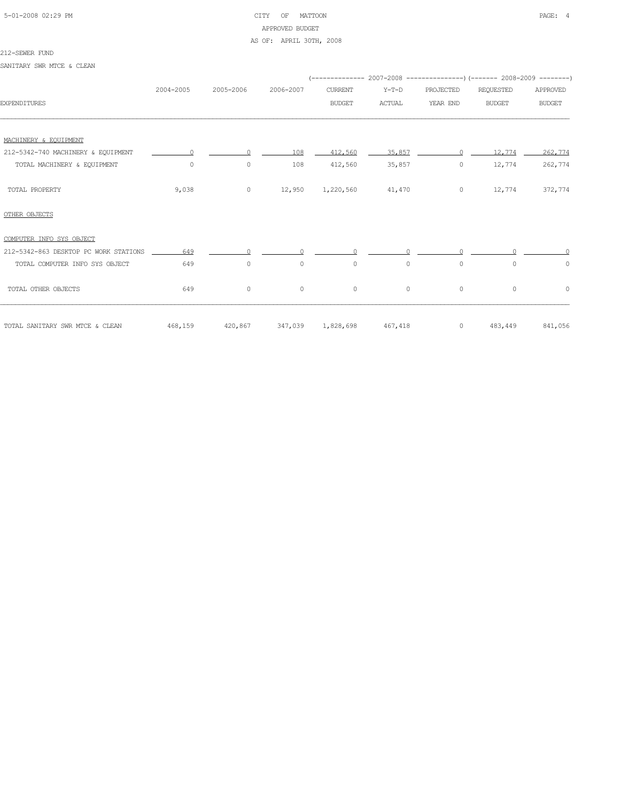# 5-01-2008 02:29 PM CITY OF MATTOON PAGE: 4 APPROVED BUDGET

AS OF: APRIL 30TH, 2008

#### 212-SEWER FUND

SANITARY SWR MTCE & CLEAN

|                                       | 2004-2005 | 2005-2006 | 2006-2007 | <b>CURRENT</b>    | $Y-T-D$       | PROJECTED | <b>REQUESTED</b> | APPROVED        |
|---------------------------------------|-----------|-----------|-----------|-------------------|---------------|-----------|------------------|-----------------|
| <b>EXPENDITURES</b>                   |           |           |           | <b>BUDGET</b>     | <b>ACTUAL</b> | YEAR END  | <b>BUDGET</b>    | <b>BUDGET</b>   |
|                                       |           |           |           |                   |               |           |                  |                 |
| MACHINERY & EOUIPMENT                 |           |           |           |                   |               |           |                  |                 |
| 212-5342-740 MACHINERY & EQUIPMENT    | $\Omega$  | $\Omega$  | 108       | 412,560           | 35,857        | $\cap$    | 12,774           | 262,774         |
| TOTAL MACHINERY & EQUIPMENT           | $\circ$   | $\circ$   | 108       | 412,560           | 35,857        | 0         | 12,774           | 262,774         |
| TOTAL PROPERTY                        | 9,038     | $\circ$   | 12,950    | 1,220,560         | 41,470        | $\circ$   | 12,774           | 372,774         |
| OTHER OBJECTS                         |           |           |           |                   |               |           |                  |                 |
| COMPUTER INFO SYS OBJECT              |           |           |           |                   |               |           |                  |                 |
| 212-5342-863 DESKTOP PC WORK STATIONS | 649       | $\cap$    | $\cap$    | $\cap$            |               |           |                  |                 |
| TOTAL COMPUTER INFO SYS OBJECT        | 649       | $\circ$   | $\circ$   | $\circ$           | $\circ$       | $\circ$   | $\Omega$         | $\circ$         |
| TOTAL OTHER OBJECTS                   | 649       | $\circ$   | $\circ$   | $\circ$           | $\circ$       | $\circ$   | $\circ$          | $\circ$         |
| TOTAL SANITARY SWR MTCE & CLEAN       | 468,159   | 420,867   |           | 347,039 1,828,698 | 467,418       | $\circ$   |                  | 483,449 841,056 |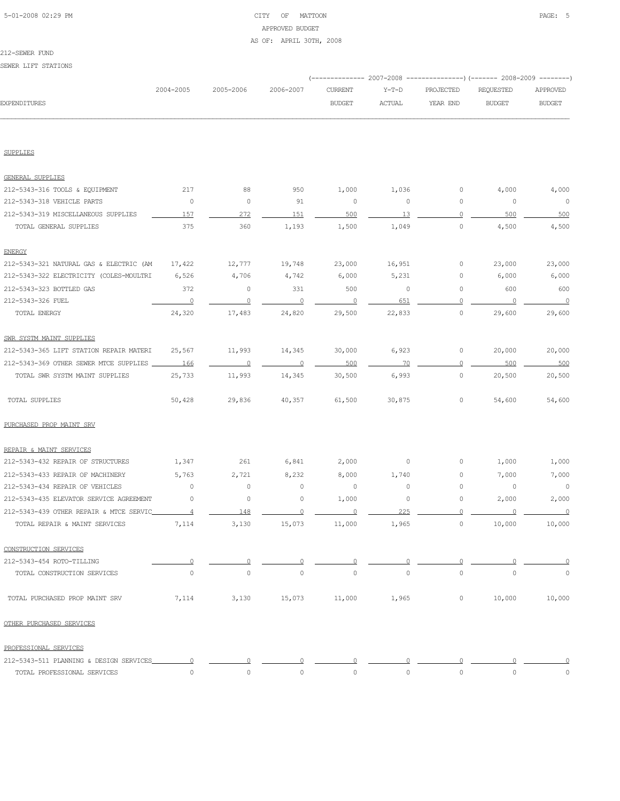# 5-01-2008 02:29 PM CITY OF MATTOON PAGE: 5 APPROVED BUDGET AS OF: APRIL 30TH, 2008

|                                         |                |                |           | ----------- 2007-2008 |               |              | ------------) (------- 2008-2009 -------- |                |
|-----------------------------------------|----------------|----------------|-----------|-----------------------|---------------|--------------|-------------------------------------------|----------------|
|                                         | 2004-2005      | 2005-2006      | 2006-2007 | <b>CURRENT</b>        | $Y-T-D$       | PROJECTED    | <b>REQUESTED</b>                          | APPROVED       |
| EXPENDITURES                            |                |                |           | <b>BUDGET</b>         | <b>ACTUAL</b> | YEAR END     | <b>BUDGET</b>                             | <b>BUDGET</b>  |
|                                         |                |                |           |                       |               |              |                                           |                |
| <b>SUPPLIES</b>                         |                |                |           |                       |               |              |                                           |                |
| GENERAL SUPPLIES                        |                |                |           |                       |               |              |                                           |                |
| 212-5343-316 TOOLS & EQUIPMENT          | 217            | 88             | 950       | 1,000                 | 1,036         | 0            | 4,000                                     | 4,000          |
| 212-5343-318 VEHICLE PARTS              | $\circ$        | $\circ$        | 91        | $\circ$               | $\circ$       | $\circ$      | $\circ$                                   | $\overline{0}$ |
| 212-5343-319 MISCELLANEOUS SUPPLIES     | 157            | 272            | 151       | 500                   | 13            | $\mathbf{0}$ | 500                                       | 500            |
| TOTAL GENERAL SUPPLIES                  | 375            | 360            | 1,193     | 1,500                 | 1,049         | $\mathbb O$  | 4,500                                     | 4,500          |
| <b>ENERGY</b>                           |                |                |           |                       |               |              |                                           |                |
| 212-5343-321 NATURAL GAS & ELECTRIC (AM | 17,422         | 12,777         | 19,748    | 23,000                | 16,951        | 0            | 23,000                                    | 23,000         |
| 212-5343-322 ELECTRICITY (COLES-MOULTRI | 6,526          | 4,706          | 4,742     | 6,000                 | 5,231         | 0            | 6,000                                     | 6,000          |
| 212-5343-323 BOTTLED GAS                | 372            | $\mathbb O$    | 331       | 500                   | $\circ$       | $\mathbb O$  | 600                                       | 600            |
| 212-5343-326 FUEL                       | $\overline{0}$ | $\overline{0}$ | $\circ$   | $\Omega$              | 651           | $\Omega$     | $\Omega$                                  | $\circ$        |
| TOTAL ENERGY                            | 24,320         | 17,483         | 24,820    | 29,500                | 22,833        | $\mathbb O$  | 29,600                                    | 29,600         |
| SWR SYSTM MAINT SUPPLIES                |                |                |           |                       |               |              |                                           |                |
| 212-5343-365 LIFT STATION REPAIR MATERI | 25,567         | 11,993         | 14,345    | 30,000                | 6,923         | 0            | 20,000                                    | 20,000         |
| 212-5343-369 OTHER SEWER MTCE SUPPLIES  | 166            | $\circ$        | $\Omega$  | 500                   | 70            | $\circ$      | 500                                       | 500            |
| TOTAL SWR SYSTM MAINT SUPPLIES          | 25,733         | 11,993         | 14,345    | 30,500                | 6,993         | 0            | 20,500                                    | 20,500         |
| TOTAL SUPPLIES                          | 50,428         | 29,836         | 40,357    | 61,500                | 30,875        | 0            | 54,600                                    | 54,600         |
| PURCHASED PROP MAINT SRV                |                |                |           |                       |               |              |                                           |                |
| REPAIR & MAINT SERVICES                 |                |                |           |                       |               |              |                                           |                |
| 212-5343-432 REPAIR OF STRUCTURES       | 1,347          | 261            | 6,841     | 2,000                 | $\circ$       | 0            | 1,000                                     | 1,000          |
| 212-5343-433 REPAIR OF MACHINERY        | 5,763          | 2,721          | 8,232     | 8,000                 | 1,740         | $\circ$      | 7,000                                     | 7,000          |
| 212-5343-434 REPAIR OF VEHICLES         | $\circ$        | $\mathbb O$    | $\circ$   | $\circ$               | $\circ$       | $\circ$      | $\mathbb O$                               | $\overline{0}$ |
| 212-5343-435 ELEVATOR SERVICE AGREEMENT | $\circ$        | $\mathbb O$    | 0         | 1,000                 | $\circ$       | $\mathbb O$  | 2,000                                     | 2,000          |
| 212-5343-439 OTHER REPAIR & MTCE SERVIC | $\overline{4}$ | 148            |           | O                     | 225           | $\Omega$     |                                           | $\overline{0}$ |
| TOTAL REPAIR & MAINT SERVICES           | 7,114          | 3,130          | 15,073    | 11,000                | 1,965         | $\circ$      | 10,000                                    | 10,000         |
| CONSTRUCTION SERVICES                   |                |                |           |                       |               |              |                                           |                |
| 212-5343-454 ROTO-TILLING               | 0              | 0              |           | 0                     |               | 0            |                                           |                |
| TOTAL CONSTRUCTION SERVICES             | $\circ$        | $\circ$        | $\circ$   | $\circ$               | $\circ$       | $\circ$      | $\circ$                                   | $\circ$        |
| TOTAL PURCHASED PROP MAINT SRV          | 7,114          | 3,130          | 15,073    | 11,000                | 1,965         | 0            | 10,000                                    | 10,000         |
| OTHER PURCHASED SERVICES                |                |                |           |                       |               |              |                                           |                |
| PROFESSIONAL SERVICES                   |                |                |           |                       |               |              |                                           |                |
| 212-5343-511 PLANNING & DESIGN SERVICES | $\circ$        |                | O         |                       |               |              |                                           |                |
| TOTAL PROFESSIONAL SERVICES             | $\circ$        | 0              | $\circ$   | 0                     | $\circ$       | $\circ$      | $\circ$                                   | $\Omega$       |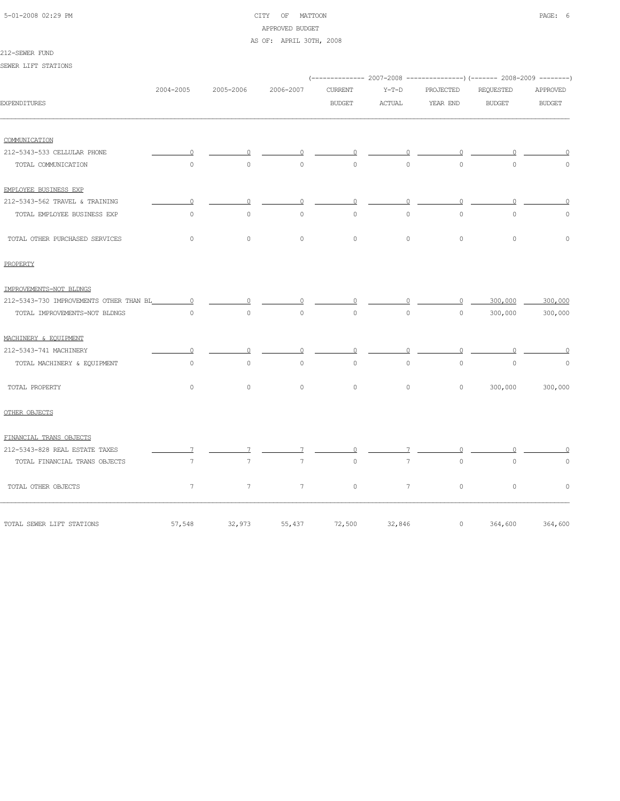# 5-01-2008 02:29 PM CITY OF MATTOON PAGE: 6 APPROVED BUDGET

## AS OF: APRIL 30TH, 2008

### 212-SEWER FUND

SEWER LIFT STATIONS

|                                         |                 |                 |                 |                |                 |                | (------------- 2007-2008 ---------------) (------- 2008-2009 --------) |               |
|-----------------------------------------|-----------------|-----------------|-----------------|----------------|-----------------|----------------|------------------------------------------------------------------------|---------------|
|                                         | 2004-2005       | 2005-2006       | 2006-2007       | <b>CURRENT</b> | $Y-T-D$         | PROJECTED      | REQUESTED                                                              | APPROVED      |
| <b>EXPENDITURES</b>                     |                 |                 |                 | <b>BUDGET</b>  | ACTUAL          | YEAR END       | <b>BUDGET</b>                                                          | <b>BUDGET</b> |
| COMMUNICATION                           |                 |                 |                 |                |                 |                |                                                                        |               |
| 212-5343-533 CELLULAR PHONE             | $\cup$          |                 | 0               | 0              | 0               | $\Omega$       |                                                                        |               |
| TOTAL COMMUNICATION                     | $\circ$         | $\circ$         | $\circ$         | $\Omega$       | $\circ$         | $\circ$        | $\circ$                                                                | $\Omega$      |
| EMPLOYEE BUSINESS EXP                   |                 |                 |                 |                |                 |                |                                                                        |               |
| 212-5343-562 TRAVEL & TRAINING          | $\circ$         | $\circ$         | 0               | $\circ$        | $\circ$         | $\overline{0}$ | $\Omega$                                                               |               |
| TOTAL EMPLOYEE BUSINESS EXP             | $\circ$         | $\circ$         | $\circ$         | $\circ$        | $\circ$         | $\circ$        | $\mathbf{0}$                                                           | $\Omega$      |
| TOTAL OTHER PURCHASED SERVICES          | $\circ$         | $\circ$         | $\circ$         | $\circ$        | $\circ$         | $\circ$        | $\circ$                                                                | $\circ$       |
| PROPERTY                                |                 |                 |                 |                |                 |                |                                                                        |               |
| IMPROVEMENTS-NOT BLDNGS                 |                 |                 |                 |                |                 |                |                                                                        |               |
| 212-5343-730 IMPROVEMENTS OTHER THAN BL | $\overline{0}$  | 0               |                 | $\Omega$       |                 | $\circ$        | 300,000                                                                | 300,000       |
| TOTAL IMPROVEMENTS-NOT BLDNGS           | $\Omega$        | $\circ$         | $\circ$         | $\circ$        | $\circ$         | $\circ$        | 300,000                                                                | 300,000       |
| MACHINERY & EQUIPMENT                   |                 |                 |                 |                |                 |                |                                                                        |               |
| 212-5343-741 MACHINERY                  | $\Omega$        | $\Omega$        | 0               | 0              | $\circ$         | $\circ$        | $\overline{0}$                                                         | 0             |
| TOTAL MACHINERY & EQUIPMENT             | $\circ$         | $\circ$         | $\circ$         | $\circ$        | $\circ$         | $\circ$        | $\mathbf{0}$                                                           | $\circ$       |
| TOTAL PROPERTY                          | $\circ$         | $\circ$         | $\circ$         | $\circ$        | $\circ$         | $\circ$        | 300,000                                                                | 300,000       |
| OTHER OBJECTS                           |                 |                 |                 |                |                 |                |                                                                        |               |
| FINANCIAL TRANS OBJECTS                 |                 |                 |                 |                |                 |                |                                                                        |               |
| 212-5343-828 REAL ESTATE TAXES          | 7               |                 |                 |                |                 | $\cap$         |                                                                        |               |
| TOTAL FINANCIAL TRANS OBJECTS           | 7               | 7               | $7\phantom{.0}$ | $\circ$        | $7\phantom{.0}$ | $\circ$        | $\mathsf{O}\xspace$                                                    | $\mathbb O$   |
| TOTAL OTHER OBJECTS                     | $7\phantom{.0}$ | $7\overline{ }$ | $7\phantom{.0}$ | $\circ$        | $7\phantom{.0}$ | $\circ$        | $\circ$                                                                | $\circ$       |
| TOTAL SEWER LIFT STATIONS               | 57,548          | 32,973          | 55,437          | 72,500         | 32,846          | $\circ$        | 364,600                                                                | 364,600       |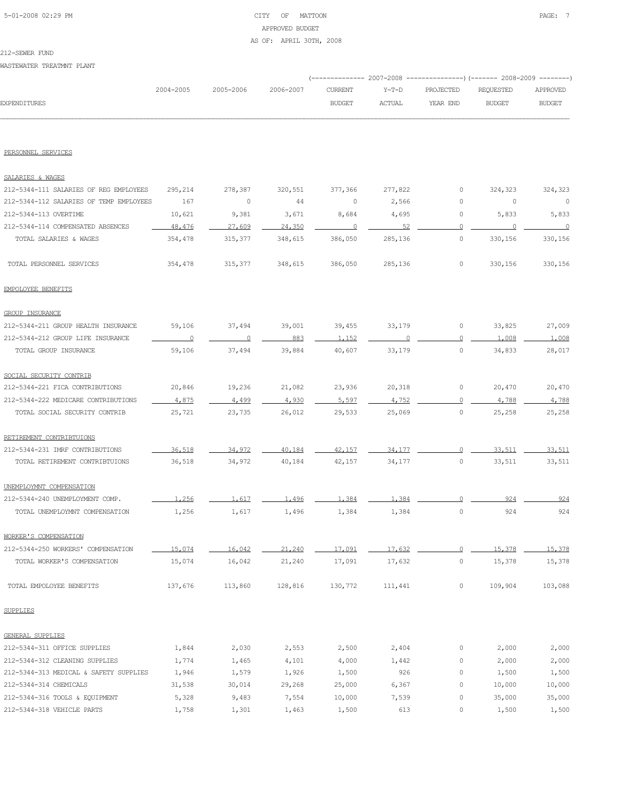# 5-01-2008 02:29 PM CITY OF MATTOON PAGE: 7 APPROVED BUDGET AS OF: APRIL 30TH, 2008

212-SEWER FUND

WASTEWATER TREATMNT PLANT

|              |           |           |           |               |        | (------------- 2007-2008 ----------------) (------- 2008-2009 --------) |               |               |
|--------------|-----------|-----------|-----------|---------------|--------|-------------------------------------------------------------------------|---------------|---------------|
|              | 2004-2005 | 2005-2006 | 2006-2007 | CURRENT       | Y-T-D  | PROJECTED                                                               | REQUESTED     | APPROVED      |
| EXPENDITURES |           |           |           | <b>BUDGET</b> | ACTUAL | YEAR END                                                                | <b>BUDGET</b> | <b>BUDGET</b> |
|              |           |           |           |               |        |                                                                         |               |               |

PERSONNEL SERVICES

| SALARIES & WAGES                        |                |                |         |                |         |                |         |         |
|-----------------------------------------|----------------|----------------|---------|----------------|---------|----------------|---------|---------|
| 212-5344-111 SALARIES OF REG EMPLOYEES  | 295,214        | 278,387        | 320,551 | 377,366        | 277,822 | 0              | 324,323 | 324,323 |
| 212-5344-112 SALARIES OF TEMP EMPLOYEES | 167            | 0              | 44      | 0              | 2,566   | 0              | $\circ$ | 0       |
| 212-5344-113 OVERTIME                   | 10,621         | 9,381          | 3,671   | 8,684          | 4,695   | 0              | 5,833   | 5,833   |
| 212-5344-114 COMPENSATED ABSENCES       | 48,476         | 27,609         | 24,350  | $\overline{0}$ | 52      | $\overline{0}$ | $\circ$ | $\circ$ |
| TOTAL SALARIES & WAGES                  | 354,478        | 315,377        | 348,615 | 386,050        | 285,136 | $\circ$        | 330,156 | 330,156 |
| TOTAL PERSONNEL SERVICES                | 354,478        | 315,377        | 348,615 | 386,050        | 285,136 | $\circ$        | 330,156 | 330,156 |
| EMPOLOYEE BENEFITS                      |                |                |         |                |         |                |         |         |
| <b>GROUP INSURANCE</b>                  |                |                |         |                |         |                |         |         |
| 212-5344-211 GROUP HEALTH INSURANCE     | 59,106         | 37,494         | 39,001  | 39,455         | 33,179  | $\circ$        | 33,825  | 27,009  |
| 212-5344-212 GROUP LIFE INSURANCE       | $\overline{0}$ | $\overline{0}$ | 883     | 1,152          | $\circ$ | $\Omega$       | 1,008   | 1,008   |
| TOTAL GROUP INSURANCE                   | 59,106         | 37,494         | 39,884  | 40,607         | 33,179  | $\circ$        | 34,833  | 28,017  |
| SOCIAL SECURITY CONTRIB                 |                |                |         |                |         |                |         |         |
| 212-5344-221 FICA CONTRIBUTIONS         | 20,846         | 19,236         | 21,082  | 23,936         | 20,318  | $\circ$        | 20,470  | 20,470  |
| 212-5344-222 MEDICARE CONTRIBUTIONS     | 4.875          | 4.499          | 4.930   | 5,597          | 4.752   | $\Omega$       | 4,788   | 4,788   |
| TOTAL SOCIAL SECURITY CONTRIB           | 25,721         | 23,735         | 26,012  | 29,533         | 25,069  | $\circ$        | 25,258  | 25,258  |
| RETIREMENT CONTRIBTUIONS                |                |                |         |                |         |                |         |         |
| 212-5344-231 IMRF CONTRIBUTIONS         | 36,518         | 34,972         | 40.184  | 42,157         | 34, 177 | $\Omega$       | 33,511  | 33,511  |
| TOTAL RETIREMENT CONTRIBTUIONS          | 36,518         | 34,972         | 40,184  | 42,157         | 34,177  | $\circ$        | 33,511  | 33,511  |
| UNEMPLOYMNT COMPENSATION                |                |                |         |                |         |                |         |         |
| 212-5344-240 UNEMPLOYMENT COMP.         | 1,256          | 1.617          | 1,496   | 1,384          | 1,384   | $\circ$        | 924     | 924     |
| TOTAL UNEMPLOYMNT COMPENSATION          | 1,256          | 1,617          | 1,496   | 1,384          | 1,384   | 0              | 924     | 924     |
| WORKER'S COMPENSATION                   |                |                |         |                |         |                |         |         |
| 212-5344-250 WORKERS' COMPENSATION      | 15,074         | 16,042         | 21,240  | 17,091         | 17,632  | $\circ$        | 15,378  | 15,378  |
| TOTAL WORKER'S COMPENSATION             | 15,074         | 16,042         | 21,240  | 17,091         | 17,632  | $\circ$        | 15,378  | 15,378  |
| TOTAL EMPOLOYEE BENEFITS                | 137,676        | 113,860        | 128,816 | 130,772        | 111,441 | 0              | 109,904 | 103,088 |
| <b>SUPPLIES</b>                         |                |                |         |                |         |                |         |         |
| <b>GENERAL SUPPLIES</b>                 |                |                |         |                |         |                |         |         |
| 212-5344-311 OFFICE SUPPLIES            | 1,844          | 2,030          | 2,553   | 2,500          | 2,404   | 0              | 2,000   | 2,000   |
| 212-5344-312 CLEANING SUPPLIES          | 1,774          | 1,465          | 4,101   | 4,000          | 1,442   | 0              | 2,000   | 2,000   |
| 212-5344-313 MEDICAL & SAFETY SUPPLIES  | 1,946          | 1,579          | 1,926   | 1,500          | 926     | 0              | 1,500   | 1,500   |
| 212-5344-314 CHEMICALS                  | 31,538         | 30,014         | 29,268  | 25,000         | 6,367   | 0              | 10,000  | 10,000  |
| 212-5344-316 TOOLS & EQUIPMENT          | 5,328          | 9,483          | 7,554   | 10,000         | 7,539   | 0              | 35,000  | 35,000  |
| 212-5344-318 VEHICLE PARTS              | 1,758          | 1,301          | 1,463   | 1,500          | 613     | 0              | 1,500   | 1,500   |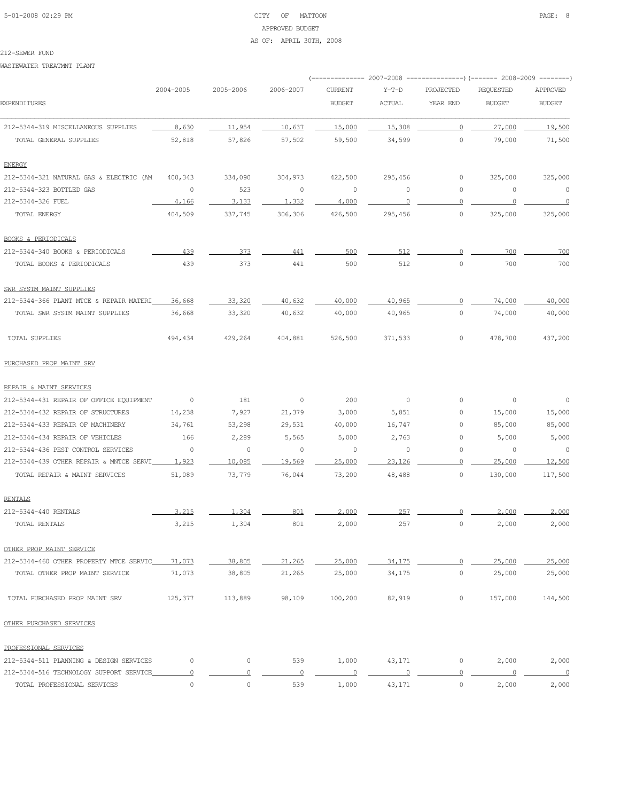# 5-01-2008 02:29 PM CITY OF MATTOON PAGE: 8 APPROVED BUDGET AS OF: APRIL 30TH, 2008

#### 212-SEWER FUND

WASTEWATER TREATMNT PLANT

|                                         | 2004-2005 | 2005-2006      | 2006-2007 | <b>CURRENT</b> | $Y-T-D$ | PROJECTED      | <b>REQUESTED</b> | APPROVED                 |
|-----------------------------------------|-----------|----------------|-----------|----------------|---------|----------------|------------------|--------------------------|
| <b>EXPENDITURES</b>                     |           |                |           | <b>BUDGET</b>  | ACTUAL  | YEAR END       | <b>BUDGET</b>    | <b>BUDGET</b>            |
| 212-5344-319 MISCELLANEOUS SUPPLIES     | 8,630     | 11,954         | 10,637    | 15,000         | 15,308  | $\circ$        | 27.000           | 19,500                   |
| TOTAL GENERAL SUPPLIES                  | 52,818    | 57,826         | 57,502    | 59,500         | 34,599  | $\circ$        | 79,000           | 71,500                   |
| <b>ENERGY</b>                           |           |                |           |                |         |                |                  |                          |
| 212-5344-321 NATURAL GAS & ELECTRIC (AM | 400,343   | 334,090        | 304,973   | 422,500        | 295,456 | 0              | 325,000          | 325,000                  |
| 212-5344-323 BOTTLED GAS                | 0         | 523            | $\circ$   | $\circ$        | 0       | 0              | 0                | $\overline{0}$           |
| 212-5344-326 FUEL                       | 4,166     | 3,133          | 1,332     | 4,000          | $\circ$ | $\Omega$       | $\circ$          | $\overline{\phantom{0}}$ |
| TOTAL ENERGY                            | 404,509   | 337,745        | 306,306   | 426,500        | 295,456 | 0              | 325,000          | 325,000                  |
| <b>BOOKS &amp; PERIODICALS</b>          |           |                |           |                |         |                |                  |                          |
| 212-5344-340 BOOKS & PERIODICALS        | 439       | 373            | 441       | 500            | 512     | $\overline{0}$ | 700              | 700                      |
| TOTAL BOOKS & PERIODICALS               | 439       | 373            | 441       | 500            | 512     | $\circ$        | 700              | 700                      |
| SWR SYSTM MAINT SUPPLIES                |           |                |           |                |         |                |                  |                          |
| 212-5344-366 PLANT MTCE & REPAIR MATERI | 36,668    | 33,320         | 40,632    | 40,000         | 40,965  | $\overline{0}$ | 74,000           | 40,000                   |
| TOTAL SWR SYSTM MAINT SUPPLIES          | 36,668    | 33,320         | 40,632    | 40,000         | 40,965  | 0              | 74,000           | 40,000                   |
| TOTAL SUPPLIES                          | 494,434   | 429,264        | 404,881   | 526,500        | 371,533 | 0              | 478,700          | 437,200                  |
| PURCHASED PROP MAINT SRV                |           |                |           |                |         |                |                  |                          |
| REPAIR & MAINT SERVICES                 |           |                |           |                |         |                |                  |                          |
| 212-5344-431 REPAIR OF OFFICE EQUIPMENT | $\circ$   | 181            | $\circ$   | 200            | $\circ$ | 0              | 0                | 0                        |
| 212-5344-432 REPAIR OF STRUCTURES       | 14,238    | 7,927          | 21,379    | 3,000          | 5,851   | $\circ$        | 15,000           | 15,000                   |
| 212-5344-433 REPAIR OF MACHINERY        | 34,761    | 53,298         | 29,531    | 40,000         | 16,747  | 0              | 85,000           | 85,000                   |
| 212-5344-434 REPAIR OF VEHICLES         | 166       | 2,289          | 5,565     | 5,000          | 2,763   | 0              | 5,000            | 5,000                    |
| 212-5344-436 PEST CONTROL SERVICES      | 0         | $\circ$        | $\circ$   | $\circ$        | $\circ$ | $\circ$        | 0                | $\circ$                  |
| 212-5344-439 OTHER REPAIR & MNTCE SERVI | 1.923     | 10,085         | 19,569    | 25,000         | 23,126  | $\Omega$       | 25,000           | 12,500                   |
| TOTAL REPAIR & MAINT SERVICES           | 51,089    | 73,779         | 76,044    | 73,200         | 48,488  | 0              | 130,000          | 117,500                  |
| <b>RENTALS</b>                          |           |                |           |                |         |                |                  |                          |
| 212-5344-440 RENTALS                    | 3.215     | 1,304          | 801       | 2,000          | 257     | $\cap$         | 2,000            | 2,000                    |
| TOTAL RENTALS                           | 3,215     | 1,304          | 801       | 2,000          | 257     | $\circ$        | 2,000            | 2,000                    |
| OTHER PROP MAINT SERVICE                |           |                |           |                |         |                |                  |                          |
| 212-5344-460 OTHER PROPERTY MTCE SERVIC | 71,073    | 38,805         | 21,265    | 25,000         | 34,175  | $\circ$        | 25,000           | 25,000                   |
| TOTAL OTHER PROP MAINT SERVICE          | 71,073    | 38,805         | 21,265    | 25,000         | 34,175  | 0              | 25,000           | 25,000                   |
| TOTAL PURCHASED PROP MAINT SRV          | 125,377   | 113,889        | 98,109    | 100,200        | 82,919  | 0              | 157,000          | 144,500                  |
| OTHER PURCHASED SERVICES                |           |                |           |                |         |                |                  |                          |
| PROFESSIONAL SERVICES                   |           |                |           |                |         |                |                  |                          |
| 212-5344-511 PLANNING & DESIGN SERVICES | $\circ$   | $\circ$        | 539       | 1,000          | 43,171  | 0              | 2,000            | 2,000                    |
| 212-5344-516 TECHNOLOGY SUPPORT SERVICE | $\Omega$  | $\overline{0}$ | $\Omega$  | $\overline{0}$ | $\circ$ | $\overline{0}$ | $\Omega$         | $\overline{0}$           |
| TOTAL PROFESSIONAL SERVICES             | $\circ$   | $\circ$        | 539       | 1,000          | 43,171  | 0              | 2,000            | 2,000                    |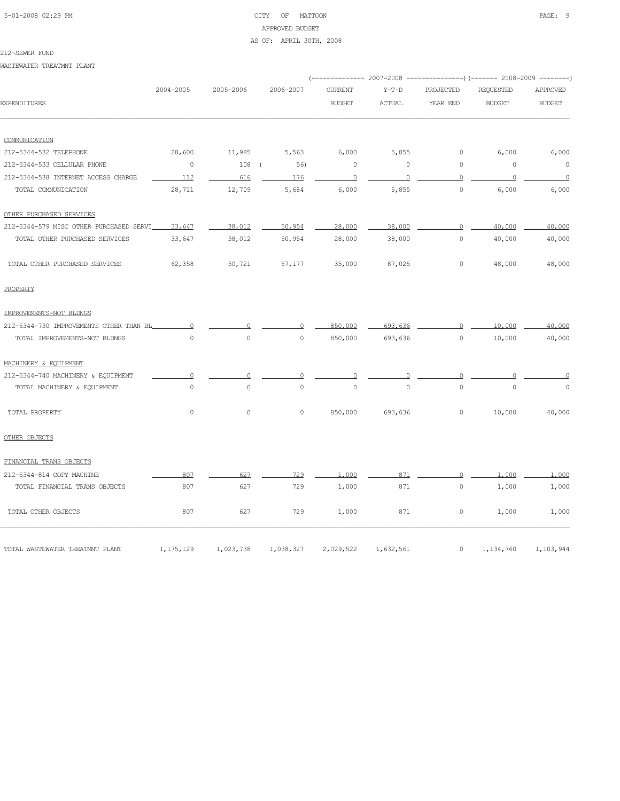# 5-01-2008 02:29 PM CITY OF MATTOON PAGE: 9 APPROVED BUDGET AS OF: APRIL 30TH, 2008

#### 212-SEWER FUND

WASTEWATER TREATMNT PLANT

|                                         |                |                     |           |                |               |                | (-------------- 2007-2008 ---------------) (------- 2008-2009 --------) |                 |
|-----------------------------------------|----------------|---------------------|-----------|----------------|---------------|----------------|-------------------------------------------------------------------------|-----------------|
|                                         | 2004-2005      | 2005-2006           | 2006-2007 | <b>CURRENT</b> | $Y-T-D$       | PROJECTED      | <b>REQUESTED</b>                                                        | <b>APPROVED</b> |
| <b>EXPENDITURES</b>                     |                |                     |           | <b>BUDGET</b>  | <b>ACTUAL</b> | YEAR END       | <b>BUDGET</b>                                                           | <b>BUDGET</b>   |
| COMMUNICATION                           |                |                     |           |                |               |                |                                                                         |                 |
| 212-5344-532 TELEPHONE                  | 28,600         | 11,985              | 5,563     | 6,000          | 5,855         | 0              | 6,000                                                                   | 6,000           |
| 212-5344-533 CELLULAR PHONE             | $\circ$        | $108$ (             | 56)       | $\circ$        | $\circ$       | $\circ$        | $\circ$                                                                 | $\circ$         |
| 212-5344-538 INTERNET ACCESS CHARGE     | 112            | 616                 | 176       | $\Omega$       | $\cap$        | $\Omega$       | $\Omega$                                                                | $\Omega$        |
| TOTAL COMMUNICATION                     | 28,711         | 12,709              | 5,684     | 6,000          | 5,855         | $\circ$        | 6,000                                                                   | 6,000           |
| OTHER PURCHASED SERVICES                |                |                     |           |                |               |                |                                                                         |                 |
| 212-5344-579 MISC OTHER PURCHASED SERVI | 33,647         | 38,012              | 50,954    | 28,000         | 38,000        | $\Omega$       | 40,000                                                                  | 40,000          |
| TOTAL OTHER PURCHASED SERVICES          | 33,647         | 38,012              | 50,954    | 28,000         | 38,000        | $\circ$        | 40,000                                                                  | 40,000          |
| TOTAL OTHER PURCHASED SERVICES          | 62,358         | 50,721              | 57,177    | 35,000         | 87,025        | $\circ$        | 48,000                                                                  | 48,000          |
| PROPERTY                                |                |                     |           |                |               |                |                                                                         |                 |
| IMPROVEMENTS-NOT BLDNGS                 |                |                     |           |                |               |                |                                                                         |                 |
| 212-5344-730 IMPROVEMENTS OTHER THAN BL | $\overline{0}$ | $\Omega$            | $\Omega$  | 850,000        | 693,636       | $\overline{0}$ | 10,000                                                                  | 40,000          |
| TOTAL IMPROVEMENTS-NOT BLDNGS           | $\Omega$       | $\circ$             | $\circ$   | 850,000        | 693,636       | $\circ$        | 10,000                                                                  | 40,000          |
| MACHINERY & EOUIPMENT                   |                |                     |           |                |               |                |                                                                         |                 |
| 212-5344-740 MACHINERY & EQUIPMENT      | $\circ$        | $\circ$             | $\Omega$  | $\circ$        |               | $\circ$        | $\Omega$                                                                | $\Omega$        |
| TOTAL MACHINERY & EQUIPMENT             | $\circ$        | $\circ$             | $\circ$   | $\circ$        | $\mathbf 0$   | $\Omega$       | $\Omega$                                                                | $\circ$         |
| TOTAL PROPERTY                          | $\circ$        | $\mathsf{O}\xspace$ | $\circ$   | 850,000        | 693,636       | 0              | 10,000                                                                  | 40,000          |
| OTHER OBJECTS                           |                |                     |           |                |               |                |                                                                         |                 |
| FINANCIAL TRANS OBJECTS                 |                |                     |           |                |               |                |                                                                         |                 |
| 212-5344-814 COPY MACHINE               | 807            | 627                 | 729       | 1,000          | 871           | $\Omega$       | 1,000                                                                   | 1,000           |
| TOTAL FINANCIAL TRANS OBJECTS           | 807            | 627                 | 729       | 1,000          | 871           | $\circ$        | 1,000                                                                   | 1,000           |
| TOTAL OTHER OBJECTS                     | 807            | 627                 | 729       | 1,000          | 871           | $\circ$        | 1,000                                                                   | 1,000           |
| TOTAL WASTEWATER TREATMNT PLANT         | 1, 175, 129    | 1,023,738           | 1,038,327 | 2,029,522      | 1,632,561     | 0              | 1,134,760                                                               | 1,103,944       |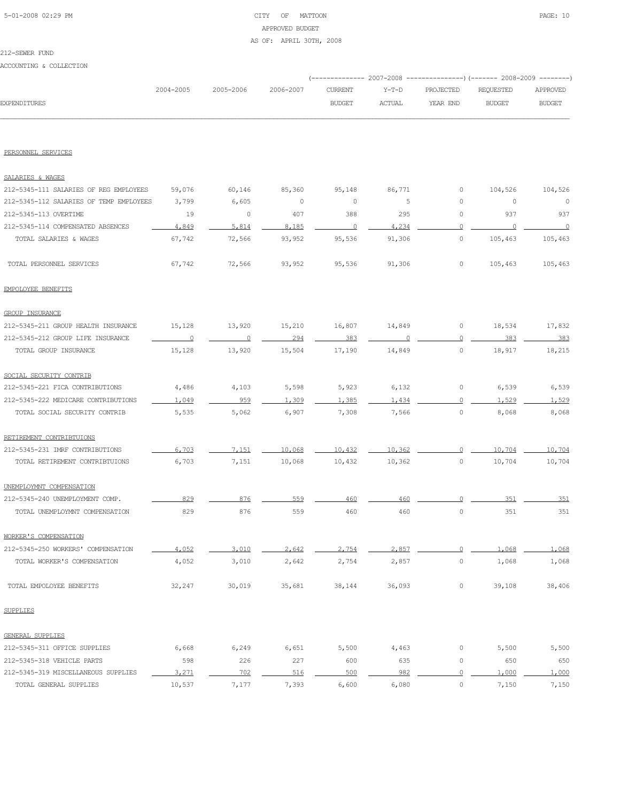# 5-01-2008 02:29 PM CITY OF MATTOON PAGE: 10 APPROVED BUDGET AS OF: APRIL 30TH, 2008

#### 212-SEWER FUND

ACCOUNTING & COLLECTION

|              |           |                     |               |        | (-------------- 2007-2008 -----------------) (------- 2008-2009 ---------) |               |               |
|--------------|-----------|---------------------|---------------|--------|----------------------------------------------------------------------------|---------------|---------------|
|              | 2004-2005 | 2005-2006 2006-2007 |               |        | CURRENT  Y-T-D  PROJECTED  REQUESTED  APPROVED                             |               |               |
| EXPENDITURES |           |                     | <b>BUDGET</b> | ACTUAL | YEAR END                                                                   | <b>BUDGET</b> | <b>BUDGET</b> |
|              |           |                     |               |        |                                                                            |               |               |

### PERSONNEL SERVICES

| SALARIES & WAGES                        |                |         |         |          |        |                     |                |         |
|-----------------------------------------|----------------|---------|---------|----------|--------|---------------------|----------------|---------|
| 212-5345-111 SALARIES OF REG EMPLOYEES  | 59,076         | 60,146  | 85,360  | 95,148   | 86,771 | $\circ$             | 104,526        | 104,526 |
| 212-5345-112 SALARIES OF TEMP EMPLOYEES | 3,799          | 6,605   | $\circ$ | $\circ$  | 5      | $\circ$             | 0              | $\circ$ |
| 212-5345-113 OVERTIME                   | 19             | $\circ$ | 407     | 388      | 295    | $\mathbb O$         | 937            | 937     |
| 212-5345-114 COMPENSATED ABSENCES       | 4,849          | 5,814   | 8,185   | $\Omega$ | 4,234  | $\overline{0}$      | $\overline{0}$ | $\cap$  |
| TOTAL SALARIES & WAGES                  | 67,742         | 72,566  | 93,952  | 95,536   | 91,306 | $\circ$             | 105,463        | 105,463 |
| TOTAL PERSONNEL SERVICES                | 67,742         | 72,566  | 93,952  | 95,536   | 91,306 | $\circ$             | 105,463        | 105,463 |
| EMPOLOYEE BENEFITS                      |                |         |         |          |        |                     |                |         |
| <b>GROUP INSURANCE</b>                  |                |         |         |          |        |                     |                |         |
| 212-5345-211 GROUP HEALTH INSURANCE     | 15,128         | 13,920  | 15,210  | 16,807   | 14,849 | 0                   | 18,534         | 17,832  |
| 212-5345-212 GROUP LIFE INSURANCE       | $\overline{0}$ | $\circ$ | 294     | 383      |        | $\Omega$            | 383            | 383     |
| TOTAL GROUP INSURANCE                   | 15,128         | 13,920  | 15,504  | 17,190   | 14,849 | $\mathsf{O}\xspace$ | 18,917         | 18,215  |
| SOCIAL SECURITY CONTRIB                 |                |         |         |          |        |                     |                |         |
| 212-5345-221 FICA CONTRIBUTIONS         | 4,486          | 4,103   | 5,598   | 5,923    | 6,132  | $\mathbb O$         | 6,539          | 6,539   |
| 212-5345-222 MEDICARE CONTRIBUTIONS     | 1,049          | 959     | 1,309   | 1,385    | 1,434  | $\overline{0}$      | 1,529          | 1,529   |
| TOTAL SOCIAL SECURITY CONTRIB           | 5,535          | 5,062   | 6,907   | 7,308    | 7,566  | $\circ$             | 8,068          | 8,068   |
| RETIREMENT CONTRIBTUIONS                |                |         |         |          |        |                     |                |         |
| 212-5345-231 IMRF CONTRIBUTIONS         | 6,703          | 7,151   | 10,068  | 10,432   | 10,362 | $\Omega$            | 10,704         | 10,704  |
| TOTAL RETIREMENT CONTRIBTUIONS          | 6,703          | 7,151   | 10,068  | 10,432   | 10,362 | $\mathsf{O}\xspace$ | 10,704         | 10,704  |
| UNEMPLOYMNT COMPENSATION                |                |         |         |          |        |                     |                |         |
| 212-5345-240 UNEMPLOYMENT COMP.         | 829            | 876     | 559     | 460      | 460    | $\circ$             | 351            | 351     |
| TOTAL UNEMPLOYMNT COMPENSATION          | 829            | 876     | 559     | 460      | 460    | $\mathbb O$         | 351            | 351     |
| WORKER'S COMPENSATION                   |                |         |         |          |        |                     |                |         |
| 212-5345-250 WORKERS' COMPENSATION      | 4.052          | 3,010   | 2.642   | 2.754    | 2,857  | $\Omega$            | 1,068          | 1.068   |
| TOTAL WORKER'S COMPENSATION             | 4,052          | 3,010   | 2,642   | 2,754    | 2,857  | $\mathbb O$         | 1,068          | 1,068   |
| TOTAL EMPOLOYEE BENEFITS                | 32,247         | 30,019  | 35,681  | 38,144   | 36,093 | 0                   | 39,108         | 38,406  |
| SUPPLIES                                |                |         |         |          |        |                     |                |         |
| GENERAL SUPPLIES                        |                |         |         |          |        |                     |                |         |
| 212-5345-311 OFFICE SUPPLIES            | 6,668          | 6,249   | 6,651   | 5,500    | 4,463  | $\mathbb O$         | 5,500          | 5,500   |
| 212-5345-318 VEHICLE PARTS              | 598            | 226     | 227     | 600      | 635    | $\circ$             | 650            | 650     |
| 212-5345-319 MISCELLANEOUS SUPPLIES     | 3,271          | 702     | 516     | 500      | 982    | $\overline{0}$      | 1,000          | 1,000   |
| TOTAL GENERAL SUPPLIES                  | 10,537         | 7,177   | 7,393   | 6,600    | 6,080  | 0                   | 7,150          | 7,150   |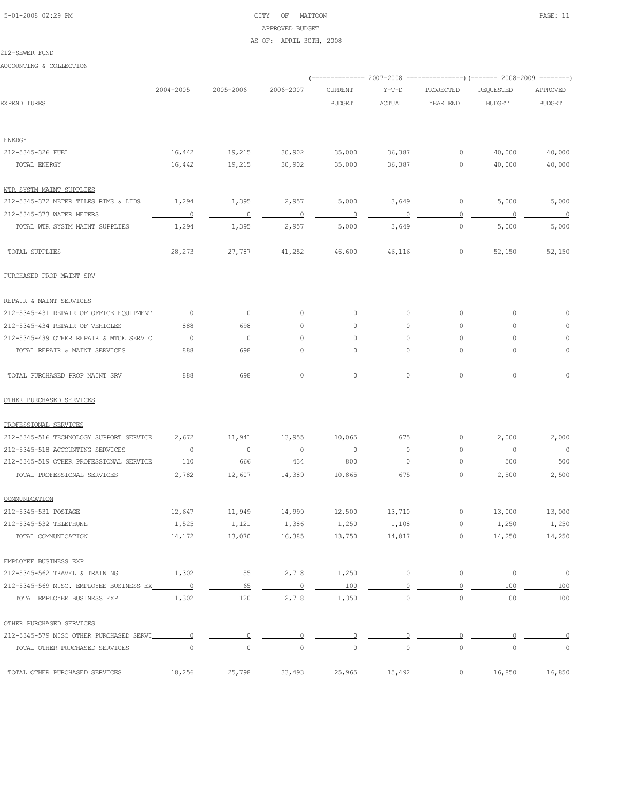# 5-01-2008 02:29 PM CITY OF MATTOON PAGE: 11 APPROVED BUDGET AS OF: APRIL 30TH, 2008

#### 212-SEWER FUND

ACCOUNTING & COLLECTION

|                                           |                          |                          |                | (------------- 2007-2008 ---------------) (------- 2008-2009 --------) |          |                |                  |                          |
|-------------------------------------------|--------------------------|--------------------------|----------------|------------------------------------------------------------------------|----------|----------------|------------------|--------------------------|
|                                           | 2004-2005                | 2005-2006                | 2006-2007      | <b>CURRENT</b>                                                         | $Y-T-D$  | PROJECTED      | <b>REQUESTED</b> | APPROVED                 |
| EXPENDITURES                              |                          |                          |                | <b>BUDGET</b>                                                          | ACTUAL   | YEAR END       | <b>BUDGET</b>    | <b>BUDGET</b>            |
| <b>ENERGY</b>                             |                          |                          |                |                                                                        |          |                |                  |                          |
| 212-5345-326 FUEL                         | 16,442                   | 19,215                   | 30,902         | 35,000                                                                 | 36,387   | $\circ$        | 40,000           | 40,000                   |
| TOTAL ENERGY                              | 16,442                   | 19,215                   | 30,902         | 35,000                                                                 | 36,387   | $\circ$        | 40,000           | 40,000                   |
| WTR SYSTM MAINT SUPPLIES                  |                          |                          |                |                                                                        |          |                |                  |                          |
| 212-5345-372 METER TILES RIMS & LIDS      | 1,294                    | 1,395                    | 2,957          | 5,000                                                                  | 3,649    | 0              | 5,000            | 5,000                    |
| 212-5345-373 WATER METERS                 | $\overline{\phantom{0}}$ | $\overline{\phantom{0}}$ | $\overline{0}$ | $\overline{\phantom{0}}$                                               | 0        | $\overline{0}$ | $\circ$          | $\overline{0}$           |
| TOTAL WTR SYSTM MAINT SUPPLIES            | 1,294                    | 1,395                    | 2,957          | 5,000                                                                  | 3,649    | 0              | 5,000            | 5,000                    |
| TOTAL SUPPLIES                            | 28,273                   | 27,787                   | 41,252         | 46,600                                                                 | 46,116   | 0              | 52,150           | 52,150                   |
| PURCHASED PROP MAINT SRV                  |                          |                          |                |                                                                        |          |                |                  |                          |
| REPAIR & MAINT SERVICES                   |                          |                          |                |                                                                        |          |                |                  |                          |
| 212-5345-431 REPAIR OF OFFICE EQUIPMENT   | $\overline{0}$           | $\circ$                  | $\circ$        | $\circ$                                                                | $\circ$  | $\circ$        | 0                | 0                        |
| 212-5345-434 REPAIR OF VEHICLES           | 888                      | 698                      | 0              | 0                                                                      | $\circ$  | $\circ$        | $\circ$          | 0                        |
| 212-5345-439 OTHER REPAIR & MTCE SERVIC   | $\overline{0}$           | $\overline{0}$           | $\Omega$       | $\Omega$                                                               | $\Omega$ | $\circ$        | $\Omega$         | $\Omega$                 |
| TOTAL REPAIR & MAINT SERVICES             | 888                      | 698                      | $\mathbb O$    | $\circ$                                                                | $\circ$  | $\circ$        | $\circ$          | 0                        |
| TOTAL PURCHASED PROP MAINT SRV            | 888                      | 698                      | $\circ$        | $\mathsf{O}\xspace$                                                    | $\circ$  | $\circ$        | $\mathbb O$      | $\Omega$                 |
| OTHER PURCHASED SERVICES                  |                          |                          |                |                                                                        |          |                |                  |                          |
| PROFESSIONAL SERVICES                     |                          |                          |                |                                                                        |          |                |                  |                          |
| 212-5345-516 TECHNOLOGY SUPPORT SERVICE   | 2,672                    | 11,941                   | 13,955         | 10,065                                                                 | 675      | 0              | 2,000            | 2,000                    |
| 212-5345-518 ACCOUNTING SERVICES          | 0                        | $\circ$                  | $\circ$        | $\circ$                                                                | 0        | 0              | 0                | $\overline{\phantom{0}}$ |
| 212-5345-519 OTHER PROFESSIONAL SERVICE   | 110                      | 666                      | 434            | 800                                                                    | $\Omega$ | $\circ$        | 500              | 500                      |
| TOTAL PROFESSIONAL SERVICES               | 2,782                    | 12,607                   | 14,389         | 10,865                                                                 | 675      | 0              | 2,500            | 2,500                    |
| COMMUNICATION                             |                          |                          |                |                                                                        |          |                |                  |                          |
| 212-5345-531 POSTAGE                      | 12,647                   | 11,949                   | 14,999         | 12,500                                                                 | 13,710   | 0              | 13,000           | 13,000                   |
| 212-5345-532 TELEPHONE                    | 1,525                    | 1,121                    | 1,386          | 1,250                                                                  | 1,108    | $\circ$        | 1,250            | 1,250                    |
| TOTAL COMMUNICATION                       | 14,172                   | 13,070                   | 16,385         | 13,750                                                                 | 14,817   | 0              | 14,250           | 14,250                   |
| EMPLOYEE BUSINESS EXP                     |                          |                          |                |                                                                        |          |                |                  |                          |
| 212-5345-562 TRAVEL & TRAINING            | 1,302                    | 55                       | 2,718          | 1,250                                                                  | $\circ$  | $\circ$        | $\circ$          | $\overline{0}$           |
| 212-5345-569 MISC. EMPLOYEE BUSINESS EX 0 |                          | 65                       | $\overline{0}$ | 100                                                                    | 0        | $\circ$        | 100              | 100                      |
| TOTAL EMPLOYEE BUSINESS EXP               | 1,302                    | 120                      | 2,718          | 1,350                                                                  | $\circ$  | $\circ$        | 100              | 100                      |
| OTHER PURCHASED SERVICES                  |                          |                          |                |                                                                        |          |                |                  |                          |
| 212-5345-579 MISC OTHER PURCHASED SERVI   | $\circ$                  | 0                        | 0              | $\Omega$                                                               | $\cup$   | $\circ$        |                  |                          |
| TOTAL OTHER PURCHASED SERVICES            | $\circ$                  | $\circ$                  | $\circ$        | $\circ$                                                                | $\circ$  | $\circ$        | $\circ$          | 0                        |
| TOTAL OTHER PURCHASED SERVICES            | 18,256                   | 25,798                   | 33,493         | 25,965                                                                 | 15,492   | $\circ$        | 16,850           | 16,850                   |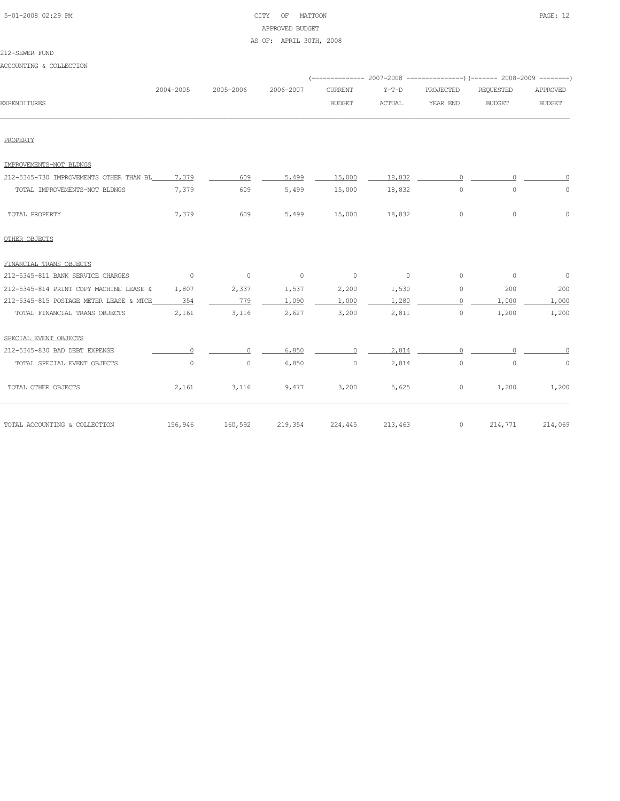| 5-01-2008 02:29 PM |  |
|--------------------|--|

# CITY OF MATTOON **PAGE:** 12 APPROVED BUDGET

## AS OF: APRIL 30TH, 2008

## 212-SEWER FUND

ACCOUNTING & COLLECTION

|                                               |                |                |                |                          |                |           | (-------------- 2007-2008 ----------------) (------- 2008-2009 --------) |                |
|-----------------------------------------------|----------------|----------------|----------------|--------------------------|----------------|-----------|--------------------------------------------------------------------------|----------------|
|                                               | 2004-2005      | 2005-2006      | 2006-2007      | <b>CURRENT</b>           | $Y-T-D$        | PROJECTED | <b>REQUESTED</b>                                                         | APPROVED       |
| <b>EXPENDITURES</b>                           |                |                |                | <b>BUDGET</b>            | <b>ACTUAL</b>  | YEAR END  | <b>BUDGET</b>                                                            | <b>BUDGET</b>  |
|                                               |                |                |                |                          |                |           |                                                                          |                |
| PROPERTY                                      |                |                |                |                          |                |           |                                                                          |                |
| IMPROVEMENTS-NOT BLDNGS                       |                |                |                |                          |                |           |                                                                          |                |
| 212-5345-730 IMPROVEMENTS OTHER THAN BL 7,379 |                | 609            | 5,499          | 15,000                   | 18,832         | $\cap$    | $\cap$                                                                   | $\cap$         |
| TOTAL IMPROVEMENTS-NOT BLDNGS                 | 7,379          | 609            | 5,499          | 15,000                   | 18,832         | $\circ$   | $\circ$                                                                  | $\circ$        |
| TOTAL PROPERTY                                | 7,379          | 609            | 5,499          | 15,000                   | 18,832         | $\circ$   | $\circ$                                                                  | $\circ$        |
| OTHER OBJECTS                                 |                |                |                |                          |                |           |                                                                          |                |
| FINANCIAL TRANS OBJECTS                       |                |                |                |                          |                |           |                                                                          |                |
| 212-5345-811 BANK SERVICE CHARGES             | $\overline{0}$ | $\overline{0}$ | $\overline{0}$ | $\overline{\phantom{0}}$ | $\overline{0}$ | $\circ$   | $\overline{0}$                                                           | $\overline{0}$ |
| 212-5345-814 PRINT COPY MACHINE LEASE &       | 1,807          | 2,337          | 1,537          | 2,200                    | 1,530          | 0         | 200                                                                      | 200            |
| 212-5345-815 POSTAGE METER LEASE & MTCE       | 354            | 779            | 1,090          | 1,000                    | 1,280          | $\cap$    | 1,000                                                                    | 1,000          |
| TOTAL FINANCIAL TRANS OBJECTS                 | 2,161          | 3,116          | 2,627          | 3,200                    | 2,811          | $\circ$   | 1,200                                                                    | 1,200          |
| SPECIAL EVENT OBJECTS                         |                |                |                |                          |                |           |                                                                          |                |
| 212-5345-830 BAD DEBT EXPENSE                 |                |                | 6,850          | $\Omega$                 | 2.814          |           |                                                                          |                |
| TOTAL SPECIAL EVENT OBJECTS                   | $\circ$        | 0              | 6,850          | $\circ$                  | 2,814          | 0         | $\circ$                                                                  | $\circ$        |
| TOTAL OTHER OBJECTS                           | 2,161          | 3,116          | 9,477          | 3,200                    | 5,625          | 0         | 1,200                                                                    | 1,200          |
| TOTAL ACCOUNTING & COLLECTION                 | 156,946        | 160,592        | 219,354        | 224,445                  | 213,463        | $\circ$   | 214,771                                                                  | 214,069        |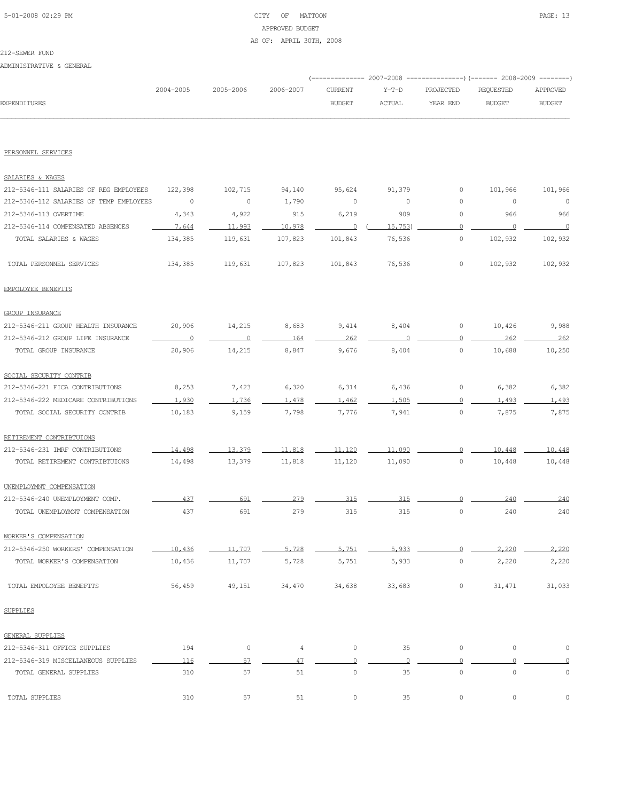# 5-01-2008 02:29 PM CITY OF MATTOON PAGE: 13 APPROVED BUDGET AS OF: APRIL 30TH, 2008

#### 212-SEWER FUND

ADMINISTRATIVE & GENERAL

|                     |           |           |           |               |               | (-------------- 2007-2008 ----------------) (------- 2008-2009 --------) |               |               |
|---------------------|-----------|-----------|-----------|---------------|---------------|--------------------------------------------------------------------------|---------------|---------------|
|                     | 2004-2005 | 2005-2006 | 2006-2007 | CURRENT       | Y-T-D         | PROJECTED                                                                | REQUESTED     | APPROVED      |
| <b>EXPENDITURES</b> |           |           |           | <b>BUDGET</b> | <b>ACTUAL</b> | YEAR END                                                                 | <b>BUDGET</b> | <b>BUDGET</b> |
|                     |           |           |           |               |               |                                                                          |               |               |

#### PERSONNEL SERVICES

| SALARIES & WAGES                        |                |                     |                |                |          |                     |                     |          |
|-----------------------------------------|----------------|---------------------|----------------|----------------|----------|---------------------|---------------------|----------|
| 212-5346-111 SALARIES OF REG EMPLOYEES  | 122,398        | 102,715             | 94,140         | 95,624         | 91,379   | 0                   | 101,966             | 101,966  |
| 212-5346-112 SALARIES OF TEMP EMPLOYEES | $\overline{0}$ | $\circ$             | 1,790          | 0              | 0        | 0                   | $\circ$             | $\circ$  |
| 212-5346-113 OVERTIME                   | 4,343          | 4,922               | 915            | 6,219          | 909      | 0                   | 966                 | 966      |
| 212-5346-114 COMPENSATED ABSENCES       | 7,644          | 11,993              | 10,978         | $\overline{0}$ | 15,753   | $\circ$             | $\overline{0}$      | $\Omega$ |
| TOTAL SALARIES & WAGES                  | 134,385        | 119,631             | 107,823        | 101,843        | 76,536   | 0                   | 102,932             | 102,932  |
| TOTAL PERSONNEL SERVICES                | 134,385        | 119,631             | 107,823        | 101,843        | 76,536   | 0                   | 102,932             | 102,932  |
| EMPOLOYEE BENEFITS                      |                |                     |                |                |          |                     |                     |          |
| <b>GROUP INSURANCE</b>                  |                |                     |                |                |          |                     |                     |          |
| 212-5346-211 GROUP HEALTH INSURANCE     | 20,906         | 14,215              | 8,683          | 9,414          | 8,404    | 0                   | 10,426              | 9,988    |
| 212-5346-212 GROUP LIFE INSURANCE       | $\overline{0}$ | $\overline{0}$      | 164            | 262            | $\Omega$ | $\circ$             | 262                 | 262      |
| TOTAL GROUP INSURANCE                   | 20,906         | 14,215              | 8,847          | 9,676          | 8,404    | $\circ$             | 10,688              | 10,250   |
| SOCIAL SECURITY CONTRIB                 |                |                     |                |                |          |                     |                     |          |
| 212-5346-221 FICA CONTRIBUTIONS         | 8,253          | 7,423               | 6,320          | 6,314          | 6,436    | 0                   | 6,382               | 6,382    |
| 212-5346-222 MEDICARE CONTRIBUTIONS     | 1,930          | 1.736               | 1,478          | 1,462          | 1,505    | 0                   | 1,493               | 1,493    |
| TOTAL SOCIAL SECURITY CONTRIB           | 10,183         | 9,159               | 7,798          | 7,776          | 7,941    | 0                   | 7,875               | 7,875    |
| RETIREMENT CONTRIBTUIONS                |                |                     |                |                |          |                     |                     |          |
| 212-5346-231 IMRF CONTRIBUTIONS         | 14,498         | 13,379              | 11,818         | 11,120         | 11,090   | $\Omega$            | 10,448              | 10,448   |
| TOTAL RETIREMENT CONTRIBTUIONS          | 14,498         | 13,379              | 11,818         | 11,120         | 11,090   | 0                   | 10,448              | 10,448   |
| UNEMPLOYMNT COMPENSATION                |                |                     |                |                |          |                     |                     |          |
| 212-5346-240 UNEMPLOYMENT COMP.         | 437            | 691                 | 279            | 315            | 315      | $\Omega$            | 240                 | 240      |
| TOTAL UNEMPLOYMNT COMPENSATION          | 437            | 691                 | 279            | 315            | 315      | $\circ$             | 240                 | 240      |
| WORKER'S COMPENSATION                   |                |                     |                |                |          |                     |                     |          |
| 212-5346-250 WORKERS' COMPENSATION      | 10,436         | 11,707              | 5,728          | 5.751          | 5.933    | $\circ$             | 2,220               | 2,220    |
| TOTAL WORKER'S COMPENSATION             | 10,436         | 11,707              | 5,728          | 5,751          | 5,933    | $\circ$             | 2,220               | 2,220    |
| TOTAL EMPOLOYEE BENEFITS                | 56,459         | 49,151              | 34,470         | 34,638         | 33,683   | 0                   | 31,471              | 31,033   |
| <b>SUPPLIES</b>                         |                |                     |                |                |          |                     |                     |          |
| <b>GENERAL SUPPLIES</b>                 |                |                     |                |                |          |                     |                     |          |
| 212-5346-311 OFFICE SUPPLIES            | 194            | $\mathsf{O}\xspace$ | $\overline{4}$ | $\circ$        | 35       | $\mathbb O$         | $\mathsf{O}\xspace$ | $\circ$  |
| 212-5346-319 MISCELLANEOUS SUPPLIES     | 116            | 57                  | 47             | $\circ$        | $\circ$  | $\Omega$            | $\circ$             |          |
| TOTAL GENERAL SUPPLIES                  | 310            | 57                  | 51             | $\circ$        | 35       | $\mathsf{O}\xspace$ | $\mathsf{O}\xspace$ | $\circ$  |
| TOTAL SUPPLIES                          | 310            | 57                  | 51             | $\mathbb O$    | 35       | 0                   | $\mathbb O$         |          |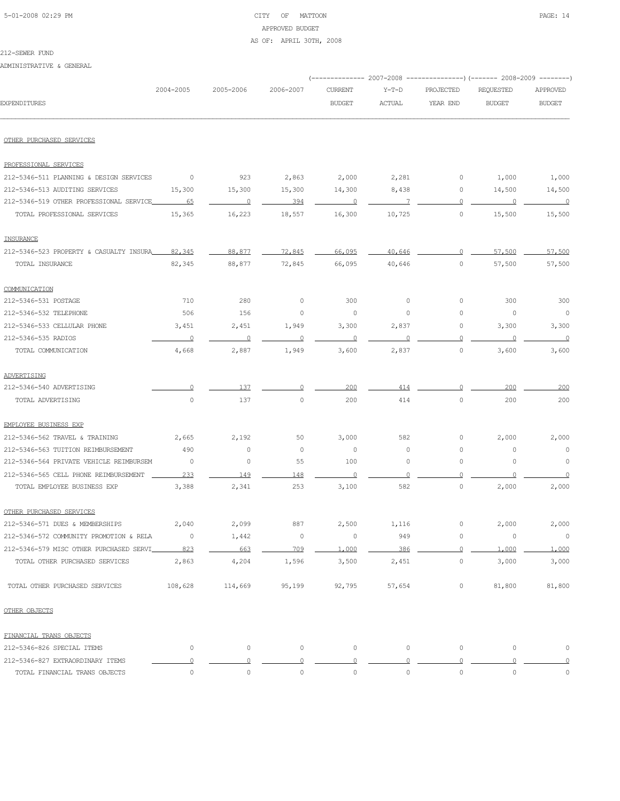# 5-01-2008 02:29 PM CITY OF MATTOON PAGE: 14 APPROVED BUDGET

## AS OF: APRIL 30TH, 2008

#### 212-SEWER FUND

ADMINISTRATIVE & GENERAL

|                                         | 2004-2005      | 2005-2006      | 2006-2007           | <b>CURRENT</b> | $Y-T-D$     | PROJECTED   | REQUESTED     | APPROVED                 |
|-----------------------------------------|----------------|----------------|---------------------|----------------|-------------|-------------|---------------|--------------------------|
| <b>EXPENDITURES</b>                     |                |                |                     | <b>BUDGET</b>  | ACTUAL      | YEAR END    | <b>BUDGET</b> | <b>BUDGET</b>            |
| OTHER PURCHASED SERVICES                |                |                |                     |                |             |             |               |                          |
| PROFESSIONAL SERVICES                   |                |                |                     |                |             |             |               |                          |
| 212-5346-511 PLANNING & DESIGN SERVICES | $\circ$        | 923            | 2,863               | 2,000          | 2,281       | 0           | 1,000         | 1,000                    |
| 212-5346-513 AUDITING SERVICES          | 15,300         | 15,300         | 15,300              | 14,300         | 8,438       | 0           | 14,500        | 14,500                   |
| 212-5346-519 OTHER PROFESSIONAL SERVICE | -65            | $\overline{0}$ | 394                 | $\overline{0}$ | 7           | 0           | 0             | $\overline{0}$           |
| TOTAL PROFESSIONAL SERVICES             | 15,365         | 16,223         | 18,557              | 16,300         | 10,725      | $\circ$     | 15,500        | 15,500                   |
| INSURANCE                               |                |                |                     |                |             |             |               |                          |
| 212-5346-523 PROPERTY & CASUALTY INSURA | 82,345         | 88,877         | 72,845              | 66,095         | 40,646      | $\Omega$    | 57,500        | 57,500                   |
| TOTAL INSURANCE                         | 82,345         | 88,877         | 72,845              | 66,095         | 40,646      | $\circ$     | 57,500        | 57,500                   |
| COMMUNICATION                           |                |                |                     |                |             |             |               |                          |
| 212-5346-531 POSTAGE                    | 710            | 280            | 0                   | 300            | $\circ$     | 0           | 300           | 300                      |
| 212-5346-532 TELEPHONE                  | 506            | 156            | $\circ$             | $\circ$        | $\circ$     | 0           | 0             | $\overline{\phantom{0}}$ |
| 212-5346-533 CELLULAR PHONE             | 3,451          | 2,451          | 1,949               | 3,300          | 2,837       | 0           | 3,300         | 3,300                    |
| 212-5346-535 RADIOS                     | $\overline{0}$ | $\Omega$       | $\circ$             | $\Omega$       | $\Omega$    | 0           | $\circ$       | $\overline{0}$           |
| TOTAL COMMUNICATION                     | 4,668          | 2,887          | 1,949               | 3,600          | 2,837       | $\circ$     | 3,600         | 3,600                    |
| ADVERTISING                             |                |                |                     |                |             |             |               |                          |
| 212-5346-540 ADVERTISING                |                | 137            |                     | 200            | 414         | $\Omega$    | 200           | 200                      |
| TOTAL ADVERTISING                       | 0              | 137            | $\mathsf{O}\xspace$ | 200            | 414         | $\circ$     | 200           | 200                      |
| EMPLOYEE BUSINESS EXP                   |                |                |                     |                |             |             |               |                          |
| 212-5346-562 TRAVEL & TRAINING          | 2,665          | 2,192          | 50                  | 3,000          | 582         | 0           | 2,000         | 2,000                    |
| 212-5346-563 TUITION REIMBURSEMENT      | 490            | $\circ$        | 0                   | 0              | 0           | 0           | 0             | $\circ$                  |
| 212-5346-564 PRIVATE VEHICLE REIMBURSEM | 0              | $\circ$        | 55                  | 100            | 0           | 0           | 0             | $\circ$                  |
| 212-5346-565 CELL PHONE REIMBURSEMENT   | 233            | 149            | 148                 | $\Omega$       |             | $\Omega$    |               |                          |
| TOTAL EMPLOYEE BUSINESS EXP             | 3,388          | 2,341          | 253                 | 3,100          | 582         | 0           | 2,000         | 2,000                    |
| OTHER PURCHASED SERVICES                |                |                |                     |                |             |             |               |                          |
| 212-5346-571 DUES & MEMBERSHIPS         | 2,040          | 2,099          | 887                 | 2,500          | 1,116       | 0           | 2,000         | 2,000                    |
| 212-5346-572 COMMUNITY PROMOTION & RELA | 0              | 1,442          | 0                   | $\mathbb O$    | 949         | $\mathbb O$ | 0             | $\circ$                  |
| 212-5346-579 MISC OTHER PURCHASED SERVI | 823            | 663            | 709                 | 1,000          | 386         | $\circ$     | 1,000         | 1,000                    |
| TOTAL OTHER PURCHASED SERVICES          | 2,863          | 4,204          | 1,596               | 3,500          | 2,451       | $\circ$     | 3,000         | 3,000                    |
| TOTAL OTHER PURCHASED SERVICES          | 108,628        | 114,669        | 95,199              | 92,795         | 57,654      | 0           | 81,800        | 81,800                   |
| OTHER OBJECTS                           |                |                |                     |                |             |             |               |                          |
| FINANCIAL TRANS OBJECTS                 |                |                |                     |                |             |             |               |                          |
| 212-5346-826 SPECIAL ITEMS              | 0              | $\circ$        | $\circ$             | 0              | $\circ$     | $\circ$     | 0             | $\mathbb O$              |
| 212-5346-827 EXTRAORDINARY ITEMS        | 0              | $\Omega$       | $\circ$             | $\circ$        | $\circ$     | $\circ$     | $\circ$       | $\overline{0}$           |
| TOTAL FINANCIAL TRANS OBJECTS           | 0              | $\mathbb O$    | $\mathbb O$         | $\mathbb O$    | $\mathbb O$ | $\mathbb O$ | $\mathbb O$   | $\mathbb O$              |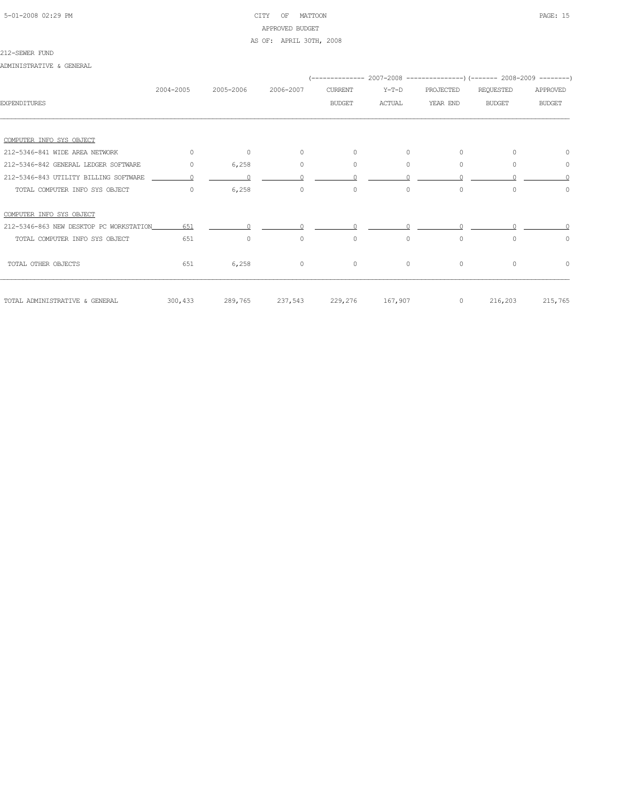# 5-01-2008 02:29 PM CITY OF MATTOON PAGE: 15 APPROVED BUDGET AS OF: APRIL 30TH, 2008

#### 212-SEWER FUND

ADMINISTRATIVE & GENERAL

|                                         |           |           |           |                |               |           | ------------- 2007-2008 ----------------) (------- 2008-2009 --------) |               |
|-----------------------------------------|-----------|-----------|-----------|----------------|---------------|-----------|------------------------------------------------------------------------|---------------|
|                                         | 2004-2005 | 2005-2006 | 2006-2007 | <b>CURRENT</b> | $Y-T-D$       | PROJECTED | <b>REQUESTED</b>                                                       | APPROVED      |
| <b>EXPENDITURES</b>                     |           |           |           | <b>BUDGET</b>  | <b>ACTUAL</b> | YEAR END  | <b>BUDGET</b>                                                          | <b>BUDGET</b> |
|                                         |           |           |           |                |               |           |                                                                        |               |
| COMPUTER INFO SYS OBJECT                |           |           |           |                |               |           |                                                                        |               |
| 212-5346-841 WIDE AREA NETWORK          | $\Omega$  | $\circ$   | $\circ$   | $\circ$        | $\circ$       | $\circ$   | $\Omega$                                                               | $\Omega$      |
| 212-5346-842 GENERAL LEDGER SOFTWARE    | $\circ$   | 6,258     | $\circ$   | $\circ$        | $\circ$       | $\circ$   | $\Omega$                                                               | 0             |
| 212-5346-843 UTILITY BILLING SOFTWARE   |           |           |           |                |               |           |                                                                        |               |
| TOTAL COMPUTER INFO SYS OBJECT          | $\Omega$  | 6,258     | $\circ$   | $\circ$        | $\circ$       | $\circ$   | $\Omega$                                                               | $\Omega$      |
| COMPUTER INFO SYS OBJECT                |           |           |           |                |               |           |                                                                        |               |
| 212-5346-863 NEW DESKTOP PC WORKSTATION | 651       |           |           |                |               |           |                                                                        |               |
| TOTAL COMPUTER INFO SYS OBJECT          | 651       | $\circ$   | $\circ$   | $\circ$        | $\circ$       | $\circ$   | $\Omega$                                                               | $\circ$       |
| TOTAL OTHER OBJECTS                     | 651       | 6,258     | $\circ$   | $\circ$        | $\circ$       | $\circ$   | $\circ$                                                                | $\circ$       |
| TOTAL ADMINISTRATIVE & GENERAL          | 300,433   | 289,765   | 237,543   | 229,276        | 167,907       | $\circ$   | 216,203                                                                | 215,765       |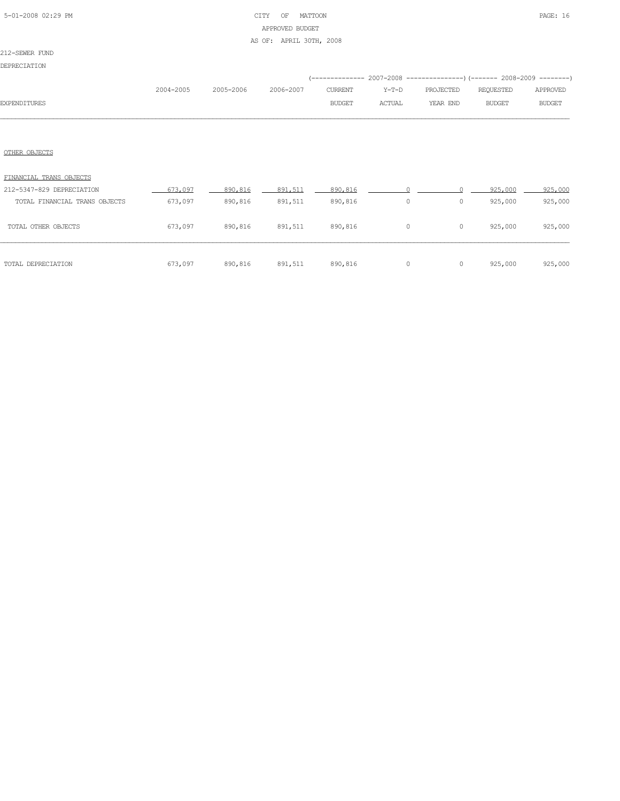# 5-01-2008 02:29 PM CITY OF MATTOON PAGE: 16 APPROVED BUDGET AS OF: APRIL 30TH, 2008

## 212-SEWER FUND

DEPRECIATION

|              | 2004-2005 | 2005-2006 | 2006-2007 | CURRENT | Y-T-D  | PROJECTED | REQUESTED | APPROVED      |
|--------------|-----------|-----------|-----------|---------|--------|-----------|-----------|---------------|
| EXPENDITURES |           |           |           | BUDGET  | ACTUAL | YEAR END  | BUDGET    | <b>BUDGET</b> |
|              |           |           |           |         |        |           |           |               |

# OTHER OBJECTS

| TOTAL DEPRECIATION            | 673,097 | 890,816 | 891,511 | 890,816 | 0        | $\circ$ | 925,000 | 925,000 |
|-------------------------------|---------|---------|---------|---------|----------|---------|---------|---------|
| TOTAL OTHER OBJECTS           | 673,097 | 890,816 | 891,511 | 890,816 | $\Omega$ | 0       | 925,000 | 925,000 |
| TOTAL FINANCIAL TRANS OBJECTS | 673,097 | 890,816 | 891,511 | 890,816 | 0        | 0       | 925,000 | 925,000 |
| 212-5347-829 DEPRECIATION     | 673,097 | 890,816 | 891,511 | 890,816 |          |         | 925,000 | 925,000 |
| FINANCIAL TRANS OBJECTS       |         |         |         |         |          |         |         |         |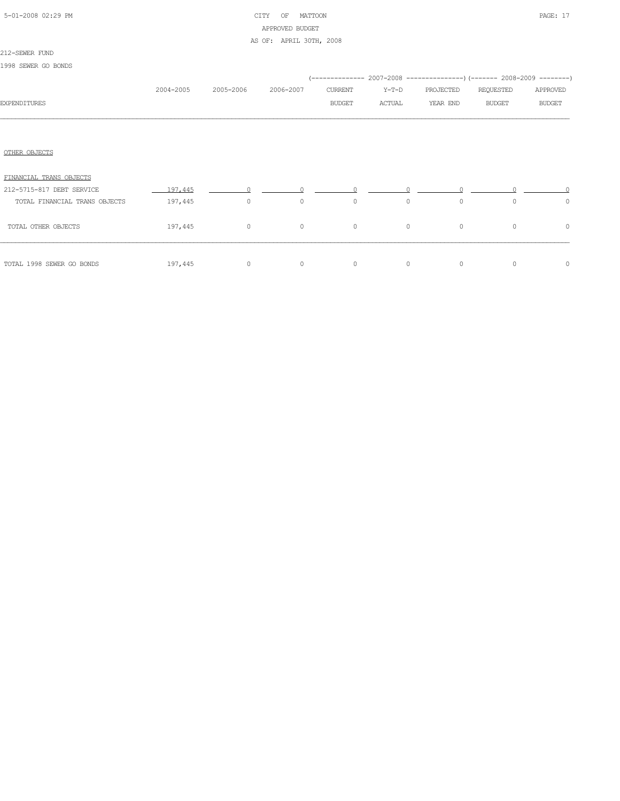# 5-01-2008 02:29 PM CITY OF MATTOON PAGE: 17 APPROVED BUDGET AS OF: APRIL 30TH, 2008

### 212-SEWER FUND

1998 SEWER GO BONDS

|                               |            |                |           |               |         |           | (-------------- 2007-2008 ----------------) (------- 2008-2009 --------) |               |  |
|-------------------------------|------------|----------------|-----------|---------------|---------|-----------|--------------------------------------------------------------------------|---------------|--|
|                               | 2004-2005  | 2005-2006      | 2006-2007 | CURRENT       | Y-T-D   | PROJECTED | REQUESTED                                                                | APPROVED      |  |
| <b>EXPENDITURES</b>           |            |                |           | <b>BUDGET</b> | ACTUAL  | YEAR END  | <b>BUDGET</b>                                                            | <b>BUDGET</b> |  |
|                               |            |                |           |               |         |           |                                                                          |               |  |
|                               |            |                |           |               |         |           |                                                                          |               |  |
| OTHER OBJECTS                 |            |                |           |               |         |           |                                                                          |               |  |
| FINANCIAL TRANS OBJECTS       |            |                |           |               |         |           |                                                                          |               |  |
| 212-5715-817 DEBT SERVICE     | $-197,445$ |                | $\cap$    |               |         |           |                                                                          |               |  |
| TOTAL FINANCIAL TRANS OBJECTS | 197,445    | $\overline{0}$ | $\circ$   | $\circ$       | $\circ$ | $\circ$   | $\circ$                                                                  | $\circ$       |  |
| TOTAL OTHER OBJECTS           | 197,445    | $\overline{0}$ | $\circ$   | $\circ$       | $\circ$ | $\circ$   | $\circ$                                                                  | $\circ$       |  |
| TOTAL 1998 SEWER GO BONDS     | 197,445    | $\circ$        | $\circ$   | $\circ$       | $\circ$ | $\circ$   | $\circ$                                                                  | $\circ$       |  |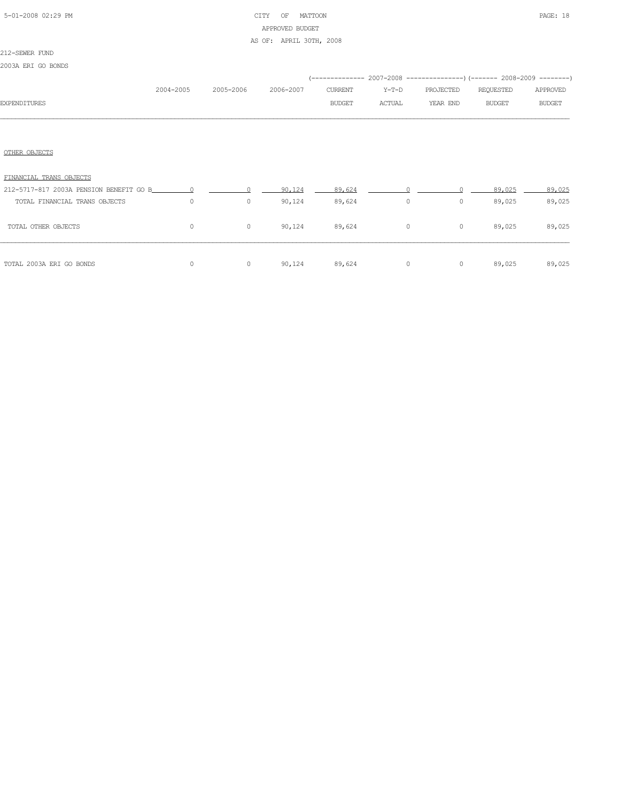# 5-01-2008 02:29 PM CITY OF MATTOON PAGE: 18 APPROVED BUDGET AS OF: APRIL 30TH, 2008

## 212-SEWER FUND 2003A ERI GO BONDS

|                         |           |           |           |               |        | (-------------- 2007-2008 ----------------) (------- 2008-2009 --------) |           |               |
|-------------------------|-----------|-----------|-----------|---------------|--------|--------------------------------------------------------------------------|-----------|---------------|
|                         | 2004-2005 | 2005-2006 | 2006-2007 | CURRENT       | Y-T-D  | PROJECTED                                                                | REQUESTED | APPROVED      |
| <b>EXPENDITURES</b>     |           |           |           | <b>BUDGET</b> | ACTUAL | YEAR END                                                                 | BUDGET    | <b>BUDGET</b> |
|                         |           |           |           |               |        |                                                                          |           |               |
|                         |           |           |           |               |        |                                                                          |           |               |
|                         |           |           |           |               |        |                                                                          |           |               |
| OTHER OBJECTS           |           |           |           |               |        |                                                                          |           |               |
|                         |           |           |           |               |        |                                                                          |           |               |
| FINANCIAL TRANS OBJECTS |           |           |           |               |        |                                                                          |           |               |

| TOTAL 2003A ERI GO BONDS                                                 |   | 0 | 90,124           | 89,624           | $\Omega$ | $\circ$ | 89,025           | 89,025           |
|--------------------------------------------------------------------------|---|---|------------------|------------------|----------|---------|------------------|------------------|
| TOTAL OTHER OBJECTS                                                      | 0 | 0 | 90,124           | 89,624           | 0        | $\circ$ | 89,025           | 89,025           |
| 212-5717-817 2003A PENSION BENEFIT GO B<br>TOTAL FINANCIAL TRANS OBJECTS |   | 0 | 90.124<br>90,124 | 89.624<br>89,624 | 0        | 0       | 89.025<br>89,025 | 89.025<br>89,025 |
|                                                                          |   |   |                  |                  |          |         |                  |                  |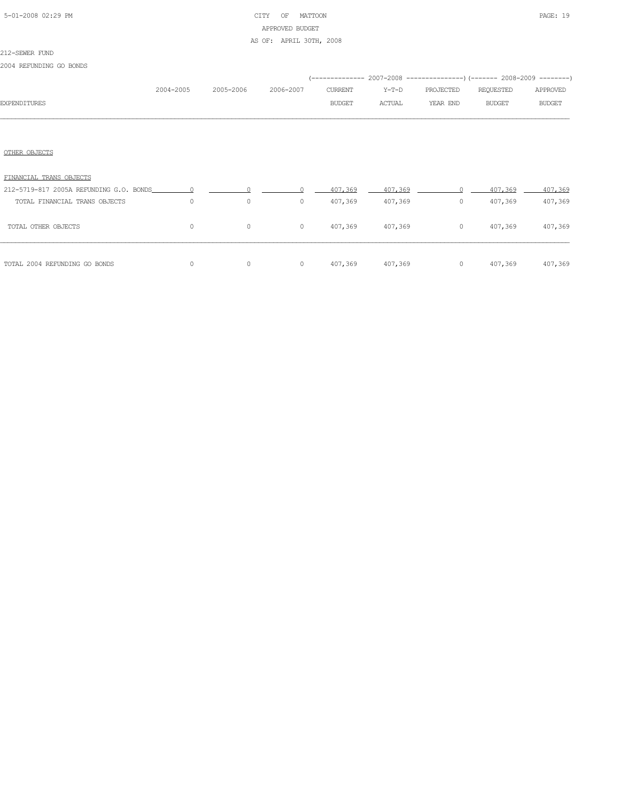## 5-01-2008 02:29 PM CITY OF MATTOON PAGE: 19 APPROVED BUDGET AS OF: APRIL 30TH, 2008

### 212-SEWER FUND

2004 REFUNDING GO BONDS

|                                         |           |           |           |               | (-------------- 2007-2008 ----------------) (------- 2008-2009 --------) |           |               |               |
|-----------------------------------------|-----------|-----------|-----------|---------------|--------------------------------------------------------------------------|-----------|---------------|---------------|
|                                         | 2004-2005 | 2005-2006 | 2006-2007 | CURRENT       | Y-T-D                                                                    | PROJECTED | REQUESTED     | APPROVED      |
| <b>EXPENDITURES</b>                     |           |           |           | <b>BUDGET</b> | ACTUAL                                                                   | YEAR END  | <b>BUDGET</b> | <b>BUDGET</b> |
|                                         |           |           |           |               |                                                                          |           |               |               |
|                                         |           |           |           |               |                                                                          |           |               |               |
| OTHER OBJECTS                           |           |           |           |               |                                                                          |           |               |               |
| FINANCIAL TRANS OBJECTS                 |           |           |           |               |                                                                          |           |               |               |
| 212-5719-817 2005A REFUNDING G.O. BONDS |           |           |           | 407,369       | 407,369                                                                  |           | 407,369       | 407,369       |
| TOTAL FINANCIAL TRANS OBJECTS           | $\circ$   | $\circ$   | $\circ$   | 407,369       | 407,369                                                                  | $\circ$   | 407,369       | 407,369       |
|                                         |           |           |           |               |                                                                          |           |               |               |
| TOTAL OTHER OBJECTS                     | 0         | 0         | $\circ$   | 407,369       | 407,369                                                                  | $\circ$   | 407,369       | 407,369       |

TOTAL 2004 REFUNDING GO BONDS 0 0 0 407,369 407,369 0 407,369 407,369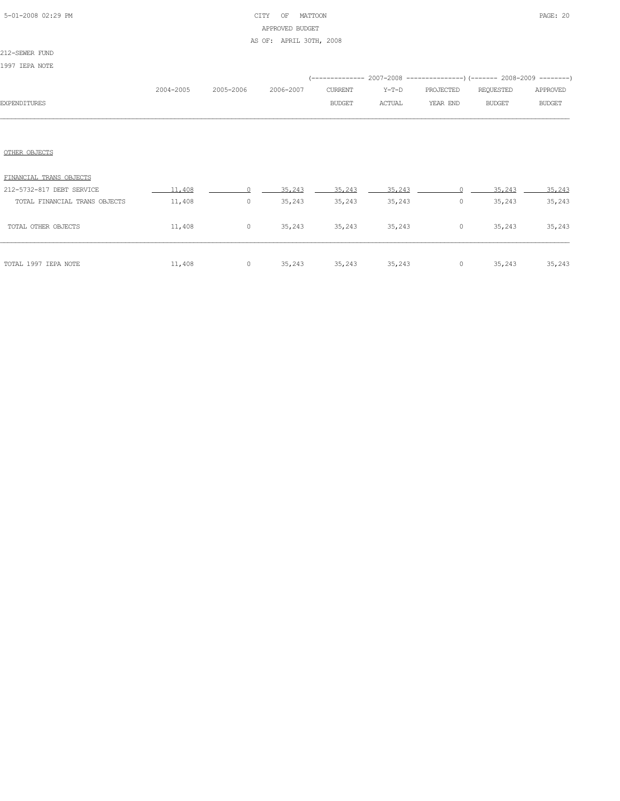## 5-01-2008 02:29 PM CITY OF MATTOON PAGE: 20 APPROVED BUDGET AS OF: APRIL 30TH, 2008

### 212-SEWER FUND

1997 IEPA NOTE

| <b>EXPENDITURES</b>                                  | 2004-2005        | 2005-2006          | 2006-2007 | CURRENT<br><b>BUDGET</b> | $Y-T-D$<br><b>ACTUAL</b> | PROJECTED<br>YEAR END | REQUESTED<br><b>BUDGET</b> | APPROVED<br><b>BUDGET</b> |
|------------------------------------------------------|------------------|--------------------|-----------|--------------------------|--------------------------|-----------------------|----------------------------|---------------------------|
| OTHER OBJECTS                                        |                  |                    |           |                          |                          |                       |                            |                           |
| FINANCIAL TRANS OBJECTS<br>212-5732-817 DEBT SERVICE | 11,408           | $\cap$             | 35,243    | 35,243                   | 35,243                   |                       | 35,243                     | 35,243                    |
| TOTAL FINANCIAL TRANS OBJECTS<br>TOTAL OTHER OBJECTS | 11,408<br>11,408 | $\circ$<br>$\circ$ | 35,243    | 35,243<br>35,243 35,243  | 35,243<br>35,243         | $\circ$<br>$\circ$    | 35,243<br>35,243           | 35,243<br>35,243          |
| TOTAL 1997 IEPA NOTE                                 | 11,408           | $\circ$            | 35,243    | 35,243                   | 35,243                   | $\circ$               | 35,243                     | 35,243                    |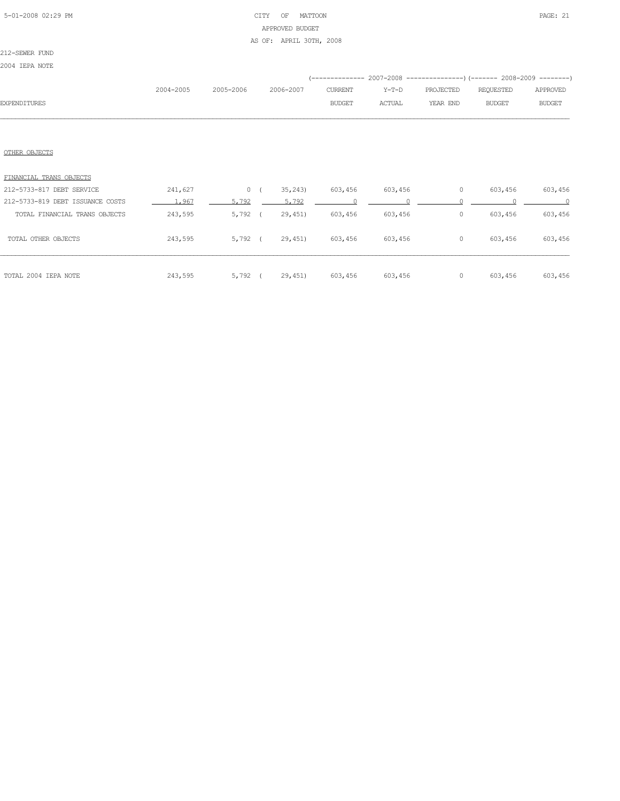## 5-01-2008 02:29 PM CITY OF MATTOON PAGE: 21 APPROVED BUDGET AS OF: APRIL 30TH, 2008

212-SEWER FUND

2004 IEPA NOTE

|                     |           |                     |               |        | (------------- 2007-2008 ----------------) (------- 2008-2009 --------) |        |               |
|---------------------|-----------|---------------------|---------------|--------|-------------------------------------------------------------------------|--------|---------------|
|                     | 2004-2005 | 2005-2006 2006-2007 | CURRENT       |        | Y-T-D PROJECTED REQUESTED APPROVED                                      |        |               |
| <b>EXPENDITURES</b> |           |                     | <b>BUDGET</b> | ACTUAL | YEAR END                                                                | BUDGET | <b>BUDGET</b> |
|                     |           |                     |               |        |                                                                         |        |               |

### OTHER OBJECTS

| TOTAL 2004 IEPA NOTE             | 243,595 | 5,792   | 29,451  | 603,456 | 603,456 | 0 | 603,456 | 603,456 |
|----------------------------------|---------|---------|---------|---------|---------|---|---------|---------|
| TOTAL OTHER OBJECTS              | 243,595 | 5,792   | 29,451  | 603,456 | 603,456 | 0 | 603,456 | 603,456 |
| TOTAL FINANCIAL TRANS OBJECTS    | 243,595 | 5,792   | 29,451  | 603,456 | 603,456 | 0 | 603,456 | 603,456 |
| 212-5733-819 DEBT ISSUANCE COSTS | 1.967   | 5.792   | 5.792   |         |         |   |         | $\cap$  |
| 212-5733-817 DEBT SERVICE        | 241,627 | $\circ$ | 35, 243 | 603,456 | 603,456 | 0 | 603,456 | 603,456 |
| FINANCIAL TRANS OBJECTS          |         |         |         |         |         |   |         |         |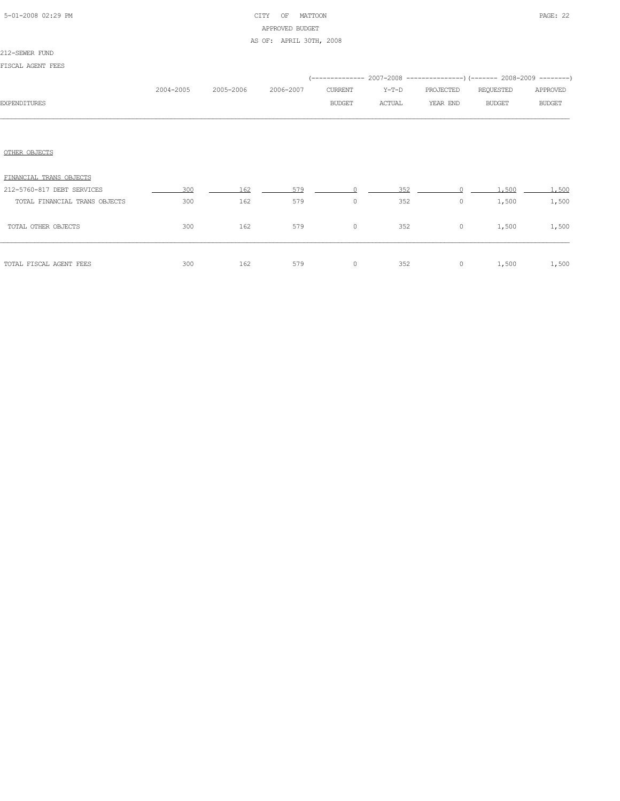## 5-01-2008 02:29 PM CITY OF MATTOON PAGE: 22 APPROVED BUDGET AS OF: APRIL 30TH, 2008

### 212-SEWER FUND

| FISCAL AGENT FEES             |           |           |           |               |        |           |                                                                          |               |
|-------------------------------|-----------|-----------|-----------|---------------|--------|-----------|--------------------------------------------------------------------------|---------------|
|                               |           |           |           |               |        |           | (-------------- 2007-2008 ----------------) (------- 2008-2009 --------) |               |
|                               | 2004-2005 | 2005-2006 | 2006-2007 | CURRENT       | Y-T-D  | PROJECTED | REQUESTED                                                                | APPROVED      |
| <b>EXPENDITURES</b>           |           |           |           | <b>BUDGET</b> | ACTUAL | YEAR END  | <b>BUDGET</b>                                                            | <b>BUDGET</b> |
|                               |           |           |           |               |        |           |                                                                          |               |
|                               |           |           |           |               |        |           |                                                                          |               |
| OTHER OBJECTS                 |           |           |           |               |        |           |                                                                          |               |
| FINANCIAL TRANS OBJECTS       |           |           |           |               |        |           |                                                                          |               |
| 212-5760-817 DEBT SERVICES    | 300       | 162       | 579       |               | 352    |           | 1,500                                                                    | 1,500         |
| TOTAL FINANCIAL TRANS OBJECTS | 300       | 162       | 579       | $\circ$       | 352    | $\circ$   | 1,500                                                                    | 1,500         |
| TOTAL OTHER OBJECTS           | 300       | 162       | 579       | $\circ$       | 352    | $\circ$   | 1,500                                                                    | 1,500         |
| TOTAL FISCAL AGENT FEES       | 300       | 162       | 579       | $\circ$       | 352    | $\circ$   | 1,500                                                                    | 1,500         |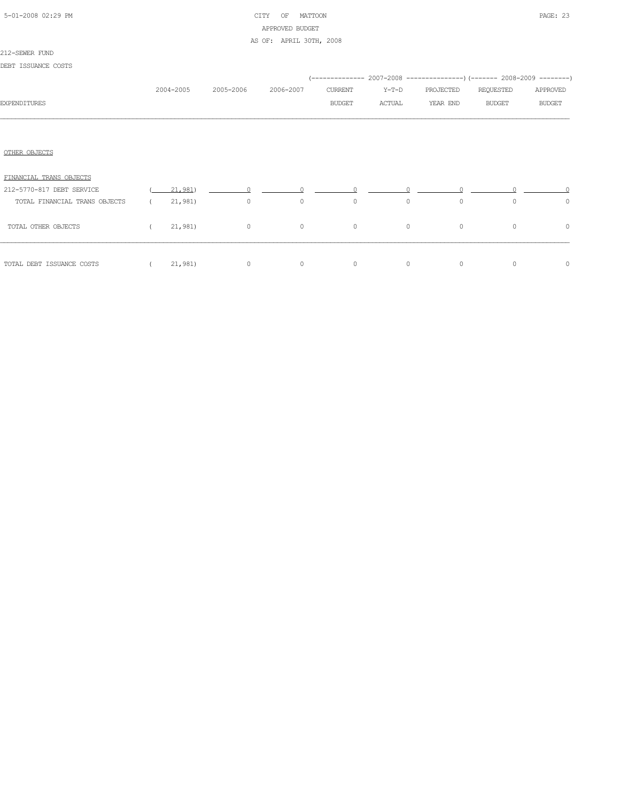| 5-01-2008 02:29 PM |  |
|--------------------|--|

## CITY OF MATTOON PAGE: 23 APPROVED BUDGET AS OF: APRIL 30TH, 2008

### 212-SEWER FUND

| DEBT ISSUANCE COSTS           |            |           |                |                |                                 |         |                                                                          |               |               |
|-------------------------------|------------|-----------|----------------|----------------|---------------------------------|---------|--------------------------------------------------------------------------|---------------|---------------|
|                               |            |           |                |                |                                 |         | (-------------- 2007-2008 ----------------) (------- 2008-2009 --------) |               |               |
|                               |            | 2004-2005 | 2005-2006      | 2006-2007      | CURRENT                         | Y-T-D   | PROJECTED                                                                | REQUESTED     | APPROVED      |
| <b>EXPENDITURES</b>           |            |           |                |                | <b>BUDGET</b>                   | ACTUAL  | YEAR END                                                                 | <b>BUDGET</b> | <b>BUDGET</b> |
|                               |            |           |                |                |                                 |         |                                                                          |               |               |
| OTHER OBJECTS                 |            |           |                |                |                                 |         |                                                                          |               |               |
| FINANCIAL TRANS OBJECTS       |            |           |                |                |                                 |         |                                                                          |               |               |
| 212-5770-817 DEBT SERVICE     |            |           | $(21,981)$ $0$ |                | $\Omega$ and $\Omega$<br>$\cap$ |         |                                                                          |               |               |
| TOTAL FINANCIAL TRANS OBJECTS | $\sqrt{2}$ | 21,981)   | $\overline{0}$ | $\circ$        | $\circ$                         | $\circ$ | $\circ$                                                                  | $\circ$       | $\circ$       |
| TOTAL OTHER OBJECTS           |            |           | $(21,981)$ 0   | $\overline{0}$ | $\overline{0}$                  | $\circ$ | $\circ$                                                                  | $\Omega$      | 0             |
| TOTAL DEBT ISSUANCE COSTS     |            |           | $(21,981)$ 0   | $\circ$        | $\overline{0}$                  | $\circ$ | $\circ$                                                                  | 0             | $\circ$       |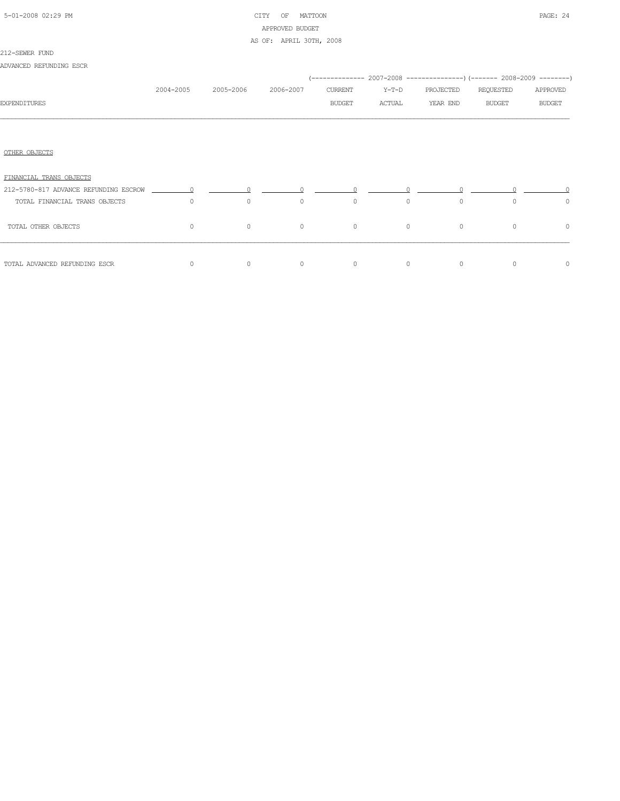| 5-01-2008 02:29 PM |  |
|--------------------|--|

## CITY OF MATTOON PAGE: 24 APPROVED BUDGET AS OF: APRIL 30TH, 2008

### 212-SEWER FUND

ADVANCED REFUNDING ESCR

|                                                                         |           |           |           |         |         | (-------------- 2007-2008 ----------------) (------- 2008-2009 --------) |               |               |
|-------------------------------------------------------------------------|-----------|-----------|-----------|---------|---------|--------------------------------------------------------------------------|---------------|---------------|
|                                                                         | 2004-2005 | 2005-2006 | 2006-2007 | CURRENT | Y-T-D   | PROJECTED                                                                | REQUESTED     | APPROVED      |
| <b>EXPENDITURES</b>                                                     |           |           |           | BUDGET  | ACTUAL  | YEAR END                                                                 | <b>BUDGET</b> | <b>BUDGET</b> |
|                                                                         |           |           |           |         |         |                                                                          |               |               |
| OTHER OBJECTS                                                           |           |           |           |         |         |                                                                          |               |               |
| FINANCIAL TRANS OBJECTS                                                 |           |           |           |         |         |                                                                          |               |               |
| $212-5780-817$ ADVANCE REFUNDING ESCROW $\qquad \qquad 0 \qquad \qquad$ |           |           |           |         |         |                                                                          |               |               |
| TOTAL FINANCIAL TRANS OBJECTS                                           | $\Omega$  | $\circ$   | $\circ$   | $\circ$ | $\circ$ | $\circ$                                                                  | $\Omega$      | $\circ$       |
| TOTAL OTHER OBJECTS                                                     | $\circ$   | $\circ$   | $\circ$   | $\circ$ | $\circ$ | $\circ$                                                                  | $\Omega$      | $\circ$       |
| TOTAL ADVANCED REFUNDING ESCR                                           | $\Omega$  | $\circ$   | $\circ$   | $\circ$ | $\circ$ | $\mathbf{0}$                                                             | $\Omega$      | $\circ$       |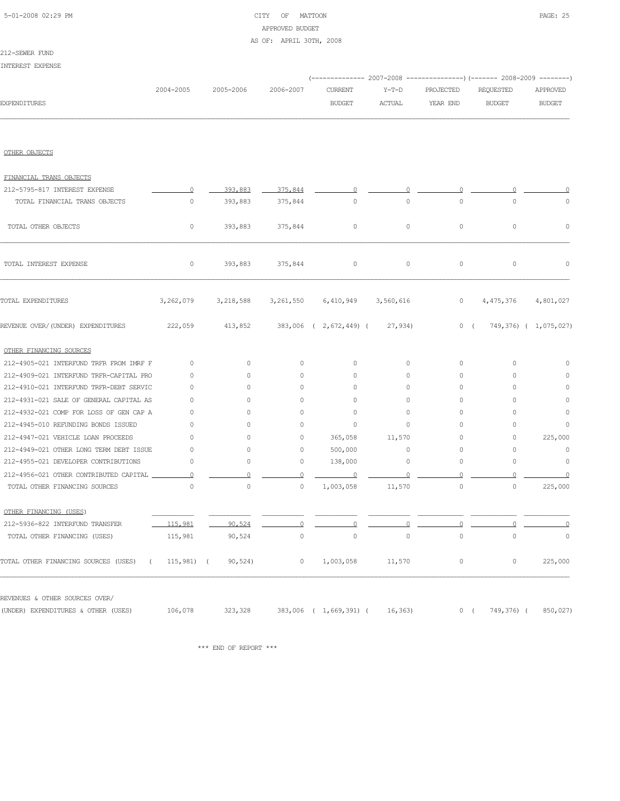## 5-01-2008 02:29 PM CITY OF MATTOON PAGE: 25 APPROVED BUDGET AS OF: APRIL 30TH, 2008

212-SEWER FUND INTEREST EXPENSE

|                                                  |           |           |                     |                                     |               |           | (------------- 2007-2008 ---------------) (------- 2008-2009 --------) |                       |  |
|--------------------------------------------------|-----------|-----------|---------------------|-------------------------------------|---------------|-----------|------------------------------------------------------------------------|-----------------------|--|
|                                                  | 2004-2005 | 2005-2006 | 2006-2007           | CURRENT                             | $Y-T-D$       | PROJECTED | REQUESTED                                                              | APPROVED              |  |
| <b>EXPENDITURES</b>                              |           |           |                     | <b>BUDGET</b>                       | <b>ACTUAL</b> | YEAR END  | <b>BUDGET</b>                                                          | <b>BUDGET</b>         |  |
|                                                  |           |           |                     |                                     |               |           |                                                                        |                       |  |
| OTHER OBJECTS                                    |           |           |                     |                                     |               |           |                                                                        |                       |  |
| FINANCIAL TRANS OBJECTS                          |           |           |                     |                                     |               |           |                                                                        |                       |  |
| 212-5795-817 INTEREST EXPENSE                    | $\Omega$  | 393,883   | 375,844             | $\circ$                             | $\circ$       |           |                                                                        |                       |  |
| TOTAL FINANCIAL TRANS OBJECTS                    | $\circ$   | 393,883   | 375,844             | $\circ$                             | $\circ$       | $\circ$   | $\circ$                                                                | $\mathbb O$           |  |
| TOTAL OTHER OBJECTS                              | 0         | 393,883   | 375,844             | $\circ$                             | $\circ$       | $\circ$   | $\circ$                                                                | $\mathbb O$           |  |
| TOTAL INTEREST EXPENSE                           | $\circ$   | 393,883   | 375,844             | $\circ$                             | $\circ$       | $\circ$   | 0                                                                      | 0                     |  |
| TOTAL EXPENDITURES                               | 3,262,079 | 3,218,588 |                     | 3, 261, 550 6, 410, 949 3, 560, 616 |               | $\circ$   | 4,475,376                                                              | 4,801,027             |  |
| REVENUE OVER/(UNDER) EXPENDITURES                | 222,059   | 413,852   |                     | 383,006 ( 2,672,449) (              | 27,934)       | 0(        |                                                                        | 749,376) ( 1,075,027) |  |
| OTHER FINANCING SOURCES                          |           |           |                     |                                     |               |           |                                                                        |                       |  |
| 212-4905-021 INTERFUND TRFR FROM IMRF F          | $\circ$   | $\circ$   | $\circ$             | 0                                   | $\circ$       | $\circ$   | $\circ$                                                                | $\circ$               |  |
| 212-4909-021 INTERFUND TRFR-CAPITAL PRO          | $\circ$   | $\circ$   | 0                   | $\circ$                             | 0             | 0         | $\circ$                                                                | $\circ$               |  |
| 212-4910-021 INTERFUND TRFR-DEBT SERVIC          | $\circ$   | $\circ$   | $\circ$             | $\circ$                             | 0             | 0         | $\circ$                                                                | $\circ$               |  |
| 212-4931-021 SALE OF GENERAL CAPITAL AS          | $\circ$   | $\circ$   | $\circ$             | 0                                   | $\circ$       | $\circ$   | $\circ$                                                                | $\mathbf 0$           |  |
| 212-4932-021 COMP FOR LOSS OF GEN CAP A          | $\circ$   | $\circ$   | 0                   | $\circ$                             | $\circ$       | 0         | $\circ$                                                                | $\mathbf 0$           |  |
| 212-4945-010 REFUNDING BONDS ISSUED              | $\circ$   | $\circ$   | 0                   | 0                                   | $\circ$       | 0         | 0                                                                      | 0                     |  |
| 212-4947-021 VEHICLE LOAN PROCEEDS               | $\circ$   | $\circ$   | 0                   | 365,058                             | 11,570        | 0         | $\circ$                                                                | 225,000               |  |
| 212-4949-021 OTHER LONG TERM DEBT ISSUE          | $\circ$   | 0         | 0                   | 500,000                             | $\circ$       | 0         | $\circ$                                                                | $\circ$               |  |
| 212-4955-021 DEVELOPER CONTRIBUTIONS             | $\circ$   | 0         | 0                   | 138,000                             | $\circ$       | 0         | $\circ$                                                                | $\circ$               |  |
| 212-4956-021 OTHER CONTRIBUTED CAPITAL           | $\circ$   | 0         | $\circ$             | $\overline{0}$                      | 0             | $\circ$   |                                                                        | $\Omega$              |  |
| TOTAL OTHER FINANCING SOURCES                    | $\circ$   | $\circ$   | $\mathsf{O}\xspace$ | 1,003,058                           | 11,570        | $\circ$   | $\circ$                                                                | 225,000               |  |
| OTHER FINANCING (USES)                           |           |           |                     |                                     |               |           |                                                                        |                       |  |
| 212-5936-822 INTERFUND TRANSFER                  | 115,981   | 90.524    |                     |                                     | $\Omega$      | $\Omega$  | $\cap$                                                                 |                       |  |
| TOTAL OTHER FINANCING (USES)                     | 115,981   | 90,524    | $\circ$             | $\circ$                             | $\circ$       | $\circ$   | 0                                                                      | $\overline{0}$        |  |
| TOTAL OTHER FINANCING SOURCES (USES) (115,981) ( |           | 90, 524)  | $\circ$             | 1,003,058                           | 11,570        | $\circ$   | $\circ$                                                                | 225,000               |  |
| REVENUES & OTHER SOURCES OVER/                   |           |           |                     |                                     |               |           |                                                                        |                       |  |
| (UNDER) EXPENDITURES & OTHER (USES)              | 106,078   | 323,328   |                     | 383,006 ( 1,669,391) ( 16,363)      |               |           | 0(                                                                     | 749,376) (850,027)    |  |

 $\star\star\star$  END OF REPORT  $\star\star\star$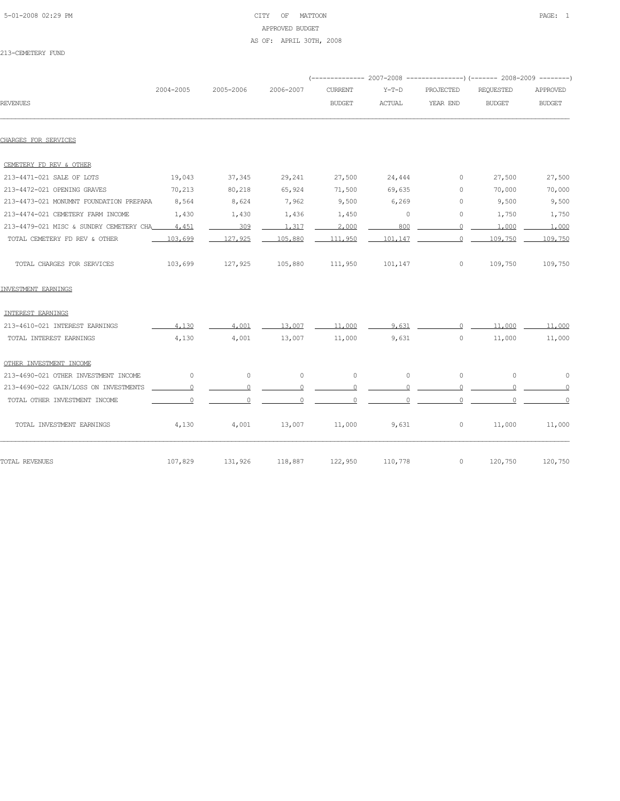## 5-01-2008 02:29 PM CITY OF MATTOON PAGE: 1 APPROVED BUDGET AS OF: APRIL 30TH, 2008

213-CEMETERY FUND

|                                         |           |           |           |                 |               |                | ----------- 2007-2008 ----------------) (------- 2008-2009 --------) |                |
|-----------------------------------------|-----------|-----------|-----------|-----------------|---------------|----------------|----------------------------------------------------------------------|----------------|
|                                         | 2004-2005 | 2005-2006 | 2006-2007 | <b>CURRENT</b>  | $Y-T-D$       | PROJECTED      | <b>REQUESTED</b>                                                     | APPROVED       |
| <b>REVENUES</b>                         |           |           |           | <b>BUDGET</b>   | <b>ACTUAL</b> | YEAR END       | <b>BUDGET</b>                                                        | <b>BUDGET</b>  |
| CHARGES FOR SERVICES                    |           |           |           |                 |               |                |                                                                      |                |
| CEMETERY FD REV & OTHER                 |           |           |           |                 |               |                |                                                                      |                |
| 213-4471-021 SALE OF LOTS               | 19,043    | 37,345    | 29,241    | 27,500          | 24,444        | $\circ$        | 27,500                                                               | 27,500         |
| 213-4472-021 OPENING GRAVES             | 70,213    | 80,218    | 65,924    | 71,500          | 69,635        | $\circ$        | 70,000                                                               | 70,000         |
| 213-4473-021 MONUMNT FOUNDATION PREPARA | 8,564     | 8,624     | 7,962     | 9,500           | 6,269         | $\circ$        | 9,500                                                                | 9,500          |
| 213-4474-021 CEMETERY FARM INCOME       | 1,430     | 1,430     | 1,436     | 1,450           | $\circ$       | 0              | 1,750                                                                | 1,750          |
| 213-4479-021 MISC & SUNDRY CEMETERY CHA | 4,451     | 309       | 1,317     | 2,000           | 800           | $\circ$        | 1,000                                                                | 1,000          |
| TOTAL CEMETERY FD REV & OTHER           | 103,699   | 127,925   | 105,880   | 111,950         | 101,147       | $\Omega$       | 109,750                                                              | 109,750        |
| TOTAL CHARGES FOR SERVICES              | 103,699   | 127,925   |           | 105,880 111,950 | 101,147       | $\circ$        | 109,750                                                              | 109,750        |
| INVESTMENT EARNINGS                     |           |           |           |                 |               |                |                                                                      |                |
| INTEREST EARNINGS                       |           |           |           |                 |               |                |                                                                      |                |
| 213-4610-021 INTEREST EARNINGS          | 4,130     | 4,001     | 13,007    | 11,000          | 9.631         | $\Omega$       | 11,000                                                               | 11,000         |
| TOTAL INTEREST EARNINGS                 | 4,130     | 4,001     | 13,007    | 11,000          | 9,631         | $\circ$        | 11,000                                                               | 11,000         |
| OTHER INVESTMENT INCOME                 |           |           |           |                 |               |                |                                                                      |                |
| 213-4690-021 OTHER INVESTMENT INCOME    | $\circ$   | $\circ$   | $\circ$   | $\circ$         | $\circ$       | $\circ$        | $\circ$                                                              | $\circ$        |
| 213-4690-022 GAIN/LOSS ON INVESTMENTS   | $\circ$   | $\circ$   | $\circ$   | $\circ$         | $\mathbf{0}$  | $\circ$        | $\Omega$                                                             | $\overline{0}$ |
| TOTAL OTHER INVESTMENT INCOME           | $\Omega$  | $\Omega$  | $\Omega$  | $\Omega$        | $\Omega$      | $\Omega$       | $\cap$                                                               | $\overline{0}$ |
| TOTAL INVESTMENT EARNINGS               | 4,130     | 4,001     | 13,007    | 11,000          | 9,631         | $\overline{0}$ | 11,000                                                               | 11,000         |
| TOTAL REVENUES                          | 107,829   | 131,926   | 118,887   | 122,950         | 110,778       | $\circ$        | 120,750                                                              | 120,750        |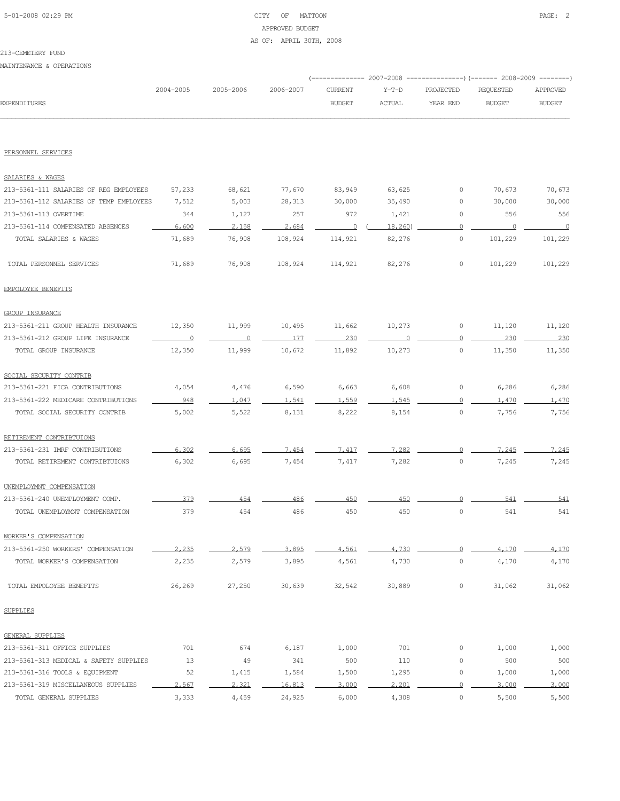## 5-01-2008 02:29 PM CITY OF MATTOON PAGE: 2 APPROVED BUDGET AS OF: APRIL 30TH, 2008

### MAINTENANCE & OPERATIONS

|                                         |                          |                         |           |                         | ---------------) (------- 2008-2009<br>----------- 2007-2008 |                |                | $- - - - - - - -$ |  |  |
|-----------------------------------------|--------------------------|-------------------------|-----------|-------------------------|--------------------------------------------------------------|----------------|----------------|-------------------|--|--|
|                                         | 2004-2005                | 2005-2006               | 2006-2007 | <b>CURRENT</b>          | $Y-T-D$                                                      | PROJECTED      | REQUESTED      | APPROVED          |  |  |
| <b>EXPENDITURES</b>                     |                          |                         |           | <b>BUDGET</b>           | ACTUAL                                                       | YEAR END       | <b>BUDGET</b>  | <b>BUDGET</b>     |  |  |
|                                         |                          |                         |           |                         |                                                              |                |                |                   |  |  |
| PERSONNEL SERVICES                      |                          |                         |           |                         |                                                              |                |                |                   |  |  |
| SALARIES & WAGES                        |                          |                         |           |                         |                                                              |                |                |                   |  |  |
| 213-5361-111 SALARIES OF REG EMPLOYEES  | 57,233                   | 68,621                  | 77,670    | 83,949                  | 63,625                                                       | 0              | 70,673         | 70,673            |  |  |
| 213-5361-112 SALARIES OF TEMP EMPLOYEES | 7,512                    | 5,003                   | 28,313    | 30,000                  | 35,490                                                       | 0              | 30,000         | 30,000            |  |  |
| 213-5361-113 OVERTIME                   | 344                      | 1,127                   | 257       | 972                     | 1,421                                                        | 0              | 556            | 556               |  |  |
| 213-5361-114 COMPENSATED ABSENCES       | 6,600                    | 2,158                   | 2,684     | $\overline{\mathbf{0}}$ | 18,260                                                       | $\circ$        | $\overline{0}$ | $\overline{0}$    |  |  |
| TOTAL SALARIES & WAGES                  | 71,689                   | 76,908                  | 108,924   | 114,921                 | 82,276                                                       | $\circ$        | 101,229        | 101,229           |  |  |
| TOTAL PERSONNEL SERVICES                | 71,689                   | 76,908                  | 108,924   | 114,921                 | 82,276                                                       | $\circ$        | 101,229        | 101,229           |  |  |
| EMPOLOYEE BENEFITS                      |                          |                         |           |                         |                                                              |                |                |                   |  |  |
| GROUP INSURANCE                         |                          |                         |           |                         |                                                              |                |                |                   |  |  |
| 213-5361-211 GROUP HEALTH INSURANCE     | 12,350                   | 11,999                  | 10,495    | 11,662                  | 10,273                                                       | $\circ$        | 11,120         | 11,120            |  |  |
| 213-5361-212 GROUP LIFE INSURANCE       | $\overline{\phantom{0}}$ | $\overline{\mathbf{0}}$ | 177       | 230                     | $\cap$                                                       | 0              | 230            | 230               |  |  |
| TOTAL GROUP INSURANCE                   | 12,350                   | 11,999                  | 10,672    | 11,892                  | 10,273                                                       | $\circ$        | 11,350         | 11,350            |  |  |
| SOCIAL SECURITY CONTRIB                 |                          |                         |           |                         |                                                              |                |                |                   |  |  |
| 213-5361-221 FICA CONTRIBUTIONS         | 4,054                    | 4,476                   | 6,590     | 6,663                   | 6,608                                                        | 0              | 6,286          | 6,286             |  |  |
| 213-5361-222 MEDICARE CONTRIBUTIONS     | 948                      | 1,047                   | 1.541     | 1.559                   | 1.545                                                        | $\Omega$       | 1,470          | 1,470             |  |  |
| TOTAL SOCIAL SECURITY CONTRIB           | 5,002                    | 5,522                   | 8,131     | 8,222                   | 8,154                                                        | $\circ$        | 7,756          | 7,756             |  |  |
| RETIREMENT CONTRIBTUIONS                |                          |                         |           |                         |                                                              |                |                |                   |  |  |
| 213-5361-231 IMRF CONTRIBUTIONS         | 6,302                    | 6.695                   | 7.454     | 7.417                   | 7.282                                                        | $\cap$         | 7.245          | 7,245             |  |  |
| TOTAL RETIREMENT CONTRIBTUIONS          | 6,302                    | 6,695                   | 7,454     | 7,417                   | 7,282                                                        | $\circ$        | 7,245          | 7,245             |  |  |
| UNEMPLOYMNT COMPENSATION                |                          |                         |           |                         |                                                              |                |                |                   |  |  |
| 213-5361-240 UNEMPLOYMENT COMP.         | 379                      | 454                     | 486       | 450                     | 450                                                          |                | 541            | 541               |  |  |
| TOTAL UNEMPLOYMNT COMPENSATION          | 379                      | 454                     | 486       | 450                     | 450                                                          | $\circ$        | 541            | 541               |  |  |
| WORKER'S COMPENSATION                   |                          |                         |           |                         |                                                              |                |                |                   |  |  |
| 213-5361-250 WORKERS' COMPENSATION      | 2.235                    | 2.579                   | 3,895     | 4,561                   | 4,730                                                        | $\overline{0}$ | 4,170          | 4.170             |  |  |
| TOTAL WORKER'S COMPENSATION             | 2,235                    | 2,579                   | 3,895     | 4,561                   | 4,730                                                        | $\circ$        | 4,170          | 4,170             |  |  |
| TOTAL EMPOLOYEE BENEFITS                | 26,269                   | 27,250                  | 30,639    | 32,542                  | 30,889                                                       | $\circ$        | 31,062         | 31,062            |  |  |
| <b>SUPPLIES</b>                         |                          |                         |           |                         |                                                              |                |                |                   |  |  |
| GENERAL SUPPLIES                        |                          |                         |           |                         |                                                              |                |                |                   |  |  |
| 213-5361-311 OFFICE SUPPLIES            | 701                      | 674                     | 6,187     | 1,000                   | 701                                                          | $\circ$        | 1,000          | 1,000             |  |  |
| 213-5361-313 MEDICAL & SAFETY SUPPLIES  | 13                       | 49                      | 341       | 500                     | 110                                                          | 0              | 500            | 500               |  |  |
| 213-5361-316 TOOLS & EQUIPMENT          | 52                       | 1,415                   | 1,584     | 1,500                   | 1,295                                                        | $\circ$        | 1,000          | 1,000             |  |  |
| 213-5361-319 MISCELLANEOUS SUPPLIES     | 2,567                    | 2,321                   | 16,813    | 3,000                   | 2,201                                                        | $\Omega$       | 3,000          | 3,000             |  |  |
| TOTAL GENERAL SUPPLIES                  | 3,333                    | 4,459                   | 24,925    | 6,000                   | 4,308                                                        | $\circ$        | 5,500          | 5,500             |  |  |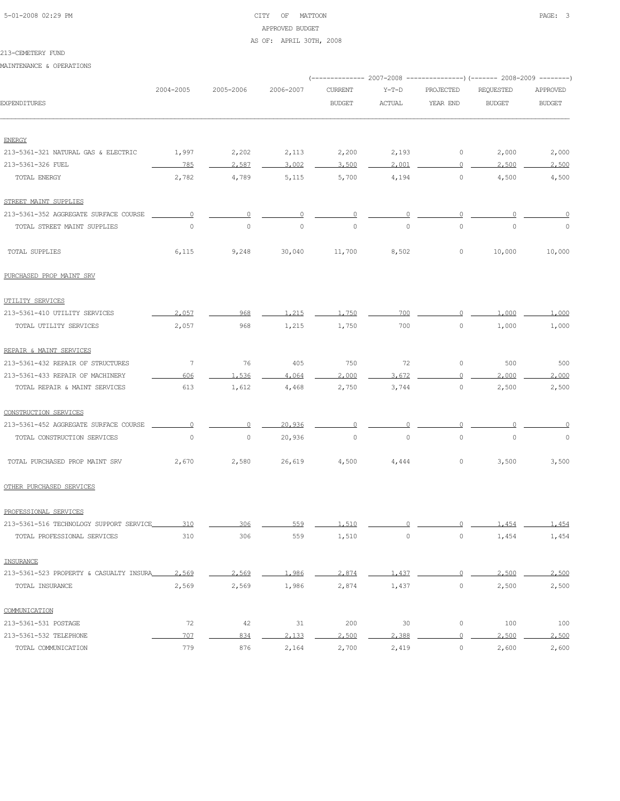## 5-01-2008 02:29 PM CITY OF MATTOON PAGE: 3 APPROVED BUDGET AS OF: APRIL 30TH, 2008

### 213-CEMETERY FUND

MAINTENANCE & OPERATIONS

|                                                      |           |           |                     |                |               |           | (------------- 2007-2008 ---------------) (------- 2008-2009 --------) |               |  |
|------------------------------------------------------|-----------|-----------|---------------------|----------------|---------------|-----------|------------------------------------------------------------------------|---------------|--|
|                                                      | 2004-2005 | 2005-2006 | 2006-2007           | <b>CURRENT</b> | $Y-T-D$       | PROJECTED | REQUESTED                                                              | APPROVED      |  |
| EXPENDITURES                                         |           |           |                     | <b>BUDGET</b>  | <b>ACTUAL</b> | YEAR END  | <b>BUDGET</b>                                                          | <b>BUDGET</b> |  |
|                                                      |           |           |                     |                |               |           |                                                                        |               |  |
| <b>ENERGY</b><br>213-5361-321 NATURAL GAS & ELECTRIC | 1,997     | 2,202     | 2,113               | 2,200          | 2,193         | 0         | 2,000                                                                  | 2,000         |  |
| 213-5361-326 FUEL                                    | 785       | 2,587     | 3,002               | 3,500          | 2,001         | 0         | 2,500                                                                  | 2,500         |  |
| TOTAL ENERGY                                         | 2,782     | 4,789     | 5,115               | 5,700          | 4,194         | 0         | 4,500                                                                  | 4,500         |  |
| STREET MAINT SUPPLIES                                |           |           |                     |                |               |           |                                                                        |               |  |
| 213-5361-352 AGGREGATE SURFACE COURSE                | $\circ$   | 0         | 0                   | 0              |               | 0         |                                                                        | 0             |  |
| TOTAL STREET MAINT SUPPLIES                          | $\circ$   | $\circ$   | $\mathsf{O}\xspace$ | $\circ$        | $\mathbb O$   | 0         | $\circ$                                                                | $\circ$       |  |
| TOTAL SUPPLIES                                       | 6,115     | 9,248     | 30,040              | 11,700         | 8,502         | 0         | 10,000                                                                 | 10,000        |  |
| PURCHASED PROP MAINT SRV                             |           |           |                     |                |               |           |                                                                        |               |  |
| UTILITY SERVICES                                     |           |           |                     |                |               |           |                                                                        |               |  |
| 213-5361-410 UTILITY SERVICES                        | 2,057     | 968       | 1.215               | 1,750          | 700           | $\Omega$  | 1,000                                                                  | 1,000         |  |
| TOTAL UTILITY SERVICES                               | 2,057     | 968       | 1,215               | 1,750          | 700           | 0         | 1,000                                                                  | 1,000         |  |
| REPAIR & MAINT SERVICES                              |           |           |                     |                |               |           |                                                                        |               |  |
| 213-5361-432 REPAIR OF STRUCTURES                    | 7         | 76        | 405                 | 750            | 72            | 0         | 500                                                                    | 500           |  |
| 213-5361-433 REPAIR OF MACHINERY                     | 606       | 1,536     | 4,064               | 2,000          | 3,672         | O         | 2,000                                                                  | 2,000         |  |
| TOTAL REPAIR & MAINT SERVICES                        | 613       | 1,612     | 4,468               | 2,750          | 3,744         | 0         | 2,500                                                                  | 2,500         |  |
| CONSTRUCTION SERVICES                                |           |           |                     |                |               |           |                                                                        |               |  |
| 213-5361-452 AGGREGATE SURFACE COURSE                |           | n         | 20,936              |                |               |           |                                                                        |               |  |
| TOTAL CONSTRUCTION SERVICES                          | $\circ$   | $\circ$   | 20,936              | $\circ$        | $\circ$       | 0         | $\circ$                                                                | $\circ$       |  |
| TOTAL PURCHASED PROP MAINT SRV                       | 2,670     | 2,580     | 26,619              | 4,500          | 4,444         | 0         | 3,500                                                                  | 3,500         |  |
| OTHER PURCHASED SERVICES                             |           |           |                     |                |               |           |                                                                        |               |  |
| PROFESSIONAL SERVICES                                |           |           |                     |                |               |           |                                                                        |               |  |
| 213-5361-516 TECHNOLOGY SUPPORT SERVICE              | 310       | 306       | 559                 | 1 510          | $\cap$        |           | 1.454                                                                  | 1,454         |  |
| TOTAL PROFESSIONAL SERVICES                          | 310       | 306       | 559                 | 1,510          | $\mathbb O$   | 0         | 1,454                                                                  | 1,454         |  |
| INSURANCE                                            |           |           |                     |                |               |           |                                                                        |               |  |
| 213-5361-523 PROPERTY & CASUALTY INSURA              | 2,569     | 2,569     | 1,986               | 2,874          | 1,437         | $\Omega$  | 2,500                                                                  | 2,500         |  |
| TOTAL INSURANCE                                      | 2,569     | 2,569     | 1,986               | 2,874          | 1,437         | $\circ$   | 2,500                                                                  | 2,500         |  |
| COMMUNICATION                                        |           |           |                     |                |               |           |                                                                        |               |  |
| 213-5361-531 POSTAGE                                 | 72        | 42        | 31                  | 200            | 30            | 0         | 100                                                                    | 100           |  |
| 213-5361-532 TELEPHONE                               | 707       | 834       | 2,133               | 2,500          | 2,388         | $\Omega$  | 2,500                                                                  | 2,500         |  |
| TOTAL COMMUNICATION                                  | 779       | 876       | 2,164               | 2,700          | 2,419         | $\circ$   | 2,600                                                                  | 2,600         |  |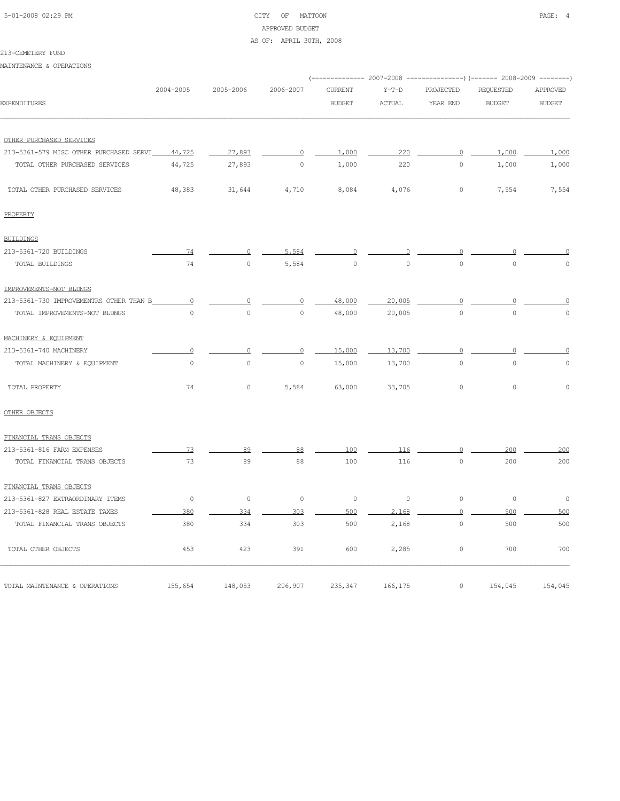# 5-01-2008 02:29 PM CITY OF MATTOON PAGE: 4 APPROVED BUDGET

### AS OF: APRIL 30TH, 2008

### 213-CEMETERY FUND

MAINTENANCE & OPERATIONS

| 2004-2005                                          | 2005-2006           | 2006-2007 | <b>CURRENT</b> | $Y-T-D$       | PROJECTED      | <b>REQUESTED</b> | APPROVED                                                                |
|----------------------------------------------------|---------------------|-----------|----------------|---------------|----------------|------------------|-------------------------------------------------------------------------|
|                                                    |                     |           | <b>BUDGET</b>  | <b>ACTUAL</b> | YEAR END       | <b>BUDGET</b>    | <b>BUDGET</b>                                                           |
|                                                    |                     |           |                |               |                |                  |                                                                         |
|                                                    |                     |           |                |               |                |                  |                                                                         |
| 213-5361-579 MISC OTHER PURCHASED SERVI<br>44,725  | 27,893              | $\circ$   | 1,000          | 220           | $\overline{0}$ | 1,000            | 1,000                                                                   |
| 44,725                                             | 27,893              | $\circ$   | 1,000          | 220           | $\circ$        | 1,000            | 1,000                                                                   |
| 48,383                                             | 31,644              | 4,710     | 8,084          | 4,076         | 0              | 7,554            | 7,554                                                                   |
|                                                    |                     |           |                |               |                |                  |                                                                         |
|                                                    |                     |           |                |               |                |                  |                                                                         |
| 74                                                 | $\circ$             | 5,584     | $\circ$        | $\Omega$      | $\circ$        |                  |                                                                         |
| 74                                                 | $\mathbb O$         | 5,584     | $\circ$        | $\circ$       | $\mathbf{0}$   | $\overline{0}$   | $\cap$                                                                  |
|                                                    |                     |           |                |               |                |                  |                                                                         |
| 213-5361-730 IMPROVEMENTRS OTHER THAN B<br>$\circ$ | $\circ$             | $\Omega$  | 48,000         | 20,005        | $\circ$        |                  |                                                                         |
| $\circ$                                            | $\overline{0}$      | $\circ$   | 48,000         | 20,005        | $\mathbf{0}$   | $\overline{0}$   | $\mathbf 0$                                                             |
|                                                    |                     |           |                |               |                |                  |                                                                         |
| $\Omega$                                           | $\Omega$            | $\circ$   | 15,000         | 13,700        | $\circ$        | $\Omega$         | $\Omega$                                                                |
| $\mathsf{O}\xspace$                                | $\circ$             | $\circ$   | 15,000         | 13,700        | $\mathbb O$    | $\circ$          | $\circ$                                                                 |
| 74                                                 | $\mathbb O$         | 5,584     | 63,000         | 33,705        | $\mathbb O$    | $\circ$          | $\mathbf 0$                                                             |
|                                                    |                     |           |                |               |                |                  |                                                                         |
|                                                    |                     |           |                |               |                |                  |                                                                         |
| 73                                                 | 89                  | 88        | 100            | 116           | $\circ$        | 200              | 200                                                                     |
| 73                                                 | 89                  | 88        | 100            | 116           | $\mathbb O$    | 200              | 200                                                                     |
|                                                    |                     |           |                |               |                |                  |                                                                         |
| $\circ$                                            | $\mathsf{O}\xspace$ | $\circ$   | $\circ$        | $\circ$       | $\circ$        | $\mathbb O$      | $\circ$                                                                 |
| 380                                                | 334                 | 303       | 500            | 2.168         | $\circ$        | 500              | 500                                                                     |
| 380                                                | 334                 | 303       | 500            | 2,168         | $\circ$        | 500              | 500                                                                     |
| 453                                                | 423                 | 391       | 600            | 2,285         | $\circ$        | 700              | 700                                                                     |
| 155,654                                            | 148,053             | 206,907   | 235,347        | 166,175       | $\circ$        | 154,045          | 154,045                                                                 |
|                                                    |                     |           |                |               |                |                  | (-------------- 2007-2008 ---------------) (------- 2008-2009 --------) |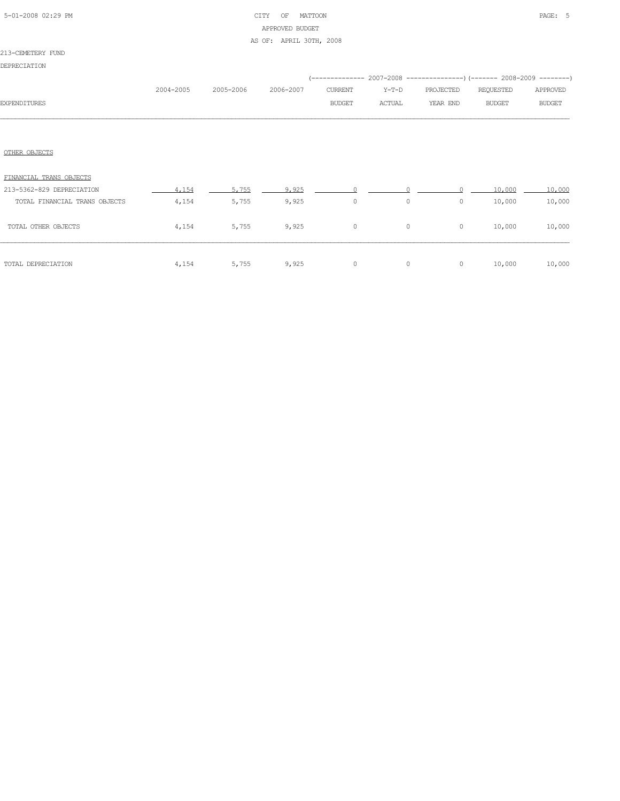| 5-01-2008 02:29 PM |  |  |
|--------------------|--|--|

## CITY OF MATTOON PAGE: 5 APPROVED BUDGET AS OF: APRIL 30TH, 2008

|                               |           |           |           |               |         | (-------------- 2007-2008 ----------------) (------- 2008-2009 --------) |               |               |  |
|-------------------------------|-----------|-----------|-----------|---------------|---------|--------------------------------------------------------------------------|---------------|---------------|--|
|                               | 2004-2005 | 2005-2006 | 2006-2007 | CURRENT       | $Y-T-D$ | PROJECTED                                                                | REQUESTED     | APPROVED      |  |
| <b>EXPENDITURES</b>           |           |           |           | <b>BUDGET</b> | ACTUAL  | YEAR END                                                                 | <b>BUDGET</b> | <b>BUDGET</b> |  |
|                               |           |           |           |               |         |                                                                          |               |               |  |
|                               |           |           |           |               |         |                                                                          |               |               |  |
| OTHER OBJECTS                 |           |           |           |               |         |                                                                          |               |               |  |
| FINANCIAL TRANS OBJECTS       |           |           |           |               |         |                                                                          |               |               |  |
| 213-5362-829 DEPRECIATION     | 4,154     | 5.755     | 9,925     |               |         |                                                                          | 10,000        | 10,000        |  |
| TOTAL FINANCIAL TRANS OBJECTS | 4,154     | 5,755     | 9,925     | $\circ$       | $\circ$ | 0                                                                        | 10,000        | 10,000        |  |
| TOTAL OTHER OBJECTS           | 4,154     | 5,755     | 9,925     | $\circ$       | $\circ$ | $\circ$                                                                  | 10,000        | 10,000        |  |
|                               |           |           |           |               |         |                                                                          |               |               |  |
| TOTAL DEPRECIATION            | 4,154     | 5,755     | 9,925     | $\circ$       | $\circ$ | 0                                                                        | 10,000        | 10,000        |  |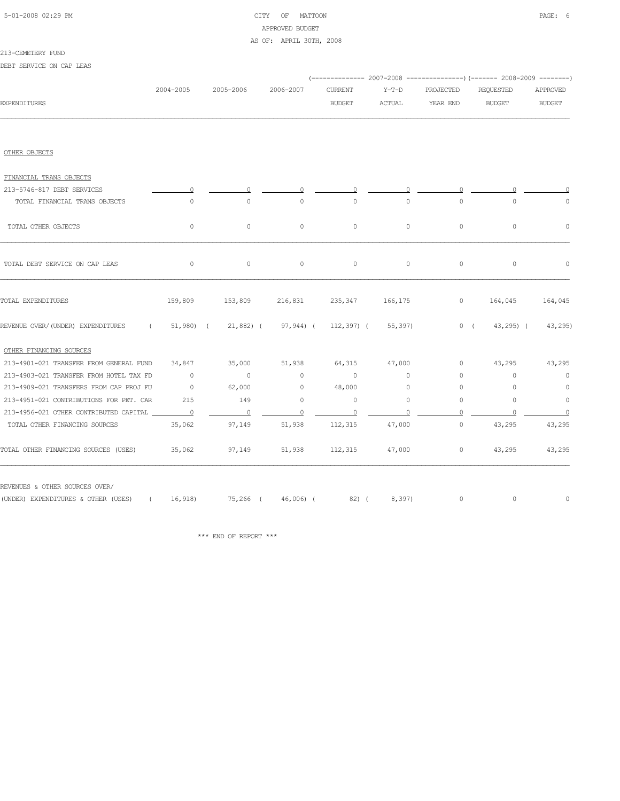| 5-01-2008 02:29 PM |  |
|--------------------|--|
|                    |  |

## CITY OF MATTOON **PAGE: 6** APPROVED BUDGET AS OF: APRIL 30TH, 2008

#### 213-CEMETERY FUND

DEBT SERVICE ON CAP LEAS

|                                                                                      |                |                          |                |                |                   |                | (-------------- 2007-2008 ----------------) (------- 2008-2009 --------) |                |
|--------------------------------------------------------------------------------------|----------------|--------------------------|----------------|----------------|-------------------|----------------|--------------------------------------------------------------------------|----------------|
|                                                                                      | 2004-2005      | 2005-2006                | 2006-2007      | <b>CURRENT</b> | $Y-T-D$           | PROJECTED      | REQUESTED                                                                | APPROVED       |
| <b>EXPENDITURES</b>                                                                  |                |                          |                | <b>BUDGET</b>  | ACTUAL            | YEAR END       | <b>BUDGET</b>                                                            | <b>BUDGET</b>  |
|                                                                                      |                |                          |                |                |                   |                |                                                                          |                |
| OTHER OBJECTS                                                                        |                |                          |                |                |                   |                |                                                                          |                |
| FINANCIAL TRANS OBJECTS                                                              |                |                          |                |                |                   |                |                                                                          |                |
| 213-5746-817 DEBT SERVICES                                                           |                |                          |                |                |                   |                |                                                                          |                |
| TOTAL FINANCIAL TRANS OBJECTS                                                        | $\circ$        | $\circ$                  | $\circ$        | $\circ$        | $\circ$           | $\circ$        | $\circ$                                                                  | $\circ$        |
| TOTAL OTHER OBJECTS                                                                  | $\circ$        | $\circ$                  | $\circ$        | $\circ$        | $\circ$           | $\circ$        | $\circ$                                                                  | $\circ$        |
| TOTAL DEBT SERVICE ON CAP LEAS                                                       | $\circ$        | $\circ$                  | $\circ$        | $\circ$        | $\circ$           | 0              | $\circ$                                                                  | $\circ$        |
| TOTAL EXPENDITURES                                                                   | 159,809        | 153,809                  | 216,831        |                | 235, 347 166, 175 | $\overline{0}$ | 164,045                                                                  | 164,045        |
| REVENUE OVER/(UNDER) EXPENDITURES ( 51,980) ( 21,882) ( 97,944) ( 112,397) ( 55,397) |                |                          |                |                |                   |                | $0 \quad (43, 295) \quad (43, 295)$                                      |                |
| OTHER FINANCING SOURCES                                                              |                |                          |                |                |                   |                |                                                                          |                |
| 213-4901-021 TRANSFER FROM GENERAL FUND                                              | 34,847         | 35,000                   | 51,938 64,315  |                | 47,000            | $\circ$        | 43,295                                                                   | 43,295         |
| 213-4903-021 TRANSFER FROM HOTEL TAX FD                                              | $\overline{0}$ | $\sim$ 0                 | $\circ$        | $\circ$        | $\circ$           | $\circ$        | $\circ$                                                                  | $\circ$        |
| 213-4909-021 TRANSFERS FROM CAP PROJ FU                                              | $\sim$ 0       | 62,000                   | $\sim$ 0       | 48,000         | $\circ$           | 0              | $\circ$                                                                  | $\circ$        |
| 213-4951-021 CONTRIBUTIONS FOR PET. CAR                                              | 215            | 149                      | $\circ$        | $\circ$        | $\circ$           | $\circ$        | $\Omega$                                                                 | $\circ$        |
| 213-4956-021 OTHER CONTRIBUTED CAPITAL                                               |                | $\overline{\phantom{0}}$ | $\overline{0}$ | $\overline{0}$ | $\Omega$          | $\Omega$       | $\cap$                                                                   | $\overline{0}$ |
| TOTAL OTHER FINANCING SOURCES                                                        | 35,062         | 97,149                   | 51,938         | 112,315        | 47,000            | $\circ$        | 43,295                                                                   | 43,295         |
| TOTAL OTHER FINANCING SOURCES (USES)                                                 | 35,062         | 97,149                   |                | 51,938 112,315 | 47,000            | $\circ$        | 43,295                                                                   | 43,295         |
| REVENUES & OTHER SOURCES OVER/                                                       |                |                          |                |                |                   |                |                                                                          |                |
| (UNDER) EXPENDITURES & OTHER (USES) ( 16,918) 75,266 ( 46,006) ( 82) (               |                |                          |                |                | 8,397)            | $\circ$        | 0                                                                        | $\circ$        |

 $\star\star\star$  END OF REPORT  $\star\star\star$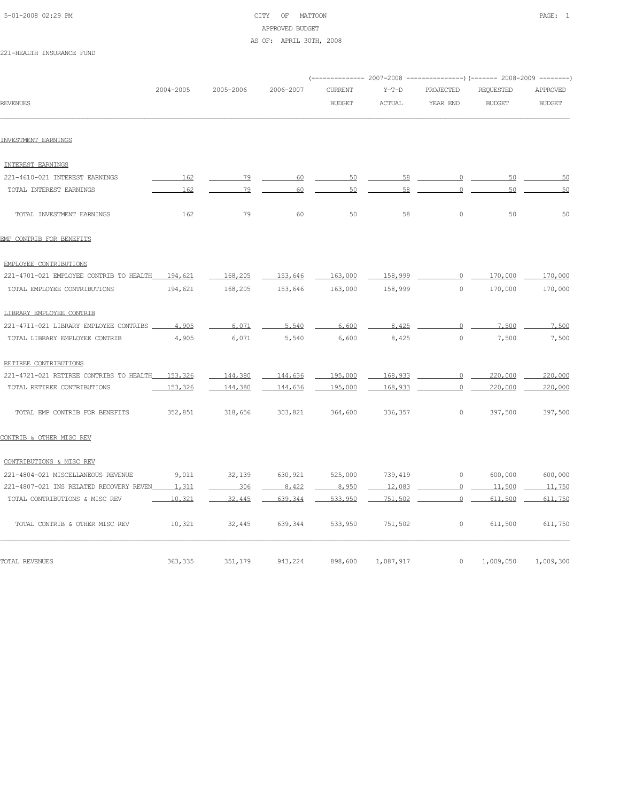| 5-01-2008 02:29 PM |  |
|--------------------|--|

## CITY OF MATTOON **PAGE:** 1 APPROVED BUDGET AS OF: APRIL 30TH, 2008

221-HEALTH INSURANCE FUND

|                                          |           |           |           | (-------------- 2007-2008 ----------------) (------- 2008-2009 --------) |               |                |               |               |
|------------------------------------------|-----------|-----------|-----------|--------------------------------------------------------------------------|---------------|----------------|---------------|---------------|
|                                          | 2004-2005 | 2005-2006 | 2006-2007 | <b>CURRENT</b>                                                           | $Y-T-D$       | PROJECTED      | REQUESTED     | APPROVED      |
| <b>REVENUES</b>                          |           |           |           | <b>BUDGET</b>                                                            | <b>ACTUAL</b> | YEAR END       | <b>BUDGET</b> | <b>BUDGET</b> |
| INVESTMENT EARNINGS                      |           |           |           |                                                                          |               |                |               |               |
| INTEREST EARNINGS                        |           |           |           |                                                                          |               |                |               |               |
| 221-4610-021 INTEREST EARNINGS           | 162       | 79        | 60        | 50                                                                       | 58            | $\circ$        | 50            | 50            |
| TOTAL INTEREST EARNINGS                  | 162       | 79        | 60        | 50                                                                       | 58            | $\circ$        | 50            | 50            |
| TOTAL INVESTMENT EARNINGS                | 162       | 79        | 60        | 50                                                                       | 58            | $\circ$        | 50            | 50            |
| EMP CONTRIB FOR BENEFITS                 |           |           |           |                                                                          |               |                |               |               |
| EMPLOYEE CONTRIBUTIONS                   |           |           |           |                                                                          |               |                |               |               |
| 221-4701-021 EMPLOYEE CONTRIB TO HEALTH  | 194,621   | 168,205   | 153,646   | 163,000                                                                  | 158,999       | $\circ$        | 170,000       | 170,000       |
| TOTAL EMPLOYEE CONTRIBUTIONS             | 194,621   | 168,205   | 153,646   | 163,000                                                                  | 158,999       | $\circ$        | 170,000       | 170,000       |
| LIBRARY EMPLOYEE CONTRIB                 |           |           |           |                                                                          |               |                |               |               |
| 221-4711-021 LIBRARY EMPLOYEE CONTRIBS   | 4,905     | 6.071     | 5,540     | 6,600                                                                    | 8.425         | $\cap$         | 7.500         | 7,500         |
| TOTAL LIBRARY EMPLOYEE CONTRIB           | 4,905     | 6,071     | 5,540     | 6,600                                                                    | 8,425         | $\circ$        | 7,500         | 7,500         |
| RETIREE CONTRIBUTIONS                    |           |           |           |                                                                          |               |                |               |               |
| 221-4721-021 RETIREE CONTRIBS TO HEALTH_ | 153,326   | 144,380   | 144,636   | 195,000                                                                  | 168,933       | $\circ$        | 220,000       | 220,000       |
| TOTAL RETIREE CONTRIBUTIONS              | 153,326   | 144,380   | 144,636   | 195,000                                                                  | 168,933       | $\Omega$       | 220,000       | 220,000       |
| TOTAL EMP CONTRIB FOR BENEFITS           | 352,851   | 318,656   | 303,821   | 364,600                                                                  | 336,357       | 0              | 397,500       | 397,500       |
| CONTRIB & OTHER MISC REV                 |           |           |           |                                                                          |               |                |               |               |
| CONTRIBUTIONS & MISC REV                 |           |           |           |                                                                          |               |                |               |               |
| 221-4804-021 MISCELLANEOUS REVENUE       | 9,011     | 32,139    | 630,921   | 525,000                                                                  | 739,419       | 0              | 600,000       | 600,000       |
| 221-4807-021 INS RELATED RECOVERY REVEN  | 1,311     | 306       | 8.422     | 8,950                                                                    | 12,083        | $\circ$        | 11,500        | 11,750        |
| TOTAL CONTRIBUTIONS & MISC REV           | 10,321    | 32,445    | 639, 344  | 533,950                                                                  | 751,502       | $\overline{0}$ | 611,500       | 611,750       |
| TOTAL CONTRIB & OTHER MISC REV           | 10,321    | 32,445    | 639,344   | 533,950                                                                  | 751,502       | 0              | 611,500       | 611,750       |
| TOTAL REVENUES                           | 363, 335  | 351,179   | 943,224   | 898,600                                                                  | 1,087,917     | $\circ$        | 1,009,050     | 1,009,300     |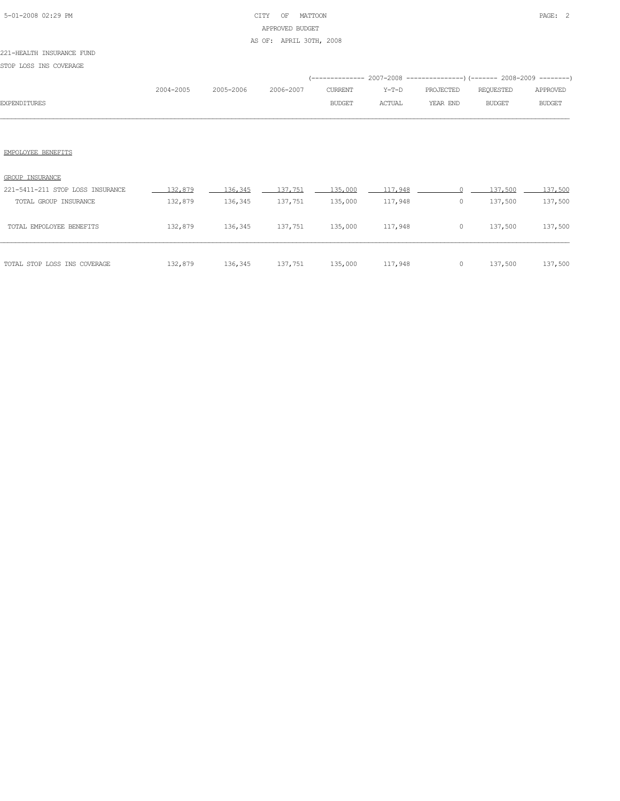## 5-01-2008 02:29 PM CITY OF MATTOON PAGE: 2 APPROVED BUDGET AS OF: APRIL 30TH, 2008

### 221-HEALTH INSURANCE FUND

STOP LOSS INS COVERAGE

|                     |           |                     |               |               | (-------------- 2007-2008 ----------------) (------- 2008-2009 --------) |        |               |
|---------------------|-----------|---------------------|---------------|---------------|--------------------------------------------------------------------------|--------|---------------|
|                     | 2004-2005 | 2005-2006 2006-2007 |               |               | CURRENT Y-T-D PROJECTED REOUESTED                                        |        | APPROVED      |
| <b>EXPENDITURES</b> |           |                     | <b>BUDGET</b> | <b>ACTUAL</b> | YEAR END                                                                 | BUDGET | <b>BUDGET</b> |
|                     |           |                     |               |               |                                                                          |        |               |

| TOTAL GROUP INSURANCE        | 132,879 | 136,345 | 137,751 | 135,000 | 117,948 | 0 | 137,500 | 137,500 |
|------------------------------|---------|---------|---------|---------|---------|---|---------|---------|
| TOTAL EMPOLOYEE BENEFITS     | 132,879 | 136,345 | 137,751 | 135,000 | 117,948 | 0 | 137,500 | 137,500 |
| TOTAL STOP LOSS INS COVERAGE | 132,879 | 136,345 | 137,751 | 135,000 | 117,948 |   | 137,500 | 137,500 |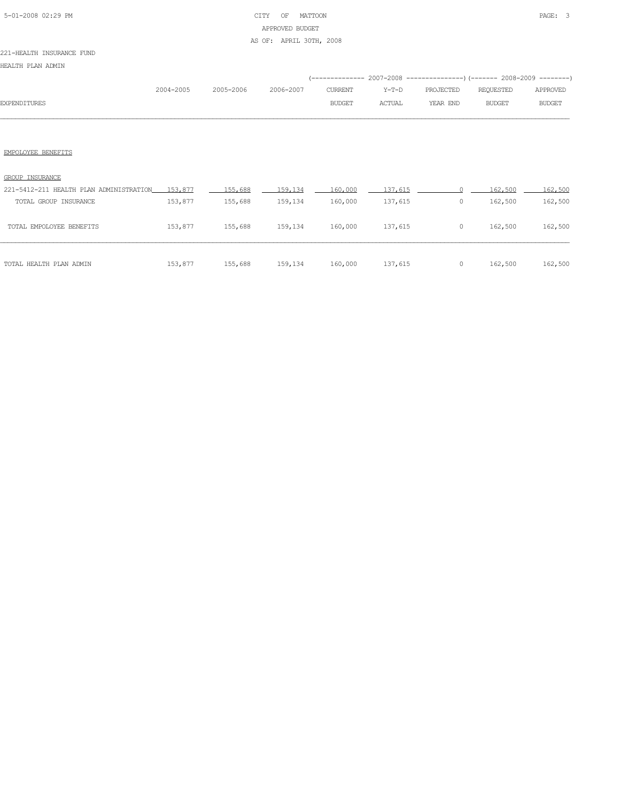## 5-01-2008 02:29 PM CITY OF MATTOON PAGE: 3 APPROVED BUDGET AS OF: APRIL 30TH, 2008

### 221-HEALTH INSURANCE FUND

HEALTH PLAN ADMIN

|                     |           |           |           |               |               | (-------------- 2007-2008 ----------------) (------- 2008-2009 --------) |               |               |
|---------------------|-----------|-----------|-----------|---------------|---------------|--------------------------------------------------------------------------|---------------|---------------|
|                     | 2004-2005 | 2005-2006 | 2006-2007 | CURRENT       | Y-T-D         | PROJECTED                                                                | REOUESTED     | APPROVED      |
| <b>EXPENDITURES</b> |           |           |           | <b>BUDGET</b> | <b>ACTUAL</b> | YEAR END                                                                 | <b>BUDGET</b> | <b>BUDGET</b> |
|                     |           |           |           |               |               |                                                                          |               |               |

| TOTAL HEALTH PLAN ADMIN                         | 153,877 | 155,688 | 159,134 | 160,000 | 137,615 | 0 | 162,500 | 162,500 |
|-------------------------------------------------|---------|---------|---------|---------|---------|---|---------|---------|
| TOTAL EMPOLOYEE BENEFITS                        | 153,877 | 155,688 | 159,134 | 160,000 | 137,615 | 0 | 162,500 | 162,500 |
| TOTAL GROUP INSURANCE                           | 153,877 | 155,688 | 159,134 | 160,000 | 137,615 | 0 | 162,500 | 162,500 |
| 221-5412-211 HEALTH PLAN ADMINISTRATION 153,877 |         | 155.688 | 159,134 | 160,000 | 137,615 |   | 162,500 | 162,500 |
| GROUP INSURANCE                                 |         |         |         |         |         |   |         |         |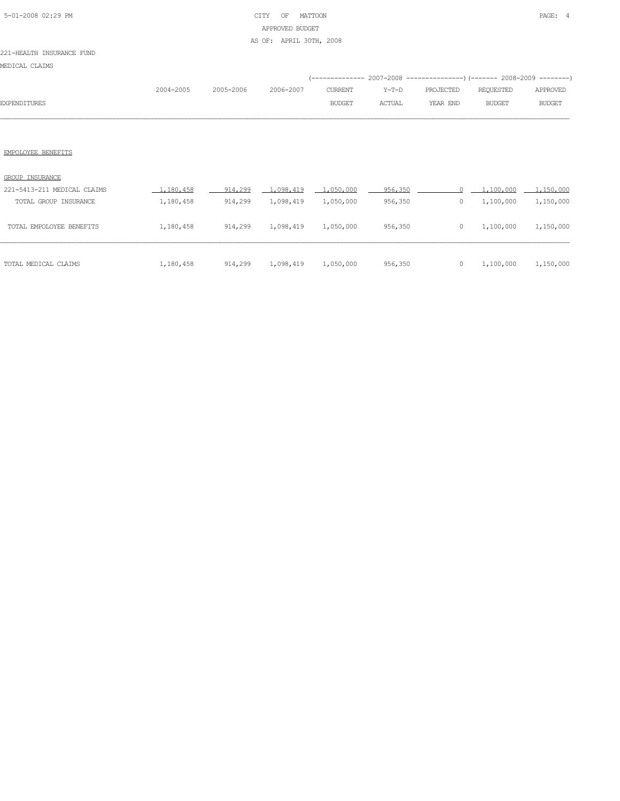## 5-01-2008 02:29 PM CITY OF MATTOON PAGE: 4 APPROVED BUDGET AS OF: APRIL 30TH, 2008

### 221-HEALTH INSURANCE FUND

MEDICAL CLAIMS

|                     |           |                     |               |        | (-------------- 2007-2008 ----------------) (------- 2008-2009 --------) |        |               |
|---------------------|-----------|---------------------|---------------|--------|--------------------------------------------------------------------------|--------|---------------|
|                     | 2004-2005 | 2005-2006 2006-2007 |               |        |                                                                          |        | APPROVED      |
| <b>EXPENDITURES</b> |           |                     | <b>BUDGET</b> | ACTUAL | YEAR END                                                                 | BUDGET | <b>BUDGET</b> |
|                     |           |                     |               |        |                                                                          |        |               |

| TOTAL MEDICAL CLAIMS        | 1,180,458 | 914,299 | 1,098,419 | 1,050,000    | 956,350 | 0 | 1,100,000 | 1,150,000 |
|-----------------------------|-----------|---------|-----------|--------------|---------|---|-----------|-----------|
| TOTAL EMPOLOYEE BENEFITS    | 1,180,458 | 914,299 | 1,098,419 | 1,050,000    | 956,350 | 0 | 1,100,000 | 1,150,000 |
| TOTAL GROUP INSURANCE       | 1,180,458 | 914,299 | 1,098,419 | 1,050,000    | 956,350 | 0 | 1,100,000 | 1,150,000 |
| 221-5413-211 MEDICAL CLAIMS | 1.180.458 | 914,299 | 1,098,419 | $-1.050.000$ | 956,350 |   | .100.000  | 150,000   |
| GROUP INSURANCE             |           |         |           |              |         |   |           |           |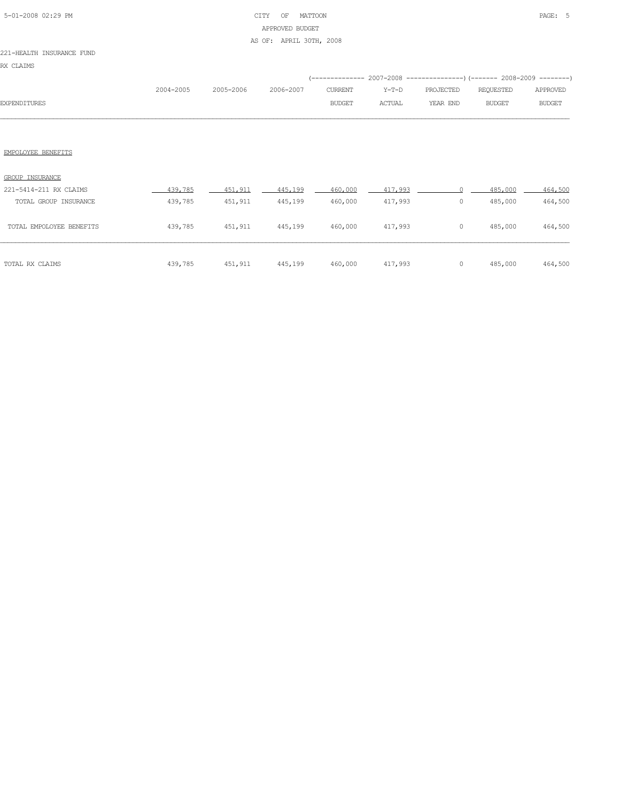## 5-01-2008 02:29 PM CITY OF MATTOON PAGE: 5 APPROVED BUDGET AS OF: APRIL 30TH, 2008

### 221-HEALTH INSURANCE FUND

|                     |           |                     |        |        |          | (-------------- 2007-2008 ----------------) (------- 2008-2009 --------) |               |
|---------------------|-----------|---------------------|--------|--------|----------|--------------------------------------------------------------------------|---------------|
|                     | 2004-2005 | 2005-2006 2006-2007 |        |        |          | CURRENT Y-T-D PROJECTED REQUESTED APPROVED                               |               |
| <b>EXPENDITURES</b> |           |                     | BUDGET | ACTUAL | YEAR END | BUDGET                                                                   | <b>BUDGET</b> |
|                     |           |                     |        |        |          |                                                                          |               |

| TOTAL RX CLAIMS          | 439,785 | 451,911 | 445,199 | 460,000 | 417,993                      | 0 | 485,000 | 464,500 |
|--------------------------|---------|---------|---------|---------|------------------------------|---|---------|---------|
| TOTAL EMPOLOYEE BENEFITS | 439,785 | 451,911 | 445,199 | 460,000 | 417,993                      | 0 | 485,000 | 464,500 |
| TOTAL GROUP INSURANCE    | 439,785 | 451,911 | 445,199 | 460,000 | 417,993                      | 0 | 485,000 | 464,500 |
| 221-5414-211 RX CLAIMS   | 439,785 | 451,911 | 445,199 | 460,000 | 417,993<br>11 September 1984 |   | 485,000 | 464,500 |
| GROUP INSURANCE          |         |         |         |         |                              |   |         |         |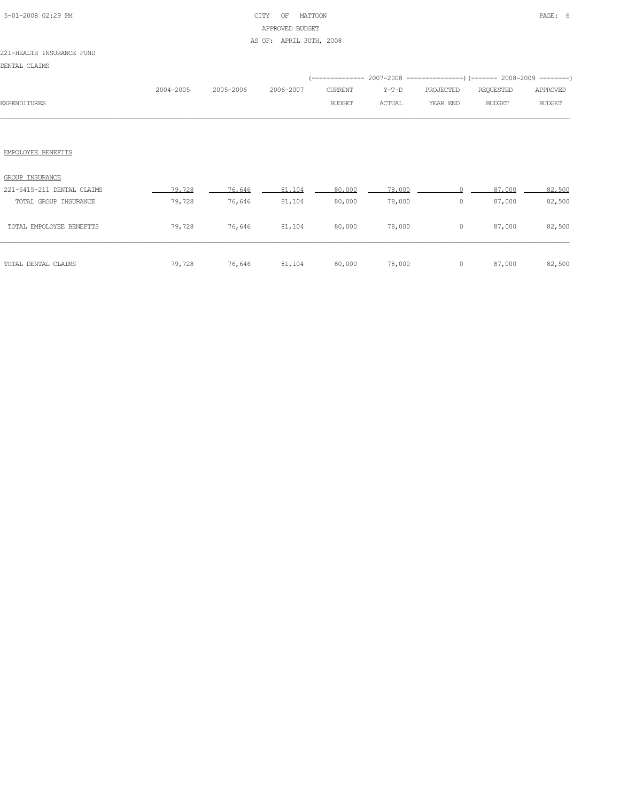## 5-01-2008 02:29 PM CITY OF MATTOON PAGE: 6 APPROVED BUDGET AS OF: APRIL 30TH, 2008

### 221-HEALTH INSURANCE FUND

DENTAL CLAIMS

|                     |           |                     |               |        | (-------------- 2007-2008 ----------------) (------- 2008-2009 --------) |        |               |
|---------------------|-----------|---------------------|---------------|--------|--------------------------------------------------------------------------|--------|---------------|
|                     | 2004-2005 | 2005-2006 2006-2007 |               |        |                                                                          |        | APPROVED      |
| <b>EXPENDITURES</b> |           |                     | <b>BUDGET</b> | ACTUAL | YEAR END                                                                 | BUDGET | <b>BUDGET</b> |
|                     |           |                     |               |        |                                                                          |        |               |

| TOTAL DENTAL CLAIMS        | 79,728 | 76,646 | 81,104 | 80,000 | 78,000 |   | 87,000 | 82,500 |
|----------------------------|--------|--------|--------|--------|--------|---|--------|--------|
| TOTAL EMPOLOYEE BENEFITS   | 79,728 | 76,646 | 81,104 | 80,000 | 78,000 | 0 | 87,000 | 82,500 |
| TOTAL GROUP INSURANCE      | 79,728 | 76,646 | 81,104 | 80,000 | 78,000 | 0 | 87,000 | 82,500 |
| 221-5415-211 DENTAL CLAIMS | 79.728 | 76,646 | 81,104 | 80,000 | 78,000 |   | 87,000 | 82,500 |
| <b>GROUP INSURANCE</b>     |        |        |        |        |        |   |        |        |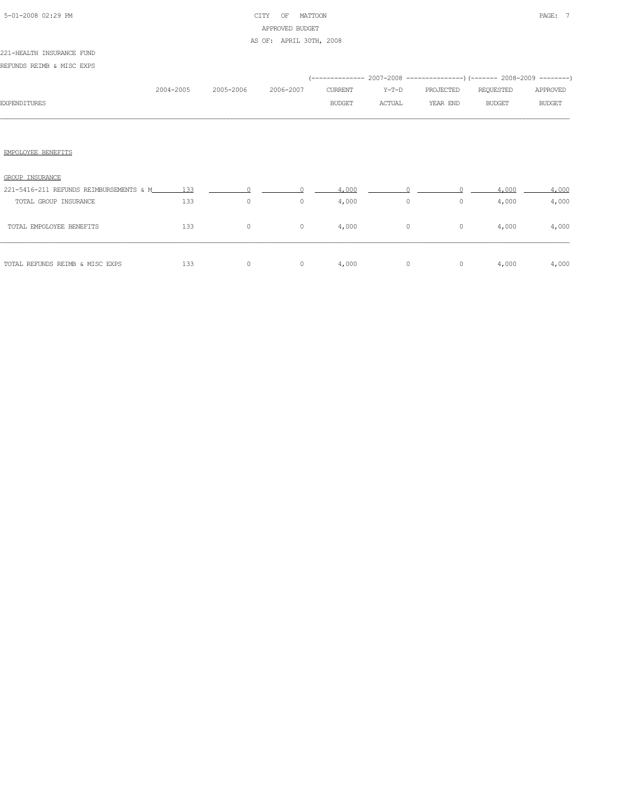## 5-01-2008 02:29 PM CITY OF MATTOON PAGE: 7 APPROVED BUDGET AS OF: APRIL 30TH, 2008

### 221-HEALTH INSURANCE FUND

REFUNDS REIMB & MISC EXPS

|                     |           |           |           |         |        | (-------------- 2007-2008 ----------------) (------- 2008-2009 --------) |           |               |
|---------------------|-----------|-----------|-----------|---------|--------|--------------------------------------------------------------------------|-----------|---------------|
|                     | 2004-2005 | 2005-2006 | 2006-2007 | CURRENT | Y-T-D  | PROJECTED                                                                | REQUESTED | APPROVED      |
| <b>EXPENDITURES</b> |           |           |           | BUDGET  | ACTUAL | YEAR END                                                                 | BUDGET    | <b>BUDGET</b> |
|                     |           |           |           |         |        |                                                                          |           |               |
|                     |           |           |           |         |        |                                                                          |           |               |
|                     |           |           |           |         |        |                                                                          |           |               |
| EMPOLOYEE BENEFITS  |           |           |           |         |        |                                                                          |           |               |
|                     |           |           |           |         |        |                                                                          |           |               |

| GROUP INSURANCE                         |     |   |   |       |   |   |       |       |
|-----------------------------------------|-----|---|---|-------|---|---|-------|-------|
| 221-5416-211 REFUNDS REIMBURSEMENTS & M | 133 |   |   | 4,000 |   |   | 4.000 | 4,000 |
| TOTAL GROUP INSURANCE                   | 133 | 0 | 0 | 4,000 | 0 | 0 | 4,000 | 4,000 |
| TOTAL EMPOLOYEE BENEFITS                | 133 | 0 | 0 | 4,000 | 0 | 0 | 4,000 | 4,000 |
| TOTAL REFUNDS REIMB & MISC EXPS         | 133 |   |   | 4,000 |   |   | 4,000 | 4,000 |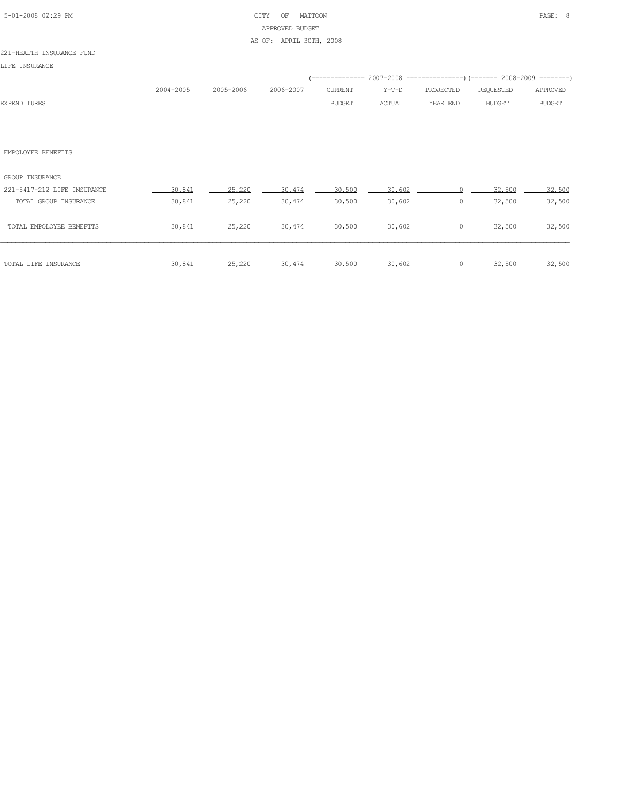## 5-01-2008 02:29 PM CITY OF MATTOON PAGE: 8 APPROVED BUDGET AS OF: APRIL 30TH, 2008

### 221-HEALTH INSURANCE FUND

LIFE INSURANCE

|                     |           |           |           |               |               | (-------------- 2007-2008 ----------------) (------- 2008-2009 ---------) |           |               |
|---------------------|-----------|-----------|-----------|---------------|---------------|---------------------------------------------------------------------------|-----------|---------------|
|                     | 2004-2005 | 2005-2006 | 2006-2007 | CURRENT       | Y-T-D         | PROJECTED                                                                 | REOUESTED | APPROVED      |
| <b>EXPENDITURES</b> |           |           |           | <b>BUDGET</b> | <b>ACTUAL</b> | YEAR END                                                                  | BUDGET    | <b>BUDGET</b> |
|                     |           |           |           |               |               |                                                                           |           |               |

| GROUP INSURANCE<br>221-5417-212 LIFE INSURANCE | 30,841 | 25,220 | 30,474 | 30,500 | 30,602 |   | 32,500 | 32,500 |
|------------------------------------------------|--------|--------|--------|--------|--------|---|--------|--------|
| TOTAL GROUP INSURANCE                          | 30,841 | 25,220 | 30,474 | 30,500 | 30,602 | 0 | 32,500 | 32,500 |
| TOTAL EMPOLOYEE BENEFITS                       | 30,841 | 25,220 | 30,474 | 30,500 | 30,602 | 0 | 32,500 | 32,500 |
| TOTAL LIFE INSURANCE                           | 30,841 | 25,220 | 30,474 | 30,500 | 30,602 | 0 | 32,500 | 32,500 |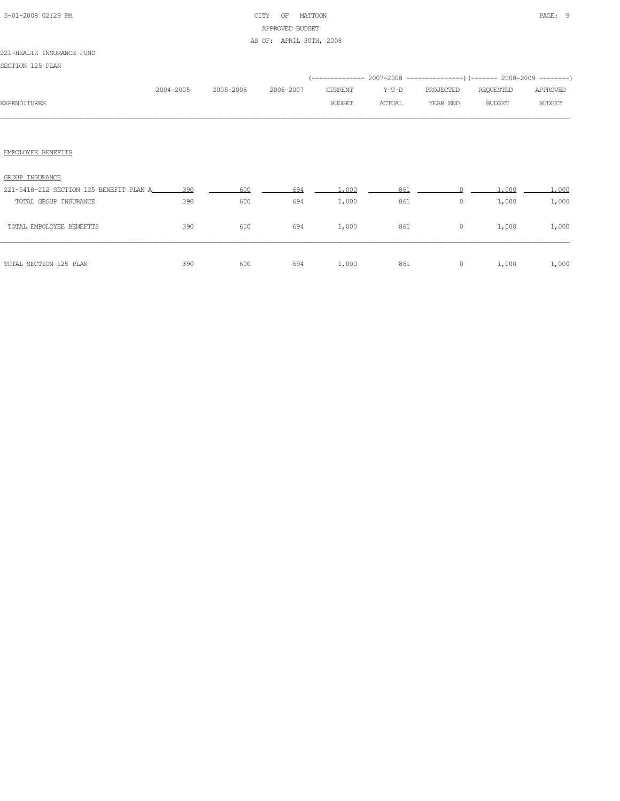## 5-01-2008 02:29 PM CITY OF MATTOON PAGE: 9 APPROVED BUDGET AS OF: APRIL 30TH, 2008

#### 221-HEALTH INSURANCE FUND

SECTION 125 PLAN

|                     |           |           |           |                |        | (-------------- 2007-2008 ----------------) (------- 2008-2009 --------) |           |          |
|---------------------|-----------|-----------|-----------|----------------|--------|--------------------------------------------------------------------------|-----------|----------|
|                     | 2004-2005 | 2005-2006 | 2006-2007 | <b>CURRENT</b> | Y-T-D  | PROJECTED                                                                | REQUESTED | APPROVED |
| <b>EXPENDITURES</b> |           |           |           | <b>BUDGET</b>  | ACTUAL | YEAR END                                                                 | BUDGET    | BUDGET   |
|                     |           |           |           |                |        |                                                                          |           |          |
|                     |           |           |           |                |        |                                                                          |           |          |
|                     |           |           |           |                |        |                                                                          |           |          |

| GROUP INSURANCE                         |     |     |     |       |     |   |       |       |
|-----------------------------------------|-----|-----|-----|-------|-----|---|-------|-------|
| 221-5418-212 SECTION 125 BENEFIT PLAN A | 390 | 600 | 694 | .000. | 861 |   | .000  | .000  |
| TOTAL GROUP INSURANCE                   | 390 | 600 | 694 | 1,000 | 861 | 0 | 1,000 | 1,000 |
| TOTAL EMPOLOYEE BENEFITS                | 390 | 600 | 694 | 1,000 | 861 | 0 | 1,000 | 1,000 |
| TOTAL SECTION 125 PLAN                  | 390 | 600 | 694 | 1,000 | 861 | 0 | 1,000 | 1,000 |